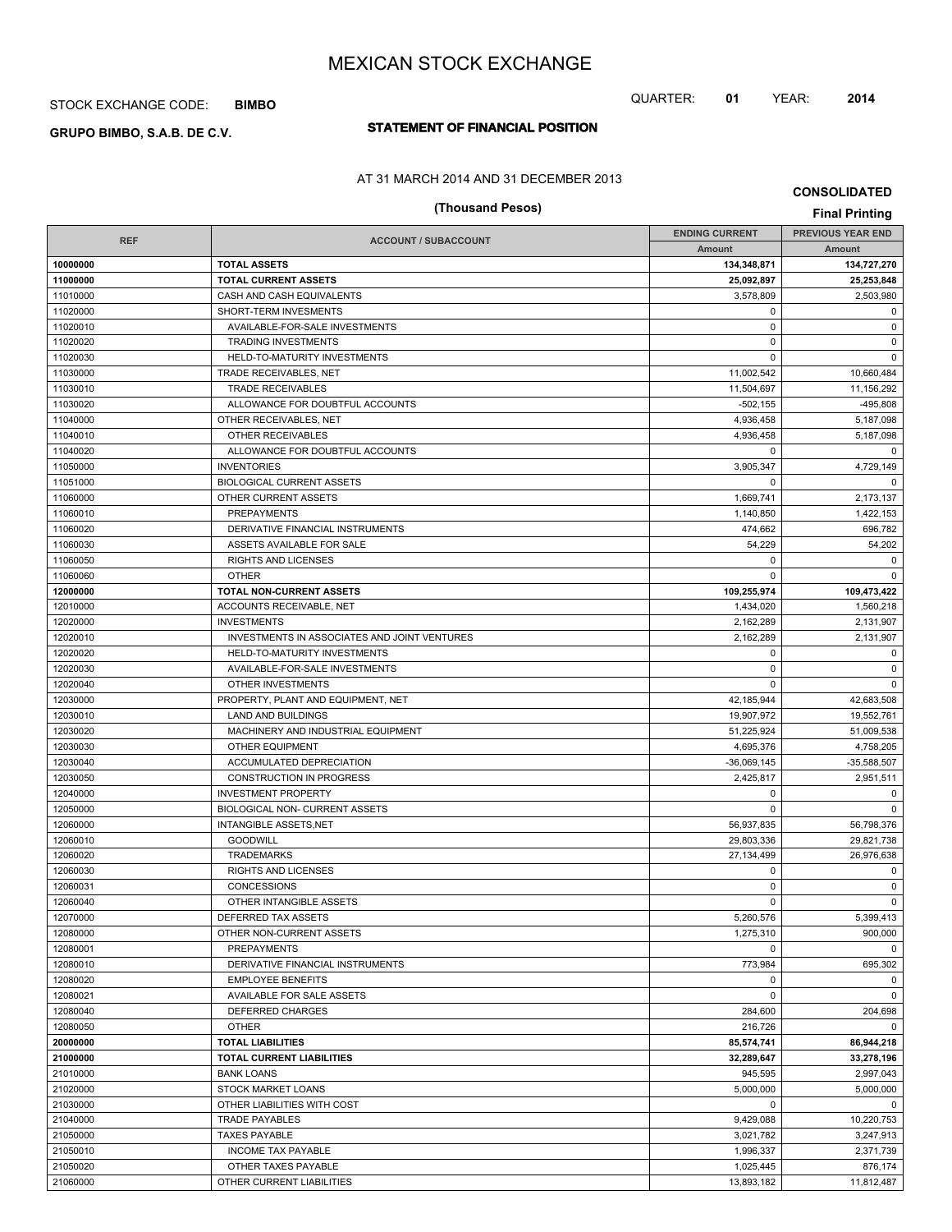## STOCK EXCHANGE CODE: **BIMBO**

# **STATEMENT OF FINANCIAL POSITION GRUPO BIMBO, S.A.B. DE C.V.**

### AT 31 MARCH 2014 AND 31 DECEMBER 2013

# **(Thousand Pesos) Final Printing**

| <b>REF</b> |                                              | <b>ENDING CURRENT</b> | <b>PREVIOUS YEAR END</b> |
|------------|----------------------------------------------|-----------------------|--------------------------|
|            | <b>ACCOUNT / SUBACCOUNT</b>                  | Amount                | <b>Amount</b>            |
| 10000000   | <b>TOTAL ASSETS</b>                          | 134,348,871           | 134,727,270              |
| 11000000   | <b>TOTAL CURRENT ASSETS</b>                  | 25,092,897            | 25,253,848               |
| 11010000   | CASH AND CASH EQUIVALENTS                    | 3,578,809             | 2,503,980                |
| 11020000   | SHORT-TERM INVESMENTS                        | $\mathbf 0$           | $\mathbf 0$              |
| 11020010   | AVAILABLE-FOR-SALE INVESTMENTS               | $\mathbf 0$           | $\mathbf 0$              |
| 11020020   | <b>TRADING INVESTMENTS</b>                   | $\mathbf 0$           | $\mathsf 0$              |
| 11020030   | HELD-TO-MATURITY INVESTMENTS                 | $\Omega$              | $\mathbf 0$              |
| 11030000   | TRADE RECEIVABLES, NET                       | 11,002,542            | 10,660,484               |
| 11030010   | <b>TRADE RECEIVABLES</b>                     | 11,504,697            | 11,156,292               |
| 11030020   | ALLOWANCE FOR DOUBTFUL ACCOUNTS              | $-502.155$            | $-495,808$               |
| 11040000   | OTHER RECEIVABLES, NET                       | 4,936,458             | 5,187,098                |
| 11040010   | OTHER RECEIVABLES                            | 4,936,458             | 5,187,098                |
| 11040020   | ALLOWANCE FOR DOUBTFUL ACCOUNTS              | $\mathbf 0$           | $\mathbf 0$              |
| 11050000   | <b>INVENTORIES</b>                           | 3,905,347             | 4,729,149                |
| 11051000   | <b>BIOLOGICAL CURRENT ASSETS</b>             | 0                     | $\mathbf 0$              |
| 11060000   | OTHER CURRENT ASSETS                         | 1,669,741             | 2,173,137                |
| 11060010   | <b>PREPAYMENTS</b>                           | 1,140,850             | 1,422,153                |
| 11060020   | DERIVATIVE FINANCIAL INSTRUMENTS             | 474,662               | 696,782                  |
| 11060030   | ASSETS AVAILABLE FOR SALE                    | 54,229                | 54,202                   |
| 11060050   | <b>RIGHTS AND LICENSES</b>                   | 0                     | $\mathbf 0$              |
| 11060060   | <b>OTHER</b>                                 | $\Omega$              | $\Omega$                 |
| 12000000   | TOTAL NON-CURRENT ASSETS                     | 109,255,974           | 109,473,422              |
| 12010000   | ACCOUNTS RECEIVABLE, NET                     | 1,434,020             | 1,560,218                |
| 12020000   | <b>INVESTMENTS</b>                           | 2,162,289             | 2,131,907                |
| 12020010   | INVESTMENTS IN ASSOCIATES AND JOINT VENTURES | 2,162,289             | 2,131,907                |
| 12020020   | HELD-TO-MATURITY INVESTMENTS                 | 0                     | $\mathbf 0$              |
| 12020030   | AVAILABLE-FOR-SALE INVESTMENTS               | $\mathbf 0$           | $\mathbf 0$              |
| 12020040   | OTHER INVESTMENTS                            | $\Omega$              | $\mathbf 0$              |
| 12030000   | PROPERTY, PLANT AND EQUIPMENT, NET           | 42,185,944            | 42,683,508               |
| 12030010   | LAND AND BUILDINGS                           | 19,907,972            | 19,552,761               |
| 12030020   | MACHINERY AND INDUSTRIAL EQUIPMENT           | 51,225,924            | 51,009,538               |
| 12030030   | OTHER EQUIPMENT                              | 4,695,376             | 4,758,205                |
| 12030040   | ACCUMULATED DEPRECIATION                     | $-36,069,145$         | $-35,588,507$            |
| 12030050   | CONSTRUCTION IN PROGRESS                     | 2,425,817             | 2,951,511                |
| 12040000   | <b>INVESTMENT PROPERTY</b>                   | 0                     | $\mathbf 0$              |
| 12050000   | <b>BIOLOGICAL NON- CURRENT ASSETS</b>        | $\mathbf 0$           | $\mathbf 0$              |
| 12060000   | <b>INTANGIBLE ASSETS, NET</b>                | 56,937,835            | 56,798,376               |
| 12060010   | <b>GOODWILL</b>                              | 29,803,336            | 29,821,738               |
| 12060020   | <b>TRADEMARKS</b>                            | 27,134,499            | 26.976.638               |
| 12060030   | RIGHTS AND LICENSES                          | $\mathbf 0$           | 0                        |
| 12060031   | <b>CONCESSIONS</b>                           | $\mathbf 0$           | $\mathbf 0$              |
| 12060040   | OTHER INTANGIBLE ASSETS                      | $\mathbf 0$           | $\mathbf 0$              |
| 12070000   | DEFERRED TAX ASSETS                          | 5,260,576             | 5,399,413                |
| 12080000   | OTHER NON-CURRENT ASSETS                     | 1,275,310             | 900,000                  |
| 12080001   | PREPAYMENTS                                  | $\Omega$              | $\mathbf 0$              |
| 12080010   | DERIVATIVE FINANCIAL INSTRUMENTS             | 773,984               | 695,302                  |
| 12080020   | <b>EMPLOYEE BENEFITS</b>                     | $\mathbf 0$           | $\mathbf 0$              |
| 12080021   | AVAILABLE FOR SALE ASSETS                    | $\mathbf 0$           | $\mathbf 0$              |
| 12080040   | DEFERRED CHARGES                             | 284,600               | 204,698                  |
| 12080050   | <b>OTHER</b>                                 | 216,726               | $\mathbf 0$              |
| 20000000   | <b>TOTAL LIABILITIES</b>                     | 85,574,741            | 86,944,218               |
| 21000000   | TOTAL CURRENT LIABILITIES                    | 32,289,647            | 33,278,196               |
| 21010000   | <b>BANK LOANS</b>                            | 945,595               | 2,997,043                |
| 21020000   | <b>STOCK MARKET LOANS</b>                    | 5,000,000             | 5,000,000                |
| 21030000   | OTHER LIABILITIES WITH COST                  | 0                     | $\mathbf 0$              |
| 21040000   | <b>TRADE PAYABLES</b>                        | 9,429,088             | 10,220,753               |
| 21050000   | <b>TAXES PAYABLE</b>                         | 3,021,782             | 3,247,913                |
| 21050010   | <b>INCOME TAX PAYABLE</b>                    | 1,996,337             | 2,371,739                |
| 21050020   | OTHER TAXES PAYABLE                          | 1,025,445             | 876,174                  |
| 21060000   | OTHER CURRENT LIABILITIES                    | 13,893,182            | 11,812,487               |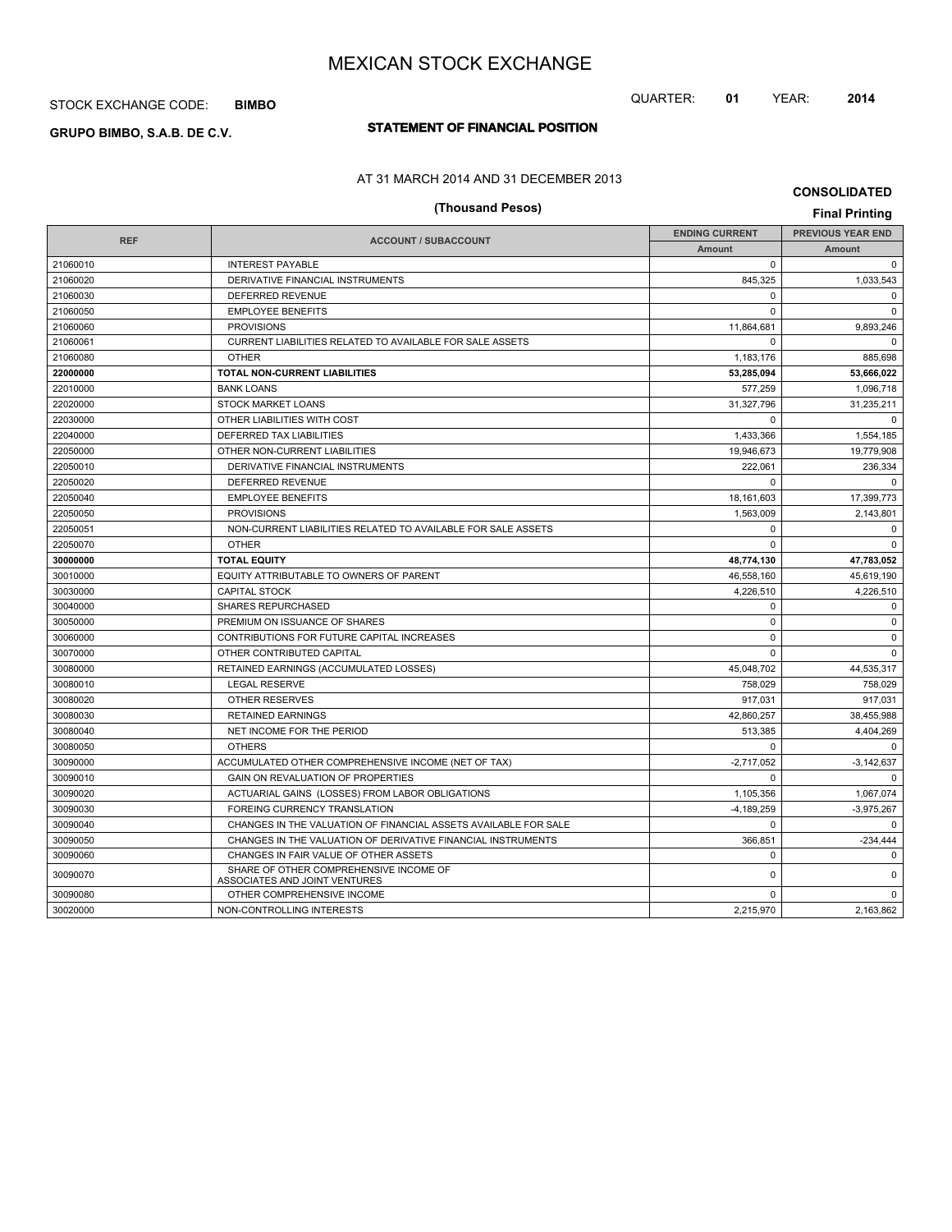## STOCK EXCHANGE CODE: **BIMBO**

# **STATEMENT OF FINANCIAL POSITION GRUPO BIMBO, S.A.B. DE C.V.**

### AT 31 MARCH 2014 AND 31 DECEMBER 2013

|            | (Thousand Pesos)                                                        |                       | <b>Final Printing</b>    |
|------------|-------------------------------------------------------------------------|-----------------------|--------------------------|
|            |                                                                         | <b>ENDING CURRENT</b> | <b>PREVIOUS YEAR END</b> |
| <b>REF</b> | <b>ACCOUNT / SUBACCOUNT</b>                                             | <b>Amount</b>         | <b>Amount</b>            |
| 21060010   | <b>INTEREST PAYABLE</b>                                                 | $\mathbf 0$           | $\mathbf 0$              |
| 21060020   | DERIVATIVE FINANCIAL INSTRUMENTS                                        | 845,325               | 1,033,543                |
| 21060030   | DEFERRED REVENUE                                                        | $\mathbf 0$           | $\mathbf 0$              |
| 21060050   | <b>EMPLOYEE BENEFITS</b>                                                | $\Omega$              | $\Omega$                 |
| 21060060   | <b>PROVISIONS</b>                                                       | 11,864,681            | 9,893,246                |
| 21060061   | CURRENT LIABILITIES RELATED TO AVAILABLE FOR SALE ASSETS                | $\Omega$              | $\Omega$                 |
| 21060080   | <b>OTHER</b>                                                            | 1,183,176             | 885,698                  |
| 22000000   | TOTAL NON-CURRENT LIABILITIES                                           | 53,285,094            | 53,666,022               |
| 22010000   | <b>BANK LOANS</b>                                                       | 577,259               | 1,096,718                |
| 22020000   | <b>STOCK MARKET LOANS</b>                                               | 31,327,796            | 31,235,211               |
| 22030000   | OTHER LIABILITIES WITH COST                                             | $\Omega$              | $\Omega$                 |
| 22040000   | DEFERRED TAX LIABILITIES                                                | 1,433,366             | 1,554,185                |
| 22050000   | OTHER NON-CURRENT LIABILITIES                                           | 19,946,673            | 19,779,908               |
| 22050010   | DERIVATIVE FINANCIAL INSTRUMENTS                                        | 222,061               | 236,334                  |
| 22050020   | DEFERRED REVENUE                                                        | $\Omega$              | $\Omega$                 |
| 22050040   | <b>EMPLOYEE BENEFITS</b>                                                | 18,161,603            | 17,399,773               |
| 22050050   | <b>PROVISIONS</b>                                                       | 1.563.009             | 2.143.801                |
| 22050051   | NON-CURRENT LIABILITIES RELATED TO AVAILABLE FOR SALE ASSETS            | $\mathbf 0$           | $\mathbf 0$              |
| 22050070   | <b>OTHER</b>                                                            | $\Omega$              | $\Omega$                 |
| 30000000   | <b>TOTAL EQUITY</b>                                                     | 48,774,130            | 47,783,052               |
| 30010000   | EQUITY ATTRIBUTABLE TO OWNERS OF PARENT                                 | 46,558,160            | 45,619,190               |
| 30030000   | <b>CAPITAL STOCK</b>                                                    | 4,226,510             | 4,226,510                |
| 30040000   | <b>SHARES REPURCHASED</b>                                               | $\mathbf 0$           | $\mathbf 0$              |
| 30050000   | PREMIUM ON ISSUANCE OF SHARES                                           | $\Omega$              | $\mathbf 0$              |
| 30060000   | CONTRIBUTIONS FOR FUTURE CAPITAL INCREASES                              | $\Omega$              | $\mathbf 0$              |
| 30070000   | OTHER CONTRIBUTED CAPITAL                                               | $\Omega$              | $\Omega$                 |
| 30080000   | RETAINED EARNINGS (ACCUMULATED LOSSES)                                  | 45,048,702            | 44,535,317               |
| 30080010   | <b>LEGAL RESERVE</b>                                                    | 758,029               | 758,029                  |
| 30080020   | <b>OTHER RESERVES</b>                                                   | 917,031               | 917,031                  |
| 30080030   | <b>RETAINED EARNINGS</b>                                                | 42.860.257            | 38,455,988               |
| 30080040   | NET INCOME FOR THE PERIOD                                               | 513,385               | 4,404,269                |
| 30080050   | <b>OTHERS</b>                                                           | $\Omega$              | $\Omega$                 |
| 30090000   | ACCUMULATED OTHER COMPREHENSIVE INCOME (NET OF TAX)                     | $-2,717,052$          | $-3,142,637$             |
| 30090010   | <b>GAIN ON REVALUATION OF PROPERTIES</b>                                | $\Omega$              | $\Omega$                 |
| 30090020   | ACTUARIAL GAINS (LOSSES) FROM LABOR OBLIGATIONS                         | 1,105,356             | 1,067,074                |
| 30090030   | <b>FOREING CURRENCY TRANSLATION</b>                                     | $-4,189,259$          | $-3,975,267$             |
| 30090040   | CHANGES IN THE VALUATION OF FINANCIAL ASSETS AVAILABLE FOR SALE         | $\mathbf 0$           | $\Omega$                 |
| 30090050   | CHANGES IN THE VALUATION OF DERIVATIVE FINANCIAL INSTRUMENTS            | 366,851               | $-234,444$               |
| 30090060   | CHANGES IN FAIR VALUE OF OTHER ASSETS                                   | $\Omega$              | $\Omega$                 |
| 30090070   | SHARE OF OTHER COMPREHENSIVE INCOME OF<br>ASSOCIATES AND JOINT VENTURES | $\Omega$              | $\Omega$                 |
| 30090080   | OTHER COMPREHENSIVE INCOME                                              | $\Omega$              | $\Omega$                 |
| 30020000   | NON-CONTROLLING INTERESTS                                               | 2.215.970             | 2,163,862                |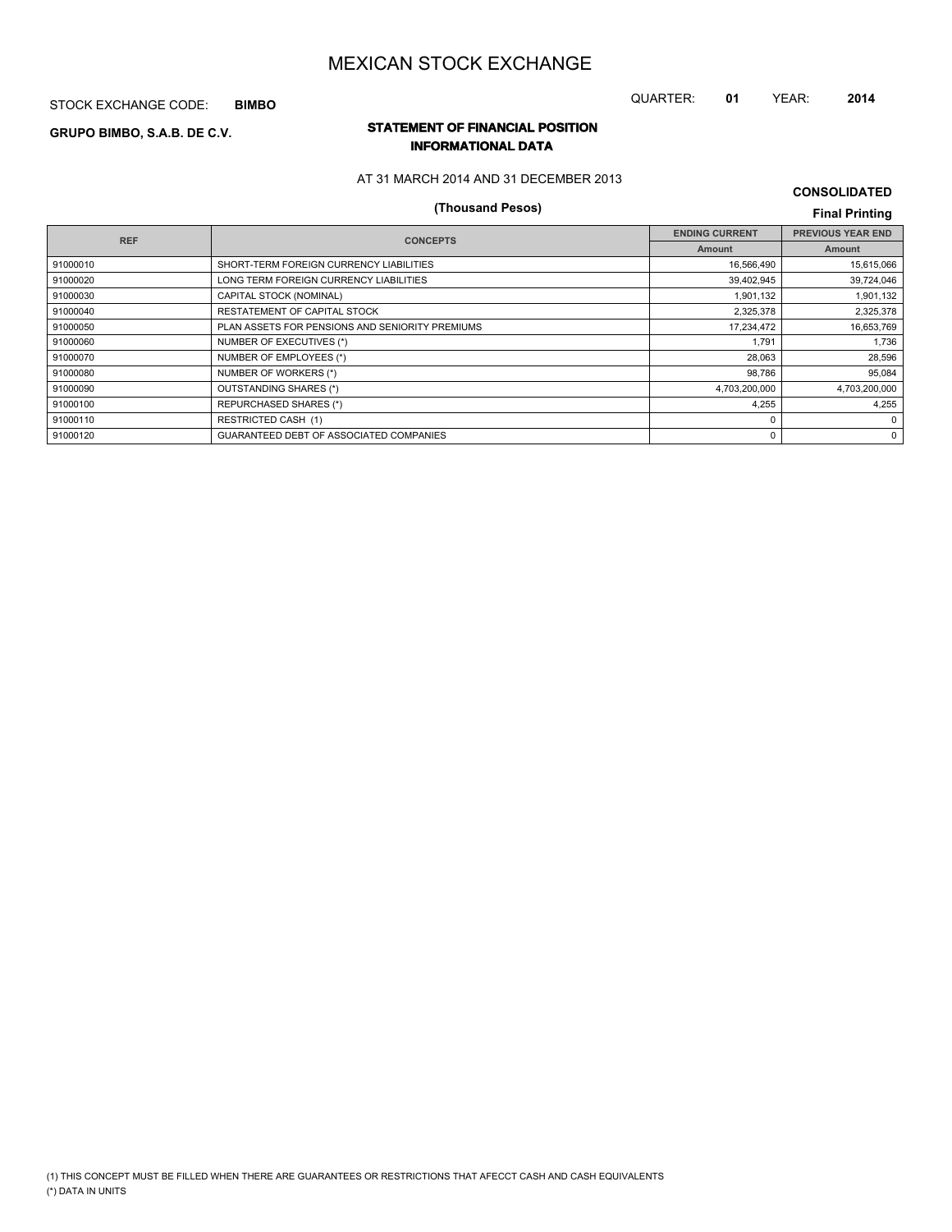STOCK EXCHANGE CODE: **BIMBO**

# QUARTER: **01** YEAR: **2014**

## **STATEMENT OF FINANCIAL POSITION GRUPO BIMBO, S.A.B. DE C.V. INFORMATIONAL DATA**

### AT 31 MARCH 2014 AND 31 DECEMBER 2013

# **(Thousand Pesos) Final Printing**

| <b>REF</b> | <b>CONCEPTS</b>                                 | <b>ENDING CURRENT</b> | <b>PREVIOUS YEAR END</b> |
|------------|-------------------------------------------------|-----------------------|--------------------------|
|            |                                                 | <b>Amount</b>         | Amount                   |
| 91000010   | SHORT-TERM FOREIGN CURRENCY LIABILITIES         | 16,566,490            | 15,615,066               |
| 91000020   | LONG TERM FOREIGN CURRENCY LIABILITIES          | 39,402,945            | 39,724,046               |
| 91000030   | CAPITAL STOCK (NOMINAL)                         | 1,901,132             | 1,901,132                |
| 91000040   | RESTATEMENT OF CAPITAL STOCK                    | 2,325,378             | 2,325,378                |
| 91000050   | PLAN ASSETS FOR PENSIONS AND SENIORITY PREMIUMS | 17,234,472            | 16,653,769               |
| 91000060   | NUMBER OF EXECUTIVES (*)                        | 1.791                 | 1,736                    |
| 91000070   | NUMBER OF EMPLOYEES (*)                         | 28,063                | 28,596                   |
| 91000080   | NUMBER OF WORKERS (*)                           | 98,786                | 95,084                   |
| 91000090   | OUTSTANDING SHARES (*)                          | 4,703,200,000         | 4,703,200,000            |
| 91000100   | <b>REPURCHASED SHARES (*)</b>                   | 4,255                 | 4.255                    |
| 91000110   | <b>RESTRICTED CASH (1)</b>                      | $\Omega$              | $\Omega$                 |
| 91000120   | GUARANTEED DEBT OF ASSOCIATED COMPANIES         | 0                     | $\Omega$                 |
|            |                                                 |                       |                          |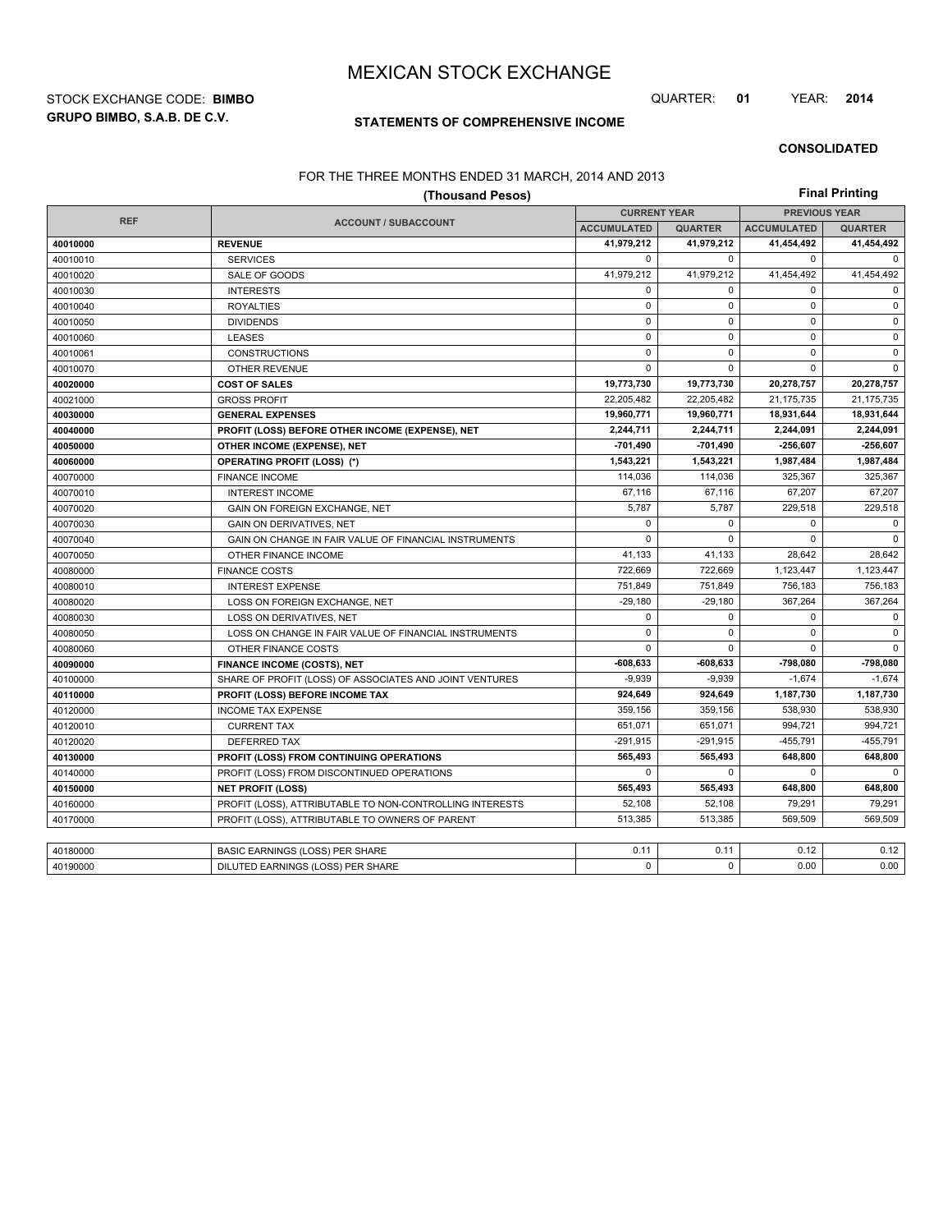**GRUPO BIMBO, S.A.B. DE C.V.** STOCK EXCHANGE CODE: **BIMBO** QUARTER: **01** YEAR: **2014**

## **STATEMENTS OF COMPREHENSIVE INCOME**

#### **CONSOLIDATED**

#### FOR THE THREE MONTHS ENDED 31 MARCH, 2014 AND 2013

|            | ON THE THREE MONTHS ENDED OF MINOH, LOTTING L<br>(Thousand Pesos) |                     |                |                      | <b>Final Printing</b> |
|------------|-------------------------------------------------------------------|---------------------|----------------|----------------------|-----------------------|
|            |                                                                   | <b>CURRENT YEAR</b> |                | <b>PREVIOUS YEAR</b> |                       |
| <b>REF</b> | <b>ACCOUNT / SUBACCOUNT</b>                                       | <b>ACCUMULATED</b>  | <b>QUARTER</b> | <b>ACCUMULATED</b>   | <b>QUARTER</b>        |
| 40010000   | <b>REVENUE</b>                                                    | 41,979,212          | 41,979,212     | 41,454,492           | 41,454,492            |
| 40010010   | <b>SERVICES</b>                                                   | 0                   | $\mathbf 0$    | $\mathbf 0$          | $\mathbf 0$           |
| 40010020   | SALE OF GOODS                                                     | 41,979,212          | 41,979,212     | 41,454,492           | 41,454,492            |
| 40010030   | <b>INTERESTS</b>                                                  | $\Omega$            | $\mathbf 0$    | $\Omega$             | $\Omega$              |
| 40010040   | <b>ROYALTIES</b>                                                  | $\mathbf 0$         | $\mathbf 0$    | $\mathbf 0$          | $\mathbf 0$           |
| 40010050   | <b>DIVIDENDS</b>                                                  | $\mathbf{0}$        | $\mathbf 0$    | $\mathbf 0$          | $\mathbf 0$           |
| 40010060   | <b>LEASES</b>                                                     | $\mathbf 0$         | $\mathbf 0$    | $\mathbf 0$          | $\mathbf 0$           |
| 40010061   | <b>CONSTRUCTIONS</b>                                              | $\mathbf 0$         | $\mathbf 0$    | $\mathbf 0$          | $\mathsf 0$           |
| 40010070   | <b>OTHER REVENUE</b>                                              | $\mathbf 0$         | 0              | $\mathbf 0$          | $\mathbf 0$           |
| 40020000   | <b>COST OF SALES</b>                                              | 19,773,730          | 19,773,730     | 20,278,757           | 20,278,757            |
| 40021000   | <b>GROSS PROFIT</b>                                               | 22,205,482          | 22,205,482     | 21,175,735           | 21,175,735            |
| 40030000   | <b>GENERAL EXPENSES</b>                                           | 19,960,771          | 19,960,771     | 18,931,644           | 18,931,644            |
| 40040000   | PROFIT (LOSS) BEFORE OTHER INCOME (EXPENSE), NET                  | 2,244,711           | 2,244,711      | 2,244,091            | 2,244,091             |
| 40050000   | OTHER INCOME (EXPENSE), NET                                       | $-701,490$          | -701,490       | -256,607             | $-256,607$            |
| 40060000   | <b>OPERATING PROFIT (LOSS) (*)</b>                                | 1,543,221           | 1,543,221      | 1,987,484            | 1,987,484             |
| 40070000   | <b>FINANCE INCOME</b>                                             | 114,036             | 114,036        | 325,367              | 325,367               |
| 40070010   | <b>INTEREST INCOME</b>                                            | 67,116              | 67,116         | 67.207               | 67,207                |
| 40070020   | GAIN ON FOREIGN EXCHANGE, NET                                     | 5,787               | 5,787          | 229,518              | 229,518               |
| 40070030   | <b>GAIN ON DERIVATIVES, NET</b>                                   | $\mathbf{0}$        | $\mathbf 0$    | $\mathbf 0$          | $\mathbf 0$           |
| 40070040   | GAIN ON CHANGE IN FAIR VALUE OF FINANCIAL INSTRUMENTS             | $\mathbf 0$         | $\mathbf 0$    | $\mathbf 0$          | $\mathbf 0$           |
| 40070050   | OTHER FINANCE INCOME                                              | 41,133              | 41,133         | 28,642               | 28,642                |
| 40080000   | <b>FINANCE COSTS</b>                                              | 722,669             | 722,669        | 1,123,447            | 1,123,447             |
| 40080010   | <b>INTEREST EXPENSE</b>                                           | 751,849             | 751.849        | 756,183              | 756,183               |
| 40080020   | LOSS ON FOREIGN EXCHANGE, NET                                     | $-29,180$           | $-29,180$      | 367,264              | 367,264               |
| 40080030   | LOSS ON DERIVATIVES, NET                                          | $\mathbf{0}$        | $\mathbf 0$    | $\mathbf 0$          | $\mathbf 0$           |
| 40080050   | LOSS ON CHANGE IN FAIR VALUE OF FINANCIAL INSTRUMENTS             | $\mathbf 0$         | $\mathbf 0$    | $\mathbf 0$          | $\pmb{0}$             |
| 40080060   | OTHER FINANCE COSTS                                               | $\mathbf 0$         | 0              | $\mathbf 0$          | $\Omega$              |
| 40090000   | <b>FINANCE INCOME (COSTS), NET</b>                                | $-608,633$          | $-608,633$     | -798,080             | $-798,080$            |
| 40100000   | SHARE OF PROFIT (LOSS) OF ASSOCIATES AND JOINT VENTURES           | $-9,939$            | $-9.939$       | $-1.674$             | $-1,674$              |
| 40110000   | PROFIT (LOSS) BEFORE INCOME TAX                                   | 924,649             | 924,649        | 1,187,730            | 1,187,730             |
| 40120000   | <b>INCOME TAX EXPENSE</b>                                         | 359,156             | 359,156        | 538,930              | 538,930               |
| 40120010   | <b>CURRENT TAX</b>                                                | 651,071             | 651,071        | 994,721              | 994,721               |
| 40120020   | <b>DEFERRED TAX</b>                                               | $-291,915$          | $-291,915$     | $-455,791$           | $-455,791$            |
| 40130000   | PROFIT (LOSS) FROM CONTINUING OPERATIONS                          | 565,493             | 565,493        | 648,800              | 648,800               |
| 40140000   | PROFIT (LOSS) FROM DISCONTINUED OPERATIONS                        | $\Omega$            | $\Omega$       | $\Omega$             | $\Omega$              |
| 40150000   | <b>NET PROFIT (LOSS)</b>                                          | 565,493             | 565.493        | 648,800              | 648,800               |
| 40160000   | PROFIT (LOSS), ATTRIBUTABLE TO NON-CONTROLLING INTERESTS          | 52,108              | 52,108         | 79,291               | 79,291                |
| 40170000   | PROFIT (LOSS), ATTRIBUTABLE TO OWNERS OF PARENT                   | 513,385             | 513,385        | 569,509              | 569.509               |
|            |                                                                   |                     |                |                      |                       |
| 40180000   | BASIC EARNINGS (LOSS) PER SHARE                                   | 0.11                | 0.11           | 0.12                 | 0.12                  |
| 40190000   | DILUTED EARNINGS (LOSS) PER SHARE                                 | $\mathbf 0$         | $\mathbf 0$    | 0.00                 | 0.00                  |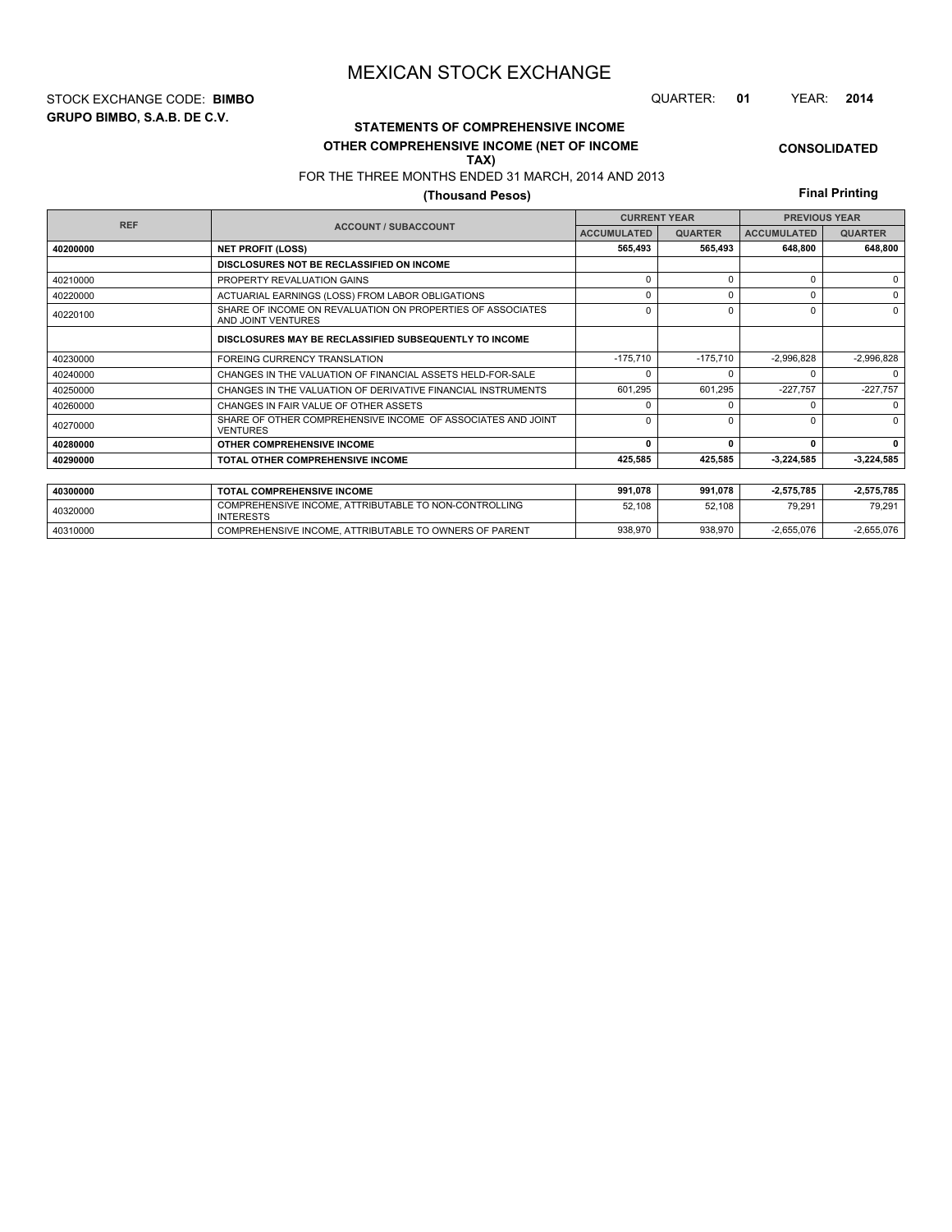**GRUPO BIMBO, S.A.B. DE C.V.** STOCK EXCHANGE CODE: **BIMBO** QUARTER: **01** YEAR: **2014**

## **CONSOLIDATED**

**OTHER COMPREHENSIVE INCOME (NET OF INCOME TAX)**

**STATEMENTS OF COMPREHENSIVE INCOME**

FOR THE THREE MONTHS ENDED 31 MARCH, 2014 AND 2013

## **(Thousand Pesos)**

**Final Printing**

|            |                                                                                  |                                                                                                                                                                                                                                                                                               |                    | <b>PREVIOUS YEAR</b> |              |  |
|------------|----------------------------------------------------------------------------------|-----------------------------------------------------------------------------------------------------------------------------------------------------------------------------------------------------------------------------------------------------------------------------------------------|--------------------|----------------------|--------------|--|
| <b>REF</b> | <b>ACCOUNT / SUBACCOUNT</b>                                                      | <b>CURRENT YEAR</b><br><b>ACCUMULATED</b><br><b>QUARTER</b><br>565,493<br>565,493<br>$\Omega$<br>$\Omega$<br>$\Omega$<br>0<br>$\Omega$<br>$\Omega$<br>$-175,710$<br>$-175,710$<br>O<br>601.295<br>601,295<br>$\Omega$<br><sup>n</sup><br>$\Omega$<br>0<br>0<br>$\Omega$<br>425,585<br>425,585 | <b>ACCUMULATED</b> | <b>QUARTER</b>       |              |  |
| 40200000   | <b>NET PROFIT (LOSS)</b>                                                         |                                                                                                                                                                                                                                                                                               |                    | 648,800              | 648,800      |  |
|            | DISCLOSURES NOT BE RECLASSIFIED ON INCOME                                        |                                                                                                                                                                                                                                                                                               |                    |                      |              |  |
| 40210000   | PROPERTY REVALUATION GAINS                                                       |                                                                                                                                                                                                                                                                                               |                    | $\Omega$             | $\Omega$     |  |
| 40220000   | ACTUARIAL EARNINGS (LOSS) FROM LABOR OBLIGATIONS                                 |                                                                                                                                                                                                                                                                                               |                    | 0                    | 0            |  |
| 40220100   | SHARE OF INCOME ON REVALUATION ON PROPERTIES OF ASSOCIATES<br>AND JOINT VENTURES |                                                                                                                                                                                                                                                                                               |                    | $\Omega$             | $\Omega$     |  |
|            | DISCLOSURES MAY BE RECLASSIFIED SUBSEQUENTLY TO INCOME                           |                                                                                                                                                                                                                                                                                               |                    |                      |              |  |
| 40230000   | <b>FOREING CURRENCY TRANSLATION</b>                                              |                                                                                                                                                                                                                                                                                               |                    | $-2,996,828$         | $-2,996,828$ |  |
| 40240000   | CHANGES IN THE VALUATION OF FINANCIAL ASSETS HELD-FOR-SALE                       |                                                                                                                                                                                                                                                                                               |                    |                      | $\Omega$     |  |
| 40250000   | CHANGES IN THE VALUATION OF DERIVATIVE FINANCIAL INSTRUMENTS                     |                                                                                                                                                                                                                                                                                               |                    | $-227,757$           | $-227,757$   |  |
| 40260000   | CHANGES IN FAIR VALUE OF OTHER ASSETS                                            |                                                                                                                                                                                                                                                                                               |                    |                      | $\Omega$     |  |
| 40270000   | SHARE OF OTHER COMPREHENSIVE INCOME OF ASSOCIATES AND JOINT<br><b>VENTURES</b>   |                                                                                                                                                                                                                                                                                               |                    | n                    | $\Omega$     |  |
| 40280000   | OTHER COMPREHENSIVE INCOME                                                       |                                                                                                                                                                                                                                                                                               |                    | n                    | 0            |  |
| 40290000   | TOTAL OTHER COMPREHENSIVE INCOME                                                 |                                                                                                                                                                                                                                                                                               |                    | -3,224,585           | $-3,224,585$ |  |
|            |                                                                                  |                                                                                                                                                                                                                                                                                               |                    |                      |              |  |
| 40300000   | <b>TOTAL COMPREHENSIVE INCOME</b>                                                | 991,078                                                                                                                                                                                                                                                                                       | 991,078            | $-2,575,785$         | $-2,575,785$ |  |
| 40320000   | COMPREHENSIVE INCOME. ATTRIBUTABLE TO NON-CONTROLLING<br><b>INTERESTS</b>        | 52,108                                                                                                                                                                                                                                                                                        | 52.108             | 79.291               | 79.291       |  |

40310000 COMPREHENSIVE INCOME, ATTRIBUTABLE TO OWNERS OF PARENT 938,970 938,970 938,970 -2,655,076 -2,655,076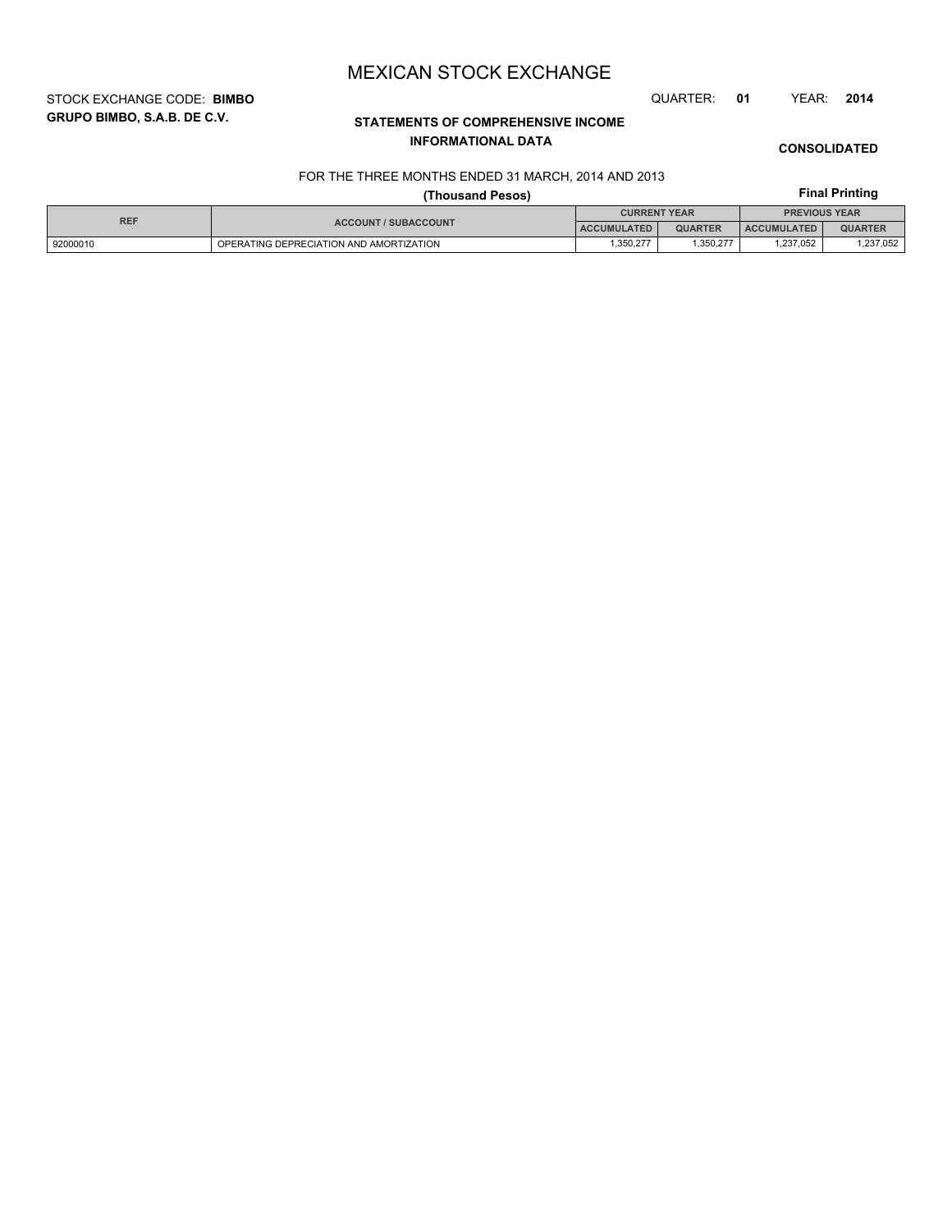STOCK EXCHANGE CODE: **BIMBO** QUARTER: **01** YEAR: **2014**

# **CONSOLIDATED**

# **STATEMENTS OF COMPREHENSIVE INCOME INFORMATIONAL DATA**

# **Final Printing**

## FOR THE THREE MONTHS ENDED 31 MARCH, 2014 AND 2013 **(Thousand Pesos)**

| <b>REF</b> |                                         | <b>CURRENT YEAR</b> |                | <b>PREVIOUS YEAR</b> |                |  |
|------------|-----------------------------------------|---------------------|----------------|----------------------|----------------|--|
|            | <b>ACCOUNT / SUBACCOUNT</b>             | <b>ACCUMULATED</b>  | <b>QUARTER</b> | <b>ACCUMULATED</b>   | <b>QUARTER</b> |  |
| 92000010   | OPERATING DEPRECIATION AND AMORTIZATION | .350.277            | .350,277       | ,237,052             | ,237,052       |  |

# **GRUPO BIMBO, S.A.B. DE C.V.**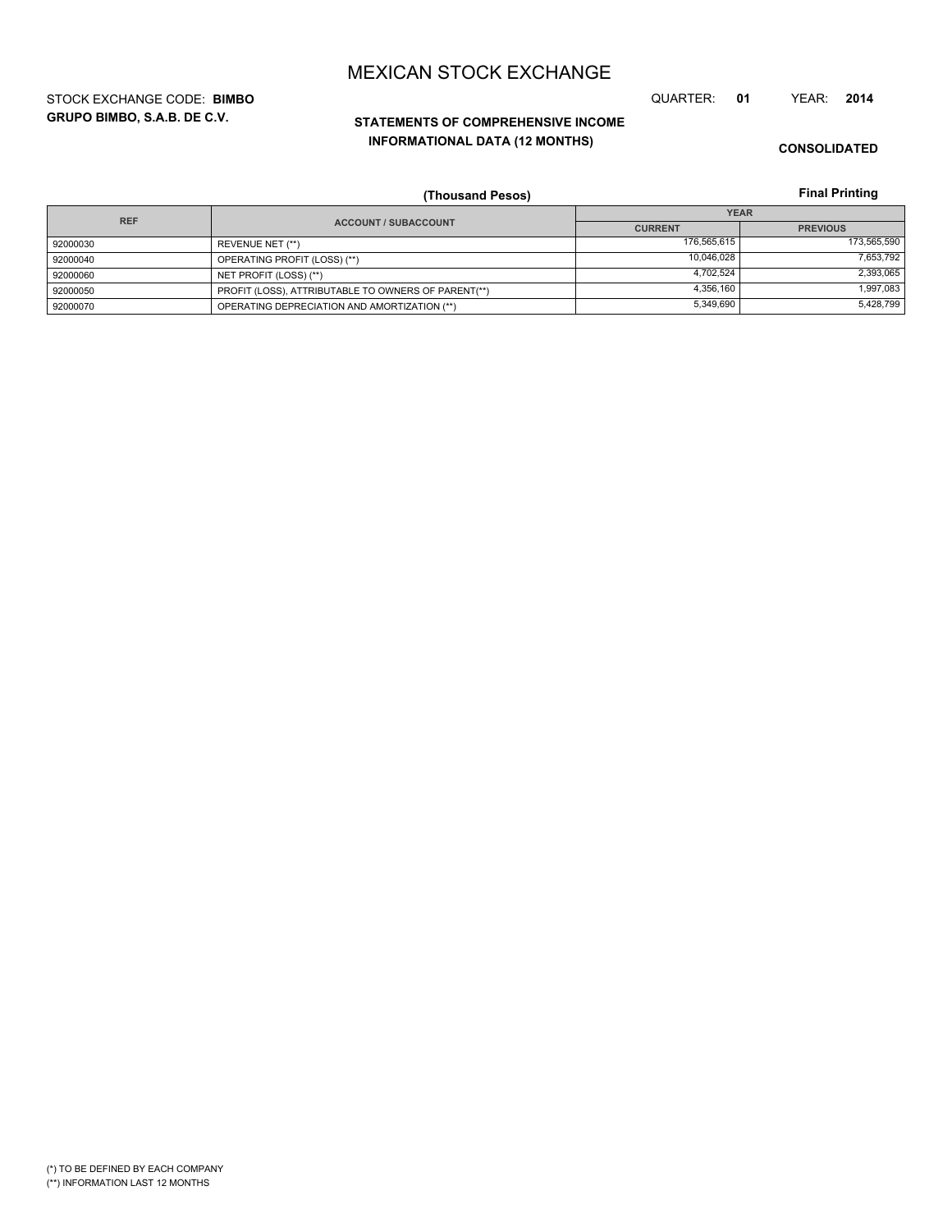**GRUPO BIMBO, S.A.B. DE C.V.** STOCK EXCHANGE CODE: **BIMBO** QUARTER: **01** YEAR: **2014**

# **STATEMENTS OF COMPREHENSIVE INCOME INFORMATIONAL DATA (12 MONTHS)**

**CONSOLIDATED**

**Final Printing**

|            | (Thousand Pesos)                                    |                | <b>Final Printing</b> |
|------------|-----------------------------------------------------|----------------|-----------------------|
| <b>REF</b> |                                                     |                | <b>YEAR</b>           |
|            | <b>ACCOUNT / SUBACCOUNT</b>                         | <b>CURRENT</b> | <b>PREVIOUS</b>       |
| 92000030   | REVENUE NET (**)                                    | 176,565,615    | 173,565,590           |
| 92000040   | OPERATING PROFIT (LOSS) (**)                        | 10,046,028     | 7,653,792             |
| 92000060   | NET PROFIT (LOSS) (**)                              | 4,702,524      | 2,393,065             |
| 92000050   | PROFIT (LOSS), ATTRIBUTABLE TO OWNERS OF PARENT(**) | 4,356,160      | 1,997,083             |
| 92000070   | OPERATING DEPRECIATION AND AMORTIZATION (**)        | 5,349,690      | 5,428,799             |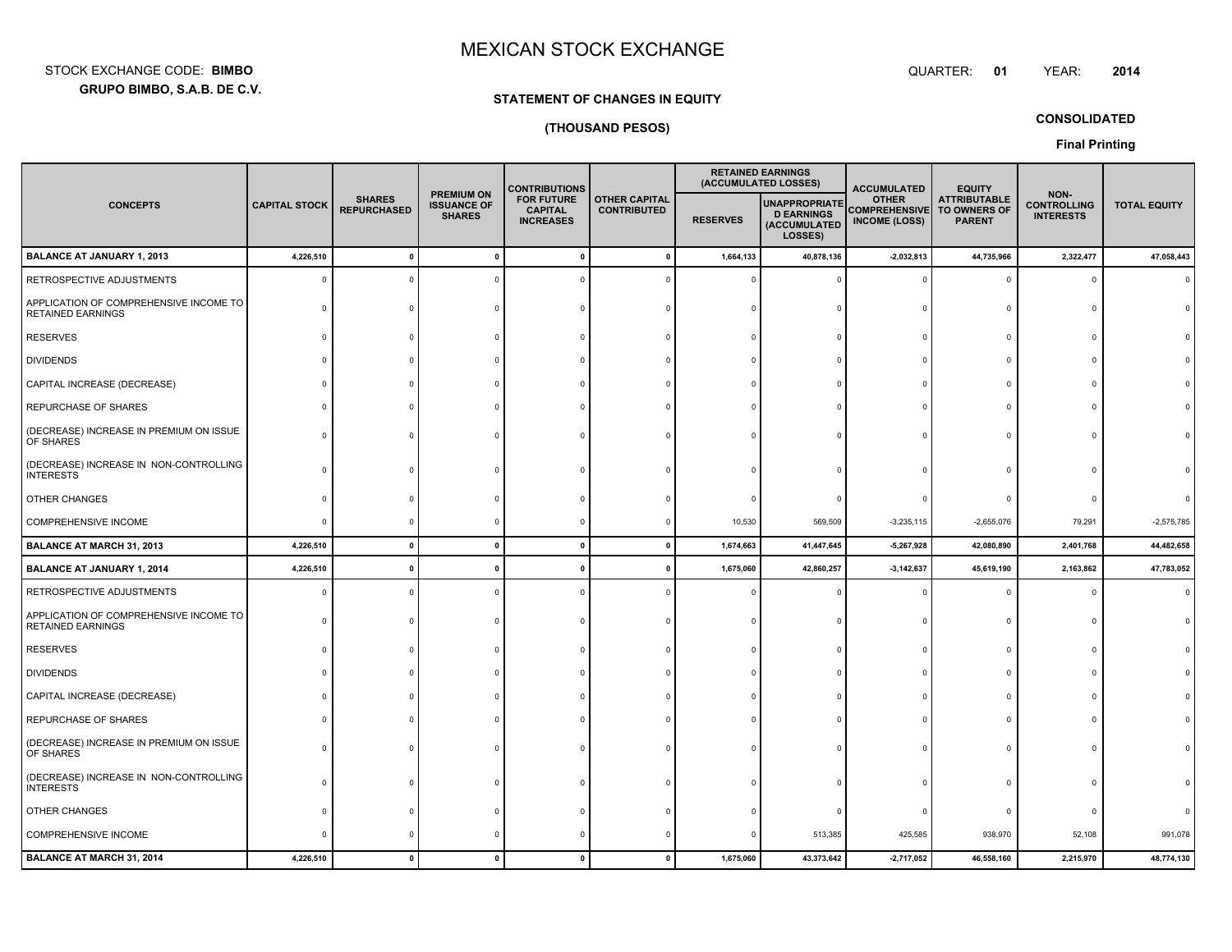**GRUPO BIMBO, S.A.B. DE C.V.** STOCK EXCHANGE CODE:**BIMBO**: BIMBO QUARTER:

# **STATEMENT OF CHANGES IN EQUITY**

# **(THOUSAND PESOS)**

**CONSOLIDATED**

**01**

**Final Printing**

|                                                                    |                      |                                     |                                                          |                                                         |                                            |                 | <b>CONTRIBUTIONS</b>                                                 |                                                              | <b>RETAINED EARNINGS</b><br>(ACCUMULATED LOSSES)     |                                                | <b>ACCUMULATED</b>  |  | <b>EQUITY</b> |  |
|--------------------------------------------------------------------|----------------------|-------------------------------------|----------------------------------------------------------|---------------------------------------------------------|--------------------------------------------|-----------------|----------------------------------------------------------------------|--------------------------------------------------------------|------------------------------------------------------|------------------------------------------------|---------------------|--|---------------|--|
| <b>CONCEPTS</b>                                                    | <b>CAPITAL STOCK</b> | <b>SHARES</b><br><b>REPURCHASED</b> | <b>PREMIUM ON</b><br><b>ISSUANCE OF</b><br><b>SHARES</b> | <b>FOR FUTURE</b><br><b>CAPITAL</b><br><b>INCREASES</b> | <b>OTHER CAPITAL</b><br><b>CONTRIBUTED</b> | <b>RESERVES</b> | <b>UNAPPROPRIATE</b><br><b>D EARNINGS</b><br>(ACCUMULATED<br>LOSSES) | <b>OTHER</b><br><b>COMPREHENSIVE</b><br><b>INCOME (LOSS)</b> | <b>ATTRIBUTABLE</b><br>TO OWNERS OF<br><b>PARENT</b> | NON-<br><b>CONTROLLING</b><br><b>INTERESTS</b> | <b>TOTAL EQUITY</b> |  |               |  |
| <b>BALANCE AT JANUARY 1, 2013</b>                                  | 4,226,510            | $\mathbf{0}$                        | $\pmb{0}$                                                |                                                         | $\mathbf{0}$                               | 1,664,133       | 40,878,136                                                           | $-2,032,813$                                                 | 44,735,966                                           | 2,322,477                                      | 47,058,443          |  |               |  |
| RETROSPECTIVE ADJUSTMENTS                                          |                      | $\Omega$                            |                                                          |                                                         |                                            |                 |                                                                      |                                                              | $\Omega$                                             |                                                |                     |  |               |  |
| APPLICATION OF COMPREHENSIVE INCOME TO<br><b>RETAINED EARNINGS</b> |                      |                                     |                                                          |                                                         |                                            |                 |                                                                      |                                                              | c                                                    |                                                |                     |  |               |  |
| <b>RESERVES</b>                                                    |                      |                                     |                                                          |                                                         |                                            |                 |                                                                      |                                                              |                                                      |                                                |                     |  |               |  |
| <b>DIVIDENDS</b>                                                   |                      |                                     |                                                          |                                                         |                                            |                 |                                                                      |                                                              |                                                      |                                                |                     |  |               |  |
| CAPITAL INCREASE (DECREASE)                                        |                      |                                     |                                                          |                                                         |                                            |                 |                                                                      |                                                              |                                                      |                                                |                     |  |               |  |
| REPURCHASE OF SHARES                                               |                      |                                     |                                                          |                                                         |                                            |                 |                                                                      |                                                              |                                                      |                                                |                     |  |               |  |
| (DECREASE) INCREASE IN PREMIUM ON ISSUE<br>OF SHARES               |                      |                                     |                                                          |                                                         |                                            |                 |                                                                      |                                                              |                                                      |                                                |                     |  |               |  |
| (DECREASE) INCREASE IN NON-CONTROLLING<br><b>INTERESTS</b>         |                      |                                     |                                                          |                                                         |                                            |                 |                                                                      |                                                              |                                                      |                                                |                     |  |               |  |
| OTHER CHANGES                                                      |                      |                                     |                                                          |                                                         |                                            |                 |                                                                      |                                                              |                                                      |                                                |                     |  |               |  |
| <b>COMPREHENSIVE INCOME</b>                                        | $\Omega$             |                                     | $\Omega$                                                 |                                                         |                                            | 10,530          | 569,509                                                              | $-3,235,115$                                                 | $-2,655,076$                                         | 79,291                                         | $-2,575,785$        |  |               |  |
| <b>BALANCE AT MARCH 31, 2013</b>                                   | 4,226,510            | $\mathbf{0}$                        | $\mathbf{0}$                                             | $\mathbf{0}$                                            | $\mathbf{0}$                               | 1,674,663       | 41,447,645                                                           | $-5,267,928$                                                 | 42,080,890                                           | 2,401,768                                      | 44,482,658          |  |               |  |
| <b>BALANCE AT JANUARY 1, 2014</b>                                  | 4,226,510            | $\mathbf{0}$                        | $\mathbf{0}$                                             | O                                                       |                                            | 1,675,060       | 42,860,257                                                           | $-3, 142, 637$                                               | 45,619,190                                           | 2,163,862                                      | 47,783,052          |  |               |  |
| RETROSPECTIVE ADJUSTMENTS                                          |                      |                                     | $\Omega$                                                 |                                                         |                                            |                 |                                                                      |                                                              |                                                      |                                                |                     |  |               |  |
| APPLICATION OF COMPREHENSIVE INCOME TO<br><b>RETAINED EARNINGS</b> |                      |                                     |                                                          |                                                         |                                            |                 |                                                                      |                                                              |                                                      |                                                |                     |  |               |  |
| <b>RESERVES</b>                                                    |                      |                                     |                                                          |                                                         |                                            |                 |                                                                      |                                                              | $\Omega$                                             |                                                |                     |  |               |  |
| <b>DIVIDENDS</b>                                                   |                      |                                     |                                                          |                                                         |                                            |                 |                                                                      |                                                              | c                                                    |                                                |                     |  |               |  |
| CAPITAL INCREASE (DECREASE)                                        |                      |                                     |                                                          |                                                         |                                            |                 |                                                                      |                                                              | $\Omega$                                             |                                                |                     |  |               |  |
| REPURCHASE OF SHARES                                               |                      |                                     |                                                          |                                                         |                                            |                 |                                                                      |                                                              |                                                      |                                                |                     |  |               |  |
| (DECREASE) INCREASE IN PREMIUM ON ISSUE<br>OF SHARES               |                      |                                     |                                                          |                                                         |                                            |                 |                                                                      |                                                              |                                                      |                                                |                     |  |               |  |
| (DECREASE) INCREASE IN NON-CONTROLLING<br><b>INTERESTS</b>         |                      |                                     |                                                          |                                                         |                                            |                 |                                                                      |                                                              |                                                      |                                                |                     |  |               |  |
| OTHER CHANGES                                                      |                      |                                     |                                                          |                                                         |                                            |                 |                                                                      |                                                              | c                                                    |                                                |                     |  |               |  |
| COMPREHENSIVE INCOME                                               |                      |                                     |                                                          |                                                         |                                            |                 | 513,385                                                              | 425,585                                                      | 938,970                                              | 52,108                                         | 991,078             |  |               |  |
| BALANCE AT MARCH 31, 2014                                          | 4,226,510            | $\Omega$                            | $\mathbf{0}$                                             | $\mathbf{0}$                                            | $\mathbf 0$                                | 1,675,060       | 43,373,642                                                           | $-2,717,052$                                                 | 46,558,160                                           | 2,215,970                                      | 48,774,130          |  |               |  |

YEAR: **<sup>2014</sup>**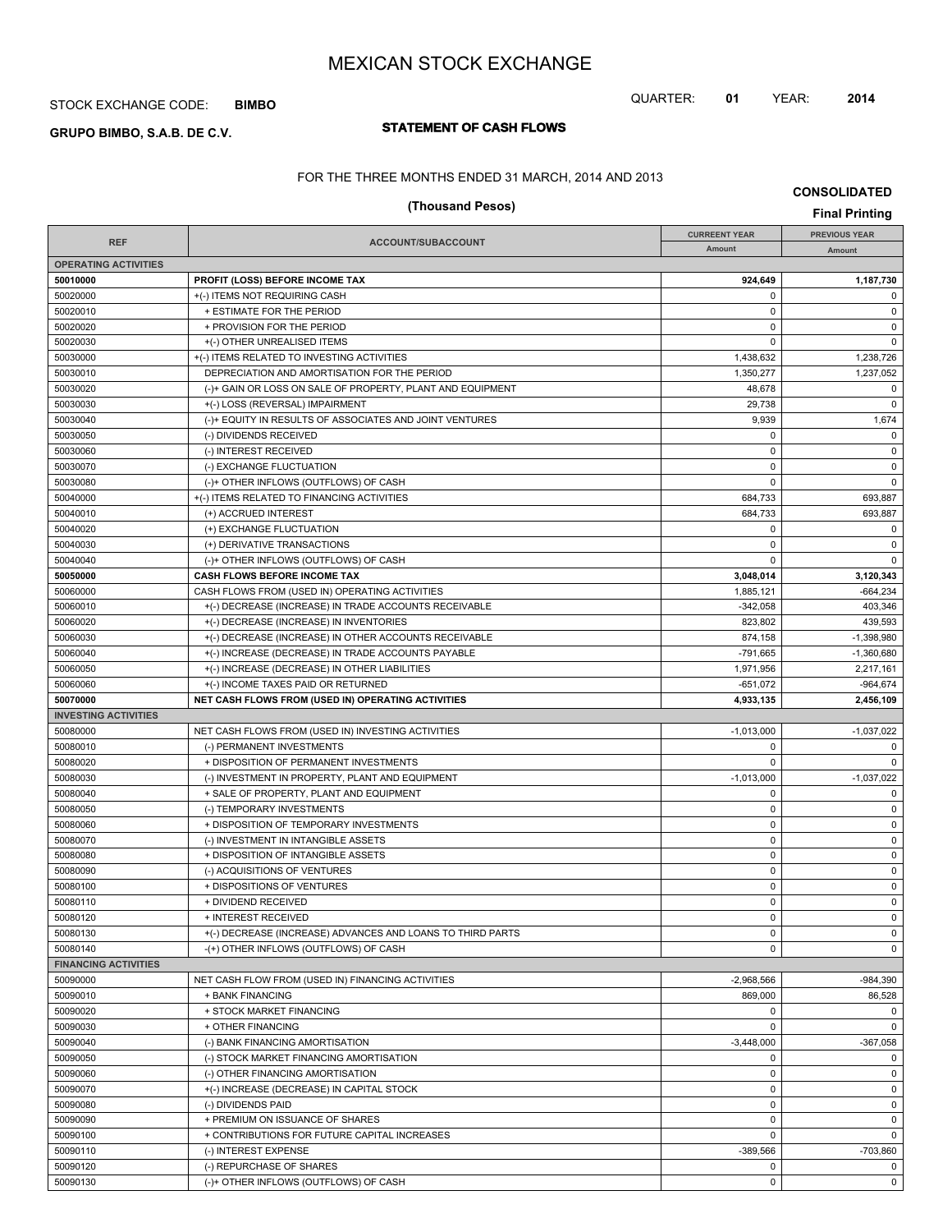#### STOCK EXCHANGE CODE: **BIMBO**

# **STATEMENT OF CASH FLOWS GRUPO BIMBO, S.A.B. DE C.V.**

# QUARTER: **01** YEAR: **2014**

FOR THE THREE MONTHS ENDED 31 MARCH, 2014 AND 2013

|                             | <b>Final Printing</b>                                      |                      |                      |
|-----------------------------|------------------------------------------------------------|----------------------|----------------------|
|                             |                                                            | <b>CURREENT YEAR</b> | <b>PREVIOUS YEAR</b> |
| <b>REF</b>                  | ACCOUNT/SUBACCOUNT                                         | Amount               | Amount               |
| <b>OPERATING ACTIVITIES</b> |                                                            |                      |                      |
| 50010000                    | PROFIT (LOSS) BEFORE INCOME TAX                            | 924,649              | 1,187,730            |
| 50020000                    | +(-) ITEMS NOT REQUIRING CASH                              | 0                    | 0                    |
| 50020010                    | + ESTIMATE FOR THE PERIOD                                  | $\mathbf 0$          | $\mathbf 0$          |
| 50020020                    | + PROVISION FOR THE PERIOD                                 | $\mathbf 0$          | $\mathsf 0$          |
| 50020030                    | +(-) OTHER UNREALISED ITEMS                                | 0                    | $\mathbf 0$          |
| 50030000                    | +(-) ITEMS RELATED TO INVESTING ACTIVITIES                 | 1,438,632            | 1,238,726            |
| 50030010                    | DEPRECIATION AND AMORTISATION FOR THE PERIOD               | 1,350,277            | 1,237,052            |
| 50030020                    | (-)+ GAIN OR LOSS ON SALE OF PROPERTY, PLANT AND EQUIPMENT | 48,678               | 0                    |
| 50030030                    | +(-) LOSS (REVERSAL) IMPAIRMENT                            | 29,738               | $\mathbf 0$          |
| 50030040                    | (-)+ EQUITY IN RESULTS OF ASSOCIATES AND JOINT VENTURES    | 9,939                | 1,674                |
| 50030050                    | (-) DIVIDENDS RECEIVED                                     | 0                    | 0                    |
| 50030060                    | (-) INTEREST RECEIVED                                      | $\mathbf 0$          | $\mathbf 0$          |
| 50030070                    | (-) EXCHANGE FLUCTUATION                                   | $\mathbf 0$          | $\mathsf 0$          |
| 50030080                    | (-)+ OTHER INFLOWS (OUTFLOWS) OF CASH                      | 0                    | $\mathbf 0$          |
| 50040000                    | +(-) ITEMS RELATED TO FINANCING ACTIVITIES                 | 684,733              | 693,887              |
| 50040010                    | (+) ACCRUED INTEREST                                       | 684,733              | 693,887              |
| 50040020                    | (+) EXCHANGE FLUCTUATION                                   | 0                    | 0                    |
| 50040030                    | (+) DERIVATIVE TRANSACTIONS                                | $\mathbf 0$          | $\mathbf 0$          |
| 50040040                    | (-)+ OTHER INFLOWS (OUTFLOWS) OF CASH                      | 0                    | $\mathbf 0$          |
| 50050000                    | <b>CASH FLOWS BEFORE INCOME TAX</b>                        | 3,048,014            | 3,120,343            |
| 50060000                    | CASH FLOWS FROM (USED IN) OPERATING ACTIVITIES             | 1,885,121            | $-664,234$           |
| 50060010                    | +(-) DECREASE (INCREASE) IN TRADE ACCOUNTS RECEIVABLE      | $-342,058$           | 403,346              |
| 50060020                    | +(-) DECREASE (INCREASE) IN INVENTORIES                    | 823,802              | 439,593              |
| 50060030                    | +(-) DECREASE (INCREASE) IN OTHER ACCOUNTS RECEIVABLE      | 874,158              | $-1,398,980$         |
| 50060040                    | +(-) INCREASE (DECREASE) IN TRADE ACCOUNTS PAYABLE         | -791,665             | $-1,360,680$         |
| 50060050                    | +(-) INCREASE (DECREASE) IN OTHER LIABILITIES              | 1,971,956            | 2,217,161            |
| 50060060                    | +(-) INCOME TAXES PAID OR RETURNED                         | $-651,072$           | $-964,674$           |
| 50070000                    | NET CASH FLOWS FROM (USED IN) OPERATING ACTIVITIES         | 4,933,135            | 2,456,109            |
| <b>INVESTING ACTIVITIES</b> |                                                            |                      |                      |
| 50080000                    | NET CASH FLOWS FROM (USED IN) INVESTING ACTIVITIES         | $-1,013,000$         | $-1,037,022$         |
| 50080010                    | (-) PERMANENT INVESTMENTS                                  | 0                    | 0                    |
| 50080020                    | + DISPOSITION OF PERMANENT INVESTMENTS                     | 0                    | $\mathbf 0$          |
| 50080030                    | (-) INVESTMENT IN PROPERTY, PLANT AND EQUIPMENT            | $-1,013,000$         | $-1,037,022$         |
| 50080040                    | + SALE OF PROPERTY, PLANT AND EQUIPMENT                    | 0                    | 0                    |
| 50080050                    | (-) TEMPORARY INVESTMENTS                                  | $\mathbf 0$          | $\mathbf 0$          |
| 50080060                    | + DISPOSITION OF TEMPORARY INVESTMENTS                     | $\mathbf 0$          | $\mathbf 0$          |
| 50080070                    | (-) INVESTMENT IN INTANGIBLE ASSETS                        | $\mathbf 0$          | $\mathsf 0$          |
| 50080080                    | + DISPOSITION OF INTANGIBLE ASSETS                         | 0                    | 0                    |
| 50080090                    | (-) ACQUISITIONS OF VENTURES                               | $\mathbf 0$          | $\mathbf 0$          |
| 50080100                    | + DISPOSITIONS OF VENTURES                                 | 0                    | $\mathbf 0$          |
| 50080110                    | + DIVIDEND RECEIVED                                        | 0                    | 0                    |
| 50080120                    | + INTEREST RECEIVED                                        | $\mathbf 0$          | $\mathsf 0$          |
| 50080130                    | +(-) DECREASE (INCREASE) ADVANCES AND LOANS TO THIRD PARTS | 0                    | $\mathbf 0$          |
| 50080140                    | -(+) OTHER INFLOWS (OUTFLOWS) OF CASH                      | 0                    | $\mathbf{0}$         |
| <b>FINANCING ACTIVITIES</b> |                                                            |                      |                      |
| 50090000                    | NET CASH FLOW FROM (USED IN) FINANCING ACTIVITIES          | $-2,968,566$         | $-984,390$           |
| 50090010                    | + BANK FINANCING                                           | 869.000              | 86,528               |
| 50090020                    | + STOCK MARKET FINANCING                                   | 0                    | 0                    |
| 50090030                    | + OTHER FINANCING                                          | 0                    | $\mathbf 0$          |
| 50090040                    | (-) BANK FINANCING AMORTISATION                            | $-3,448,000$         | $-367,058$           |
| 50090050                    | (-) STOCK MARKET FINANCING AMORTISATION                    | 0                    | 0                    |
| 50090060                    | (-) OTHER FINANCING AMORTISATION                           | 0                    | 0                    |
| 50090070                    | +(-) INCREASE (DECREASE) IN CAPITAL STOCK                  | 0                    | 0                    |
| 50090080                    | (-) DIVIDENDS PAID                                         | $\mathbf 0$          | 0                    |

50090090 + PREMIUM ON ISSUANCE OF SHARES 0 0 50090100 + CONTRIBUTIONS FOR FUTURE CAPITAL INCREASES 0 0 50090110 (-) INTEREST EXPENSE (-) INTEREST EXPENSE -389,566 -703,860 50090120 (-) REPURCHASE OF SHARES 0 0 50090130 (-)+ OTHER INFLOWS (OUTFLOWS) OF CASH 0 0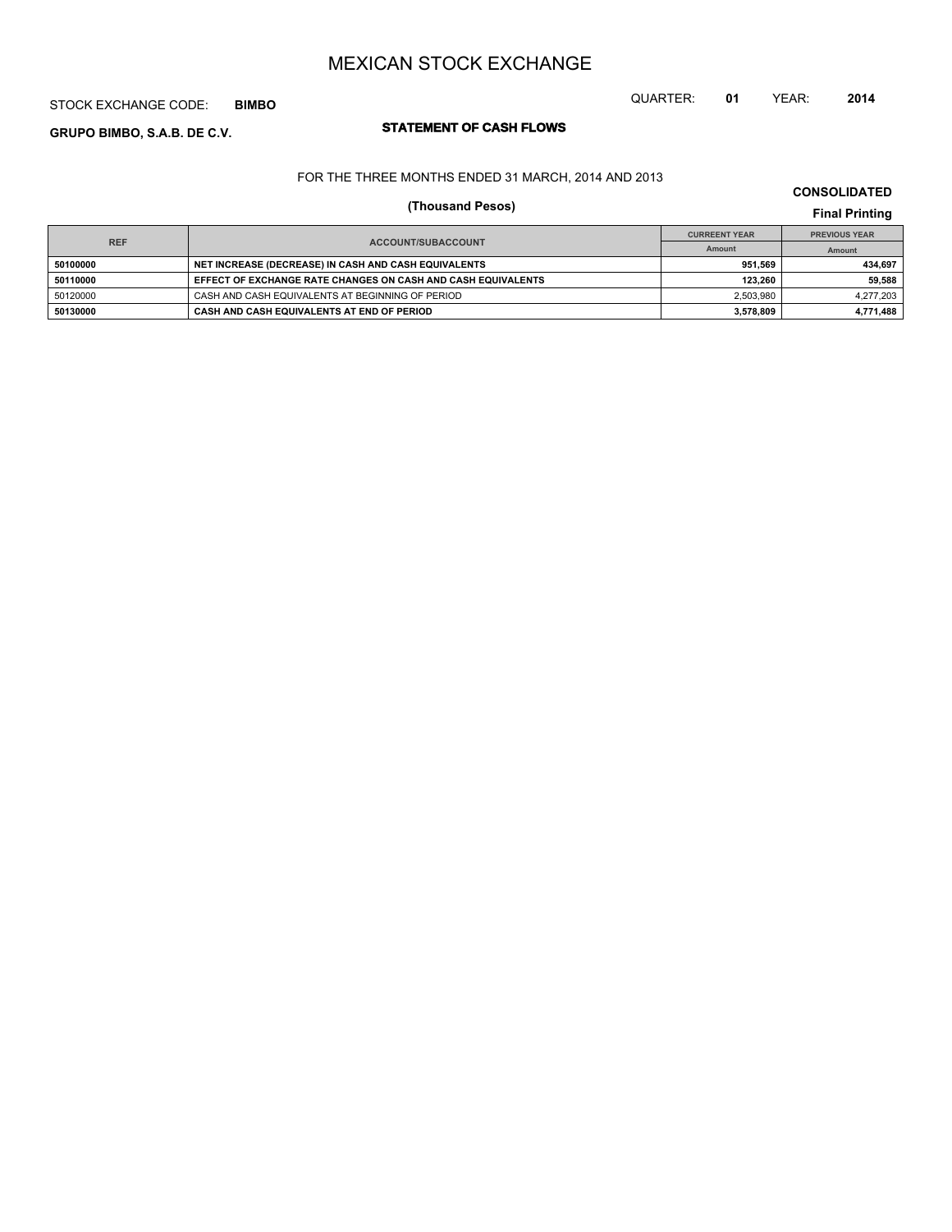## STOCK EXCHANGE CODE: **BIMBO**

# **STATEMENT OF CASH FLOWS GRUPO BIMBO, S.A.B. DE C.V.**

# QUARTER: **01** YEAR: **2014**

### FOR THE THREE MONTHS ENDED 31 MARCH, 2014 AND 2013

## **CONSOLIDATED**

# **(Thousand Pesos) Final Printing**

| <b>REF</b> |                                                              | <b>CURREENT YEAR</b> | <b>PREVIOUS YEAR</b> |  |
|------------|--------------------------------------------------------------|----------------------|----------------------|--|
|            | <b>ACCOUNT/SUBACCOUNT</b>                                    | Amount               | Amount               |  |
| 50100000   | NET INCREASE (DECREASE) IN CASH AND CASH EQUIVALENTS         | 951.569              | 434.697              |  |
| 50110000   | EFFECT OF EXCHANGE RATE CHANGES ON CASH AND CASH EQUIVALENTS | 123.260              | 59.588               |  |
| 50120000   | CASH AND CASH EQUIVALENTS AT BEGINNING OF PERIOD             | 2.503.980            | 4,277,203            |  |
| 50130000   | CASH AND CASH EQUIVALENTS AT END OF PERIOD                   | 3,578,809            | 4,771,488            |  |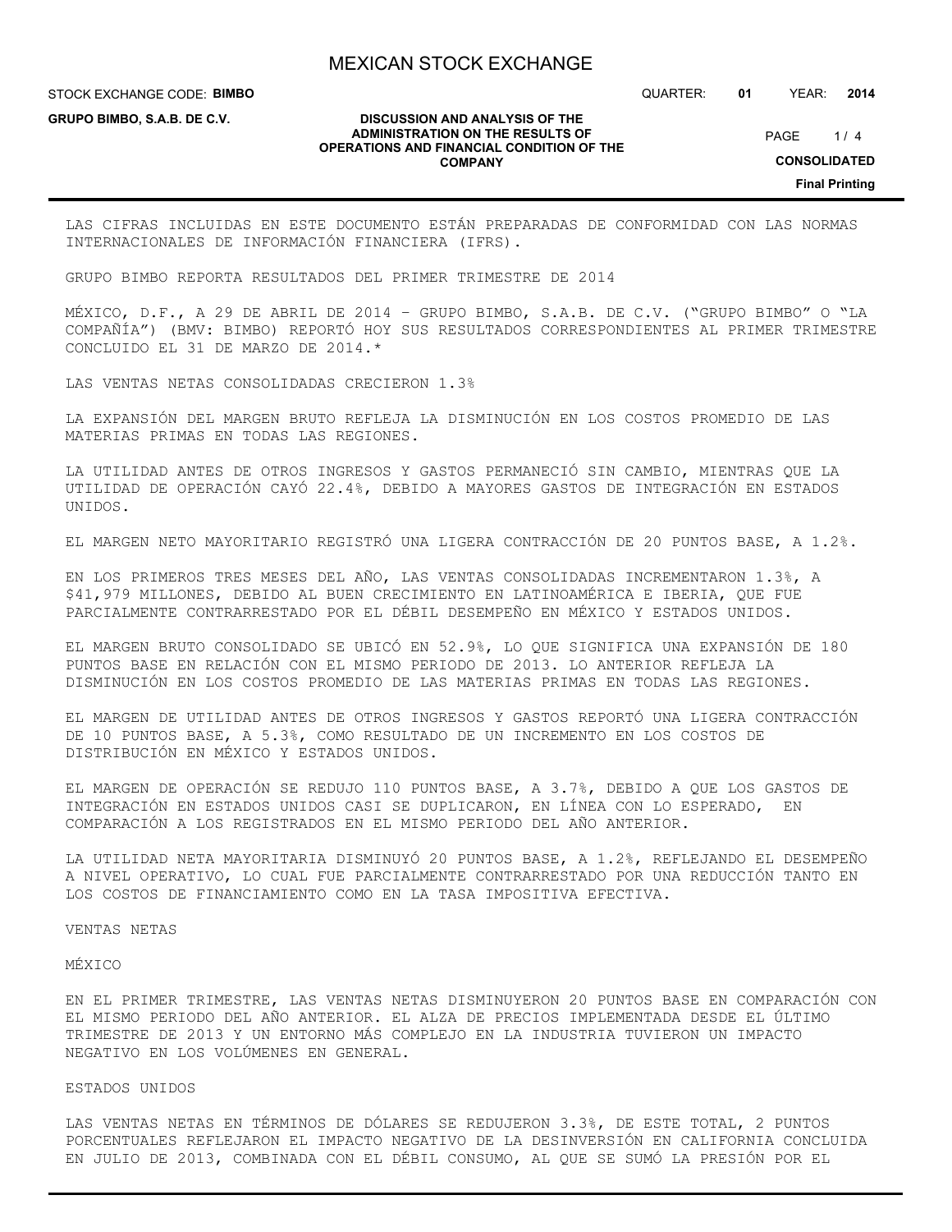STOCK EXCHANGE CODE: **BIMBO**

**GRUPO BIMBO, S.A.B. DE C.V.**

QUARTER: **01** YEAR: **2014**

 $1/4$ PAGE

#### **DISCUSSION AND ANALYSIS OF THE ADMINISTRATION ON THE RESULTS OF OPERATIONS AND FINANCIAL CONDITION OF THE COMPANY**

**CONSOLIDATED**

**Final Printing**

LAS CIFRAS INCLUIDAS EN ESTE DOCUMENTO ESTÁN PREPARADAS DE CONFORMIDAD CON LAS NORMAS INTERNACIONALES DE INFORMACIÓN FINANCIERA (IFRS).

GRUPO BIMBO REPORTA RESULTADOS DEL PRIMER TRIMESTRE DE 2014

MÉXICO, D.F., A 29 DE ABRIL DE 2014 – GRUPO BIMBO, S.A.B. DE C.V. ("GRUPO BIMBO" O "LA COMPAÑÍA") (BMV: BIMBO) REPORTÓ HOY SUS RESULTADOS CORRESPONDIENTES AL PRIMER TRIMESTRE CONCLUIDO EL 31 DE MARZO DE 2014.\*

LAS VENTAS NETAS CONSOLIDADAS CRECIERON 1.3%

LA EXPANSIÓN DEL MARGEN BRUTO REFLEJA LA DISMINUCIÓN EN LOS COSTOS PROMEDIO DE LAS MATERIAS PRIMAS EN TODAS LAS REGIONES.

LA UTILIDAD ANTES DE OTROS INGRESOS Y GASTOS PERMANECIÓ SIN CAMBIO, MIENTRAS QUE LA UTILIDAD DE OPERACIÓN CAYÓ 22.4%, DEBIDO A MAYORES GASTOS DE INTEGRACIÓN EN ESTADOS UNIDOS.

EL MARGEN NETO MAYORITARIO REGISTRÓ UNA LIGERA CONTRACCIÓN DE 20 PUNTOS BASE, A 1.2%.

EN LOS PRIMEROS TRES MESES DEL AÑO, LAS VENTAS CONSOLIDADAS INCREMENTARON 1.3%, A \$41,979 MILLONES, DEBIDO AL BUEN CRECIMIENTO EN LATINOAMÉRICA E IBERIA, QUE FUE PARCIALMENTE CONTRARRESTADO POR EL DÉBIL DESEMPEÑO EN MÉXICO Y ESTADOS UNIDOS.

EL MARGEN BRUTO CONSOLIDADO SE UBICÓ EN 52.9%, LO QUE SIGNIFICA UNA EXPANSIÓN DE 180 PUNTOS BASE EN RELACIÓN CON EL MISMO PERIODO DE 2013. LO ANTERIOR REFLEJA LA DISMINUCIÓN EN LOS COSTOS PROMEDIO DE LAS MATERIAS PRIMAS EN TODAS LAS REGIONES.

EL MARGEN DE UTILIDAD ANTES DE OTROS INGRESOS Y GASTOS REPORTÓ UNA LIGERA CONTRACCIÓN DE 10 PUNTOS BASE, A 5.3%, COMO RESULTADO DE UN INCREMENTO EN LOS COSTOS DE DISTRIBUCIÓN EN MÉXICO Y ESTADOS UNIDOS.

EL MARGEN DE OPERACIÓN SE REDUJO 110 PUNTOS BASE, A 3.7%, DEBIDO A QUE LOS GASTOS DE INTEGRACIÓN EN ESTADOS UNIDOS CASI SE DUPLICARON, EN LÍNEA CON LO ESPERADO, EN COMPARACIÓN A LOS REGISTRADOS EN EL MISMO PERIODO DEL AÑO ANTERIOR.

LA UTILIDAD NETA MAYORITARIA DISMINUYÓ 20 PUNTOS BASE, A 1.2%, REFLEJANDO EL DESEMPEÑO A NIVEL OPERATIVO, LO CUAL FUE PARCIALMENTE CONTRARRESTADO POR UNA REDUCCIÓN TANTO EN LOS COSTOS DE FINANCIAMIENTO COMO EN LA TASA IMPOSITIVA EFECTIVA.

VENTAS NETAS

MÉXICO

EN EL PRIMER TRIMESTRE, LAS VENTAS NETAS DISMINUYERON 20 PUNTOS BASE EN COMPARACIÓN CON EL MISMO PERIODO DEL AÑO ANTERIOR. EL ALZA DE PRECIOS IMPLEMENTADA DESDE EL ÚLTIMO TRIMESTRE DE 2013 Y UN ENTORNO MÁS COMPLEJO EN LA INDUSTRIA TUVIERON UN IMPACTO NEGATIVO EN LOS VOLÚMENES EN GENERAL.

ESTADOS UNIDOS

LAS VENTAS NETAS EN TÉRMINOS DE DÓLARES SE REDUJERON 3.3%, DE ESTE TOTAL, 2 PUNTOS PORCENTUALES REFLEJARON EL IMPACTO NEGATIVO DE LA DESINVERSIÓN EN CALIFORNIA CONCLUIDA EN JULIO DE 2013, COMBINADA CON EL DÉBIL CONSUMO, AL QUE SE SUMÓ LA PRESIÓN POR EL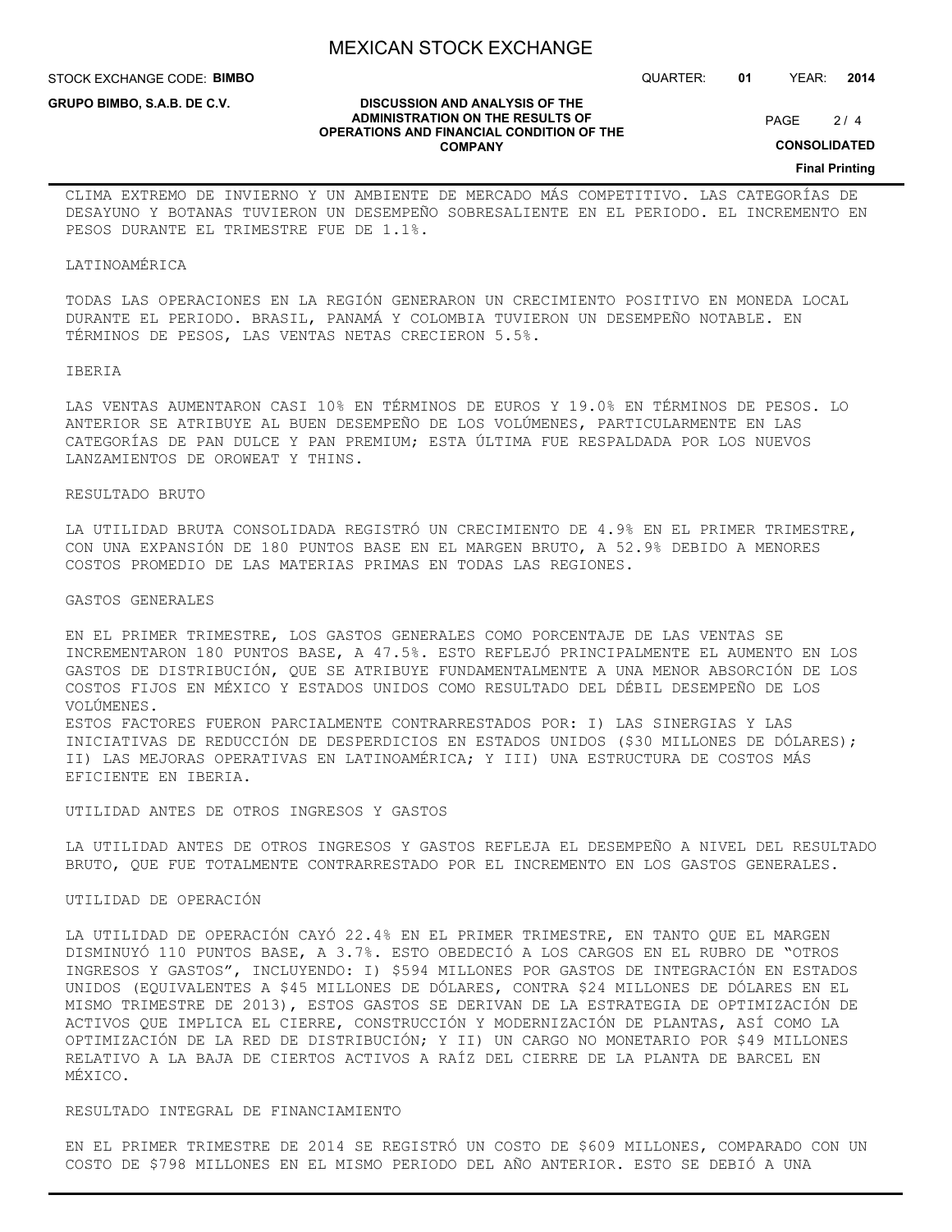STOCK EXCHANGE CODE: **BIMBO**

**GRUPO BIMBO, S.A.B. DE C.V.**

QUARTER: **01** YEAR: **2014**

#### **DISCUSSION AND ANALYSIS OF THE ADMINISTRATION ON THE RESULTS OF OPERATIONS AND FINANCIAL CONDITION OF THE COMPANY**

 $2/4$ PAGE

**CONSOLIDATED**

**Final Printing**

CLIMA EXTREMO DE INVIERNO Y UN AMBIENTE DE MERCADO MÁS COMPETITIVO. LAS CATEGORÍAS DE DESAYUNO Y BOTANAS TUVIERON UN DESEMPEÑO SOBRESALIENTE EN EL PERIODO. EL INCREMENTO EN PESOS DURANTE EL TRIMESTRE FUE DE 1.1%.

#### LATINOAMÉRICA

TODAS LAS OPERACIONES EN LA REGIÓN GENERARON UN CRECIMIENTO POSITIVO EN MONEDA LOCAL DURANTE EL PERIODO. BRASIL, PANAMÁ Y COLOMBIA TUVIERON UN DESEMPEÑO NOTABLE. EN TÉRMINOS DE PESOS, LAS VENTAS NETAS CRECIERON 5.5%.

#### IBERIA

LAS VENTAS AUMENTARON CASI 10% EN TÉRMINOS DE EUROS Y 19.0% EN TÉRMINOS DE PESOS. LO ANTERIOR SE ATRIBUYE AL BUEN DESEMPEÑO DE LOS VOLÚMENES, PARTICULARMENTE EN LAS CATEGORÍAS DE PAN DULCE Y PAN PREMIUM; ESTA ÚLTIMA FUE RESPALDADA POR LOS NUEVOS LANZAMIENTOS DE OROWEAT Y THINS.

#### RESULTADO BRUTO

LA UTILIDAD BRUTA CONSOLIDADA REGISTRÓ UN CRECIMIENTO DE 4.9% EN EL PRIMER TRIMESTRE, CON UNA EXPANSIÓN DE 180 PUNTOS BASE EN EL MARGEN BRUTO, A 52.9% DEBIDO A MENORES COSTOS PROMEDIO DE LAS MATERIAS PRIMAS EN TODAS LAS REGIONES.

### GASTOS GENERALES

EN EL PRIMER TRIMESTRE, LOS GASTOS GENERALES COMO PORCENTAJE DE LAS VENTAS SE INCREMENTARON 180 PUNTOS BASE, A 47.5%. ESTO REFLEJÓ PRINCIPALMENTE EL AUMENTO EN LOS GASTOS DE DISTRIBUCIÓN, QUE SE ATRIBUYE FUNDAMENTALMENTE A UNA MENOR ABSORCIÓN DE LOS COSTOS FIJOS EN MÉXICO Y ESTADOS UNIDOS COMO RESULTADO DEL DÉBIL DESEMPEÑO DE LOS VOLÚMENES.

ESTOS FACTORES FUERON PARCIALMENTE CONTRARRESTADOS POR: I) LAS SINERGIAS Y LAS INICIATIVAS DE REDUCCIÓN DE DESPERDICIOS EN ESTADOS UNIDOS (\$30 MILLONES DE DÓLARES); II) LAS MEJORAS OPERATIVAS EN LATINOAMÉRICA; Y III) UNA ESTRUCTURA DE COSTOS MÁS EFICIENTE EN IBERIA.

UTILIDAD ANTES DE OTROS INGRESOS Y GASTOS

LA UTILIDAD ANTES DE OTROS INGRESOS Y GASTOS REFLEJA EL DESEMPEÑO A NIVEL DEL RESULTADO BRUTO, QUE FUE TOTALMENTE CONTRARRESTADO POR EL INCREMENTO EN LOS GASTOS GENERALES.

#### UTILIDAD DE OPERACIÓN

LA UTILIDAD DE OPERACIÓN CAYÓ 22.4% EN EL PRIMER TRIMESTRE, EN TANTO QUE EL MARGEN DISMINUYÓ 110 PUNTOS BASE, A 3.7%. ESTO OBEDECIÓ A LOS CARGOS EN EL RUBRO DE "OTROS INGRESOS Y GASTOS", INCLUYENDO: I) \$594 MILLONES POR GASTOS DE INTEGRACIÓN EN ESTADOS UNIDOS (EQUIVALENTES A \$45 MILLONES DE DÓLARES, CONTRA \$24 MILLONES DE DÓLARES EN EL MISMO TRIMESTRE DE 2013), ESTOS GASTOS SE DERIVAN DE LA ESTRATEGIA DE OPTIMIZACIÓN DE ACTIVOS QUE IMPLICA EL CIERRE, CONSTRUCCIÓN Y MODERNIZACIÓN DE PLANTAS, ASÍ COMO LA OPTIMIZACIÓN DE LA RED DE DISTRIBUCIÓN; Y II) UN CARGO NO MONETARIO POR \$49 MILLONES RELATIVO A LA BAJA DE CIERTOS ACTIVOS A RAÍZ DEL CIERRE DE LA PLANTA DE BARCEL EN MÉXICO.

#### RESULTADO INTEGRAL DE FINANCIAMIENTO

EN EL PRIMER TRIMESTRE DE 2014 SE REGISTRÓ UN COSTO DE \$609 MILLONES, COMPARADO CON UN COSTO DE \$798 MILLONES EN EL MISMO PERIODO DEL AÑO ANTERIOR. ESTO SE DEBIÓ A UNA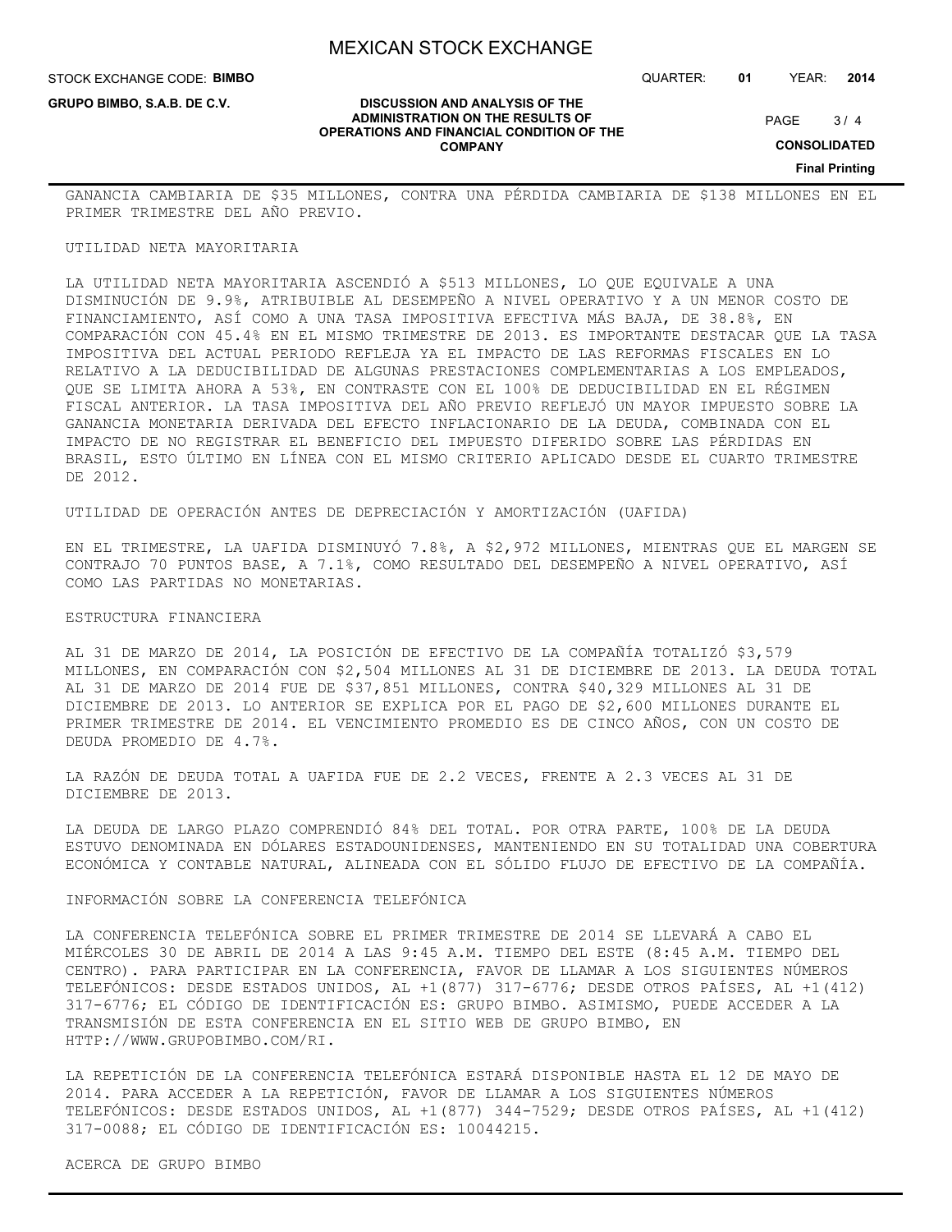STOCK EXCHANGE CODE: **BIMBO**

**GRUPO BIMBO, S.A.B. DE C.V.**

QUARTER: **01** YEAR: **2014**

 $3/4$ PAGE

**CONSOLIDATED**

**Final Printing**

GANANCIA CAMBIARIA DE \$35 MILLONES, CONTRA UNA PÉRDIDA CAMBIARIA DE \$138 MILLONES EN EL PRIMER TRIMESTRE DEL AÑO PREVIO.

**DISCUSSION AND ANALYSIS OF THE ADMINISTRATION ON THE RESULTS OF OPERATIONS AND FINANCIAL CONDITION OF THE COMPANY**

#### UTILIDAD NETA MAYORITARIA

LA UTILIDAD NETA MAYORITARIA ASCENDIÓ A \$513 MILLONES, LO QUE EQUIVALE A UNA DISMINUCIÓN DE 9.9%, ATRIBUIBLE AL DESEMPEÑO A NIVEL OPERATIVO Y A UN MENOR COSTO DE FINANCIAMIENTO, ASÍ COMO A UNA TASA IMPOSITIVA EFECTIVA MÁS BAJA, DE 38.8%, EN COMPARACIÓN CON 45.4% EN EL MISMO TRIMESTRE DE 2013. ES IMPORTANTE DESTACAR QUE LA TASA IMPOSITIVA DEL ACTUAL PERIODO REFLEJA YA EL IMPACTO DE LAS REFORMAS FISCALES EN LO RELATIVO A LA DEDUCIBILIDAD DE ALGUNAS PRESTACIONES COMPLEMENTARIAS A LOS EMPLEADOS, QUE SE LIMITA AHORA A 53%, EN CONTRASTE CON EL 100% DE DEDUCIBILIDAD EN EL RÉGIMEN FISCAL ANTERIOR. LA TASA IMPOSITIVA DEL AÑO PREVIO REFLEJÓ UN MAYOR IMPUESTO SOBRE LA GANANCIA MONETARIA DERIVADA DEL EFECTO INFLACIONARIO DE LA DEUDA, COMBINADA CON EL IMPACTO DE NO REGISTRAR EL BENEFICIO DEL IMPUESTO DIFERIDO SOBRE LAS PÉRDIDAS EN BRASIL, ESTO ÚLTIMO EN LÍNEA CON EL MISMO CRITERIO APLICADO DESDE EL CUARTO TRIMESTRE DE 2012.

UTILIDAD DE OPERACIÓN ANTES DE DEPRECIACIÓN Y AMORTIZACIÓN (UAFIDA)

EN EL TRIMESTRE, LA UAFIDA DISMINUYÓ 7.8%, A \$2,972 MILLONES, MIENTRAS QUE EL MARGEN SE CONTRAJO 70 PUNTOS BASE, A 7.1%, COMO RESULTADO DEL DESEMPEÑO A NIVEL OPERATIVO, ASÍ COMO LAS PARTIDAS NO MONETARIAS.

#### ESTRUCTURA FINANCIERA

AL 31 DE MARZO DE 2014, LA POSICIÓN DE EFECTIVO DE LA COMPAÑÍA TOTALIZÓ \$3,579 MILLONES, EN COMPARACIÓN CON \$2,504 MILLONES AL 31 DE DICIEMBRE DE 2013. LA DEUDA TOTAL AL 31 DE MARZO DE 2014 FUE DE \$37,851 MILLONES, CONTRA \$40,329 MILLONES AL 31 DE DICIEMBRE DE 2013. LO ANTERIOR SE EXPLICA POR EL PAGO DE \$2,600 MILLONES DURANTE EL PRIMER TRIMESTRE DE 2014. EL VENCIMIENTO PROMEDIO ES DE CINCO AÑOS, CON UN COSTO DE DEUDA PROMEDIO DE 4.7%.

LA RAZÓN DE DEUDA TOTAL A UAFIDA FUE DE 2.2 VECES, FRENTE A 2.3 VECES AL 31 DE DICIEMBRE DE 2013.

LA DEUDA DE LARGO PLAZO COMPRENDIÓ 84% DEL TOTAL. POR OTRA PARTE, 100% DE LA DEUDA ESTUVO DENOMINADA EN DÓLARES ESTADOUNIDENSES, MANTENIENDO EN SU TOTALIDAD UNA COBERTURA ECONÓMICA Y CONTABLE NATURAL, ALINEADA CON EL SÓLIDO FLUJO DE EFECTIVO DE LA COMPAÑÍA.

INFORMACIÓN SOBRE LA CONFERENCIA TELEFÓNICA

LA CONFERENCIA TELEFÓNICA SOBRE EL PRIMER TRIMESTRE DE 2014 SE LLEVARÁ A CABO EL MIÉRCOLES 30 DE ABRIL DE 2014 A LAS 9:45 A.M. TIEMPO DEL ESTE (8:45 A.M. TIEMPO DEL CENTRO). PARA PARTICIPAR EN LA CONFERENCIA, FAVOR DE LLAMAR A LOS SIGUIENTES NÚMEROS TELEFÓNICOS: DESDE ESTADOS UNIDOS, AL +1(877) 317-6776; DESDE OTROS PAÍSES, AL +1(412) 317-6776; EL CÓDIGO DE IDENTIFICACIÓN ES: GRUPO BIMBO. ASIMISMO, PUEDE ACCEDER A LA TRANSMISIÓN DE ESTA CONFERENCIA EN EL SITIO WEB DE GRUPO BIMBO, EN HTTP://WWW.GRUPOBIMBO.COM/RI.

LA REPETICIÓN DE LA CONFERENCIA TELEFÓNICA ESTARÁ DISPONIBLE HASTA EL 12 DE MAYO DE 2014. PARA ACCEDER A LA REPETICIÓN, FAVOR DE LLAMAR A LOS SIGUIENTES NÚMEROS TELEFÓNICOS: DESDE ESTADOS UNIDOS, AL +1(877) 344-7529; DESDE OTROS PAÍSES, AL +1(412) 317-0088; EL CÓDIGO DE IDENTIFICACIÓN ES: 10044215.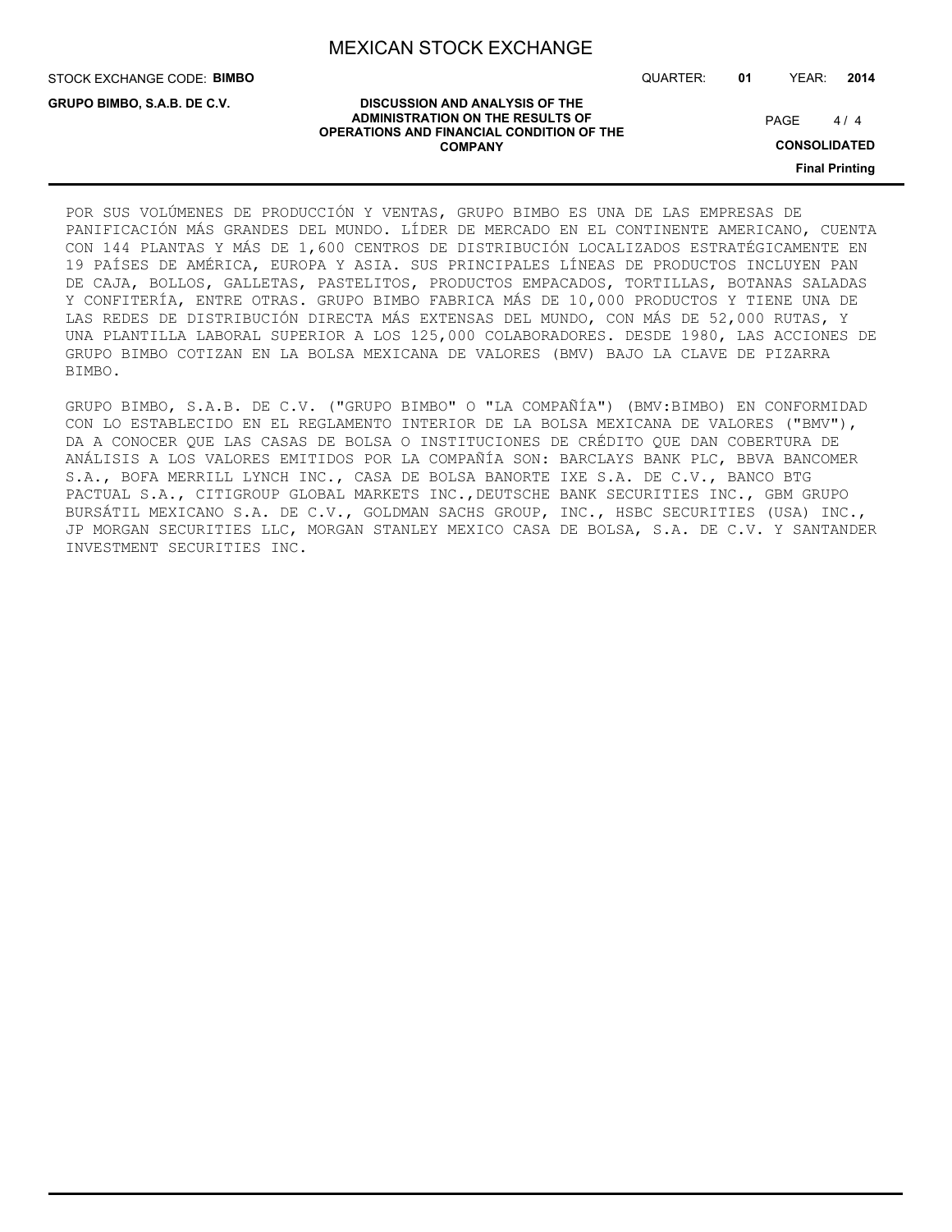STOCK EXCHANGE CODE: **BIMBO**

**GRUPO BIMBO, S.A.B. DE C.V.**

QUARTER: **01** YEAR: **2014**

#### **DISCUSSION AND ANALYSIS OF THE ADMINISTRATION ON THE RESULTS OF OPERATIONS AND FINANCIAL CONDITION OF THE COMPANY**

 $4/4$ PAGE

**CONSOLIDATED**

**Final Printing**

POR SUS VOLÚMENES DE PRODUCCIÓN Y VENTAS, GRUPO BIMBO ES UNA DE LAS EMPRESAS DE PANIFICACIÓN MÁS GRANDES DEL MUNDO. LÍDER DE MERCADO EN EL CONTINENTE AMERICANO, CUENTA CON 144 PLANTAS Y MÁS DE 1,600 CENTROS DE DISTRIBUCIÓN LOCALIZADOS ESTRATÉGICAMENTE EN 19 PAÍSES DE AMÉRICA, EUROPA Y ASIA. SUS PRINCIPALES LÍNEAS DE PRODUCTOS INCLUYEN PAN DE CAJA, BOLLOS, GALLETAS, PASTELITOS, PRODUCTOS EMPACADOS, TORTILLAS, BOTANAS SALADAS Y CONFITERÍA, ENTRE OTRAS. GRUPO BIMBO FABRICA MÁS DE 10,000 PRODUCTOS Y TIENE UNA DE LAS REDES DE DISTRIBUCIÓN DIRECTA MÁS EXTENSAS DEL MUNDO, CON MÁS DE 52,000 RUTAS, Y UNA PLANTILLA LABORAL SUPERIOR A LOS 125,000 COLABORADORES. DESDE 1980, LAS ACCIONES DE GRUPO BIMBO COTIZAN EN LA BOLSA MEXICANA DE VALORES (BMV) BAJO LA CLAVE DE PIZARRA BIMBO.

GRUPO BIMBO, S.A.B. DE C.V. ("GRUPO BIMBO" O "LA COMPAÑÍA") (BMV:BIMBO) EN CONFORMIDAD CON LO ESTABLECIDO EN EL REGLAMENTO INTERIOR DE LA BOLSA MEXICANA DE VALORES ("BMV"), DA A CONOCER QUE LAS CASAS DE BOLSA O INSTITUCIONES DE CRÉDITO QUE DAN COBERTURA DE ANÁLISIS A LOS VALORES EMITIDOS POR LA COMPAÑÍA SON: BARCLAYS BANK PLC, BBVA BANCOMER S.A., BOFA MERRILL LYNCH INC., CASA DE BOLSA BANORTE IXE S.A. DE C.V., BANCO BTG PACTUAL S.A., CITIGROUP GLOBAL MARKETS INC., DEUTSCHE BANK SECURITIES INC., GBM GRUPO BURSÁTIL MEXICANO S.A. DE C.V., GOLDMAN SACHS GROUP, INC., HSBC SECURITIES (USA) INC., JP MORGAN SECURITIES LLC, MORGAN STANLEY MEXICO CASA DE BOLSA, S.A. DE C.V. Y SANTANDER INVESTMENT SECURITIES INC.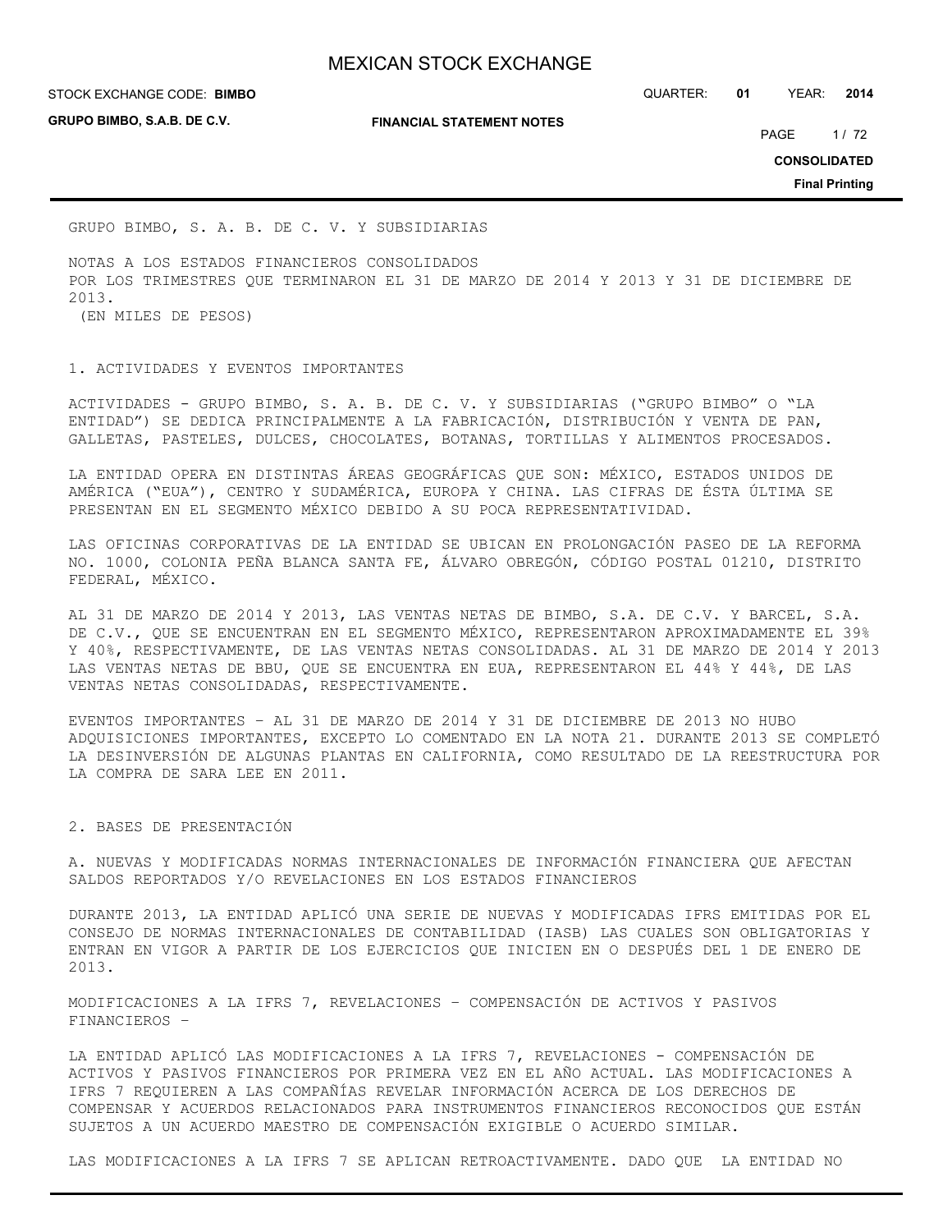**GRUPO BIMBO, S.A.B. DE C.V.**

**FINANCIAL STATEMENT NOTES**

STOCK EXCHANGE CODE: QUARTER: **01** YEAR: **2014 BIMBO**

PAGE 1/72

**CONSOLIDATED**

**Final Printing**

GRUPO BIMBO, S. A. B. DE C. V. Y SUBSIDIARIAS

NOTAS A LOS ESTADOS FINANCIEROS CONSOLIDADOS POR LOS TRIMESTRES QUE TERMINARON EL 31 DE MARZO DE 2014 Y 2013 Y 31 DE DICIEMBRE DE 2013. (EN MILES DE PESOS)

#### 1. ACTIVIDADES Y EVENTOS IMPORTANTES

ACTIVIDADES - GRUPO BIMBO, S. A. B. DE C. V. Y SUBSIDIARIAS ("GRUPO BIMBO" O "LA ENTIDAD") SE DEDICA PRINCIPALMENTE A LA FABRICACIÓN, DISTRIBUCIÓN Y VENTA DE PAN, GALLETAS, PASTELES, DULCES, CHOCOLATES, BOTANAS, TORTILLAS Y ALIMENTOS PROCESADOS.

LA ENTIDAD OPERA EN DISTINTAS ÁREAS GEOGRÁFICAS QUE SON: MÉXICO, ESTADOS UNIDOS DE AMÉRICA ("EUA"), CENTRO Y SUDAMÉRICA, EUROPA Y CHINA. LAS CIFRAS DE ÉSTA ÚLTIMA SE PRESENTAN EN EL SEGMENTO MÉXICO DEBIDO A SU POCA REPRESENTATIVIDAD.

LAS OFICINAS CORPORATIVAS DE LA ENTIDAD SE UBICAN EN PROLONGACIÓN PASEO DE LA REFORMA NO. 1000, COLONIA PEÑA BLANCA SANTA FE, ÁLVARO OBREGÓN, CÓDIGO POSTAL 01210, DISTRITO FEDERAL, MÉXICO.

AL 31 DE MARZO DE 2014 Y 2013, LAS VENTAS NETAS DE BIMBO, S.A. DE C.V. Y BARCEL, S.A. DE C.V., QUE SE ENCUENTRAN EN EL SEGMENTO MÉXICO, REPRESENTARON APROXIMADAMENTE EL 39% Y 40%, RESPECTIVAMENTE, DE LAS VENTAS NETAS CONSOLIDADAS. AL 31 DE MARZO DE 2014 Y 2013 LAS VENTAS NETAS DE BBU, QUE SE ENCUENTRA EN EUA, REPRESENTARON EL 44% Y 44%, DE LAS VENTAS NETAS CONSOLIDADAS, RESPECTIVAMENTE.

EVENTOS IMPORTANTES – AL 31 DE MARZO DE 2014 Y 31 DE DICIEMBRE DE 2013 NO HUBO ADQUISICIONES IMPORTANTES, EXCEPTO LO COMENTADO EN LA NOTA 21. DURANTE 2013 SE COMPLETÓ LA DESINVERSIÓN DE ALGUNAS PLANTAS EN CALIFORNIA, COMO RESULTADO DE LA REESTRUCTURA POR LA COMPRA DE SARA LEE EN 2011.

### 2. BASES DE PRESENTACIÓN

A. NUEVAS Y MODIFICADAS NORMAS INTERNACIONALES DE INFORMACIÓN FINANCIERA QUE AFECTAN SALDOS REPORTADOS Y/O REVELACIONES EN LOS ESTADOS FINANCIEROS

DURANTE 2013, LA ENTIDAD APLICÓ UNA SERIE DE NUEVAS Y MODIFICADAS IFRS EMITIDAS POR EL CONSEJO DE NORMAS INTERNACIONALES DE CONTABILIDAD (IASB) LAS CUALES SON OBLIGATORIAS Y ENTRAN EN VIGOR A PARTIR DE LOS EJERCICIOS QUE INICIEN EN O DESPUÉS DEL 1 DE ENERO DE 2013.

MODIFICACIONES A LA IFRS 7, REVELACIONES – COMPENSACIÓN DE ACTIVOS Y PASIVOS FINANCIEROS –

LA ENTIDAD APLICÓ LAS MODIFICACIONES A LA IFRS 7, REVELACIONES - COMPENSACIÓN DE ACTIVOS Y PASIVOS FINANCIEROS POR PRIMERA VEZ EN EL AÑO ACTUAL. LAS MODIFICACIONES A IFRS 7 REQUIEREN A LAS COMPAÑÍAS REVELAR INFORMACIÓN ACERCA DE LOS DERECHOS DE COMPENSAR Y ACUERDOS RELACIONADOS PARA INSTRUMENTOS FINANCIEROS RECONOCIDOS QUE ESTÁN SUJETOS A UN ACUERDO MAESTRO DE COMPENSACIÓN EXIGIBLE O ACUERDO SIMILAR.

LAS MODIFICACIONES A LA IFRS 7 SE APLICAN RETROACTIVAMENTE. DADO QUE LA ENTIDAD NO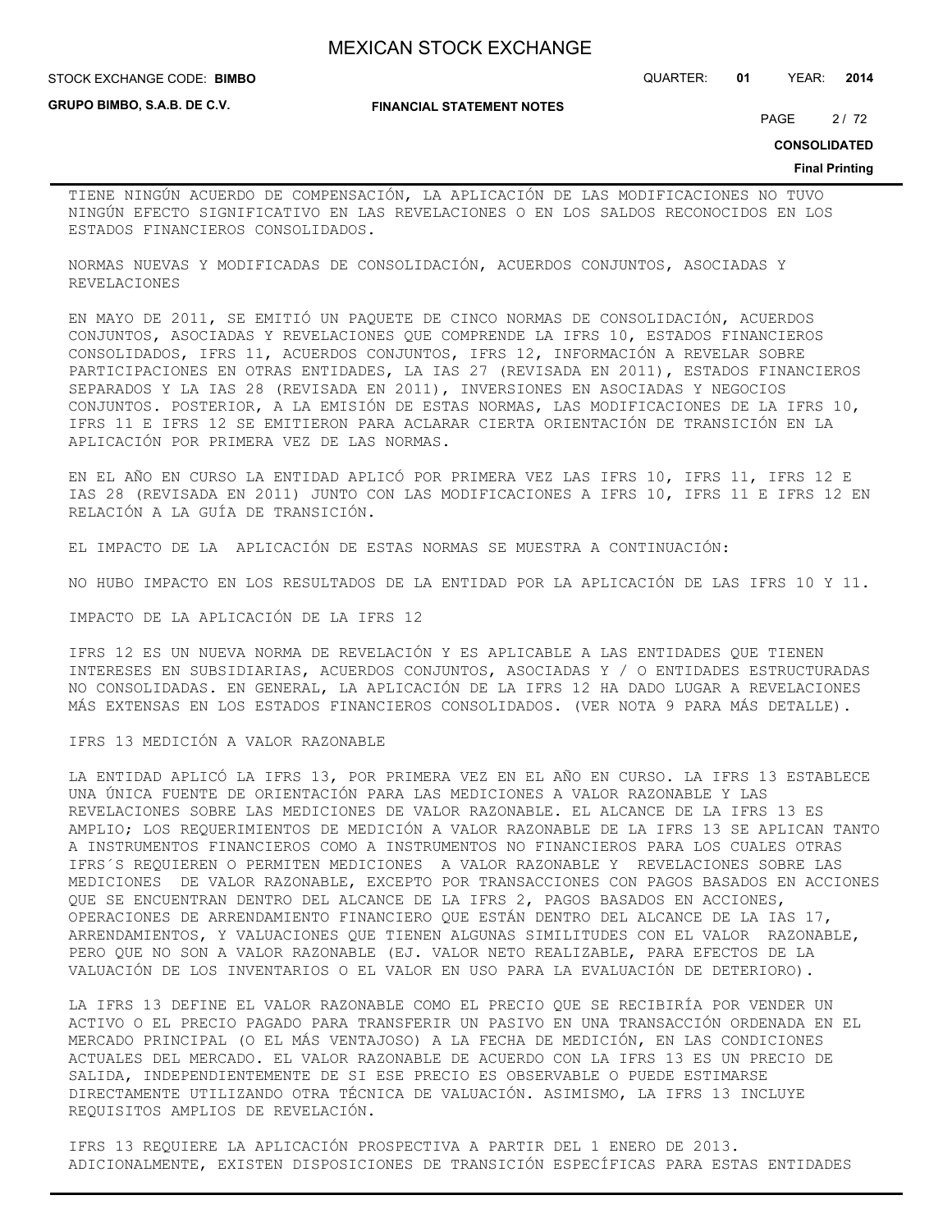**GRUPO BIMBO, S.A.B. DE C.V.**

#### **FINANCIAL STATEMENT NOTES**

STOCK EXCHANGE CODE: QUARTER: **01** YEAR: **2014 BIMBO**

PAGE 2/72

**CONSOLIDATED**

#### **Final Printing**

TIENE NINGÚN ACUERDO DE COMPENSACIÓN, LA APLICACIÓN DE LAS MODIFICACIONES NO TUVO NINGÚN EFECTO SIGNIFICATIVO EN LAS REVELACIONES O EN LOS SALDOS RECONOCIDOS EN LOS ESTADOS FINANCIEROS CONSOLIDADOS.

NORMAS NUEVAS Y MODIFICADAS DE CONSOLIDACIÓN, ACUERDOS CONJUNTOS, ASOCIADAS Y REVELACIONES

EN MAYO DE 2011, SE EMITIÓ UN PAQUETE DE CINCO NORMAS DE CONSOLIDACIÓN, ACUERDOS CONJUNTOS, ASOCIADAS Y REVELACIONES QUE COMPRENDE LA IFRS 10, ESTADOS FINANCIEROS CONSOLIDADOS, IFRS 11, ACUERDOS CONJUNTOS, IFRS 12, INFORMACIÓN A REVELAR SOBRE PARTICIPACIONES EN OTRAS ENTIDADES, LA IAS 27 (REVISADA EN 2011), ESTADOS FINANCIEROS SEPARADOS Y LA IAS 28 (REVISADA EN 2011), INVERSIONES EN ASOCIADAS Y NEGOCIOS CONJUNTOS. POSTERIOR, A LA EMISIÓN DE ESTAS NORMAS, LAS MODIFICACIONES DE LA IFRS 10, IFRS 11 E IFRS 12 SE EMITIERON PARA ACLARAR CIERTA ORIENTACIÓN DE TRANSICIÓN EN LA APLICACIÓN POR PRIMERA VEZ DE LAS NORMAS.

EN EL AÑO EN CURSO LA ENTIDAD APLICÓ POR PRIMERA VEZ LAS IFRS 10, IFRS 11, IFRS 12 E IAS 28 (REVISADA EN 2011) JUNTO CON LAS MODIFICACIONES A IFRS 10, IFRS 11 E IFRS 12 EN RELACIÓN A LA GUÍA DE TRANSICIÓN.

EL IMPACTO DE LA APLICACIÓN DE ESTAS NORMAS SE MUESTRA A CONTINUACIÓN:

NO HUBO IMPACTO EN LOS RESULTADOS DE LA ENTIDAD POR LA APLICACIÓN DE LAS IFRS 10 Y 11.

IMPACTO DE LA APLICACIÓN DE LA IFRS 12

IFRS 12 ES UN NUEVA NORMA DE REVELACIÓN Y ES APLICABLE A LAS ENTIDADES QUE TIENEN INTERESES EN SUBSIDIARIAS, ACUERDOS CONJUNTOS, ASOCIADAS Y / O ENTIDADES ESTRUCTURADAS NO CONSOLIDADAS. EN GENERAL, LA APLICACIÓN DE LA IFRS 12 HA DADO LUGAR A REVELACIONES MÁS EXTENSAS EN LOS ESTADOS FINANCIEROS CONSOLIDADOS. (VER NOTA 9 PARA MÁS DETALLE).

IFRS 13 MEDICIÓN A VALOR RAZONABLE

LA ENTIDAD APLICÓ LA IFRS 13, POR PRIMERA VEZ EN EL AÑO EN CURSO. LA IFRS 13 ESTABLECE UNA ÚNICA FUENTE DE ORIENTACIÓN PARA LAS MEDICIONES A VALOR RAZONABLE Y LAS REVELACIONES SOBRE LAS MEDICIONES DE VALOR RAZONABLE. EL ALCANCE DE LA IFRS 13 ES AMPLIO; LOS REQUERIMIENTOS DE MEDICIÓN A VALOR RAZONABLE DE LA IFRS 13 SE APLICAN TANTO A INSTRUMENTOS FINANCIEROS COMO A INSTRUMENTOS NO FINANCIEROS PARA LOS CUALES OTRAS IFRS´S REQUIEREN O PERMITEN MEDICIONES A VALOR RAZONABLE Y REVELACIONES SOBRE LAS MEDICIONES DE VALOR RAZONABLE, EXCEPTO POR TRANSACCIONES CON PAGOS BASADOS EN ACCIONES QUE SE ENCUENTRAN DENTRO DEL ALCANCE DE LA IFRS 2, PAGOS BASADOS EN ACCIONES, OPERACIONES DE ARRENDAMIENTO FINANCIERO QUE ESTÁN DENTRO DEL ALCANCE DE LA IAS 17, ARRENDAMIENTOS, Y VALUACIONES QUE TIENEN ALGUNAS SIMILITUDES CON EL VALOR RAZONABLE, PERO QUE NO SON A VALOR RAZONABLE (EJ. VALOR NETO REALIZABLE, PARA EFECTOS DE LA VALUACIÓN DE LOS INVENTARIOS O EL VALOR EN USO PARA LA EVALUACIÓN DE DETERIORO).

LA IFRS 13 DEFINE EL VALOR RAZONABLE COMO EL PRECIO QUE SE RECIBIRÍA POR VENDER UN ACTIVO O EL PRECIO PAGADO PARA TRANSFERIR UN PASIVO EN UNA TRANSACCIÓN ORDENADA EN EL MERCADO PRINCIPAL (O EL MÁS VENTAJOSO) A LA FECHA DE MEDICIÓN, EN LAS CONDICIONES ACTUALES DEL MERCADO. EL VALOR RAZONABLE DE ACUERDO CON LA IFRS 13 ES UN PRECIO DE SALIDA, INDEPENDIENTEMENTE DE SI ESE PRECIO ES OBSERVABLE O PUEDE ESTIMARSE DIRECTAMENTE UTILIZANDO OTRA TÉCNICA DE VALUACIÓN. ASIMISMO, LA IFRS 13 INCLUYE REQUISITOS AMPLIOS DE REVELACIÓN.

IFRS 13 REQUIERE LA APLICACIÓN PROSPECTIVA A PARTIR DEL 1 ENERO DE 2013. ADICIONALMENTE, EXISTEN DISPOSICIONES DE TRANSICIÓN ESPECÍFICAS PARA ESTAS ENTIDADES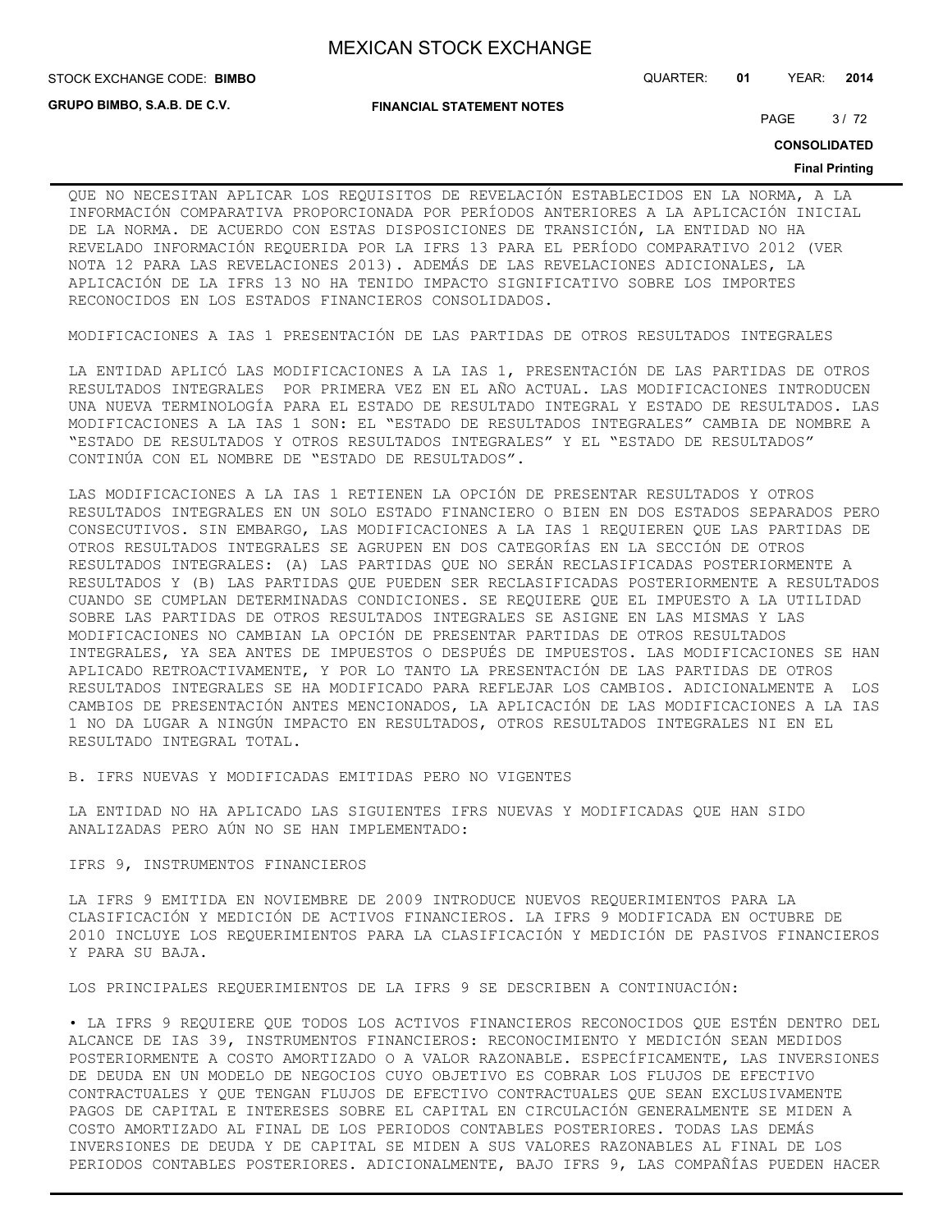**GRUPO BIMBO, S.A.B. DE C.V.**

**FINANCIAL STATEMENT NOTES**

STOCK EXCHANGE CODE: QUARTER: **01** YEAR: **2014 BIMBO**

PAGE 3/72

**CONSOLIDATED**

#### **Final Printing**

QUE NO NECESITAN APLICAR LOS REQUISITOS DE REVELACIÓN ESTABLECIDOS EN LA NORMA, A LA INFORMACIÓN COMPARATIVA PROPORCIONADA POR PERÍODOS ANTERIORES A LA APLICACIÓN INICIAL DE LA NORMA. DE ACUERDO CON ESTAS DISPOSICIONES DE TRANSICIÓN, LA ENTIDAD NO HA REVELADO INFORMACIÓN REQUERIDA POR LA IFRS 13 PARA EL PERÍODO COMPARATIVO 2012 (VER NOTA 12 PARA LAS REVELACIONES 2013). ADEMÁS DE LAS REVELACIONES ADICIONALES, LA APLICACIÓN DE LA IFRS 13 NO HA TENIDO IMPACTO SIGNIFICATIVO SOBRE LOS IMPORTES RECONOCIDOS EN LOS ESTADOS FINANCIEROS CONSOLIDADOS.

MODIFICACIONES A IAS 1 PRESENTACIÓN DE LAS PARTIDAS DE OTROS RESULTADOS INTEGRALES

LA ENTIDAD APLICÓ LAS MODIFICACIONES A LA IAS 1, PRESENTACIÓN DE LAS PARTIDAS DE OTROS RESULTADOS INTEGRALES POR PRIMERA VEZ EN EL AÑO ACTUAL. LAS MODIFICACIONES INTRODUCEN UNA NUEVA TERMINOLOGÍA PARA EL ESTADO DE RESULTADO INTEGRAL Y ESTADO DE RESULTADOS. LAS MODIFICACIONES A LA IAS 1 SON: EL "ESTADO DE RESULTADOS INTEGRALES" CAMBIA DE NOMBRE A "ESTADO DE RESULTADOS Y OTROS RESULTADOS INTEGRALES" Y EL "ESTADO DE RESULTADOS" CONTINÚA CON EL NOMBRE DE "ESTADO DE RESULTADOS".

LAS MODIFICACIONES A LA IAS 1 RETIENEN LA OPCIÓN DE PRESENTAR RESULTADOS Y OTROS RESULTADOS INTEGRALES EN UN SOLO ESTADO FINANCIERO O BIEN EN DOS ESTADOS SEPARADOS PERO CONSECUTIVOS. SIN EMBARGO, LAS MODIFICACIONES A LA IAS 1 REQUIEREN QUE LAS PARTIDAS DE OTROS RESULTADOS INTEGRALES SE AGRUPEN EN DOS CATEGORÍAS EN LA SECCIÓN DE OTROS RESULTADOS INTEGRALES: (A) LAS PARTIDAS QUE NO SERÁN RECLASIFICADAS POSTERIORMENTE A RESULTADOS Y (B) LAS PARTIDAS QUE PUEDEN SER RECLASIFICADAS POSTERIORMENTE A RESULTADOS CUANDO SE CUMPLAN DETERMINADAS CONDICIONES. SE REQUIERE QUE EL IMPUESTO A LA UTILIDAD SOBRE LAS PARTIDAS DE OTROS RESULTADOS INTEGRALES SE ASIGNE EN LAS MISMAS Y LAS MODIFICACIONES NO CAMBIAN LA OPCIÓN DE PRESENTAR PARTIDAS DE OTROS RESULTADOS INTEGRALES, YA SEA ANTES DE IMPUESTOS O DESPUÉS DE IMPUESTOS. LAS MODIFICACIONES SE HAN APLICADO RETROACTIVAMENTE, Y POR LO TANTO LA PRESENTACIÓN DE LAS PARTIDAS DE OTROS RESULTADOS INTEGRALES SE HA MODIFICADO PARA REFLEJAR LOS CAMBIOS. ADICIONALMENTE A LOS CAMBIOS DE PRESENTACIÓN ANTES MENCIONADOS, LA APLICACIÓN DE LAS MODIFICACIONES A LA IAS 1 NO DA LUGAR A NINGÚN IMPACTO EN RESULTADOS, OTROS RESULTADOS INTEGRALES NI EN EL RESULTADO INTEGRAL TOTAL.

B. IFRS NUEVAS Y MODIFICADAS EMITIDAS PERO NO VIGENTES

LA ENTIDAD NO HA APLICADO LAS SIGUIENTES IFRS NUEVAS Y MODIFICADAS QUE HAN SIDO ANALIZADAS PERO AÚN NO SE HAN IMPLEMENTADO:

#### IFRS 9, INSTRUMENTOS FINANCIEROS

LA IFRS 9 EMITIDA EN NOVIEMBRE DE 2009 INTRODUCE NUEVOS REQUERIMIENTOS PARA LA CLASIFICACIÓN Y MEDICIÓN DE ACTIVOS FINANCIEROS. LA IFRS 9 MODIFICADA EN OCTUBRE DE 2010 INCLUYE LOS REQUERIMIENTOS PARA LA CLASIFICACIÓN Y MEDICIÓN DE PASIVOS FINANCIEROS Y PARA SU BAJA.

LOS PRINCIPALES REQUERIMIENTOS DE LA IFRS 9 SE DESCRIBEN A CONTINUACIÓN:

• LA IFRS 9 REQUIERE QUE TODOS LOS ACTIVOS FINANCIEROS RECONOCIDOS QUE ESTÉN DENTRO DEL ALCANCE DE IAS 39, INSTRUMENTOS FINANCIEROS: RECONOCIMIENTO Y MEDICIÓN SEAN MEDIDOS POSTERIORMENTE A COSTO AMORTIZADO O A VALOR RAZONABLE. ESPECÍFICAMENTE, LAS INVERSIONES DE DEUDA EN UN MODELO DE NEGOCIOS CUYO OBJETIVO ES COBRAR LOS FLUJOS DE EFECTIVO CONTRACTUALES Y QUE TENGAN FLUJOS DE EFECTIVO CONTRACTUALES QUE SEAN EXCLUSIVAMENTE PAGOS DE CAPITAL E INTERESES SOBRE EL CAPITAL EN CIRCULACIÓN GENERALMENTE SE MIDEN A COSTO AMORTIZADO AL FINAL DE LOS PERIODOS CONTABLES POSTERIORES. TODAS LAS DEMÁS INVERSIONES DE DEUDA Y DE CAPITAL SE MIDEN A SUS VALORES RAZONABLES AL FINAL DE LOS PERIODOS CONTABLES POSTERIORES. ADICIONALMENTE, BAJO IFRS 9, LAS COMPAÑÍAS PUEDEN HACER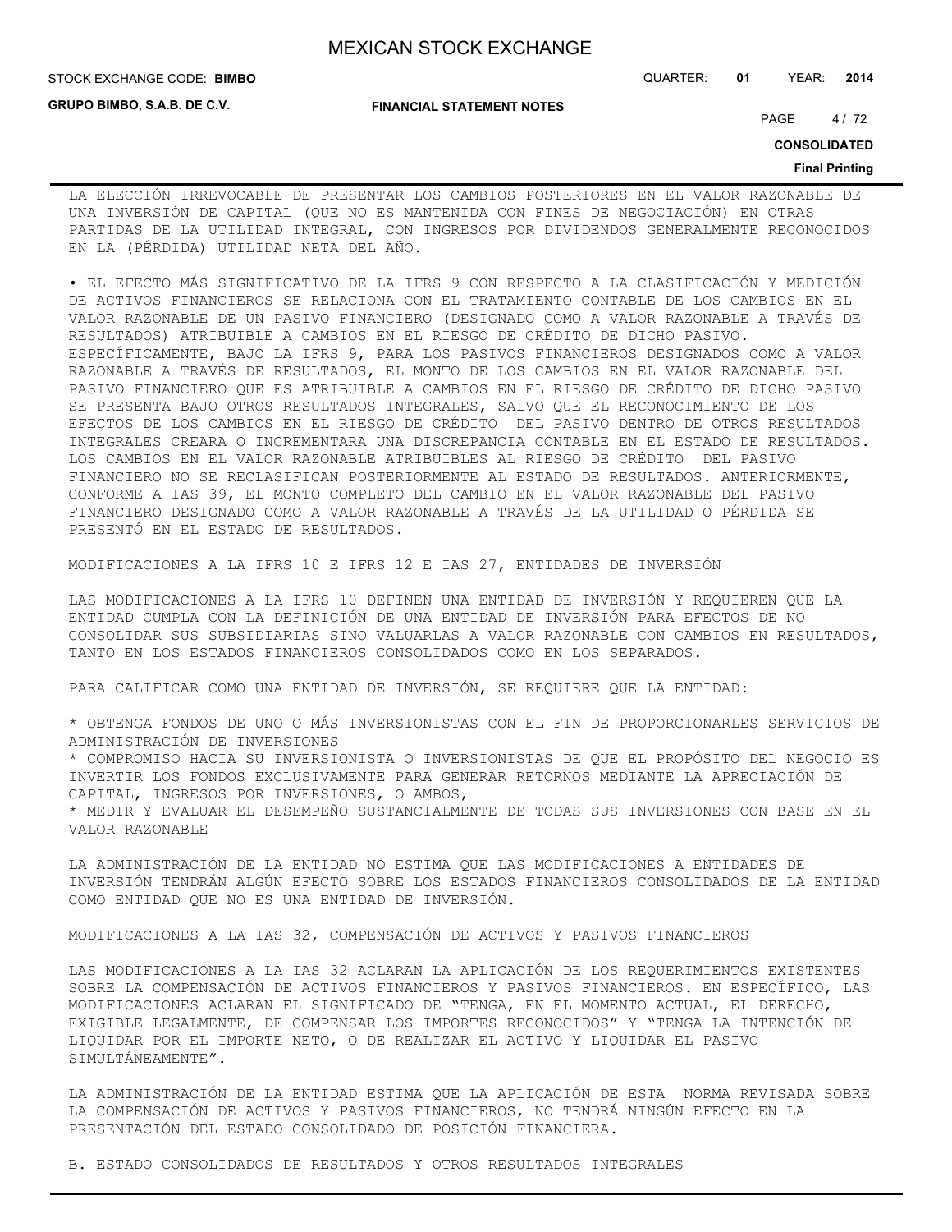**GRUPO BIMBO, S.A.B. DE C.V.**

#### STOCK EXCHANGE CODE: QUARTER: **01** YEAR: **2014 BIMBO**

**FINANCIAL STATEMENT NOTES**

PAGE 4/72

**CONSOLIDATED**

#### **Final Printing**

LA ELECCIÓN IRREVOCABLE DE PRESENTAR LOS CAMBIOS POSTERIORES EN EL VALOR RAZONABLE DE UNA INVERSIÓN DE CAPITAL (QUE NO ES MANTENIDA CON FINES DE NEGOCIACIÓN) EN OTRAS PARTIDAS DE LA UTILIDAD INTEGRAL, CON INGRESOS POR DIVIDENDOS GENERALMENTE RECONOCIDOS EN LA (PÉRDIDA) UTILIDAD NETA DEL AÑO.

• EL EFECTO MÁS SIGNIFICATIVO DE LA IFRS 9 CON RESPECTO A LA CLASIFICACIÓN Y MEDICIÓN DE ACTIVOS FINANCIEROS SE RELACIONA CON EL TRATAMIENTO CONTABLE DE LOS CAMBIOS EN EL VALOR RAZONABLE DE UN PASIVO FINANCIERO (DESIGNADO COMO A VALOR RAZONABLE A TRAVÉS DE RESULTADOS) ATRIBUIBLE A CAMBIOS EN EL RIESGO DE CRÉDITO DE DICHO PASIVO. ESPECÍFICAMENTE, BAJO LA IFRS 9, PARA LOS PASIVOS FINANCIEROS DESIGNADOS COMO A VALOR RAZONABLE A TRAVÉS DE RESULTADOS, EL MONTO DE LOS CAMBIOS EN EL VALOR RAZONABLE DEL PASIVO FINANCIERO QUE ES ATRIBUIBLE A CAMBIOS EN EL RIESGO DE CRÉDITO DE DICHO PASIVO SE PRESENTA BAJO OTROS RESULTADOS INTEGRALES, SALVO QUE EL RECONOCIMIENTO DE LOS EFECTOS DE LOS CAMBIOS EN EL RIESGO DE CRÉDITO DEL PASIVO DENTRO DE OTROS RESULTADOS INTEGRALES CREARA O INCREMENTARA UNA DISCREPANCIA CONTABLE EN EL ESTADO DE RESULTADOS. LOS CAMBIOS EN EL VALOR RAZONABLE ATRIBUIBLES AL RIESGO DE CRÉDITO DEL PASIVO FINANCIERO NO SE RECLASIFICAN POSTERIORMENTE AL ESTADO DE RESULTADOS. ANTERIORMENTE, CONFORME A IAS 39, EL MONTO COMPLETO DEL CAMBIO EN EL VALOR RAZONABLE DEL PASIVO FINANCIERO DESIGNADO COMO A VALOR RAZONABLE A TRAVÉS DE LA UTILIDAD O PÉRDIDA SE PRESENTÓ EN EL ESTADO DE RESULTADOS.

MODIFICACIONES A LA IFRS 10 E IFRS 12 E IAS 27, ENTIDADES DE INVERSIÓN

LAS MODIFICACIONES A LA IFRS 10 DEFINEN UNA ENTIDAD DE INVERSIÓN Y REQUIEREN QUE LA ENTIDAD CUMPLA CON LA DEFINICIÓN DE UNA ENTIDAD DE INVERSIÓN PARA EFECTOS DE NO CONSOLIDAR SUS SUBSIDIARIAS SINO VALUARLAS A VALOR RAZONABLE CON CAMBIOS EN RESULTADOS, TANTO EN LOS ESTADOS FINANCIEROS CONSOLIDADOS COMO EN LOS SEPARADOS.

PARA CALIFICAR COMO UNA ENTIDAD DE INVERSIÓN, SE REQUIERE QUE LA ENTIDAD:

\* OBTENGA FONDOS DE UNO O MÁS INVERSIONISTAS CON EL FIN DE PROPORCIONARLES SERVICIOS DE ADMINISTRACIÓN DE INVERSIONES

\* COMPROMISO HACIA SU INVERSIONISTA O INVERSIONISTAS DE QUE EL PROPÓSITO DEL NEGOCIO ES INVERTIR LOS FONDOS EXCLUSIVAMENTE PARA GENERAR RETORNOS MEDIANTE LA APRECIACIÓN DE CAPITAL, INGRESOS POR INVERSIONES, O AMBOS,

\* MEDIR Y EVALUAR EL DESEMPEÑO SUSTANCIALMENTE DE TODAS SUS INVERSIONES CON BASE EN EL VALOR RAZONABLE

LA ADMINISTRACIÓN DE LA ENTIDAD NO ESTIMA QUE LAS MODIFICACIONES A ENTIDADES DE INVERSIÓN TENDRÁN ALGÚN EFECTO SOBRE LOS ESTADOS FINANCIEROS CONSOLIDADOS DE LA ENTIDAD COMO ENTIDAD QUE NO ES UNA ENTIDAD DE INVERSIÓN.

MODIFICACIONES A LA IAS 32, COMPENSACIÓN DE ACTIVOS Y PASIVOS FINANCIEROS

LAS MODIFICACIONES A LA IAS 32 ACLARAN LA APLICACIÓN DE LOS REQUERIMIENTOS EXISTENTES SOBRE LA COMPENSACIÓN DE ACTIVOS FINANCIEROS Y PASIVOS FINANCIEROS. EN ESPECÍFICO, LAS MODIFICACIONES ACLARAN EL SIGNIFICADO DE "TENGA, EN EL MOMENTO ACTUAL, EL DERECHO, EXIGIBLE LEGALMENTE, DE COMPENSAR LOS IMPORTES RECONOCIDOS" Y "TENGA LA INTENCIÓN DE LIQUIDAR POR EL IMPORTE NETO, O DE REALIZAR EL ACTIVO Y LIQUIDAR EL PASIVO SIMULTÁNEAMENTE".

LA ADMINISTRACIÓN DE LA ENTIDAD ESTIMA QUE LA APLICACIÓN DE ESTA NORMA REVISADA SOBRE LA COMPENSACIÓN DE ACTIVOS Y PASIVOS FINANCIEROS, NO TENDRÁ NINGÚN EFECTO EN LA PRESENTACIÓN DEL ESTADO CONSOLIDADO DE POSICIÓN FINANCIERA.

B. ESTADO CONSOLIDADOS DE RESULTADOS Y OTROS RESULTADOS INTEGRALES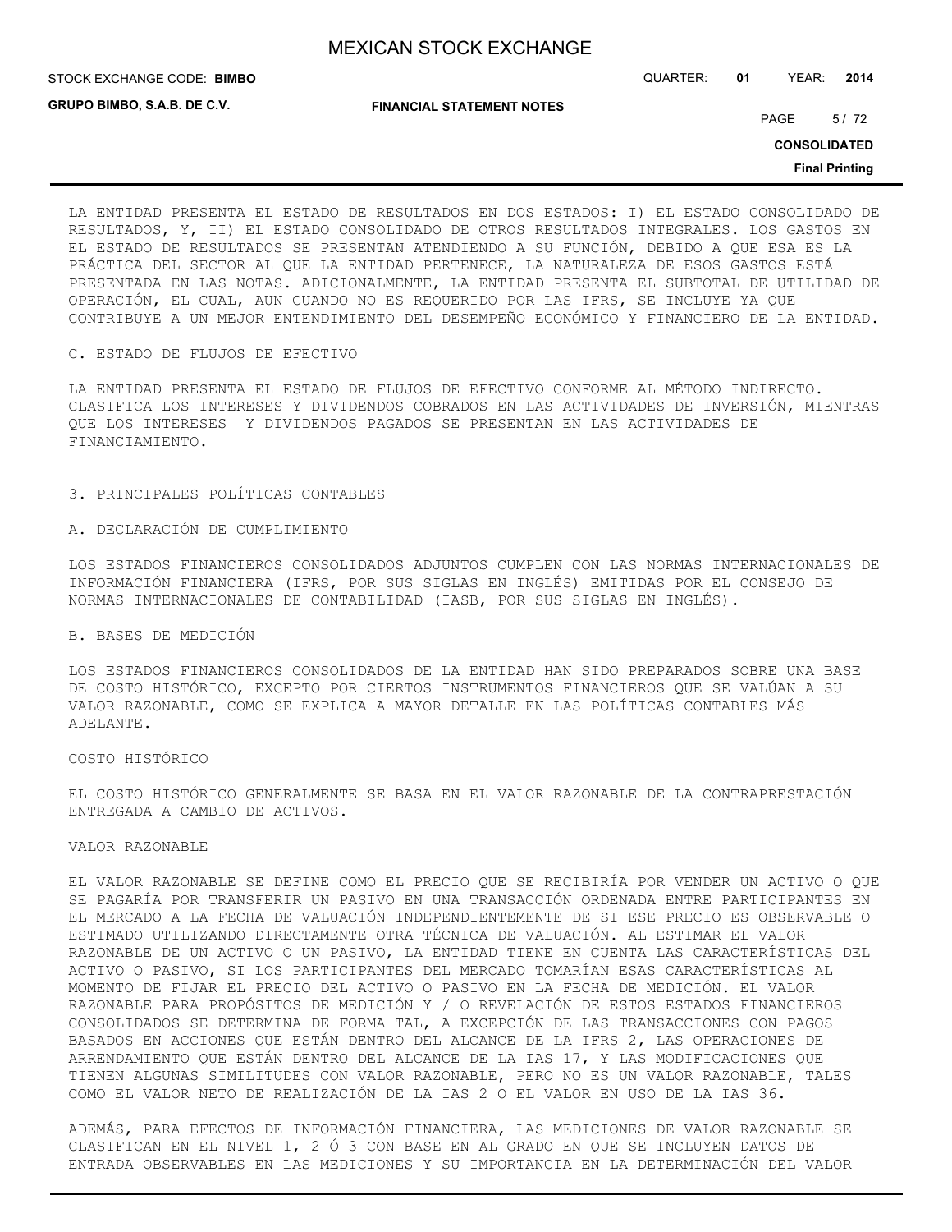STOCK EXCHANGE CODE: QUARTER: **01** YEAR: **2014 BIMBO**

**GRUPO BIMBO, S.A.B. DE C.V.**

**FINANCIAL STATEMENT NOTES**

PAGE 5/72

**CONSOLIDATED**

**Final Printing**

LA ENTIDAD PRESENTA EL ESTADO DE RESULTADOS EN DOS ESTADOS: I) EL ESTADO CONSOLIDADO DE RESULTADOS, Y, II) EL ESTADO CONSOLIDADO DE OTROS RESULTADOS INTEGRALES. LOS GASTOS EN EL ESTADO DE RESULTADOS SE PRESENTAN ATENDIENDO A SU FUNCIÓN, DEBIDO A QUE ESA ES LA PRÁCTICA DEL SECTOR AL QUE LA ENTIDAD PERTENECE, LA NATURALEZA DE ESOS GASTOS ESTÁ PRESENTADA EN LAS NOTAS. ADICIONALMENTE, LA ENTIDAD PRESENTA EL SUBTOTAL DE UTILIDAD DE OPERACIÓN, EL CUAL, AUN CUANDO NO ES REQUERIDO POR LAS IFRS, SE INCLUYE YA QUE CONTRIBUYE A UN MEJOR ENTENDIMIENTO DEL DESEMPEÑO ECONÓMICO Y FINANCIERO DE LA ENTIDAD.

#### C. ESTADO DE FLUJOS DE EFECTIVO

LA ENTIDAD PRESENTA EL ESTADO DE FLUJOS DE EFECTIVO CONFORME AL MÉTODO INDIRECTO. CLASIFICA LOS INTERESES Y DIVIDENDOS COBRADOS EN LAS ACTIVIDADES DE INVERSIÓN, MIENTRAS QUE LOS INTERESES Y DIVIDENDOS PAGADOS SE PRESENTAN EN LAS ACTIVIDADES DE FINANCIAMIENTO.

#### 3. PRINCIPALES POLÍTICAS CONTABLES

#### A. DECLARACIÓN DE CUMPLIMIENTO

LOS ESTADOS FINANCIEROS CONSOLIDADOS ADJUNTOS CUMPLEN CON LAS NORMAS INTERNACIONALES DE INFORMACIÓN FINANCIERA (IFRS, POR SUS SIGLAS EN INGLÉS) EMITIDAS POR EL CONSEJO DE NORMAS INTERNACIONALES DE CONTABILIDAD (IASB, POR SUS SIGLAS EN INGLÉS).

#### B. BASES DE MEDICIÓN

LOS ESTADOS FINANCIEROS CONSOLIDADOS DE LA ENTIDAD HAN SIDO PREPARADOS SOBRE UNA BASE DE COSTO HISTÓRICO, EXCEPTO POR CIERTOS INSTRUMENTOS FINANCIEROS QUE SE VALÚAN A SU VALOR RAZONABLE, COMO SE EXPLICA A MAYOR DETALLE EN LAS POLÍTICAS CONTABLES MÁS ADELANTE.

#### COSTO HISTÓRICO

EL COSTO HISTÓRICO GENERALMENTE SE BASA EN EL VALOR RAZONABLE DE LA CONTRAPRESTACIÓN ENTREGADA A CAMBIO DE ACTIVOS.

#### VALOR RAZONABLE

EL VALOR RAZONABLE SE DEFINE COMO EL PRECIO QUE SE RECIBIRÍA POR VENDER UN ACTIVO O QUE SE PAGARÍA POR TRANSFERIR UN PASIVO EN UNA TRANSACCIÓN ORDENADA ENTRE PARTICIPANTES EN EL MERCADO A LA FECHA DE VALUACIÓN INDEPENDIENTEMENTE DE SI ESE PRECIO ES OBSERVABLE O ESTIMADO UTILIZANDO DIRECTAMENTE OTRA TÉCNICA DE VALUACIÓN. AL ESTIMAR EL VALOR RAZONABLE DE UN ACTIVO O UN PASIVO, LA ENTIDAD TIENE EN CUENTA LAS CARACTERÍSTICAS DEL ACTIVO O PASIVO, SI LOS PARTICIPANTES DEL MERCADO TOMARÍAN ESAS CARACTERÍSTICAS AL MOMENTO DE FIJAR EL PRECIO DEL ACTIVO O PASIVO EN LA FECHA DE MEDICIÓN. EL VALOR RAZONABLE PARA PROPÓSITOS DE MEDICIÓN Y / O REVELACIÓN DE ESTOS ESTADOS FINANCIEROS CONSOLIDADOS SE DETERMINA DE FORMA TAL, A EXCEPCIÓN DE LAS TRANSACCIONES CON PAGOS BASADOS EN ACCIONES QUE ESTÁN DENTRO DEL ALCANCE DE LA IFRS 2, LAS OPERACIONES DE ARRENDAMIENTO QUE ESTÁN DENTRO DEL ALCANCE DE LA IAS 17, Y LAS MODIFICACIONES QUE TIENEN ALGUNAS SIMILITUDES CON VALOR RAZONABLE, PERO NO ES UN VALOR RAZONABLE, TALES COMO EL VALOR NETO DE REALIZACIÓN DE LA IAS 2 O EL VALOR EN USO DE LA IAS 36.

ADEMÁS, PARA EFECTOS DE INFORMACIÓN FINANCIERA, LAS MEDICIONES DE VALOR RAZONABLE SE CLASIFICAN EN EL NIVEL 1, 2 Ó 3 CON BASE EN AL GRADO EN QUE SE INCLUYEN DATOS DE ENTRADA OBSERVABLES EN LAS MEDICIONES Y SU IMPORTANCIA EN LA DETERMINACIÓN DEL VALOR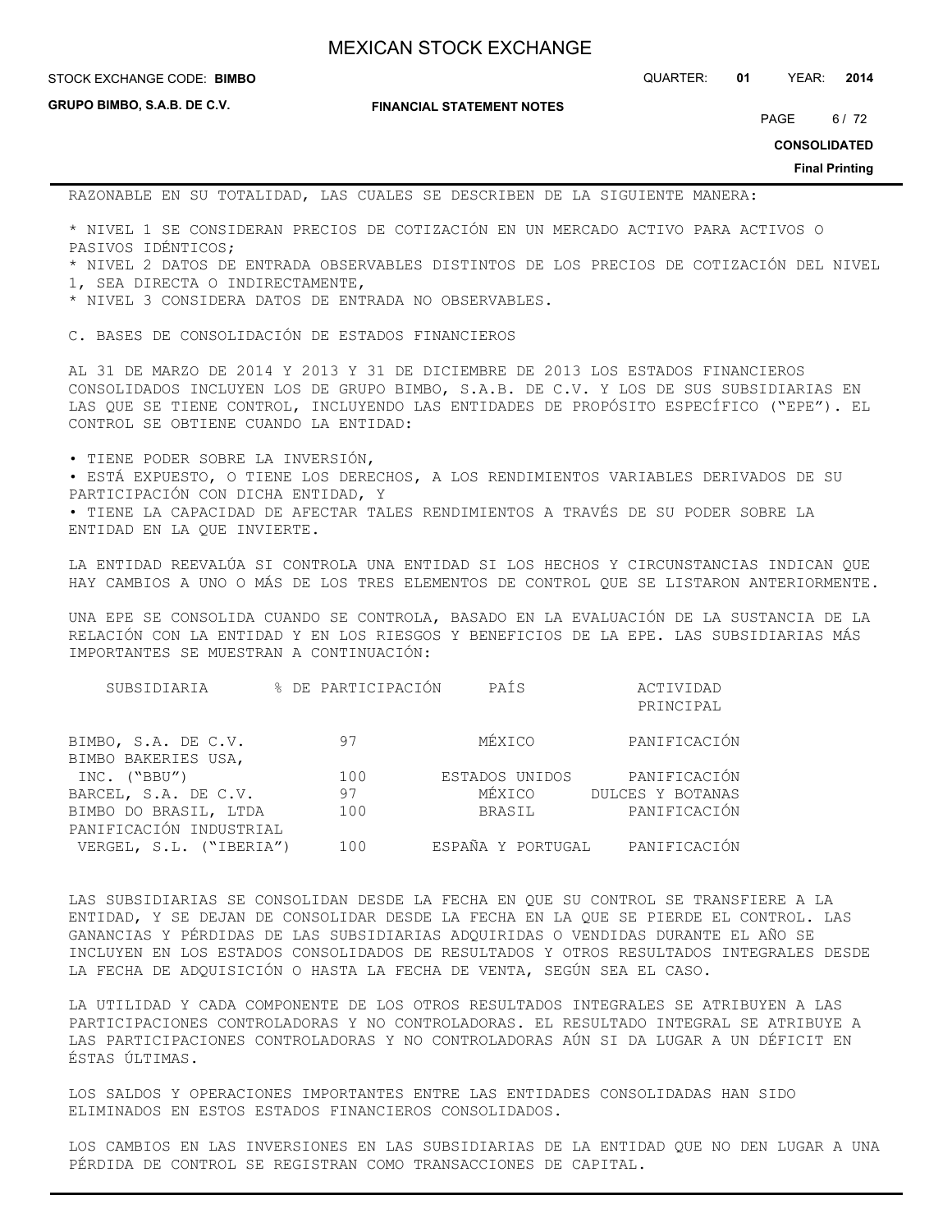**GRUPO BIMBO, S.A.B. DE C.V.**

**FINANCIAL STATEMENT NOTES**

STOCK EXCHANGE CODE: QUARTER: **01** YEAR: **2014 BIMBO**

PAGE 6/72

**CONSOLIDATED**

**Final Printing**

RAZONABLE EN SU TOTALIDAD, LAS CUALES SE DESCRIBEN DE LA SIGUIENTE MANERA:

\* NIVEL 1 SE CONSIDERAN PRECIOS DE COTIZACIÓN EN UN MERCADO ACTIVO PARA ACTIVOS O PASIVOS IDÉNTICOS;

\* NIVEL 2 DATOS DE ENTRADA OBSERVABLES DISTINTOS DE LOS PRECIOS DE COTIZACIÓN DEL NIVEL 1, SEA DIRECTA O INDIRECTAMENTE,

\* NIVEL 3 CONSIDERA DATOS DE ENTRADA NO OBSERVABLES.

C. BASES DE CONSOLIDACIÓN DE ESTADOS FINANCIEROS

AL 31 DE MARZO DE 2014 Y 2013 Y 31 DE DICIEMBRE DE 2013 LOS ESTADOS FINANCIEROS CONSOLIDADOS INCLUYEN LOS DE GRUPO BIMBO, S.A.B. DE C.V. Y LOS DE SUS SUBSIDIARIAS EN LAS QUE SE TIENE CONTROL, INCLUYENDO LAS ENTIDADES DE PROPÓSITO ESPECÍFICO ("EPE"). EL CONTROL SE OBTIENE CUANDO LA ENTIDAD:

• TIENE PODER SOBRE LA INVERSIÓN,

• ESTÁ EXPUESTO, O TIENE LOS DERECHOS, A LOS RENDIMIENTOS VARIABLES DERIVADOS DE SU PARTICIPACIÓN CON DICHA ENTIDAD, Y • TIENE LA CAPACIDAD DE AFECTAR TALES RENDIMIENTOS A TRAVÉS DE SU PODER SOBRE LA ENTIDAD EN LA QUE INVIERTE.

LA ENTIDAD REEVALÚA SI CONTROLA UNA ENTIDAD SI LOS HECHOS Y CIRCUNSTANCIAS INDICAN QUE HAY CAMBIOS A UNO O MÁS DE LOS TRES ELEMENTOS DE CONTROL QUE SE LISTARON ANTERIORMENTE.

UNA EPE SE CONSOLIDA CUANDO SE CONTROLA, BASADO EN LA EVALUACIÓN DE LA SUSTANCIA DE LA RELACIÓN CON LA ENTIDAD Y EN LOS RIESGOS Y BENEFICIOS DE LA EPE. LAS SUBSIDIARIAS MÁS IMPORTANTES SE MUESTRAN A CONTINUACIÓN:

| SUBSIDIARIA             | % DE PARTICIPACIÓN | PAÍS           | ACTIVIDAD                      |
|-------------------------|--------------------|----------------|--------------------------------|
|                         |                    |                | PRINCIPAL                      |
| BIMBO, S.A. DE C.V.     | 97                 | MÉXICO         | PANIFICACIÓN                   |
| BIMBO BAKERIES USA,     |                    |                |                                |
| INC. ("BBU")            | 100                | ESTADOS UNIDOS | PANIFICACIÓN                   |
| BARCEL, S.A. DE C.V.    | 97                 | MÉXICO         | DULCES Y BOTANAS               |
| BIMBO DO BRASIL, LTDA   | 100                | BRASIL         | PANIFICACIÓN                   |
| PANIFICACIÓN INDUSTRIAL |                    |                |                                |
| VERGEL, S.L. ("IBERIA") | 100                |                | ESPAÑA Y PORTUGAL PANIFICACIÓN |

LAS SUBSIDIARIAS SE CONSOLIDAN DESDE LA FECHA EN QUE SU CONTROL SE TRANSFIERE A LA ENTIDAD, Y SE DEJAN DE CONSOLIDAR DESDE LA FECHA EN LA QUE SE PIERDE EL CONTROL. LAS GANANCIAS Y PÉRDIDAS DE LAS SUBSIDIARIAS ADQUIRIDAS O VENDIDAS DURANTE EL AÑO SE INCLUYEN EN LOS ESTADOS CONSOLIDADOS DE RESULTADOS Y OTROS RESULTADOS INTEGRALES DESDE LA FECHA DE ADQUISICIÓN O HASTA LA FECHA DE VENTA, SEGÚN SEA EL CASO.

LA UTILIDAD Y CADA COMPONENTE DE LOS OTROS RESULTADOS INTEGRALES SE ATRIBUYEN A LAS PARTICIPACIONES CONTROLADORAS Y NO CONTROLADORAS. EL RESULTADO INTEGRAL SE ATRIBUYE A LAS PARTICIPACIONES CONTROLADORAS Y NO CONTROLADORAS AÚN SI DA LUGAR A UN DÉFICIT EN ÉSTAS ÚLTIMAS.

LOS SALDOS Y OPERACIONES IMPORTANTES ENTRE LAS ENTIDADES CONSOLIDADAS HAN SIDO ELIMINADOS EN ESTOS ESTADOS FINANCIEROS CONSOLIDADOS.

LOS CAMBIOS EN LAS INVERSIONES EN LAS SUBSIDIARIAS DE LA ENTIDAD QUE NO DEN LUGAR A UNA PÉRDIDA DE CONTROL SE REGISTRAN COMO TRANSACCIONES DE CAPITAL.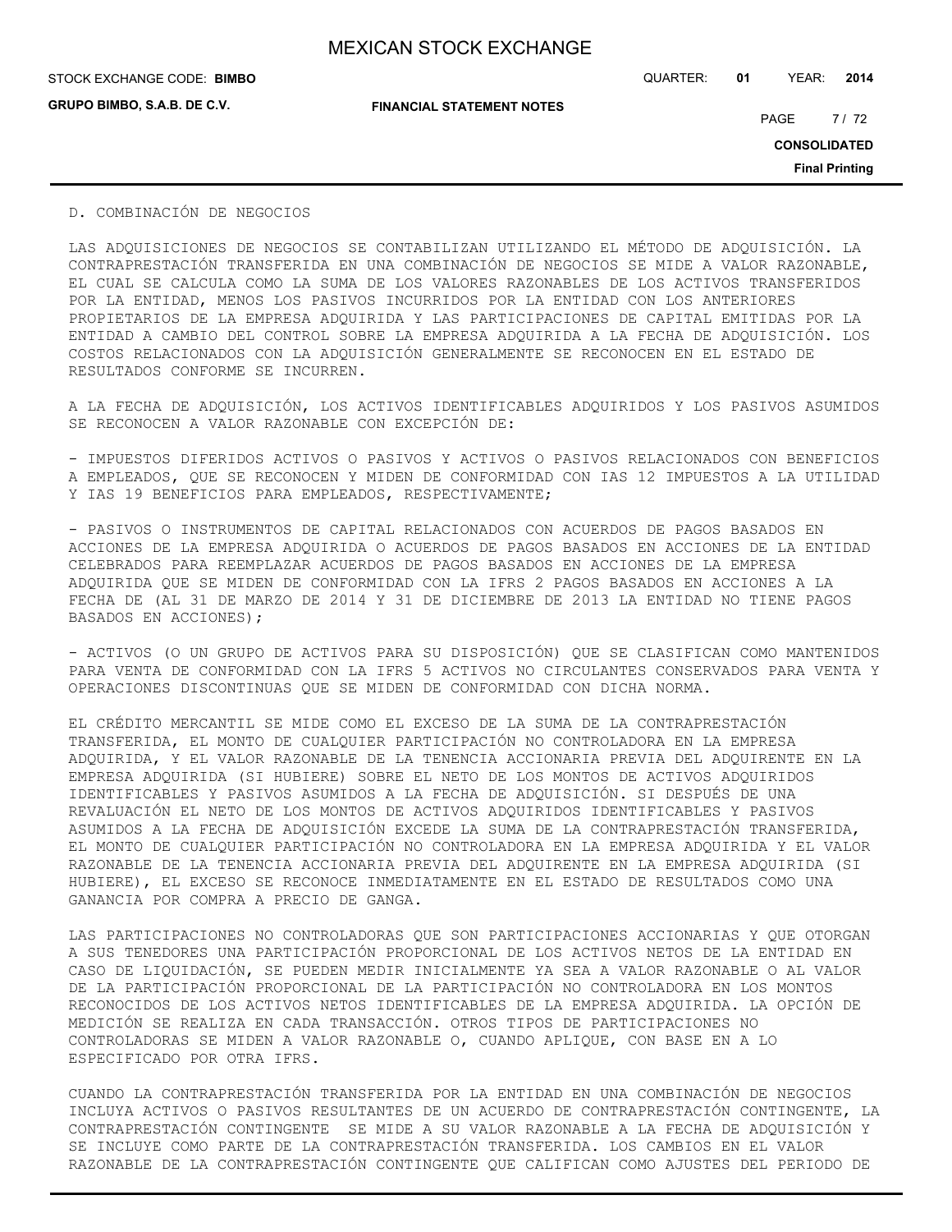STOCK EXCHANGE CODE: QUARTER: **01** YEAR: **2014 BIMBO**

**GRUPO BIMBO, S.A.B. DE C.V.**

**FINANCIAL STATEMENT NOTES**

PAGE 7/72

**CONSOLIDATED**

**Final Printing**

D. COMBINACIÓN DE NEGOCIOS

LAS ADQUISICIONES DE NEGOCIOS SE CONTABILIZAN UTILIZANDO EL MÉTODO DE ADQUISICIÓN. LA CONTRAPRESTACIÓN TRANSFERIDA EN UNA COMBINACIÓN DE NEGOCIOS SE MIDE A VALOR RAZONABLE, EL CUAL SE CALCULA COMO LA SUMA DE LOS VALORES RAZONABLES DE LOS ACTIVOS TRANSFERIDOS POR LA ENTIDAD, MENOS LOS PASIVOS INCURRIDOS POR LA ENTIDAD CON LOS ANTERIORES PROPIETARIOS DE LA EMPRESA ADQUIRIDA Y LAS PARTICIPACIONES DE CAPITAL EMITIDAS POR LA ENTIDAD A CAMBIO DEL CONTROL SOBRE LA EMPRESA ADQUIRIDA A LA FECHA DE ADQUISICIÓN. LOS COSTOS RELACIONADOS CON LA ADQUISICIÓN GENERALMENTE SE RECONOCEN EN EL ESTADO DE RESULTADOS CONFORME SE INCURREN.

A LA FECHA DE ADQUISICIÓN, LOS ACTIVOS IDENTIFICABLES ADQUIRIDOS Y LOS PASIVOS ASUMIDOS SE RECONOCEN A VALOR RAZONABLE CON EXCEPCIÓN DE:

- IMPUESTOS DIFERIDOS ACTIVOS O PASIVOS Y ACTIVOS O PASIVOS RELACIONADOS CON BENEFICIOS A EMPLEADOS, QUE SE RECONOCEN Y MIDEN DE CONFORMIDAD CON IAS 12 IMPUESTOS A LA UTILIDAD Y IAS 19 BENEFICIOS PARA EMPLEADOS, RESPECTIVAMENTE;

- PASIVOS O INSTRUMENTOS DE CAPITAL RELACIONADOS CON ACUERDOS DE PAGOS BASADOS EN ACCIONES DE LA EMPRESA ADQUIRIDA O ACUERDOS DE PAGOS BASADOS EN ACCIONES DE LA ENTIDAD CELEBRADOS PARA REEMPLAZAR ACUERDOS DE PAGOS BASADOS EN ACCIONES DE LA EMPRESA ADQUIRIDA QUE SE MIDEN DE CONFORMIDAD CON LA IFRS 2 PAGOS BASADOS EN ACCIONES A LA FECHA DE (AL 31 DE MARZO DE 2014 Y 31 DE DICIEMBRE DE 2013 LA ENTIDAD NO TIENE PAGOS BASADOS EN ACCIONES);

- ACTIVOS (O UN GRUPO DE ACTIVOS PARA SU DISPOSICIÓN) QUE SE CLASIFICAN COMO MANTENIDOS PARA VENTA DE CONFORMIDAD CON LA IFRS 5 ACTIVOS NO CIRCULANTES CONSERVADOS PARA VENTA Y OPERACIONES DISCONTINUAS QUE SE MIDEN DE CONFORMIDAD CON DICHA NORMA.

EL CRÉDITO MERCANTIL SE MIDE COMO EL EXCESO DE LA SUMA DE LA CONTRAPRESTACIÓN TRANSFERIDA, EL MONTO DE CUALQUIER PARTICIPACIÓN NO CONTROLADORA EN LA EMPRESA ADQUIRIDA, Y EL VALOR RAZONABLE DE LA TENENCIA ACCIONARIA PREVIA DEL ADQUIRENTE EN LA EMPRESA ADQUIRIDA (SI HUBIERE) SOBRE EL NETO DE LOS MONTOS DE ACTIVOS ADQUIRIDOS IDENTIFICABLES Y PASIVOS ASUMIDOS A LA FECHA DE ADQUISICIÓN. SI DESPUÉS DE UNA REVALUACIÓN EL NETO DE LOS MONTOS DE ACTIVOS ADQUIRIDOS IDENTIFICABLES Y PASIVOS ASUMIDOS A LA FECHA DE ADQUISICIÓN EXCEDE LA SUMA DE LA CONTRAPRESTACIÓN TRANSFERIDA, EL MONTO DE CUALQUIER PARTICIPACIÓN NO CONTROLADORA EN LA EMPRESA ADQUIRIDA Y EL VALOR RAZONABLE DE LA TENENCIA ACCIONARIA PREVIA DEL ADQUIRENTE EN LA EMPRESA ADQUIRIDA (SI HUBIERE), EL EXCESO SE RECONOCE INMEDIATAMENTE EN EL ESTADO DE RESULTADOS COMO UNA GANANCIA POR COMPRA A PRECIO DE GANGA.

LAS PARTICIPACIONES NO CONTROLADORAS QUE SON PARTICIPACIONES ACCIONARIAS Y QUE OTORGAN A SUS TENEDORES UNA PARTICIPACIÓN PROPORCIONAL DE LOS ACTIVOS NETOS DE LA ENTIDAD EN CASO DE LIQUIDACIÓN, SE PUEDEN MEDIR INICIALMENTE YA SEA A VALOR RAZONABLE O AL VALOR DE LA PARTICIPACIÓN PROPORCIONAL DE LA PARTICIPACIÓN NO CONTROLADORA EN LOS MONTOS RECONOCIDOS DE LOS ACTIVOS NETOS IDENTIFICABLES DE LA EMPRESA ADQUIRIDA. LA OPCIÓN DE MEDICIÓN SE REALIZA EN CADA TRANSACCIÓN. OTROS TIPOS DE PARTICIPACIONES NO CONTROLADORAS SE MIDEN A VALOR RAZONABLE O, CUANDO APLIQUE, CON BASE EN A LO ESPECIFICADO POR OTRA IFRS.

CUANDO LA CONTRAPRESTACIÓN TRANSFERIDA POR LA ENTIDAD EN UNA COMBINACIÓN DE NEGOCIOS INCLUYA ACTIVOS O PASIVOS RESULTANTES DE UN ACUERDO DE CONTRAPRESTACIÓN CONTINGENTE, LA CONTRAPRESTACIÓN CONTINGENTE SE MIDE A SU VALOR RAZONABLE A LA FECHA DE ADQUISICIÓN Y SE INCLUYE COMO PARTE DE LA CONTRAPRESTACIÓN TRANSFERIDA. LOS CAMBIOS EN EL VALOR RAZONABLE DE LA CONTRAPRESTACIÓN CONTINGENTE QUE CALIFICAN COMO AJUSTES DEL PERIODO DE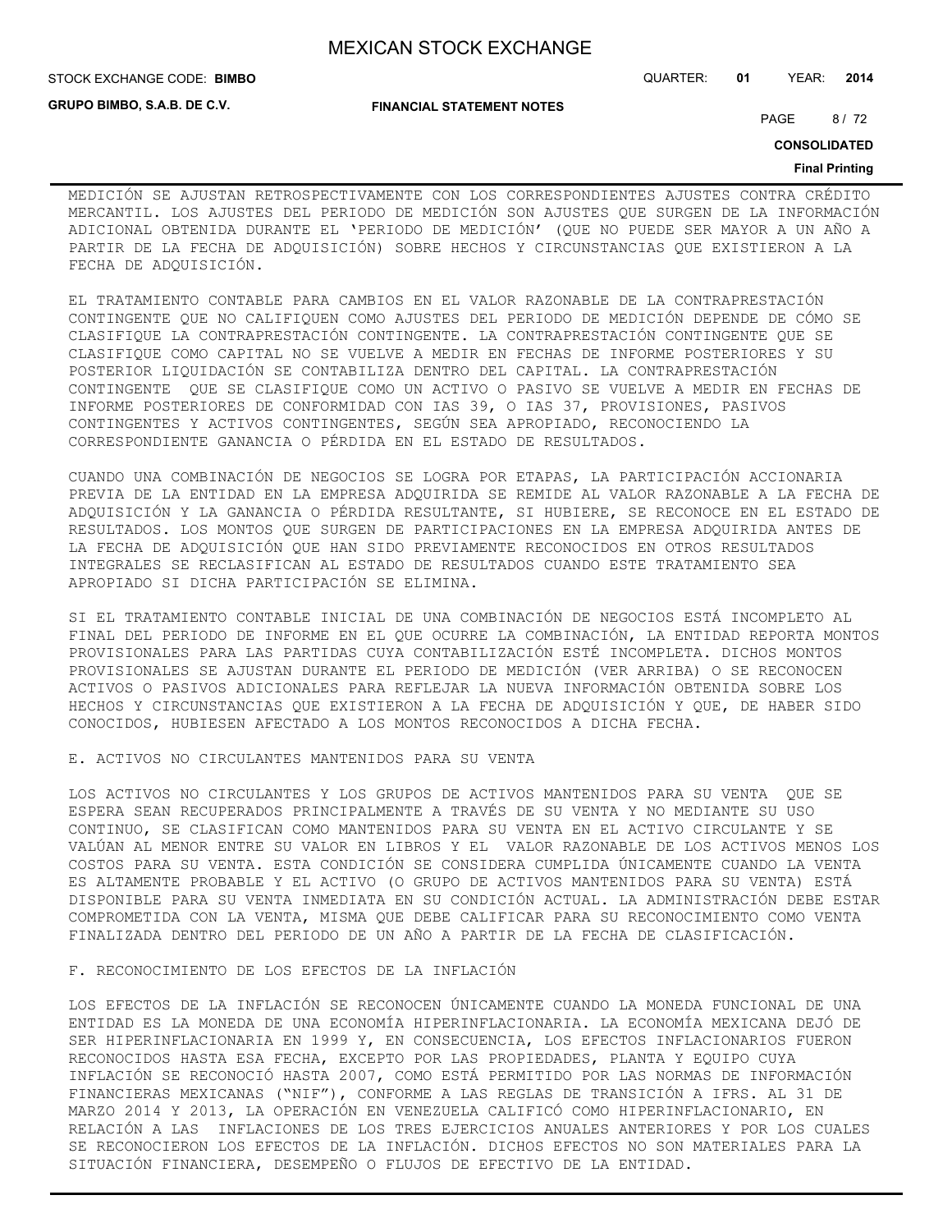**FINANCIAL STATEMENT NOTES**

STOCK EXCHANGE CODE: QUARTER: **01** YEAR: **2014 BIMBO**

**GRUPO BIMBO, S.A.B. DE C.V.**

PAGE 8/72

**CONSOLIDATED**

#### **Final Printing**

MEDICIÓN SE AJUSTAN RETROSPECTIVAMENTE CON LOS CORRESPONDIENTES AJUSTES CONTRA CRÉDITO MERCANTIL. LOS AJUSTES DEL PERIODO DE MEDICIÓN SON AJUSTES QUE SURGEN DE LA INFORMACIÓN ADICIONAL OBTENIDA DURANTE EL 'PERIODO DE MEDICIÓN' (QUE NO PUEDE SER MAYOR A UN AÑO A PARTIR DE LA FECHA DE ADQUISICIÓN) SOBRE HECHOS Y CIRCUNSTANCIAS QUE EXISTIERON A LA FECHA DE ADQUISICIÓN.

EL TRATAMIENTO CONTABLE PARA CAMBIOS EN EL VALOR RAZONABLE DE LA CONTRAPRESTACIÓN CONTINGENTE QUE NO CALIFIQUEN COMO AJUSTES DEL PERIODO DE MEDICIÓN DEPENDE DE CÓMO SE CLASIFIQUE LA CONTRAPRESTACIÓN CONTINGENTE. LA CONTRAPRESTACIÓN CONTINGENTE QUE SE CLASIFIQUE COMO CAPITAL NO SE VUELVE A MEDIR EN FECHAS DE INFORME POSTERIORES Y SU POSTERIOR LIQUIDACIÓN SE CONTABILIZA DENTRO DEL CAPITAL. LA CONTRAPRESTACIÓN CONTINGENTE QUE SE CLASIFIQUE COMO UN ACTIVO O PASIVO SE VUELVE A MEDIR EN FECHAS DE INFORME POSTERIORES DE CONFORMIDAD CON IAS 39, O IAS 37, PROVISIONES, PASIVOS CONTINGENTES Y ACTIVOS CONTINGENTES, SEGÚN SEA APROPIADO, RECONOCIENDO LA CORRESPONDIENTE GANANCIA O PÉRDIDA EN EL ESTADO DE RESULTADOS.

CUANDO UNA COMBINACIÓN DE NEGOCIOS SE LOGRA POR ETAPAS, LA PARTICIPACIÓN ACCIONARIA PREVIA DE LA ENTIDAD EN LA EMPRESA ADQUIRIDA SE REMIDE AL VALOR RAZONABLE A LA FECHA DE ADQUISICIÓN Y LA GANANCIA O PÉRDIDA RESULTANTE, SI HUBIERE, SE RECONOCE EN EL ESTADO DE RESULTADOS. LOS MONTOS QUE SURGEN DE PARTICIPACIONES EN LA EMPRESA ADQUIRIDA ANTES DE LA FECHA DE ADQUISICIÓN QUE HAN SIDO PREVIAMENTE RECONOCIDOS EN OTROS RESULTADOS INTEGRALES SE RECLASIFICAN AL ESTADO DE RESULTADOS CUANDO ESTE TRATAMIENTO SEA APROPIADO SI DICHA PARTICIPACIÓN SE ELIMINA.

SI EL TRATAMIENTO CONTABLE INICIAL DE UNA COMBINACIÓN DE NEGOCIOS ESTÁ INCOMPLETO AL FINAL DEL PERIODO DE INFORME EN EL QUE OCURRE LA COMBINACIÓN, LA ENTIDAD REPORTA MONTOS PROVISIONALES PARA LAS PARTIDAS CUYA CONTABILIZACIÓN ESTÉ INCOMPLETA. DICHOS MONTOS PROVISIONALES SE AJUSTAN DURANTE EL PERIODO DE MEDICIÓN (VER ARRIBA) O SE RECONOCEN ACTIVOS O PASIVOS ADICIONALES PARA REFLEJAR LA NUEVA INFORMACIÓN OBTENIDA SOBRE LOS HECHOS Y CIRCUNSTANCIAS QUE EXISTIERON A LA FECHA DE ADQUISICIÓN Y QUE, DE HABER SIDO CONOCIDOS, HUBIESEN AFECTADO A LOS MONTOS RECONOCIDOS A DICHA FECHA.

#### E. ACTIVOS NO CIRCULANTES MANTENIDOS PARA SU VENTA

LOS ACTIVOS NO CIRCULANTES Y LOS GRUPOS DE ACTIVOS MANTENIDOS PARA SU VENTA QUE SE ESPERA SEAN RECUPERADOS PRINCIPALMENTE A TRAVÉS DE SU VENTA Y NO MEDIANTE SU USO CONTINUO, SE CLASIFICAN COMO MANTENIDOS PARA SU VENTA EN EL ACTIVO CIRCULANTE Y SE VALÚAN AL MENOR ENTRE SU VALOR EN LIBROS Y EL VALOR RAZONABLE DE LOS ACTIVOS MENOS LOS COSTOS PARA SU VENTA. ESTA CONDICIÓN SE CONSIDERA CUMPLIDA ÚNICAMENTE CUANDO LA VENTA ES ALTAMENTE PROBABLE Y EL ACTIVO (O GRUPO DE ACTIVOS MANTENIDOS PARA SU VENTA) ESTÁ DISPONIBLE PARA SU VENTA INMEDIATA EN SU CONDICIÓN ACTUAL. LA ADMINISTRACIÓN DEBE ESTAR COMPROMETIDA CON LA VENTA, MISMA QUE DEBE CALIFICAR PARA SU RECONOCIMIENTO COMO VENTA FINALIZADA DENTRO DEL PERIODO DE UN AÑO A PARTIR DE LA FECHA DE CLASIFICACIÓN.

#### F. RECONOCIMIENTO DE LOS EFECTOS DE LA INFLACIÓN

LOS EFECTOS DE LA INFLACIÓN SE RECONOCEN ÚNICAMENTE CUANDO LA MONEDA FUNCIONAL DE UNA ENTIDAD ES LA MONEDA DE UNA ECONOMÍA HIPERINFLACIONARIA. LA ECONOMÍA MEXICANA DEJÓ DE SER HIPERINFLACIONARIA EN 1999 Y, EN CONSECUENCIA, LOS EFECTOS INFLACIONARIOS FUERON RECONOCIDOS HASTA ESA FECHA, EXCEPTO POR LAS PROPIEDADES, PLANTA Y EQUIPO CUYA INFLACIÓN SE RECONOCIÓ HASTA 2007, COMO ESTÁ PERMITIDO POR LAS NORMAS DE INFORMACIÓN FINANCIERAS MEXICANAS ("NIF"), CONFORME A LAS REGLAS DE TRANSICIÓN A IFRS. AL 31 DE MARZO 2014 Y 2013, LA OPERACIÓN EN VENEZUELA CALIFICÓ COMO HIPERINFLACIONARIO, EN RELACIÓN A LAS INFLACIONES DE LOS TRES EJERCICIOS ANUALES ANTERIORES Y POR LOS CUALES SE RECONOCIERON LOS EFECTOS DE LA INFLACIÓN. DICHOS EFECTOS NO SON MATERIALES PARA LA SITUACIÓN FINANCIERA, DESEMPEÑO O FLUJOS DE EFECTIVO DE LA ENTIDAD.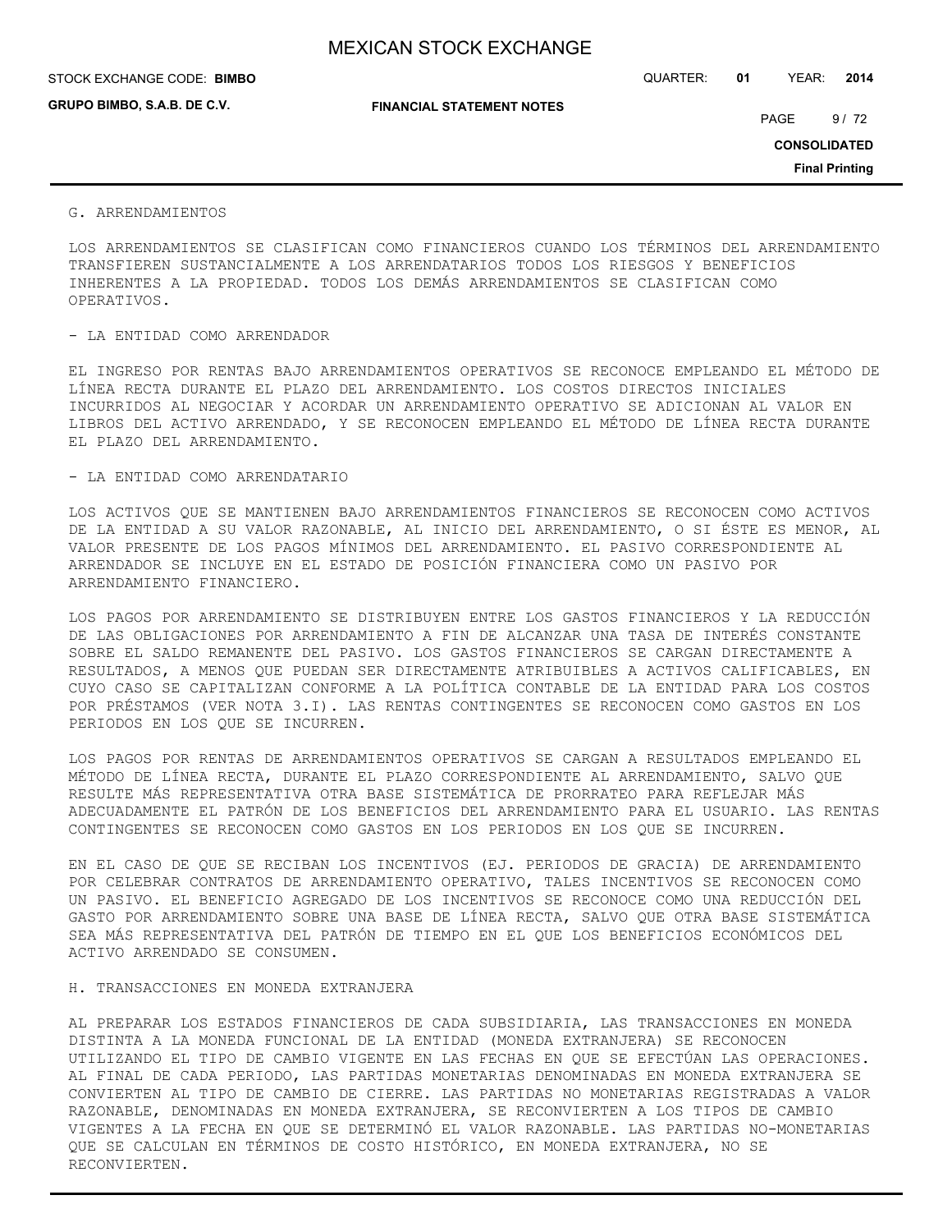| STOCK EXCHANGE CODE: BIMBO | QUARTER: | 01 | YEAR: | 2014 |
|----------------------------|----------|----|-------|------|

**GRUPO BIMBO, S.A.B. DE C.V.**

**FINANCIAL STATEMENT NOTES**

PAGE 9/72

**CONSOLIDATED**

**Final Printing**

#### G. ARRENDAMIENTOS

LOS ARRENDAMIENTOS SE CLASIFICAN COMO FINANCIEROS CUANDO LOS TÉRMINOS DEL ARRENDAMIENTO TRANSFIEREN SUSTANCIALMENTE A LOS ARRENDATARIOS TODOS LOS RIESGOS Y BENEFICIOS INHERENTES A LA PROPIEDAD. TODOS LOS DEMÁS ARRENDAMIENTOS SE CLASIFICAN COMO OPERATIVOS.

#### - LA ENTIDAD COMO ARRENDADOR

EL INGRESO POR RENTAS BAJO ARRENDAMIENTOS OPERATIVOS SE RECONOCE EMPLEANDO EL MÉTODO DE LÍNEA RECTA DURANTE EL PLAZO DEL ARRENDAMIENTO. LOS COSTOS DIRECTOS INICIALES INCURRIDOS AL NEGOCIAR Y ACORDAR UN ARRENDAMIENTO OPERATIVO SE ADICIONAN AL VALOR EN LIBROS DEL ACTIVO ARRENDADO, Y SE RECONOCEN EMPLEANDO EL MÉTODO DE LÍNEA RECTA DURANTE EL PLAZO DEL ARRENDAMIENTO.

#### - LA ENTIDAD COMO ARRENDATARIO

LOS ACTIVOS QUE SE MANTIENEN BAJO ARRENDAMIENTOS FINANCIEROS SE RECONOCEN COMO ACTIVOS DE LA ENTIDAD A SU VALOR RAZONABLE, AL INICIO DEL ARRENDAMIENTO, O SI ÉSTE ES MENOR, AL VALOR PRESENTE DE LOS PAGOS MÍNIMOS DEL ARRENDAMIENTO. EL PASIVO CORRESPONDIENTE AL ARRENDADOR SE INCLUYE EN EL ESTADO DE POSICIÓN FINANCIERA COMO UN PASIVO POR ARRENDAMIENTO FINANCIERO.

LOS PAGOS POR ARRENDAMIENTO SE DISTRIBUYEN ENTRE LOS GASTOS FINANCIEROS Y LA REDUCCIÓN DE LAS OBLIGACIONES POR ARRENDAMIENTO A FIN DE ALCANZAR UNA TASA DE INTERÉS CONSTANTE SOBRE EL SALDO REMANENTE DEL PASIVO. LOS GASTOS FINANCIEROS SE CARGAN DIRECTAMENTE A RESULTADOS, A MENOS QUE PUEDAN SER DIRECTAMENTE ATRIBUIBLES A ACTIVOS CALIFICABLES, EN CUYO CASO SE CAPITALIZAN CONFORME A LA POLÍTICA CONTABLE DE LA ENTIDAD PARA LOS COSTOS POR PRÉSTAMOS (VER NOTA 3.I). LAS RENTAS CONTINGENTES SE RECONOCEN COMO GASTOS EN LOS PERIODOS EN LOS QUE SE INCURREN.

LOS PAGOS POR RENTAS DE ARRENDAMIENTOS OPERATIVOS SE CARGAN A RESULTADOS EMPLEANDO EL MÉTODO DE LÍNEA RECTA, DURANTE EL PLAZO CORRESPONDIENTE AL ARRENDAMIENTO, SALVO QUE RESULTE MÁS REPRESENTATIVA OTRA BASE SISTEMÁTICA DE PRORRATEO PARA REFLEJAR MÁS ADECUADAMENTE EL PATRÓN DE LOS BENEFICIOS DEL ARRENDAMIENTO PARA EL USUARIO. LAS RENTAS CONTINGENTES SE RECONOCEN COMO GASTOS EN LOS PERIODOS EN LOS QUE SE INCURREN.

EN EL CASO DE QUE SE RECIBAN LOS INCENTIVOS (EJ. PERIODOS DE GRACIA) DE ARRENDAMIENTO POR CELEBRAR CONTRATOS DE ARRENDAMIENTO OPERATIVO, TALES INCENTIVOS SE RECONOCEN COMO UN PASIVO. EL BENEFICIO AGREGADO DE LOS INCENTIVOS SE RECONOCE COMO UNA REDUCCIÓN DEL GASTO POR ARRENDAMIENTO SOBRE UNA BASE DE LÍNEA RECTA, SALVO QUE OTRA BASE SISTEMÁTICA SEA MÁS REPRESENTATIVA DEL PATRÓN DE TIEMPO EN EL QUE LOS BENEFICIOS ECONÓMICOS DEL ACTIVO ARRENDADO SE CONSUMEN.

#### H. TRANSACCIONES EN MONEDA EXTRANJERA

AL PREPARAR LOS ESTADOS FINANCIEROS DE CADA SUBSIDIARIA, LAS TRANSACCIONES EN MONEDA DISTINTA A LA MONEDA FUNCIONAL DE LA ENTIDAD (MONEDA EXTRANJERA) SE RECONOCEN UTILIZANDO EL TIPO DE CAMBIO VIGENTE EN LAS FECHAS EN QUE SE EFECTÚAN LAS OPERACIONES. AL FINAL DE CADA PERIODO, LAS PARTIDAS MONETARIAS DENOMINADAS EN MONEDA EXTRANJERA SE CONVIERTEN AL TIPO DE CAMBIO DE CIERRE. LAS PARTIDAS NO MONETARIAS REGISTRADAS A VALOR RAZONABLE, DENOMINADAS EN MONEDA EXTRANJERA, SE RECONVIERTEN A LOS TIPOS DE CAMBIO VIGENTES A LA FECHA EN QUE SE DETERMINÓ EL VALOR RAZONABLE. LAS PARTIDAS NO-MONETARIAS QUE SE CALCULAN EN TÉRMINOS DE COSTO HISTÓRICO, EN MONEDA EXTRANJERA, NO SE RECONVIERTEN.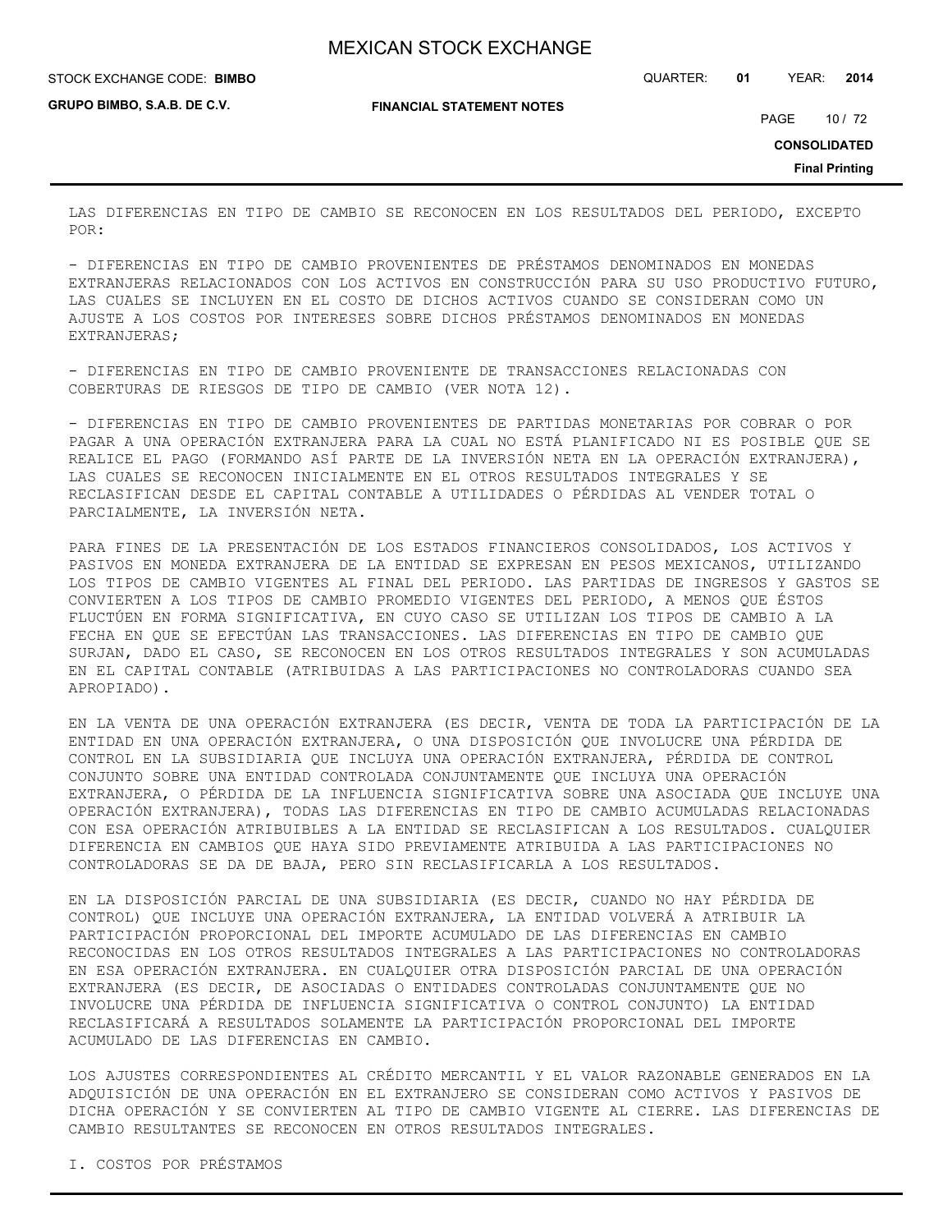STOCK EXCHANGE CODE: QUARTER: **01** YEAR: **2014 BIMBO**

**GRUPO BIMBO, S.A.B. DE C.V.**

**FINANCIAL STATEMENT NOTES**

PAGE 10 / 72

**CONSOLIDATED**

**Final Printing**

LAS DIFERENCIAS EN TIPO DE CAMBIO SE RECONOCEN EN LOS RESULTADOS DEL PERIODO, EXCEPTO POR:

- DIFERENCIAS EN TIPO DE CAMBIO PROVENIENTES DE PRÉSTAMOS DENOMINADOS EN MONEDAS EXTRANJERAS RELACIONADOS CON LOS ACTIVOS EN CONSTRUCCIÓN PARA SU USO PRODUCTIVO FUTURO, LAS CUALES SE INCLUYEN EN EL COSTO DE DICHOS ACTIVOS CUANDO SE CONSIDERAN COMO UN AJUSTE A LOS COSTOS POR INTERESES SOBRE DICHOS PRÉSTAMOS DENOMINADOS EN MONEDAS EXTRANJERAS;

- DIFERENCIAS EN TIPO DE CAMBIO PROVENIENTE DE TRANSACCIONES RELACIONADAS CON COBERTURAS DE RIESGOS DE TIPO DE CAMBIO (VER NOTA 12).

- DIFERENCIAS EN TIPO DE CAMBIO PROVENIENTES DE PARTIDAS MONETARIAS POR COBRAR O POR PAGAR A UNA OPERACIÓN EXTRANJERA PARA LA CUAL NO ESTÁ PLANIFICADO NI ES POSIBLE QUE SE REALICE EL PAGO (FORMANDO ASÍ PARTE DE LA INVERSIÓN NETA EN LA OPERACIÓN EXTRANJERA), LAS CUALES SE RECONOCEN INICIALMENTE EN EL OTROS RESULTADOS INTEGRALES Y SE RECLASIFICAN DESDE EL CAPITAL CONTABLE A UTILIDADES O PÉRDIDAS AL VENDER TOTAL O PARCIALMENTE, LA INVERSIÓN NETA.

PARA FINES DE LA PRESENTACIÓN DE LOS ESTADOS FINANCIEROS CONSOLIDADOS, LOS ACTIVOS Y PASIVOS EN MONEDA EXTRANJERA DE LA ENTIDAD SE EXPRESAN EN PESOS MEXICANOS, UTILIZANDO LOS TIPOS DE CAMBIO VIGENTES AL FINAL DEL PERIODO. LAS PARTIDAS DE INGRESOS Y GASTOS SE CONVIERTEN A LOS TIPOS DE CAMBIO PROMEDIO VIGENTES DEL PERIODO, A MENOS QUE ÉSTOS FLUCTÚEN EN FORMA SIGNIFICATIVA, EN CUYO CASO SE UTILIZAN LOS TIPOS DE CAMBIO A LA FECHA EN QUE SE EFECTÚAN LAS TRANSACCIONES. LAS DIFERENCIAS EN TIPO DE CAMBIO QUE SURJAN, DADO EL CASO, SE RECONOCEN EN LOS OTROS RESULTADOS INTEGRALES Y SON ACUMULADAS EN EL CAPITAL CONTABLE (ATRIBUIDAS A LAS PARTICIPACIONES NO CONTROLADORAS CUANDO SEA APROPIADO).

EN LA VENTA DE UNA OPERACIÓN EXTRANJERA (ES DECIR, VENTA DE TODA LA PARTICIPACIÓN DE LA ENTIDAD EN UNA OPERACIÓN EXTRANJERA, O UNA DISPOSICIÓN QUE INVOLUCRE UNA PÉRDIDA DE CONTROL EN LA SUBSIDIARIA QUE INCLUYA UNA OPERACIÓN EXTRANJERA, PÉRDIDA DE CONTROL CONJUNTO SOBRE UNA ENTIDAD CONTROLADA CONJUNTAMENTE QUE INCLUYA UNA OPERACIÓN EXTRANJERA, O PÉRDIDA DE LA INFLUENCIA SIGNIFICATIVA SOBRE UNA ASOCIADA QUE INCLUYE UNA OPERACIÓN EXTRANJERA), TODAS LAS DIFERENCIAS EN TIPO DE CAMBIO ACUMULADAS RELACIONADAS CON ESA OPERACIÓN ATRIBUIBLES A LA ENTIDAD SE RECLASIFICAN A LOS RESULTADOS. CUALQUIER DIFERENCIA EN CAMBIOS QUE HAYA SIDO PREVIAMENTE ATRIBUIDA A LAS PARTICIPACIONES NO CONTROLADORAS SE DA DE BAJA, PERO SIN RECLASIFICARLA A LOS RESULTADOS.

EN LA DISPOSICIÓN PARCIAL DE UNA SUBSIDIARIA (ES DECIR, CUANDO NO HAY PÉRDIDA DE CONTROL) QUE INCLUYE UNA OPERACIÓN EXTRANJERA, LA ENTIDAD VOLVERÁ A ATRIBUIR LA PARTICIPACIÓN PROPORCIONAL DEL IMPORTE ACUMULADO DE LAS DIFERENCIAS EN CAMBIO RECONOCIDAS EN LOS OTROS RESULTADOS INTEGRALES A LAS PARTICIPACIONES NO CONTROLADORAS EN ESA OPERACIÓN EXTRANJERA. EN CUALQUIER OTRA DISPOSICIÓN PARCIAL DE UNA OPERACIÓN EXTRANJERA (ES DECIR, DE ASOCIADAS O ENTIDADES CONTROLADAS CONJUNTAMENTE QUE NO INVOLUCRE UNA PÉRDIDA DE INFLUENCIA SIGNIFICATIVA O CONTROL CONJUNTO) LA ENTIDAD RECLASIFICARÁ A RESULTADOS SOLAMENTE LA PARTICIPACIÓN PROPORCIONAL DEL IMPORTE ACUMULADO DE LAS DIFERENCIAS EN CAMBIO.

LOS AJUSTES CORRESPONDIENTES AL CRÉDITO MERCANTIL Y EL VALOR RAZONABLE GENERADOS EN LA ADQUISICIÓN DE UNA OPERACIÓN EN EL EXTRANJERO SE CONSIDERAN COMO ACTIVOS Y PASIVOS DE DICHA OPERACIÓN Y SE CONVIERTEN AL TIPO DE CAMBIO VIGENTE AL CIERRE. LAS DIFERENCIAS DE CAMBIO RESULTANTES SE RECONOCEN EN OTROS RESULTADOS INTEGRALES.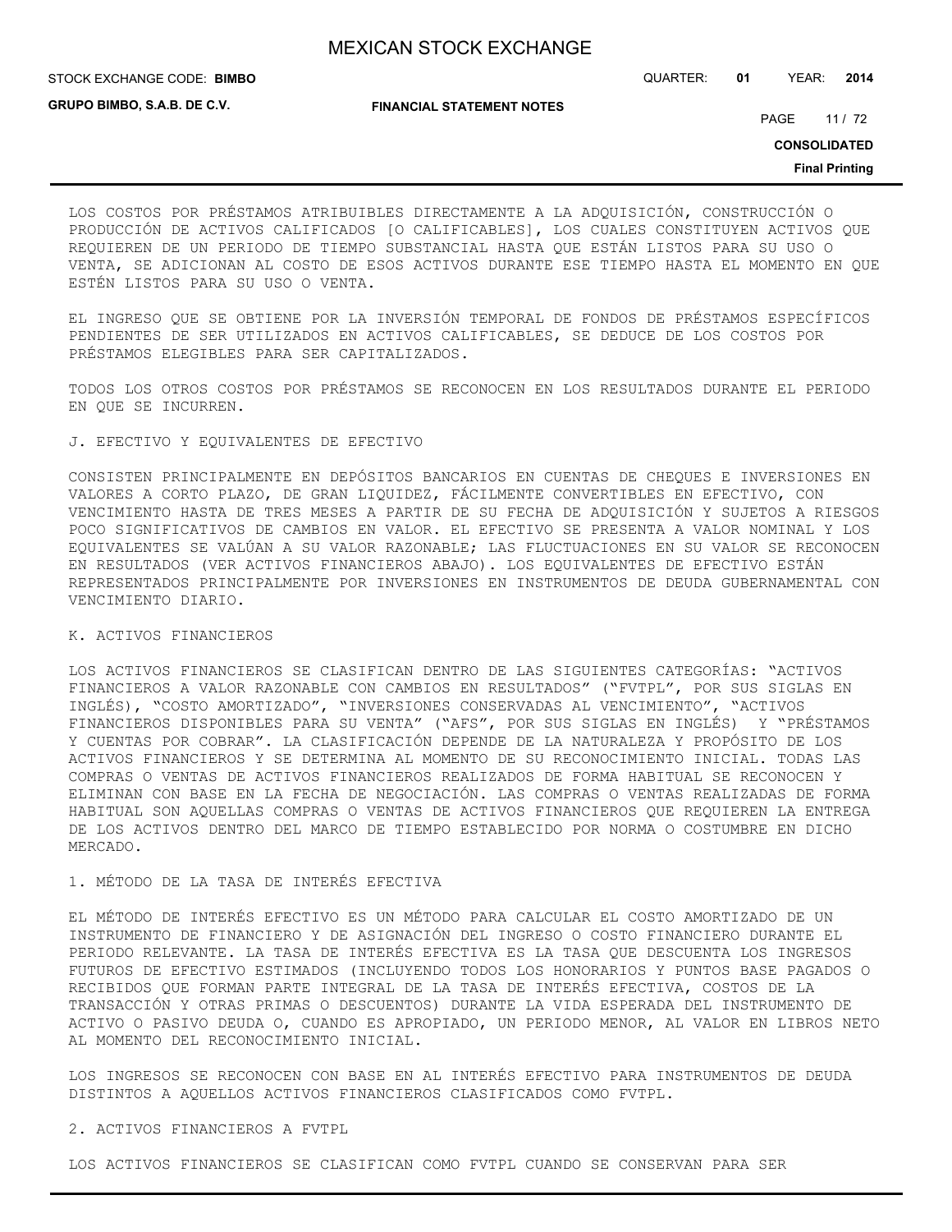STOCK EXCHANGE CODE: QUARTER: **01** YEAR: **2014 BIMBO**

**GRUPO BIMBO, S.A.B. DE C.V.**

**FINANCIAL STATEMENT NOTES**

PAGE 11/72

**CONSOLIDATED**

**Final Printing**

LOS COSTOS POR PRÉSTAMOS ATRIBUIBLES DIRECTAMENTE A LA ADQUISICIÓN, CONSTRUCCIÓN O PRODUCCIÓN DE ACTIVOS CALIFICADOS [O CALIFICABLES], LOS CUALES CONSTITUYEN ACTIVOS QUE REQUIEREN DE UN PERIODO DE TIEMPO SUBSTANCIAL HASTA QUE ESTÁN LISTOS PARA SU USO O VENTA, SE ADICIONAN AL COSTO DE ESOS ACTIVOS DURANTE ESE TIEMPO HASTA EL MOMENTO EN QUE ESTÉN LISTOS PARA SU USO O VENTA.

EL INGRESO QUE SE OBTIENE POR LA INVERSIÓN TEMPORAL DE FONDOS DE PRÉSTAMOS ESPECÍFICOS PENDIENTES DE SER UTILIZADOS EN ACTIVOS CALIFICABLES, SE DEDUCE DE LOS COSTOS POR PRÉSTAMOS ELEGIBLES PARA SER CAPITALIZADOS.

TODOS LOS OTROS COSTOS POR PRÉSTAMOS SE RECONOCEN EN LOS RESULTADOS DURANTE EL PERIODO EN QUE SE INCURREN.

### J. EFECTIVO Y EQUIVALENTES DE EFECTIVO

CONSISTEN PRINCIPALMENTE EN DEPÓSITOS BANCARIOS EN CUENTAS DE CHEQUES E INVERSIONES EN VALORES A CORTO PLAZO, DE GRAN LIQUIDEZ, FÁCILMENTE CONVERTIBLES EN EFECTIVO, CON VENCIMIENTO HASTA DE TRES MESES A PARTIR DE SU FECHA DE ADQUISICIÓN Y SUJETOS A RIESGOS POCO SIGNIFICATIVOS DE CAMBIOS EN VALOR. EL EFECTIVO SE PRESENTA A VALOR NOMINAL Y LOS EQUIVALENTES SE VALÚAN A SU VALOR RAZONABLE; LAS FLUCTUACIONES EN SU VALOR SE RECONOCEN EN RESULTADOS (VER ACTIVOS FINANCIEROS ABAJO). LOS EQUIVALENTES DE EFECTIVO ESTÁN REPRESENTADOS PRINCIPALMENTE POR INVERSIONES EN INSTRUMENTOS DE DEUDA GUBERNAMENTAL CON VENCIMIENTO DIARIO.

#### K. ACTIVOS FINANCIEROS

LOS ACTIVOS FINANCIEROS SE CLASIFICAN DENTRO DE LAS SIGUIENTES CATEGORÍAS: "ACTIVOS FINANCIEROS A VALOR RAZONABLE CON CAMBIOS EN RESULTADOS" ("FVTPL", POR SUS SIGLAS EN INGLÉS), "COSTO AMORTIZADO", "INVERSIONES CONSERVADAS AL VENCIMIENTO", "ACTIVOS FINANCIEROS DISPONIBLES PARA SU VENTA" ("AFS", POR SUS SIGLAS EN INGLÉS) Y "PRÉSTAMOS Y CUENTAS POR COBRAR". LA CLASIFICACIÓN DEPENDE DE LA NATURALEZA Y PROPÓSITO DE LOS ACTIVOS FINANCIEROS Y SE DETERMINA AL MOMENTO DE SU RECONOCIMIENTO INICIAL. TODAS LAS COMPRAS O VENTAS DE ACTIVOS FINANCIEROS REALIZADOS DE FORMA HABITUAL SE RECONOCEN Y ELIMINAN CON BASE EN LA FECHA DE NEGOCIACIÓN. LAS COMPRAS O VENTAS REALIZADAS DE FORMA HABITUAL SON AQUELLAS COMPRAS O VENTAS DE ACTIVOS FINANCIEROS QUE REQUIEREN LA ENTREGA DE LOS ACTIVOS DENTRO DEL MARCO DE TIEMPO ESTABLECIDO POR NORMA O COSTUMBRE EN DICHO MERCADO.

#### 1. MÉTODO DE LA TASA DE INTERÉS EFECTIVA

EL MÉTODO DE INTERÉS EFECTIVO ES UN MÉTODO PARA CALCULAR EL COSTO AMORTIZADO DE UN INSTRUMENTO DE FINANCIERO Y DE ASIGNACIÓN DEL INGRESO O COSTO FINANCIERO DURANTE EL PERIODO RELEVANTE. LA TASA DE INTERÉS EFECTIVA ES LA TASA QUE DESCUENTA LOS INGRESOS FUTUROS DE EFECTIVO ESTIMADOS (INCLUYENDO TODOS LOS HONORARIOS Y PUNTOS BASE PAGADOS O RECIBIDOS QUE FORMAN PARTE INTEGRAL DE LA TASA DE INTERÉS EFECTIVA, COSTOS DE LA TRANSACCIÓN Y OTRAS PRIMAS O DESCUENTOS) DURANTE LA VIDA ESPERADA DEL INSTRUMENTO DE ACTIVO O PASIVO DEUDA O, CUANDO ES APROPIADO, UN PERIODO MENOR, AL VALOR EN LIBROS NETO AL MOMENTO DEL RECONOCIMIENTO INICIAL.

LOS INGRESOS SE RECONOCEN CON BASE EN AL INTERÉS EFECTIVO PARA INSTRUMENTOS DE DEUDA DISTINTOS A AQUELLOS ACTIVOS FINANCIEROS CLASIFICADOS COMO FVTPL.

#### 2. ACTIVOS FINANCIEROS A FVTPL

LOS ACTIVOS FINANCIEROS SE CLASIFICAN COMO FVTPL CUANDO SE CONSERVAN PARA SER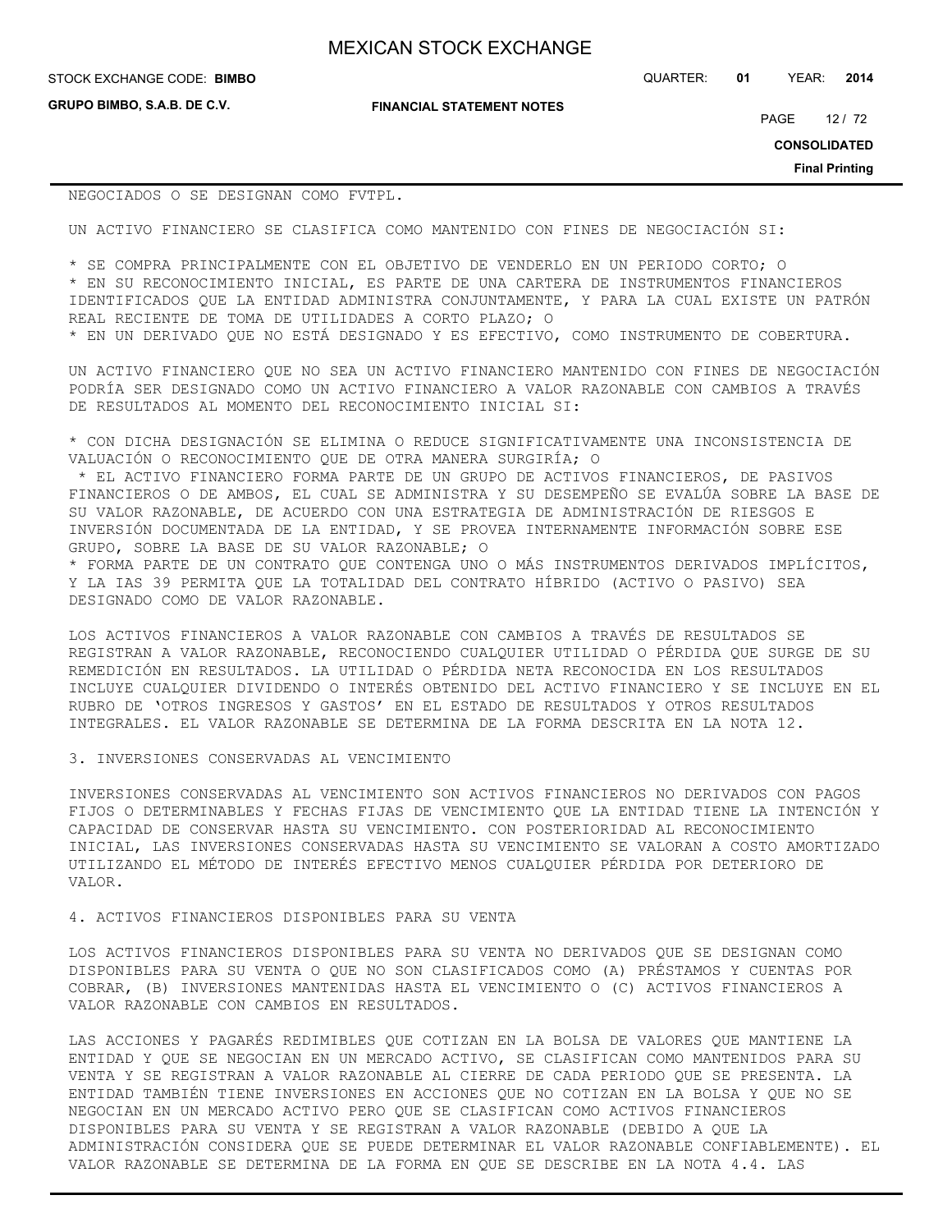**GRUPO BIMBO, S.A.B. DE C.V.**

**FINANCIAL STATEMENT NOTES**

STOCK EXCHANGE CODE: QUARTER: **01** YEAR: **2014 BIMBO**

PAGE 12 / 72

**CONSOLIDATED**

**Final Printing**

NEGOCIADOS O SE DESIGNAN COMO FVTPL.

UN ACTIVO FINANCIERO SE CLASIFICA COMO MANTENIDO CON FINES DE NEGOCIACIÓN SI:

\* SE COMPRA PRINCIPALMENTE CON EL OBJETIVO DE VENDERLO EN UN PERIODO CORTO; O \* EN SU RECONOCIMIENTO INICIAL, ES PARTE DE UNA CARTERA DE INSTRUMENTOS FINANCIEROS IDENTIFICADOS QUE LA ENTIDAD ADMINISTRA CONJUNTAMENTE, Y PARA LA CUAL EXISTE UN PATRÓN REAL RECIENTE DE TOMA DE UTILIDADES A CORTO PLAZO; O \* EN UN DERIVADO QUE NO ESTÁ DESIGNADO Y ES EFECTIVO, COMO INSTRUMENTO DE COBERTURA.

UN ACTIVO FINANCIERO QUE NO SEA UN ACTIVO FINANCIERO MANTENIDO CON FINES DE NEGOCIACIÓN PODRÍA SER DESIGNADO COMO UN ACTIVO FINANCIERO A VALOR RAZONABLE CON CAMBIOS A TRAVÉS DE RESULTADOS AL MOMENTO DEL RECONOCIMIENTO INICIAL SI:

\* CON DICHA DESIGNACIÓN SE ELIMINA O REDUCE SIGNIFICATIVAMENTE UNA INCONSISTENCIA DE VALUACIÓN O RECONOCIMIENTO QUE DE OTRA MANERA SURGIRÍA; O

 \* EL ACTIVO FINANCIERO FORMA PARTE DE UN GRUPO DE ACTIVOS FINANCIEROS, DE PASIVOS FINANCIEROS O DE AMBOS, EL CUAL SE ADMINISTRA Y SU DESEMPEÑO SE EVALÚA SOBRE LA BASE DE SU VALOR RAZONABLE, DE ACUERDO CON UNA ESTRATEGIA DE ADMINISTRACIÓN DE RIESGOS E INVERSIÓN DOCUMENTADA DE LA ENTIDAD, Y SE PROVEA INTERNAMENTE INFORMACIÓN SOBRE ESE GRUPO, SOBRE LA BASE DE SU VALOR RAZONABLE; O

\* FORMA PARTE DE UN CONTRATO QUE CONTENGA UNO O MÁS INSTRUMENTOS DERIVADOS IMPLÍCITOS, Y LA IAS 39 PERMITA QUE LA TOTALIDAD DEL CONTRATO HÍBRIDO (ACTIVO O PASIVO) SEA DESIGNADO COMO DE VALOR RAZONABLE.

LOS ACTIVOS FINANCIEROS A VALOR RAZONABLE CON CAMBIOS A TRAVÉS DE RESULTADOS SE REGISTRAN A VALOR RAZONABLE, RECONOCIENDO CUALQUIER UTILIDAD O PÉRDIDA QUE SURGE DE SU REMEDICIÓN EN RESULTADOS. LA UTILIDAD O PÉRDIDA NETA RECONOCIDA EN LOS RESULTADOS INCLUYE CUALQUIER DIVIDENDO O INTERÉS OBTENIDO DEL ACTIVO FINANCIERO Y SE INCLUYE EN EL RUBRO DE 'OTROS INGRESOS Y GASTOS' EN EL ESTADO DE RESULTADOS Y OTROS RESULTADOS INTEGRALES. EL VALOR RAZONABLE SE DETERMINA DE LA FORMA DESCRITA EN LA NOTA 12.

3. INVERSIONES CONSERVADAS AL VENCIMIENTO

INVERSIONES CONSERVADAS AL VENCIMIENTO SON ACTIVOS FINANCIEROS NO DERIVADOS CON PAGOS FIJOS O DETERMINABLES Y FECHAS FIJAS DE VENCIMIENTO QUE LA ENTIDAD TIENE LA INTENCIÓN Y CAPACIDAD DE CONSERVAR HASTA SU VENCIMIENTO. CON POSTERIORIDAD AL RECONOCIMIENTO INICIAL, LAS INVERSIONES CONSERVADAS HASTA SU VENCIMIENTO SE VALORAN A COSTO AMORTIZADO UTILIZANDO EL MÉTODO DE INTERÉS EFECTIVO MENOS CUALQUIER PÉRDIDA POR DETERIORO DE VALOR.

4. ACTIVOS FINANCIEROS DISPONIBLES PARA SU VENTA

LOS ACTIVOS FINANCIEROS DISPONIBLES PARA SU VENTA NO DERIVADOS QUE SE DESIGNAN COMO DISPONIBLES PARA SU VENTA O QUE NO SON CLASIFICADOS COMO (A) PRÉSTAMOS Y CUENTAS POR COBRAR, (B) INVERSIONES MANTENIDAS HASTA EL VENCIMIENTO O (C) ACTIVOS FINANCIEROS A VALOR RAZONABLE CON CAMBIOS EN RESULTADOS.

LAS ACCIONES Y PAGARÉS REDIMIBLES QUE COTIZAN EN LA BOLSA DE VALORES QUE MANTIENE LA ENTIDAD Y QUE SE NEGOCIAN EN UN MERCADO ACTIVO, SE CLASIFICAN COMO MANTENIDOS PARA SU VENTA Y SE REGISTRAN A VALOR RAZONABLE AL CIERRE DE CADA PERIODO QUE SE PRESENTA. LA ENTIDAD TAMBIÉN TIENE INVERSIONES EN ACCIONES QUE NO COTIZAN EN LA BOLSA Y QUE NO SE NEGOCIAN EN UN MERCADO ACTIVO PERO QUE SE CLASIFICAN COMO ACTIVOS FINANCIEROS DISPONIBLES PARA SU VENTA Y SE REGISTRAN A VALOR RAZONABLE (DEBIDO A QUE LA ADMINISTRACIÓN CONSIDERA QUE SE PUEDE DETERMINAR EL VALOR RAZONABLE CONFIABLEMENTE). EL VALOR RAZONABLE SE DETERMINA DE LA FORMA EN QUE SE DESCRIBE EN LA NOTA 4.4. LAS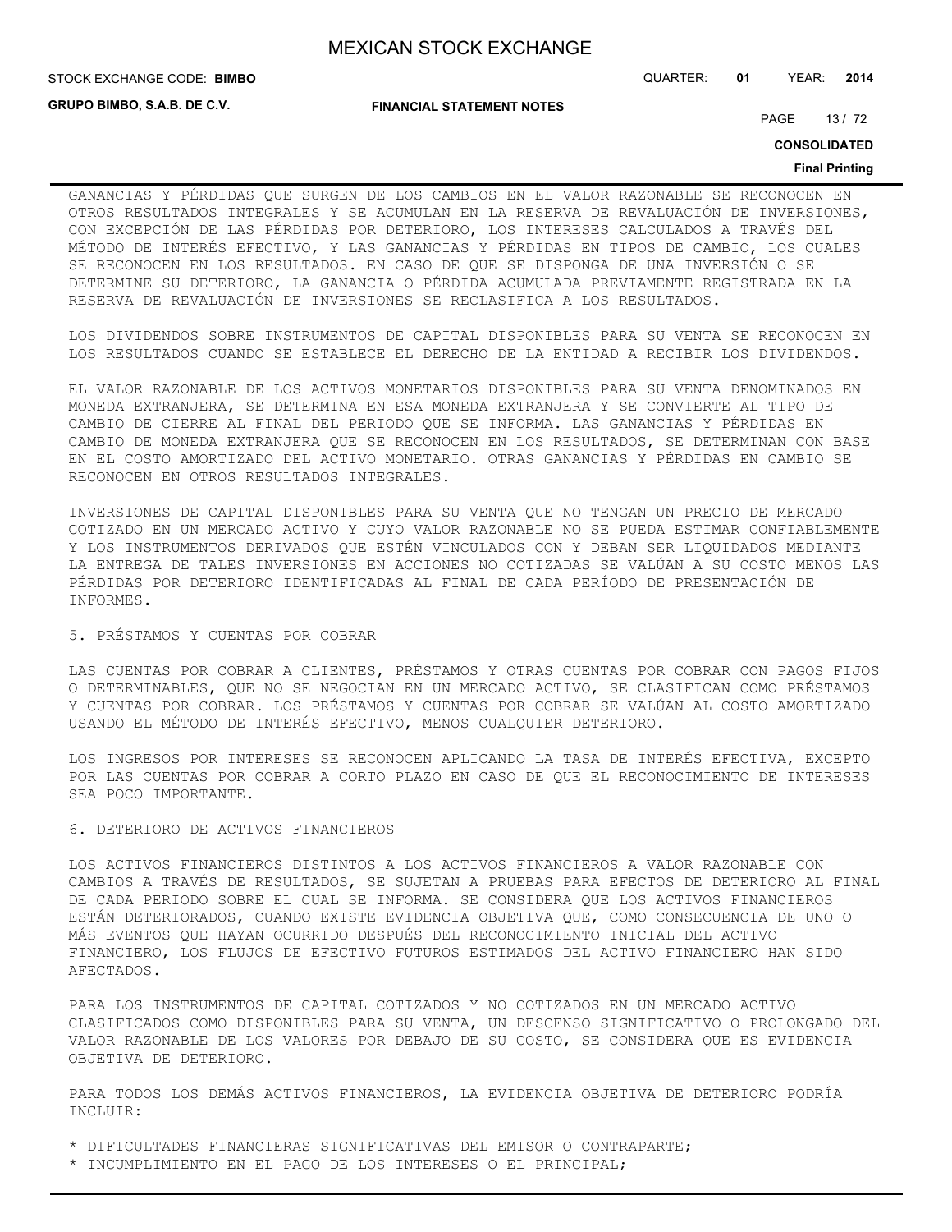**GRUPO BIMBO, S.A.B. DE C.V.**

**FINANCIAL STATEMENT NOTES**

STOCK EXCHANGE CODE: QUARTER: **01** YEAR: **2014 BIMBO**

PAGE 13/72

**CONSOLIDATED**

#### **Final Printing**

GANANCIAS Y PÉRDIDAS QUE SURGEN DE LOS CAMBIOS EN EL VALOR RAZONABLE SE RECONOCEN EN OTROS RESULTADOS INTEGRALES Y SE ACUMULAN EN LA RESERVA DE REVALUACIÓN DE INVERSIONES, CON EXCEPCIÓN DE LAS PÉRDIDAS POR DETERIORO, LOS INTERESES CALCULADOS A TRAVÉS DEL MÉTODO DE INTERÉS EFECTIVO, Y LAS GANANCIAS Y PÉRDIDAS EN TIPOS DE CAMBIO, LOS CUALES SE RECONOCEN EN LOS RESULTADOS. EN CASO DE QUE SE DISPONGA DE UNA INVERSIÓN O SE DETERMINE SU DETERIORO, LA GANANCIA O PÉRDIDA ACUMULADA PREVIAMENTE REGISTRADA EN LA RESERVA DE REVALUACIÓN DE INVERSIONES SE RECLASIFICA A LOS RESULTADOS.

LOS DIVIDENDOS SOBRE INSTRUMENTOS DE CAPITAL DISPONIBLES PARA SU VENTA SE RECONOCEN EN LOS RESULTADOS CUANDO SE ESTABLECE EL DERECHO DE LA ENTIDAD A RECIBIR LOS DIVIDENDOS.

EL VALOR RAZONABLE DE LOS ACTIVOS MONETARIOS DISPONIBLES PARA SU VENTA DENOMINADOS EN MONEDA EXTRANJERA, SE DETERMINA EN ESA MONEDA EXTRANJERA Y SE CONVIERTE AL TIPO DE CAMBIO DE CIERRE AL FINAL DEL PERIODO QUE SE INFORMA. LAS GANANCIAS Y PÉRDIDAS EN CAMBIO DE MONEDA EXTRANJERA QUE SE RECONOCEN EN LOS RESULTADOS, SE DETERMINAN CON BASE EN EL COSTO AMORTIZADO DEL ACTIVO MONETARIO. OTRAS GANANCIAS Y PÉRDIDAS EN CAMBIO SE RECONOCEN EN OTROS RESULTADOS INTEGRALES.

INVERSIONES DE CAPITAL DISPONIBLES PARA SU VENTA QUE NO TENGAN UN PRECIO DE MERCADO COTIZADO EN UN MERCADO ACTIVO Y CUYO VALOR RAZONABLE NO SE PUEDA ESTIMAR CONFIABLEMENTE Y LOS INSTRUMENTOS DERIVADOS QUE ESTÉN VINCULADOS CON Y DEBAN SER LIQUIDADOS MEDIANTE LA ENTREGA DE TALES INVERSIONES EN ACCIONES NO COTIZADAS SE VALÚAN A SU COSTO MENOS LAS PÉRDIDAS POR DETERIORO IDENTIFICADAS AL FINAL DE CADA PERÍODO DE PRESENTACIÓN DE INFORMES.

#### 5. PRÉSTAMOS Y CUENTAS POR COBRAR

LAS CUENTAS POR COBRAR A CLIENTES, PRÉSTAMOS Y OTRAS CUENTAS POR COBRAR CON PAGOS FIJOS O DETERMINABLES, QUE NO SE NEGOCIAN EN UN MERCADO ACTIVO, SE CLASIFICAN COMO PRÉSTAMOS Y CUENTAS POR COBRAR. LOS PRÉSTAMOS Y CUENTAS POR COBRAR SE VALÚAN AL COSTO AMORTIZADO USANDO EL MÉTODO DE INTERÉS EFECTIVO, MENOS CUALQUIER DETERIORO.

LOS INGRESOS POR INTERESES SE RECONOCEN APLICANDO LA TASA DE INTERÉS EFECTIVA, EXCEPTO POR LAS CUENTAS POR COBRAR A CORTO PLAZO EN CASO DE QUE EL RECONOCIMIENTO DE INTERESES SEA POCO IMPORTANTE.

#### 6. DETERIORO DE ACTIVOS FINANCIEROS

LOS ACTIVOS FINANCIEROS DISTINTOS A LOS ACTIVOS FINANCIEROS A VALOR RAZONABLE CON CAMBIOS A TRAVÉS DE RESULTADOS, SE SUJETAN A PRUEBAS PARA EFECTOS DE DETERIORO AL FINAL DE CADA PERIODO SOBRE EL CUAL SE INFORMA. SE CONSIDERA QUE LOS ACTIVOS FINANCIEROS ESTÁN DETERIORADOS, CUANDO EXISTE EVIDENCIA OBJETIVA QUE, COMO CONSECUENCIA DE UNO O MÁS EVENTOS QUE HAYAN OCURRIDO DESPUÉS DEL RECONOCIMIENTO INICIAL DEL ACTIVO FINANCIERO, LOS FLUJOS DE EFECTIVO FUTUROS ESTIMADOS DEL ACTIVO FINANCIERO HAN SIDO AFECTADOS.

PARA LOS INSTRUMENTOS DE CAPITAL COTIZADOS Y NO COTIZADOS EN UN MERCADO ACTIVO CLASIFICADOS COMO DISPONIBLES PARA SU VENTA, UN DESCENSO SIGNIFICATIVO O PROLONGADO DEL VALOR RAZONABLE DE LOS VALORES POR DEBAJO DE SU COSTO, SE CONSIDERA QUE ES EVIDENCIA OBJETIVA DE DETERIORO.

PARA TODOS LOS DEMÁS ACTIVOS FINANCIEROS, LA EVIDENCIA OBJETIVA DE DETERIORO PODRÍA INCLUIR:

\* DIFICULTADES FINANCIERAS SIGNIFICATIVAS DEL EMISOR O CONTRAPARTE;

\* INCUMPLIMIENTO EN EL PAGO DE LOS INTERESES O EL PRINCIPAL;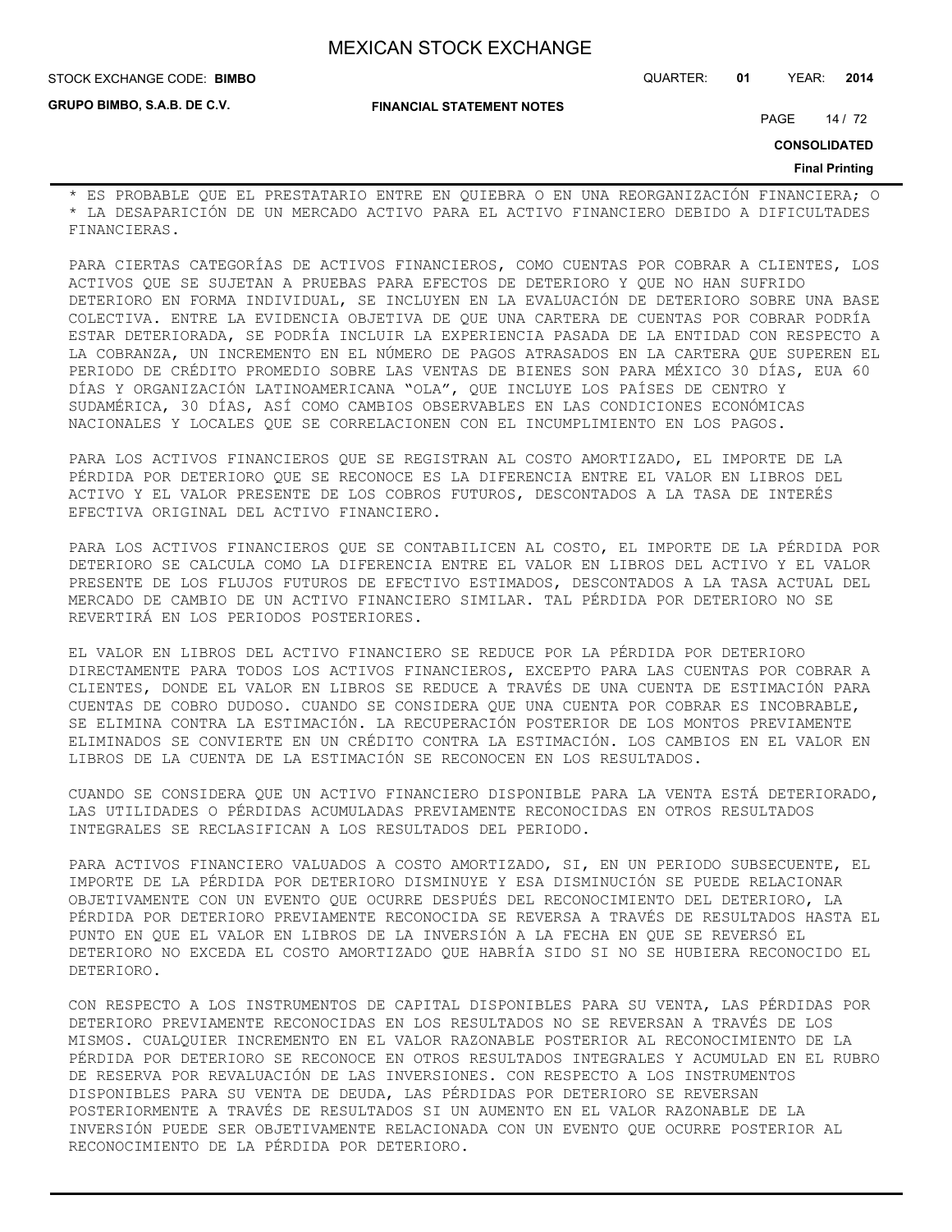**GRUPO BIMBO, S.A.B. DE C.V.**

STOCK EXCHANGE CODE: QUARTER: **01** YEAR: **2014 BIMBO**

**FINANCIAL STATEMENT NOTES**

PAGE 14 / 72

**CONSOLIDATED**

#### **Final Printing**

\* ES PROBABLE QUE EL PRESTATARIO ENTRE EN QUIEBRA O EN UNA REORGANIZACIÓN FINANCIERA; O \* LA DESAPARICIÓN DE UN MERCADO ACTIVO PARA EL ACTIVO FINANCIERO DEBIDO A DIFICULTADES FINANCIERAS.

PARA CIERTAS CATEGORÍAS DE ACTIVOS FINANCIEROS, COMO CUENTAS POR COBRAR A CLIENTES, LOS ACTIVOS QUE SE SUJETAN A PRUEBAS PARA EFECTOS DE DETERIORO Y QUE NO HAN SUFRIDO DETERIORO EN FORMA INDIVIDUAL, SE INCLUYEN EN LA EVALUACIÓN DE DETERIORO SOBRE UNA BASE COLECTIVA. ENTRE LA EVIDENCIA OBJETIVA DE QUE UNA CARTERA DE CUENTAS POR COBRAR PODRÍA ESTAR DETERIORADA, SE PODRÍA INCLUIR LA EXPERIENCIA PASADA DE LA ENTIDAD CON RESPECTO A LA COBRANZA, UN INCREMENTO EN EL NÚMERO DE PAGOS ATRASADOS EN LA CARTERA QUE SUPEREN EL PERIODO DE CRÉDITO PROMEDIO SOBRE LAS VENTAS DE BIENES SON PARA MÉXICO 30 DÍAS, EUA 60 DÍAS Y ORGANIZACIÓN LATINOAMERICANA "OLA", QUE INCLUYE LOS PAÍSES DE CENTRO Y SUDAMÉRICA, 30 DÍAS, ASÍ COMO CAMBIOS OBSERVABLES EN LAS CONDICIONES ECONÓMICAS NACIONALES Y LOCALES QUE SE CORRELACIONEN CON EL INCUMPLIMIENTO EN LOS PAGOS.

PARA LOS ACTIVOS FINANCIEROS QUE SE REGISTRAN AL COSTO AMORTIZADO, EL IMPORTE DE LA PÉRDIDA POR DETERIORO QUE SE RECONOCE ES LA DIFERENCIA ENTRE EL VALOR EN LIBROS DEL ACTIVO Y EL VALOR PRESENTE DE LOS COBROS FUTUROS, DESCONTADOS A LA TASA DE INTERÉS EFECTIVA ORIGINAL DEL ACTIVO FINANCIERO.

PARA LOS ACTIVOS FINANCIEROS QUE SE CONTABILICEN AL COSTO, EL IMPORTE DE LA PÉRDIDA POR DETERIORO SE CALCULA COMO LA DIFERENCIA ENTRE EL VALOR EN LIBROS DEL ACTIVO Y EL VALOR PRESENTE DE LOS FLUJOS FUTUROS DE EFECTIVO ESTIMADOS, DESCONTADOS A LA TASA ACTUAL DEL MERCADO DE CAMBIO DE UN ACTIVO FINANCIERO SIMILAR. TAL PÉRDIDA POR DETERIORO NO SE REVERTIRÁ EN LOS PERIODOS POSTERIORES.

EL VALOR EN LIBROS DEL ACTIVO FINANCIERO SE REDUCE POR LA PÉRDIDA POR DETERIORO DIRECTAMENTE PARA TODOS LOS ACTIVOS FINANCIEROS, EXCEPTO PARA LAS CUENTAS POR COBRAR A CLIENTES, DONDE EL VALOR EN LIBROS SE REDUCE A TRAVÉS DE UNA CUENTA DE ESTIMACIÓN PARA CUENTAS DE COBRO DUDOSO. CUANDO SE CONSIDERA QUE UNA CUENTA POR COBRAR ES INCOBRABLE, SE ELIMINA CONTRA LA ESTIMACIÓN. LA RECUPERACIÓN POSTERIOR DE LOS MONTOS PREVIAMENTE ELIMINADOS SE CONVIERTE EN UN CRÉDITO CONTRA LA ESTIMACIÓN. LOS CAMBIOS EN EL VALOR EN LIBROS DE LA CUENTA DE LA ESTIMACIÓN SE RECONOCEN EN LOS RESULTADOS.

CUANDO SE CONSIDERA QUE UN ACTIVO FINANCIERO DISPONIBLE PARA LA VENTA ESTÁ DETERIORADO, LAS UTILIDADES O PÉRDIDAS ACUMULADAS PREVIAMENTE RECONOCIDAS EN OTROS RESULTADOS INTEGRALES SE RECLASIFICAN A LOS RESULTADOS DEL PERIODO.

PARA ACTIVOS FINANCIERO VALUADOS A COSTO AMORTIZADO, SI, EN UN PERIODO SUBSECUENTE, EL IMPORTE DE LA PÉRDIDA POR DETERIORO DISMINUYE Y ESA DISMINUCIÓN SE PUEDE RELACIONAR OBJETIVAMENTE CON UN EVENTO QUE OCURRE DESPUÉS DEL RECONOCIMIENTO DEL DETERIORO, LA PÉRDIDA POR DETERIORO PREVIAMENTE RECONOCIDA SE REVERSA A TRAVÉS DE RESULTADOS HASTA EL PUNTO EN QUE EL VALOR EN LIBROS DE LA INVERSIÓN A LA FECHA EN QUE SE REVERSÓ EL DETERIORO NO EXCEDA EL COSTO AMORTIZADO QUE HABRÍA SIDO SI NO SE HUBIERA RECONOCIDO EL DETERIORO.

CON RESPECTO A LOS INSTRUMENTOS DE CAPITAL DISPONIBLES PARA SU VENTA, LAS PÉRDIDAS POR DETERIORO PREVIAMENTE RECONOCIDAS EN LOS RESULTADOS NO SE REVERSAN A TRAVÉS DE LOS MISMOS. CUALQUIER INCREMENTO EN EL VALOR RAZONABLE POSTERIOR AL RECONOCIMIENTO DE LA PÉRDIDA POR DETERIORO SE RECONOCE EN OTROS RESULTADOS INTEGRALES Y ACUMULAD EN EL RUBRO DE RESERVA POR REVALUACIÓN DE LAS INVERSIONES. CON RESPECTO A LOS INSTRUMENTOS DISPONIBLES PARA SU VENTA DE DEUDA, LAS PÉRDIDAS POR DETERIORO SE REVERSAN POSTERIORMENTE A TRAVÉS DE RESULTADOS SI UN AUMENTO EN EL VALOR RAZONABLE DE LA INVERSIÓN PUEDE SER OBJETIVAMENTE RELACIONADA CON UN EVENTO QUE OCURRE POSTERIOR AL RECONOCIMIENTO DE LA PÉRDIDA POR DETERIORO.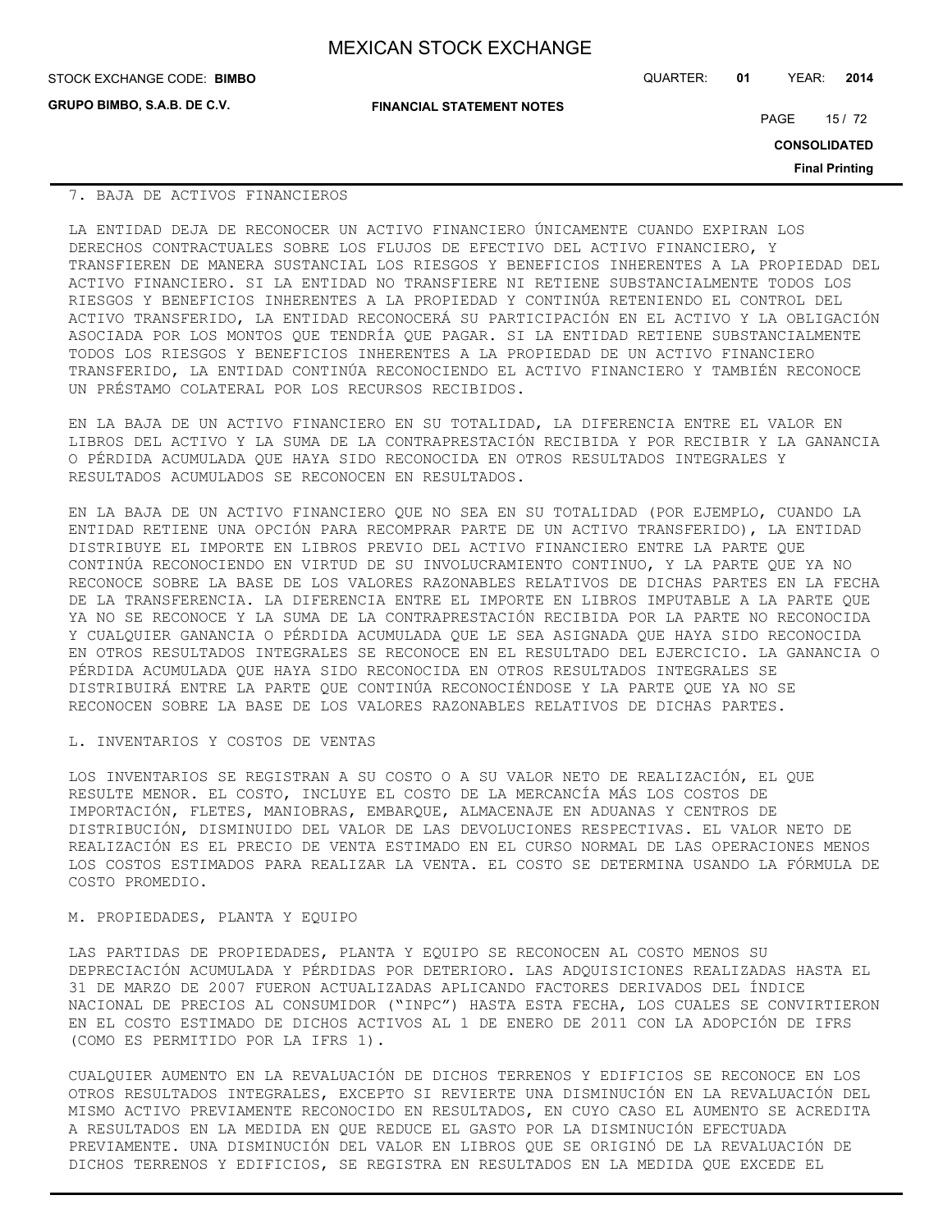**GRUPO BIMBO, S.A.B. DE C.V.**

STOCK EXCHANGE CODE: QUARTER: **01** YEAR: **2014 BIMBO**

**FINANCIAL STATEMENT NOTES**

PAGE 15 / 72

**CONSOLIDATED**

**Final Printing**

### 7. BAJA DE ACTIVOS FINANCIEROS

LA ENTIDAD DEJA DE RECONOCER UN ACTIVO FINANCIERO ÚNICAMENTE CUANDO EXPIRAN LOS DERECHOS CONTRACTUALES SOBRE LOS FLUJOS DE EFECTIVO DEL ACTIVO FINANCIERO, Y TRANSFIEREN DE MANERA SUSTANCIAL LOS RIESGOS Y BENEFICIOS INHERENTES A LA PROPIEDAD DEL ACTIVO FINANCIERO. SI LA ENTIDAD NO TRANSFIERE NI RETIENE SUBSTANCIALMENTE TODOS LOS RIESGOS Y BENEFICIOS INHERENTES A LA PROPIEDAD Y CONTINÚA RETENIENDO EL CONTROL DEL ACTIVO TRANSFERIDO, LA ENTIDAD RECONOCERÁ SU PARTICIPACIÓN EN EL ACTIVO Y LA OBLIGACIÓN ASOCIADA POR LOS MONTOS QUE TENDRÍA QUE PAGAR. SI LA ENTIDAD RETIENE SUBSTANCIALMENTE TODOS LOS RIESGOS Y BENEFICIOS INHERENTES A LA PROPIEDAD DE UN ACTIVO FINANCIERO TRANSFERIDO, LA ENTIDAD CONTINÚA RECONOCIENDO EL ACTIVO FINANCIERO Y TAMBIÉN RECONOCE UN PRÉSTAMO COLATERAL POR LOS RECURSOS RECIBIDOS.

EN LA BAJA DE UN ACTIVO FINANCIERO EN SU TOTALIDAD, LA DIFERENCIA ENTRE EL VALOR EN LIBROS DEL ACTIVO Y LA SUMA DE LA CONTRAPRESTACIÓN RECIBIDA Y POR RECIBIR Y LA GANANCIA O PÉRDIDA ACUMULADA QUE HAYA SIDO RECONOCIDA EN OTROS RESULTADOS INTEGRALES Y RESULTADOS ACUMULADOS SE RECONOCEN EN RESULTADOS.

EN LA BAJA DE UN ACTIVO FINANCIERO QUE NO SEA EN SU TOTALIDAD (POR EJEMPLO, CUANDO LA ENTIDAD RETIENE UNA OPCIÓN PARA RECOMPRAR PARTE DE UN ACTIVO TRANSFERIDO), LA ENTIDAD DISTRIBUYE EL IMPORTE EN LIBROS PREVIO DEL ACTIVO FINANCIERO ENTRE LA PARTE QUE CONTINÚA RECONOCIENDO EN VIRTUD DE SU INVOLUCRAMIENTO CONTINUO, Y LA PARTE QUE YA NO RECONOCE SOBRE LA BASE DE LOS VALORES RAZONABLES RELATIVOS DE DICHAS PARTES EN LA FECHA DE LA TRANSFERENCIA. LA DIFERENCIA ENTRE EL IMPORTE EN LIBROS IMPUTABLE A LA PARTE QUE YA NO SE RECONOCE Y LA SUMA DE LA CONTRAPRESTACIÓN RECIBIDA POR LA PARTE NO RECONOCIDA Y CUALQUIER GANANCIA O PÉRDIDA ACUMULADA QUE LE SEA ASIGNADA QUE HAYA SIDO RECONOCIDA EN OTROS RESULTADOS INTEGRALES SE RECONOCE EN EL RESULTADO DEL EJERCICIO. LA GANANCIA O PÉRDIDA ACUMULADA QUE HAYA SIDO RECONOCIDA EN OTROS RESULTADOS INTEGRALES SE DISTRIBUIRÁ ENTRE LA PARTE QUE CONTINÚA RECONOCIÉNDOSE Y LA PARTE QUE YA NO SE RECONOCEN SOBRE LA BASE DE LOS VALORES RAZONABLES RELATIVOS DE DICHAS PARTES.

### L. INVENTARIOS Y COSTOS DE VENTAS

LOS INVENTARIOS SE REGISTRAN A SU COSTO O A SU VALOR NETO DE REALIZACIÓN, EL QUE RESULTE MENOR. EL COSTO, INCLUYE EL COSTO DE LA MERCANCÍA MÁS LOS COSTOS DE IMPORTACIÓN, FLETES, MANIOBRAS, EMBARQUE, ALMACENAJE EN ADUANAS Y CENTROS DE DISTRIBUCIÓN, DISMINUIDO DEL VALOR DE LAS DEVOLUCIONES RESPECTIVAS. EL VALOR NETO DE REALIZACIÓN ES EL PRECIO DE VENTA ESTIMADO EN EL CURSO NORMAL DE LAS OPERACIONES MENOS LOS COSTOS ESTIMADOS PARA REALIZAR LA VENTA. EL COSTO SE DETERMINA USANDO LA FÓRMULA DE COSTO PROMEDIO.

### M. PROPIEDADES, PLANTA Y EQUIPO

LAS PARTIDAS DE PROPIEDADES, PLANTA Y EQUIPO SE RECONOCEN AL COSTO MENOS SU DEPRECIACIÓN ACUMULADA Y PÉRDIDAS POR DETERIORO. LAS ADQUISICIONES REALIZADAS HASTA EL 31 DE MARZO DE 2007 FUERON ACTUALIZADAS APLICANDO FACTORES DERIVADOS DEL ÍNDICE NACIONAL DE PRECIOS AL CONSUMIDOR ("INPC") HASTA ESTA FECHA, LOS CUALES SE CONVIRTIERON EN EL COSTO ESTIMADO DE DICHOS ACTIVOS AL 1 DE ENERO DE 2011 CON LA ADOPCIÓN DE IFRS (COMO ES PERMITIDO POR LA IFRS 1).

CUALQUIER AUMENTO EN LA REVALUACIÓN DE DICHOS TERRENOS Y EDIFICIOS SE RECONOCE EN LOS OTROS RESULTADOS INTEGRALES, EXCEPTO SI REVIERTE UNA DISMINUCIÓN EN LA REVALUACIÓN DEL MISMO ACTIVO PREVIAMENTE RECONOCIDO EN RESULTADOS, EN CUYO CASO EL AUMENTO SE ACREDITA A RESULTADOS EN LA MEDIDA EN QUE REDUCE EL GASTO POR LA DISMINUCIÓN EFECTUADA PREVIAMENTE. UNA DISMINUCIÓN DEL VALOR EN LIBROS QUE SE ORIGINÓ DE LA REVALUACIÓN DE DICHOS TERRENOS Y EDIFICIOS, SE REGISTRA EN RESULTADOS EN LA MEDIDA QUE EXCEDE EL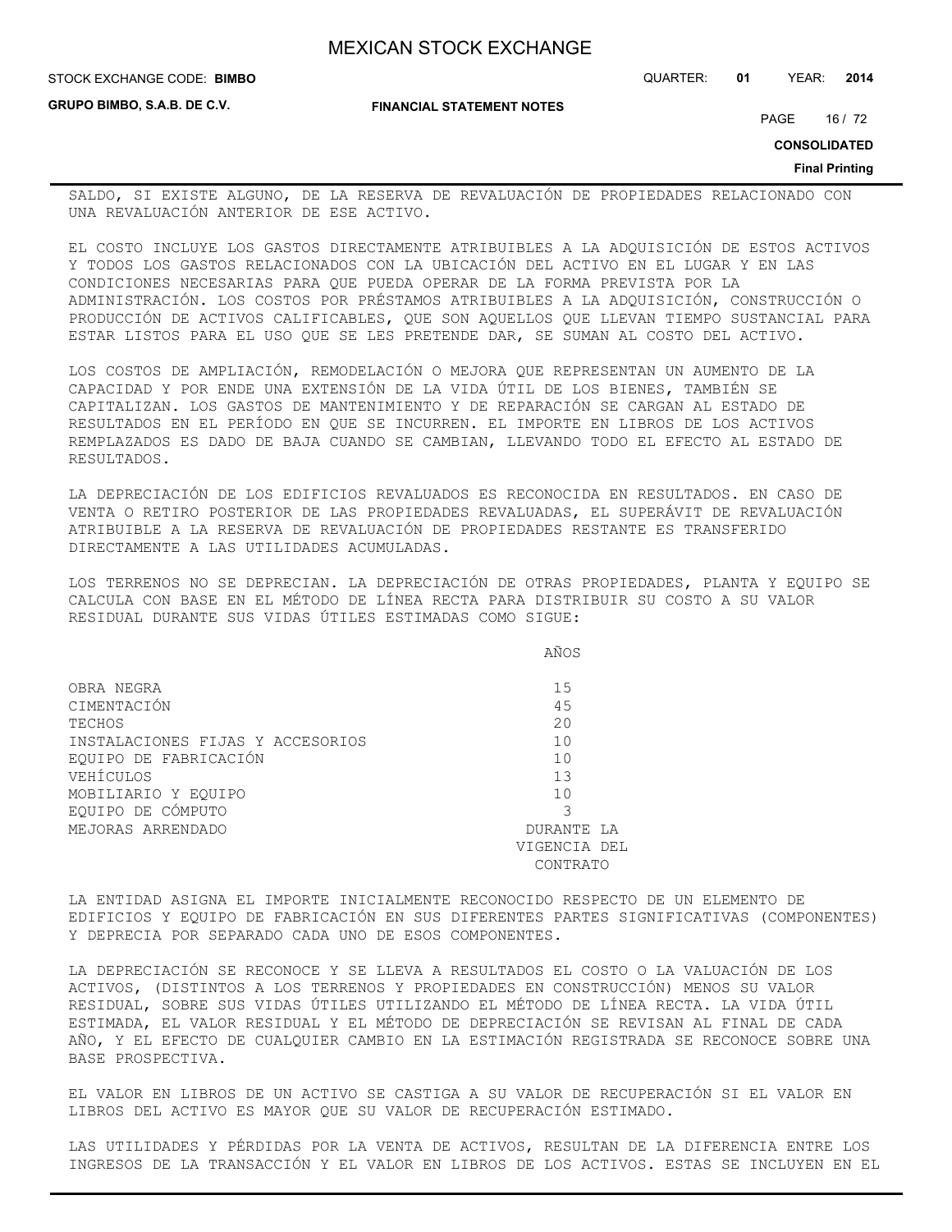**FINANCIAL STATEMENT NOTES**

STOCK EXCHANGE CODE: QUARTER: **01** YEAR: **2014 BIMBO**

**GRUPO BIMBO, S.A.B. DE C.V.**

PAGE 16 / 72

**CONSOLIDATED**

#### **Final Printing**

SALDO, SI EXISTE ALGUNO, DE LA RESERVA DE REVALUACIÓN DE PROPIEDADES RELACIONADO CON UNA REVALUACIÓN ANTERIOR DE ESE ACTIVO.

EL COSTO INCLUYE LOS GASTOS DIRECTAMENTE ATRIBUIBLES A LA ADQUISICIÓN DE ESTOS ACTIVOS Y TODOS LOS GASTOS RELACIONADOS CON LA UBICACIÓN DEL ACTIVO EN EL LUGAR Y EN LAS CONDICIONES NECESARIAS PARA QUE PUEDA OPERAR DE LA FORMA PREVISTA POR LA ADMINISTRACIÓN. LOS COSTOS POR PRÉSTAMOS ATRIBUIBLES A LA ADQUISICIÓN, CONSTRUCCIÓN O PRODUCCIÓN DE ACTIVOS CALIFICABLES, QUE SON AQUELLOS QUE LLEVAN TIEMPO SUSTANCIAL PARA ESTAR LISTOS PARA EL USO QUE SE LES PRETENDE DAR, SE SUMAN AL COSTO DEL ACTIVO.

LOS COSTOS DE AMPLIACIÓN, REMODELACIÓN O MEJORA QUE REPRESENTAN UN AUMENTO DE LA CAPACIDAD Y POR ENDE UNA EXTENSIÓN DE LA VIDA ÚTIL DE LOS BIENES, TAMBIÉN SE CAPITALIZAN. LOS GASTOS DE MANTENIMIENTO Y DE REPARACIÓN SE CARGAN AL ESTADO DE RESULTADOS EN EL PERÍODO EN QUE SE INCURREN. EL IMPORTE EN LIBROS DE LOS ACTIVOS REMPLAZADOS ES DADO DE BAJA CUANDO SE CAMBIAN, LLEVANDO TODO EL EFECTO AL ESTADO DE RESULTADOS.

LA DEPRECIACIÓN DE LOS EDIFICIOS REVALUADOS ES RECONOCIDA EN RESULTADOS. EN CASO DE VENTA O RETIRO POSTERIOR DE LAS PROPIEDADES REVALUADAS, EL SUPERÁVIT DE REVALUACIÓN ATRIBUIBLE A LA RESERVA DE REVALUACIÓN DE PROPIEDADES RESTANTE ES TRANSFERIDO DIRECTAMENTE A LAS UTILIDADES ACUMULADAS.

LOS TERRENOS NO SE DEPRECIAN. LA DEPRECIACIÓN DE OTRAS PROPIEDADES, PLANTA Y EQUIPO SE CALCULA CON BASE EN EL MÉTODO DE LÍNEA RECTA PARA DISTRIBUIR SU COSTO A SU VALOR RESIDUAL DURANTE SUS VIDAS ÚTILES ESTIMADAS COMO SIGUE:

|  |  | AÑOS |
|--|--|------|
|  |  |      |
|  |  | ___  |
|  |  |      |

| OBRA NEGRA                       | 15           |  |
|----------------------------------|--------------|--|
| CIMENTACIÓN                      | 45           |  |
| TECHOS                           | 20           |  |
| INSTALACIONES FIJAS Y ACCESORIOS | 10           |  |
| EQUIPO DE FABRICACIÓN            | 10           |  |
| VEHÍCULOS                        | 13           |  |
| MOBILIARIO Y EOUIPO              | 10           |  |
| EQUIPO DE CÓMPUTO                |              |  |
| MEJORAS ARRENDADO<br>DURANTE LA  |              |  |
|                                  | VIGENCIA DEL |  |
|                                  | CONTRATO     |  |

LA ENTIDAD ASIGNA EL IMPORTE INICIALMENTE RECONOCIDO RESPECTO DE UN ELEMENTO DE EDIFICIOS Y EQUIPO DE FABRICACIÓN EN SUS DIFERENTES PARTES SIGNIFICATIVAS (COMPONENTES) Y DEPRECIA POR SEPARADO CADA UNO DE ESOS COMPONENTES.

LA DEPRECIACIÓN SE RECONOCE Y SE LLEVA A RESULTADOS EL COSTO O LA VALUACIÓN DE LOS ACTIVOS, (DISTINTOS A LOS TERRENOS Y PROPIEDADES EN CONSTRUCCIÓN) MENOS SU VALOR RESIDUAL, SOBRE SUS VIDAS ÚTILES UTILIZANDO EL MÉTODO DE LÍNEA RECTA. LA VIDA ÚTIL ESTIMADA, EL VALOR RESIDUAL Y EL MÉTODO DE DEPRECIACIÓN SE REVISAN AL FINAL DE CADA AÑO, Y EL EFECTO DE CUALQUIER CAMBIO EN LA ESTIMACIÓN REGISTRADA SE RECONOCE SOBRE UNA BASE PROSPECTIVA.

EL VALOR EN LIBROS DE UN ACTIVO SE CASTIGA A SU VALOR DE RECUPERACIÓN SI EL VALOR EN LIBROS DEL ACTIVO ES MAYOR QUE SU VALOR DE RECUPERACIÓN ESTIMADO.

LAS UTILIDADES Y PÉRDIDAS POR LA VENTA DE ACTIVOS, RESULTAN DE LA DIFERENCIA ENTRE LOS INGRESOS DE LA TRANSACCIÓN Y EL VALOR EN LIBROS DE LOS ACTIVOS. ESTAS SE INCLUYEN EN EL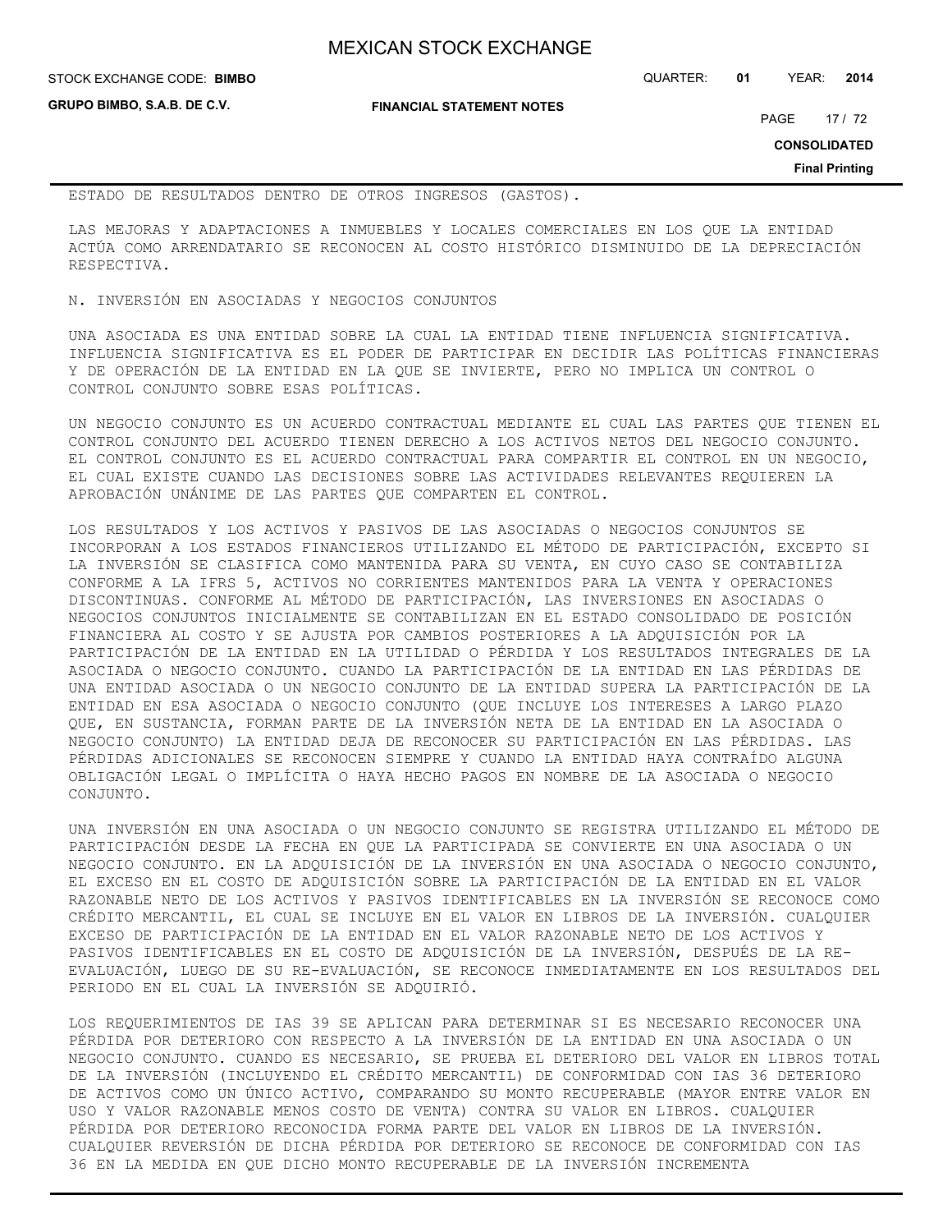**GRUPO BIMBO, S.A.B. DE C.V.**

STOCK EXCHANGE CODE: QUARTER: **01** YEAR: **2014 BIMBO**

**FINANCIAL STATEMENT NOTES**

PAGE 17 / 72

**CONSOLIDATED**

**Final Printing**

ESTADO DE RESULTADOS DENTRO DE OTROS INGRESOS (GASTOS).

LAS MEJORAS Y ADAPTACIONES A INMUEBLES Y LOCALES COMERCIALES EN LOS QUE LA ENTIDAD ACTÚA COMO ARRENDATARIO SE RECONOCEN AL COSTO HISTÓRICO DISMINUIDO DE LA DEPRECIACIÓN RESPECTIVA.

N. INVERSIÓN EN ASOCIADAS Y NEGOCIOS CONJUNTOS

UNA ASOCIADA ES UNA ENTIDAD SOBRE LA CUAL LA ENTIDAD TIENE INFLUENCIA SIGNIFICATIVA. INFLUENCIA SIGNIFICATIVA ES EL PODER DE PARTICIPAR EN DECIDIR LAS POLÍTICAS FINANCIERAS Y DE OPERACIÓN DE LA ENTIDAD EN LA QUE SE INVIERTE, PERO NO IMPLICA UN CONTROL O CONTROL CONJUNTO SOBRE ESAS POLÍTICAS.

UN NEGOCIO CONJUNTO ES UN ACUERDO CONTRACTUAL MEDIANTE EL CUAL LAS PARTES QUE TIENEN EL CONTROL CONJUNTO DEL ACUERDO TIENEN DERECHO A LOS ACTIVOS NETOS DEL NEGOCIO CONJUNTO. EL CONTROL CONJUNTO ES EL ACUERDO CONTRACTUAL PARA COMPARTIR EL CONTROL EN UN NEGOCIO, EL CUAL EXISTE CUANDO LAS DECISIONES SOBRE LAS ACTIVIDADES RELEVANTES REQUIEREN LA APROBACIÓN UNÁNIME DE LAS PARTES QUE COMPARTEN EL CONTROL.

LOS RESULTADOS Y LOS ACTIVOS Y PASIVOS DE LAS ASOCIADAS O NEGOCIOS CONJUNTOS SE INCORPORAN A LOS ESTADOS FINANCIEROS UTILIZANDO EL MÉTODO DE PARTICIPACIÓN, EXCEPTO SI LA INVERSIÓN SE CLASIFICA COMO MANTENIDA PARA SU VENTA, EN CUYO CASO SE CONTABILIZA CONFORME A LA IFRS 5, ACTIVOS NO CORRIENTES MANTENIDOS PARA LA VENTA Y OPERACIONES DISCONTINUAS. CONFORME AL MÉTODO DE PARTICIPACIÓN, LAS INVERSIONES EN ASOCIADAS O NEGOCIOS CONJUNTOS INICIALMENTE SE CONTABILIZAN EN EL ESTADO CONSOLIDADO DE POSICIÓN FINANCIERA AL COSTO Y SE AJUSTA POR CAMBIOS POSTERIORES A LA ADQUISICIÓN POR LA PARTICIPACIÓN DE LA ENTIDAD EN LA UTILIDAD O PÉRDIDA Y LOS RESULTADOS INTEGRALES DE LA ASOCIADA O NEGOCIO CONJUNTO. CUANDO LA PARTICIPACIÓN DE LA ENTIDAD EN LAS PÉRDIDAS DE UNA ENTIDAD ASOCIADA O UN NEGOCIO CONJUNTO DE LA ENTIDAD SUPERA LA PARTICIPACIÓN DE LA ENTIDAD EN ESA ASOCIADA O NEGOCIO CONJUNTO (QUE INCLUYE LOS INTERESES A LARGO PLAZO QUE, EN SUSTANCIA, FORMAN PARTE DE LA INVERSIÓN NETA DE LA ENTIDAD EN LA ASOCIADA O NEGOCIO CONJUNTO) LA ENTIDAD DEJA DE RECONOCER SU PARTICIPACIÓN EN LAS PÉRDIDAS. LAS PÉRDIDAS ADICIONALES SE RECONOCEN SIEMPRE Y CUANDO LA ENTIDAD HAYA CONTRAÍDO ALGUNA OBLIGACIÓN LEGAL O IMPLÍCITA O HAYA HECHO PAGOS EN NOMBRE DE LA ASOCIADA O NEGOCIO CONJUNTO.

UNA INVERSIÓN EN UNA ASOCIADA O UN NEGOCIO CONJUNTO SE REGISTRA UTILIZANDO EL MÉTODO DE PARTICIPACIÓN DESDE LA FECHA EN QUE LA PARTICIPADA SE CONVIERTE EN UNA ASOCIADA O UN NEGOCIO CONJUNTO. EN LA ADQUISICIÓN DE LA INVERSIÓN EN UNA ASOCIADA O NEGOCIO CONJUNTO, EL EXCESO EN EL COSTO DE ADQUISICIÓN SOBRE LA PARTICIPACIÓN DE LA ENTIDAD EN EL VALOR RAZONABLE NETO DE LOS ACTIVOS Y PASIVOS IDENTIFICABLES EN LA INVERSIÓN SE RECONOCE COMO CRÉDITO MERCANTIL, EL CUAL SE INCLUYE EN EL VALOR EN LIBROS DE LA INVERSIÓN. CUALQUIER EXCESO DE PARTICIPACIÓN DE LA ENTIDAD EN EL VALOR RAZONABLE NETO DE LOS ACTIVOS Y PASIVOS IDENTIFICABLES EN EL COSTO DE ADQUISICIÓN DE LA INVERSIÓN, DESPUÉS DE LA RE-EVALUACIÓN, LUEGO DE SU RE-EVALUACIÓN, SE RECONOCE INMEDIATAMENTE EN LOS RESULTADOS DEL PERIODO EN EL CUAL LA INVERSIÓN SE ADQUIRIÓ.

LOS REQUERIMIENTOS DE IAS 39 SE APLICAN PARA DETERMINAR SI ES NECESARIO RECONOCER UNA PÉRDIDA POR DETERIORO CON RESPECTO A LA INVERSIÓN DE LA ENTIDAD EN UNA ASOCIADA O UN NEGOCIO CONJUNTO. CUANDO ES NECESARIO, SE PRUEBA EL DETERIORO DEL VALOR EN LIBROS TOTAL DE LA INVERSIÓN (INCLUYENDO EL CRÉDITO MERCANTIL) DE CONFORMIDAD CON IAS 36 DETERIORO DE ACTIVOS COMO UN ÚNICO ACTIVO, COMPARANDO SU MONTO RECUPERABLE (MAYOR ENTRE VALOR EN USO Y VALOR RAZONABLE MENOS COSTO DE VENTA) CONTRA SU VALOR EN LIBROS. CUALQUIER PÉRDIDA POR DETERIORO RECONOCIDA FORMA PARTE DEL VALOR EN LIBROS DE LA INVERSIÓN. CUALQUIER REVERSIÓN DE DICHA PÉRDIDA POR DETERIORO SE RECONOCE DE CONFORMIDAD CON IAS 36 EN LA MEDIDA EN QUE DICHO MONTO RECUPERABLE DE LA INVERSIÓN INCREMENTA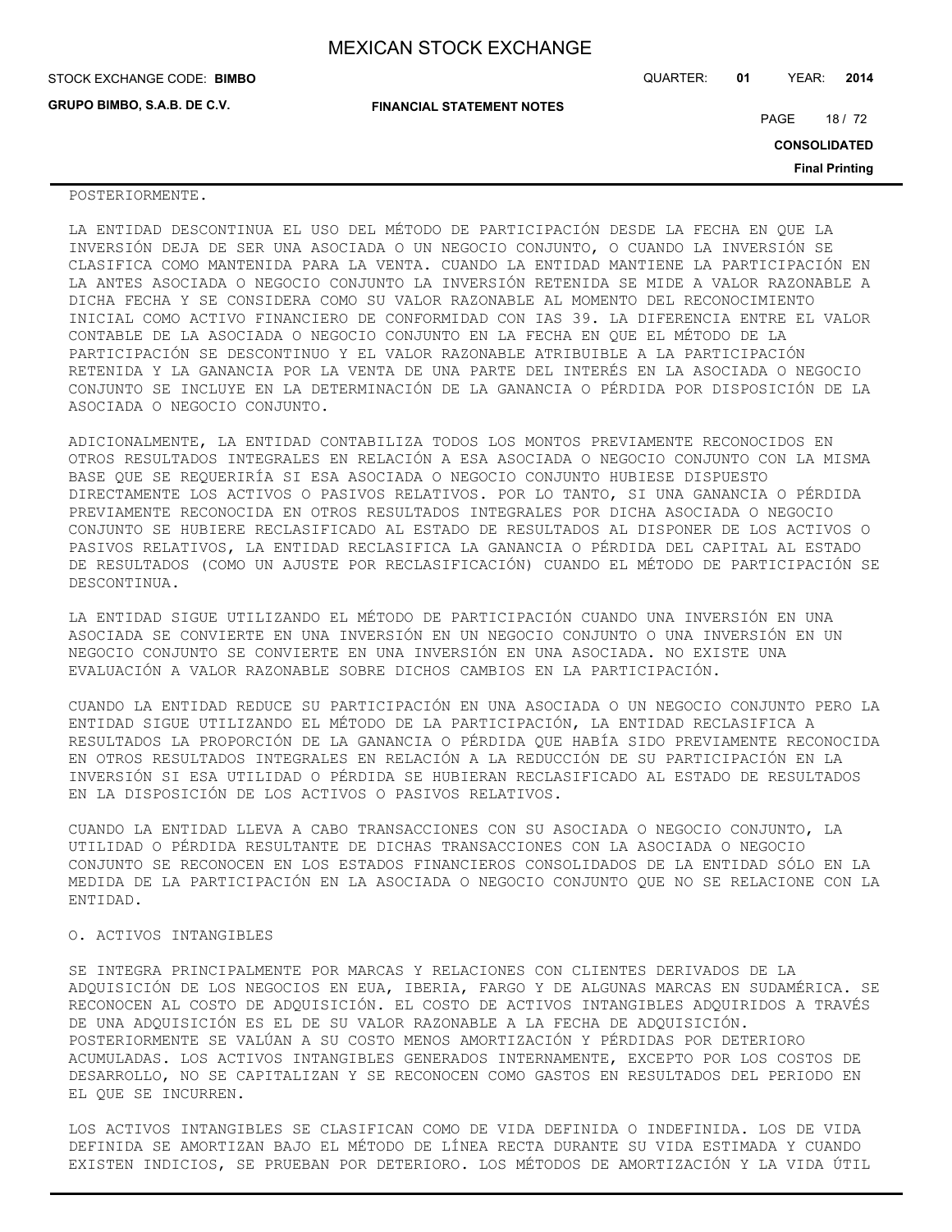| STOCK EXCHANGE CODE: BIMBO         |                                  | QUARTER: | 01 | YEAR:               | 2014                  |
|------------------------------------|----------------------------------|----------|----|---------------------|-----------------------|
| <b>GRUPO BIMBO, S.A.B. DE C.V.</b> | <b>FINANCIAL STATEMENT NOTES</b> |          |    | PAGE                | 18 / 72               |
|                                    |                                  |          |    | <b>CONSOLIDATED</b> |                       |
|                                    |                                  |          |    |                     | <b>Final Printing</b> |

### POSTERIORMENTE.

LA ENTIDAD DESCONTINUA EL USO DEL MÉTODO DE PARTICIPACIÓN DESDE LA FECHA EN QUE LA INVERSIÓN DEJA DE SER UNA ASOCIADA O UN NEGOCIO CONJUNTO, O CUANDO LA INVERSIÓN SE CLASIFICA COMO MANTENIDA PARA LA VENTA. CUANDO LA ENTIDAD MANTIENE LA PARTICIPACIÓN EN LA ANTES ASOCIADA O NEGOCIO CONJUNTO LA INVERSIÓN RETENIDA SE MIDE A VALOR RAZONABLE A DICHA FECHA Y SE CONSIDERA COMO SU VALOR RAZONABLE AL MOMENTO DEL RECONOCIMIENTO INICIAL COMO ACTIVO FINANCIERO DE CONFORMIDAD CON IAS 39. LA DIFERENCIA ENTRE EL VALOR CONTABLE DE LA ASOCIADA O NEGOCIO CONJUNTO EN LA FECHA EN QUE EL MÉTODO DE LA PARTICIPACIÓN SE DESCONTINUO Y EL VALOR RAZONABLE ATRIBUIBLE A LA PARTICIPACIÓN RETENIDA Y LA GANANCIA POR LA VENTA DE UNA PARTE DEL INTERÉS EN LA ASOCIADA O NEGOCIO CONJUNTO SE INCLUYE EN LA DETERMINACIÓN DE LA GANANCIA O PÉRDIDA POR DISPOSICIÓN DE LA ASOCIADA O NEGOCIO CONJUNTO.

ADICIONALMENTE, LA ENTIDAD CONTABILIZA TODOS LOS MONTOS PREVIAMENTE RECONOCIDOS EN OTROS RESULTADOS INTEGRALES EN RELACIÓN A ESA ASOCIADA O NEGOCIO CONJUNTO CON LA MISMA BASE QUE SE REQUERIRÍA SI ESA ASOCIADA O NEGOCIO CONJUNTO HUBIESE DISPUESTO DIRECTAMENTE LOS ACTIVOS O PASIVOS RELATIVOS. POR LO TANTO, SI UNA GANANCIA O PÉRDIDA PREVIAMENTE RECONOCIDA EN OTROS RESULTADOS INTEGRALES POR DICHA ASOCIADA O NEGOCIO CONJUNTO SE HUBIERE RECLASIFICADO AL ESTADO DE RESULTADOS AL DISPONER DE LOS ACTIVOS O PASIVOS RELATIVOS, LA ENTIDAD RECLASIFICA LA GANANCIA O PÉRDIDA DEL CAPITAL AL ESTADO DE RESULTADOS (COMO UN AJUSTE POR RECLASIFICACIÓN) CUANDO EL MÉTODO DE PARTICIPACIÓN SE DESCONTINUA.

LA ENTIDAD SIGUE UTILIZANDO EL MÉTODO DE PARTICIPACIÓN CUANDO UNA INVERSIÓN EN UNA ASOCIADA SE CONVIERTE EN UNA INVERSIÓN EN UN NEGOCIO CONJUNTO O UNA INVERSIÓN EN UN NEGOCIO CONJUNTO SE CONVIERTE EN UNA INVERSIÓN EN UNA ASOCIADA. NO EXISTE UNA EVALUACIÓN A VALOR RAZONABLE SOBRE DICHOS CAMBIOS EN LA PARTICIPACIÓN.

CUANDO LA ENTIDAD REDUCE SU PARTICIPACIÓN EN UNA ASOCIADA O UN NEGOCIO CONJUNTO PERO LA ENTIDAD SIGUE UTILIZANDO EL MÉTODO DE LA PARTICIPACIÓN, LA ENTIDAD RECLASIFICA A RESULTADOS LA PROPORCIÓN DE LA GANANCIA O PÉRDIDA QUE HABÍA SIDO PREVIAMENTE RECONOCIDA EN OTROS RESULTADOS INTEGRALES EN RELACIÓN A LA REDUCCIÓN DE SU PARTICIPACIÓN EN LA INVERSIÓN SI ESA UTILIDAD O PÉRDIDA SE HUBIERAN RECLASIFICADO AL ESTADO DE RESULTADOS EN LA DISPOSICIÓN DE LOS ACTIVOS O PASIVOS RELATIVOS.

CUANDO LA ENTIDAD LLEVA A CABO TRANSACCIONES CON SU ASOCIADA O NEGOCIO CONJUNTO, LA UTILIDAD O PÉRDIDA RESULTANTE DE DICHAS TRANSACCIONES CON LA ASOCIADA O NEGOCIO CONJUNTO SE RECONOCEN EN LOS ESTADOS FINANCIEROS CONSOLIDADOS DE LA ENTIDAD SÓLO EN LA MEDIDA DE LA PARTICIPACIÓN EN LA ASOCIADA O NEGOCIO CONJUNTO QUE NO SE RELACIONE CON LA ENTIDAD.

## O. ACTIVOS INTANGIBLES

SE INTEGRA PRINCIPALMENTE POR MARCAS Y RELACIONES CON CLIENTES DERIVADOS DE LA ADQUISICIÓN DE LOS NEGOCIOS EN EUA, IBERIA, FARGO Y DE ALGUNAS MARCAS EN SUDAMÉRICA. SE RECONOCEN AL COSTO DE ADQUISICIÓN. EL COSTO DE ACTIVOS INTANGIBLES ADQUIRIDOS A TRAVÉS DE UNA ADQUISICIÓN ES EL DE SU VALOR RAZONABLE A LA FECHA DE ADQUISICIÓN. POSTERIORMENTE SE VALÚAN A SU COSTO MENOS AMORTIZACIÓN Y PÉRDIDAS POR DETERIORO ACUMULADAS. LOS ACTIVOS INTANGIBLES GENERADOS INTERNAMENTE, EXCEPTO POR LOS COSTOS DE DESARROLLO, NO SE CAPITALIZAN Y SE RECONOCEN COMO GASTOS EN RESULTADOS DEL PERIODO EN EL QUE SE INCURREN.

LOS ACTIVOS INTANGIBLES SE CLASIFICAN COMO DE VIDA DEFINIDA O INDEFINIDA. LOS DE VIDA DEFINIDA SE AMORTIZAN BAJO EL MÉTODO DE LÍNEA RECTA DURANTE SU VIDA ESTIMADA Y CUANDO EXISTEN INDICIOS, SE PRUEBAN POR DETERIORO. LOS MÉTODOS DE AMORTIZACIÓN Y LA VIDA ÚTIL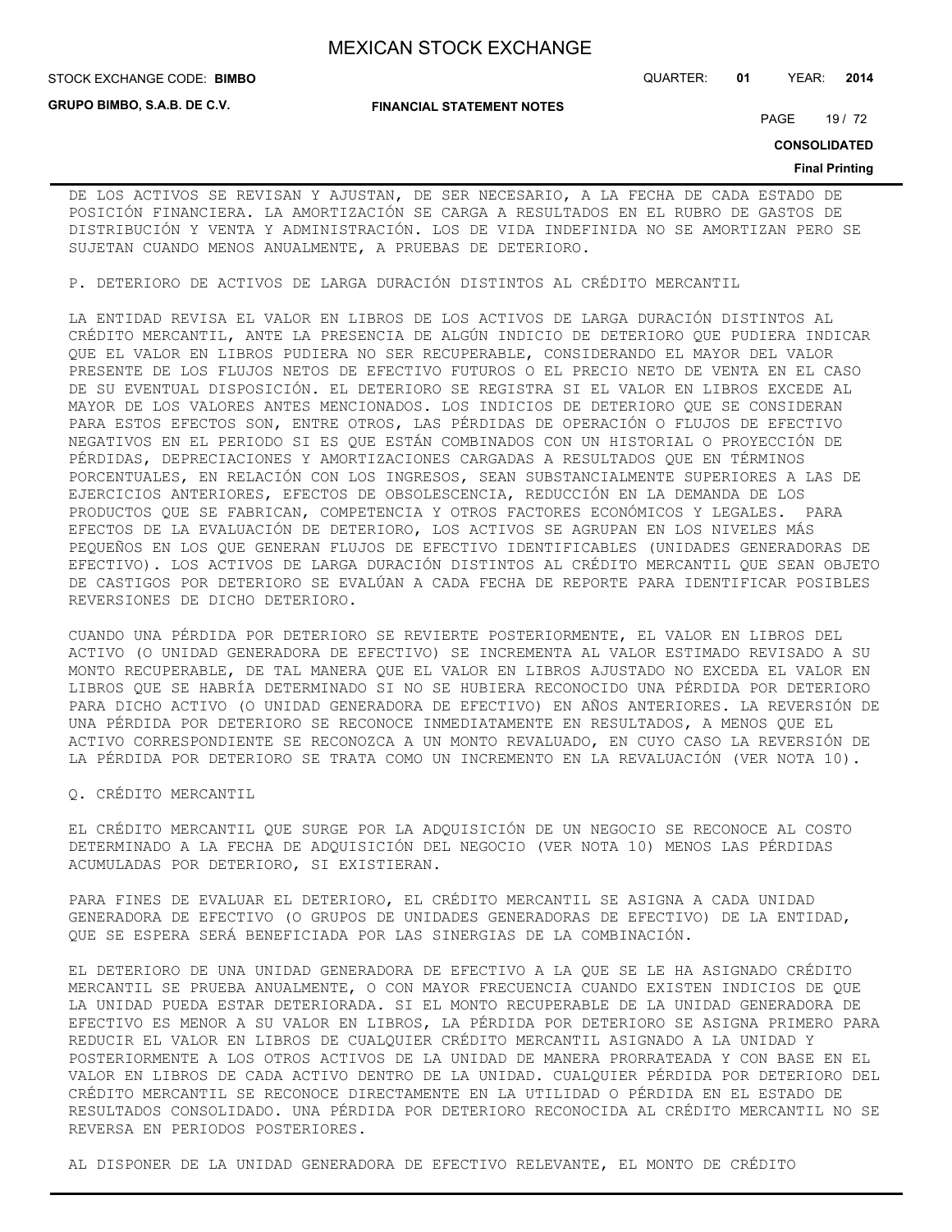**GRUPO BIMBO, S.A.B. DE C.V.**

**FINANCIAL STATEMENT NOTES**

STOCK EXCHANGE CODE: QUARTER: **01** YEAR: **2014 BIMBO**

PAGE 19 / 72

**CONSOLIDATED**

#### **Final Printing**

DE LOS ACTIVOS SE REVISAN Y AJUSTAN, DE SER NECESARIO, A LA FECHA DE CADA ESTADO DE POSICIÓN FINANCIERA. LA AMORTIZACIÓN SE CARGA A RESULTADOS EN EL RUBRO DE GASTOS DE DISTRIBUCIÓN Y VENTA Y ADMINISTRACIÓN. LOS DE VIDA INDEFINIDA NO SE AMORTIZAN PERO SE SUJETAN CUANDO MENOS ANUALMENTE, A PRUEBAS DE DETERIORO.

P. DETERIORO DE ACTIVOS DE LARGA DURACIÓN DISTINTOS AL CRÉDITO MERCANTIL

LA ENTIDAD REVISA EL VALOR EN LIBROS DE LOS ACTIVOS DE LARGA DURACIÓN DISTINTOS AL CRÉDITO MERCANTIL, ANTE LA PRESENCIA DE ALGÚN INDICIO DE DETERIORO QUE PUDIERA INDICAR QUE EL VALOR EN LIBROS PUDIERA NO SER RECUPERABLE, CONSIDERANDO EL MAYOR DEL VALOR PRESENTE DE LOS FLUJOS NETOS DE EFECTIVO FUTUROS O EL PRECIO NETO DE VENTA EN EL CASO DE SU EVENTUAL DISPOSICIÓN. EL DETERIORO SE REGISTRA SI EL VALOR EN LIBROS EXCEDE AL MAYOR DE LOS VALORES ANTES MENCIONADOS. LOS INDICIOS DE DETERIORO QUE SE CONSIDERAN PARA ESTOS EFECTOS SON, ENTRE OTROS, LAS PÉRDIDAS DE OPERACIÓN O FLUJOS DE EFECTIVO NEGATIVOS EN EL PERIODO SI ES QUE ESTÁN COMBINADOS CON UN HISTORIAL O PROYECCIÓN DE PÉRDIDAS, DEPRECIACIONES Y AMORTIZACIONES CARGADAS A RESULTADOS QUE EN TÉRMINOS PORCENTUALES, EN RELACIÓN CON LOS INGRESOS, SEAN SUBSTANCIALMENTE SUPERIORES A LAS DE EJERCICIOS ANTERIORES, EFECTOS DE OBSOLESCENCIA, REDUCCIÓN EN LA DEMANDA DE LOS PRODUCTOS QUE SE FABRICAN, COMPETENCIA Y OTROS FACTORES ECONÓMICOS Y LEGALES. PARA EFECTOS DE LA EVALUACIÓN DE DETERIORO, LOS ACTIVOS SE AGRUPAN EN LOS NIVELES MÁS PEQUEÑOS EN LOS QUE GENERAN FLUJOS DE EFECTIVO IDENTIFICABLES (UNIDADES GENERADORAS DE EFECTIVO). LOS ACTIVOS DE LARGA DURACIÓN DISTINTOS AL CRÉDITO MERCANTIL QUE SEAN OBJETO DE CASTIGOS POR DETERIORO SE EVALÚAN A CADA FECHA DE REPORTE PARA IDENTIFICAR POSIBLES REVERSIONES DE DICHO DETERIORO.

CUANDO UNA PÉRDIDA POR DETERIORO SE REVIERTE POSTERIORMENTE, EL VALOR EN LIBROS DEL ACTIVO (O UNIDAD GENERADORA DE EFECTIVO) SE INCREMENTA AL VALOR ESTIMADO REVISADO A SU MONTO RECUPERABLE, DE TAL MANERA QUE EL VALOR EN LIBROS AJUSTADO NO EXCEDA EL VALOR EN LIBROS QUE SE HABRÍA DETERMINADO SI NO SE HUBIERA RECONOCIDO UNA PÉRDIDA POR DETERIORO PARA DICHO ACTIVO (O UNIDAD GENERADORA DE EFECTIVO) EN AÑOS ANTERIORES. LA REVERSIÓN DE UNA PÉRDIDA POR DETERIORO SE RECONOCE INMEDIATAMENTE EN RESULTADOS, A MENOS QUE EL ACTIVO CORRESPONDIENTE SE RECONOZCA A UN MONTO REVALUADO, EN CUYO CASO LA REVERSIÓN DE LA PÉRDIDA POR DETERIORO SE TRATA COMO UN INCREMENTO EN LA REVALUACIÓN (VER NOTA 10).

Q. CRÉDITO MERCANTIL

EL CRÉDITO MERCANTIL QUE SURGE POR LA ADQUISICIÓN DE UN NEGOCIO SE RECONOCE AL COSTO DETERMINADO A LA FECHA DE ADQUISICIÓN DEL NEGOCIO (VER NOTA 10) MENOS LAS PÉRDIDAS ACUMULADAS POR DETERIORO, SI EXISTIERAN.

PARA FINES DE EVALUAR EL DETERIORO, EL CRÉDITO MERCANTIL SE ASIGNA A CADA UNIDAD GENERADORA DE EFECTIVO (O GRUPOS DE UNIDADES GENERADORAS DE EFECTIVO) DE LA ENTIDAD, QUE SE ESPERA SERÁ BENEFICIADA POR LAS SINERGIAS DE LA COMBINACIÓN.

EL DETERIORO DE UNA UNIDAD GENERADORA DE EFECTIVO A LA QUE SE LE HA ASIGNADO CRÉDITO MERCANTIL SE PRUEBA ANUALMENTE, O CON MAYOR FRECUENCIA CUANDO EXISTEN INDICIOS DE QUE LA UNIDAD PUEDA ESTAR DETERIORADA. SI EL MONTO RECUPERABLE DE LA UNIDAD GENERADORA DE EFECTIVO ES MENOR A SU VALOR EN LIBROS, LA PÉRDIDA POR DETERIORO SE ASIGNA PRIMERO PARA REDUCIR EL VALOR EN LIBROS DE CUALQUIER CRÉDITO MERCANTIL ASIGNADO A LA UNIDAD Y POSTERIORMENTE A LOS OTROS ACTIVOS DE LA UNIDAD DE MANERA PRORRATEADA Y CON BASE EN EL VALOR EN LIBROS DE CADA ACTIVO DENTRO DE LA UNIDAD. CUALQUIER PÉRDIDA POR DETERIORO DEL CRÉDITO MERCANTIL SE RECONOCE DIRECTAMENTE EN LA UTILIDAD O PÉRDIDA EN EL ESTADO DE RESULTADOS CONSOLIDADO. UNA PÉRDIDA POR DETERIORO RECONOCIDA AL CRÉDITO MERCANTIL NO SE REVERSA EN PERIODOS POSTERIORES.

AL DISPONER DE LA UNIDAD GENERADORA DE EFECTIVO RELEVANTE, EL MONTO DE CRÉDITO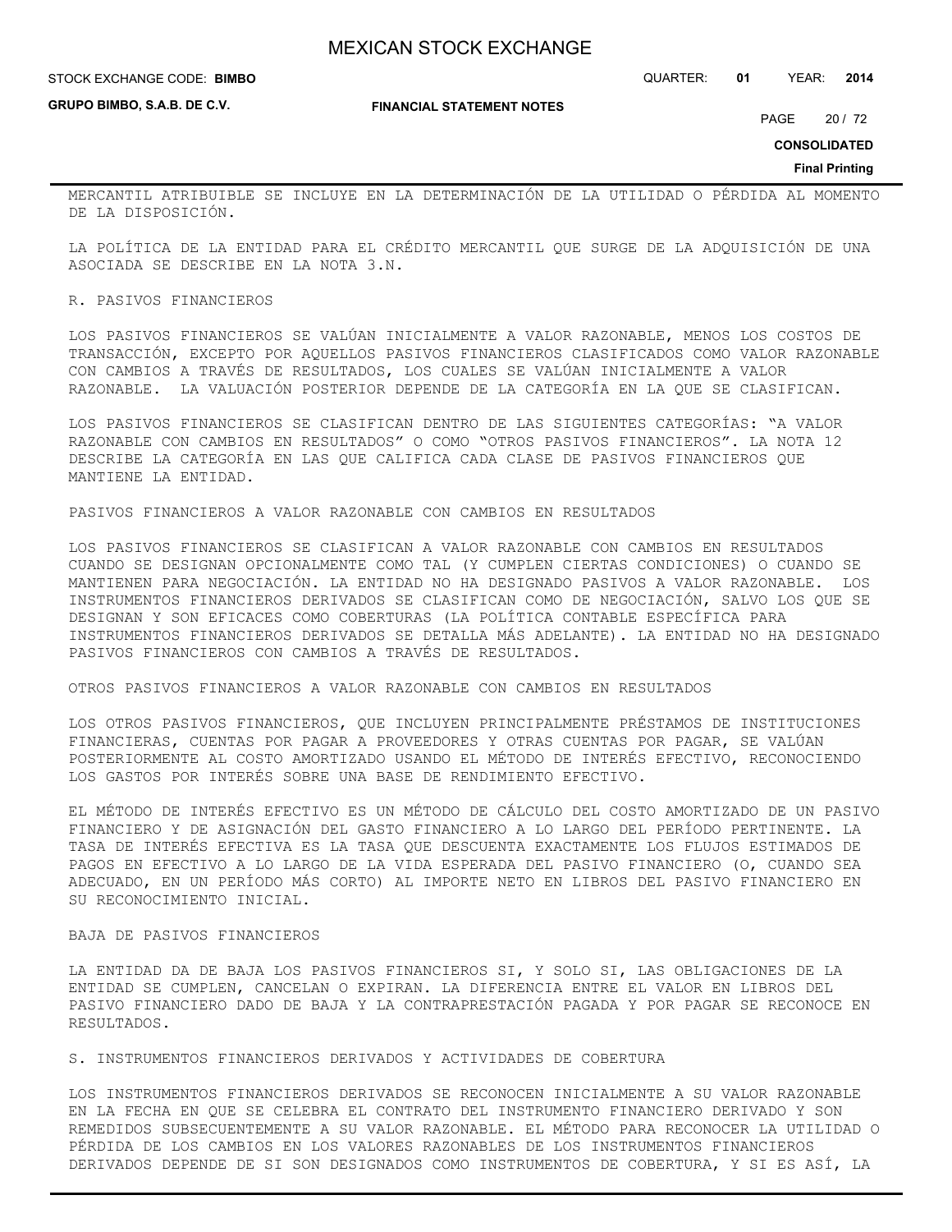**GRUPO BIMBO, S.A.B. DE C.V.**

#### **FINANCIAL STATEMENT NOTES**

STOCK EXCHANGE CODE: QUARTER: **01** YEAR: **2014 BIMBO**

PAGE 20 / 72

**CONSOLIDATED**

**Final Printing**

MERCANTIL ATRIBUIBLE SE INCLUYE EN LA DETERMINACIÓN DE LA UTILIDAD O PÉRDIDA AL MOMENTO DE LA DISPOSICIÓN.

LA POLÍTICA DE LA ENTIDAD PARA EL CRÉDITO MERCANTIL QUE SURGE DE LA ADQUISICIÓN DE UNA ASOCIADA SE DESCRIBE EN LA NOTA 3.N.

### R. PASIVOS FINANCIEROS

LOS PASIVOS FINANCIEROS SE VALÚAN INICIALMENTE A VALOR RAZONABLE, MENOS LOS COSTOS DE TRANSACCIÓN, EXCEPTO POR AQUELLOS PASIVOS FINANCIEROS CLASIFICADOS COMO VALOR RAZONABLE CON CAMBIOS A TRAVÉS DE RESULTADOS, LOS CUALES SE VALÚAN INICIALMENTE A VALOR RAZONABLE. LA VALUACIÓN POSTERIOR DEPENDE DE LA CATEGORÍA EN LA QUE SE CLASIFICAN.

LOS PASIVOS FINANCIEROS SE CLASIFICAN DENTRO DE LAS SIGUIENTES CATEGORÍAS: "A VALOR RAZONABLE CON CAMBIOS EN RESULTADOS" O COMO "OTROS PASIVOS FINANCIEROS". LA NOTA 12 DESCRIBE LA CATEGORÍA EN LAS QUE CALIFICA CADA CLASE DE PASIVOS FINANCIEROS QUE MANTIENE LA ENTIDAD.

PASIVOS FINANCIEROS A VALOR RAZONABLE CON CAMBIOS EN RESULTADOS

LOS PASIVOS FINANCIEROS SE CLASIFICAN A VALOR RAZONABLE CON CAMBIOS EN RESULTADOS CUANDO SE DESIGNAN OPCIONALMENTE COMO TAL (Y CUMPLEN CIERTAS CONDICIONES) O CUANDO SE MANTIENEN PARA NEGOCIACIÓN. LA ENTIDAD NO HA DESIGNADO PASIVOS A VALOR RAZONABLE. LOS INSTRUMENTOS FINANCIEROS DERIVADOS SE CLASIFICAN COMO DE NEGOCIACIÓN, SALVO LOS QUE SE DESIGNAN Y SON EFICACES COMO COBERTURAS (LA POLÍTICA CONTABLE ESPECÍFICA PARA INSTRUMENTOS FINANCIEROS DERIVADOS SE DETALLA MÁS ADELANTE). LA ENTIDAD NO HA DESIGNADO PASIVOS FINANCIEROS CON CAMBIOS A TRAVÉS DE RESULTADOS.

OTROS PASIVOS FINANCIEROS A VALOR RAZONABLE CON CAMBIOS EN RESULTADOS

LOS OTROS PASIVOS FINANCIEROS, QUE INCLUYEN PRINCIPALMENTE PRÉSTAMOS DE INSTITUCIONES FINANCIERAS, CUENTAS POR PAGAR A PROVEEDORES Y OTRAS CUENTAS POR PAGAR, SE VALÚAN POSTERIORMENTE AL COSTO AMORTIZADO USANDO EL MÉTODO DE INTERÉS EFECTIVO, RECONOCIENDO LOS GASTOS POR INTERÉS SOBRE UNA BASE DE RENDIMIENTO EFECTIVO.

EL MÉTODO DE INTERÉS EFECTIVO ES UN MÉTODO DE CÁLCULO DEL COSTO AMORTIZADO DE UN PASIVO FINANCIERO Y DE ASIGNACIÓN DEL GASTO FINANCIERO A LO LARGO DEL PERÍODO PERTINENTE. LA TASA DE INTERÉS EFECTIVA ES LA TASA QUE DESCUENTA EXACTAMENTE LOS FLUJOS ESTIMADOS DE PAGOS EN EFECTIVO A LO LARGO DE LA VIDA ESPERADA DEL PASIVO FINANCIERO (O, CUANDO SEA ADECUADO, EN UN PERÍODO MÁS CORTO) AL IMPORTE NETO EN LIBROS DEL PASIVO FINANCIERO EN SU RECONOCIMIENTO INICIAL.

### BAJA DE PASIVOS FINANCIEROS

LA ENTIDAD DA DE BAJA LOS PASIVOS FINANCIEROS SI, Y SOLO SI, LAS OBLIGACIONES DE LA ENTIDAD SE CUMPLEN, CANCELAN O EXPIRAN. LA DIFERENCIA ENTRE EL VALOR EN LIBROS DEL PASIVO FINANCIERO DADO DE BAJA Y LA CONTRAPRESTACIÓN PAGADA Y POR PAGAR SE RECONOCE EN RESULTADOS.

S. INSTRUMENTOS FINANCIEROS DERIVADOS Y ACTIVIDADES DE COBERTURA

LOS INSTRUMENTOS FINANCIEROS DERIVADOS SE RECONOCEN INICIALMENTE A SU VALOR RAZONABLE EN LA FECHA EN QUE SE CELEBRA EL CONTRATO DEL INSTRUMENTO FINANCIERO DERIVADO Y SON REMEDIDOS SUBSECUENTEMENTE A SU VALOR RAZONABLE. EL MÉTODO PARA RECONOCER LA UTILIDAD O PÉRDIDA DE LOS CAMBIOS EN LOS VALORES RAZONABLES DE LOS INSTRUMENTOS FINANCIEROS DERIVADOS DEPENDE DE SI SON DESIGNADOS COMO INSTRUMENTOS DE COBERTURA, Y SI ES ASÍ, LA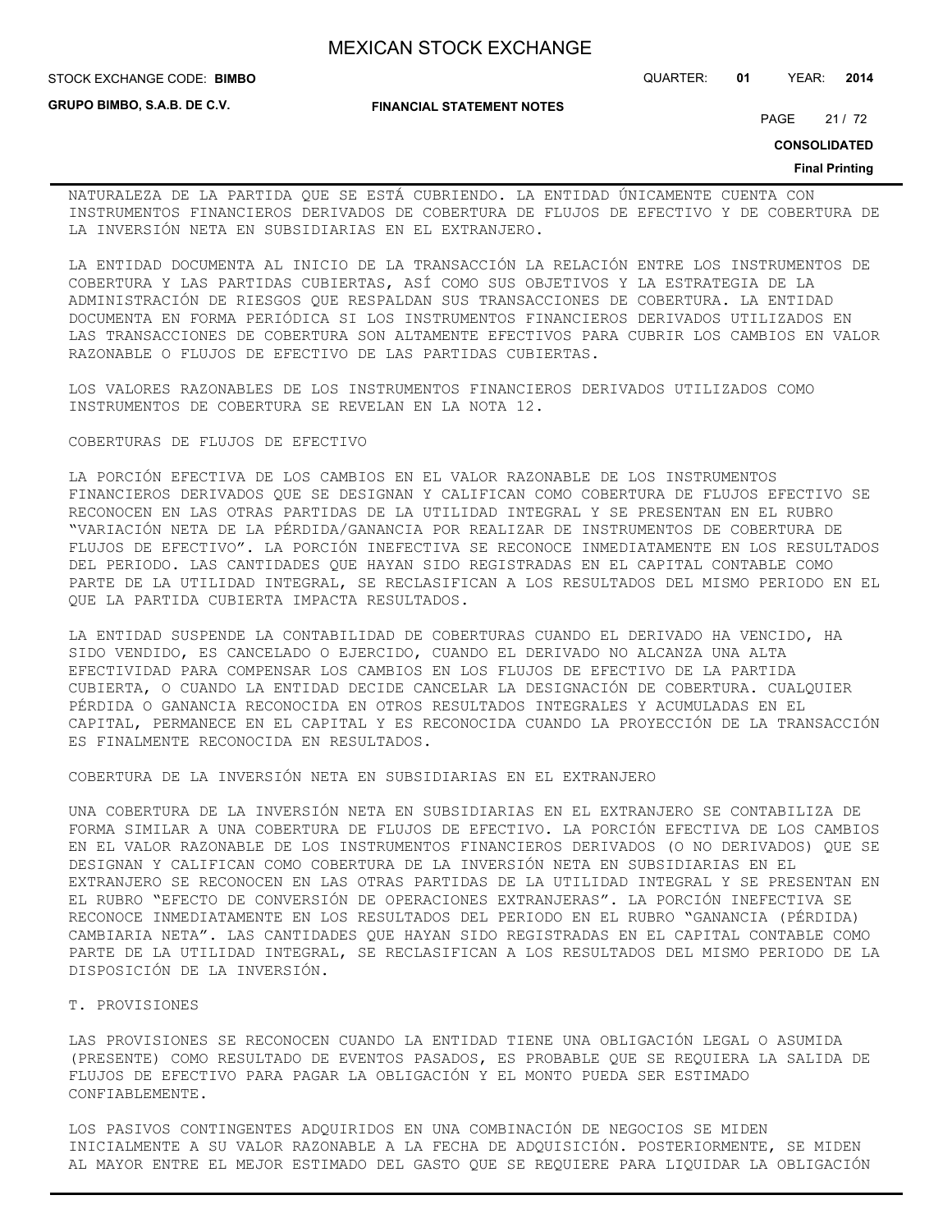**STOCK EXCHANGE CODE: BIMBO** 

**GRUPO BIMBO, S.A.B. DE C.V.**

**FINANCIAL STATEMENT NOTES**

STOCK EXCHANGE CODE: QUARTER: **01** YEAR: **2014**

PAGE 21 / 72

**CONSOLIDATED**

#### **Final Printing**

NATURALEZA DE LA PARTIDA QUE SE ESTÁ CUBRIENDO. LA ENTIDAD ÚNICAMENTE CUENTA CON INSTRUMENTOS FINANCIEROS DERIVADOS DE COBERTURA DE FLUJOS DE EFECTIVO Y DE COBERTURA DE LA INVERSIÓN NETA EN SUBSIDIARIAS EN EL EXTRANJERO.

LA ENTIDAD DOCUMENTA AL INICIO DE LA TRANSACCIÓN LA RELACIÓN ENTRE LOS INSTRUMENTOS DE COBERTURA Y LAS PARTIDAS CUBIERTAS, ASÍ COMO SUS OBJETIVOS Y LA ESTRATEGIA DE LA ADMINISTRACIÓN DE RIESGOS QUE RESPALDAN SUS TRANSACCIONES DE COBERTURA. LA ENTIDAD DOCUMENTA EN FORMA PERIÓDICA SI LOS INSTRUMENTOS FINANCIEROS DERIVADOS UTILIZADOS EN LAS TRANSACCIONES DE COBERTURA SON ALTAMENTE EFECTIVOS PARA CUBRIR LOS CAMBIOS EN VALOR RAZONABLE O FLUJOS DE EFECTIVO DE LAS PARTIDAS CUBIERTAS.

LOS VALORES RAZONABLES DE LOS INSTRUMENTOS FINANCIEROS DERIVADOS UTILIZADOS COMO INSTRUMENTOS DE COBERTURA SE REVELAN EN LA NOTA 12.

### COBERTURAS DE FLUJOS DE EFECTIVO

LA PORCIÓN EFECTIVA DE LOS CAMBIOS EN EL VALOR RAZONABLE DE LOS INSTRUMENTOS FINANCIEROS DERIVADOS QUE SE DESIGNAN Y CALIFICAN COMO COBERTURA DE FLUJOS EFECTIVO SE RECONOCEN EN LAS OTRAS PARTIDAS DE LA UTILIDAD INTEGRAL Y SE PRESENTAN EN EL RUBRO "VARIACIÓN NETA DE LA PÉRDIDA/GANANCIA POR REALIZAR DE INSTRUMENTOS DE COBERTURA DE FLUJOS DE EFECTIVO". LA PORCIÓN INEFECTIVA SE RECONOCE INMEDIATAMENTE EN LOS RESULTADOS DEL PERIODO. LAS CANTIDADES QUE HAYAN SIDO REGISTRADAS EN EL CAPITAL CONTABLE COMO PARTE DE LA UTILIDAD INTEGRAL, SE RECLASIFICAN A LOS RESULTADOS DEL MISMO PERIODO EN EL QUE LA PARTIDA CUBIERTA IMPACTA RESULTADOS.

LA ENTIDAD SUSPENDE LA CONTABILIDAD DE COBERTURAS CUANDO EL DERIVADO HA VENCIDO, HA SIDO VENDIDO, ES CANCELADO O EJERCIDO, CUANDO EL DERIVADO NO ALCANZA UNA ALTA EFECTIVIDAD PARA COMPENSAR LOS CAMBIOS EN LOS FLUJOS DE EFECTIVO DE LA PARTIDA CUBIERTA, O CUANDO LA ENTIDAD DECIDE CANCELAR LA DESIGNACIÓN DE COBERTURA. CUALQUIER PÉRDIDA O GANANCIA RECONOCIDA EN OTROS RESULTADOS INTEGRALES Y ACUMULADAS EN EL CAPITAL, PERMANECE EN EL CAPITAL Y ES RECONOCIDA CUANDO LA PROYECCIÓN DE LA TRANSACCIÓN ES FINALMENTE RECONOCIDA EN RESULTADOS.

COBERTURA DE LA INVERSIÓN NETA EN SUBSIDIARIAS EN EL EXTRANJERO

UNA COBERTURA DE LA INVERSIÓN NETA EN SUBSIDIARIAS EN EL EXTRANJERO SE CONTABILIZA DE FORMA SIMILAR A UNA COBERTURA DE FLUJOS DE EFECTIVO. LA PORCIÓN EFECTIVA DE LOS CAMBIOS EN EL VALOR RAZONABLE DE LOS INSTRUMENTOS FINANCIEROS DERIVADOS (O NO DERIVADOS) QUE SE DESIGNAN Y CALIFICAN COMO COBERTURA DE LA INVERSIÓN NETA EN SUBSIDIARIAS EN EL EXTRANJERO SE RECONOCEN EN LAS OTRAS PARTIDAS DE LA UTILIDAD INTEGRAL Y SE PRESENTAN EN EL RUBRO "EFECTO DE CONVERSIÓN DE OPERACIONES EXTRANJERAS". LA PORCIÓN INEFECTIVA SE RECONOCE INMEDIATAMENTE EN LOS RESULTADOS DEL PERIODO EN EL RUBRO "GANANCIA (PÉRDIDA) CAMBIARIA NETA". LAS CANTIDADES QUE HAYAN SIDO REGISTRADAS EN EL CAPITAL CONTABLE COMO PARTE DE LA UTILIDAD INTEGRAL, SE RECLASIFICAN A LOS RESULTADOS DEL MISMO PERIODO DE LA DISPOSICIÓN DE LA INVERSIÓN.

#### T. PROVISIONES

LAS PROVISIONES SE RECONOCEN CUANDO LA ENTIDAD TIENE UNA OBLIGACIÓN LEGAL O ASUMIDA (PRESENTE) COMO RESULTADO DE EVENTOS PASADOS, ES PROBABLE QUE SE REQUIERA LA SALIDA DE FLUJOS DE EFECTIVO PARA PAGAR LA OBLIGACIÓN Y EL MONTO PUEDA SER ESTIMADO CONFIABLEMENTE.

LOS PASIVOS CONTINGENTES ADQUIRIDOS EN UNA COMBINACIÓN DE NEGOCIOS SE MIDEN INICIALMENTE A SU VALOR RAZONABLE A LA FECHA DE ADQUISICIÓN. POSTERIORMENTE, SE MIDEN AL MAYOR ENTRE EL MEJOR ESTIMADO DEL GASTO QUE SE REQUIERE PARA LIQUIDAR LA OBLIGACIÓN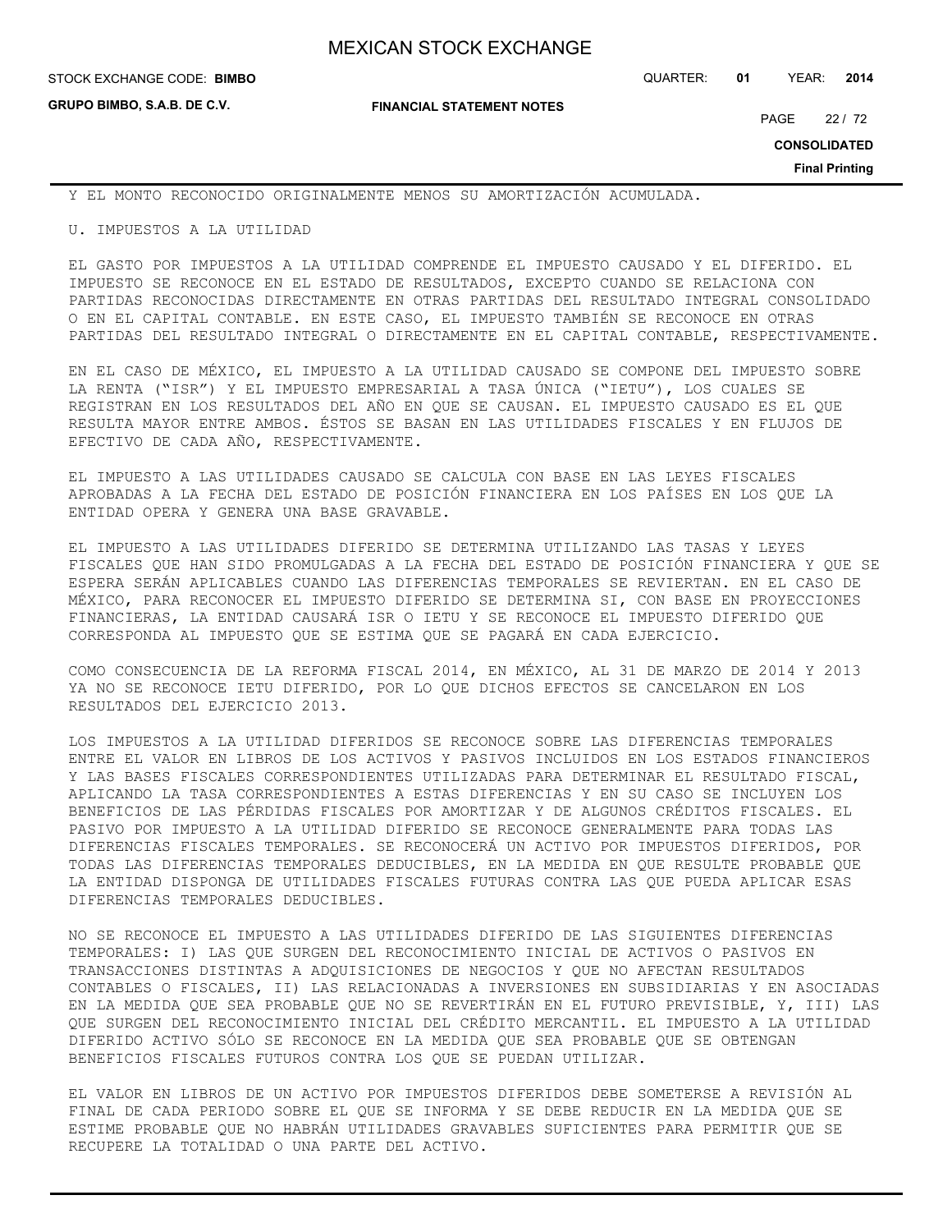**GRUPO BIMBO, S.A.B. DE C.V.**

**FINANCIAL STATEMENT NOTES**

STOCK EXCHANGE CODE: QUARTER: **01** YEAR: **2014 BIMBO**

PAGE 22 / 72

**CONSOLIDATED**

**Final Printing**

Y EL MONTO RECONOCIDO ORIGINALMENTE MENOS SU AMORTIZACIÓN ACUMULADA.

U. IMPUESTOS A LA UTILIDAD

EL GASTO POR IMPUESTOS A LA UTILIDAD COMPRENDE EL IMPUESTO CAUSADO Y EL DIFERIDO. EL IMPUESTO SE RECONOCE EN EL ESTADO DE RESULTADOS, EXCEPTO CUANDO SE RELACIONA CON PARTIDAS RECONOCIDAS DIRECTAMENTE EN OTRAS PARTIDAS DEL RESULTADO INTEGRAL CONSOLIDADO O EN EL CAPITAL CONTABLE. EN ESTE CASO, EL IMPUESTO TAMBIÉN SE RECONOCE EN OTRAS PARTIDAS DEL RESULTADO INTEGRAL O DIRECTAMENTE EN EL CAPITAL CONTABLE, RESPECTIVAMENTE.

EN EL CASO DE MÉXICO, EL IMPUESTO A LA UTILIDAD CAUSADO SE COMPONE DEL IMPUESTO SOBRE LA RENTA ("ISR") Y EL IMPUESTO EMPRESARIAL A TASA ÚNICA ("IETU"), LOS CUALES SE REGISTRAN EN LOS RESULTADOS DEL AÑO EN QUE SE CAUSAN. EL IMPUESTO CAUSADO ES EL QUE RESULTA MAYOR ENTRE AMBOS. ÉSTOS SE BASAN EN LAS UTILIDADES FISCALES Y EN FLUJOS DE EFECTIVO DE CADA AÑO, RESPECTIVAMENTE.

EL IMPUESTO A LAS UTILIDADES CAUSADO SE CALCULA CON BASE EN LAS LEYES FISCALES APROBADAS A LA FECHA DEL ESTADO DE POSICIÓN FINANCIERA EN LOS PAÍSES EN LOS QUE LA ENTIDAD OPERA Y GENERA UNA BASE GRAVABLE.

EL IMPUESTO A LAS UTILIDADES DIFERIDO SE DETERMINA UTILIZANDO LAS TASAS Y LEYES FISCALES QUE HAN SIDO PROMULGADAS A LA FECHA DEL ESTADO DE POSICIÓN FINANCIERA Y QUE SE ESPERA SERÁN APLICABLES CUANDO LAS DIFERENCIAS TEMPORALES SE REVIERTAN. EN EL CASO DE MÉXICO, PARA RECONOCER EL IMPUESTO DIFERIDO SE DETERMINA SI, CON BASE EN PROYECCIONES FINANCIERAS, LA ENTIDAD CAUSARÁ ISR O IETU Y SE RECONOCE EL IMPUESTO DIFERIDO QUE CORRESPONDA AL IMPUESTO QUE SE ESTIMA QUE SE PAGARÁ EN CADA EJERCICIO.

COMO CONSECUENCIA DE LA REFORMA FISCAL 2014, EN MÉXICO, AL 31 DE MARZO DE 2014 Y 2013 YA NO SE RECONOCE IETU DIFERIDO, POR LO QUE DICHOS EFECTOS SE CANCELARON EN LOS RESULTADOS DEL EJERCICIO 2013.

LOS IMPUESTOS A LA UTILIDAD DIFERIDOS SE RECONOCE SOBRE LAS DIFERENCIAS TEMPORALES ENTRE EL VALOR EN LIBROS DE LOS ACTIVOS Y PASIVOS INCLUIDOS EN LOS ESTADOS FINANCIEROS Y LAS BASES FISCALES CORRESPONDIENTES UTILIZADAS PARA DETERMINAR EL RESULTADO FISCAL, APLICANDO LA TASA CORRESPONDIENTES A ESTAS DIFERENCIAS Y EN SU CASO SE INCLUYEN LOS BENEFICIOS DE LAS PÉRDIDAS FISCALES POR AMORTIZAR Y DE ALGUNOS CRÉDITOS FISCALES. EL PASIVO POR IMPUESTO A LA UTILIDAD DIFERIDO SE RECONOCE GENERALMENTE PARA TODAS LAS DIFERENCIAS FISCALES TEMPORALES. SE RECONOCERÁ UN ACTIVO POR IMPUESTOS DIFERIDOS, POR TODAS LAS DIFERENCIAS TEMPORALES DEDUCIBLES, EN LA MEDIDA EN QUE RESULTE PROBABLE QUE LA ENTIDAD DISPONGA DE UTILIDADES FISCALES FUTURAS CONTRA LAS QUE PUEDA APLICAR ESAS DIFERENCIAS TEMPORALES DEDUCIBLES.

NO SE RECONOCE EL IMPUESTO A LAS UTILIDADES DIFERIDO DE LAS SIGUIENTES DIFERENCIAS TEMPORALES: I) LAS QUE SURGEN DEL RECONOCIMIENTO INICIAL DE ACTIVOS O PASIVOS EN TRANSACCIONES DISTINTAS A ADQUISICIONES DE NEGOCIOS Y QUE NO AFECTAN RESULTADOS CONTABLES O FISCALES, II) LAS RELACIONADAS A INVERSIONES EN SUBSIDIARIAS Y EN ASOCIADAS EN LA MEDIDA QUE SEA PROBABLE QUE NO SE REVERTIRÁN EN EL FUTURO PREVISIBLE, Y, III) LAS QUE SURGEN DEL RECONOCIMIENTO INICIAL DEL CRÉDITO MERCANTIL. EL IMPUESTO A LA UTILIDAD DIFERIDO ACTIVO SÓLO SE RECONOCE EN LA MEDIDA QUE SEA PROBABLE QUE SE OBTENGAN BENEFICIOS FISCALES FUTUROS CONTRA LOS QUE SE PUEDAN UTILIZAR.

EL VALOR EN LIBROS DE UN ACTIVO POR IMPUESTOS DIFERIDOS DEBE SOMETERSE A REVISIÓN AL FINAL DE CADA PERIODO SOBRE EL QUE SE INFORMA Y SE DEBE REDUCIR EN LA MEDIDA QUE SE ESTIME PROBABLE QUE NO HABRÁN UTILIDADES GRAVABLES SUFICIENTES PARA PERMITIR QUE SE RECUPERE LA TOTALIDAD O UNA PARTE DEL ACTIVO.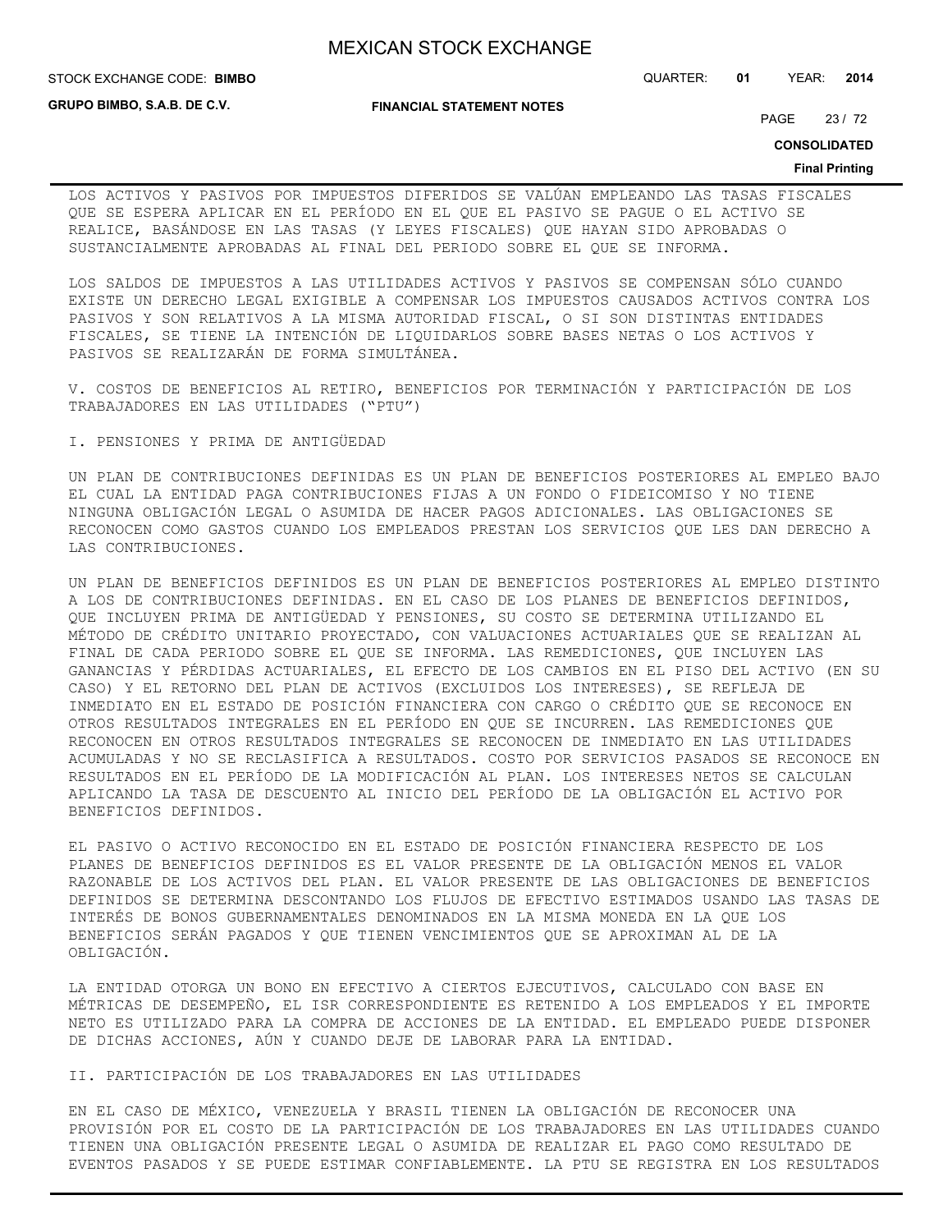**STOCK EXCHANGE CODE: BIMBO** 

**GRUPO BIMBO, S.A.B. DE C.V.**

**FINANCIAL STATEMENT NOTES**

STOCK EXCHANGE CODE: QUARTER: **01** YEAR: **2014**

PAGE 23 / 72

**CONSOLIDATED**

## **Final Printing**

LOS ACTIVOS Y PASIVOS POR IMPUESTOS DIFERIDOS SE VALÚAN EMPLEANDO LAS TASAS FISCALES QUE SE ESPERA APLICAR EN EL PERÍODO EN EL QUE EL PASIVO SE PAGUE O EL ACTIVO SE REALICE, BASÁNDOSE EN LAS TASAS (Y LEYES FISCALES) QUE HAYAN SIDO APROBADAS O SUSTANCIALMENTE APROBADAS AL FINAL DEL PERIODO SOBRE EL QUE SE INFORMA.

LOS SALDOS DE IMPUESTOS A LAS UTILIDADES ACTIVOS Y PASIVOS SE COMPENSAN SÓLO CUANDO EXISTE UN DERECHO LEGAL EXIGIBLE A COMPENSAR LOS IMPUESTOS CAUSADOS ACTIVOS CONTRA LOS PASIVOS Y SON RELATIVOS A LA MISMA AUTORIDAD FISCAL, O SI SON DISTINTAS ENTIDADES FISCALES, SE TIENE LA INTENCIÓN DE LIQUIDARLOS SOBRE BASES NETAS O LOS ACTIVOS Y PASIVOS SE REALIZARÁN DE FORMA SIMULTÁNEA.

V. COSTOS DE BENEFICIOS AL RETIRO, BENEFICIOS POR TERMINACIÓN Y PARTICIPACIÓN DE LOS TRABAJADORES EN LAS UTILIDADES ("PTU")

I. PENSIONES Y PRIMA DE ANTIGÜEDAD

UN PLAN DE CONTRIBUCIONES DEFINIDAS ES UN PLAN DE BENEFICIOS POSTERIORES AL EMPLEO BAJO EL CUAL LA ENTIDAD PAGA CONTRIBUCIONES FIJAS A UN FONDO O FIDEICOMISO Y NO TIENE NINGUNA OBLIGACIÓN LEGAL O ASUMIDA DE HACER PAGOS ADICIONALES. LAS OBLIGACIONES SE RECONOCEN COMO GASTOS CUANDO LOS EMPLEADOS PRESTAN LOS SERVICIOS QUE LES DAN DERECHO A LAS CONTRIBUCIONES.

UN PLAN DE BENEFICIOS DEFINIDOS ES UN PLAN DE BENEFICIOS POSTERIORES AL EMPLEO DISTINTO A LOS DE CONTRIBUCIONES DEFINIDAS. EN EL CASO DE LOS PLANES DE BENEFICIOS DEFINIDOS, QUE INCLUYEN PRIMA DE ANTIGÜEDAD Y PENSIONES, SU COSTO SE DETERMINA UTILIZANDO EL MÉTODO DE CRÉDITO UNITARIO PROYECTADO, CON VALUACIONES ACTUARIALES QUE SE REALIZAN AL FINAL DE CADA PERIODO SOBRE EL QUE SE INFORMA. LAS REMEDICIONES, QUE INCLUYEN LAS GANANCIAS Y PÉRDIDAS ACTUARIALES, EL EFECTO DE LOS CAMBIOS EN EL PISO DEL ACTIVO (EN SU CASO) Y EL RETORNO DEL PLAN DE ACTIVOS (EXCLUIDOS LOS INTERESES), SE REFLEJA DE INMEDIATO EN EL ESTADO DE POSICIÓN FINANCIERA CON CARGO O CRÉDITO QUE SE RECONOCE EN OTROS RESULTADOS INTEGRALES EN EL PERÍODO EN QUE SE INCURREN. LAS REMEDICIONES QUE RECONOCEN EN OTROS RESULTADOS INTEGRALES SE RECONOCEN DE INMEDIATO EN LAS UTILIDADES ACUMULADAS Y NO SE RECLASIFICA A RESULTADOS. COSTO POR SERVICIOS PASADOS SE RECONOCE EN RESULTADOS EN EL PERÍODO DE LA MODIFICACIÓN AL PLAN. LOS INTERESES NETOS SE CALCULAN APLICANDO LA TASA DE DESCUENTO AL INICIO DEL PERÍODO DE LA OBLIGACIÓN EL ACTIVO POR BENEFICIOS DEFINIDOS.

EL PASIVO O ACTIVO RECONOCIDO EN EL ESTADO DE POSICIÓN FINANCIERA RESPECTO DE LOS PLANES DE BENEFICIOS DEFINIDOS ES EL VALOR PRESENTE DE LA OBLIGACIÓN MENOS EL VALOR RAZONABLE DE LOS ACTIVOS DEL PLAN. EL VALOR PRESENTE DE LAS OBLIGACIONES DE BENEFICIOS DEFINIDOS SE DETERMINA DESCONTANDO LOS FLUJOS DE EFECTIVO ESTIMADOS USANDO LAS TASAS DE INTERÉS DE BONOS GUBERNAMENTALES DENOMINADOS EN LA MISMA MONEDA EN LA QUE LOS BENEFICIOS SERÁN PAGADOS Y QUE TIENEN VENCIMIENTOS QUE SE APROXIMAN AL DE LA OBLIGACIÓN.

LA ENTIDAD OTORGA UN BONO EN EFECTIVO A CIERTOS EJECUTIVOS, CALCULADO CON BASE EN MÉTRICAS DE DESEMPEÑO, EL ISR CORRESPONDIENTE ES RETENIDO A LOS EMPLEADOS Y EL IMPORTE NETO ES UTILIZADO PARA LA COMPRA DE ACCIONES DE LA ENTIDAD. EL EMPLEADO PUEDE DISPONER DE DICHAS ACCIONES, AÚN Y CUANDO DEJE DE LABORAR PARA LA ENTIDAD.

II. PARTICIPACIÓN DE LOS TRABAJADORES EN LAS UTILIDADES

EN EL CASO DE MÉXICO, VENEZUELA Y BRASIL TIENEN LA OBLIGACIÓN DE RECONOCER UNA PROVISIÓN POR EL COSTO DE LA PARTICIPACIÓN DE LOS TRABAJADORES EN LAS UTILIDADES CUANDO TIENEN UNA OBLIGACIÓN PRESENTE LEGAL O ASUMIDA DE REALIZAR EL PAGO COMO RESULTADO DE EVENTOS PASADOS Y SE PUEDE ESTIMAR CONFIABLEMENTE. LA PTU SE REGISTRA EN LOS RESULTADOS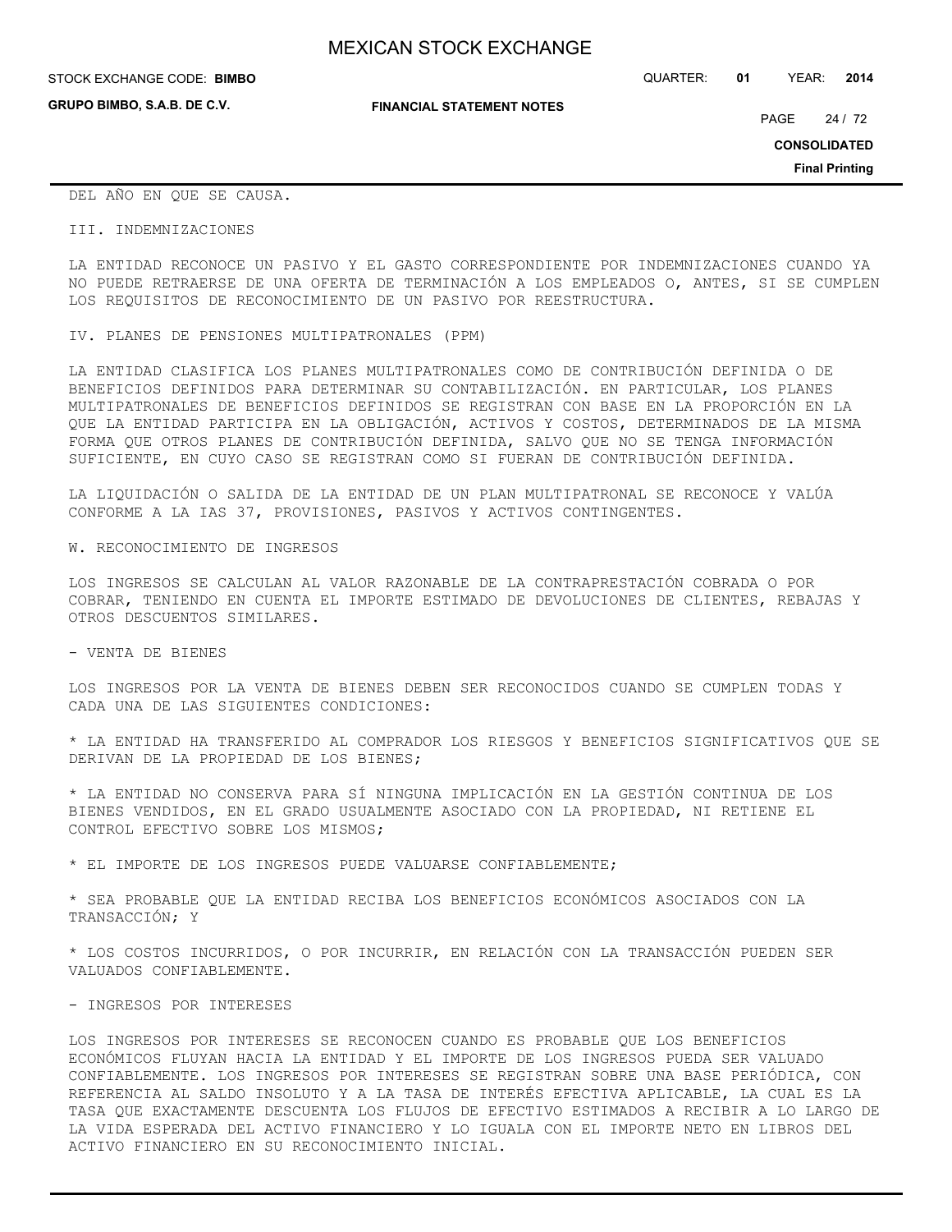**GRUPO BIMBO, S.A.B. DE C.V.**

STOCK EXCHANGE CODE: QUARTER: **01** YEAR: **2014 BIMBO**

**FINANCIAL STATEMENT NOTES**

PAGE 24 / 72

**CONSOLIDATED**

**Final Printing**

## DEL AÑO EN QUE SE CAUSA.

#### III. INDEMNIZACIONES

LA ENTIDAD RECONOCE UN PASIVO Y EL GASTO CORRESPONDIENTE POR INDEMNIZACIONES CUANDO YA NO PUEDE RETRAERSE DE UNA OFERTA DE TERMINACIÓN A LOS EMPLEADOS O, ANTES, SI SE CUMPLEN LOS REQUISITOS DE RECONOCIMIENTO DE UN PASIVO POR REESTRUCTURA.

IV. PLANES DE PENSIONES MULTIPATRONALES (PPM)

LA ENTIDAD CLASIFICA LOS PLANES MULTIPATRONALES COMO DE CONTRIBUCIÓN DEFINIDA O DE BENEFICIOS DEFINIDOS PARA DETERMINAR SU CONTABILIZACIÓN. EN PARTICULAR, LOS PLANES MULTIPATRONALES DE BENEFICIOS DEFINIDOS SE REGISTRAN CON BASE EN LA PROPORCIÓN EN LA QUE LA ENTIDAD PARTICIPA EN LA OBLIGACIÓN, ACTIVOS Y COSTOS, DETERMINADOS DE LA MISMA FORMA QUE OTROS PLANES DE CONTRIBUCIÓN DEFINIDA, SALVO QUE NO SE TENGA INFORMACIÓN SUFICIENTE, EN CUYO CASO SE REGISTRAN COMO SI FUERAN DE CONTRIBUCIÓN DEFINIDA.

LA LIQUIDACIÓN O SALIDA DE LA ENTIDAD DE UN PLAN MULTIPATRONAL SE RECONOCE Y VALÚA CONFORME A LA IAS 37, PROVISIONES, PASIVOS Y ACTIVOS CONTINGENTES.

W. RECONOCIMIENTO DE INGRESOS

LOS INGRESOS SE CALCULAN AL VALOR RAZONABLE DE LA CONTRAPRESTACIÓN COBRADA O POR COBRAR, TENIENDO EN CUENTA EL IMPORTE ESTIMADO DE DEVOLUCIONES DE CLIENTES, REBAJAS Y OTROS DESCUENTOS SIMILARES.

- VENTA DE BIENES

LOS INGRESOS POR LA VENTA DE BIENES DEBEN SER RECONOCIDOS CUANDO SE CUMPLEN TODAS Y CADA UNA DE LAS SIGUIENTES CONDICIONES:

\* LA ENTIDAD HA TRANSFERIDO AL COMPRADOR LOS RIESGOS Y BENEFICIOS SIGNIFICATIVOS QUE SE DERIVAN DE LA PROPIEDAD DE LOS BIENES;

\* LA ENTIDAD NO CONSERVA PARA SÍ NINGUNA IMPLICACIÓN EN LA GESTIÓN CONTINUA DE LOS BIENES VENDIDOS, EN EL GRADO USUALMENTE ASOCIADO CON LA PROPIEDAD, NI RETIENE EL CONTROL EFECTIVO SOBRE LOS MISMOS;

\* EL IMPORTE DE LOS INGRESOS PUEDE VALUARSE CONFIABLEMENTE;

\* SEA PROBABLE QUE LA ENTIDAD RECIBA LOS BENEFICIOS ECONÓMICOS ASOCIADOS CON LA TRANSACCIÓN; Y

\* LOS COSTOS INCURRIDOS, O POR INCURRIR, EN RELACIÓN CON LA TRANSACCIÓN PUEDEN SER VALUADOS CONFIABLEMENTE.

#### - INGRESOS POR INTERESES

LOS INGRESOS POR INTERESES SE RECONOCEN CUANDO ES PROBABLE QUE LOS BENEFICIOS ECONÓMICOS FLUYAN HACIA LA ENTIDAD Y EL IMPORTE DE LOS INGRESOS PUEDA SER VALUADO CONFIABLEMENTE. LOS INGRESOS POR INTERESES SE REGISTRAN SOBRE UNA BASE PERIÓDICA, CON REFERENCIA AL SALDO INSOLUTO Y A LA TASA DE INTERÉS EFECTIVA APLICABLE, LA CUAL ES LA TASA QUE EXACTAMENTE DESCUENTA LOS FLUJOS DE EFECTIVO ESTIMADOS A RECIBIR A LO LARGO DE LA VIDA ESPERADA DEL ACTIVO FINANCIERO Y LO IGUALA CON EL IMPORTE NETO EN LIBROS DEL ACTIVO FINANCIERO EN SU RECONOCIMIENTO INICIAL.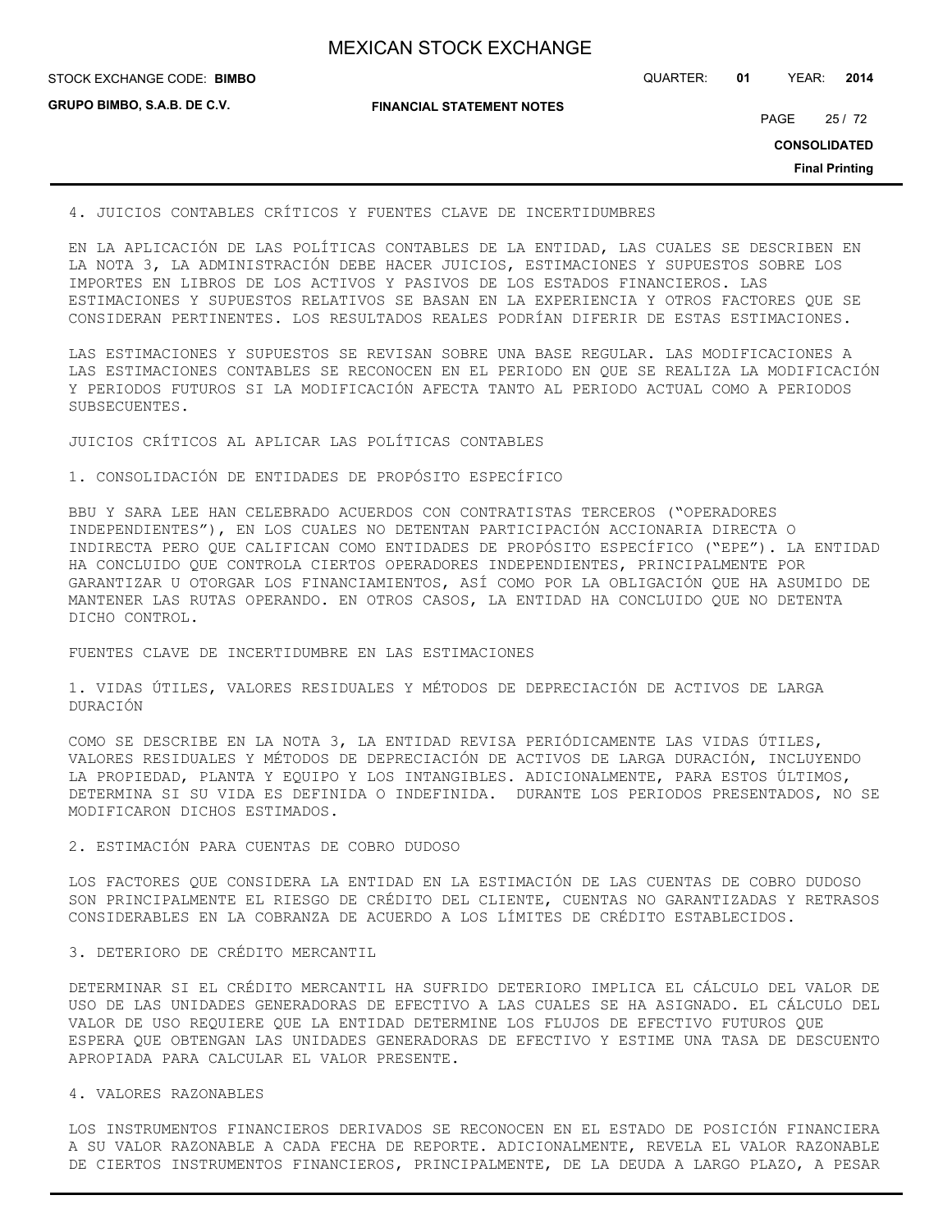| <b>MEXICAN STOCK EXCHANGE</b> |
|-------------------------------|
|-------------------------------|

**GRUPO BIMBO, S.A.B. DE C.V.**

**FINANCIAL STATEMENT NOTES**

STOCK EXCHANGE CODE: QUARTER: **01** YEAR: **2014 BIMBO**

PAGE 25 / 72

**CONSOLIDATED**

**Final Printing**

4. JUICIOS CONTABLES CRÍTICOS Y FUENTES CLAVE DE INCERTIDUMBRES

EN LA APLICACIÓN DE LAS POLÍTICAS CONTABLES DE LA ENTIDAD, LAS CUALES SE DESCRIBEN EN LA NOTA 3, LA ADMINISTRACIÓN DEBE HACER JUICIOS, ESTIMACIONES Y SUPUESTOS SOBRE LOS IMPORTES EN LIBROS DE LOS ACTIVOS Y PASIVOS DE LOS ESTADOS FINANCIEROS. LAS ESTIMACIONES Y SUPUESTOS RELATIVOS SE BASAN EN LA EXPERIENCIA Y OTROS FACTORES QUE SE CONSIDERAN PERTINENTES. LOS RESULTADOS REALES PODRÍAN DIFERIR DE ESTAS ESTIMACIONES.

LAS ESTIMACIONES Y SUPUESTOS SE REVISAN SOBRE UNA BASE REGULAR. LAS MODIFICACIONES A LAS ESTIMACIONES CONTABLES SE RECONOCEN EN EL PERIODO EN QUE SE REALIZA LA MODIFICACIÓN Y PERIODOS FUTUROS SI LA MODIFICACIÓN AFECTA TANTO AL PERIODO ACTUAL COMO A PERIODOS SUBSECUENTES.

JUICIOS CRÍTICOS AL APLICAR LAS POLÍTICAS CONTABLES

1. CONSOLIDACIÓN DE ENTIDADES DE PROPÓSITO ESPECÍFICO

BBU Y SARA LEE HAN CELEBRADO ACUERDOS CON CONTRATISTAS TERCEROS ("OPERADORES INDEPENDIENTES"), EN LOS CUALES NO DETENTAN PARTICIPACIÓN ACCIONARIA DIRECTA O INDIRECTA PERO QUE CALIFICAN COMO ENTIDADES DE PROPÓSITO ESPECÍFICO ("EPE"). LA ENTIDAD HA CONCLUIDO QUE CONTROLA CIERTOS OPERADORES INDEPENDIENTES, PRINCIPALMENTE POR GARANTIZAR U OTORGAR LOS FINANCIAMIENTOS, ASÍ COMO POR LA OBLIGACIÓN QUE HA ASUMIDO DE MANTENER LAS RUTAS OPERANDO. EN OTROS CASOS, LA ENTIDAD HA CONCLUIDO QUE NO DETENTA DICHO CONTROL.

FUENTES CLAVE DE INCERTIDUMBRE EN LAS ESTIMACIONES

1. VIDAS ÚTILES, VALORES RESIDUALES Y MÉTODOS DE DEPRECIACIÓN DE ACTIVOS DE LARGA DURACIÓN

COMO SE DESCRIBE EN LA NOTA 3, LA ENTIDAD REVISA PERIÓDICAMENTE LAS VIDAS ÚTILES, VALORES RESIDUALES Y MÉTODOS DE DEPRECIACIÓN DE ACTIVOS DE LARGA DURACIÓN, INCLUYENDO LA PROPIEDAD, PLANTA Y EQUIPO Y LOS INTANGIBLES. ADICIONALMENTE, PARA ESTOS ÚLTIMOS, DETERMINA SI SU VIDA ES DEFINIDA O INDEFINIDA. DURANTE LOS PERIODOS PRESENTADOS, NO SE MODIFICARON DICHOS ESTIMADOS.

## 2. ESTIMACIÓN PARA CUENTAS DE COBRO DUDOSO

LOS FACTORES QUE CONSIDERA LA ENTIDAD EN LA ESTIMACIÓN DE LAS CUENTAS DE COBRO DUDOSO SON PRINCIPALMENTE EL RIESGO DE CRÉDITO DEL CLIENTE, CUENTAS NO GARANTIZADAS Y RETRASOS CONSIDERABLES EN LA COBRANZA DE ACUERDO A LOS LÍMITES DE CRÉDITO ESTABLECIDOS.

### 3. DETERIORO DE CRÉDITO MERCANTIL

DETERMINAR SI EL CRÉDITO MERCANTIL HA SUFRIDO DETERIORO IMPLICA EL CÁLCULO DEL VALOR DE USO DE LAS UNIDADES GENERADORAS DE EFECTIVO A LAS CUALES SE HA ASIGNADO. EL CÁLCULO DEL VALOR DE USO REQUIERE QUE LA ENTIDAD DETERMINE LOS FLUJOS DE EFECTIVO FUTUROS QUE ESPERA QUE OBTENGAN LAS UNIDADES GENERADORAS DE EFECTIVO Y ESTIME UNA TASA DE DESCUENTO APROPIADA PARA CALCULAR EL VALOR PRESENTE.

## 4. VALORES RAZONABLES

LOS INSTRUMENTOS FINANCIEROS DERIVADOS SE RECONOCEN EN EL ESTADO DE POSICIÓN FINANCIERA A SU VALOR RAZONABLE A CADA FECHA DE REPORTE. ADICIONALMENTE, REVELA EL VALOR RAZONABLE DE CIERTOS INSTRUMENTOS FINANCIEROS, PRINCIPALMENTE, DE LA DEUDA A LARGO PLAZO, A PESAR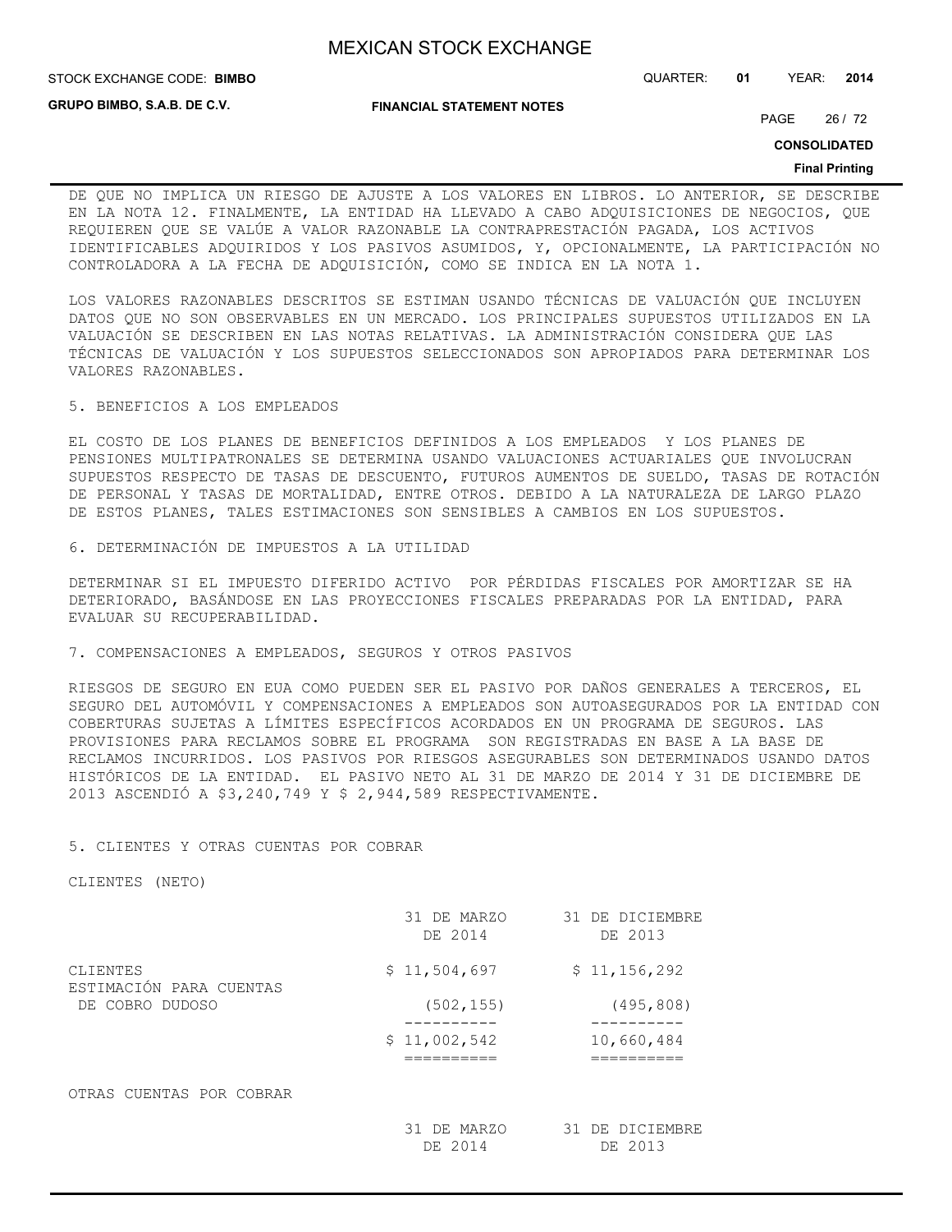STOCK EXCHANGE CODE: QUARTER: **01** YEAR: **2014 BIMBO**

**GRUPO BIMBO, S.A.B. DE C.V.**

**FINANCIAL STATEMENT NOTES**

PAGE 26 / 72

**CONSOLIDATED**

#### **Final Printing**

DE QUE NO IMPLICA UN RIESGO DE AJUSTE A LOS VALORES EN LIBROS. LO ANTERIOR, SE DESCRIBE EN LA NOTA 12. FINALMENTE, LA ENTIDAD HA LLEVADO A CABO ADQUISICIONES DE NEGOCIOS, QUE REQUIEREN QUE SE VALÚE A VALOR RAZONABLE LA CONTRAPRESTACIÓN PAGADA, LOS ACTIVOS IDENTIFICABLES ADQUIRIDOS Y LOS PASIVOS ASUMIDOS, Y, OPCIONALMENTE, LA PARTICIPACIÓN NO CONTROLADORA A LA FECHA DE ADQUISICIÓN, COMO SE INDICA EN LA NOTA 1.

LOS VALORES RAZONABLES DESCRITOS SE ESTIMAN USANDO TÉCNICAS DE VALUACIÓN QUE INCLUYEN DATOS QUE NO SON OBSERVABLES EN UN MERCADO. LOS PRINCIPALES SUPUESTOS UTILIZADOS EN LA VALUACIÓN SE DESCRIBEN EN LAS NOTAS RELATIVAS. LA ADMINISTRACIÓN CONSIDERA QUE LAS TÉCNICAS DE VALUACIÓN Y LOS SUPUESTOS SELECCIONADOS SON APROPIADOS PARA DETERMINAR LOS VALORES RAZONABLES.

5. BENEFICIOS A LOS EMPLEADOS

EL COSTO DE LOS PLANES DE BENEFICIOS DEFINIDOS A LOS EMPLEADOS Y LOS PLANES DE PENSIONES MULTIPATRONALES SE DETERMINA USANDO VALUACIONES ACTUARIALES QUE INVOLUCRAN SUPUESTOS RESPECTO DE TASAS DE DESCUENTO, FUTUROS AUMENTOS DE SUELDO, TASAS DE ROTACIÓN DE PERSONAL Y TASAS DE MORTALIDAD, ENTRE OTROS. DEBIDO A LA NATURALEZA DE LARGO PLAZO DE ESTOS PLANES, TALES ESTIMACIONES SON SENSIBLES A CAMBIOS EN LOS SUPUESTOS.

6. DETERMINACIÓN DE IMPUESTOS A LA UTILIDAD

DETERMINAR SI EL IMPUESTO DIFERIDO ACTIVO POR PÉRDIDAS FISCALES POR AMORTIZAR SE HA DETERIORADO, BASÁNDOSE EN LAS PROYECCIONES FISCALES PREPARADAS POR LA ENTIDAD, PARA EVALUAR SU RECUPERABILIDAD.

7. COMPENSACIONES A EMPLEADOS, SEGUROS Y OTROS PASIVOS

RIESGOS DE SEGURO EN EUA COMO PUEDEN SER EL PASIVO POR DAÑOS GENERALES A TERCEROS, EL SEGURO DEL AUTOMÓVIL Y COMPENSACIONES A EMPLEADOS SON AUTOASEGURADOS POR LA ENTIDAD CON COBERTURAS SUJETAS A LÍMITES ESPECÍFICOS ACORDADOS EN UN PROGRAMA DE SEGUROS. LAS PROVISIONES PARA RECLAMOS SOBRE EL PROGRAMA SON REGISTRADAS EN BASE A LA BASE DE RECLAMOS INCURRIDOS. LOS PASIVOS POR RIESGOS ASEGURABLES SON DETERMINADOS USANDO DATOS HISTÓRICOS DE LA ENTIDAD. EL PASIVO NETO AL 31 DE MARZO DE 2014 Y 31 DE DICIEMBRE DE 2013 ASCENDIÓ A \$3,240,749 Y \$ 2,944,589 RESPECTIVAMENTE.

## 5. CLIENTES Y OTRAS CUENTAS POR COBRAR

CLIENTES (NETO)

|                                     | 31 DE MARZO<br>DE 2014 | 31 DE DICIEMBRE<br>DE 2013 |
|-------------------------------------|------------------------|----------------------------|
| CLIENTES<br>ESTIMACIÓN PARA CUENTAS | \$11,504,697           | \$11, 156, 292             |
| DE COBRO DUDOSO                     | (502, 155)             | (495, 808)                 |
|                                     | \$11,002,542           | 10,660,484                 |
| OTRAS CUENTAS POR COBRAR            |                        |                            |
|                                     | 31 DE MARZO<br>DE 2014 | 31 DE DICIEMBRE<br>DE 2013 |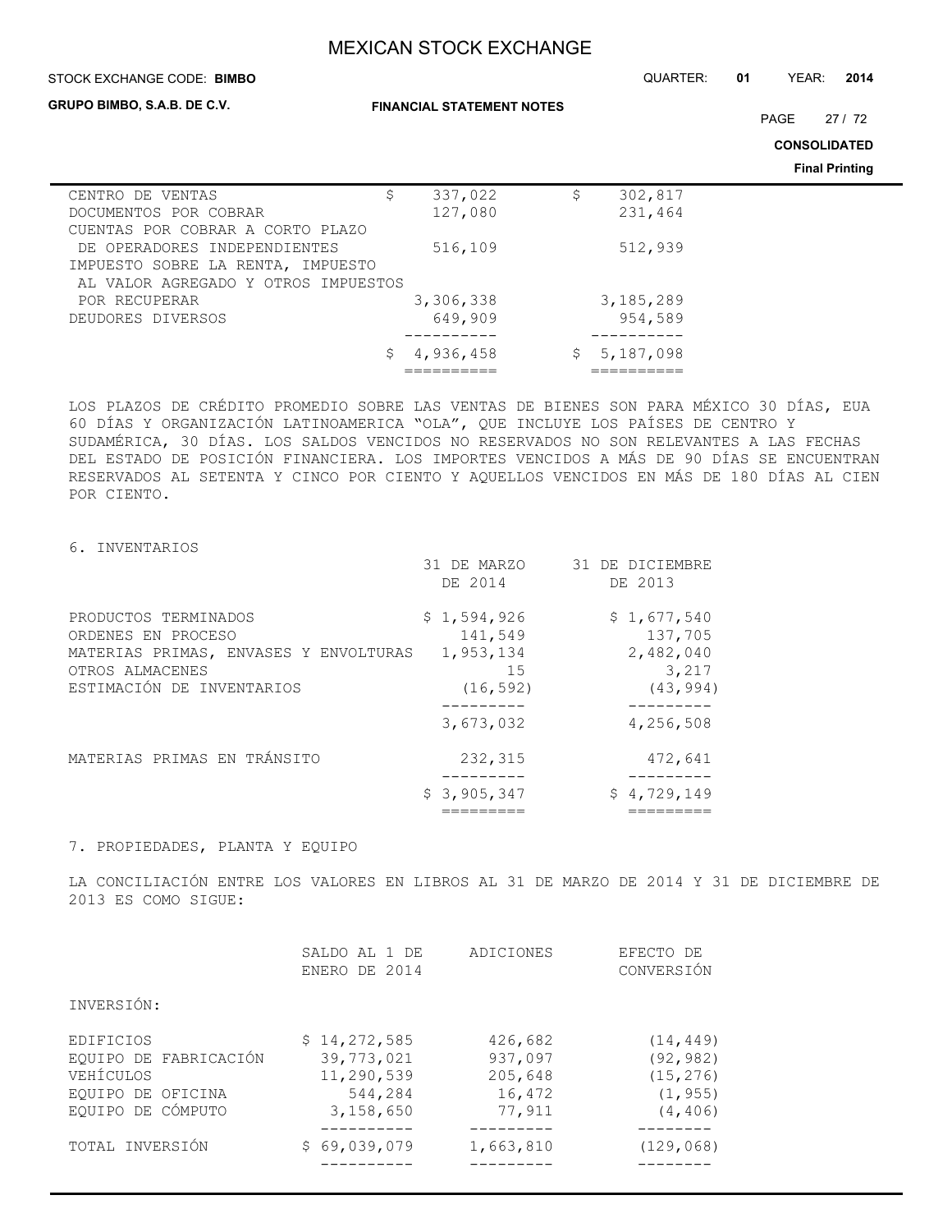| STOCK EXCHANGE CODE: BIMBO          | QUARTER:                         | 01        | YEAR: | 2014      |  |                     |                       |
|-------------------------------------|----------------------------------|-----------|-------|-----------|--|---------------------|-----------------------|
| <b>GRUPO BIMBO, S.A.B. DE C.V.</b>  | <b>FINANCIAL STATEMENT NOTES</b> |           |       |           |  | PAGE                | 27/72                 |
|                                     |                                  |           |       |           |  | <b>CONSOLIDATED</b> |                       |
|                                     |                                  |           |       |           |  |                     | <b>Final Printing</b> |
| CENTRO<br>DE VENTAS                 | \$                               | 337,022   | \$    | 302,817   |  |                     |                       |
| DOCUMENTOS POR COBRAR               |                                  | 127,080   |       | 231,464   |  |                     |                       |
| CUENTAS POR COBRAR A CORTO PLAZO    |                                  |           |       |           |  |                     |                       |
| DE OPERADORES INDEPENDIENTES        |                                  | 516,109   |       | 512,939   |  |                     |                       |
| IMPUESTO SOBRE LA RENTA, IMPUESTO   |                                  |           |       |           |  |                     |                       |
| AL VALOR AGREGADO Y OTROS IMPUESTOS |                                  |           |       |           |  |                     |                       |
| POR RECUPERAR                       |                                  | 3,306,338 |       | 3,185,289 |  |                     |                       |
| DEUDORES DIVERSOS                   |                                  | 649,909   |       | 954,589   |  |                     |                       |
|                                     | \$                               | 4,936,458 | \$.   | 5,187,098 |  |                     |                       |

LOS PLAZOS DE CRÉDITO PROMEDIO SOBRE LAS VENTAS DE BIENES SON PARA MÉXICO 30 DÍAS, EUA 60 DÍAS Y ORGANIZACIÓN LATINOAMERICA "OLA", QUE INCLUYE LOS PAÍSES DE CENTRO Y SUDAMÉRICA, 30 DÍAS. LOS SALDOS VENCIDOS NO RESERVADOS NO SON RELEVANTES A LAS FECHAS DEL ESTADO DE POSICIÓN FINANCIERA. LOS IMPORTES VENCIDOS A MÁS DE 90 DÍAS SE ENCUENTRAN RESERVADOS AL SETENTA Y CINCO POR CIENTO Y AQUELLOS VENCIDOS EN MÁS DE 180 DÍAS AL CIEN POR CIENTO.

========== ==========

## 6. INVENTARIOS

|                                                                                                                                     | 31 DE MARZO<br>DE 2014                                 | 31 DE DICIEMBRE<br>DE 2013                                            |
|-------------------------------------------------------------------------------------------------------------------------------------|--------------------------------------------------------|-----------------------------------------------------------------------|
| PRODUCTOS TERMINADOS<br>ORDENES EN PROCESO<br>MATERIAS PRIMAS, ENVASES Y ENVOLTURAS<br>OTROS ALMACENES<br>ESTIMACIÓN DE INVENTARIOS | \$1,594,926<br>141,549<br>1,953,134<br>15<br>(16, 592) | \$1,677,540<br>137,705<br>2,482,040<br>3,217<br>(43, 994)<br>-------- |
|                                                                                                                                     | 3,673,032                                              | 4,256,508                                                             |
| MATERIAS PRIMAS EN TRÁNSITO                                                                                                         | 232,315                                                | 472,641                                                               |
|                                                                                                                                     | \$3,905,347                                            | \$4,729,149                                                           |

## 7. PROPIEDADES, PLANTA Y EQUIPO

LA CONCILIACIÓN ENTRE LOS VALORES EN LIBROS AL 31 DE MARZO DE 2014 Y 31 DE DICIEMBRE DE 2013 ES COMO SIGUE:

| TOTAL INVERSIÓN       | \$69,039,079  | 1,663,810 | (129, 068) |
|-----------------------|---------------|-----------|------------|
|                       |               |           |            |
| EQUIPO DE CÓMPUTO     | 3,158,650     | 77,911    | (4, 406)   |
| EOUIPO DE OFICINA     | 544,284       | 16,472    | (1, 955)   |
| VEHÍCULOS             | 11,290,539    | 205,648   | (15, 276)  |
| EQUIPO DE FABRICACIÓN | 39, 773, 021  | 937,097   | (92, 982)  |
| EDIFICIOS             | \$14,272,585  | 426,682   | (14, 449)  |
| INVERSIÓN:            |               |           |            |
|                       |               |           |            |
|                       | ENERO DE 2014 |           | CONVERSIÓN |
|                       | SALDO AL 1 DE | ADICIONES | EFECTO DE  |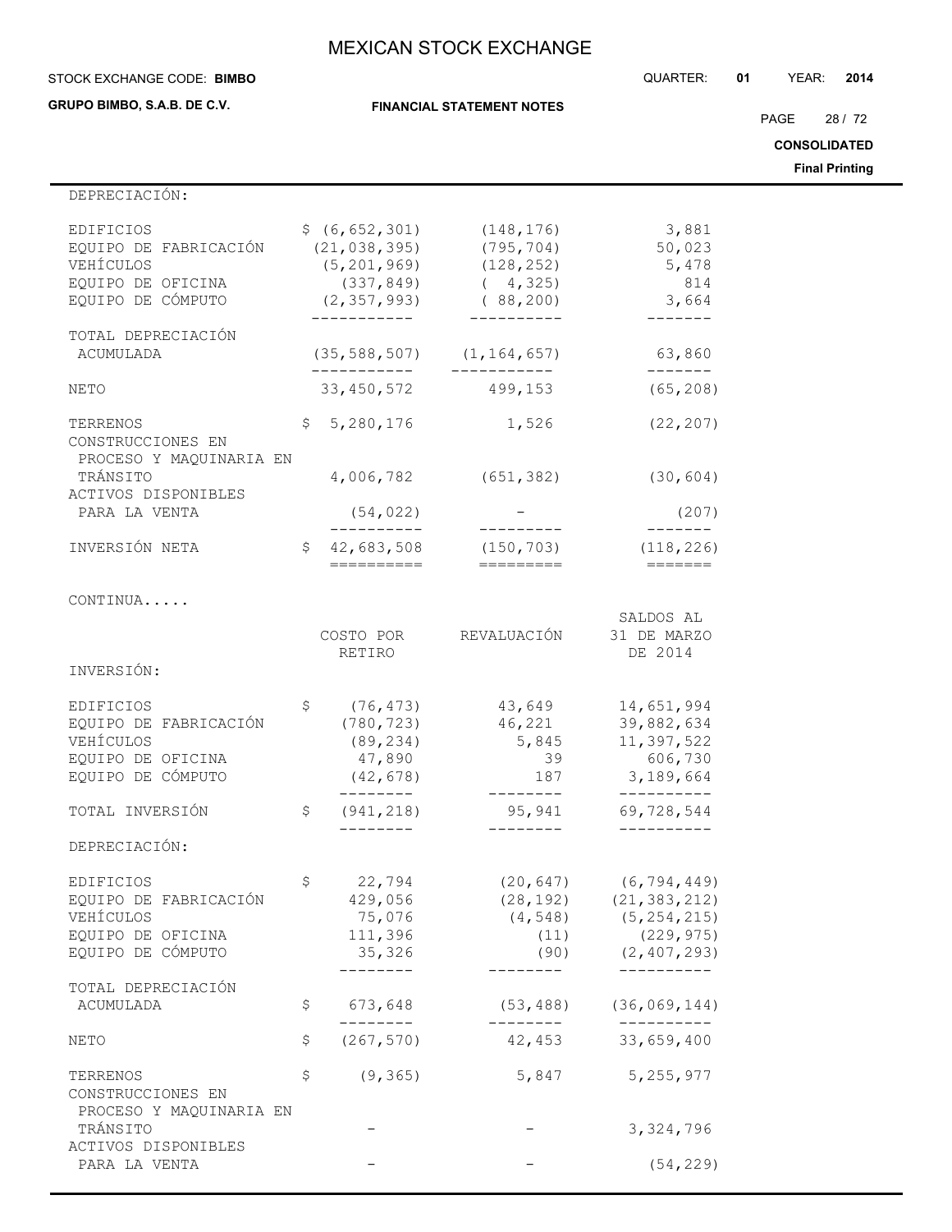STOCK EXCHANGE CODE: QUARTER: **01** YEAR: **2014 BIMBO**

**GRUPO BIMBO, S.A.B. DE C.V.**

**FINANCIAL STATEMENT NOTES**

PAGE 28 / 72

**CONSOLIDATED**

**Final Printing**

| DEPRECIACIÓN:                                                                             |                                                                                                   |                                                                 |                                                                                                                       |
|-------------------------------------------------------------------------------------------|---------------------------------------------------------------------------------------------------|-----------------------------------------------------------------|-----------------------------------------------------------------------------------------------------------------------|
| EDIFICIOS<br>EQUIPO DE FABRICACIÓN<br>VEHÍCULOS<br>EQUIPO DE OFICINA<br>EQUIPO DE CÓMPUTO | \$ (6, 652, 301)<br>(21, 038, 395)<br>(5, 201, 969)<br>(337, 849)<br>(2, 357, 993)<br>----------- | (148, 176)<br>(795, 704)<br>(128, 252)<br>(4, 325)<br>(88, 200) | 3,881<br>50,023<br>5,478<br>814<br>3,664                                                                              |
| TOTAL DEPRECIACIÓN<br>ACUMULADA                                                           | (35, 588, 507)<br>. <u>.</u>                                                                      | (1, 164, 657)                                                   | 63,860<br>-------                                                                                                     |
| NETO                                                                                      | 33,450,572                                                                                        | 499,153                                                         | (65, 208)                                                                                                             |
| TERRENOS<br>CONSTRUCCIONES EN<br>PROCESO Y MAQUINARIA EN                                  | \$5,280,176                                                                                       | 1,526                                                           | (22, 207)                                                                                                             |
| TRÁNSITO<br>ACTIVOS DISPONIBLES                                                           | 4,006,782                                                                                         | (651, 382)                                                      | (30, 604)                                                                                                             |
| PARA LA VENTA                                                                             | (54, 022)<br>__________                                                                           | ----------                                                      | (207)<br>--------                                                                                                     |
| INVERSIÓN NETA                                                                            | \$<br>42,683,508<br>==========                                                                    | (150, 703)<br>=========                                         | (118, 226)<br>$=$ $=$ $=$ $=$ $=$ $=$                                                                                 |
| CONTINUA                                                                                  |                                                                                                   |                                                                 | SALDOS AL                                                                                                             |
|                                                                                           | COSTO POR<br>RETIRO                                                                               | REVALUACIÓN                                                     | 31 DE MARZO<br>DE 2014                                                                                                |
| INVERSIÓN:                                                                                |                                                                                                   |                                                                 |                                                                                                                       |
| EDIFICIOS<br>EQUIPO DE FABRICACIÓN<br>VEHÍCULOS<br>EQUIPO DE OFICINA<br>EQUIPO DE CÓMPUTO | \$<br>(76, 473)<br>(780, 723)<br>(89, 234)<br>47,890<br>(42, 678)                                 | 43,649<br>46,221<br>5,845<br>39<br>187                          | 14,651,994<br>39,882,634<br>11,397,522<br>606,730<br>3,189,664                                                        |
| TOTAL INVERSIÓN                                                                           | \$<br>(941, 218)                                                                                  | 95,941<br>--------                                              | 69,728,544<br>----------                                                                                              |
| DEPRECIACIÓN:                                                                             |                                                                                                   |                                                                 |                                                                                                                       |
| EDIFICIOS<br>EQUIPO DE FABRICACIÓN<br>VEHÍCULOS<br>EQUIPO DE OFICINA<br>EQUIPO DE CÓMPUTO | \$<br>22,794<br>429,056<br>75,076<br>111,396<br>35,326<br>. - - - - - -                           | (20, 647)<br>(11)<br>(90)                                       | (6,794,449)<br>$(28, 192)$ $(21, 383, 212)$<br>$(4, 548)$ $(5, 254, 215)$<br>(229, 975)<br>(2, 407, 293)<br>--------- |
| TOTAL DEPRECIACIÓN                                                                        | \$                                                                                                |                                                                 | (36, 069, 144)                                                                                                        |
| ACUMULADA                                                                                 | 673,648<br>--------                                                                               | (53, 488)<br>.                                                  | --------                                                                                                              |
| NETO                                                                                      | \$<br>(267, 570)                                                                                  | 42,453                                                          | 33,659,400                                                                                                            |
| TERRENOS<br>CONSTRUCCIONES EN                                                             | \$<br>(9, 365)                                                                                    | 5,847                                                           | 5, 255, 977                                                                                                           |
| PROCESO Y MAQUINARIA EN<br>TRÁNSITO                                                       |                                                                                                   |                                                                 | 3,324,796                                                                                                             |
| ACTIVOS DISPONIBLES<br>PARA LA VENTA                                                      |                                                                                                   |                                                                 | (54, 229)                                                                                                             |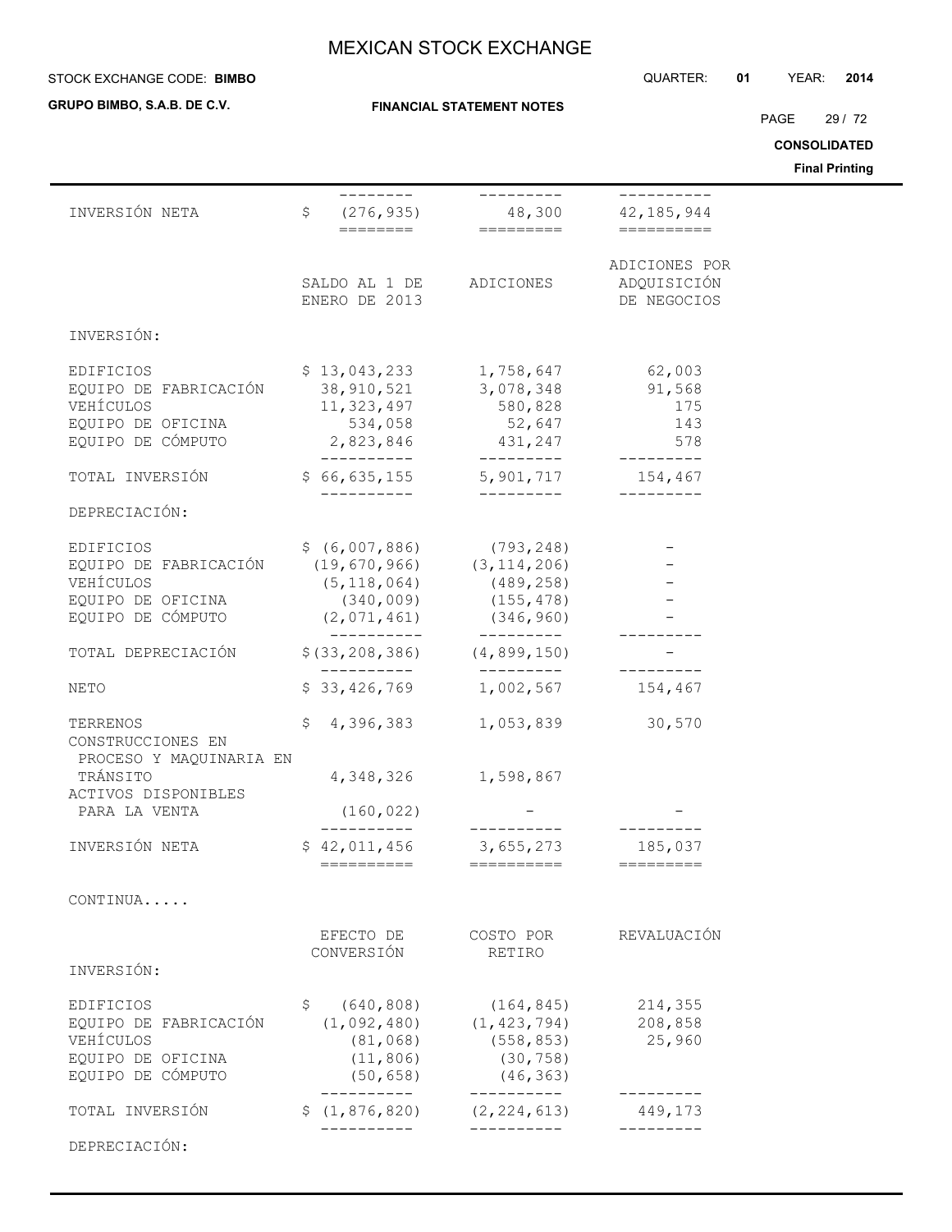## **STOCK EXCHANGE CODE: BIMBO**

**GRUPO BIMBO, S.A.B. DE C.V.**

### **FINANCIAL STATEMENT NOTES**

STOCK EXCHANGE CODE: QUARTER: **01** YEAR: **2014**

PAGE 29 / 72

**CONSOLIDATED**

**Final Printing**

|                                                                                                                                          |                                                                                  |                                                                     |                                             | Final Printing |
|------------------------------------------------------------------------------------------------------------------------------------------|----------------------------------------------------------------------------------|---------------------------------------------------------------------|---------------------------------------------|----------------|
| INVERSIÓN NETA                                                                                                                           |                                                                                  |                                                                     |                                             |                |
|                                                                                                                                          | SALDO AL 1 DE ADICIONES<br>ENERO DE 2013                                         |                                                                     | ADICIONES POR<br>ADQUISICIÓN<br>DE NEGOCIOS |                |
| INVERSIÓN:                                                                                                                               |                                                                                  |                                                                     |                                             |                |
| EDIFICIOS<br>EQUIPO DE FABRICACIÓN<br>VEHÍCULOS<br>EQUIPO DE OFICINA<br>EQUIPO DE CÓMPUTO                                                | $$13,043,233$ $1,758,647$<br>38,910,521<br>11, 323, 497<br>2,823,846 431,247 578 | 3,078,348<br>580,828<br>534,058 52,647 143                          | 62,003<br>91,568<br>175                     |                |
| TOTAL INVERSIÓN                                                                                                                          | $$66,635,155$ $$5,901,717$ $154,467$                                             | _________                                                           |                                             |                |
| DEPRECIACIÓN:                                                                                                                            |                                                                                  |                                                                     |                                             |                |
| EDIFICIOS<br>EQUIPO DE FABRICACIÓN (19,670,966) (3,114,206)<br>VEHÍCULOS<br>EQUIPO DE OFICINA<br>EQUIPO DE CÓMPUTO (2,071,461) (346,960) | $$ (6,007,886)$ (793,248)<br>$(5, 118, 064)$ (489, 258)                          | $(340, 009)$ $(155, 478)$                                           |                                             |                |
| TOTAL DEPRECIACIÓN                                                                                                                       | $$ (33, 208, 386)$ (4,899,150)                                                   | __________                                                          |                                             |                |
| NETO                                                                                                                                     | -----------<br>\$33,426,769                                                      | __________<br>1,002,567                                             | 154,467                                     |                |
| TERRENOS<br>CONSTRUCCIONES EN<br>PROCESO Y MAQUINARIA EN                                                                                 | $$4,396,383$ $1,053,839$ $30,570$                                                |                                                                     |                                             |                |
| TRÁNSITO<br>ACTIVOS DISPONIBLES                                                                                                          |                                                                                  | 4, 348, 326 1, 598, 867                                             |                                             |                |
| PARA LA VENTA                                                                                                                            | (160, 022)                                                                       |                                                                     |                                             |                |
| INVERSIÓN NETA                                                                                                                           | \$42,011,456 3,655,273 185,037<br>==========                                     | ==========                                                          | =========                                   |                |
| CONTINUA                                                                                                                                 |                                                                                  |                                                                     |                                             |                |
| INVERSIÓN:                                                                                                                               | EFECTO DE<br>CONVERSIÓN                                                          | COSTO POR<br>RETIRO                                                 | REVALUACIÓN                                 |                |
| EDIFICIOS<br>EQUIPO DE FABRICACIÓN<br>VEHÍCULOS<br>EQUIPO DE OFICINA<br>EQUIPO DE CÓMPUTO                                                | \$<br>(640, 808)<br>(1,092,480)<br>(81, 068)<br>(11, 806)<br>(50, 658)           | (164, 845)<br>(1, 423, 794)<br>(558, 853)<br>(30, 758)<br>(46, 363) | 214,355<br>208,858<br>25,960                |                |
| TOTAL INVERSIÓN                                                                                                                          | \$(1, 876, 820)                                                                  | (2, 224, 613)                                                       | . _ _ _ _ _ _ _ _<br>449,173                |                |
| DEPRECIACIÓN:                                                                                                                            |                                                                                  |                                                                     |                                             |                |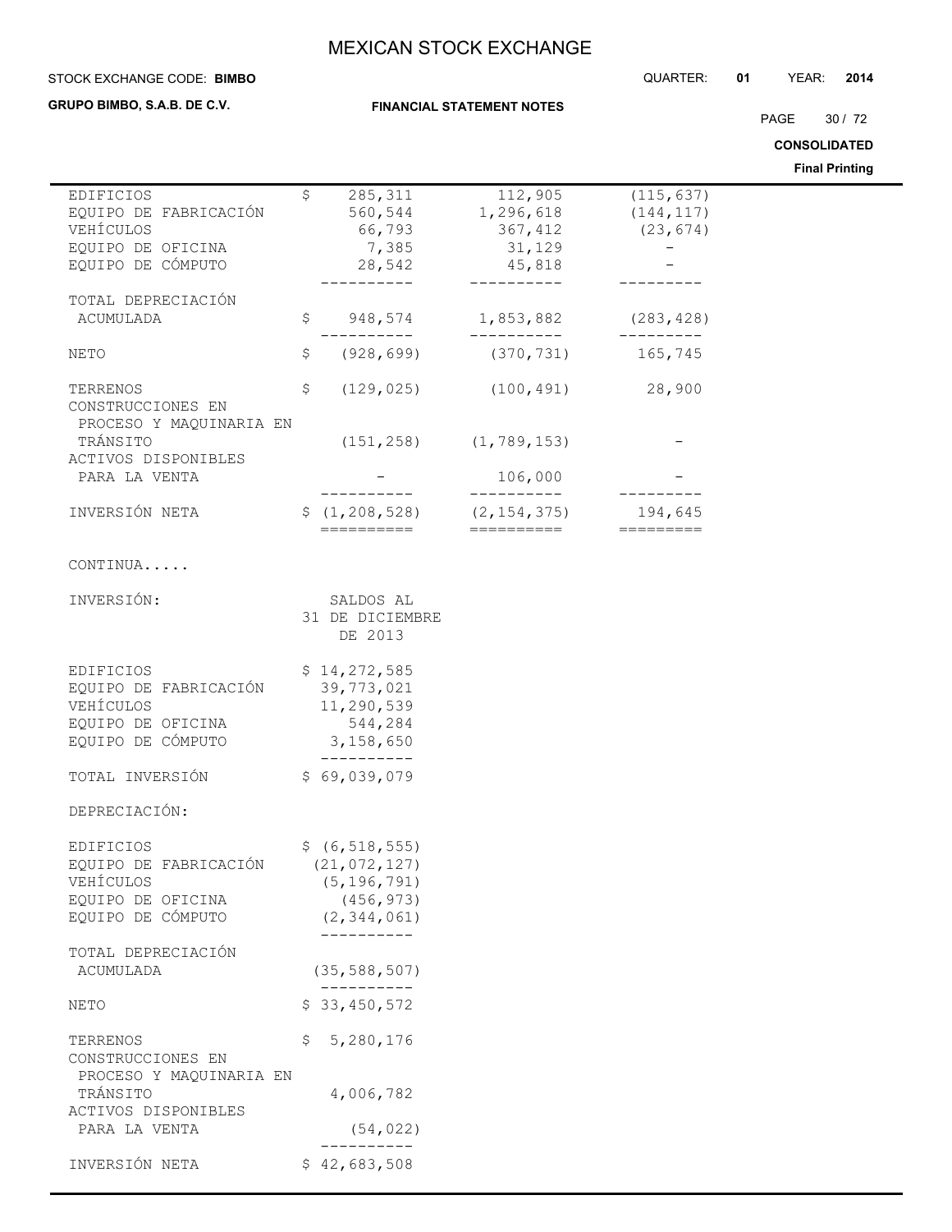**FINANCIAL STATEMENT NOTES**

#### STOCK EXCHANGE CODE: QUARTER: **01** YEAR: **2014 BIMBO**

**GRUPO BIMBO, S.A.B. DE C.V.**

 $\overline{\phantom{a}}$ 

PAGE 30 / 72

**CONSOLIDATED**

|                                                                                           |     |                                                                                                |                                                                 |                                       | <b>Final Printing</b> |
|-------------------------------------------------------------------------------------------|-----|------------------------------------------------------------------------------------------------|-----------------------------------------------------------------|---------------------------------------|-----------------------|
| EDIFICIOS<br>EQUIPO DE FABRICACIÓN<br>VEHÍCULOS<br>EQUIPO DE OFICINA<br>EQUIPO DE CÓMPUTO | \$  | 285,311<br>560,544<br>66,793<br>7,385<br>28,542<br>-------                                     | 112,905<br>1,296,618<br>367,412<br>31,129<br>45,818<br>-------- | (115, 637)<br>(144, 117)<br>(23, 674) |                       |
| TOTAL DEPRECIACIÓN<br>ACUMULADA                                                           | \$  | ---------                                                                                      | 948,574 1,853,882<br>__________                                 | (283, 428)<br>--------                |                       |
| NETO                                                                                      | \$  |                                                                                                | $(928, 699)$ $(370, 731)$ 165, 745                              |                                       |                       |
| TERRENOS<br>CONSTRUCCIONES EN<br>PROCESO Y MAQUINARIA EN                                  | \$  | (129, 025)                                                                                     | $(100, 491)$ 28,900                                             |                                       |                       |
| TRÁNSITO<br>ACTIVOS DISPONIBLES                                                           |     | $(151, 258)$ $(1, 789, 153)$                                                                   |                                                                 |                                       |                       |
| PARA LA VENTA                                                                             |     |                                                                                                | 106,000<br>-----------                                          |                                       |                       |
| INVERSIÓN NETA                                                                            |     | $\frac{1}{2}$ (1,208,528) (2,154,375)<br>==========                                            | ==========                                                      | 194,645                               |                       |
| CONTINUA                                                                                  |     |                                                                                                |                                                                 |                                       |                       |
| INVERSIÓN:                                                                                |     | SALDOS AL<br>31 DE DICIEMBRE<br>DE 2013                                                        |                                                                 |                                       |                       |
| EDIFICIOS<br>EQUIPO DE FABRICACIÓN<br>VEHÍCULOS<br>EQUIPO DE OFICINA<br>EQUIPO DE CÓMPUTO |     | \$14,272,585<br>39,773,021<br>11,290,539<br>544,284<br>3,158,650                               |                                                                 |                                       |                       |
| TOTAL INVERSIÓN                                                                           |     | ----------<br>\$69,039,079                                                                     |                                                                 |                                       |                       |
| DEPRECIACIÓN:                                                                             |     |                                                                                                |                                                                 |                                       |                       |
| EDIFICIOS<br>EQUIPO DE FABRICACIÓN<br>VEHÍCULOS<br>EQUIPO DE OFICINA<br>EQUIPO DE CÓMPUTO |     | \$ (6, 518, 555)<br>(21, 072, 127)<br>(5, 196, 791)<br>(456, 973)<br>(2, 344, 061)<br>-------- |                                                                 |                                       |                       |
| TOTAL DEPRECIACIÓN<br>ACUMULADA                                                           |     | (35, 588, 507)                                                                                 |                                                                 |                                       |                       |
| NETO                                                                                      |     | \$33,450,572                                                                                   |                                                                 |                                       |                       |
| TERRENOS<br>CONSTRUCCIONES EN<br>PROCESO Y MAQUINARIA EN                                  | \$. | 5,280,176                                                                                      |                                                                 |                                       |                       |
| TRÁNSITO<br>ACTIVOS DISPONIBLES<br>PARA LA VENTA                                          |     | 4,006,782<br>(54, 022)                                                                         |                                                                 |                                       |                       |
| INVERSIÓN NETA                                                                            |     | \$42,683,508                                                                                   |                                                                 |                                       |                       |
|                                                                                           |     |                                                                                                |                                                                 |                                       |                       |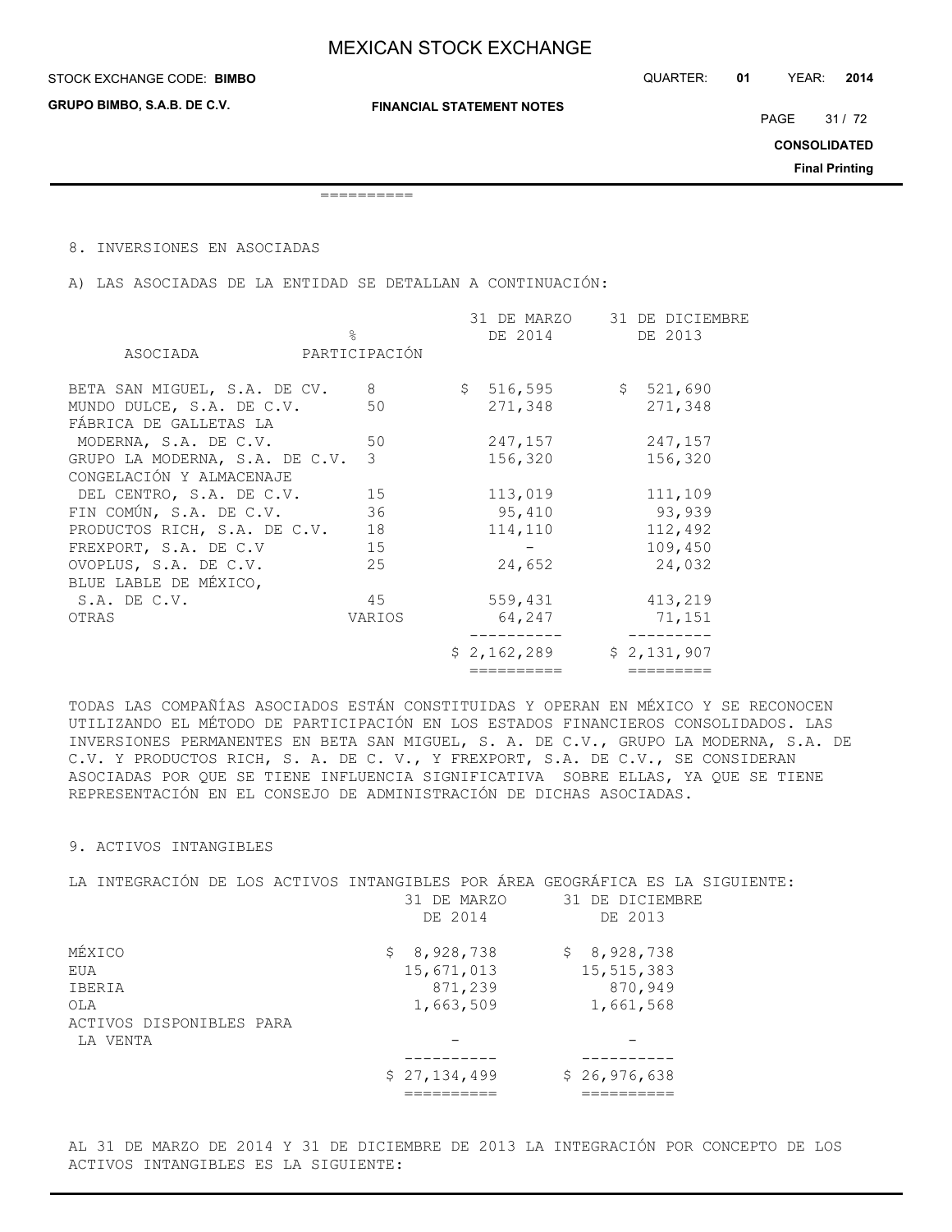**GRUPO BIMBO, S.A.B. DE C.V.**

**FINANCIAL STATEMENT NOTES**

PAGE 31 / 72

**CONSOLIDATED**

**Final Printing**

==========

8. INVERSIONES EN ASOCIADAS

A) LAS ASOCIADAS DE LA ENTIDAD SE DETALLAN A CONTINUACIÓN:

|                                     |                 |         |                                                                         | 31 DE DICIEMBRE<br>DE 2013 |
|-------------------------------------|-----------------|---------|-------------------------------------------------------------------------|----------------------------|
| PARTICIPACIÓN                       |                 |         |                                                                         |                            |
| 8 <sup>8</sup>                      |                 |         |                                                                         | \$521,690                  |
| 50                                  |                 | 271,348 |                                                                         | 271,348                    |
|                                     |                 |         |                                                                         |                            |
|                                     |                 |         |                                                                         | 247,157                    |
| GRUPO LA MODERNA, S.A. DE C.V.<br>3 |                 |         |                                                                         | 156,320                    |
|                                     |                 |         |                                                                         |                            |
| 15                                  |                 | 113,019 |                                                                         | 111,109                    |
| 36                                  |                 | 95,410  |                                                                         | 93,939                     |
| 18                                  |                 | 114,110 |                                                                         | 112,492                    |
| 15                                  |                 |         |                                                                         | 109,450                    |
| 25                                  |                 | 24,652  |                                                                         | 24,032                     |
|                                     |                 |         |                                                                         |                            |
| 45                                  |                 | 559,431 |                                                                         | 413,219                    |
| VARIOS                              |                 | 64,247  |                                                                         | 71,151                     |
|                                     |                 |         |                                                                         | \$2,131,907                |
|                                     |                 |         |                                                                         | =========                  |
|                                     | $\approx$<br>50 |         | DE 2014<br>\$516,595<br>247,157<br>156,320<br>\$2,162,289<br>========== | 31 DE MARZO                |

TODAS LAS COMPAÑÍAS ASOCIADOS ESTÁN CONSTITUIDAS Y OPERAN EN MÉXICO Y SE RECONOCEN UTILIZANDO EL MÉTODO DE PARTICIPACIÓN EN LOS ESTADOS FINANCIEROS CONSOLIDADOS. LAS INVERSIONES PERMANENTES EN BETA SAN MIGUEL, S. A. DE C.V., GRUPO LA MODERNA, S.A. DE C.V. Y PRODUCTOS RICH, S. A. DE C. V., Y FREXPORT, S.A. DE C.V., SE CONSIDERAN ASOCIADAS POR QUE SE TIENE INFLUENCIA SIGNIFICATIVA SOBRE ELLAS, YA QUE SE TIENE REPRESENTACIÓN EN EL CONSEJO DE ADMINISTRACIÓN DE DICHAS ASOCIADAS.

## 9. ACTIVOS INTANGIBLES

| LA INTEGRACIÓN DE LOS ACTIVOS INTANGIBLES POR ÁREA GEOGRÁFICA ES LA SIGUIENTE: |              |                 |
|--------------------------------------------------------------------------------|--------------|-----------------|
|                                                                                | 31 DE MARZO  | 31 DE DICIEMBRE |
|                                                                                | DE 2014      | DE 2013         |
| MÉXICO                                                                         | \$8,928,738  | \$8,928,738     |
| EUA                                                                            | 15,671,013   | 15,515,383      |
| IBERIA                                                                         | 871,239      | 870,949         |
| OLA                                                                            | 1,663,509    | 1,661,568       |
| ACTIVOS DISPONIBLES PARA                                                       |              |                 |
| LA VENTA                                                                       |              |                 |
|                                                                                |              |                 |
|                                                                                | \$27,134,499 | \$26,976,638    |
|                                                                                |              |                 |

AL 31 DE MARZO DE 2014 Y 31 DE DICIEMBRE DE 2013 LA INTEGRACIÓN POR CONCEPTO DE LOS ACTIVOS INTANGIBLES ES LA SIGUIENTE: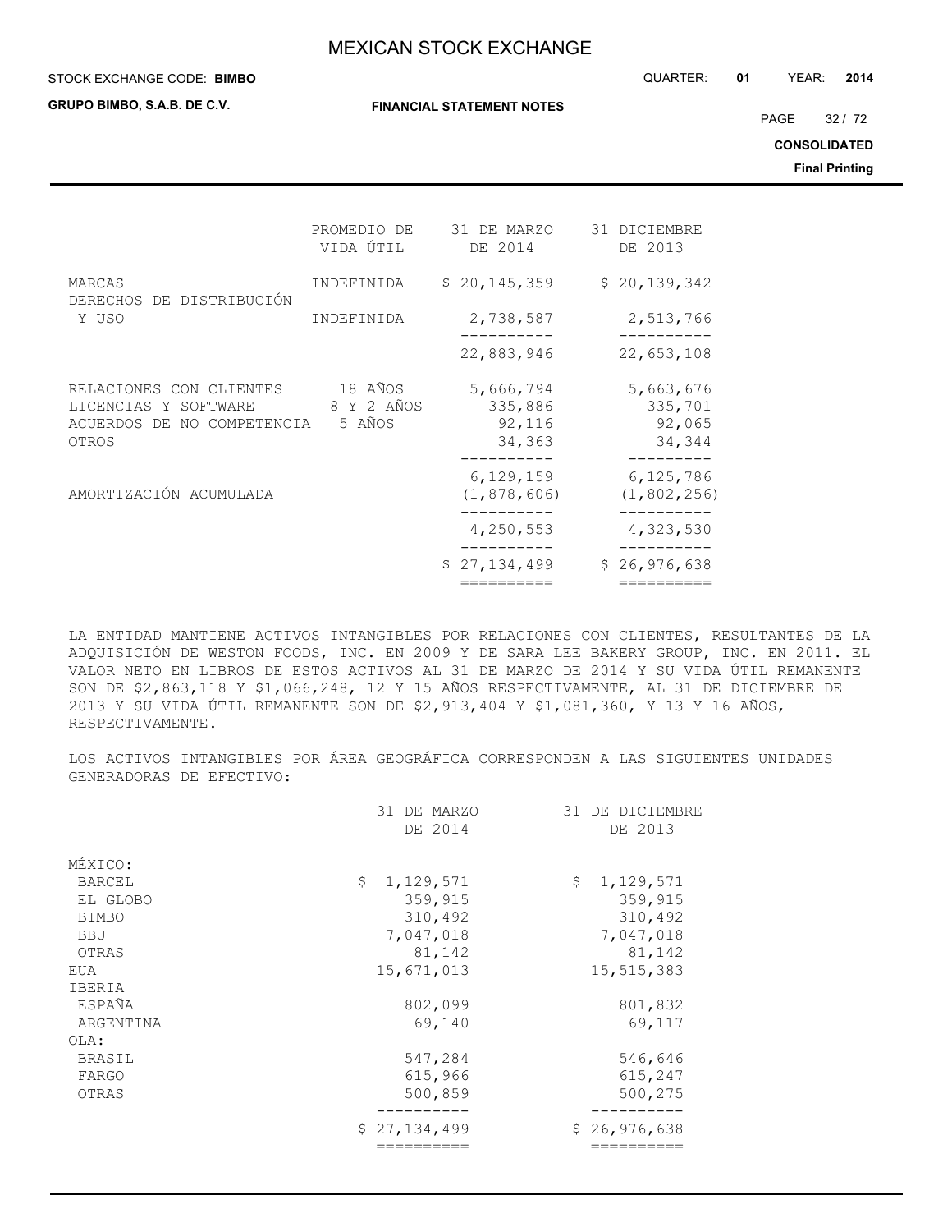#### STOCK EXCHANGE CODE: QUARTER: **01** YEAR: **2014 BIMBO**

**GRUPO BIMBO, S.A.B. DE C.V.**

**FINANCIAL STATEMENT NOTES**

PAGE 32 / 72

**CONSOLIDATED**

**Final Printing**

|                                                                                        | PROMEDIO DE<br>VIDA ÚTIL        | 31 DE MARZO<br>DE 2014                   | 31 DICIEMBRE<br>DE 2013                  |
|----------------------------------------------------------------------------------------|---------------------------------|------------------------------------------|------------------------------------------|
| MARCAS<br>DERECHOS DE DISTRIBUCIÓN<br>Y USO                                            | INDEFINIDA                      | \$20, 145, 359                           | \$20,139,342                             |
|                                                                                        | INDEFINIDA                      | 2,738,587                                | 2,513,766                                |
|                                                                                        |                                 | 22,883,946                               | 22,653,108                               |
| RELACIONES CON CLIENTES<br>LICENCIAS Y SOFTWARE<br>ACUERDOS DE NO COMPETENCIA<br>OTROS | 18 AÑOS<br>8 Y 2 AÑOS<br>5 AÑOS | 5,666,794<br>335,886<br>92,116<br>34,363 | 5,663,676<br>335,701<br>92,065<br>34,344 |
| AMORTIZACIÓN ACUMULADA                                                                 |                                 | 6, 129, 159<br>(1, 878, 606)             | 6,125,786<br>(1, 802, 256)               |
|                                                                                        |                                 | 4,250,553                                | 4,323,530                                |
|                                                                                        |                                 | \$27,134,499                             | \$26,976,638                             |
|                                                                                        |                                 | ========                                 | ---------                                |

LA ENTIDAD MANTIENE ACTIVOS INTANGIBLES POR RELACIONES CON CLIENTES, RESULTANTES DE LA ADQUISICIÓN DE WESTON FOODS, INC. EN 2009 Y DE SARA LEE BAKERY GROUP, INC. EN 2011. EL VALOR NETO EN LIBROS DE ESTOS ACTIVOS AL 31 DE MARZO DE 2014 Y SU VIDA ÚTIL REMANENTE SON DE \$2,863,118 Y \$1,066,248, 12 Y 15 AÑOS RESPECTIVAMENTE, AL 31 DE DICIEMBRE DE 2013 Y SU VIDA ÚTIL REMANENTE SON DE \$2,913,404 Y \$1,081,360, Y 13 Y 16 AÑOS, RESPECTIVAMENTE.

LOS ACTIVOS INTANGIBLES POR ÁREA GEOGRÁFICA CORRESPONDEN A LAS SIGUIENTES UNIDADES GENERADORAS DE EFECTIVO:

|              | 31 DE MARZO     | 31 DE DICIEMBRE |
|--------------|-----------------|-----------------|
|              | DE 2014         | DE 2013         |
| MÉXICO:      |                 |                 |
| BARCEL       | \$<br>1,129,571 | \$<br>1,129,571 |
| EL GLOBO     | 359,915         | 359,915         |
| <b>BIMBO</b> | 310,492         | 310,492         |
| <b>BBU</b>   | 7,047,018       | 7,047,018       |
| OTRAS        | 81,142          | 81,142          |
| EUA          | 15,671,013      | 15,515,383      |
| IBERIA       |                 |                 |
| ESPAÑA       | 802,099         | 801,832         |
| ARGENTINA    | 69,140          | 69,117          |
| OLA:         |                 |                 |
| BRASIL       | 547,284         | 546,646         |
| FARGO        | 615,966         | 615,247         |
| OTRAS        | 500,859         | 500,275         |
|              |                 |                 |
|              | \$27,134,499    | \$26,976,638    |
|              |                 |                 |
|              |                 |                 |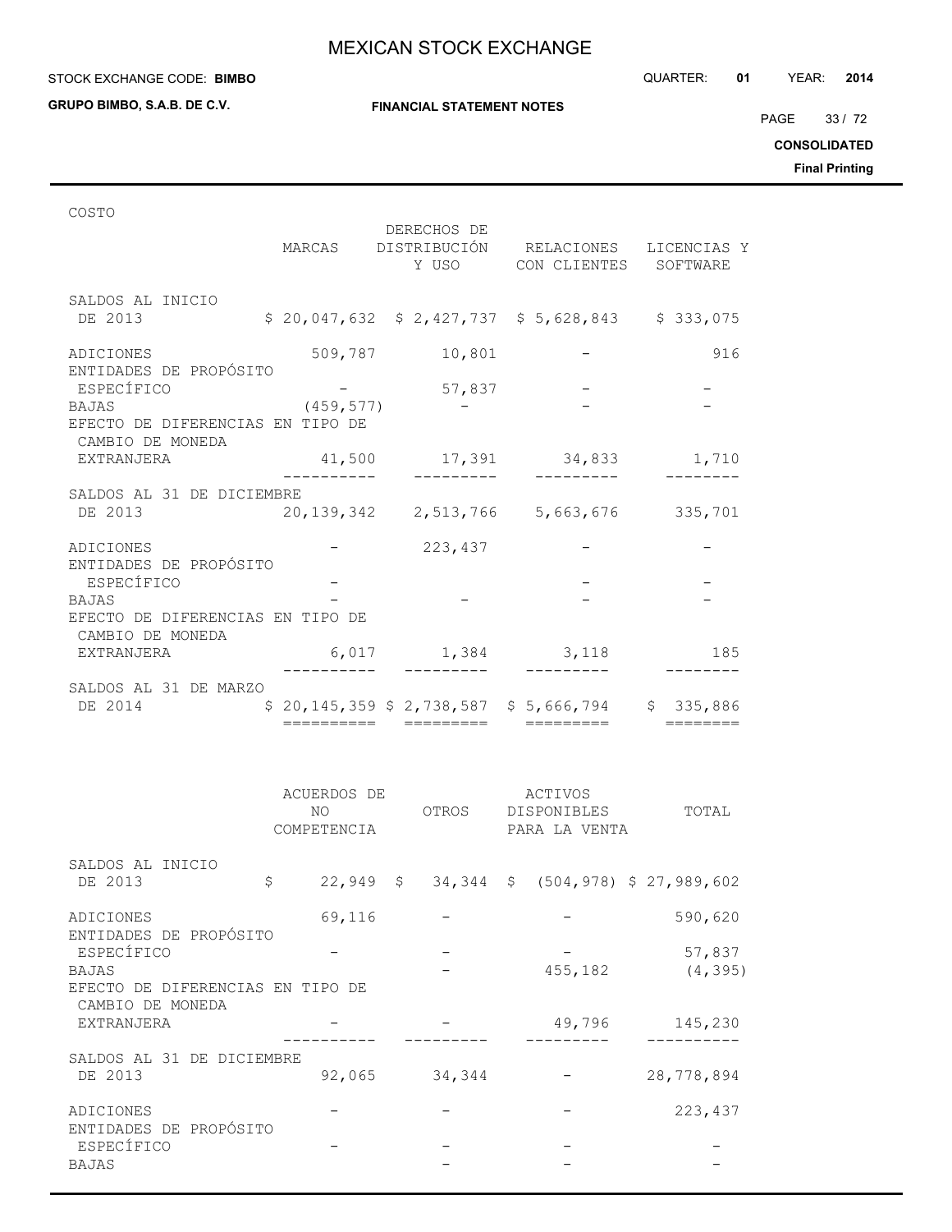**GRUPO BIMBO, S.A.B. DE C.V.**

**FINANCIAL STATEMENT NOTES**

PAGE 33 / 72

**CONSOLIDATED**

**Final Printing**

| COSTO                                                |            | DERECHOS DE       | MARCAS DISTRIBUCIÓN RELACIONES LICENCIAS Y<br>Y USO CON CLIENTES SOFTWARE |          |
|------------------------------------------------------|------------|-------------------|---------------------------------------------------------------------------|----------|
| SALDOS AL INICIO<br>DE 2013                          |            |                   | $$20,047,632$ $$2,427,737$ $$5,628,843$ $$333,075$                        |          |
| ADICIONES                                            |            | 509,787 10,801    |                                                                           | 916      |
| ENTIDADES DE PROPÓSITO<br>ESPECÍFICO<br><b>BAJAS</b> | (459, 577) | 57,837            |                                                                           |          |
| EFECTO DE DIFERENCIAS EN TIPO DE<br>CAMBIO DE MONEDA |            |                   |                                                                           |          |
| EXTRANJERA                                           |            |                   | 41,500 17,391 34,833                                                      | 1,710    |
| SALDOS AL 31 DE DICIEMBRE                            |            |                   |                                                                           |          |
| DE 2013                                              |            |                   | 20, 139, 342 2, 513, 766 5, 663, 676 335, 701                             |          |
| ADICIONES                                            |            | $-223,437$        |                                                                           |          |
| ENTIDADES DE PROPÓSITO<br>ESPECÍFICO                 |            |                   |                                                                           |          |
| <b>BAJAS</b>                                         |            |                   |                                                                           |          |
| EFECTO DE DIFERENCIAS EN TIPO DE<br>CAMBIO DE MONEDA |            |                   |                                                                           |          |
| EXTRANJERA                                           |            | 6,017 1,384 3,118 |                                                                           | 185      |
| SALDOS AL 31 DE MARZO                                |            |                   |                                                                           |          |
| DE 2014                                              | =========  | =========         | $$20,145,359$ $$2,738,587$ $$5,666,794$ $$335,886$<br>=========           | ———————— |

|                                               | ACUERDOS DE<br>NO.<br>COMPETENCIA | OTROS  | <b>ACTIVOS</b><br><b>DISPONIBLES</b><br>PARA LA VENTA | TOTAL              |
|-----------------------------------------------|-----------------------------------|--------|-------------------------------------------------------|--------------------|
| SALDOS AL INICIO<br>DE 2013                   | \$                                |        | 22,949 \$ 34,344 \$ (504,978) \$ 27,989,602           |                    |
| ADICIONES                                     | 69,116                            |        |                                                       | 590,620            |
| ENTIDADES DE PROPÓSITO<br>ESPECÍFICO<br>BAJAS |                                   |        | 455,182                                               | 57,837<br>(4, 395) |
| EFECTO DE DIFERENCIAS EN TIPO DE              |                                   |        |                                                       |                    |
| CAMBIO DE MONEDA<br>EXTRANJERA                |                                   |        | 49,796                                                | 145,230            |
| SALDOS AL 31 DE DICIEMBRE<br>DE 2013          | 92,065                            | 34,344 |                                                       | 28,778,894         |
| ADICIONES                                     |                                   |        |                                                       | 223,437            |
| ENTIDADES DE PROPÓSITO<br>ESPECÍFICO<br>BAJAS |                                   |        |                                                       |                    |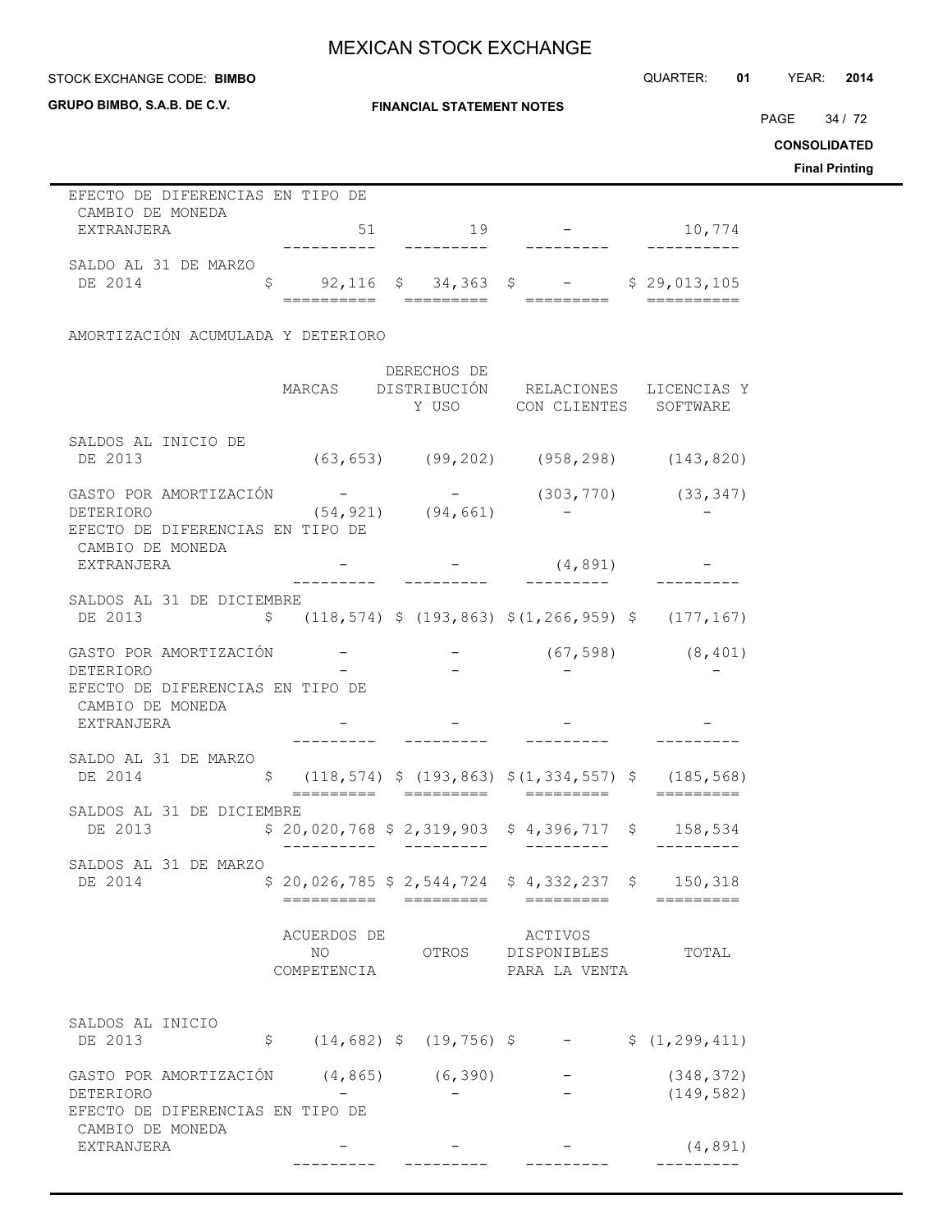STOCK EXCHANGE CODE: QUARTER: **01** YEAR: **2014 BIMBO**

**CONSOLIDATED Final Printing**

PAGE 34 / 72

| GRUPO BIMBO, S.A.B. DE C.V.                                                                 | <b>FINANCIAL STATEMENT NOTES</b>  |             |                                                                                         |                          |  |  |
|---------------------------------------------------------------------------------------------|-----------------------------------|-------------|-----------------------------------------------------------------------------------------|--------------------------|--|--|
|                                                                                             |                                   |             |                                                                                         |                          |  |  |
| EFECTO DE DIFERENCIAS EN TIPO DE                                                            |                                   |             |                                                                                         |                          |  |  |
| CAMBIO DE MONEDA<br>EXTRANJERA                                                              | 51                                | 19          | $-10,774$                                                                               |                          |  |  |
| SALDO AL 31 DE MARZO<br>DE 2014                                                             |                                   |             | $\frac{1}{5}$ 92,116 \$ 34,363 \$ - \$ 29,013,105                                       |                          |  |  |
| AMORTIZACIÓN ACUMULADA Y DETERIORO                                                          |                                   |             |                                                                                         |                          |  |  |
|                                                                                             |                                   |             |                                                                                         |                          |  |  |
|                                                                                             |                                   | DERECHOS DE | MARCAS DISTRIBUCIÓN RELACIONES LICENCIAS Y<br>Y USO CON CLIENTES SOFTWARE               |                          |  |  |
| SALDOS AL INICIO DE<br>DE 2013                                                              |                                   |             | $(63, 653)$ $(99, 202)$ $(958, 298)$ $(143, 820)$                                       |                          |  |  |
| GASTO POR AMORTIZACIÓN<br>DETERIORO<br>EFECTO DE DIFERENCIAS EN TIPO DE<br>CAMBIO DE MONEDA | $(54, 921)$ $(94, 661)$           |             | $-$ (303, 770) (33, 347)                                                                |                          |  |  |
| EXTRANJERA                                                                                  |                                   |             | (4, 891)                                                                                |                          |  |  |
| SALDOS AL 31 DE DICIEMBRE<br>DE 2013                                                        |                                   |             | $\frac{118,574}{9}$ \$ (193,863) \$ (1,266,959) \$ (177,167)                            |                          |  |  |
| GASTO POR AMORTIZACIÓN<br>DETERIORO<br>EFECTO DE DIFERENCIAS EN TIPO DE                     |                                   |             |                                                                                         | $(67, 598)$ $(8, 401)$   |  |  |
| CAMBIO DE MONEDA<br>EXTRANJERA                                                              |                                   |             |                                                                                         |                          |  |  |
| SALDO AL 31 DE MARZO<br>DE 2014                                                             |                                   |             | $\frac{118,574}{9}$ \$ (193,863) \$ (1,334,557) \$ (185,568)                            |                          |  |  |
| SALDOS AL 31 DE DICIEMBRE<br>DE 2013                                                        |                                   |             | $$20,020,768 $2,319,903 $4,396,717 $158,534$<br>$- - - - - - - - -$                     |                          |  |  |
| SALDOS AL 31 DE MARZO<br>DE 2014                                                            |                                   |             | $$20,026,785$ $$2,544,724$ $$4,332,237$ $$150,318$                                      |                          |  |  |
|                                                                                             | ACUERDOS DE<br>NO.<br>COMPETENCIA |             | ACTIVOS<br>OTROS DISPONIBLES<br>PARA LA VENTA                                           | TOTAL                    |  |  |
| SALDOS AL INICIO<br>DE 2013                                                                 |                                   |             | $\frac{1}{2}$ (14,682) $\frac{1}{2}$ (19,756) $\frac{1}{2}$ - $\frac{1}{2}$ (1,299,411) |                          |  |  |
|                                                                                             |                                   |             |                                                                                         |                          |  |  |
| GASTO POR AMORTIZACIÓN (4,865) (6,390)<br>DETERIORO<br>EFECTO DE DIFERENCIAS EN TIPO DE     |                                   |             |                                                                                         | (348, 372)<br>(149, 582) |  |  |
| CAMBIO DE MONEDA<br>EXTRANJERA                                                              |                                   |             |                                                                                         | (4, 891)                 |  |  |

--------- --------- --------- ---------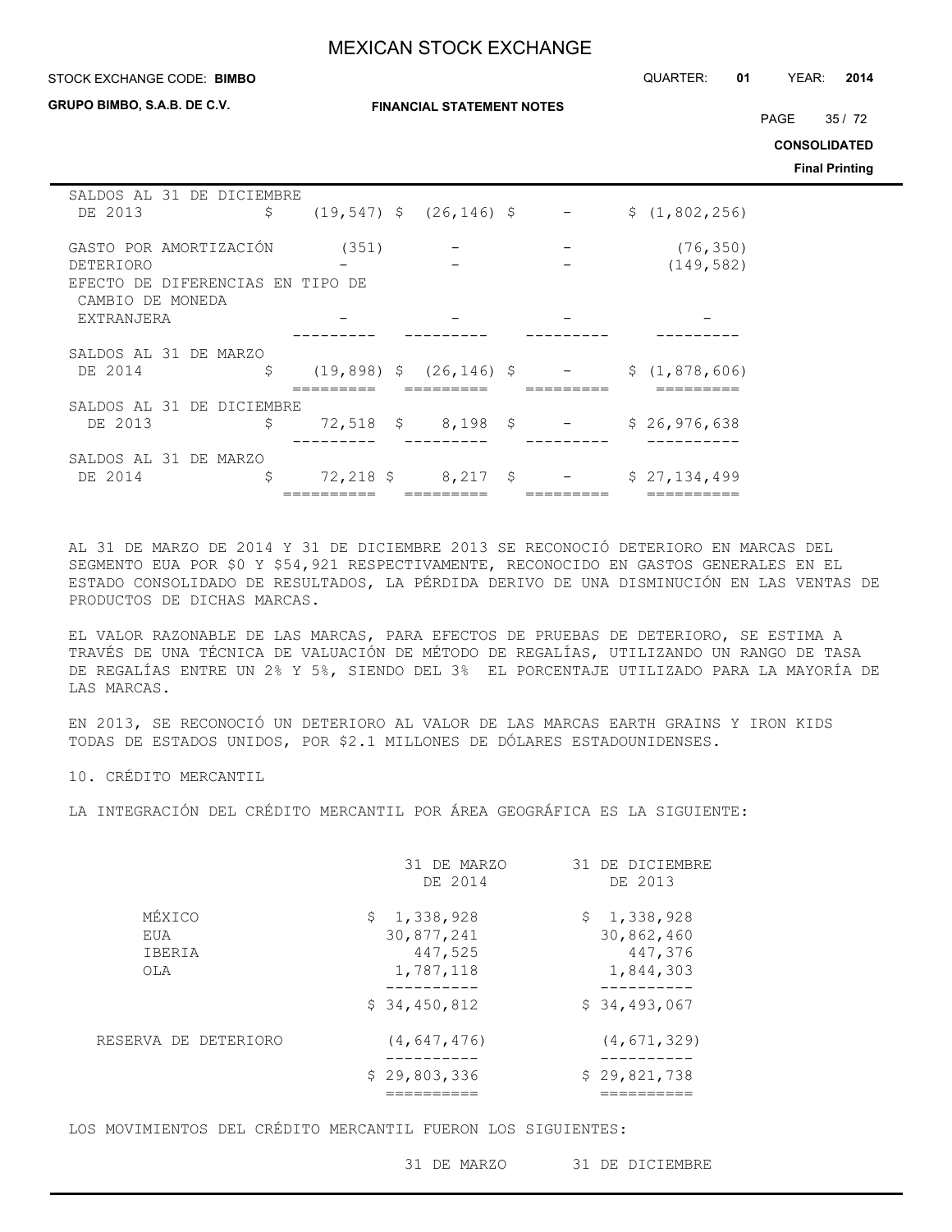#### STOCK EXCHANGE CODE: QUARTER: **01** YEAR: **2014 BIMBO**

**GRUPO BIMBO, S.A.B. DE C.V.**

**FINANCIAL STATEMENT NOTES**

PAGE 35 / 72

**CONSOLIDATED**

**Final Printing**

| SALDOS AL 31 DE DICIEMBRE<br>DE 2013 | \$                        |       | $(19, 547)$ \$ $(26, 146)$ \$ |  | \$(1, 802, 256) |
|--------------------------------------|---------------------------|-------|-------------------------------|--|-----------------|
|                                      |                           |       |                               |  |                 |
| GASTO POR AMORTIZACIÓN               |                           | (351) |                               |  | (76, 350)       |
| DETERIORO                            |                           |       |                               |  | (149, 582)      |
| EFECTO                               | DE DIFERENCIAS EN TIPO DE |       |                               |  |                 |
| CAMBIO DE MONEDA<br>EXTRANJERA       |                           |       |                               |  |                 |
|                                      |                           |       |                               |  |                 |
| SALDOS AL 31 DE MARZO                |                           |       |                               |  |                 |
| DE 2014                              | \$                        |       | $(19,898)$ \$ $(26,146)$ \$   |  | \$(1,878,606)   |
|                                      |                           |       |                               |  |                 |
| SALDOS AL 31 DE DICIEMBRE            |                           |       |                               |  |                 |
| DE 2013                              | \$                        |       | $72,518$ \$ 8,198 \$          |  | \$26,976,638    |
|                                      |                           |       |                               |  |                 |
| SALDOS AL 31 DE MARZO                |                           |       |                               |  |                 |
| DE 2014                              | \$                        |       | $72,218$ \$ 8,217 \$          |  | \$27,134,499    |
|                                      |                           |       |                               |  |                 |

AL 31 DE MARZO DE 2014 Y 31 DE DICIEMBRE 2013 SE RECONOCIÓ DETERIORO EN MARCAS DEL SEGMENTO EUA POR \$0 Y \$54,921 RESPECTIVAMENTE, RECONOCIDO EN GASTOS GENERALES EN EL ESTADO CONSOLIDADO DE RESULTADOS, LA PÉRDIDA DERIVO DE UNA DISMINUCIÓN EN LAS VENTAS DE PRODUCTOS DE DICHAS MARCAS.

EL VALOR RAZONABLE DE LAS MARCAS, PARA EFECTOS DE PRUEBAS DE DETERIORO, SE ESTIMA A TRAVÉS DE UNA TÉCNICA DE VALUACIÓN DE MÉTODO DE REGALÍAS, UTILIZANDO UN RANGO DE TASA DE REGALÍAS ENTRE UN 2% Y 5%, SIENDO DEL 3% EL PORCENTAJE UTILIZADO PARA LA MAYORÍA DE LAS MARCAS.

EN 2013, SE RECONOCIÓ UN DETERIORO AL VALOR DE LAS MARCAS EARTH GRAINS Y IRON KIDS TODAS DE ESTADOS UNIDOS, POR \$2.1 MILLONES DE DÓLARES ESTADOUNIDENSES.

10. CRÉDITO MERCANTIL

LA INTEGRACIÓN DEL CRÉDITO MERCANTIL POR ÁREA GEOGRÁFICA ES LA SIGUIENTE:

|                                | 31 DE MARZO<br>DE 2014                            | 31 DE DICIEMBRE<br>DE 2013                        |
|--------------------------------|---------------------------------------------------|---------------------------------------------------|
| MÉXICO<br>EUA<br>IBERIA<br>OLA | \$1,338,928<br>30,877,241<br>447,525<br>1,787,118 | \$1,338,928<br>30,862,460<br>447,376<br>1,844,303 |
|                                | \$34,450,812                                      | \$34,493,067                                      |
| RESERVA DE DETERIORO           | (4, 647, 476)                                     | (4, 671, 329)                                     |
|                                | \$29,803,336                                      | \$29,821,738                                      |

LOS MOVIMIENTOS DEL CRÉDITO MERCANTIL FUERON LOS SIGUIENTES:

31 DE MARZO 31 DE DICIEMBRE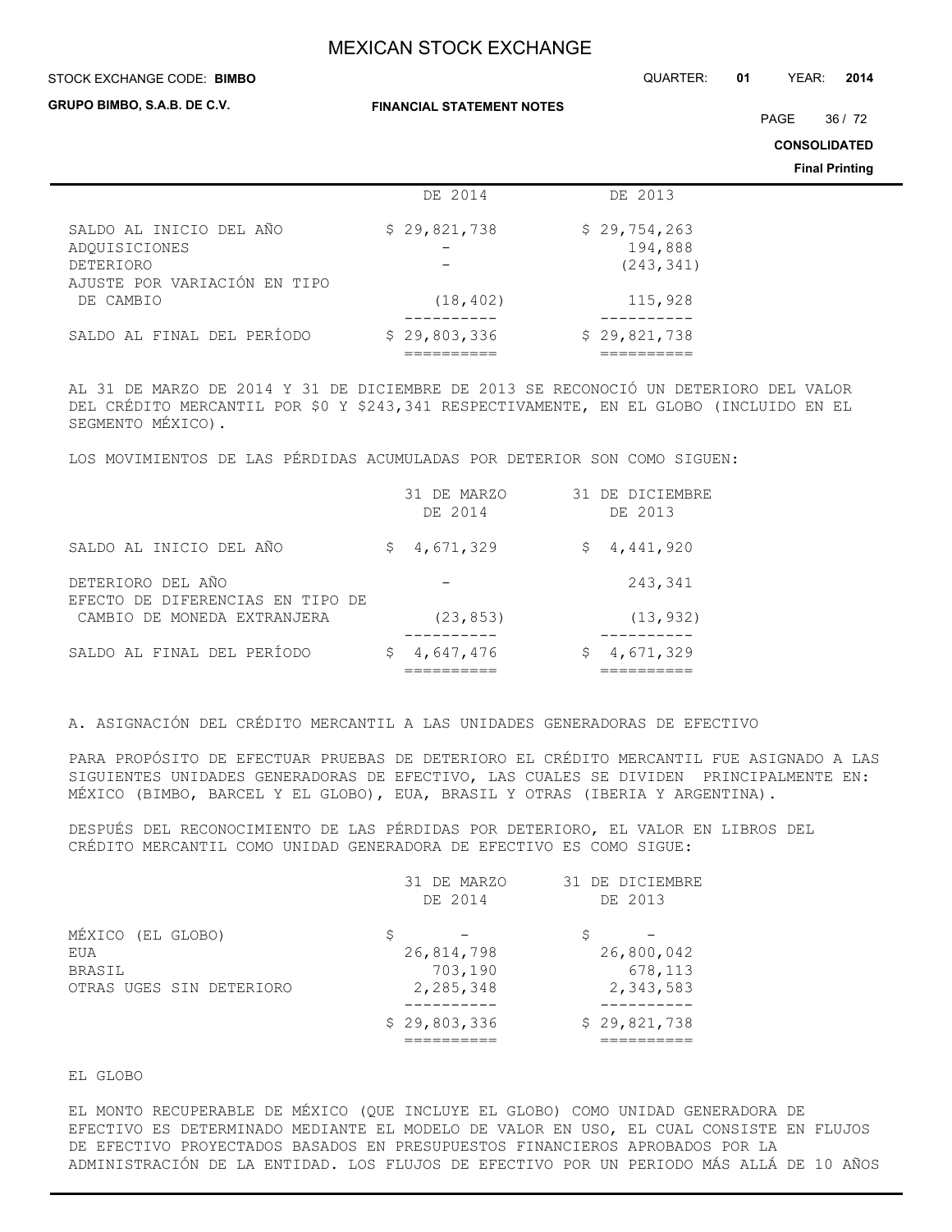#### STOCK EXCHANGE CODE: QUARTER: **01** YEAR: **2014 BIMBO**

**FINANCIAL STATEMENT NOTES**

PAGE 36 / 72

**CONSOLIDATED**

**Final Printing**

|                                                                                       |              |                                       | . |
|---------------------------------------------------------------------------------------|--------------|---------------------------------------|---|
|                                                                                       | DE 2014      | DE 2013                               |   |
| SALDO AL INICIO DEL AÑO<br>ADOUISICIONES<br>DETERIORO<br>AJUSTE POR VARIACIÓN EN TIPO | \$29,821,738 | \$29,754,263<br>194,888<br>(243, 341) |   |
| DE CAMBIO                                                                             | (18, 402)    | 115,928                               |   |
| SALDO AL FINAL DEL PERÍODO                                                            | \$29,803,336 | \$29,821,738                          |   |

AL 31 DE MARZO DE 2014 Y 31 DE DICIEMBRE DE 2013 SE RECONOCIÓ UN DETERIORO DEL VALOR DEL CRÉDITO MERCANTIL POR \$0 Y \$243,341 RESPECTIVAMENTE, EN EL GLOBO (INCLUIDO EN EL SEGMENTO MÉXICO).

LOS MOVIMIENTOS DE LAS PÉRDIDAS ACUMULADAS POR DETERIOR SON COMO SIGUEN:

|                                                       | 31 DE MARZO<br>DE 2014 | 31 DE DICIEMBRE<br>DE 2013 |
|-------------------------------------------------------|------------------------|----------------------------|
| SALDO AL INICIO DEL AÑO                               | 4,671,329<br>S         | \$4,441,920                |
| DETERIORO DEL AÑO<br>EFECTO DE DIFERENCIAS EN TIPO DE |                        | 243,341                    |
| CAMBIO DE MONEDA EXTRANJERA                           | (23, 853)              | (13, 932)                  |
| SALDO AL FINAL DEL PERÍODO                            | 4,647,476              | 4,671,329                  |

A. ASIGNACIÓN DEL CRÉDITO MERCANTIL A LAS UNIDADES GENERADORAS DE EFECTIVO

PARA PROPÓSITO DE EFECTUAR PRUEBAS DE DETERIORO EL CRÉDITO MERCANTIL FUE ASIGNADO A LAS SIGUIENTES UNIDADES GENERADORAS DE EFECTIVO, LAS CUALES SE DIVIDEN PRINCIPALMENTE EN: MÉXICO (BIMBO, BARCEL Y EL GLOBO), EUA, BRASIL Y OTRAS (IBERIA Y ARGENTINA).

DESPUÉS DEL RECONOCIMIENTO DE LAS PÉRDIDAS POR DETERIORO, EL VALOR EN LIBROS DEL CRÉDITO MERCANTIL COMO UNIDAD GENERADORA DE EFECTIVO ES COMO SIGUE:

|                          | 31 DE MARZO  | 31 DE DICIEMBRE |
|--------------------------|--------------|-----------------|
|                          | DE 2014      | DE 2013         |
| MÉXICO (EL GLOBO)        |              |                 |
| EUA                      | 26,814,798   | 26,800,042      |
| <b>BRASIL</b>            | 703,190      | 678,113         |
| OTRAS UGES SIN DETERIORO | 2,285,348    | 2,343,583       |
|                          | \$29,803,336 | \$29,821,738    |
|                          |              |                 |

EL GLOBO

EL MONTO RECUPERABLE DE MÉXICO (QUE INCLUYE EL GLOBO) COMO UNIDAD GENERADORA DE EFECTIVO ES DETERMINADO MEDIANTE EL MODELO DE VALOR EN USO, EL CUAL CONSISTE EN FLUJOS DE EFECTIVO PROYECTADOS BASADOS EN PRESUPUESTOS FINANCIEROS APROBADOS POR LA ADMINISTRACIÓN DE LA ENTIDAD. LOS FLUJOS DE EFECTIVO POR UN PERIODO MÁS ALLÁ DE 10 AÑOS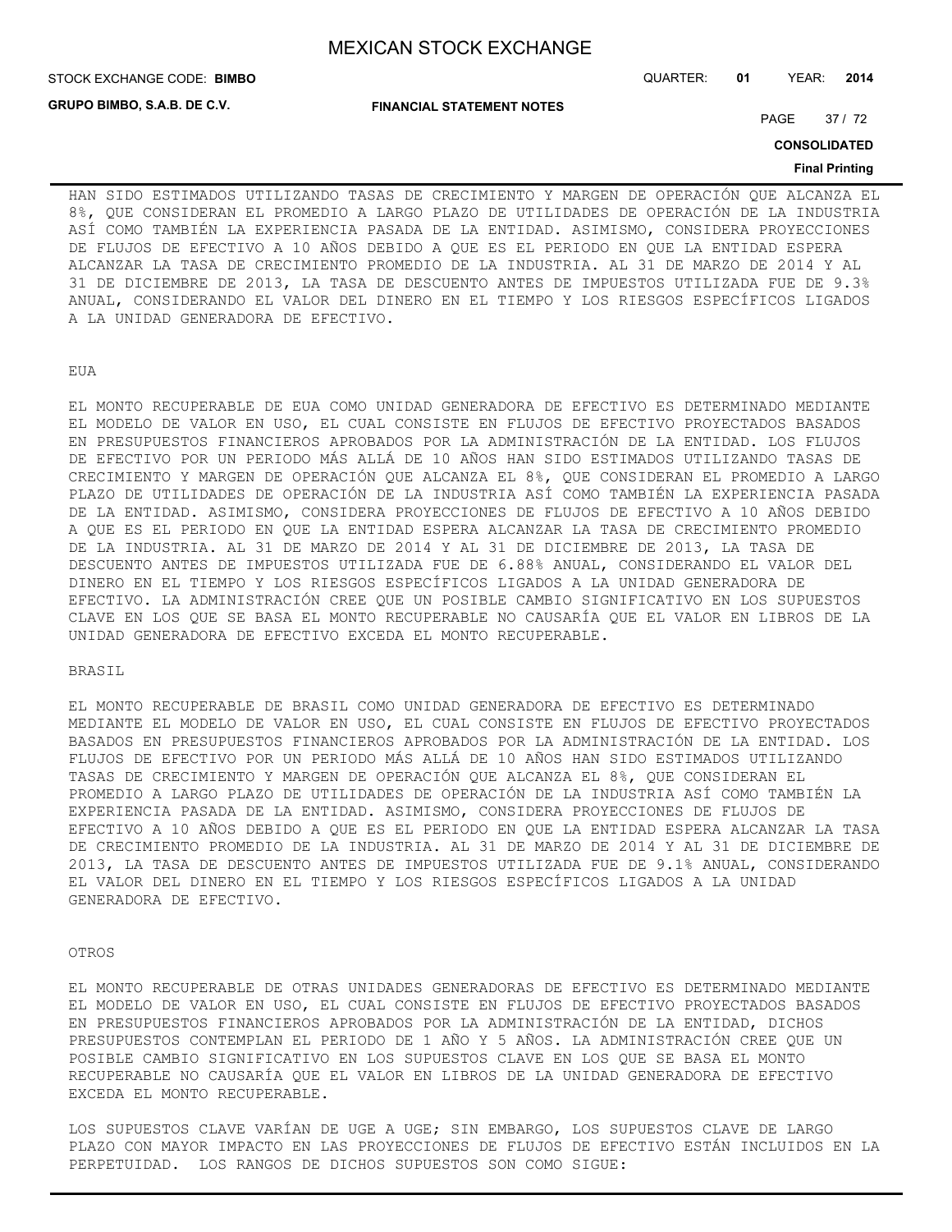STOCK EXCHANGE CODE: QUARTER: **01** YEAR: **2014 BIMBO**

**GRUPO BIMBO, S.A.B. DE C.V.**

**FINANCIAL STATEMENT NOTES**

PAGE 37 / 72

**CONSOLIDATED**

#### **Final Printing**

HAN SIDO ESTIMADOS UTILIZANDO TASAS DE CRECIMIENTO Y MARGEN DE OPERACIÓN QUE ALCANZA EL 8%, QUE CONSIDERAN EL PROMEDIO A LARGO PLAZO DE UTILIDADES DE OPERACIÓN DE LA INDUSTRIA ASÍ COMO TAMBIÉN LA EXPERIENCIA PASADA DE LA ENTIDAD. ASIMISMO, CONSIDERA PROYECCIONES DE FLUJOS DE EFECTIVO A 10 AÑOS DEBIDO A QUE ES EL PERIODO EN QUE LA ENTIDAD ESPERA ALCANZAR LA TASA DE CRECIMIENTO PROMEDIO DE LA INDUSTRIA. AL 31 DE MARZO DE 2014 Y AL 31 DE DICIEMBRE DE 2013, LA TASA DE DESCUENTO ANTES DE IMPUESTOS UTILIZADA FUE DE 9.3% ANUAL, CONSIDERANDO EL VALOR DEL DINERO EN EL TIEMPO Y LOS RIESGOS ESPECÍFICOS LIGADOS A LA UNIDAD GENERADORA DE EFECTIVO.

EUA

EL MONTO RECUPERABLE DE EUA COMO UNIDAD GENERADORA DE EFECTIVO ES DETERMINADO MEDIANTE EL MODELO DE VALOR EN USO, EL CUAL CONSISTE EN FLUJOS DE EFECTIVO PROYECTADOS BASADOS EN PRESUPUESTOS FINANCIEROS APROBADOS POR LA ADMINISTRACIÓN DE LA ENTIDAD. LOS FLUJOS DE EFECTIVO POR UN PERIODO MÁS ALLÁ DE 10 AÑOS HAN SIDO ESTIMADOS UTILIZANDO TASAS DE CRECIMIENTO Y MARGEN DE OPERACIÓN QUE ALCANZA EL 8%, QUE CONSIDERAN EL PROMEDIO A LARGO PLAZO DE UTILIDADES DE OPERACIÓN DE LA INDUSTRIA ASÍ COMO TAMBIÉN LA EXPERIENCIA PASADA DE LA ENTIDAD. ASIMISMO, CONSIDERA PROYECCIONES DE FLUJOS DE EFECTIVO A 10 AÑOS DEBIDO A QUE ES EL PERIODO EN QUE LA ENTIDAD ESPERA ALCANZAR LA TASA DE CRECIMIENTO PROMEDIO DE LA INDUSTRIA. AL 31 DE MARZO DE 2014 Y AL 31 DE DICIEMBRE DE 2013, LA TASA DE DESCUENTO ANTES DE IMPUESTOS UTILIZADA FUE DE 6.88% ANUAL, CONSIDERANDO EL VALOR DEL DINERO EN EL TIEMPO Y LOS RIESGOS ESPECÍFICOS LIGADOS A LA UNIDAD GENERADORA DE EFECTIVO. LA ADMINISTRACIÓN CREE QUE UN POSIBLE CAMBIO SIGNIFICATIVO EN LOS SUPUESTOS CLAVE EN LOS QUE SE BASA EL MONTO RECUPERABLE NO CAUSARÍA QUE EL VALOR EN LIBROS DE LA UNIDAD GENERADORA DE EFECTIVO EXCEDA EL MONTO RECUPERABLE.

## BRASIL

EL MONTO RECUPERABLE DE BRASIL COMO UNIDAD GENERADORA DE EFECTIVO ES DETERMINADO MEDIANTE EL MODELO DE VALOR EN USO, EL CUAL CONSISTE EN FLUJOS DE EFECTIVO PROYECTADOS BASADOS EN PRESUPUESTOS FINANCIEROS APROBADOS POR LA ADMINISTRACIÓN DE LA ENTIDAD. LOS FLUJOS DE EFECTIVO POR UN PERIODO MÁS ALLÁ DE 10 AÑOS HAN SIDO ESTIMADOS UTILIZANDO TASAS DE CRECIMIENTO Y MARGEN DE OPERACIÓN QUE ALCANZA EL 8%, QUE CONSIDERAN EL PROMEDIO A LARGO PLAZO DE UTILIDADES DE OPERACIÓN DE LA INDUSTRIA ASÍ COMO TAMBIÉN LA EXPERIENCIA PASADA DE LA ENTIDAD. ASIMISMO, CONSIDERA PROYECCIONES DE FLUJOS DE EFECTIVO A 10 AÑOS DEBIDO A QUE ES EL PERIODO EN QUE LA ENTIDAD ESPERA ALCANZAR LA TASA DE CRECIMIENTO PROMEDIO DE LA INDUSTRIA. AL 31 DE MARZO DE 2014 Y AL 31 DE DICIEMBRE DE 2013, LA TASA DE DESCUENTO ANTES DE IMPUESTOS UTILIZADA FUE DE 9.1% ANUAL, CONSIDERANDO EL VALOR DEL DINERO EN EL TIEMPO Y LOS RIESGOS ESPECÍFICOS LIGADOS A LA UNIDAD GENERADORA DE EFECTIVO.

#### OTROS

EL MONTO RECUPERABLE DE OTRAS UNIDADES GENERADORAS DE EFECTIVO ES DETERMINADO MEDIANTE EL MODELO DE VALOR EN USO, EL CUAL CONSISTE EN FLUJOS DE EFECTIVO PROYECTADOS BASADOS EN PRESUPUESTOS FINANCIEROS APROBADOS POR LA ADMINISTRACIÓN DE LA ENTIDAD, DICHOS PRESUPUESTOS CONTEMPLAN EL PERIODO DE 1 AÑO Y 5 AÑOS. LA ADMINISTRACIÓN CREE QUE UN POSIBLE CAMBIO SIGNIFICATIVO EN LOS SUPUESTOS CLAVE EN LOS QUE SE BASA EL MONTO RECUPERABLE NO CAUSARÍA QUE EL VALOR EN LIBROS DE LA UNIDAD GENERADORA DE EFECTIVO EXCEDA EL MONTO RECUPERABLE.

LOS SUPUESTOS CLAVE VARÍAN DE UGE A UGE; SIN EMBARGO, LOS SUPUESTOS CLAVE DE LARGO PLAZO CON MAYOR IMPACTO EN LAS PROYECCIONES DE FLUJOS DE EFECTIVO ESTÁN INCLUIDOS EN LA PERPETUIDAD. LOS RANGOS DE DICHOS SUPUESTOS SON COMO SIGUE: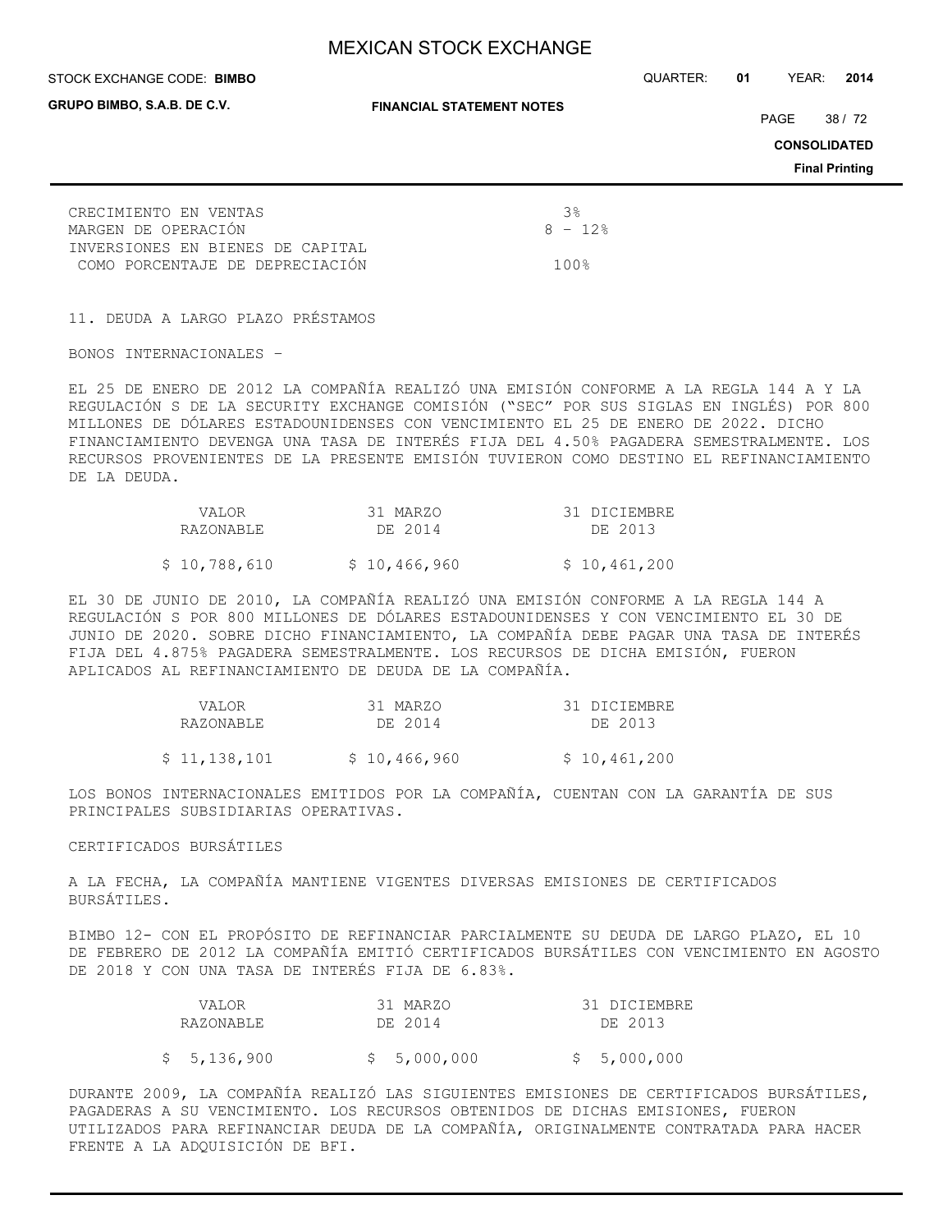**GRUPO BIMBO, S.A.B. DE C.V.**

**FINANCIAL STATEMENT NOTES**

STOCK EXCHANGE CODE: QUARTER: **01** YEAR: **2014 BIMBO**

PAGE 38 / 72

**CONSOLIDATED**

**Final Printing**

| CRECIMIENTO EN VENTAS            | - ર ક્ર  |
|----------------------------------|----------|
| MARGEN DE OPERACIÓN              | $8 - 12$ |
| INVERSIONES EN BIENES DE CAPITAL |          |
| COMO PORCENTAJE DE DEPRECIACIÓN  | 1 በ በ ዴ  |

11. DEUDA A LARGO PLAZO PRÉSTAMOS

BONOS INTERNACIONALES –

EL 25 DE ENERO DE 2012 LA COMPAÑÍA REALIZÓ UNA EMISIÓN CONFORME A LA REGLA 144 A Y LA REGULACIÓN S DE LA SECURITY EXCHANGE COMISIÓN ("SEC" POR SUS SIGLAS EN INGLÉS) POR 800 MILLONES DE DÓLARES ESTADOUNIDENSES CON VENCIMIENTO EL 25 DE ENERO DE 2022. DICHO FINANCIAMIENTO DEVENGA UNA TASA DE INTERÉS FIJA DEL 4.50% PAGADERA SEMESTRALMENTE. LOS RECURSOS PROVENIENTES DE LA PRESENTE EMISIÓN TUVIERON COMO DESTINO EL REFINANCIAMIENTO DE LA DEUDA.

| VALOR.       | 31 MARZO     | 31 DICIEMBRE |
|--------------|--------------|--------------|
| RAZONABLE    | DE 2014      | DE 2013      |
| \$10,788,610 | \$10,466,960 | \$10,461,200 |

EL 30 DE JUNIO DE 2010, LA COMPAÑÍA REALIZÓ UNA EMISIÓN CONFORME A LA REGLA 144 A REGULACIÓN S POR 800 MILLONES DE DÓLARES ESTADOUNIDENSES Y CON VENCIMIENTO EL 30 DE JUNIO DE 2020. SOBRE DICHO FINANCIAMIENTO, LA COMPAÑÍA DEBE PAGAR UNA TASA DE INTERÉS FIJA DEL 4.875% PAGADERA SEMESTRALMENTE. LOS RECURSOS DE DICHA EMISIÓN, FUERON APLICADOS AL REFINANCIAMIENTO DE DEUDA DE LA COMPAÑÍA.

| VALOR        | 31 MARZO     | 31 DICIEMBRE |
|--------------|--------------|--------------|
| RAZONABLE    | DE 2014      | DE 2013      |
|              |              |              |
| \$11,138,101 | \$10,466,960 | \$10,461,200 |

LOS BONOS INTERNACIONALES EMITIDOS POR LA COMPAÑÍA, CUENTAN CON LA GARANTÍA DE SUS PRINCIPALES SUBSIDIARIAS OPERATIVAS.

#### CERTIFICADOS BURSÁTILES

A LA FECHA, LA COMPAÑÍA MANTIENE VIGENTES DIVERSAS EMISIONES DE CERTIFICADOS BURSÁTILES.

BIMBO 12- CON EL PROPÓSITO DE REFINANCIAR PARCIALMENTE SU DEUDA DE LARGO PLAZO, EL 10 DE FEBRERO DE 2012 LA COMPAÑÍA EMITIÓ CERTIFICADOS BURSÁTILES CON VENCIMIENTO EN AGOSTO DE 2018 Y CON UNA TASA DE INTERÉS FIJA DE 6.83%.

| VALOR       | 31 MARZO    | 31 DICIEMBRE |
|-------------|-------------|--------------|
| RAZONABLE   | DE 2014     | DE 2013      |
| \$5,136,900 | \$5,000,000 | \$5,000,000  |

DURANTE 2009, LA COMPAÑÍA REALIZÓ LAS SIGUIENTES EMISIONES DE CERTIFICADOS BURSÁTILES, PAGADERAS A SU VENCIMIENTO. LOS RECURSOS OBTENIDOS DE DICHAS EMISIONES, FUERON UTILIZADOS PARA REFINANCIAR DEUDA DE LA COMPAÑÍA, ORIGINALMENTE CONTRATADA PARA HACER FRENTE A LA ADQUISICIÓN DE BFI.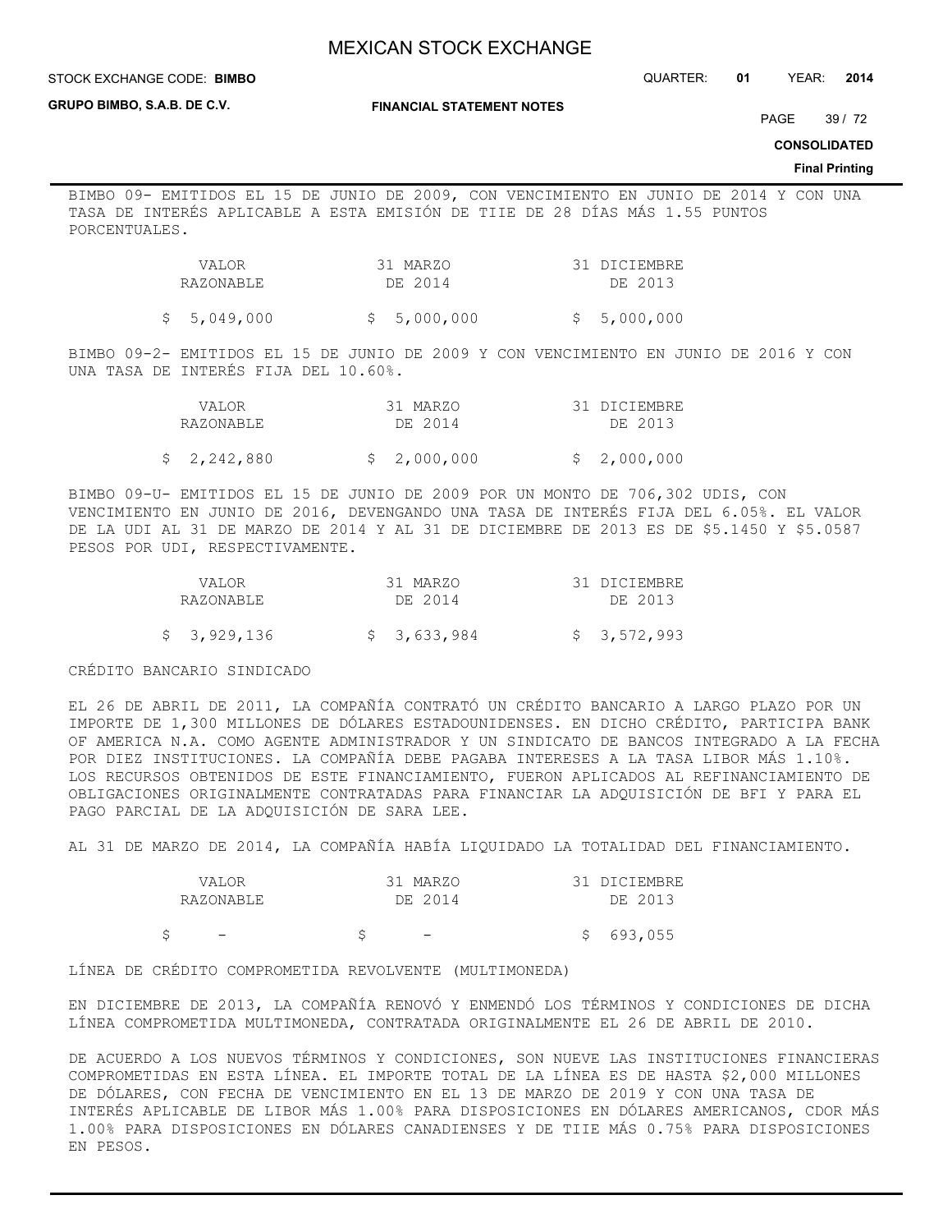STOCK EXCHANGE CODE: QUARTER: **01** YEAR: **2014 BIMBO**

**GRUPO BIMBO, S.A.B. DE C.V.**

**FINANCIAL STATEMENT NOTES**

PAGE 39 / 72

**CONSOLIDATED**

#### **Final Printing**

BIMBO 09- EMITIDOS EL 15 DE JUNIO DE 2009, CON VENCIMIENTO EN JUNIO DE 2014 Y CON UNA TASA DE INTERÉS APLICABLE A ESTA EMISIÓN DE TIIE DE 28 DÍAS MÁS 1.55 PUNTOS PORCENTUALES.

| VALOR     | 31 MARZO | 31 DICIEMBRE |
|-----------|----------|--------------|
| RAZONABLE | DE 2014  | DE 2013      |
|           |          |              |

 $$5,049,000$   $$5,000,000$   $$5,000,000$ 

BIMBO 09-2- EMITIDOS EL 15 DE JUNIO DE 2009 Y CON VENCIMIENTO EN JUNIO DE 2016 Y CON UNA TASA DE INTERÉS FIJA DEL 10.60%.

|  | <b>VALOR</b> | 31 MARZO    | 31 DICIEMBRE |
|--|--------------|-------------|--------------|
|  | RAZONABLE    | DE 2014     | DE 2013      |
|  | \$2,242,880  | \$2,000,000 | \$2,000,000  |

BIMBO 09-U- EMITIDOS EL 15 DE JUNIO DE 2009 POR UN MONTO DE 706,302 UDIS, CON VENCIMIENTO EN JUNIO DE 2016, DEVENGANDO UNA TASA DE INTERÉS FIJA DEL 6.05%. EL VALOR DE LA UDI AL 31 DE MARZO DE 2014 Y AL 31 DE DICIEMBRE DE 2013 ES DE \$5.1450 Y \$5.0587 PESOS POR UDI, RESPECTIVAMENTE.

| VALOR       | 31 MARZO    | 31 DICIEMBRE |
|-------------|-------------|--------------|
| RAZONABLE   | DE 2014     | DE 2013      |
| \$3,929,136 | \$3,633,984 | \$3,572,993  |

CRÉDITO BANCARIO SINDICADO

EL 26 DE ABRIL DE 2011, LA COMPAÑÍA CONTRATÓ UN CRÉDITO BANCARIO A LARGO PLAZO POR UN IMPORTE DE 1,300 MILLONES DE DÓLARES ESTADOUNIDENSES. EN DICHO CRÉDITO, PARTICIPA BANK OF AMERICA N.A. COMO AGENTE ADMINISTRADOR Y UN SINDICATO DE BANCOS INTEGRADO A LA FECHA POR DIEZ INSTITUCIONES. LA COMPAÑÍA DEBE PAGABA INTERESES A LA TASA LIBOR MÁS 1.10%. LOS RECURSOS OBTENIDOS DE ESTE FINANCIAMIENTO, FUERON APLICADOS AL REFINANCIAMIENTO DE OBLIGACIONES ORIGINALMENTE CONTRATADAS PARA FINANCIAR LA ADQUISICIÓN DE BFI Y PARA EL PAGO PARCIAL DE LA ADQUISICIÓN DE SARA LEE.

AL 31 DE MARZO DE 2014, LA COMPAÑÍA HABÍA LIQUIDADO LA TOTALIDAD DEL FINANCIAMIENTO.

| VALOR                    | 31 MARZO                 | 31 DICIEMBRE |
|--------------------------|--------------------------|--------------|
| RAZONABLE                | DE 2014                  | DE 2013      |
| $\overline{\phantom{m}}$ | $\overline{\phantom{0}}$ | 693,055      |

LÍNEA DE CRÉDITO COMPROMETIDA REVOLVENTE (MULTIMONEDA)

EN DICIEMBRE DE 2013, LA COMPAÑÍA RENOVÓ Y ENMENDÓ LOS TÉRMINOS Y CONDICIONES DE DICHA LÍNEA COMPROMETIDA MULTIMONEDA, CONTRATADA ORIGINALMENTE EL 26 DE ABRIL DE 2010.

DE ACUERDO A LOS NUEVOS TÉRMINOS Y CONDICIONES, SON NUEVE LAS INSTITUCIONES FINANCIERAS COMPROMETIDAS EN ESTA LÍNEA. EL IMPORTE TOTAL DE LA LÍNEA ES DE HASTA \$2,000 MILLONES DE DÓLARES, CON FECHA DE VENCIMIENTO EN EL 13 DE MARZO DE 2019 Y CON UNA TASA DE INTERÉS APLICABLE DE LIBOR MÁS 1.00% PARA DISPOSICIONES EN DÓLARES AMERICANOS, CDOR MÁS 1.00% PARA DISPOSICIONES EN DÓLARES CANADIENSES Y DE TIIE MÁS 0.75% PARA DISPOSICIONES EN PESOS.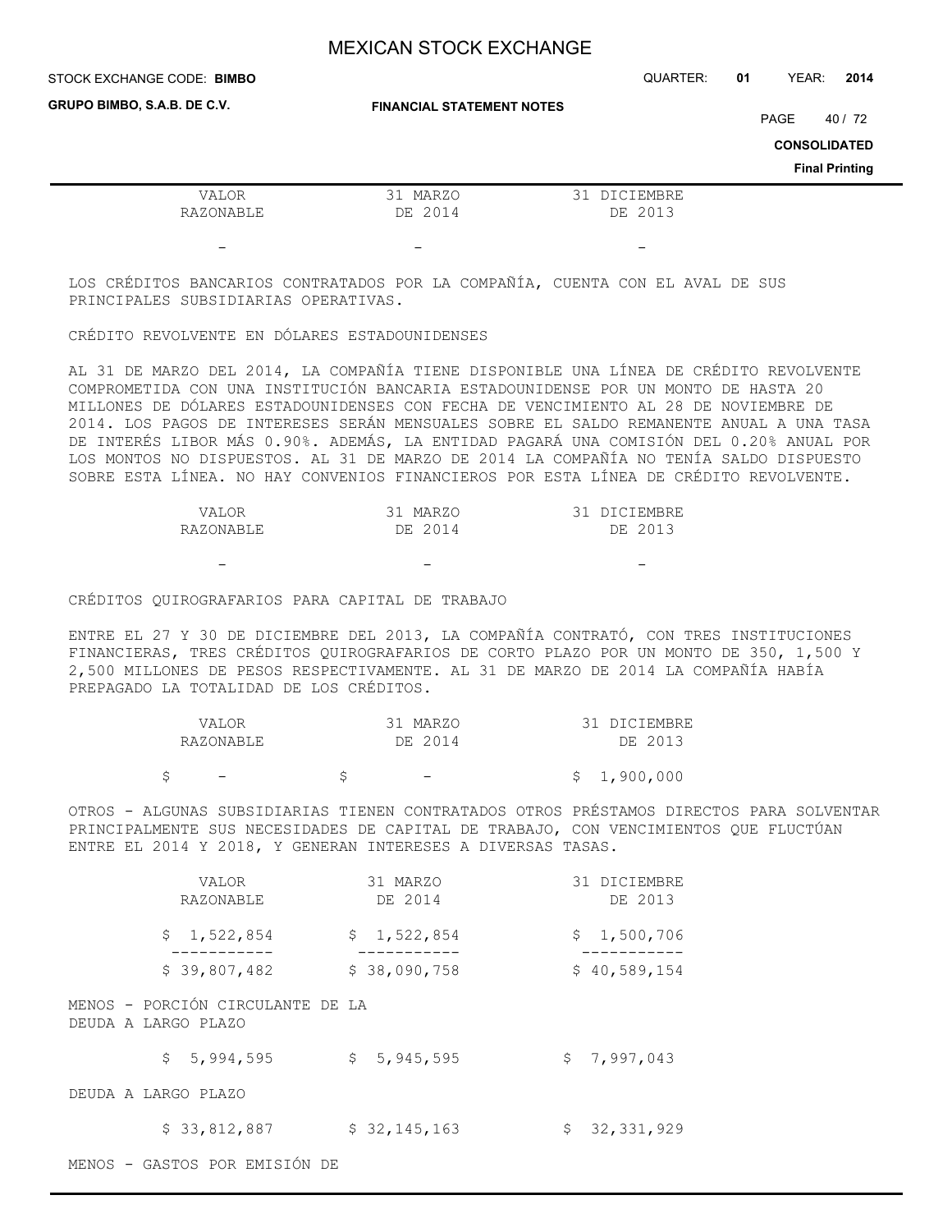| STOCK EXCHANGE CODE: BIMBO  |                                  |  |                         |  | YEAR:                       |                                  | 2014 |
|-----------------------------|----------------------------------|--|-------------------------|--|-----------------------------|----------------------------------|------|
| GRUPO BIMBO, S.A.B. DE C.V. | <b>FINANCIAL STATEMENT NOTES</b> |  |                         |  | PAGE<br><b>CONSOLIDATED</b> | 40 / 72<br><b>Final Printing</b> |      |
| VALOR<br>RAZONABLE          | 31 MARZO<br>DE 2014              |  | 31 DICIEMBRE<br>DE 2013 |  |                             |                                  |      |
| $\overline{\phantom{0}}$    |                                  |  | -                       |  |                             |                                  |      |

LOS CRÉDITOS BANCARIOS CONTRATADOS POR LA COMPAÑÍA, CUENTA CON EL AVAL DE SUS PRINCIPALES SUBSIDIARIAS OPERATIVAS.

## CRÉDITO REVOLVENTE EN DÓLARES ESTADOUNIDENSES

AL 31 DE MARZO DEL 2014, LA COMPAÑÍA TIENE DISPONIBLE UNA LÍNEA DE CRÉDITO REVOLVENTE COMPROMETIDA CON UNA INSTITUCIÓN BANCARIA ESTADOUNIDENSE POR UN MONTO DE HASTA 20 MILLONES DE DÓLARES ESTADOUNIDENSES CON FECHA DE VENCIMIENTO AL 28 DE NOVIEMBRE DE 2014. LOS PAGOS DE INTERESES SERÁN MENSUALES SOBRE EL SALDO REMANENTE ANUAL A UNA TASA DE INTERÉS LIBOR MÁS 0.90%. ADEMÁS, LA ENTIDAD PAGARÁ UNA COMISIÓN DEL 0.20% ANUAL POR LOS MONTOS NO DISPUESTOS. AL 31 DE MARZO DE 2014 LA COMPAÑÍA NO TENÍA SALDO DISPUESTO SOBRE ESTA LÍNEA. NO HAY CONVENIOS FINANCIEROS POR ESTA LÍNEA DE CRÉDITO REVOLVENTE.

| VALOR     | 31 MARZO | 31 DICIEMBRE |
|-----------|----------|--------------|
| RAZONABLE | DE 2014  | DE 2013      |

CRÉDITOS QUIROGRAFARIOS PARA CAPITAL DE TRABAJO

- - -

ENTRE EL 27 Y 30 DE DICIEMBRE DEL 2013, LA COMPAÑÍA CONTRATÓ, CON TRES INSTITUCIONES FINANCIERAS, TRES CRÉDITOS QUIROGRAFARIOS DE CORTO PLAZO POR UN MONTO DE 350, 1,500 Y 2,500 MILLONES DE PESOS RESPECTIVAMENTE. AL 31 DE MARZO DE 2014 LA COMPAÑÍA HABÍA PREPAGADO LA TOTALIDAD DE LOS CRÉDITOS.

|  | VALOR                    |  | 31 MARZO                 |  | 31 DICIEMBRE |
|--|--------------------------|--|--------------------------|--|--------------|
|  | RAZONABLE                |  | DE 2014                  |  | DE 2013      |
|  | $\overline{\phantom{0}}$ |  | $\overline{\phantom{0}}$ |  | \$1,900,000  |

OTROS - ALGUNAS SUBSIDIARIAS TIENEN CONTRATADOS OTROS PRÉSTAMOS DIRECTOS PARA SOLVENTAR PRINCIPALMENTE SUS NECESIDADES DE CAPITAL DE TRABAJO, CON VENCIMIENTOS QUE FLUCTÚAN ENTRE EL 2014 Y 2018, Y GENERAN INTERESES A DIVERSAS TASAS.

|                     | VALOR<br>RAZONABLE               | 31 MARZO<br>DE 2014 | 31 DICIEMBRE<br>DE 2013 |
|---------------------|----------------------------------|---------------------|-------------------------|
|                     | \$<br>1,522,854                  | \$<br>1,522,854     | \$1,500,706             |
|                     | \$39,807,482                     | \$38,090,758        | \$40,589,154            |
| DEUDA A LARGO PLAZO | MENOS - PORCIÓN CIRCULANTE DE LA |                     |                         |
|                     | 5,994,595<br>\$                  | \$5, 945, 595       | \$<br>7,997,043         |
| DEUDA A LARGO PLAZO |                                  |                     |                         |
|                     | \$33,812,887                     | \$32,145,163        | \$<br>32,331,929        |
|                     | MENOS - GASTOS POR EMISIÓN DE    |                     |                         |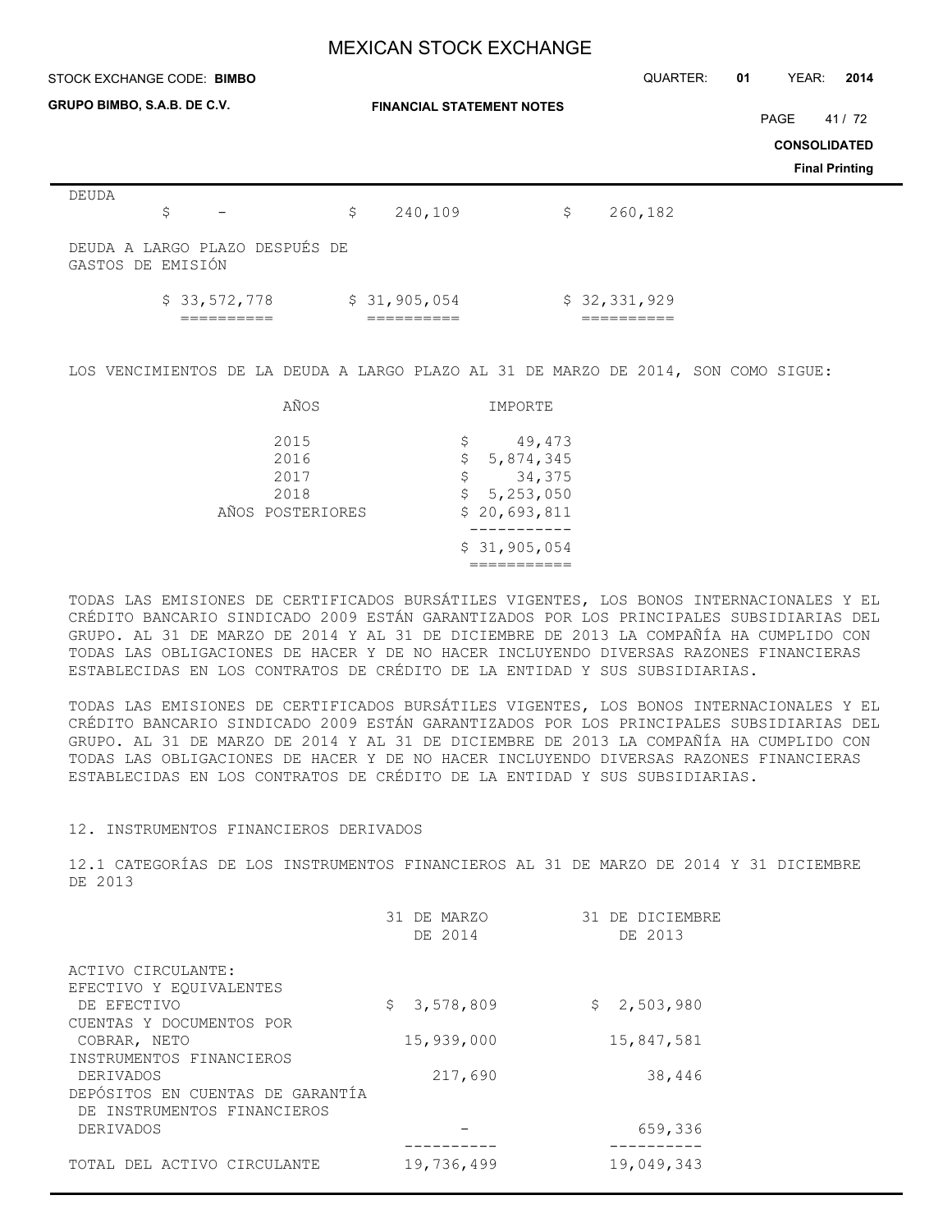| STOCK EXCHANGE CODE: BIMBO  |                                |                                  | QUARTER:      | 01 | YEAR:                       | 2014                           |
|-----------------------------|--------------------------------|----------------------------------|---------------|----|-----------------------------|--------------------------------|
| GRUPO BIMBO, S.A.B. DE C.V. |                                | <b>FINANCIAL STATEMENT NOTES</b> |               |    | PAGE<br><b>CONSOLIDATED</b> | 41/72<br><b>Final Printing</b> |
| DEUDA<br>\$                 |                                | \$<br>240,109                    | \$<br>260,182 |    |                             |                                |
| GASTOS DE EMISIÓN           | DEUDA A LARGO PLAZO DESPUÉS DE |                                  |               |    |                             |                                |
|                             | \$33,572,778                   | \$31,905,054                     | \$32,331,929  |    |                             |                                |

LOS VENCIMIENTOS DE LA DEUDA A LARGO PLAZO AL 31 DE MARZO DE 2014, SON COMO SIGUE:

| AÑOS                                             | IMPORTE                                                                                          |
|--------------------------------------------------|--------------------------------------------------------------------------------------------------|
| 2015<br>2016<br>2017<br>2018<br>AÑOS POSTERIORES | 49,473<br>\$<br>5,874,345<br>\$<br>34,375<br>\$<br>\$5, 253, 050<br>\$20,693,811<br>\$31,905,054 |

TODAS LAS EMISIONES DE CERTIFICADOS BURSÁTILES VIGENTES, LOS BONOS INTERNACIONALES Y EL CRÉDITO BANCARIO SINDICADO 2009 ESTÁN GARANTIZADOS POR LOS PRINCIPALES SUBSIDIARIAS DEL GRUPO. AL 31 DE MARZO DE 2014 Y AL 31 DE DICIEMBRE DE 2013 LA COMPAÑÍA HA CUMPLIDO CON TODAS LAS OBLIGACIONES DE HACER Y DE NO HACER INCLUYENDO DIVERSAS RAZONES FINANCIERAS ESTABLECIDAS EN LOS CONTRATOS DE CRÉDITO DE LA ENTIDAD Y SUS SUBSIDIARIAS.

TODAS LAS EMISIONES DE CERTIFICADOS BURSÁTILES VIGENTES, LOS BONOS INTERNACIONALES Y EL CRÉDITO BANCARIO SINDICADO 2009 ESTÁN GARANTIZADOS POR LOS PRINCIPALES SUBSIDIARIAS DEL GRUPO. AL 31 DE MARZO DE 2014 Y AL 31 DE DICIEMBRE DE 2013 LA COMPAÑÍA HA CUMPLIDO CON TODAS LAS OBLIGACIONES DE HACER Y DE NO HACER INCLUYENDO DIVERSAS RAZONES FINANCIERAS ESTABLECIDAS EN LOS CONTRATOS DE CRÉDITO DE LA ENTIDAD Y SUS SUBSIDIARIAS.

### 12. INSTRUMENTOS FINANCIEROS DERIVADOS

12.1 CATEGORÍAS DE LOS INSTRUMENTOS FINANCIEROS AL 31 DE MARZO DE 2014 Y 31 DICIEMBRE DE 2013

| 31 DE MARZO<br>DE 2014 | 31 DE DICIEMBRE<br>DE 2013 |
|------------------------|----------------------------|
|                        |                            |
|                        |                            |
|                        | \$2,503,980                |
| 15,939,000             | 15,847,581                 |
|                        |                            |
| 217,690                | 38,446                     |
|                        |                            |
|                        | 659,336                    |
|                        |                            |
| 19,736,499             | 19,049,343                 |
|                        | 3,578,809<br>\$            |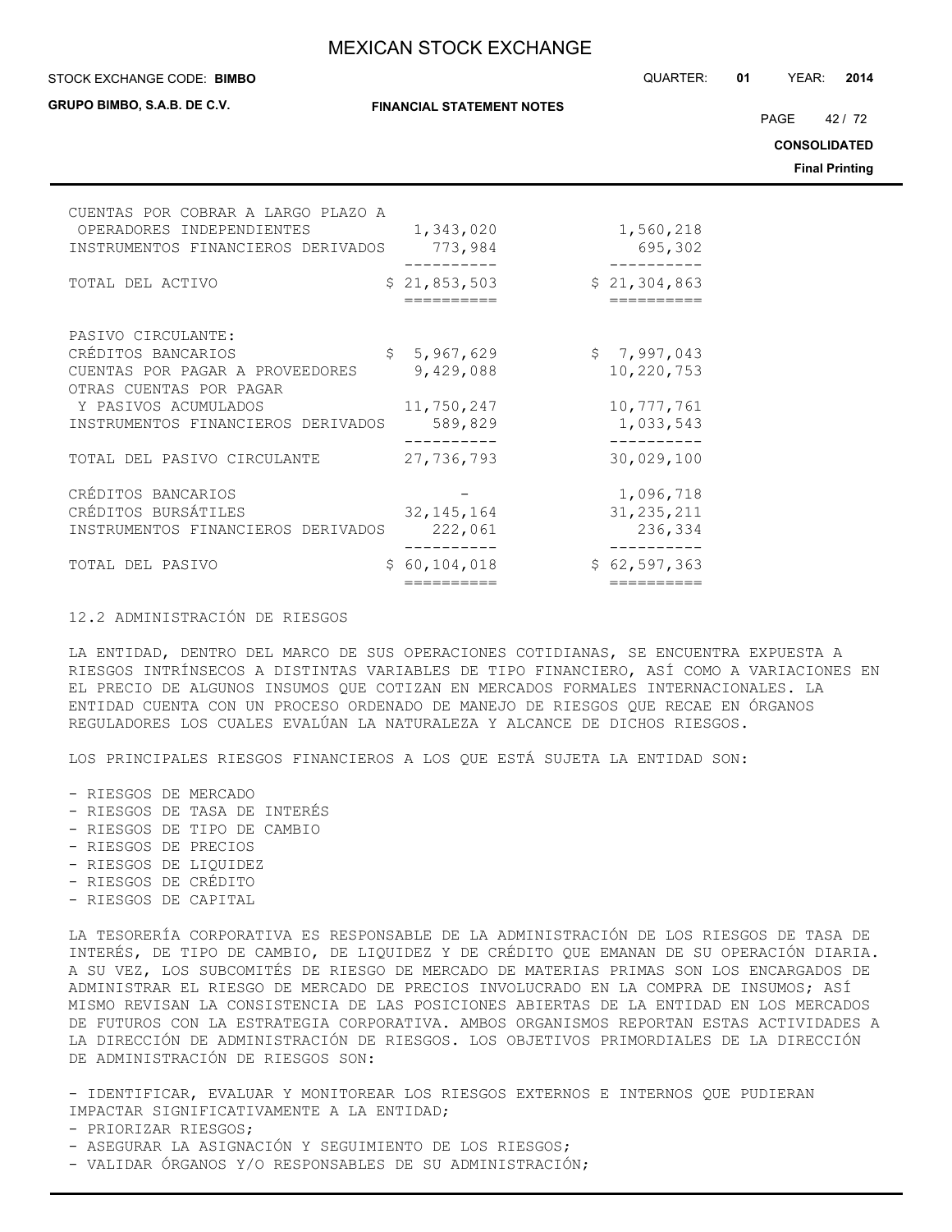**GRUPO BIMBO, S.A.B. DE C.V.**

**FINANCIAL STATEMENT NOTES**

STOCK EXCHANGE CODE: QUARTER: **01** YEAR: **2014 BIMBO**

PAGE 42 / 72

**CONSOLIDATED**

**Final Printing**

| CUENTAS POR COBRAR A LARGO PLAZO A<br>OPERADORES INDEPENDIENTES<br>INSTRUMENTOS FINANCIEROS DERIVADOS |                | 1,343,020<br>773,984       | 1,560,218<br>695,302        |
|-------------------------------------------------------------------------------------------------------|----------------|----------------------------|-----------------------------|
| TOTAL DEL ACTIVO                                                                                      |                | \$21,853,503<br>---------- | \$21,304,863<br>----------- |
| PASIVO CIRCULANTE:                                                                                    |                |                            |                             |
| CRÉDITOS BANCARIOS                                                                                    | $\mathsf{S}^-$ | 5,967,629                  | \$7,997,043                 |
| CUENTAS POR PAGAR A PROVEEDORES<br>OTRAS CUENTAS POR PAGAR                                            |                | 9,429,088                  | 10,220,753                  |
| Y PASIVOS ACUMULADOS                                                                                  |                | 11,750,247                 | 10, 777, 761                |
| INSTRUMENTOS FINANCIEROS DERIVADOS                                                                    |                | 589,829                    | 1,033,543                   |
| TOTAL DEL PASIVO CIRCULANTE                                                                           |                | 27,736,793                 | 30,029,100                  |
|                                                                                                       |                |                            |                             |
| CRÉDITOS BANCARIOS                                                                                    |                |                            | 1,096,718                   |
| CRÉDITOS BURSÁTILES                                                                                   |                | 32, 145, 164               | 31, 235, 211                |
| INSTRUMENTOS FINANCIEROS DERIVADOS                                                                    |                | 222,061                    | 236,334                     |
| TOTAL DEL PASIVO                                                                                      |                | \$60,104,018               | \$62,597,363                |
|                                                                                                       |                | ==========                 | ==========                  |

## 12.2 ADMINISTRACIÓN DE RIESGOS

LA ENTIDAD, DENTRO DEL MARCO DE SUS OPERACIONES COTIDIANAS, SE ENCUENTRA EXPUESTA A RIESGOS INTRÍNSECOS A DISTINTAS VARIABLES DE TIPO FINANCIERO, ASÍ COMO A VARIACIONES EN EL PRECIO DE ALGUNOS INSUMOS QUE COTIZAN EN MERCADOS FORMALES INTERNACIONALES. LA ENTIDAD CUENTA CON UN PROCESO ORDENADO DE MANEJO DE RIESGOS QUE RECAE EN ÓRGANOS REGULADORES LOS CUALES EVALÚAN LA NATURALEZA Y ALCANCE DE DICHOS RIESGOS.

LOS PRINCIPALES RIESGOS FINANCIEROS A LOS QUE ESTÁ SUJETA LA ENTIDAD SON:

- RIESGOS DE MERCADO
- RIESGOS DE TASA DE INTERÉS
- RIESGOS DE TIPO DE CAMBIO
- RIESGOS DE PRECIOS
- RIESGOS DE LIQUIDEZ
- RIESGOS DE CRÉDITO
- RIESGOS DE CAPITAL

LA TESORERÍA CORPORATIVA ES RESPONSABLE DE LA ADMINISTRACIÓN DE LOS RIESGOS DE TASA DE INTERÉS, DE TIPO DE CAMBIO, DE LIQUIDEZ Y DE CRÉDITO QUE EMANAN DE SU OPERACIÓN DIARIA. A SU VEZ, LOS SUBCOMITÉS DE RIESGO DE MERCADO DE MATERIAS PRIMAS SON LOS ENCARGADOS DE ADMINISTRAR EL RIESGO DE MERCADO DE PRECIOS INVOLUCRADO EN LA COMPRA DE INSUMOS; ASÍ MISMO REVISAN LA CONSISTENCIA DE LAS POSICIONES ABIERTAS DE LA ENTIDAD EN LOS MERCADOS DE FUTUROS CON LA ESTRATEGIA CORPORATIVA. AMBOS ORGANISMOS REPORTAN ESTAS ACTIVIDADES A LA DIRECCIÓN DE ADMINISTRACIÓN DE RIESGOS. LOS OBJETIVOS PRIMORDIALES DE LA DIRECCIÓN DE ADMINISTRACIÓN DE RIESGOS SON:

- IDENTIFICAR, EVALUAR Y MONITOREAR LOS RIESGOS EXTERNOS E INTERNOS QUE PUDIERAN IMPACTAR SIGNIFICATIVAMENTE A LA ENTIDAD;

- VALIDAR ÓRGANOS Y/O RESPONSABLES DE SU ADMINISTRACIÓN;

<sup>-</sup> PRIORIZAR RIESGOS;

<sup>-</sup> ASEGURAR LA ASIGNACIÓN Y SEGUIMIENTO DE LOS RIESGOS;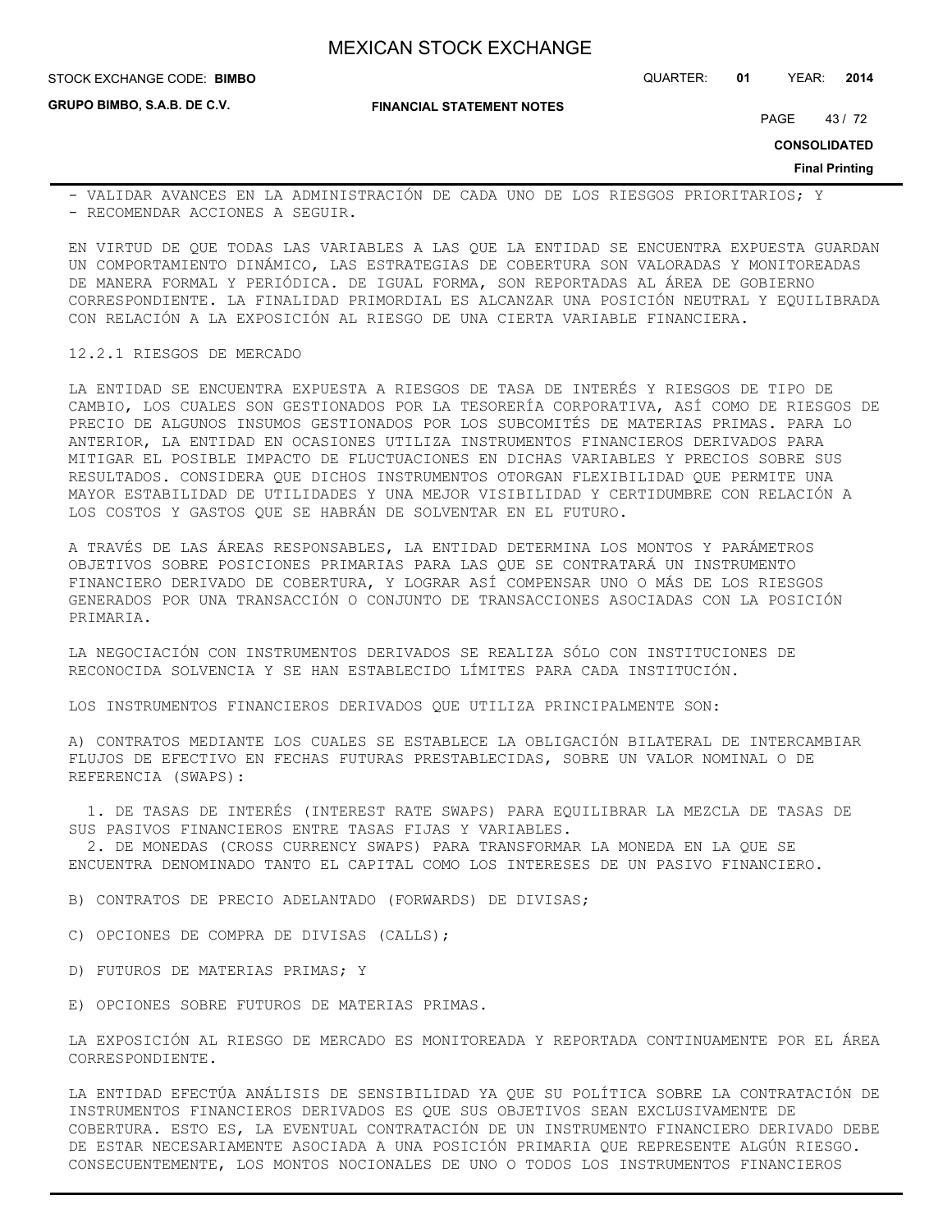STOCK EXCHANGE CODE: QUARTER: **01** YEAR: **2014 BIMBO**

**GRUPO BIMBO, S.A.B. DE C.V.**

**FINANCIAL STATEMENT NOTES**

PAGE 43/72

**CONSOLIDATED**

**Final Printing**

- VALIDAR AVANCES EN LA ADMINISTRACIÓN DE CADA UNO DE LOS RIESGOS PRIORITARIOS; Y - RECOMENDAR ACCIONES A SEGUIR.

EN VIRTUD DE QUE TODAS LAS VARIABLES A LAS QUE LA ENTIDAD SE ENCUENTRA EXPUESTA GUARDAN UN COMPORTAMIENTO DINÁMICO, LAS ESTRATEGIAS DE COBERTURA SON VALORADAS Y MONITOREADAS DE MANERA FORMAL Y PERIÓDICA. DE IGUAL FORMA, SON REPORTADAS AL ÁREA DE GOBIERNO CORRESPONDIENTE. LA FINALIDAD PRIMORDIAL ES ALCANZAR UNA POSICIÓN NEUTRAL Y EQUILIBRADA CON RELACIÓN A LA EXPOSICIÓN AL RIESGO DE UNA CIERTA VARIABLE FINANCIERA.

#### 12.2.1 RIESGOS DE MERCADO

LA ENTIDAD SE ENCUENTRA EXPUESTA A RIESGOS DE TASA DE INTERÉS Y RIESGOS DE TIPO DE CAMBIO, LOS CUALES SON GESTIONADOS POR LA TESORERÍA CORPORATIVA, ASÍ COMO DE RIESGOS DE PRECIO DE ALGUNOS INSUMOS GESTIONADOS POR LOS SUBCOMITÉS DE MATERIAS PRIMAS. PARA LO ANTERIOR, LA ENTIDAD EN OCASIONES UTILIZA INSTRUMENTOS FINANCIEROS DERIVADOS PARA MITIGAR EL POSIBLE IMPACTO DE FLUCTUACIONES EN DICHAS VARIABLES Y PRECIOS SOBRE SUS RESULTADOS. CONSIDERA QUE DICHOS INSTRUMENTOS OTORGAN FLEXIBILIDAD QUE PERMITE UNA MAYOR ESTABILIDAD DE UTILIDADES Y UNA MEJOR VISIBILIDAD Y CERTIDUMBRE CON RELACIÓN A LOS COSTOS Y GASTOS QUE SE HABRÁN DE SOLVENTAR EN EL FUTURO.

A TRAVÉS DE LAS ÁREAS RESPONSABLES, LA ENTIDAD DETERMINA LOS MONTOS Y PARÁMETROS OBJETIVOS SOBRE POSICIONES PRIMARIAS PARA LAS QUE SE CONTRATARÁ UN INSTRUMENTO FINANCIERO DERIVADO DE COBERTURA, Y LOGRAR ASÍ COMPENSAR UNO O MÁS DE LOS RIESGOS GENERADOS POR UNA TRANSACCIÓN O CONJUNTO DE TRANSACCIONES ASOCIADAS CON LA POSICIÓN PRIMARIA.

LA NEGOCIACIÓN CON INSTRUMENTOS DERIVADOS SE REALIZA SÓLO CON INSTITUCIONES DE RECONOCIDA SOLVENCIA Y SE HAN ESTABLECIDO LÍMITES PARA CADA INSTITUCIÓN.

LOS INSTRUMENTOS FINANCIEROS DERIVADOS QUE UTILIZA PRINCIPALMENTE SON:

A) CONTRATOS MEDIANTE LOS CUALES SE ESTABLECE LA OBLIGACIÓN BILATERAL DE INTERCAMBIAR FLUJOS DE EFECTIVO EN FECHAS FUTURAS PRESTABLECIDAS, SOBRE UN VALOR NOMINAL O DE REFERENCIA (SWAPS):

 1. DE TASAS DE INTERÉS (INTEREST RATE SWAPS) PARA EQUILIBRAR LA MEZCLA DE TASAS DE SUS PASIVOS FINANCIEROS ENTRE TASAS FIJAS Y VARIABLES.

 2. DE MONEDAS (CROSS CURRENCY SWAPS) PARA TRANSFORMAR LA MONEDA EN LA QUE SE ENCUENTRA DENOMINADO TANTO EL CAPITAL COMO LOS INTERESES DE UN PASIVO FINANCIERO.

B) CONTRATOS DE PRECIO ADELANTADO (FORWARDS) DE DIVISAS;

- C) OPCIONES DE COMPRA DE DIVISAS (CALLS);
- D) FUTUROS DE MATERIAS PRIMAS; Y
- E) OPCIONES SOBRE FUTUROS DE MATERIAS PRIMAS.

LA EXPOSICIÓN AL RIESGO DE MERCADO ES MONITOREADA Y REPORTADA CONTINUAMENTE POR EL ÁREA CORRESPONDIENTE.

LA ENTIDAD EFECTÚA ANÁLISIS DE SENSIBILIDAD YA QUE SU POLÍTICA SOBRE LA CONTRATACIÓN DE INSTRUMENTOS FINANCIEROS DERIVADOS ES QUE SUS OBJETIVOS SEAN EXCLUSIVAMENTE DE COBERTURA. ESTO ES, LA EVENTUAL CONTRATACIÓN DE UN INSTRUMENTO FINANCIERO DERIVADO DEBE DE ESTAR NECESARIAMENTE ASOCIADA A UNA POSICIÓN PRIMARIA QUE REPRESENTE ALGÚN RIESGO. CONSECUENTEMENTE, LOS MONTOS NOCIONALES DE UNO O TODOS LOS INSTRUMENTOS FINANCIEROS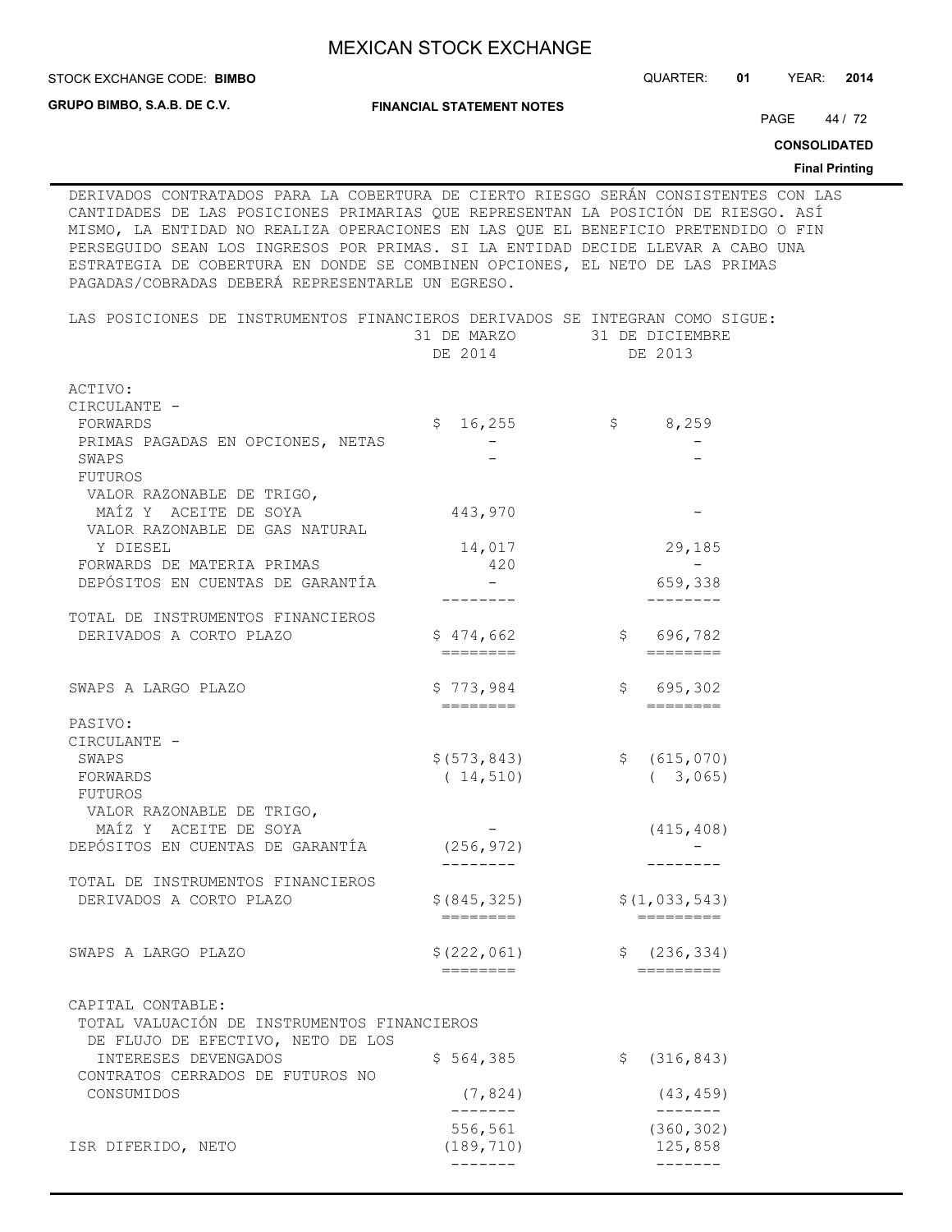STOCK EXCHANGE CODE: QUARTER: **01** YEAR: **2014 BIMBO**

**GRUPO BIMBO, S.A.B. DE C.V.**

**FINANCIAL STATEMENT NOTES**

PAGE 44 / 72

**CONSOLIDATED**

**Final Printing**

DERIVADOS CONTRATADOS PARA LA COBERTURA DE CIERTO RIESGO SERÁN CONSISTENTES CON LAS CANTIDADES DE LAS POSICIONES PRIMARIAS QUE REPRESENTAN LA POSICIÓN DE RIESGO. ASÍ MISMO, LA ENTIDAD NO REALIZA OPERACIONES EN LAS QUE EL BENEFICIO PRETENDIDO O FIN PERSEGUIDO SEAN LOS INGRESOS POR PRIMAS. SI LA ENTIDAD DECIDE LLEVAR A CABO UNA ESTRATEGIA DE COBERTURA EN DONDE SE COMBINEN OPCIONES, EL NETO DE LAS PRIMAS PAGADAS/COBRADAS DEBERÁ REPRESENTARLE UN EGRESO.

| LAS POSICIONES DE INSTRUMENTOS FINANCIEROS DERIVADOS SE INTEGRAN COMO SIGUE: | 31 DE MARZO 31 DE DICIEMBRE<br>DE 2014 | DE 2013                     |
|------------------------------------------------------------------------------|----------------------------------------|-----------------------------|
| ACTIVO:                                                                      |                                        |                             |
| CIRCULANTE -                                                                 |                                        |                             |
| FORWARDS                                                                     | 16,255<br>Ş.                           | \$,259                      |
| PRIMAS PAGADAS EN OPCIONES, NETAS                                            |                                        |                             |
| SWAPS                                                                        |                                        |                             |
| FUTUROS                                                                      |                                        |                             |
| VALOR RAZONABLE DE TRIGO,                                                    |                                        |                             |
| MAÍZ Y ACEITE DE SOYA                                                        | 443,970                                |                             |
| VALOR RAZONABLE DE GAS NATURAL                                               |                                        |                             |
| Y DIESEL                                                                     | 14,017                                 | 29,185                      |
| FORWARDS DE MATERIA PRIMAS                                                   | 420                                    |                             |
| DEPÓSITOS EN CUENTAS DE GARANTÍA                                             |                                        | 659,338                     |
|                                                                              |                                        | ---------                   |
| TOTAL DE INSTRUMENTOS FINANCIEROS                                            |                                        |                             |
| DERIVADOS A CORTO PLAZO                                                      | \$474,662                              | \$696,782                   |
|                                                                              | $=$ $=$ $=$ $=$ $=$ $=$ $=$ $=$ $=$    | ========                    |
|                                                                              |                                        |                             |
| SWAPS A LARGO PLAZO                                                          | \$773,984                              | \$695,302                   |
|                                                                              | $=$ $=$ $=$ $=$ $=$ $=$ $=$ $=$        | $=$ $=$ $=$ $=$ $=$ $=$ $=$ |
| PASIVO:                                                                      |                                        |                             |
| CIRCULANTE -                                                                 |                                        |                             |
| SWAPS                                                                        | \$ (573, 843)                          | \$ (615, 070)               |
| FORWARDS                                                                     | (14, 510)                              | (3, 065)                    |
| FUTUROS                                                                      |                                        |                             |
| VALOR RAZONABLE DE TRIGO,                                                    |                                        |                             |
| MAÍZ Y ACEITE DE SOYA                                                        |                                        | (415, 408)                  |
| DEPÓSITOS EN CUENTAS DE GARANTÍA                                             | (256, 972)                             |                             |
|                                                                              |                                        |                             |
| TOTAL DE INSTRUMENTOS FINANCIEROS                                            |                                        |                             |
| DERIVADOS A CORTO PLAZO                                                      | \$ (845, 325)                          | \$(1, 033, 543)             |
|                                                                              | ========                               |                             |
|                                                                              |                                        |                             |
| SWAPS A LARGO PLAZO                                                          | \$(222, 061)                           | \$ (236, 334)               |
|                                                                              | ========                               | =========                   |
|                                                                              |                                        |                             |
| CAPITAL CONTABLE:                                                            |                                        |                             |
| TOTAL VALUACIÓN DE INSTRUMENTOS FINANCIEROS                                  |                                        |                             |
| DE FLUJO DE EFECTIVO, NETO DE LOS                                            | \$564,385                              |                             |
| INTERESES DEVENGADOS                                                         |                                        | (316, 843)<br>\$.           |
| CONTRATOS CERRADOS DE FUTUROS NO                                             |                                        |                             |
| CONSUMIDOS                                                                   | (7, 824)                               | (43, 459)                   |
|                                                                              | 556,561                                | (360, 302)                  |
| ISR DIFERIDO, NETO                                                           | (189, 710)                             | 125,858                     |
|                                                                              | -------                                |                             |
|                                                                              |                                        |                             |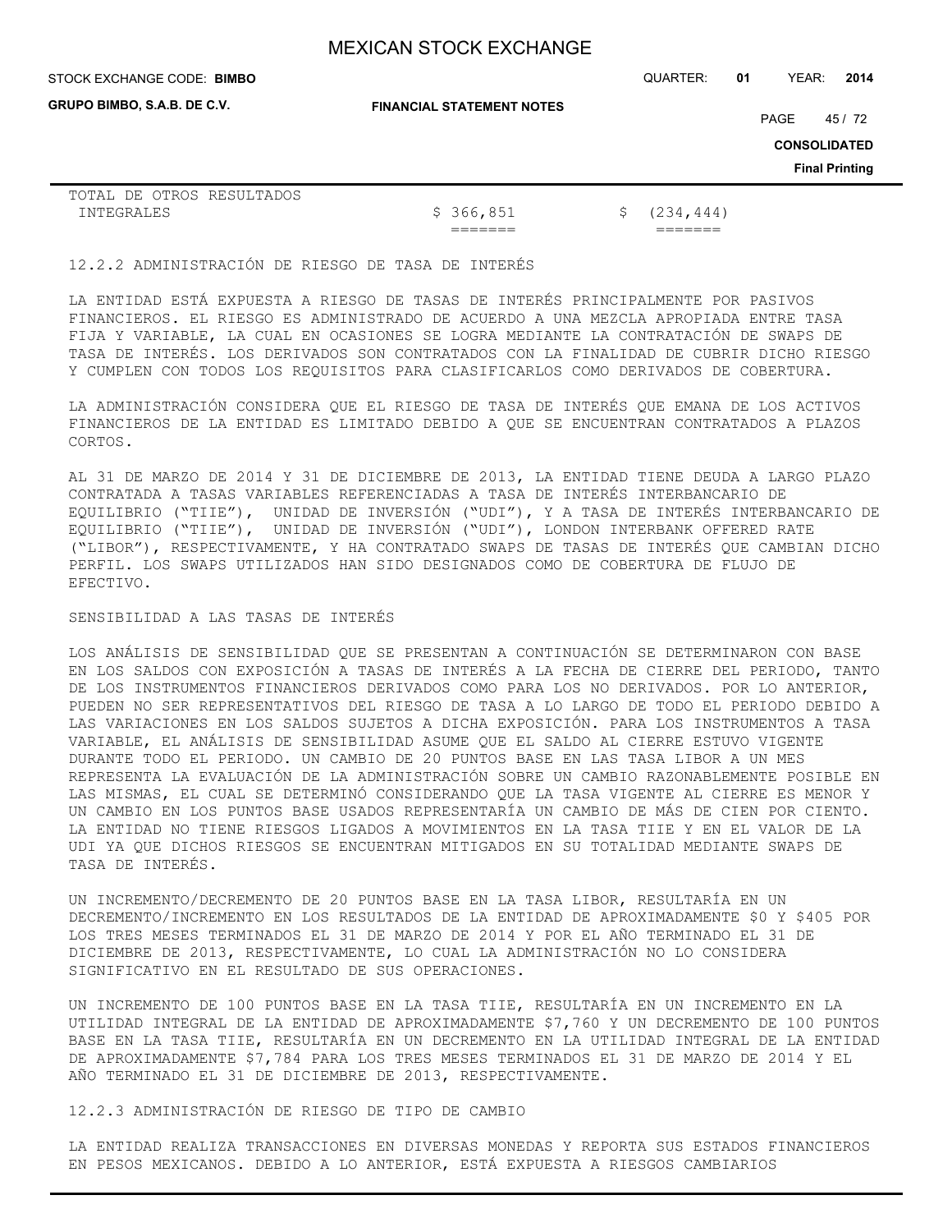**GRUPO BIMBO, S.A.B. DE C.V.**

STOCK EXCHANGE CODE: QUARTER: **01** YEAR: **2014 BIMBO**

**FINANCIAL STATEMENT NOTES**

PAGE 45/72

**CONSOLIDATED**

**Final Printing**

|            |  | TOTAL DE OTROS RESULTADOS |           |               |
|------------|--|---------------------------|-----------|---------------|
| INTEGRALES |  |                           | \$366,851 | \$ (234, 444) |
|            |  |                           | _______   | _______       |

### 12.2.2 ADMINISTRACIÓN DE RIESGO DE TASA DE INTERÉS

LA ENTIDAD ESTÁ EXPUESTA A RIESGO DE TASAS DE INTERÉS PRINCIPALMENTE POR PASIVOS FINANCIEROS. EL RIESGO ES ADMINISTRADO DE ACUERDO A UNA MEZCLA APROPIADA ENTRE TASA FIJA Y VARIABLE, LA CUAL EN OCASIONES SE LOGRA MEDIANTE LA CONTRATACIÓN DE SWAPS DE TASA DE INTERÉS. LOS DERIVADOS SON CONTRATADOS CON LA FINALIDAD DE CUBRIR DICHO RIESGO Y CUMPLEN CON TODOS LOS REQUISITOS PARA CLASIFICARLOS COMO DERIVADOS DE COBERTURA.

LA ADMINISTRACIÓN CONSIDERA QUE EL RIESGO DE TASA DE INTERÉS QUE EMANA DE LOS ACTIVOS FINANCIEROS DE LA ENTIDAD ES LIMITADO DEBIDO A QUE SE ENCUENTRAN CONTRATADOS A PLAZOS CORTOS.

AL 31 DE MARZO DE 2014 Y 31 DE DICIEMBRE DE 2013, LA ENTIDAD TIENE DEUDA A LARGO PLAZO CONTRATADA A TASAS VARIABLES REFERENCIADAS A TASA DE INTERÉS INTERBANCARIO DE EQUILIBRIO ("TIIE"), UNIDAD DE INVERSIÓN ("UDI"), Y A TASA DE INTERÉS INTERBANCARIO DE EQUILIBRIO ("TIIE"), UNIDAD DE INVERSIÓN ("UDI"), LONDON INTERBANK OFFERED RATE ("LIBOR"), RESPECTIVAMENTE, Y HA CONTRATADO SWAPS DE TASAS DE INTERÉS QUE CAMBIAN DICHO PERFIL. LOS SWAPS UTILIZADOS HAN SIDO DESIGNADOS COMO DE COBERTURA DE FLUJO DE EFECTIVO.

## SENSIBILIDAD A LAS TASAS DE INTERÉS

LOS ANÁLISIS DE SENSIBILIDAD QUE SE PRESENTAN A CONTINUACIÓN SE DETERMINARON CON BASE EN LOS SALDOS CON EXPOSICIÓN A TASAS DE INTERÉS A LA FECHA DE CIERRE DEL PERIODO, TANTO DE LOS INSTRUMENTOS FINANCIEROS DERIVADOS COMO PARA LOS NO DERIVADOS. POR LO ANTERIOR, PUEDEN NO SER REPRESENTATIVOS DEL RIESGO DE TASA A LO LARGO DE TODO EL PERIODO DEBIDO A LAS VARIACIONES EN LOS SALDOS SUJETOS A DICHA EXPOSICIÓN. PARA LOS INSTRUMENTOS A TASA VARIABLE, EL ANÁLISIS DE SENSIBILIDAD ASUME QUE EL SALDO AL CIERRE ESTUVO VIGENTE DURANTE TODO EL PERIODO. UN CAMBIO DE 20 PUNTOS BASE EN LAS TASA LIBOR A UN MES REPRESENTA LA EVALUACIÓN DE LA ADMINISTRACIÓN SOBRE UN CAMBIO RAZONABLEMENTE POSIBLE EN LAS MISMAS, EL CUAL SE DETERMINÓ CONSIDERANDO QUE LA TASA VIGENTE AL CIERRE ES MENOR Y UN CAMBIO EN LOS PUNTOS BASE USADOS REPRESENTARÍA UN CAMBIO DE MÁS DE CIEN POR CIENTO. LA ENTIDAD NO TIENE RIESGOS LIGADOS A MOVIMIENTOS EN LA TASA TIIE Y EN EL VALOR DE LA UDI YA QUE DICHOS RIESGOS SE ENCUENTRAN MITIGADOS EN SU TOTALIDAD MEDIANTE SWAPS DE TASA DE INTERÉS.

UN INCREMENTO/DECREMENTO DE 20 PUNTOS BASE EN LA TASA LIBOR, RESULTARÍA EN UN DECREMENTO/INCREMENTO EN LOS RESULTADOS DE LA ENTIDAD DE APROXIMADAMENTE \$0 Y \$405 POR LOS TRES MESES TERMINADOS EL 31 DE MARZO DE 2014 Y POR EL AÑO TERMINADO EL 31 DE DICIEMBRE DE 2013, RESPECTIVAMENTE, LO CUAL LA ADMINISTRACIÓN NO LO CONSIDERA SIGNIFICATIVO EN EL RESULTADO DE SUS OPERACIONES.

UN INCREMENTO DE 100 PUNTOS BASE EN LA TASA TIIE, RESULTARÍA EN UN INCREMENTO EN LA UTILIDAD INTEGRAL DE LA ENTIDAD DE APROXIMADAMENTE \$7,760 Y UN DECREMENTO DE 100 PUNTOS BASE EN LA TASA TIIE, RESULTARÍA EN UN DECREMENTO EN LA UTILIDAD INTEGRAL DE LA ENTIDAD DE APROXIMADAMENTE \$7,784 PARA LOS TRES MESES TERMINADOS EL 31 DE MARZO DE 2014 Y EL AÑO TERMINADO EL 31 DE DICIEMBRE DE 2013, RESPECTIVAMENTE.

12.2.3 ADMINISTRACIÓN DE RIESGO DE TIPO DE CAMBIO

LA ENTIDAD REALIZA TRANSACCIONES EN DIVERSAS MONEDAS Y REPORTA SUS ESTADOS FINANCIEROS EN PESOS MEXICANOS. DEBIDO A LO ANTERIOR, ESTÁ EXPUESTA A RIESGOS CAMBIARIOS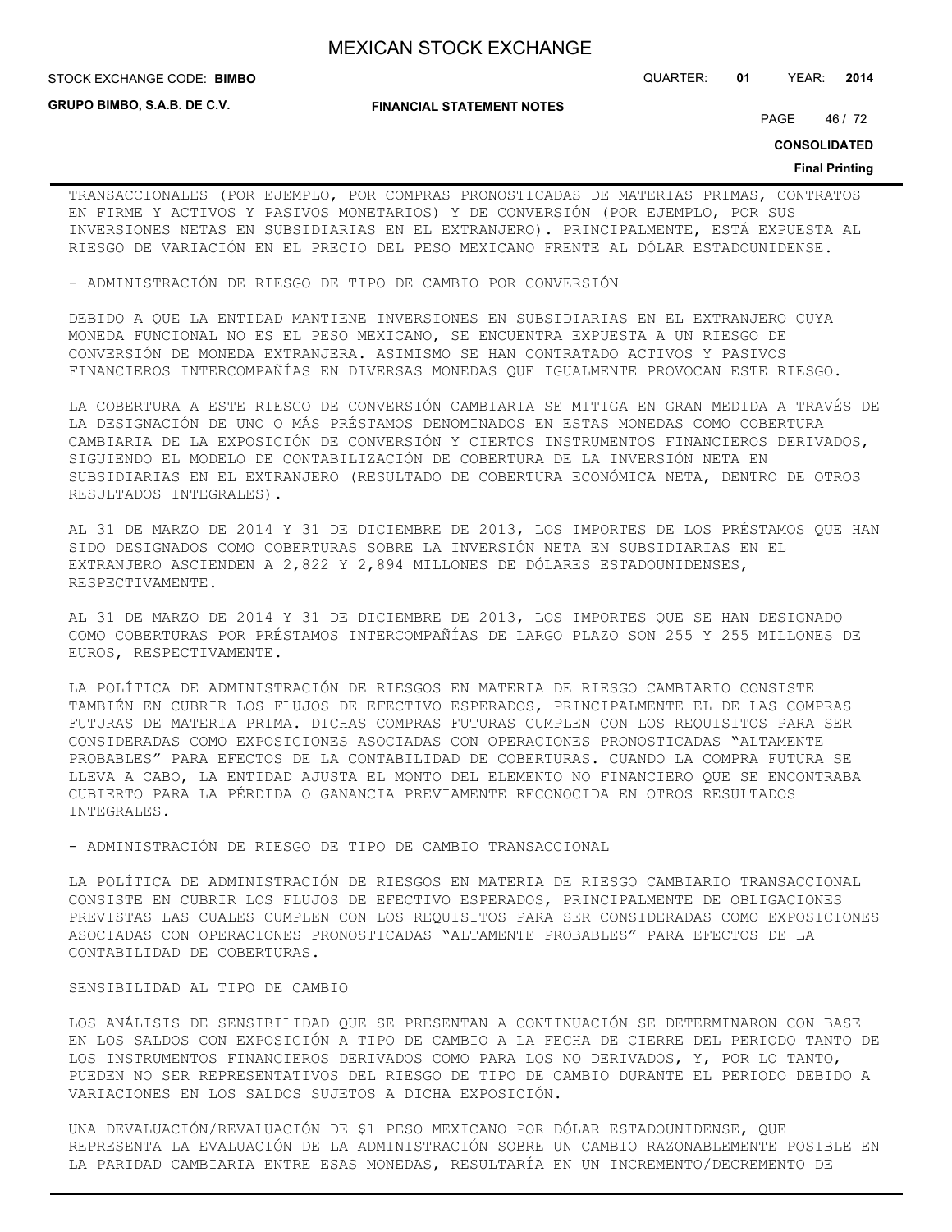**GRUPO BIMBO, S.A.B. DE C.V.**

**FINANCIAL STATEMENT NOTES**

STOCK EXCHANGE CODE: QUARTER: **01** YEAR: **2014 BIMBO**

PAGE 46 / 72

**CONSOLIDATED**

### **Final Printing**

TRANSACCIONALES (POR EJEMPLO, POR COMPRAS PRONOSTICADAS DE MATERIAS PRIMAS, CONTRATOS EN FIRME Y ACTIVOS Y PASIVOS MONETARIOS) Y DE CONVERSIÓN (POR EJEMPLO, POR SUS INVERSIONES NETAS EN SUBSIDIARIAS EN EL EXTRANJERO). PRINCIPALMENTE, ESTÁ EXPUESTA AL RIESGO DE VARIACIÓN EN EL PRECIO DEL PESO MEXICANO FRENTE AL DÓLAR ESTADOUNIDENSE.

- ADMINISTRACIÓN DE RIESGO DE TIPO DE CAMBIO POR CONVERSIÓN

DEBIDO A QUE LA ENTIDAD MANTIENE INVERSIONES EN SUBSIDIARIAS EN EL EXTRANJERO CUYA MONEDA FUNCIONAL NO ES EL PESO MEXICANO, SE ENCUENTRA EXPUESTA A UN RIESGO DE CONVERSIÓN DE MONEDA EXTRANJERA. ASIMISMO SE HAN CONTRATADO ACTIVOS Y PASIVOS FINANCIEROS INTERCOMPAÑÍAS EN DIVERSAS MONEDAS QUE IGUALMENTE PROVOCAN ESTE RIESGO.

LA COBERTURA A ESTE RIESGO DE CONVERSIÓN CAMBIARIA SE MITIGA EN GRAN MEDIDA A TRAVÉS DE LA DESIGNACIÓN DE UNO O MÁS PRÉSTAMOS DENOMINADOS EN ESTAS MONEDAS COMO COBERTURA CAMBIARIA DE LA EXPOSICIÓN DE CONVERSIÓN Y CIERTOS INSTRUMENTOS FINANCIEROS DERIVADOS, SIGUIENDO EL MODELO DE CONTABILIZACIÓN DE COBERTURA DE LA INVERSIÓN NETA EN SUBSIDIARIAS EN EL EXTRANJERO (RESULTADO DE COBERTURA ECONÓMICA NETA, DENTRO DE OTROS RESULTADOS INTEGRALES).

AL 31 DE MARZO DE 2014 Y 31 DE DICIEMBRE DE 2013, LOS IMPORTES DE LOS PRÉSTAMOS QUE HAN SIDO DESIGNADOS COMO COBERTURAS SOBRE LA INVERSIÓN NETA EN SUBSIDIARIAS EN EL EXTRANJERO ASCIENDEN A 2,822 Y 2,894 MILLONES DE DÓLARES ESTADOUNIDENSES, RESPECTIVAMENTE.

AL 31 DE MARZO DE 2014 Y 31 DE DICIEMBRE DE 2013, LOS IMPORTES QUE SE HAN DESIGNADO COMO COBERTURAS POR PRÉSTAMOS INTERCOMPAÑÍAS DE LARGO PLAZO SON 255 Y 255 MILLONES DE EUROS, RESPECTIVAMENTE.

LA POLÍTICA DE ADMINISTRACIÓN DE RIESGOS EN MATERIA DE RIESGO CAMBIARIO CONSISTE TAMBIÉN EN CUBRIR LOS FLUJOS DE EFECTIVO ESPERADOS, PRINCIPALMENTE EL DE LAS COMPRAS FUTURAS DE MATERIA PRIMA. DICHAS COMPRAS FUTURAS CUMPLEN CON LOS REQUISITOS PARA SER CONSIDERADAS COMO EXPOSICIONES ASOCIADAS CON OPERACIONES PRONOSTICADAS "ALTAMENTE PROBABLES" PARA EFECTOS DE LA CONTABILIDAD DE COBERTURAS. CUANDO LA COMPRA FUTURA SE LLEVA A CABO, LA ENTIDAD AJUSTA EL MONTO DEL ELEMENTO NO FINANCIERO QUE SE ENCONTRABA CUBIERTO PARA LA PÉRDIDA O GANANCIA PREVIAMENTE RECONOCIDA EN OTROS RESULTADOS INTEGRALES.

- ADMINISTRACIÓN DE RIESGO DE TIPO DE CAMBIO TRANSACCIONAL

LA POLÍTICA DE ADMINISTRACIÓN DE RIESGOS EN MATERIA DE RIESGO CAMBIARIO TRANSACCIONAL CONSISTE EN CUBRIR LOS FLUJOS DE EFECTIVO ESPERADOS, PRINCIPALMENTE DE OBLIGACIONES PREVISTAS LAS CUALES CUMPLEN CON LOS REQUISITOS PARA SER CONSIDERADAS COMO EXPOSICIONES ASOCIADAS CON OPERACIONES PRONOSTICADAS "ALTAMENTE PROBABLES" PARA EFECTOS DE LA CONTABILIDAD DE COBERTURAS.

#### SENSIBILIDAD AL TIPO DE CAMBIO

LOS ANÁLISIS DE SENSIBILIDAD QUE SE PRESENTAN A CONTINUACIÓN SE DETERMINARON CON BASE EN LOS SALDOS CON EXPOSICIÓN A TIPO DE CAMBIO A LA FECHA DE CIERRE DEL PERIODO TANTO DE LOS INSTRUMENTOS FINANCIEROS DERIVADOS COMO PARA LOS NO DERIVADOS, Y, POR LO TANTO, PUEDEN NO SER REPRESENTATIVOS DEL RIESGO DE TIPO DE CAMBIO DURANTE EL PERIODO DEBIDO A VARIACIONES EN LOS SALDOS SUJETOS A DICHA EXPOSICIÓN.

UNA DEVALUACIÓN/REVALUACIÓN DE \$1 PESO MEXICANO POR DÓLAR ESTADOUNIDENSE, QUE REPRESENTA LA EVALUACIÓN DE LA ADMINISTRACIÓN SOBRE UN CAMBIO RAZONABLEMENTE POSIBLE EN LA PARIDAD CAMBIARIA ENTRE ESAS MONEDAS, RESULTARÍA EN UN INCREMENTO/DECREMENTO DE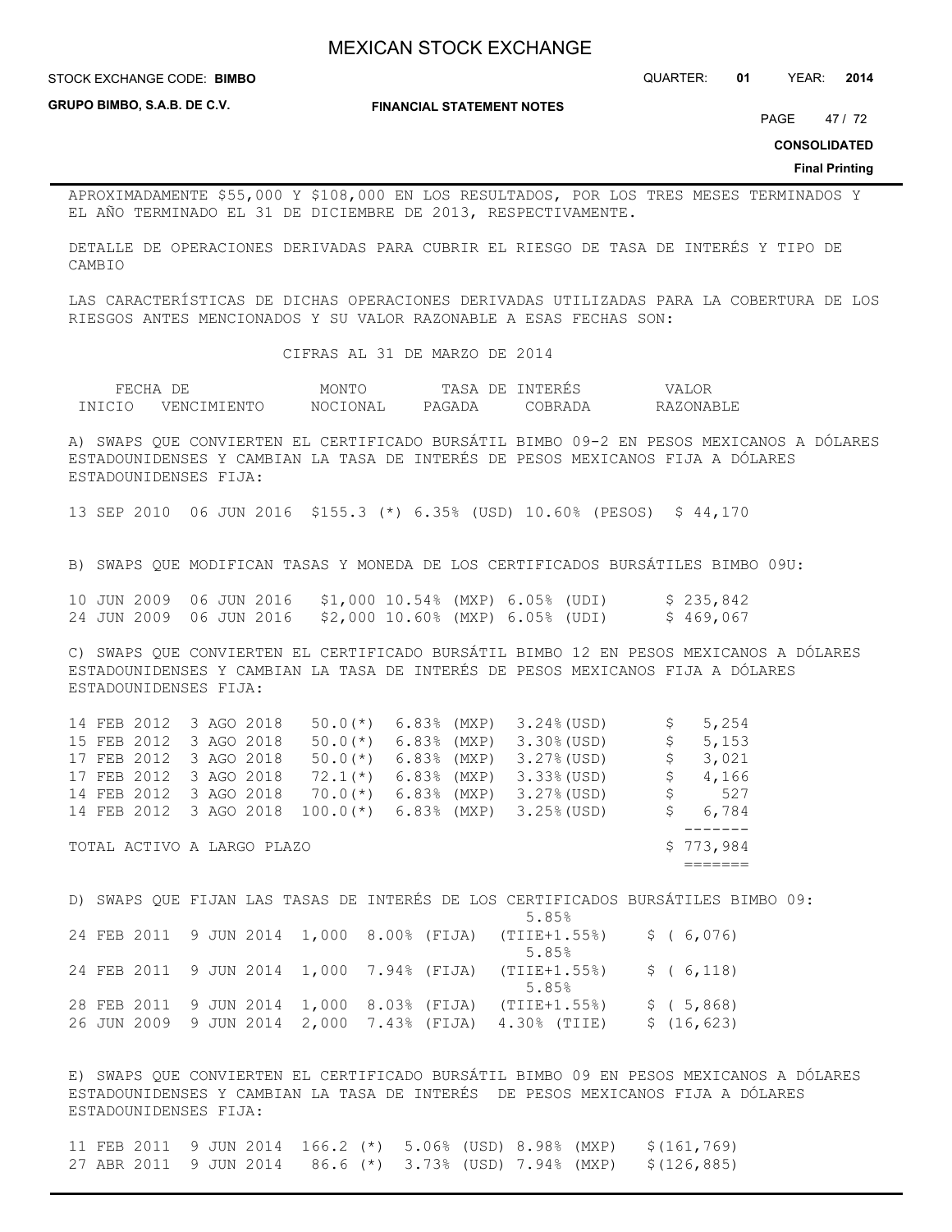STOCK EXCHANGE CODE: QUARTER: **01** YEAR: **2014 BIMBO**

**GRUPO BIMBO, S.A.B. DE C.V.**

**FINANCIAL STATEMENT NOTES**

PAGE 47 / 72

**CONSOLIDATED**

#### **Final Printing**

APROXIMADAMENTE \$55,000 Y \$108,000 EN LOS RESULTADOS, POR LOS TRES MESES TERMINADOS Y EL AÑO TERMINADO EL 31 DE DICIEMBRE DE 2013, RESPECTIVAMENTE.

DETALLE DE OPERACIONES DERIVADAS PARA CUBRIR EL RIESGO DE TASA DE INTERÉS Y TIPO DE CAMBIO

LAS CARACTERÍSTICAS DE DICHAS OPERACIONES DERIVADAS UTILIZADAS PARA LA COBERTURA DE LOS RIESGOS ANTES MENCIONADOS Y SU VALOR RAZONABLE A ESAS FECHAS SON:

CIFRAS AL 31 DE MARZO DE 2014

| FEC <sup>U</sup> | DF          | <b>MONT</b>     | TASA<br>7F. | יתיחור. | T.OF<br>. 7 A |
|------------------|-------------|-----------------|-------------|---------|---------------|
| TNICIO           | VENCIMIENTO | <b>NOCTONAT</b> | PAGADA      |         | RAZONARI.     |

A) SWAPS QUE CONVIERTEN EL CERTIFICADO BURSÁTIL BIMBO 09-2 EN PESOS MEXICANOS A DÓLARES ESTADOUNIDENSES Y CAMBIAN LA TASA DE INTERÉS DE PESOS MEXICANOS FIJA A DÓLARES ESTADOUNIDENSES FIJA:

13 SEP 2010 06 JUN 2016 \$155.3 (\*) 6.35% (USD) 10.60% (PESOS) \$ 44,170

B) SWAPS QUE MODIFICAN TASAS Y MONEDA DE LOS CERTIFICADOS BURSÁTILES BIMBO 09U:

|  |  |  | 10 JUN 2009 06 JUN 2016 \$1,000 10.54% (MXP) 6.05% (UDI) |  |  | \$235,842 |
|--|--|--|----------------------------------------------------------|--|--|-----------|
|  |  |  | 24 JUN 2009 06 JUN 2016 \$2,000 10.60% (MXP) 6.05% (UDI) |  |  | \$469,067 |

C) SWAPS QUE CONVIERTEN EL CERTIFICADO BURSÁTIL BIMBO 12 EN PESOS MEXICANOS A DÓLARES ESTADOUNIDENSES Y CAMBIAN LA TASA DE INTERÉS DE PESOS MEXICANOS FIJA A DÓLARES ESTADOUNIDENSES FIJA:

|  | 14 FEB 2012 3 AGO 2018     |  | $50.0$ (*) $6.83$ (MXP) |               | $3.24\%$ (USD) | S, | 5,254     |
|--|----------------------------|--|-------------------------|---------------|----------------|----|-----------|
|  | 15 FEB 2012 3 AGO 2018     |  | $50.0(*)$               | $6.83%$ (MXP) | $3.30\%$ (USD) | \$ | 5,153     |
|  | 17 FEB 2012 3 AGO 2018     |  | $50.0(*)$               | $6.83%$ (MXP) | $3.27%$ (USD)  | S, | 3,021     |
|  | 17 FEB 2012 3 AGO 2018     |  | $72.1(*)$               | $6.83%$ (MXP) | $3.33$ (USD)   | S. | 4,166     |
|  | 14 FEB 2012 3 AGO 2018     |  | $70.0(*)$               | $6.83%$ (MXP) | $3.27%$ (USD)  | S. | 527       |
|  | 14 FEB 2012 3 AGO 2018     |  | $100.0$ (*)             | $6.83%$ (MXP) | $3.25%$ (USD)  | S. | 6,784     |
|  |                            |  |                         |               |                |    |           |
|  | TOTAL ACTIVO A LARGO PLAZO |  |                         |               |                |    | \$773,984 |
|  |                            |  |                         |               |                |    |           |

D) SWAPS QUE FIJAN LAS TASAS DE INTERÉS DE LOS CERTIFICADOS BURSÁTILES BIMBO 09:  $5.85%$ 24 FEB 2011 9 JUN 2014 1,000 8.00% (FIJA) (TIIE+1.55%) \$ ( 6,076)  $5.85%$ 24 FEB 2011 9 JUN 2014 1,000 7.94% (FIJA) (TIIE+1.55%) \$ ( 6,118)  $5.85%$ 28 FEB 2011 9 JUN 2014 1,000 8.03% (FIJA) (TIIE+1.55%) \$ ( 5,868) 26 JUN 2009 9 JUN 2014 2,000 7.43% (FIJA) 4.30% (TIIE) \$ (16,623)

E) SWAPS QUE CONVIERTEN EL CERTIFICADO BURSÁTIL BIMBO 09 EN PESOS MEXICANOS A DÓLARES ESTADOUNIDENSES Y CAMBIAN LA TASA DE INTERÉS DE PESOS MEXICANOS FIJA A DÓLARES ESTADOUNIDENSES FIJA:

|  |  |  |  |  | 11 FEB 2011 9 JUN 2014 166.2 (*) 5.06% (USD) 8.98% (MXP) \$(161,769) |
|--|--|--|--|--|----------------------------------------------------------------------|
|  |  |  |  |  | 27 ABR 2011 9 JUN 2014 86.6 (*) 3.73% (USD) 7.94% (MXP) \$(126,885)  |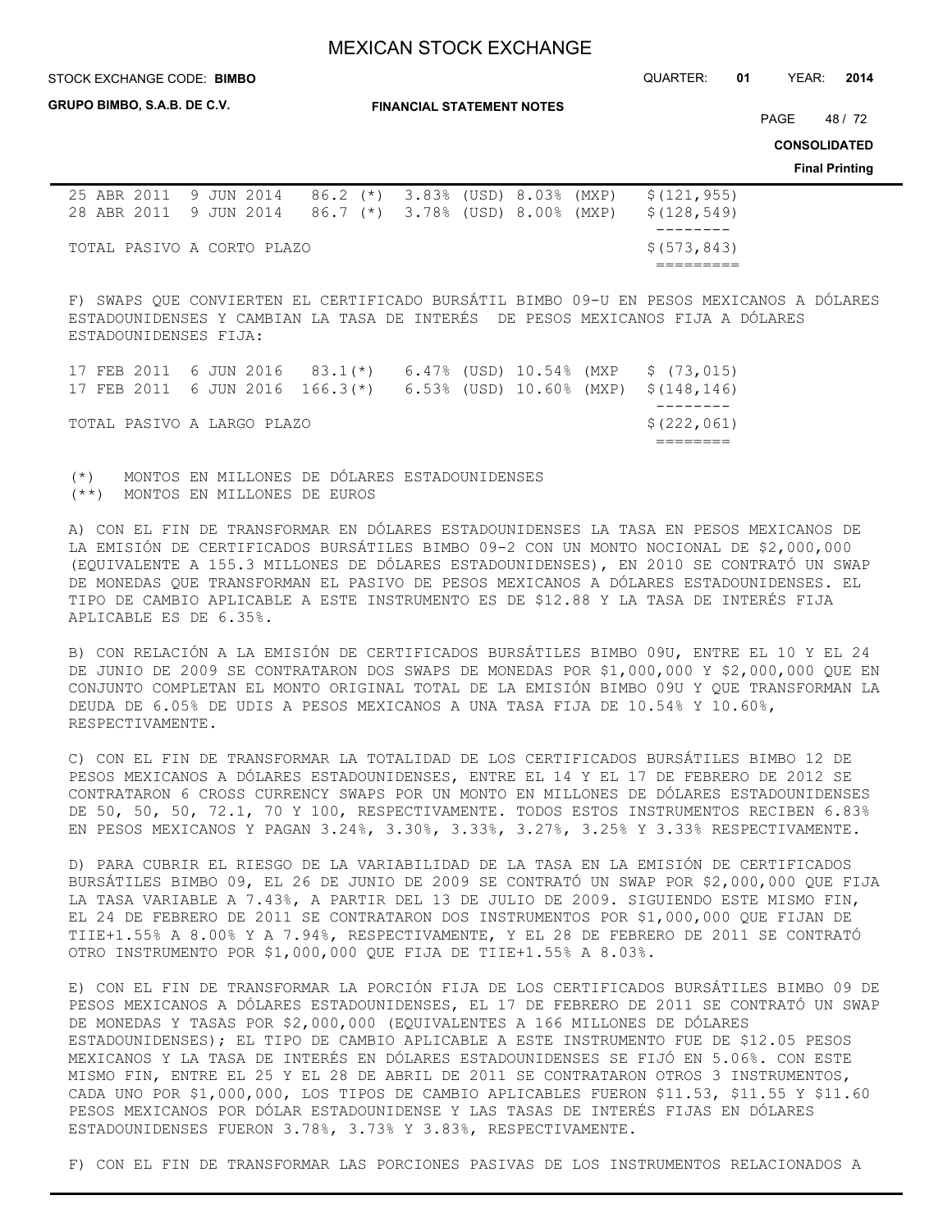STOCK EXCHANGE CODE: QUARTER: **01** YEAR: **2014 BIMBO**

**GRUPO BIMBO, S.A.B. DE C.V.**

**FINANCIAL STATEMENT NOTES**

PAGE 48 / 72

**CONSOLIDATED**

**Final Printing**

|  |  | 25 ABR 2011 9 JUN 2014 86.2 (*) 3.83% (USD) 8.03% (MXP) |  |  |  | \$(121,955) |
|--|--|---------------------------------------------------------|--|--|--|-------------|
|  |  | 28 ABR 2011 9 JUN 2014 86.7 (*) 3.78% (USD) 8.00% (MXP) |  |  |  | \$(128,549) |
|  |  |                                                         |  |  |  |             |
|  |  | TOTAL PASIVO A CORTO PLAZO                              |  |  |  | \$(573,843) |
|  |  |                                                         |  |  |  |             |

F) SWAPS QUE CONVIERTEN EL CERTIFICADO BURSÁTIL BIMBO 09-U EN PESOS MEXICANOS A DÓLARES ESTADOUNIDENSES Y CAMBIAN LA TASA DE INTERÉS DE PESOS MEXICANOS FIJA A DÓLARES ESTADOUNIDENSES FIJA:

| TOTAL PASIVO A LARGO PLAZO |  |  |  | \$(222,061) |
|----------------------------|--|--|--|-------------|
|                            |  |  |  |             |

(\*) MONTOS EN MILLONES DE DÓLARES ESTADOUNIDENSES (\*\*) MONTOS EN MILLONES DE EUROS

A) CON EL FIN DE TRANSFORMAR EN DÓLARES ESTADOUNIDENSES LA TASA EN PESOS MEXICANOS DE LA EMISIÓN DE CERTIFICADOS BURSÁTILES BIMBO 09-2 CON UN MONTO NOCIONAL DE \$2,000,000 (EQUIVALENTE A 155.3 MILLONES DE DÓLARES ESTADOUNIDENSES), EN 2010 SE CONTRATÓ UN SWAP DE MONEDAS QUE TRANSFORMAN EL PASIVO DE PESOS MEXICANOS A DÓLARES ESTADOUNIDENSES. EL TIPO DE CAMBIO APLICABLE A ESTE INSTRUMENTO ES DE \$12.88 Y LA TASA DE INTERÉS FIJA APLICABLE ES DE 6.35%.

B) CON RELACIÓN A LA EMISIÓN DE CERTIFICADOS BURSÁTILES BIMBO 09U, ENTRE EL 10 Y EL 24 DE JUNIO DE 2009 SE CONTRATARON DOS SWAPS DE MONEDAS POR \$1,000,000 Y \$2,000,000 QUE EN CONJUNTO COMPLETAN EL MONTO ORIGINAL TOTAL DE LA EMISIÓN BIMBO 09U Y QUE TRANSFORMAN LA DEUDA DE 6.05% DE UDIS A PESOS MEXICANOS A UNA TASA FIJA DE 10.54% Y 10.60%, RESPECTIVAMENTE.

C) CON EL FIN DE TRANSFORMAR LA TOTALIDAD DE LOS CERTIFICADOS BURSÁTILES BIMBO 12 DE PESOS MEXICANOS A DÓLARES ESTADOUNIDENSES, ENTRE EL 14 Y EL 17 DE FEBRERO DE 2012 SE CONTRATARON 6 CROSS CURRENCY SWAPS POR UN MONTO EN MILLONES DE DÓLARES ESTADOUNIDENSES DE 50, 50, 50, 72.1, 70 Y 100, RESPECTIVAMENTE. TODOS ESTOS INSTRUMENTOS RECIBEN 6.83% EN PESOS MEXICANOS Y PAGAN 3.24%, 3.30%, 3.33%, 3.27%, 3.25% Y 3.33% RESPECTIVAMENTE.

D) PARA CUBRIR EL RIESGO DE LA VARIABILIDAD DE LA TASA EN LA EMISIÓN DE CERTIFICADOS BURSÁTILES BIMBO 09, EL 26 DE JUNIO DE 2009 SE CONTRATÓ UN SWAP POR \$2,000,000 QUE FIJA LA TASA VARIABLE A 7.43%, A PARTIR DEL 13 DE JULIO DE 2009. SIGUIENDO ESTE MISMO FIN, EL 24 DE FEBRERO DE 2011 SE CONTRATARON DOS INSTRUMENTOS POR \$1,000,000 QUE FIJAN DE TIIE+1.55% A 8.00% Y A 7.94%, RESPECTIVAMENTE, Y EL 28 DE FEBRERO DE 2011 SE CONTRATÓ OTRO INSTRUMENTO POR \$1,000,000 QUE FIJA DE TIIE+1.55% A 8.03%.

E) CON EL FIN DE TRANSFORMAR LA PORCIÓN FIJA DE LOS CERTIFICADOS BURSÁTILES BIMBO 09 DE PESOS MEXICANOS A DÓLARES ESTADOUNIDENSES, EL 17 DE FEBRERO DE 2011 SE CONTRATÓ UN SWAP DE MONEDAS Y TASAS POR \$2,000,000 (EQUIVALENTES A 166 MILLONES DE DÓLARES ESTADOUNIDENSES); EL TIPO DE CAMBIO APLICABLE A ESTE INSTRUMENTO FUE DE \$12.05 PESOS MEXICANOS Y LA TASA DE INTERÉS EN DÓLARES ESTADOUNIDENSES SE FIJÓ EN 5.06%. CON ESTE MISMO FIN, ENTRE EL 25 Y EL 28 DE ABRIL DE 2011 SE CONTRATARON OTROS 3 INSTRUMENTOS, CADA UNO POR \$1,000,000, LOS TIPOS DE CAMBIO APLICABLES FUERON \$11.53, \$11.55 Y \$11.60 PESOS MEXICANOS POR DÓLAR ESTADOUNIDENSE Y LAS TASAS DE INTERÉS FIJAS EN DÓLARES ESTADOUNIDENSES FUERON 3.78%, 3.73% Y 3.83%, RESPECTIVAMENTE.

F) CON EL FIN DE TRANSFORMAR LAS PORCIONES PASIVAS DE LOS INSTRUMENTOS RELACIONADOS A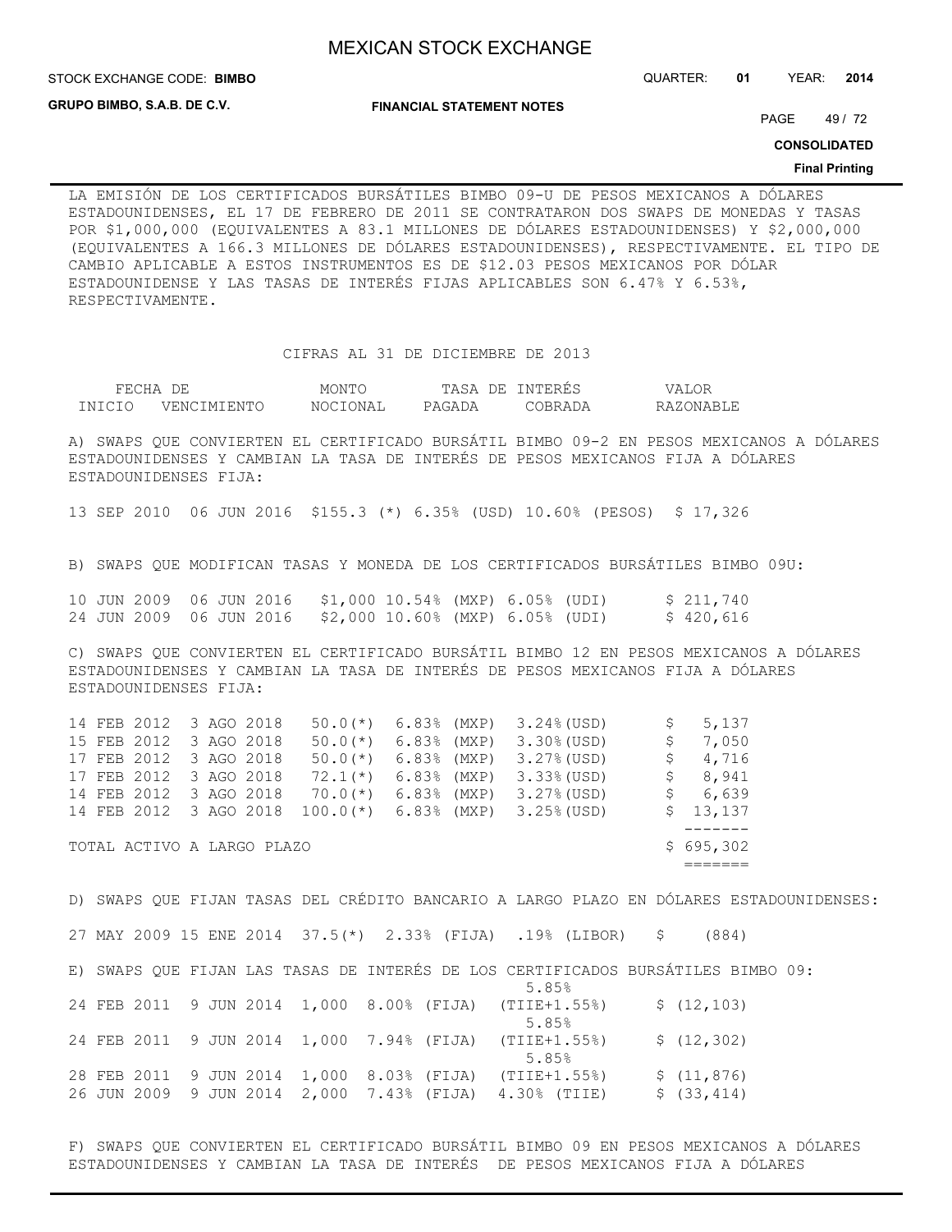STOCK EXCHANGE CODE: QUARTER: **01** YEAR: **2014 BIMBO**

**GRUPO BIMBO, S.A.B. DE C.V.**

**FINANCIAL STATEMENT NOTES**

PAGE 49 / 72

**CONSOLIDATED**

#### **Final Printing**

LA EMISIÓN DE LOS CERTIFICADOS BURSÁTILES BIMBO 09-U DE PESOS MEXICANOS A DÓLARES ESTADOUNIDENSES, EL 17 DE FEBRERO DE 2011 SE CONTRATARON DOS SWAPS DE MONEDAS Y TASAS POR \$1,000,000 (EQUIVALENTES A 83.1 MILLONES DE DÓLARES ESTADOUNIDENSES) Y \$2,000,000 (EQUIVALENTES A 166.3 MILLONES DE DÓLARES ESTADOUNIDENSES), RESPECTIVAMENTE. EL TIPO DE CAMBIO APLICABLE A ESTOS INSTRUMENTOS ES DE \$12.03 PESOS MEXICANOS POR DÓLAR ESTADOUNIDENSE Y LAS TASAS DE INTERÉS FIJAS APLICABLES SON 6.47% Y 6.53%, RESPECTIVAMENTE.

CIFRAS AL 31 DE DICIEMBRE DE 2013

| FECHA  | DF.         | MONTC          | TASA<br>DЕ. | INTERES | VALOR     |  |  |
|--------|-------------|----------------|-------------|---------|-----------|--|--|
| TNICIO | VENCIMIENTC | 'IONAL<br>NOCI | PAGADA      | 'ORRADA | RAZONABLE |  |  |

A) SWAPS QUE CONVIERTEN EL CERTIFICADO BURSÁTIL BIMBO 09-2 EN PESOS MEXICANOS A DÓLARES ESTADOUNIDENSES Y CAMBIAN LA TASA DE INTERÉS DE PESOS MEXICANOS FIJA A DÓLARES ESTADOUNIDENSES FIJA:

13 SEP 2010 06 JUN 2016 \$155.3 (\*) 6.35% (USD) 10.60% (PESOS) \$ 17,326

B) SWAPS QUE MODIFICAN TASAS Y MONEDA DE LOS CERTIFICADOS BURSÁTILES BIMBO 09U:

|  |  |  | 10 JUN 2009 06 JUN 2016 \$1,000 10.54% (MXP) 6.05% (UDI) |  |  | \$211,740 |
|--|--|--|----------------------------------------------------------|--|--|-----------|
|  |  |  | 24 JUN 2009 06 JUN 2016 \$2,000 10.60% (MXP) 6.05% (UDI) |  |  | \$420,616 |

C) SWAPS QUE CONVIERTEN EL CERTIFICADO BURSÁTIL BIMBO 12 EN PESOS MEXICANOS A DÓLARES ESTADOUNIDENSES Y CAMBIAN LA TASA DE INTERÉS DE PESOS MEXICANOS FIJA A DÓLARES ESTADOUNIDENSES FIJA:

|  | TOTAL ACTIVO A LARGO PLAZO |  |                         |               |                                      |    | \$695,302 |
|--|----------------------------|--|-------------------------|---------------|--------------------------------------|----|-----------|
|  |                            |  |                         |               |                                      |    |           |
|  | 14 FEB 2012 3 AGO 2018     |  | $100.0$ (*) 6.83% (MXP) |               | $3.25%$ (USD)                        |    | \$13,137  |
|  | 14 FEB 2012 3 AGO 2018     |  | $70.0(*)$               | $6.83%$ (MXP) | $3.27%$ (USD)                        |    | \$6,639   |
|  | 17 FEB 2012 3 AGO 2018     |  | $72.1(*)$               | $6.83%$ (MXP) | $3.33$ (USD)                         |    | 8,941     |
|  | 17 FEB 2012 3 AGO 2018     |  | $50.0(*)$               | $6.83%$ (MXP) | $3.27%$ (USD)                        |    | \$4,716   |
|  | 15 FEB 2012 3 AGO 2018     |  | $50.0$ (*) 6.83% (MXP)  |               | $3.30\%$ (USD)                       | S. | 7,050     |
|  | 14 FEB 2012 3 AGO 2018     |  |                         |               | $50.0$ (*) $6.83$ (MXP) $3.24$ (USD) |    | 5,137     |

D) SWAPS QUE FIJAN TASAS DEL CRÉDITO BANCARIO A LARGO PLAZO EN DÓLARES ESTADOUNIDENSES: 27 MAY 2009 15 ENE 2014 37.5(\*) 2.33% (FIJA) .19% (LIBOR) \$ (884) E) SWAPS QUE FIJAN LAS TASAS DE INTERÉS DE LOS CERTIFICADOS BURSÁTILES BIMBO 09:  $5.85%$ 24 FEB 2011 9 JUN 2014 1,000 8.00% (FIJA) (TIIE+1.55%) \$ (12,103)  $5.85%$ 24 FEB 2011 9 JUN 2014 1,000 7.94% (FIJA) (TIIE+1.55%) \$ (12,302)  $5.85%$ 28 FEB 2011 9 JUN 2014 1,000 8.03% (FIJA) (TIIE+1.55%) \$ (11,876) 26 JUN 2009 9 JUN 2014 2,000 7.43% (FIJA) 4.30% (TIIE) \$ (33,414)

F) SWAPS QUE CONVIERTEN EL CERTIFICADO BURSÁTIL BIMBO 09 EN PESOS MEXICANOS A DÓLARES ESTADOUNIDENSES Y CAMBIAN LA TASA DE INTERÉS DE PESOS MEXICANOS FIJA A DÓLARES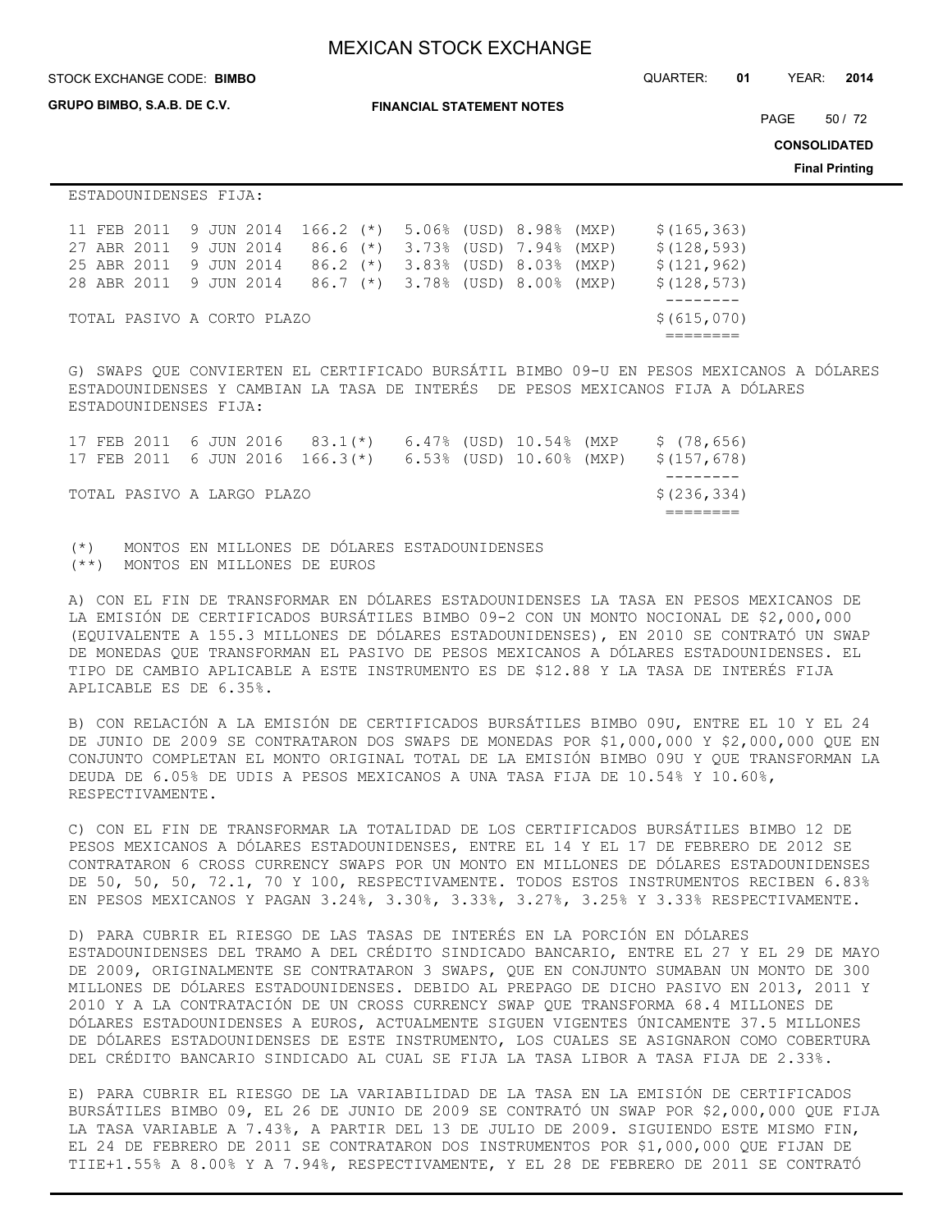STOCK EXCHANGE CODE: QUARTER: **01** YEAR: **2014 BIMBO**

**GRUPO BIMBO, S.A.B. DE C.V.**

**FINANCIAL STATEMENT NOTES**

PAGE 50 / 72

**CONSOLIDATED**

**Final Printing**

ESTADOUNIDENSES FIJA:

|  |                        |  | 11 FEB 2011 9 JUN 2014 166.2 (*) 5.06% (USD) 8.98% (MXP) |  |                                          |  | \$(165, 363) |
|--|------------------------|--|----------------------------------------------------------|--|------------------------------------------|--|--------------|
|  | 27 ABR 2011 9 JUN 2014 |  |                                                          |  | 86.6 (*) 3.73% (USD) 7.94% (MXP)         |  | \$(128, 593) |
|  | 25 ABR 2011 9 JUN 2014 |  |                                                          |  | $86.2$ (*) $3.83\%$ (USD) $8.03\%$ (MXP) |  | \$(121, 962) |
|  |                        |  | 28 ABR 2011 9 JUN 2014 86.7 (*) 3.78% (USD) 8.00% (MXP)  |  |                                          |  | \$(128, 573) |
|  |                        |  |                                                          |  |                                          |  |              |
|  |                        |  | TOTAL PASIVO A CORTO PLAZO                               |  |                                          |  | \$ (615,070) |
|  |                        |  |                                                          |  |                                          |  |              |

G) SWAPS QUE CONVIERTEN EL CERTIFICADO BURSÁTIL BIMBO 09-U EN PESOS MEXICANOS A DÓLARES ESTADOUNIDENSES Y CAMBIAN LA TASA DE INTERÉS DE PESOS MEXICANOS FIJA A DÓLARES ESTADOUNIDENSES FIJA:

|  |                            |  | 17 FEB 2011 6 JUN 2016 83.1(*) 6.47% (USD) 10.54% (MXP               |  |  | \$(78,656)  |  |
|--|----------------------------|--|----------------------------------------------------------------------|--|--|-------------|--|
|  |                            |  | 17 FEB 2011 6 JUN 2016 166.3(*) 6.53% (USD) 10.60% (MXP) \$(157,678) |  |  |             |  |
|  |                            |  |                                                                      |  |  |             |  |
|  | TOTAL PASIVO A LARGO PLAZO |  |                                                                      |  |  | \$(236,334) |  |
|  |                            |  |                                                                      |  |  |             |  |

(\*) MONTOS EN MILLONES DE DÓLARES ESTADOUNIDENSES (\*\*) MONTOS EN MILLONES DE EUROS

A) CON EL FIN DE TRANSFORMAR EN DÓLARES ESTADOUNIDENSES LA TASA EN PESOS MEXICANOS DE LA EMISIÓN DE CERTIFICADOS BURSÁTILES BIMBO 09-2 CON UN MONTO NOCIONAL DE \$2,000,000 (EQUIVALENTE A 155.3 MILLONES DE DÓLARES ESTADOUNIDENSES), EN 2010 SE CONTRATÓ UN SWAP DE MONEDAS QUE TRANSFORMAN EL PASIVO DE PESOS MEXICANOS A DÓLARES ESTADOUNIDENSES. EL TIPO DE CAMBIO APLICABLE A ESTE INSTRUMENTO ES DE \$12.88 Y LA TASA DE INTERÉS FIJA APLICABLE ES DE 6.35%.

B) CON RELACIÓN A LA EMISIÓN DE CERTIFICADOS BURSÁTILES BIMBO 09U, ENTRE EL 10 Y EL 24 DE JUNIO DE 2009 SE CONTRATARON DOS SWAPS DE MONEDAS POR \$1,000,000 Y \$2,000,000 QUE EN CONJUNTO COMPLETAN EL MONTO ORIGINAL TOTAL DE LA EMISIÓN BIMBO 09U Y QUE TRANSFORMAN LA DEUDA DE 6.05% DE UDIS A PESOS MEXICANOS A UNA TASA FIJA DE 10.54% Y 10.60%, RESPECTIVAMENTE.

C) CON EL FIN DE TRANSFORMAR LA TOTALIDAD DE LOS CERTIFICADOS BURSÁTILES BIMBO 12 DE PESOS MEXICANOS A DÓLARES ESTADOUNIDENSES, ENTRE EL 14 Y EL 17 DE FEBRERO DE 2012 SE CONTRATARON 6 CROSS CURRENCY SWAPS POR UN MONTO EN MILLONES DE DÓLARES ESTADOUNIDENSES DE 50, 50, 50, 72.1, 70 Y 100, RESPECTIVAMENTE. TODOS ESTOS INSTRUMENTOS RECIBEN 6.83% EN PESOS MEXICANOS Y PAGAN 3.24%, 3.30%, 3.33%, 3.27%, 3.25% Y 3.33% RESPECTIVAMENTE.

D) PARA CUBRIR EL RIESGO DE LAS TASAS DE INTERÉS EN LA PORCIÓN EN DÓLARES ESTADOUNIDENSES DEL TRAMO A DEL CRÉDITO SINDICADO BANCARIO, ENTRE EL 27 Y EL 29 DE MAYO DE 2009, ORIGINALMENTE SE CONTRATARON 3 SWAPS, QUE EN CONJUNTO SUMABAN UN MONTO DE 300 MILLONES DE DÓLARES ESTADOUNIDENSES. DEBIDO AL PREPAGO DE DICHO PASIVO EN 2013, 2011 Y 2010 Y A LA CONTRATACIÓN DE UN CROSS CURRENCY SWAP QUE TRANSFORMA 68.4 MILLONES DE DÓLARES ESTADOUNIDENSES A EUROS, ACTUALMENTE SIGUEN VIGENTES ÚNICAMENTE 37.5 MILLONES DE DÓLARES ESTADOUNIDENSES DE ESTE INSTRUMENTO, LOS CUALES SE ASIGNARON COMO COBERTURA DEL CRÉDITO BANCARIO SINDICADO AL CUAL SE FIJA LA TASA LIBOR A TASA FIJA DE 2.33%.

E) PARA CUBRIR EL RIESGO DE LA VARIABILIDAD DE LA TASA EN LA EMISIÓN DE CERTIFICADOS BURSÁTILES BIMBO 09, EL 26 DE JUNIO DE 2009 SE CONTRATÓ UN SWAP POR \$2,000,000 QUE FIJA LA TASA VARIABLE A 7.43%, A PARTIR DEL 13 DE JULIO DE 2009. SIGUIENDO ESTE MISMO FIN, EL 24 DE FEBRERO DE 2011 SE CONTRATARON DOS INSTRUMENTOS POR \$1,000,000 QUE FIJAN DE TIIE+1.55% A 8.00% Y A 7.94%, RESPECTIVAMENTE, Y EL 28 DE FEBRERO DE 2011 SE CONTRATÓ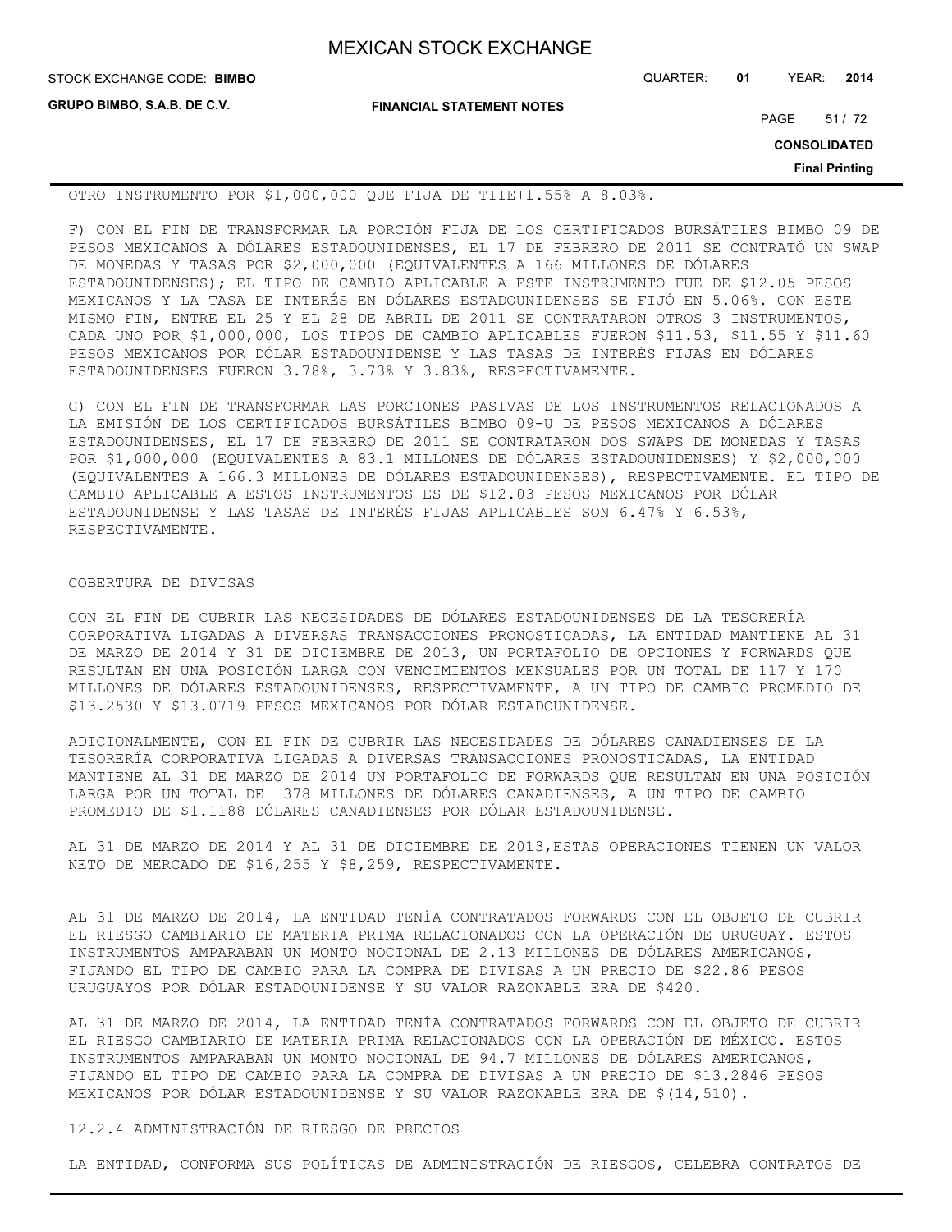**GRUPO BIMBO, S.A.B. DE C.V.**

**FINANCIAL STATEMENT NOTES**

STOCK EXCHANGE CODE: QUARTER: **01** YEAR: **2014 BIMBO**

PAGE 51 / 72

**CONSOLIDATED**

**Final Printing**

OTRO INSTRUMENTO POR \$1,000,000 QUE FIJA DE TIIE+1.55% A 8.03%.

F) CON EL FIN DE TRANSFORMAR LA PORCIÓN FIJA DE LOS CERTIFICADOS BURSÁTILES BIMBO 09 DE PESOS MEXICANOS A DÓLARES ESTADOUNIDENSES, EL 17 DE FEBRERO DE 2011 SE CONTRATÓ UN SWAP DE MONEDAS Y TASAS POR \$2,000,000 (EQUIVALENTES A 166 MILLONES DE DÓLARES ESTADOUNIDENSES); EL TIPO DE CAMBIO APLICABLE A ESTE INSTRUMENTO FUE DE \$12.05 PESOS MEXICANOS Y LA TASA DE INTERÉS EN DÓLARES ESTADOUNIDENSES SE FIJÓ EN 5.06%. CON ESTE MISMO FIN, ENTRE EL 25 Y EL 28 DE ABRIL DE 2011 SE CONTRATARON OTROS 3 INSTRUMENTOS, CADA UNO POR \$1,000,000, LOS TIPOS DE CAMBIO APLICABLES FUERON \$11.53, \$11.55 Y \$11.60 PESOS MEXICANOS POR DÓLAR ESTADOUNIDENSE Y LAS TASAS DE INTERÉS FIJAS EN DÓLARES ESTADOUNIDENSES FUERON 3.78%, 3.73% Y 3.83%, RESPECTIVAMENTE.

G) CON EL FIN DE TRANSFORMAR LAS PORCIONES PASIVAS DE LOS INSTRUMENTOS RELACIONADOS A LA EMISIÓN DE LOS CERTIFICADOS BURSÁTILES BIMBO 09-U DE PESOS MEXICANOS A DÓLARES ESTADOUNIDENSES, EL 17 DE FEBRERO DE 2011 SE CONTRATARON DOS SWAPS DE MONEDAS Y TASAS POR \$1,000,000 (EQUIVALENTES A 83.1 MILLONES DE DÓLARES ESTADOUNIDENSES) Y \$2,000,000 (EQUIVALENTES A 166.3 MILLONES DE DÓLARES ESTADOUNIDENSES), RESPECTIVAMENTE. EL TIPO DE CAMBIO APLICABLE A ESTOS INSTRUMENTOS ES DE \$12.03 PESOS MEXICANOS POR DÓLAR ESTADOUNIDENSE Y LAS TASAS DE INTERÉS FIJAS APLICABLES SON 6.47% Y 6.53%, RESPECTIVAMENTE.

### COBERTURA DE DIVISAS

CON EL FIN DE CUBRIR LAS NECESIDADES DE DÓLARES ESTADOUNIDENSES DE LA TESORERÍA CORPORATIVA LIGADAS A DIVERSAS TRANSACCIONES PRONOSTICADAS, LA ENTIDAD MANTIENE AL 31 DE MARZO DE 2014 Y 31 DE DICIEMBRE DE 2013, UN PORTAFOLIO DE OPCIONES Y FORWARDS QUE RESULTAN EN UNA POSICIÓN LARGA CON VENCIMIENTOS MENSUALES POR UN TOTAL DE 117 Y 170 MILLONES DE DÓLARES ESTADOUNIDENSES, RESPECTIVAMENTE, A UN TIPO DE CAMBIO PROMEDIO DE \$13.2530 Y \$13.0719 PESOS MEXICANOS POR DÓLAR ESTADOUNIDENSE.

ADICIONALMENTE, CON EL FIN DE CUBRIR LAS NECESIDADES DE DÓLARES CANADIENSES DE LA TESORERÍA CORPORATIVA LIGADAS A DIVERSAS TRANSACCIONES PRONOSTICADAS, LA ENTIDAD MANTIENE AL 31 DE MARZO DE 2014 UN PORTAFOLIO DE FORWARDS QUE RESULTAN EN UNA POSICIÓN LARGA POR UN TOTAL DE 378 MILLONES DE DÓLARES CANADIENSES, A UN TIPO DE CAMBIO PROMEDIO DE \$1.1188 DÓLARES CANADIENSES POR DÓLAR ESTADOUNIDENSE.

AL 31 DE MARZO DE 2014 Y AL 31 DE DICIEMBRE DE 2013,ESTAS OPERACIONES TIENEN UN VALOR NETO DE MERCADO DE \$16,255 Y \$8,259, RESPECTIVAMENTE.

AL 31 DE MARZO DE 2014, LA ENTIDAD TENÍA CONTRATADOS FORWARDS CON EL OBJETO DE CUBRIR EL RIESGO CAMBIARIO DE MATERIA PRIMA RELACIONADOS CON LA OPERACIÓN DE URUGUAY. ESTOS INSTRUMENTOS AMPARABAN UN MONTO NOCIONAL DE 2.13 MILLONES DE DÓLARES AMERICANOS, FIJANDO EL TIPO DE CAMBIO PARA LA COMPRA DE DIVISAS A UN PRECIO DE \$22.86 PESOS URUGUAYOS POR DÓLAR ESTADOUNIDENSE Y SU VALOR RAZONABLE ERA DE \$420.

AL 31 DE MARZO DE 2014, LA ENTIDAD TENÍA CONTRATADOS FORWARDS CON EL OBJETO DE CUBRIR EL RIESGO CAMBIARIO DE MATERIA PRIMA RELACIONADOS CON LA OPERACIÓN DE MÉXICO. ESTOS INSTRUMENTOS AMPARABAN UN MONTO NOCIONAL DE 94.7 MILLONES DE DÓLARES AMERICANOS, FIJANDO EL TIPO DE CAMBIO PARA LA COMPRA DE DIVISAS A UN PRECIO DE \$13.2846 PESOS MEXICANOS POR DÓLAR ESTADOUNIDENSE Y SU VALOR RAZONABLE ERA DE \$(14,510).

## 12.2.4 ADMINISTRACIÓN DE RIESGO DE PRECIOS

LA ENTIDAD, CONFORMA SUS POLÍTICAS DE ADMINISTRACIÓN DE RIESGOS, CELEBRA CONTRATOS DE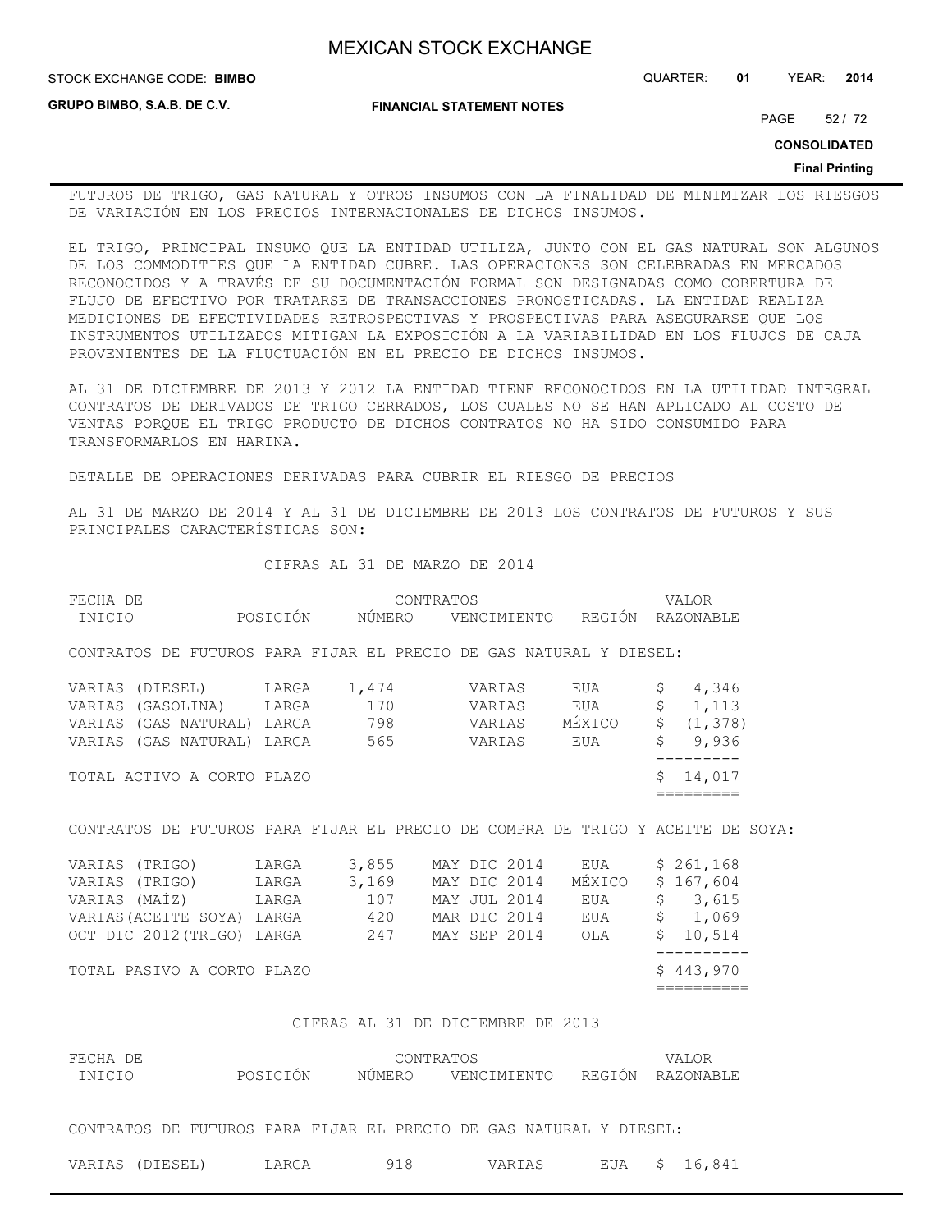**STOCK EXCHANGE CODE: BIMBO** 

**GRUPO BIMBO, S.A.B. DE C.V.**

STOCK EXCHANGE CODE: QUARTER: **01** YEAR: **2014**

**FINANCIAL STATEMENT NOTES**

PAGE 52 / 72

**CONSOLIDATED**

#### **Final Printing**

FUTUROS DE TRIGO, GAS NATURAL Y OTROS INSUMOS CON LA FINALIDAD DE MINIMIZAR LOS RIESGOS DE VARIACIÓN EN LOS PRECIOS INTERNACIONALES DE DICHOS INSUMOS.

EL TRIGO, PRINCIPAL INSUMO QUE LA ENTIDAD UTILIZA, JUNTO CON EL GAS NATURAL SON ALGUNOS DE LOS COMMODITIES QUE LA ENTIDAD CUBRE. LAS OPERACIONES SON CELEBRADAS EN MERCADOS RECONOCIDOS Y A TRAVÉS DE SU DOCUMENTACIÓN FORMAL SON DESIGNADAS COMO COBERTURA DE FLUJO DE EFECTIVO POR TRATARSE DE TRANSACCIONES PRONOSTICADAS. LA ENTIDAD REALIZA MEDICIONES DE EFECTIVIDADES RETROSPECTIVAS Y PROSPECTIVAS PARA ASEGURARSE QUE LOS INSTRUMENTOS UTILIZADOS MITIGAN LA EXPOSICIÓN A LA VARIABILIDAD EN LOS FLUJOS DE CAJA PROVENIENTES DE LA FLUCTUACIÓN EN EL PRECIO DE DICHOS INSUMOS.

AL 31 DE DICIEMBRE DE 2013 Y 2012 LA ENTIDAD TIENE RECONOCIDOS EN LA UTILIDAD INTEGRAL CONTRATOS DE DERIVADOS DE TRIGO CERRADOS, LOS CUALES NO SE HAN APLICADO AL COSTO DE VENTAS PORQUE EL TRIGO PRODUCTO DE DICHOS CONTRATOS NO HA SIDO CONSUMIDO PARA TRANSFORMARLOS EN HARINA.

DETALLE DE OPERACIONES DERIVADAS PARA CUBRIR EL RIESGO DE PRECIOS

AL 31 DE MARZO DE 2014 Y AL 31 DE DICIEMBRE DE 2013 LOS CONTRATOS DE FUTUROS Y SUS PRINCIPALES CARACTERÍSTICAS SON:

CIFRAS AL 31 DE MARZO DE 2014

| FECHA DE      |                            |          |        | CONTRATOS                                                          |        | VALOR                                                                          |
|---------------|----------------------------|----------|--------|--------------------------------------------------------------------|--------|--------------------------------------------------------------------------------|
| INICIO        |                            | POSICIÓN | NÚMERO | VENCIMIENTO                                                        | REGIÓN | RAZONABLE                                                                      |
|               |                            |          |        | CONTRATOS DE FUTUROS PARA FIJAR EL PRECIO DE GAS NATURAL Y DIESEL: |        |                                                                                |
|               | VARIAS (DIESEL)            | LARGA    | 1,474  | VARIAS                                                             | EUA    | 4,346                                                                          |
|               | VARIAS (GASOLINA) LARGA    |          | 170    | VARIAS                                                             | EUA    | \$<br>1,113                                                                    |
|               | VARIAS (GAS NATURAL) LARGA |          | 798    | VARIAS                                                             | MÉXICO | $\mathsf{S}$<br>(1, 378)                                                       |
|               | VARIAS (GAS NATURAL) LARGA |          | 565    | VARIAS                                                             | EUA    | \$<br>9,936                                                                    |
|               |                            |          |        |                                                                    |        |                                                                                |
|               | TOTAL ACTIVO A CORTO PLAZO |          |        |                                                                    |        | \$<br>14,017                                                                   |
|               |                            |          |        |                                                                    |        |                                                                                |
|               |                            |          |        |                                                                    |        | CONTRATOS DE FUTUROS PARA FIJAR EL PRECIO DE COMPRA DE TRIGO Y ACEITE DE SOYA: |
| VARIAS        | (TRIGO)                    | LARGA    | 3,855  | MAY DIC 2014                                                       | EUA    | \$261,168                                                                      |
| VARIAS        | (TRIGO)                    | LARGA    | 3,169  | MAY DIC 2014                                                       | MÉXICO | \$167,604                                                                      |
| VARIAS (MAÍZ) |                            | LARGA    | 107    | MAY JUL 2014                                                       | EUA    | \$<br>3,615                                                                    |

TOTAL PASIVO A CORTO PLAZO

==========

### CIFRAS AL 31 DE DICIEMBRE DE 2013

| FECHA DE<br>INICIO | POSICIÓN | CONTRATOS<br>NÚMERO | VENCIMIENTO                                                        | REGIÓN | VALOR<br>RAZONABLE |
|--------------------|----------|---------------------|--------------------------------------------------------------------|--------|--------------------|
|                    |          |                     | CONTRATOS DE FUTUROS PARA FIJAR EL PRECIO DE GAS NATURAL Y DIESEL: |        |                    |
| VARIAS (DIESEL)    | LARGA    | 918                 | VARIAS                                                             | EUA    | \$16,841           |

VARIAS(ACEITE SOYA) LARGA 420 MAR DIC 2014 EUA \$ 1,069 OCT DIC 2012(TRIGO) LARGA 247 MAY SEP 2014 OLA \$ 10,514 ----------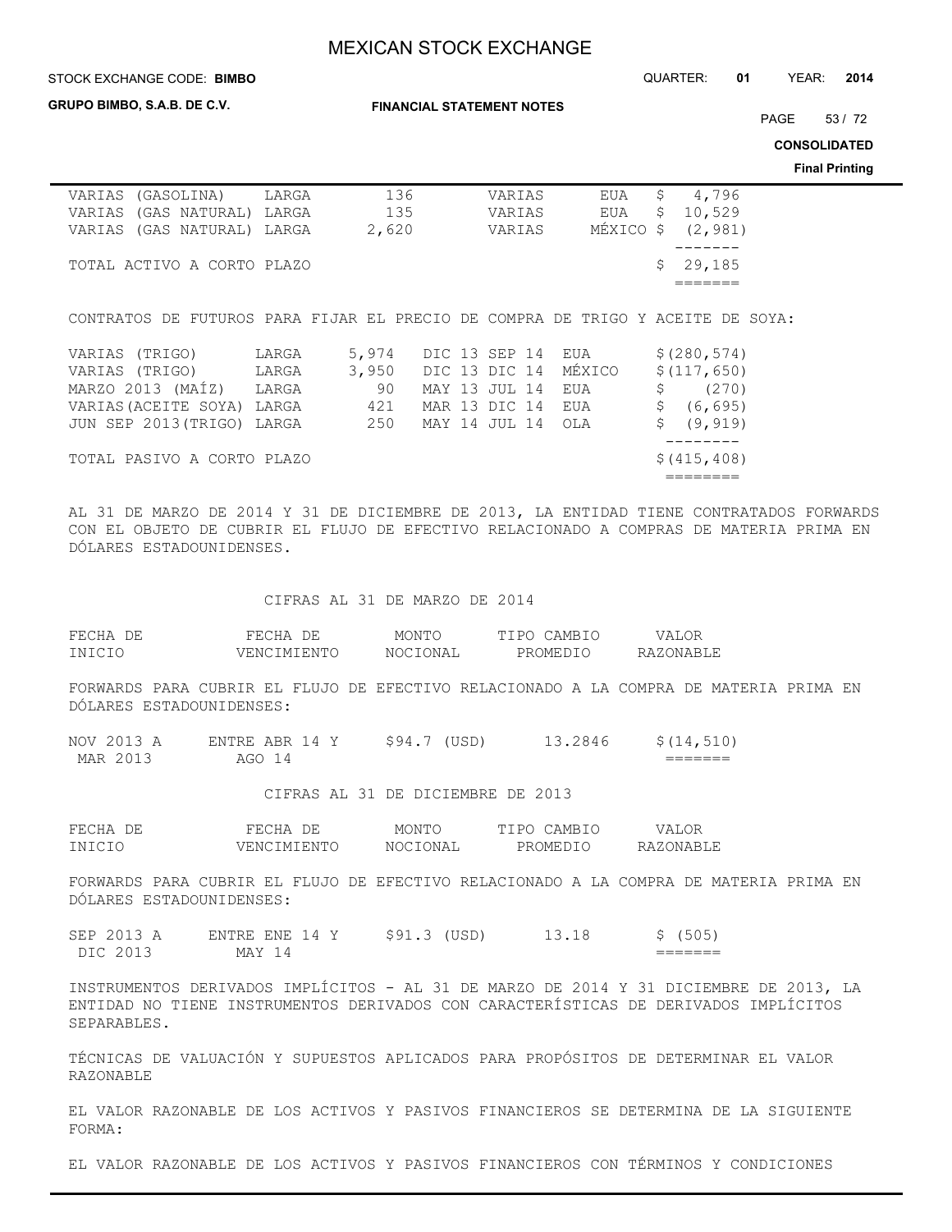STOCK EXCHANGE CODE: QUARTER: **01** YEAR: **2014 BIMBO**

**GRUPO BIMBO, S.A.B. DE C.V.**

**FINANCIAL STATEMENT NOTES**

PAGE 53 / 72

**CONSOLIDATED**

**Final Printing**

| VARIAS (GASOLINA)                                                              | LARGA | 136   | VARIAS | EUA       | 4,796<br>\$.  |
|--------------------------------------------------------------------------------|-------|-------|--------|-----------|---------------|
| VARIAS (GAS NATURAL) LARGA                                                     |       | 135   | VARIAS | EUA       | 10,529<br>\$. |
| VARIAS (GAS NATURAL) LARGA                                                     |       | 2,620 | VARIAS | MEXICO \$ | (2, 981)      |
|                                                                                |       |       |        |           |               |
| TOTAL ACTIVO A CORTO PLAZO                                                     |       |       |        |           | \$29,185      |
|                                                                                |       |       |        |           |               |
|                                                                                |       |       |        |           |               |
| CONTRATOS DE FUTUROS PARA FIJAR EL PRECIO DE COMPRA DE TRIGO Y ACEITE DE SOYA: |       |       |        |           |               |
|                                                                                |       |       |        |           |               |

| VARIAS (TRIGO)             | LARGA | 5,974                      | DIC 13 SEP 14 EUA |  |  | \$(280, 574)  |
|----------------------------|-------|----------------------------|-------------------|--|--|---------------|
| VARIAS (TRIGO)             | LARGA | 3,950 DIC 13 DIC 14 MÉXICO |                   |  |  | \$(117, 650)  |
| MARZO 2013 (MAÍZ) LARGA    |       | 90                         | MAY 13 JUL 14 EUA |  |  | $\sin(270)$   |
| VARIAS (ACEITE SOYA) LARGA |       | 421                        | MAR 13 DIC 14 EUA |  |  | \$ (6, 695)   |
| JUN SEP 2013 (TRIGO) LARGA |       | 250 MAY 14 JUL 14 OLA      |                   |  |  | \$ (9, 919)   |
|                            |       |                            |                   |  |  |               |
| TOTAL PASIVO A CORTO PLAZO |       |                            |                   |  |  | \$ (415, 408) |
|                            |       |                            |                   |  |  |               |

AL 31 DE MARZO DE 2014 Y 31 DE DICIEMBRE DE 2013, LA ENTIDAD TIENE CONTRATADOS FORWARDS CON EL OBJETO DE CUBRIR EL FLUJO DE EFECTIVO RELACIONADO A COMPRAS DE MATERIA PRIMA EN DÓLARES ESTADOUNIDENSES.

CIFRAS AL 31 DE MARZO DE 2014

| FECHA DE | FECHA<br>DE. | MONTC    | CAMBIC<br>TT PO | VALOR     |
|----------|--------------|----------|-----------------|-----------|
| INICIO   | VENCIMIENTO  | NOCIONAL | PROMEDIO        | RAZONABLE |

FORWARDS PARA CUBRIR EL FLUJO DE EFECTIVO RELACIONADO A LA COMPRA DE MATERIA PRIMA EN DÓLARES ESTADOUNIDENSES:

| NOV 2013 A | ENTRE ABR 14 Y | \$94.7 (USD) | 13.2846 | \$(14, 510)        |
|------------|----------------|--------------|---------|--------------------|
| MAR 2013   | AGO 14         |              |         | _______<br>_______ |

CIFRAS AL 31 DE DICIEMBRE DE 2013

| FECHA DE | FECHA<br>DE. | MONTO    | CAMBIO<br>TT PO. | VALOR     |
|----------|--------------|----------|------------------|-----------|
| INICIO   | VENCIMIENTO  | NOCIONAL | PROMEDIO         | RAZONABLE |

FORWARDS PARA CUBRIR EL FLUJO DE EFECTIVO RELACIONADO A LA COMPRA DE MATERIA PRIMA EN DÓLARES ESTADOUNIDENSES:

| SEP 2013 A | ENTRE ENE 14 | \$91.3 (USD) | 13.18 | \$ (505)           |
|------------|--------------|--------------|-------|--------------------|
| DIC 2013   | MAY 14       |              |       | _______<br>_______ |

INSTRUMENTOS DERIVADOS IMPLÍCITOS - AL 31 DE MARZO DE 2014 Y 31 DICIEMBRE DE 2013, LA ENTIDAD NO TIENE INSTRUMENTOS DERIVADOS CON CARACTERÍSTICAS DE DERIVADOS IMPLÍCITOS SEPARABLES.

TÉCNICAS DE VALUACIÓN Y SUPUESTOS APLICADOS PARA PROPÓSITOS DE DETERMINAR EL VALOR RAZONABLE

EL VALOR RAZONABLE DE LOS ACTIVOS Y PASIVOS FINANCIEROS SE DETERMINA DE LA SIGUIENTE FORMA:

EL VALOR RAZONABLE DE LOS ACTIVOS Y PASIVOS FINANCIEROS CON TÉRMINOS Y CONDICIONES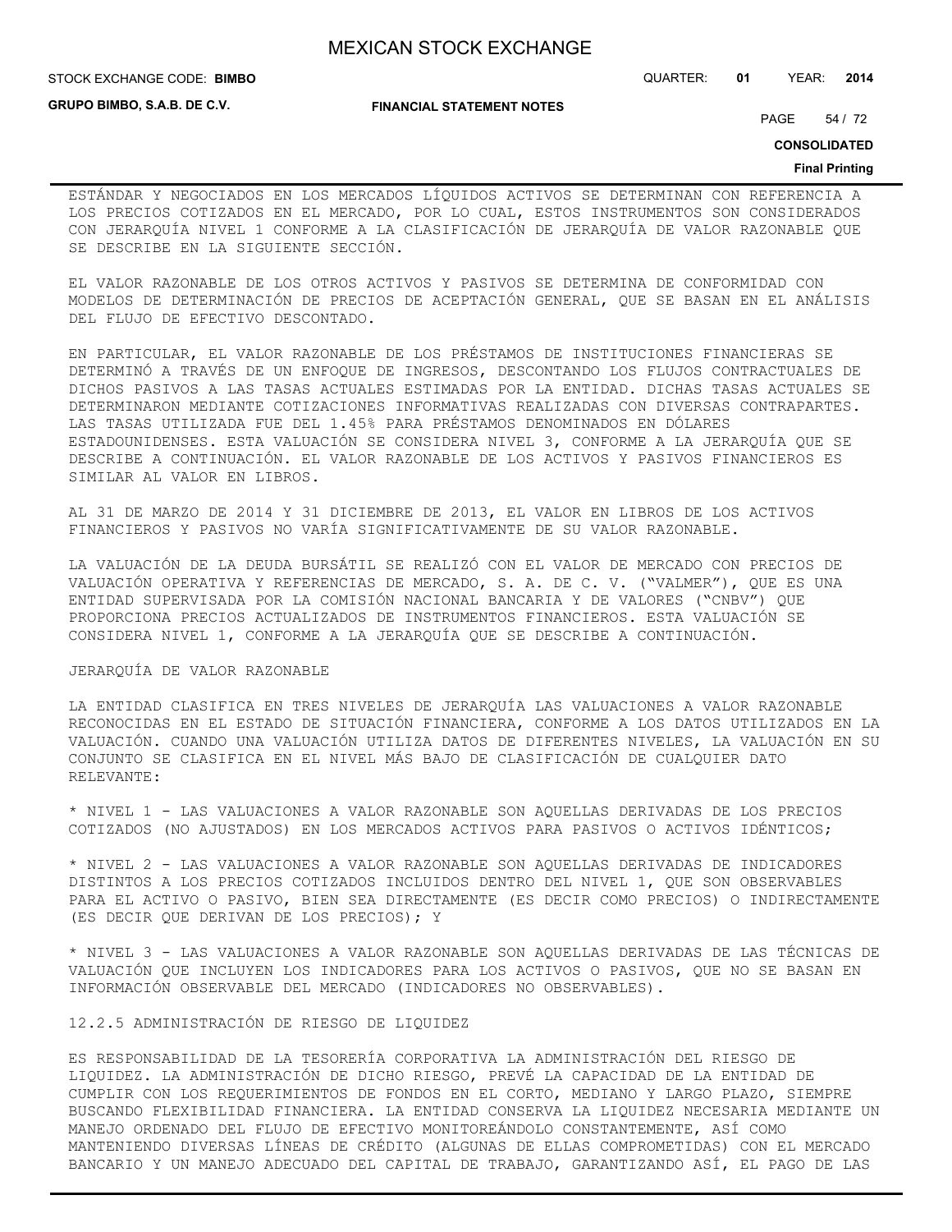STOCK EXCHANGE CODE: QUARTER: **01** YEAR: **2014 BIMBO**

**GRUPO BIMBO, S.A.B. DE C.V.**

#### **FINANCIAL STATEMENT NOTES**

PAGE 54 / 72

**CONSOLIDATED**

#### **Final Printing**

ESTÁNDAR Y NEGOCIADOS EN LOS MERCADOS LÍQUIDOS ACTIVOS SE DETERMINAN CON REFERENCIA A LOS PRECIOS COTIZADOS EN EL MERCADO, POR LO CUAL, ESTOS INSTRUMENTOS SON CONSIDERADOS CON JERARQUÍA NIVEL 1 CONFORME A LA CLASIFICACIÓN DE JERARQUÍA DE VALOR RAZONABLE QUE SE DESCRIBE EN LA SIGUIENTE SECCIÓN.

EL VALOR RAZONABLE DE LOS OTROS ACTIVOS Y PASIVOS SE DETERMINA DE CONFORMIDAD CON MODELOS DE DETERMINACIÓN DE PRECIOS DE ACEPTACIÓN GENERAL, QUE SE BASAN EN EL ANÁLISIS DEL FLUJO DE EFECTIVO DESCONTADO.

EN PARTICULAR, EL VALOR RAZONABLE DE LOS PRÉSTAMOS DE INSTITUCIONES FINANCIERAS SE DETERMINÓ A TRAVÉS DE UN ENFOQUE DE INGRESOS, DESCONTANDO LOS FLUJOS CONTRACTUALES DE DICHOS PASIVOS A LAS TASAS ACTUALES ESTIMADAS POR LA ENTIDAD. DICHAS TASAS ACTUALES SE DETERMINARON MEDIANTE COTIZACIONES INFORMATIVAS REALIZADAS CON DIVERSAS CONTRAPARTES. LAS TASAS UTILIZADA FUE DEL 1.45% PARA PRÉSTAMOS DENOMINADOS EN DÓLARES ESTADOUNIDENSES. ESTA VALUACIÓN SE CONSIDERA NIVEL 3, CONFORME A LA JERARQUÍA QUE SE DESCRIBE A CONTINUACIÓN. EL VALOR RAZONABLE DE LOS ACTIVOS Y PASIVOS FINANCIEROS ES SIMILAR AL VALOR EN LIBROS.

AL 31 DE MARZO DE 2014 Y 31 DICIEMBRE DE 2013, EL VALOR EN LIBROS DE LOS ACTIVOS FINANCIEROS Y PASIVOS NO VARÍA SIGNIFICATIVAMENTE DE SU VALOR RAZONABLE.

LA VALUACIÓN DE LA DEUDA BURSÁTIL SE REALIZÓ CON EL VALOR DE MERCADO CON PRECIOS DE VALUACIÓN OPERATIVA Y REFERENCIAS DE MERCADO, S. A. DE C. V. ("VALMER"), QUE ES UNA ENTIDAD SUPERVISADA POR LA COMISIÓN NACIONAL BANCARIA Y DE VALORES ("CNBV") QUE PROPORCIONA PRECIOS ACTUALIZADOS DE INSTRUMENTOS FINANCIEROS. ESTA VALUACIÓN SE CONSIDERA NIVEL 1, CONFORME A LA JERARQUÍA QUE SE DESCRIBE A CONTINUACIÓN.

## JERARQUÍA DE VALOR RAZONABLE

LA ENTIDAD CLASIFICA EN TRES NIVELES DE JERARQUÍA LAS VALUACIONES A VALOR RAZONABLE RECONOCIDAS EN EL ESTADO DE SITUACIÓN FINANCIERA, CONFORME A LOS DATOS UTILIZADOS EN LA VALUACIÓN. CUANDO UNA VALUACIÓN UTILIZA DATOS DE DIFERENTES NIVELES, LA VALUACIÓN EN SU CONJUNTO SE CLASIFICA EN EL NIVEL MÁS BAJO DE CLASIFICACIÓN DE CUALQUIER DATO RELEVANTE:

\* NIVEL 1 - LAS VALUACIONES A VALOR RAZONABLE SON AQUELLAS DERIVADAS DE LOS PRECIOS COTIZADOS (NO AJUSTADOS) EN LOS MERCADOS ACTIVOS PARA PASIVOS O ACTIVOS IDÉNTICOS;

\* NIVEL 2 - LAS VALUACIONES A VALOR RAZONABLE SON AQUELLAS DERIVADAS DE INDICADORES DISTINTOS A LOS PRECIOS COTIZADOS INCLUIDOS DENTRO DEL NIVEL 1, QUE SON OBSERVABLES PARA EL ACTIVO O PASIVO, BIEN SEA DIRECTAMENTE (ES DECIR COMO PRECIOS) O INDIRECTAMENTE (ES DECIR QUE DERIVAN DE LOS PRECIOS); Y

\* NIVEL 3 - LAS VALUACIONES A VALOR RAZONABLE SON AQUELLAS DERIVADAS DE LAS TÉCNICAS DE VALUACIÓN QUE INCLUYEN LOS INDICADORES PARA LOS ACTIVOS O PASIVOS, QUE NO SE BASAN EN INFORMACIÓN OBSERVABLE DEL MERCADO (INDICADORES NO OBSERVABLES).

12.2.5 ADMINISTRACIÓN DE RIESGO DE LIQUIDEZ

ES RESPONSABILIDAD DE LA TESORERÍA CORPORATIVA LA ADMINISTRACIÓN DEL RIESGO DE LIQUIDEZ. LA ADMINISTRACIÓN DE DICHO RIESGO, PREVÉ LA CAPACIDAD DE LA ENTIDAD DE CUMPLIR CON LOS REQUERIMIENTOS DE FONDOS EN EL CORTO, MEDIANO Y LARGO PLAZO, SIEMPRE BUSCANDO FLEXIBILIDAD FINANCIERA. LA ENTIDAD CONSERVA LA LIQUIDEZ NECESARIA MEDIANTE UN MANEJO ORDENADO DEL FLUJO DE EFECTIVO MONITOREÁNDOLO CONSTANTEMENTE, ASÍ COMO MANTENIENDO DIVERSAS LÍNEAS DE CRÉDITO (ALGUNAS DE ELLAS COMPROMETIDAS) CON EL MERCADO BANCARIO Y UN MANEJO ADECUADO DEL CAPITAL DE TRABAJO, GARANTIZANDO ASÍ, EL PAGO DE LAS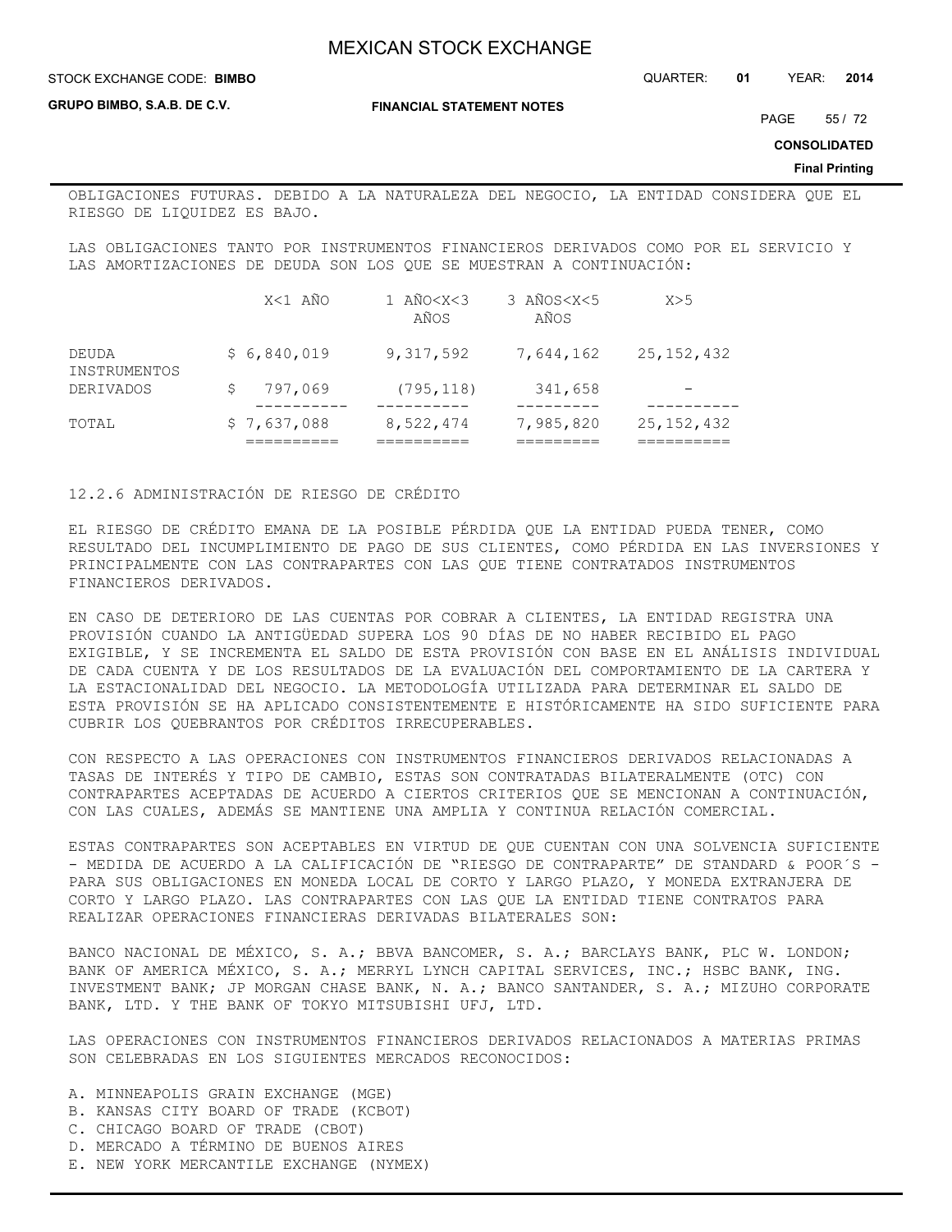STOCK EXCHANGE CODE: QUARTER: **01** YEAR: **2014 BIMBO**

**GRUPO BIMBO, S.A.B. DE C.V.**

**FINANCIAL STATEMENT NOTES**

PAGE 55 / 72

**CONSOLIDATED**

**Final Printing**

OBLIGACIONES FUTURAS. DEBIDO A LA NATURALEZA DEL NEGOCIO, LA ENTIDAD CONSIDERA QUE EL RIESGO DE LIQUIDEZ ES BAJO.

LAS OBLIGACIONES TANTO POR INSTRUMENTOS FINANCIEROS DERIVADOS COMO POR EL SERVICIO Y LAS AMORTIZACIONES DE DEUDA SON LOS QUE SE MUESTRAN A CONTINUACIÓN:

|                       |             | X<1 AÑO | 1 AÑO <x<3<br>AÑOS</x<3<br> | 3 AÑOS <x<5<br>AÑOS</x<5<br> |           | X>5          |  |
|-----------------------|-------------|---------|-----------------------------|------------------------------|-----------|--------------|--|
| DEUDA<br>INSTRUMENTOS | \$6,840,019 |         | 9,317,592                   |                              | 7,644,162 | 25, 152, 432 |  |
| <b>DERIVADOS</b>      |             | 797,069 | (795, 118)                  |                              | 341,658   |              |  |
| TOTAL                 | \$7,637,088 |         | 8,522,474                   |                              | 7,985,820 | 25, 152, 432 |  |

12.2.6 ADMINISTRACIÓN DE RIESGO DE CRÉDITO

EL RIESGO DE CRÉDITO EMANA DE LA POSIBLE PÉRDIDA QUE LA ENTIDAD PUEDA TENER, COMO RESULTADO DEL INCUMPLIMIENTO DE PAGO DE SUS CLIENTES, COMO PÉRDIDA EN LAS INVERSIONES Y PRINCIPALMENTE CON LAS CONTRAPARTES CON LAS QUE TIENE CONTRATADOS INSTRUMENTOS FINANCIEROS DERIVADOS.

EN CASO DE DETERIORO DE LAS CUENTAS POR COBRAR A CLIENTES, LA ENTIDAD REGISTRA UNA PROVISIÓN CUANDO LA ANTIGÜEDAD SUPERA LOS 90 DÍAS DE NO HABER RECIBIDO EL PAGO EXIGIBLE, Y SE INCREMENTA EL SALDO DE ESTA PROVISIÓN CON BASE EN EL ANÁLISIS INDIVIDUAL DE CADA CUENTA Y DE LOS RESULTADOS DE LA EVALUACIÓN DEL COMPORTAMIENTO DE LA CARTERA Y LA ESTACIONALIDAD DEL NEGOCIO. LA METODOLOGÍA UTILIZADA PARA DETERMINAR EL SALDO DE ESTA PROVISIÓN SE HA APLICADO CONSISTENTEMENTE E HISTÓRICAMENTE HA SIDO SUFICIENTE PARA CUBRIR LOS QUEBRANTOS POR CRÉDITOS IRRECUPERABLES.

CON RESPECTO A LAS OPERACIONES CON INSTRUMENTOS FINANCIEROS DERIVADOS RELACIONADAS A TASAS DE INTERÉS Y TIPO DE CAMBIO, ESTAS SON CONTRATADAS BILATERALMENTE (OTC) CON CONTRAPARTES ACEPTADAS DE ACUERDO A CIERTOS CRITERIOS QUE SE MENCIONAN A CONTINUACIÓN, CON LAS CUALES, ADEMÁS SE MANTIENE UNA AMPLIA Y CONTINUA RELACIÓN COMERCIAL.

ESTAS CONTRAPARTES SON ACEPTABLES EN VIRTUD DE QUE CUENTAN CON UNA SOLVENCIA SUFICIENTE - MEDIDA DE ACUERDO A LA CALIFICACIÓN DE "RIESGO DE CONTRAPARTE" DE STANDARD & POOR´S -PARA SUS OBLIGACIONES EN MONEDA LOCAL DE CORTO Y LARGO PLAZO, Y MONEDA EXTRANJERA DE CORTO Y LARGO PLAZO. LAS CONTRAPARTES CON LAS QUE LA ENTIDAD TIENE CONTRATOS PARA REALIZAR OPERACIONES FINANCIERAS DERIVADAS BILATERALES SON:

BANCO NACIONAL DE MÉXICO, S. A.; BBVA BANCOMER, S. A.; BARCLAYS BANK, PLC W. LONDON; BANK OF AMERICA MÉXICO, S. A.; MERRYL LYNCH CAPITAL SERVICES, INC.; HSBC BANK, ING. INVESTMENT BANK; JP MORGAN CHASE BANK, N. A.; BANCO SANTANDER, S. A.; MIZUHO CORPORATE BANK, LTD. Y THE BANK OF TOKYO MITSUBISHI UFJ, LTD.

LAS OPERACIONES CON INSTRUMENTOS FINANCIEROS DERIVADOS RELACIONADOS A MATERIAS PRIMAS SON CELEBRADAS EN LOS SIGUIENTES MERCADOS RECONOCIDOS:

- A. MINNEAPOLIS GRAIN EXCHANGE (MGE)
- B. KANSAS CITY BOARD OF TRADE (KCBOT)
- C. CHICAGO BOARD OF TRADE (CBOT)
- D. MERCADO A TÉRMINO DE BUENOS AIRES
- E. NEW YORK MERCANTILE EXCHANGE (NYMEX)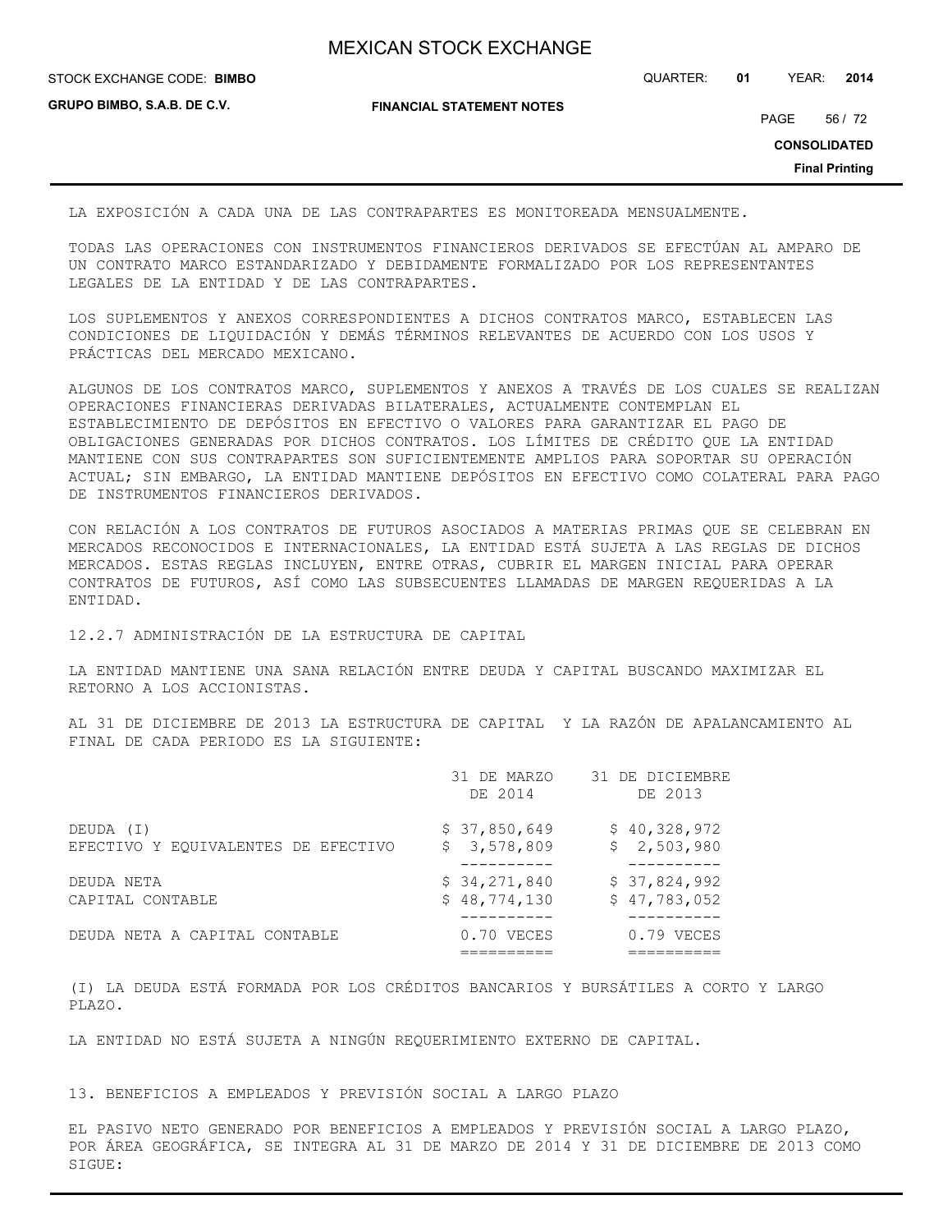STOCK EXCHANGE CODE: QUARTER: **01** YEAR: **2014 BIMBO**

**GRUPO BIMBO, S.A.B. DE C.V.**

**FINANCIAL STATEMENT NOTES**

PAGE 56 / 72

**CONSOLIDATED**

**Final Printing**

LA EXPOSICIÓN A CADA UNA DE LAS CONTRAPARTES ES MONITOREADA MENSUALMENTE.

TODAS LAS OPERACIONES CON INSTRUMENTOS FINANCIEROS DERIVADOS SE EFECTÚAN AL AMPARO DE UN CONTRATO MARCO ESTANDARIZADO Y DEBIDAMENTE FORMALIZADO POR LOS REPRESENTANTES LEGALES DE LA ENTIDAD Y DE LAS CONTRAPARTES.

LOS SUPLEMENTOS Y ANEXOS CORRESPONDIENTES A DICHOS CONTRATOS MARCO, ESTABLECEN LAS CONDICIONES DE LIQUIDACIÓN Y DEMÁS TÉRMINOS RELEVANTES DE ACUERDO CON LOS USOS Y PRÁCTICAS DEL MERCADO MEXICANO.

ALGUNOS DE LOS CONTRATOS MARCO, SUPLEMENTOS Y ANEXOS A TRAVÉS DE LOS CUALES SE REALIZAN OPERACIONES FINANCIERAS DERIVADAS BILATERALES, ACTUALMENTE CONTEMPLAN EL ESTABLECIMIENTO DE DEPÓSITOS EN EFECTIVO O VALORES PARA GARANTIZAR EL PAGO DE OBLIGACIONES GENERADAS POR DICHOS CONTRATOS. LOS LÍMITES DE CRÉDITO QUE LA ENTIDAD MANTIENE CON SUS CONTRAPARTES SON SUFICIENTEMENTE AMPLIOS PARA SOPORTAR SU OPERACIÓN ACTUAL; SIN EMBARGO, LA ENTIDAD MANTIENE DEPÓSITOS EN EFECTIVO COMO COLATERAL PARA PAGO DE INSTRUMENTOS FINANCIEROS DERIVADOS.

CON RELACIÓN A LOS CONTRATOS DE FUTUROS ASOCIADOS A MATERIAS PRIMAS QUE SE CELEBRAN EN MERCADOS RECONOCIDOS E INTERNACIONALES, LA ENTIDAD ESTÁ SUJETA A LAS REGLAS DE DICHOS MERCADOS. ESTAS REGLAS INCLUYEN, ENTRE OTRAS, CUBRIR EL MARGEN INICIAL PARA OPERAR CONTRATOS DE FUTUROS, ASÍ COMO LAS SUBSECUENTES LLAMADAS DE MARGEN REQUERIDAS A LA ENTIDAD.

12.2.7 ADMINISTRACIÓN DE LA ESTRUCTURA DE CAPITAL

LA ENTIDAD MANTIENE UNA SANA RELACIÓN ENTRE DEUDA Y CAPITAL BUSCANDO MAXIMIZAR EL RETORNO A LOS ACCIONISTAS.

AL 31 DE DICIEMBRE DE 2013 LA ESTRUCTURA DE CAPITAL Y LA RAZÓN DE APALANCAMIENTO AL FINAL DE CADA PERIODO ES LA SIGUIENTE:

|                                                  | 31 DE MARZO<br>DE 2014       | 31 DE DICIEMBRE<br>DE 2013   |
|--------------------------------------------------|------------------------------|------------------------------|
| DEUDA (I)<br>EFECTIVO Y EQUIVALENTES DE EFECTIVO | \$37,850,649<br>\$3,578,809  | \$40,328,972<br>\$2,503,980  |
|                                                  |                              |                              |
| DEUDA NETA<br>CAPITAL CONTABLE                   | \$34,271,840<br>\$48,774,130 | \$37,824,992<br>\$47,783,052 |
| DEUDA NETA A CAPITAL CONTABLE                    | 0.70 VECES                   | $0.79$ VECES                 |

(I) LA DEUDA ESTÁ FORMADA POR LOS CRÉDITOS BANCARIOS Y BURSÁTILES A CORTO Y LARGO PLAZO.

LA ENTIDAD NO ESTÁ SUJETA A NINGÚN REQUERIMIENTO EXTERNO DE CAPITAL.

13. BENEFICIOS A EMPLEADOS Y PREVISIÓN SOCIAL A LARGO PLAZO

EL PASIVO NETO GENERADO POR BENEFICIOS A EMPLEADOS Y PREVISIÓN SOCIAL A LARGO PLAZO, POR ÁREA GEOGRÁFICA, SE INTEGRA AL 31 DE MARZO DE 2014 Y 31 DE DICIEMBRE DE 2013 COMO SIGUE: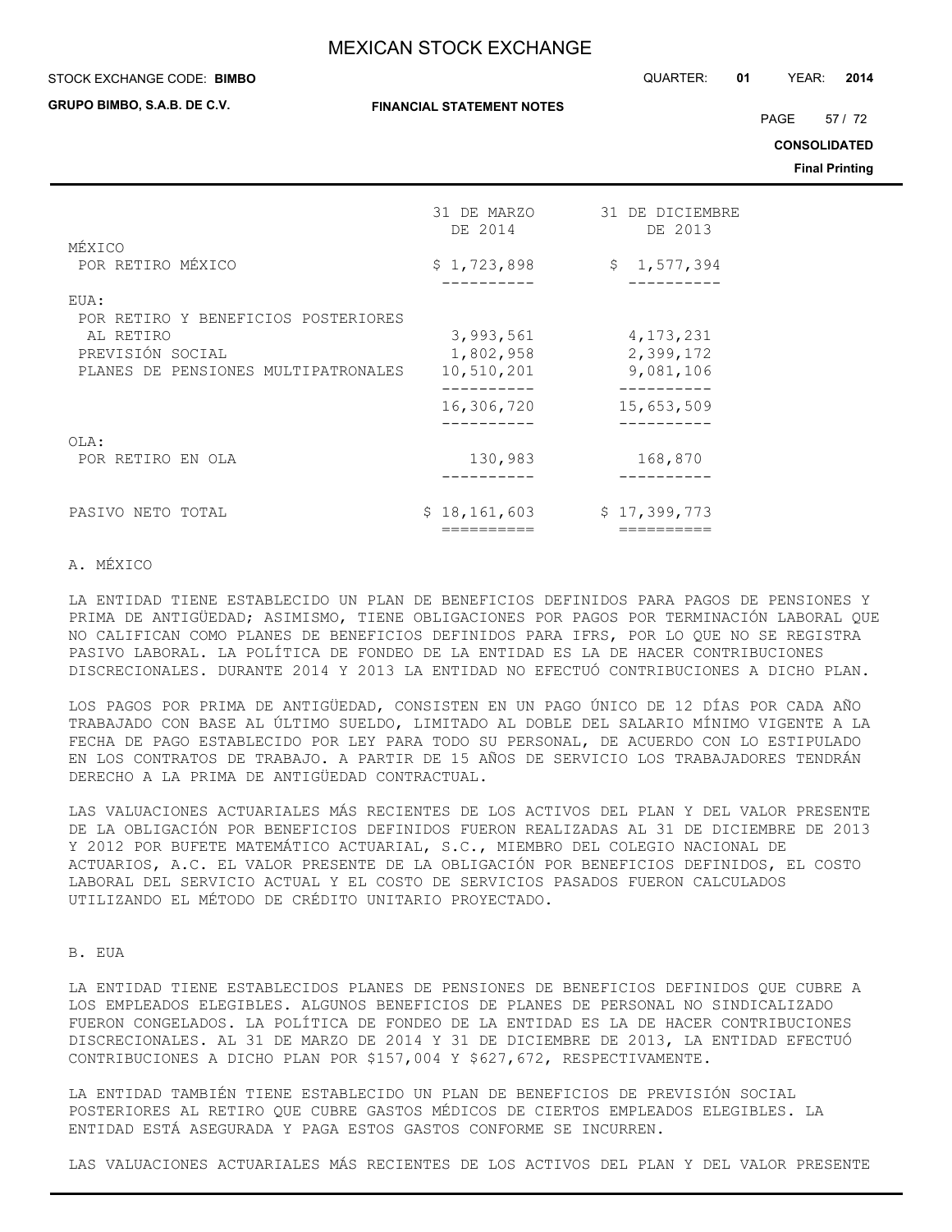**GRUPO BIMBO, S.A.B. DE C.V.**

**FINANCIAL STATEMENT NOTES**

STOCK EXCHANGE CODE: QUARTER: **01** YEAR: **2014 BIMBO**

PAGE 57 / 72

**CONSOLIDATED**

**Final Printing**

|                                                                      | 31 DE MARZO<br>DE 2014               | 31 DE DICIEMBRE<br>DE 2013            |
|----------------------------------------------------------------------|--------------------------------------|---------------------------------------|
| MÉXICO                                                               |                                      |                                       |
| POR RETIRO MÉXICO                                                    | \$1,723,898                          | \$1,577,394                           |
| EUA:                                                                 |                                      |                                       |
| POR RETIRO Y BENEFICIOS POSTERIORES                                  |                                      |                                       |
| AL RETIRO<br>PREVISIÓN SOCIAL<br>PLANES DE PENSIONES MULTIPATRONALES | 3,993,561<br>1,802,958<br>10,510,201 | 4, 173, 231<br>2,399,172<br>9,081,106 |
|                                                                      | 16,306,720                           | 15,653,509                            |
| OLA:                                                                 |                                      |                                       |
| POR RETIRO EN OLA                                                    | 130,983                              | 168,870                               |
|                                                                      |                                      |                                       |
| PASIVO NETO TOTAL                                                    | \$18,161,603                         | \$17,399,773                          |
|                                                                      |                                      |                                       |

## A. MÉXICO

LA ENTIDAD TIENE ESTABLECIDO UN PLAN DE BENEFICIOS DEFINIDOS PARA PAGOS DE PENSIONES Y PRIMA DE ANTIGÜEDAD; ASIMISMO, TIENE OBLIGACIONES POR PAGOS POR TERMINACIÓN LABORAL QUE NO CALIFICAN COMO PLANES DE BENEFICIOS DEFINIDOS PARA IFRS, POR LO QUE NO SE REGISTRA PASIVO LABORAL. LA POLÍTICA DE FONDEO DE LA ENTIDAD ES LA DE HACER CONTRIBUCIONES DISCRECIONALES. DURANTE 2014 Y 2013 LA ENTIDAD NO EFECTUÓ CONTRIBUCIONES A DICHO PLAN.

LOS PAGOS POR PRIMA DE ANTIGÜEDAD, CONSISTEN EN UN PAGO ÚNICO DE 12 DÍAS POR CADA AÑO TRABAJADO CON BASE AL ÚLTIMO SUELDO, LIMITADO AL DOBLE DEL SALARIO MÍNIMO VIGENTE A LA FECHA DE PAGO ESTABLECIDO POR LEY PARA TODO SU PERSONAL, DE ACUERDO CON LO ESTIPULADO EN LOS CONTRATOS DE TRABAJO. A PARTIR DE 15 AÑOS DE SERVICIO LOS TRABAJADORES TENDRÁN DERECHO A LA PRIMA DE ANTIGÜEDAD CONTRACTUAL.

LAS VALUACIONES ACTUARIALES MÁS RECIENTES DE LOS ACTIVOS DEL PLAN Y DEL VALOR PRESENTE DE LA OBLIGACIÓN POR BENEFICIOS DEFINIDOS FUERON REALIZADAS AL 31 DE DICIEMBRE DE 2013 Y 2012 POR BUFETE MATEMÁTICO ACTUARIAL, S.C., MIEMBRO DEL COLEGIO NACIONAL DE ACTUARIOS, A.C. EL VALOR PRESENTE DE LA OBLIGACIÓN POR BENEFICIOS DEFINIDOS, EL COSTO LABORAL DEL SERVICIO ACTUAL Y EL COSTO DE SERVICIOS PASADOS FUERON CALCULADOS UTILIZANDO EL MÉTODO DE CRÉDITO UNITARIO PROYECTADO.

## B. EUA

LA ENTIDAD TIENE ESTABLECIDOS PLANES DE PENSIONES DE BENEFICIOS DEFINIDOS QUE CUBRE A LOS EMPLEADOS ELEGIBLES. ALGUNOS BENEFICIOS DE PLANES DE PERSONAL NO SINDICALIZADO FUERON CONGELADOS. LA POLÍTICA DE FONDEO DE LA ENTIDAD ES LA DE HACER CONTRIBUCIONES DISCRECIONALES. AL 31 DE MARZO DE 2014 Y 31 DE DICIEMBRE DE 2013, LA ENTIDAD EFECTUÓ CONTRIBUCIONES A DICHO PLAN POR \$157,004 Y \$627,672, RESPECTIVAMENTE.

LA ENTIDAD TAMBIÉN TIENE ESTABLECIDO UN PLAN DE BENEFICIOS DE PREVISIÓN SOCIAL POSTERIORES AL RETIRO QUE CUBRE GASTOS MÉDICOS DE CIERTOS EMPLEADOS ELEGIBLES. LA ENTIDAD ESTÁ ASEGURADA Y PAGA ESTOS GASTOS CONFORME SE INCURREN.

LAS VALUACIONES ACTUARIALES MÁS RECIENTES DE LOS ACTIVOS DEL PLAN Y DEL VALOR PRESENTE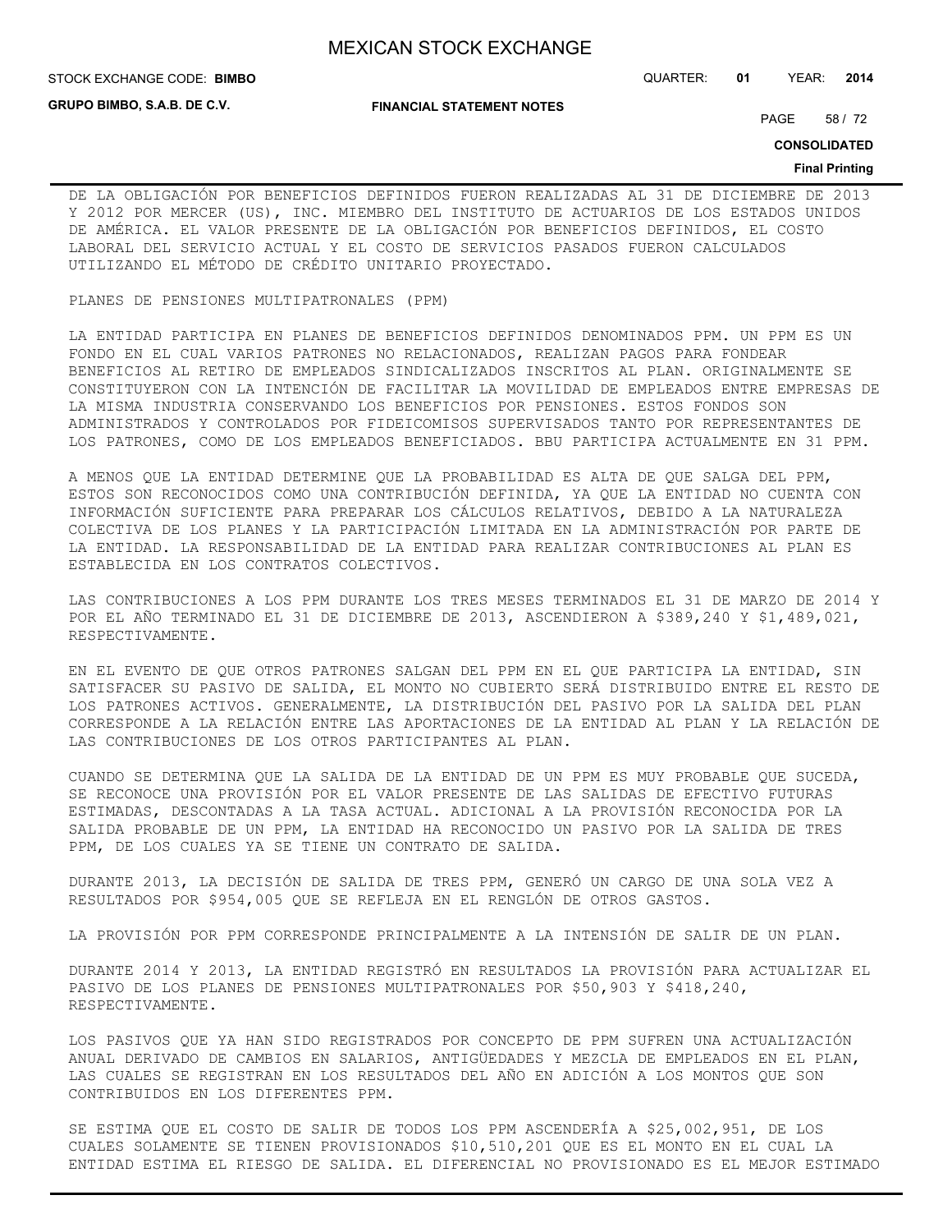**GRUPO BIMBO, S.A.B. DE C.V.**

**FINANCIAL STATEMENT NOTES**

STOCK EXCHANGE CODE: QUARTER: **01** YEAR: **2014 BIMBO**

PAGE 58 / 72

**CONSOLIDATED**

#### **Final Printing**

DE LA OBLIGACIÓN POR BENEFICIOS DEFINIDOS FUERON REALIZADAS AL 31 DE DICIEMBRE DE 2013 Y 2012 POR MERCER (US), INC. MIEMBRO DEL INSTITUTO DE ACTUARIOS DE LOS ESTADOS UNIDOS DE AMÉRICA. EL VALOR PRESENTE DE LA OBLIGACIÓN POR BENEFICIOS DEFINIDOS, EL COSTO LABORAL DEL SERVICIO ACTUAL Y EL COSTO DE SERVICIOS PASADOS FUERON CALCULADOS UTILIZANDO EL MÉTODO DE CRÉDITO UNITARIO PROYECTADO.

## PLANES DE PENSIONES MULTIPATRONALES (PPM)

LA ENTIDAD PARTICIPA EN PLANES DE BENEFICIOS DEFINIDOS DENOMINADOS PPM. UN PPM ES UN FONDO EN EL CUAL VARIOS PATRONES NO RELACIONADOS, REALIZAN PAGOS PARA FONDEAR BENEFICIOS AL RETIRO DE EMPLEADOS SINDICALIZADOS INSCRITOS AL PLAN. ORIGINALMENTE SE CONSTITUYERON CON LA INTENCIÓN DE FACILITAR LA MOVILIDAD DE EMPLEADOS ENTRE EMPRESAS DE LA MISMA INDUSTRIA CONSERVANDO LOS BENEFICIOS POR PENSIONES. ESTOS FONDOS SON ADMINISTRADOS Y CONTROLADOS POR FIDEICOMISOS SUPERVISADOS TANTO POR REPRESENTANTES DE LOS PATRONES, COMO DE LOS EMPLEADOS BENEFICIADOS. BBU PARTICIPA ACTUALMENTE EN 31 PPM.

A MENOS QUE LA ENTIDAD DETERMINE QUE LA PROBABILIDAD ES ALTA DE QUE SALGA DEL PPM, ESTOS SON RECONOCIDOS COMO UNA CONTRIBUCIÓN DEFINIDA, YA QUE LA ENTIDAD NO CUENTA CON INFORMACIÓN SUFICIENTE PARA PREPARAR LOS CÁLCULOS RELATIVOS, DEBIDO A LA NATURALEZA COLECTIVA DE LOS PLANES Y LA PARTICIPACIÓN LIMITADA EN LA ADMINISTRACIÓN POR PARTE DE LA ENTIDAD. LA RESPONSABILIDAD DE LA ENTIDAD PARA REALIZAR CONTRIBUCIONES AL PLAN ES ESTABLECIDA EN LOS CONTRATOS COLECTIVOS.

LAS CONTRIBUCIONES A LOS PPM DURANTE LOS TRES MESES TERMINADOS EL 31 DE MARZO DE 2014 Y POR EL AÑO TERMINADO EL 31 DE DICIEMBRE DE 2013, ASCENDIERON A \$389,240 Y \$1,489,021, RESPECTIVAMENTE.

EN EL EVENTO DE QUE OTROS PATRONES SALGAN DEL PPM EN EL QUE PARTICIPA LA ENTIDAD, SIN SATISFACER SU PASIVO DE SALIDA, EL MONTO NO CUBIERTO SERÁ DISTRIBUIDO ENTRE EL RESTO DE LOS PATRONES ACTIVOS. GENERALMENTE, LA DISTRIBUCIÓN DEL PASIVO POR LA SALIDA DEL PLAN CORRESPONDE A LA RELACIÓN ENTRE LAS APORTACIONES DE LA ENTIDAD AL PLAN Y LA RELACIÓN DE LAS CONTRIBUCIONES DE LOS OTROS PARTICIPANTES AL PLAN.

CUANDO SE DETERMINA QUE LA SALIDA DE LA ENTIDAD DE UN PPM ES MUY PROBABLE QUE SUCEDA, SE RECONOCE UNA PROVISIÓN POR EL VALOR PRESENTE DE LAS SALIDAS DE EFECTIVO FUTURAS ESTIMADAS, DESCONTADAS A LA TASA ACTUAL. ADICIONAL A LA PROVISIÓN RECONOCIDA POR LA SALIDA PROBABLE DE UN PPM, LA ENTIDAD HA RECONOCIDO UN PASIVO POR LA SALIDA DE TRES PPM, DE LOS CUALES YA SE TIENE UN CONTRATO DE SALIDA.

DURANTE 2013, LA DECISIÓN DE SALIDA DE TRES PPM, GENERÓ UN CARGO DE UNA SOLA VEZ A RESULTADOS POR \$954,005 QUE SE REFLEJA EN EL RENGLÓN DE OTROS GASTOS.

LA PROVISIÓN POR PPM CORRESPONDE PRINCIPALMENTE A LA INTENSIÓN DE SALIR DE UN PLAN.

DURANTE 2014 Y 2013, LA ENTIDAD REGISTRÓ EN RESULTADOS LA PROVISIÓN PARA ACTUALIZAR EL PASIVO DE LOS PLANES DE PENSIONES MULTIPATRONALES POR \$50,903 Y \$418,240, RESPECTIVAMENTE.

LOS PASIVOS QUE YA HAN SIDO REGISTRADOS POR CONCEPTO DE PPM SUFREN UNA ACTUALIZACIÓN ANUAL DERIVADO DE CAMBIOS EN SALARIOS, ANTIGÜEDADES Y MEZCLA DE EMPLEADOS EN EL PLAN, LAS CUALES SE REGISTRAN EN LOS RESULTADOS DEL AÑO EN ADICIÓN A LOS MONTOS QUE SON CONTRIBUIDOS EN LOS DIFERENTES PPM.

SE ESTIMA QUE EL COSTO DE SALIR DE TODOS LOS PPM ASCENDERÍA A \$25,002,951, DE LOS CUALES SOLAMENTE SE TIENEN PROVISIONADOS \$10,510,201 QUE ES EL MONTO EN EL CUAL LA ENTIDAD ESTIMA EL RIESGO DE SALIDA. EL DIFERENCIAL NO PROVISIONADO ES EL MEJOR ESTIMADO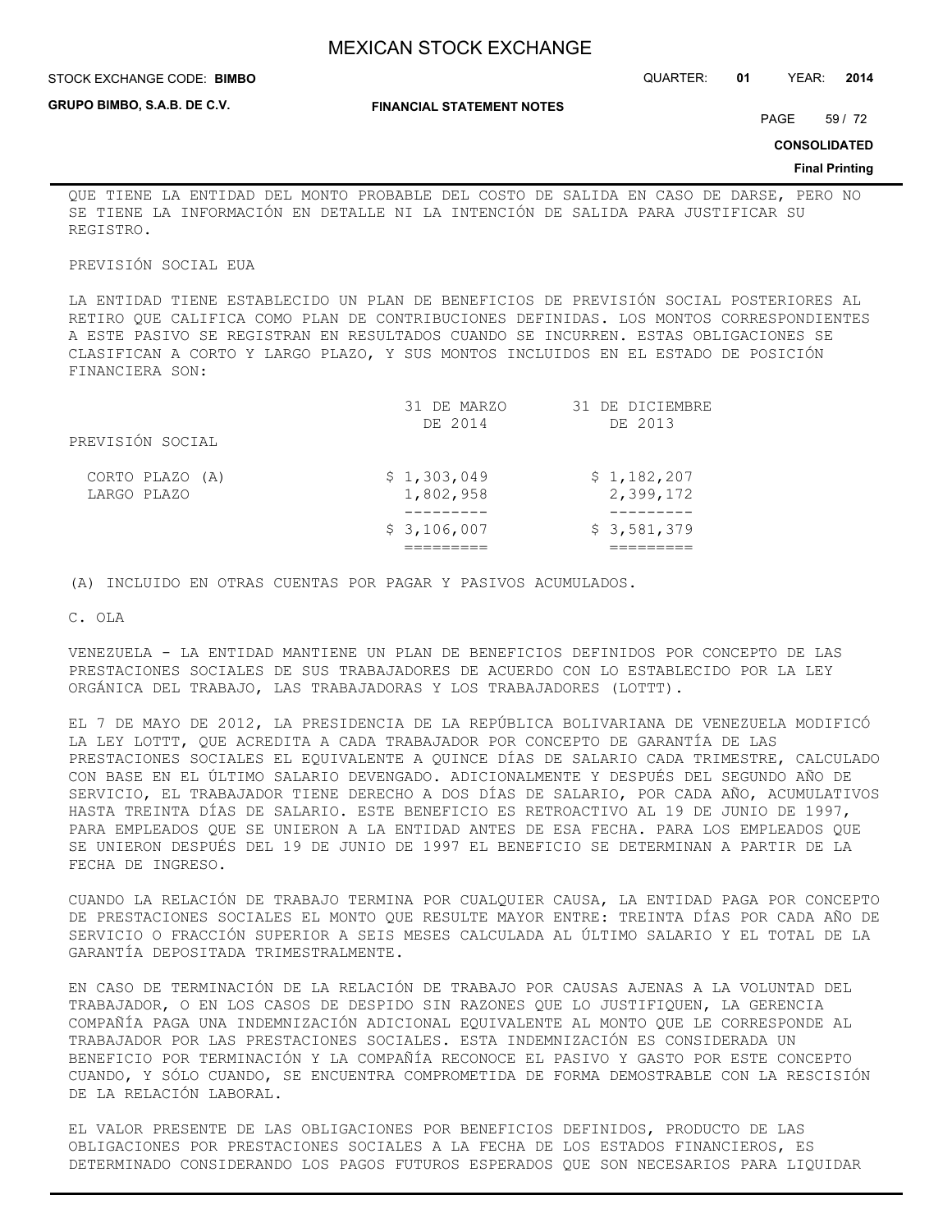**GRUPO BIMBO, S.A.B. DE C.V.**

STOCK EXCHANGE CODE: QUARTER: **01** YEAR: **2014 BIMBO**

**FINANCIAL STATEMENT NOTES**

PAGE 59 / 72

**CONSOLIDATED**

#### **Final Printing**

QUE TIENE LA ENTIDAD DEL MONTO PROBABLE DEL COSTO DE SALIDA EN CASO DE DARSE, PERO NO SE TIENE LA INFORMACIÓN EN DETALLE NI LA INTENCIÓN DE SALIDA PARA JUSTIFICAR SU REGISTRO.

#### PREVISIÓN SOCIAL EUA

LA ENTIDAD TIENE ESTABLECIDO UN PLAN DE BENEFICIOS DE PREVISIÓN SOCIAL POSTERIORES AL RETIRO QUE CALIFICA COMO PLAN DE CONTRIBUCIONES DEFINIDAS. LOS MONTOS CORRESPONDIENTES A ESTE PASIVO SE REGISTRAN EN RESULTADOS CUANDO SE INCURREN. ESTAS OBLIGACIONES SE CLASIFICAN A CORTO Y LARGO PLAZO, Y SUS MONTOS INCLUIDOS EN EL ESTADO DE POSICIÓN FINANCIERA SON:

| DE 2014                  | DE 2013                  |
|--------------------------|--------------------------|
|                          |                          |
| \$1,303,049<br>1,802,958 | \$1,182,207<br>2,399,172 |
|                          | \$3,581,379              |
|                          | \$3,106,007              |

(A) INCLUIDO EN OTRAS CUENTAS POR PAGAR Y PASIVOS ACUMULADOS.

C. OLA

VENEZUELA - LA ENTIDAD MANTIENE UN PLAN DE BENEFICIOS DEFINIDOS POR CONCEPTO DE LAS PRESTACIONES SOCIALES DE SUS TRABAJADORES DE ACUERDO CON LO ESTABLECIDO POR LA LEY ORGÁNICA DEL TRABAJO, LAS TRABAJADORAS Y LOS TRABAJADORES (LOTTT).

EL 7 DE MAYO DE 2012, LA PRESIDENCIA DE LA REPÚBLICA BOLIVARIANA DE VENEZUELA MODIFICÓ LA LEY LOTTT, QUE ACREDITA A CADA TRABAJADOR POR CONCEPTO DE GARANTÍA DE LAS PRESTACIONES SOCIALES EL EQUIVALENTE A QUINCE DÍAS DE SALARIO CADA TRIMESTRE, CALCULADO CON BASE EN EL ÚLTIMO SALARIO DEVENGADO. ADICIONALMENTE Y DESPUÉS DEL SEGUNDO AÑO DE SERVICIO, EL TRABAJADOR TIENE DERECHO A DOS DÍAS DE SALARIO, POR CADA AÑO, ACUMULATIVOS HASTA TREINTA DÍAS DE SALARIO. ESTE BENEFICIO ES RETROACTIVO AL 19 DE JUNIO DE 1997, PARA EMPLEADOS QUE SE UNIERON A LA ENTIDAD ANTES DE ESA FECHA. PARA LOS EMPLEADOS QUE SE UNIERON DESPUÉS DEL 19 DE JUNIO DE 1997 EL BENEFICIO SE DETERMINAN A PARTIR DE LA FECHA DE INGRESO.

CUANDO LA RELACIÓN DE TRABAJO TERMINA POR CUALQUIER CAUSA, LA ENTIDAD PAGA POR CONCEPTO DE PRESTACIONES SOCIALES EL MONTO QUE RESULTE MAYOR ENTRE: TREINTA DÍAS POR CADA AÑO DE SERVICIO O FRACCIÓN SUPERIOR A SEIS MESES CALCULADA AL ÚLTIMO SALARIO Y EL TOTAL DE LA GARANTÍA DEPOSITADA TRIMESTRALMENTE.

EN CASO DE TERMINACIÓN DE LA RELACIÓN DE TRABAJO POR CAUSAS AJENAS A LA VOLUNTAD DEL TRABAJADOR, O EN LOS CASOS DE DESPIDO SIN RAZONES QUE LO JUSTIFIQUEN, LA GERENCIA COMPAÑÍA PAGA UNA INDEMNIZACIÓN ADICIONAL EQUIVALENTE AL MONTO QUE LE CORRESPONDE AL TRABAJADOR POR LAS PRESTACIONES SOCIALES. ESTA INDEMNIZACIÓN ES CONSIDERADA UN BENEFICIO POR TERMINACIÓN Y LA COMPAÑÍA RECONOCE EL PASIVO Y GASTO POR ESTE CONCEPTO CUANDO, Y SÓLO CUANDO, SE ENCUENTRA COMPROMETIDA DE FORMA DEMOSTRABLE CON LA RESCISIÓN DE LA RELACIÓN LABORAL.

EL VALOR PRESENTE DE LAS OBLIGACIONES POR BENEFICIOS DEFINIDOS, PRODUCTO DE LAS OBLIGACIONES POR PRESTACIONES SOCIALES A LA FECHA DE LOS ESTADOS FINANCIEROS, ES DETERMINADO CONSIDERANDO LOS PAGOS FUTUROS ESPERADOS QUE SON NECESARIOS PARA LIQUIDAR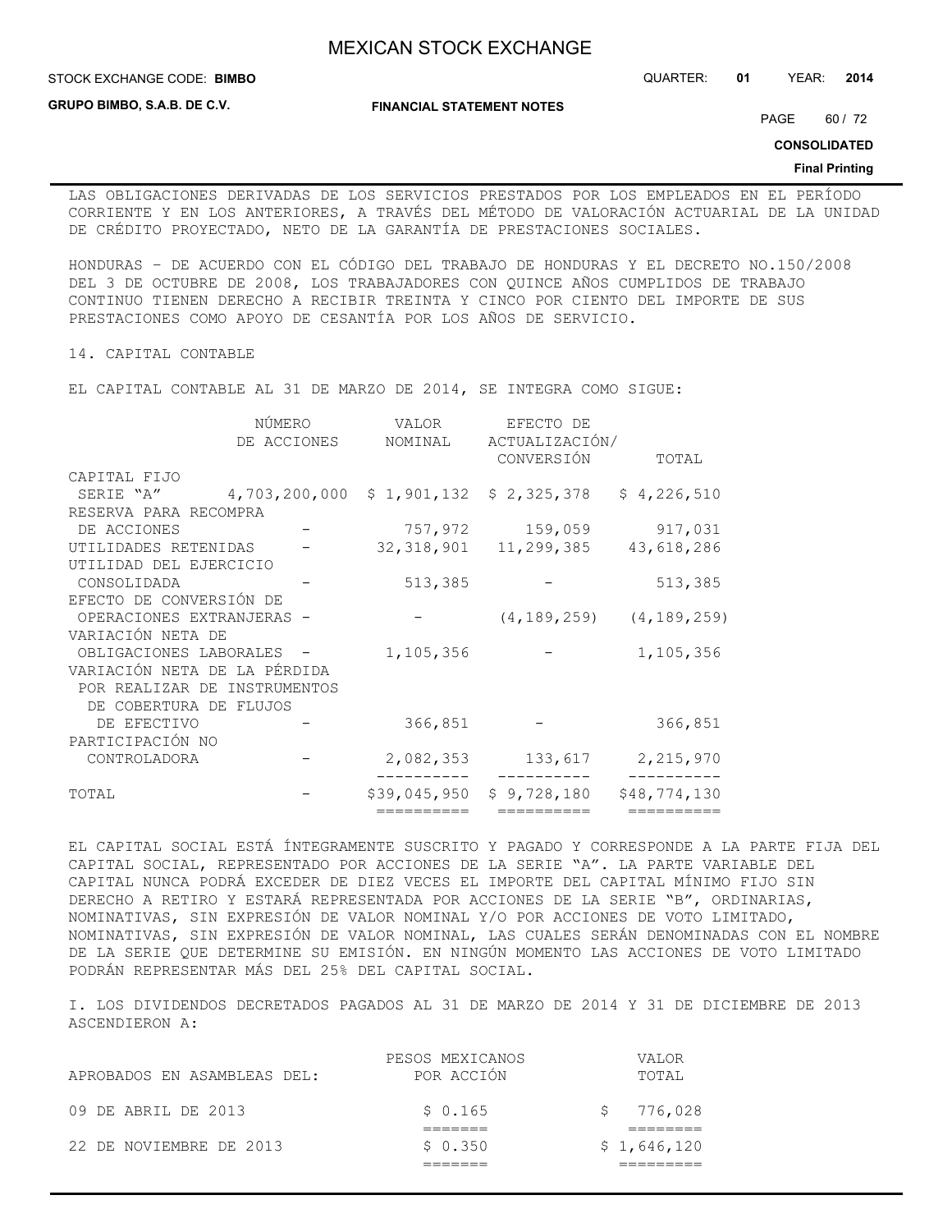**GRUPO BIMBO, S.A.B. DE C.V.**

STOCK EXCHANGE CODE: QUARTER: **01** YEAR: **2014 BIMBO**

**FINANCIAL STATEMENT NOTES**

PAGE 60 / 72

**CONSOLIDATED**

#### **Final Printing**

LAS OBLIGACIONES DERIVADAS DE LOS SERVICIOS PRESTADOS POR LOS EMPLEADOS EN EL PERÍODO CORRIENTE Y EN LOS ANTERIORES, A TRAVÉS DEL MÉTODO DE VALORACIÓN ACTUARIAL DE LA UNIDAD DE CRÉDITO PROYECTADO, NETO DE LA GARANTÍA DE PRESTACIONES SOCIALES.

HONDURAS – DE ACUERDO CON EL CÓDIGO DEL TRABAJO DE HONDURAS Y EL DECRETO NO.150/2008 DEL 3 DE OCTUBRE DE 2008, LOS TRABAJADORES CON QUINCE AÑOS CUMPLIDOS DE TRABAJO CONTINUO TIENEN DERECHO A RECIBIR TREINTA Y CINCO POR CIENTO DEL IMPORTE DE SUS PRESTACIONES COMO APOYO DE CESANTÍA POR LOS AÑOS DE SERVICIO.

14. CAPITAL CONTABLE

EL CAPITAL CONTABLE AL 31 DE MARZO DE 2014, SE INTEGRA COMO SIGUE:

|                              | NÚMERO        | VALOR        | EFECTO DE                 |                                 |
|------------------------------|---------------|--------------|---------------------------|---------------------------------|
|                              | DE ACCIONES   | NOMINAL      | ACTUALIZACIÓN/            |                                 |
|                              |               |              | CONVERSIÓN                | TOTAL                           |
| CAPITAL FIJO                 |               |              |                           |                                 |
| SERIE "A"                    | 4,703,200,000 |              | $$1,901,132$ $$2,325,378$ | \$4,226,510                     |
| RESERVA PARA RECOMPRA        |               |              |                           |                                 |
| DE ACCIONES                  |               |              | 757,972 159,059           | 917,031                         |
| UTILIDADES RETENIDAS         |               |              | 32, 318, 901 11, 299, 385 | 43,618,286                      |
| UTILIDAD DEL EJERCICIO       |               |              |                           |                                 |
| CONSOLIDADA                  |               | 513,385      |                           | 513,385                         |
| EFECTO DE CONVERSIÓN DE      |               |              |                           |                                 |
| OPERACIONES EXTRANJERAS -    |               |              |                           | $(4, 189, 259)$ $(4, 189, 259)$ |
| VARIACIÓN NETA DE            |               |              |                           |                                 |
| OBLIGACIONES LABORALES -     |               | 1,105,356    |                           | 1,105,356                       |
| VARIACIÓN NETA DE LA PÉRDIDA |               |              |                           |                                 |
| POR REALIZAR DE INSTRUMENTOS |               |              |                           |                                 |
| DE COBERTURA DE FLUJOS       |               |              |                           |                                 |
| DE EFECTIVO                  |               | 366,851      |                           | 366,851                         |
| PARTICIPACIÓN NO             |               |              |                           |                                 |
| CONTROLADORA                 |               | 2,082,353    | 133,617                   | 2,215,970                       |
| TOTAL                        |               | \$39,045,950 | \$9,728,180               | \$48,774,130                    |
|                              |               | ==========   | ==========                | ==========                      |

EL CAPITAL SOCIAL ESTÁ ÍNTEGRAMENTE SUSCRITO Y PAGADO Y CORRESPONDE A LA PARTE FIJA DEL CAPITAL SOCIAL, REPRESENTADO POR ACCIONES DE LA SERIE "A". LA PARTE VARIABLE DEL CAPITAL NUNCA PODRÁ EXCEDER DE DIEZ VECES EL IMPORTE DEL CAPITAL MÍNIMO FIJO SIN DERECHO A RETIRO Y ESTARÁ REPRESENTADA POR ACCIONES DE LA SERIE "B", ORDINARIAS, NOMINATIVAS, SIN EXPRESIÓN DE VALOR NOMINAL Y/O POR ACCIONES DE VOTO LIMITADO, NOMINATIVAS, SIN EXPRESIÓN DE VALOR NOMINAL, LAS CUALES SERÁN DENOMINADAS CON EL NOMBRE DE LA SERIE QUE DETERMINE SU EMISIÓN. EN NINGÚN MOMENTO LAS ACCIONES DE VOTO LIMITADO PODRÁN REPRESENTAR MÁS DEL 25% DEL CAPITAL SOCIAL.

I. LOS DIVIDENDOS DECRETADOS PAGADOS AL 31 DE MARZO DE 2014 Y 31 DE DICIEMBRE DE 2013 ASCENDIERON A:

|                             | PESOS MEXICANOS | <b>VALOR</b> |
|-----------------------------|-----------------|--------------|
| APROBADOS EN ASAMBLEAS DEL: | POR ACCIÓN      | TOTAI,       |
| 09 DE ABRIL DE 2013         | \$0.165         | \$776,028    |
| 22 DE NOVIEMBRE DE 2013     | \$0.350         | \$1,646,120  |
|                             |                 |              |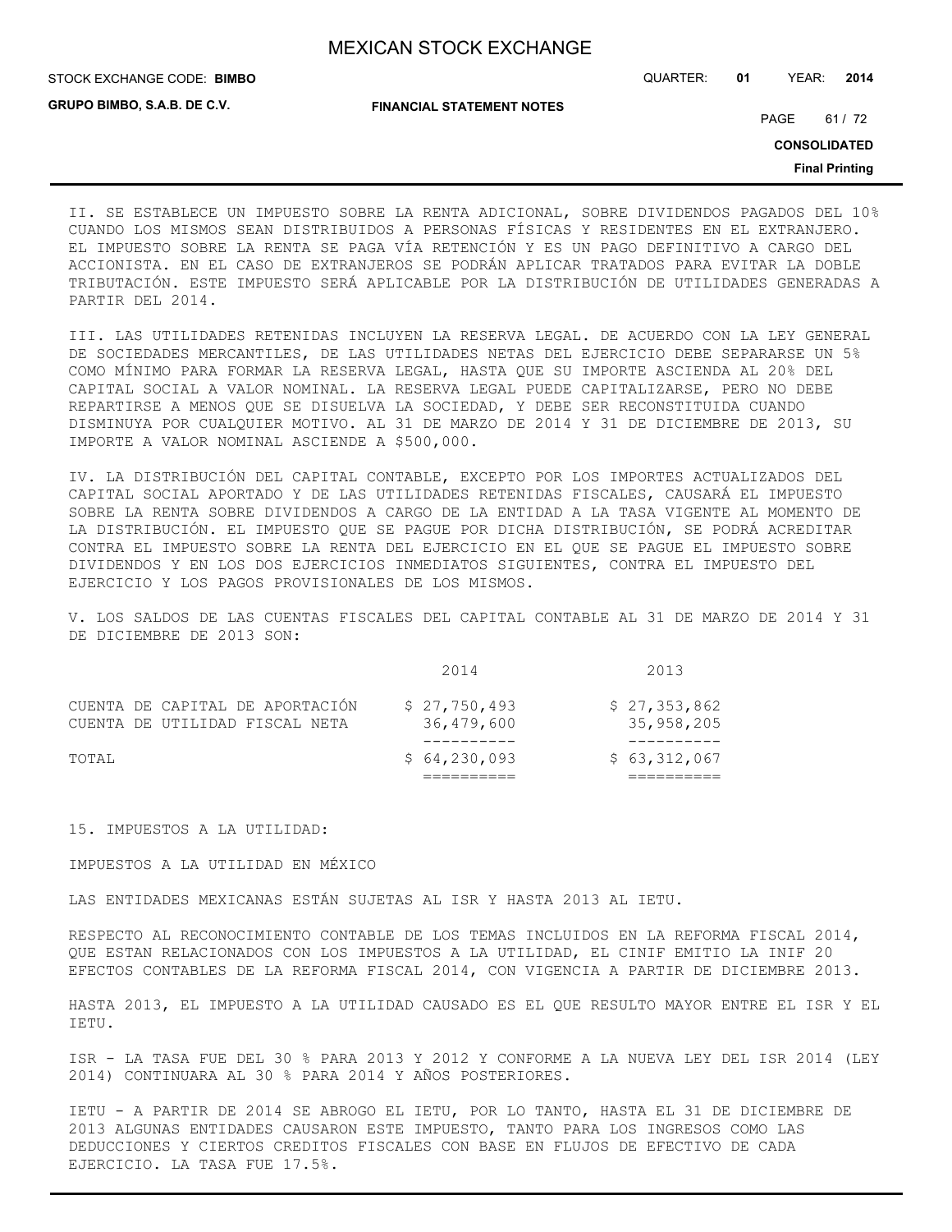STOCK EXCHANGE CODE: QUARTER: **01** YEAR: **2014 BIMBO**

**GRUPO BIMBO, S.A.B. DE C.V.**

**FINANCIAL STATEMENT NOTES**

PAGE 61 / 72

**CONSOLIDATED**

**Final Printing**

II. SE ESTABLECE UN IMPUESTO SOBRE LA RENTA ADICIONAL, SOBRE DIVIDENDOS PAGADOS DEL 10% CUANDO LOS MISMOS SEAN DISTRIBUIDOS A PERSONAS FÍSICAS Y RESIDENTES EN EL EXTRANJERO. EL IMPUESTO SOBRE LA RENTA SE PAGA VÍA RETENCIÓN Y ES UN PAGO DEFINITIVO A CARGO DEL ACCIONISTA. EN EL CASO DE EXTRANJEROS SE PODRÁN APLICAR TRATADOS PARA EVITAR LA DOBLE TRIBUTACIÓN. ESTE IMPUESTO SERÁ APLICABLE POR LA DISTRIBUCIÓN DE UTILIDADES GENERADAS A PARTIR DEL 2014.

III. LAS UTILIDADES RETENIDAS INCLUYEN LA RESERVA LEGAL. DE ACUERDO CON LA LEY GENERAL DE SOCIEDADES MERCANTILES, DE LAS UTILIDADES NETAS DEL EJERCICIO DEBE SEPARARSE UN 5% COMO MÍNIMO PARA FORMAR LA RESERVA LEGAL, HASTA QUE SU IMPORTE ASCIENDA AL 20% DEL CAPITAL SOCIAL A VALOR NOMINAL. LA RESERVA LEGAL PUEDE CAPITALIZARSE, PERO NO DEBE REPARTIRSE A MENOS QUE SE DISUELVA LA SOCIEDAD, Y DEBE SER RECONSTITUIDA CUANDO DISMINUYA POR CUALQUIER MOTIVO. AL 31 DE MARZO DE 2014 Y 31 DE DICIEMBRE DE 2013, SU IMPORTE A VALOR NOMINAL ASCIENDE A \$500,000.

IV. LA DISTRIBUCIÓN DEL CAPITAL CONTABLE, EXCEPTO POR LOS IMPORTES ACTUALIZADOS DEL CAPITAL SOCIAL APORTADO Y DE LAS UTILIDADES RETENIDAS FISCALES, CAUSARÁ EL IMPUESTO SOBRE LA RENTA SOBRE DIVIDENDOS A CARGO DE LA ENTIDAD A LA TASA VIGENTE AL MOMENTO DE LA DISTRIBUCIÓN. EL IMPUESTO QUE SE PAGUE POR DICHA DISTRIBUCIÓN, SE PODRÁ ACREDITAR CONTRA EL IMPUESTO SOBRE LA RENTA DEL EJERCICIO EN EL QUE SE PAGUE EL IMPUESTO SOBRE DIVIDENDOS Y EN LOS DOS EJERCICIOS INMEDIATOS SIGUIENTES, CONTRA EL IMPUESTO DEL EJERCICIO Y LOS PAGOS PROVISIONALES DE LOS MISMOS.

V. LOS SALDOS DE LAS CUENTAS FISCALES DEL CAPITAL CONTABLE AL 31 DE MARZO DE 2014 Y 31 DE DICIEMBRE DE 2013 SON:

| TOTAL |                                 | \$64,230,093 | \$63,312,067 |
|-------|---------------------------------|--------------|--------------|
|       |                                 |              |              |
|       | CUENTA DE UTILIDAD FISCAL NETA  | 36,479,600   | 35,958,205   |
|       | CUENTA DE CAPITAL DE APORTACIÓN | \$27,750,493 | \$27,353,862 |
|       |                                 | 2014         | 2013         |

15. IMPUESTOS A LA UTILIDAD:

IMPUESTOS A LA UTILIDAD EN MÉXICO

LAS ENTIDADES MEXICANAS ESTÁN SUJETAS AL ISR Y HASTA 2013 AL IETU.

RESPECTO AL RECONOCIMIENTO CONTABLE DE LOS TEMAS INCLUIDOS EN LA REFORMA FISCAL 2014, QUE ESTAN RELACIONADOS CON LOS IMPUESTOS A LA UTILIDAD, EL CINIF EMITIO LA INIF 20 EFECTOS CONTABLES DE LA REFORMA FISCAL 2014, CON VIGENCIA A PARTIR DE DICIEMBRE 2013.

HASTA 2013, EL IMPUESTO A LA UTILIDAD CAUSADO ES EL QUE RESULTO MAYOR ENTRE EL ISR Y EL IETU.

ISR - LA TASA FUE DEL 30 % PARA 2013 Y 2012 Y CONFORME A LA NUEVA LEY DEL ISR 2014 (LEY 2014) CONTINUARA AL 30 % PARA 2014 Y AÑOS POSTERIORES.

IETU - A PARTIR DE 2014 SE ABROGO EL IETU, POR LO TANTO, HASTA EL 31 DE DICIEMBRE DE 2013 ALGUNAS ENTIDADES CAUSARON ESTE IMPUESTO, TANTO PARA LOS INGRESOS COMO LAS DEDUCCIONES Y CIERTOS CREDITOS FISCALES CON BASE EN FLUJOS DE EFECTIVO DE CADA EJERCICIO. LA TASA FUE 17.5%.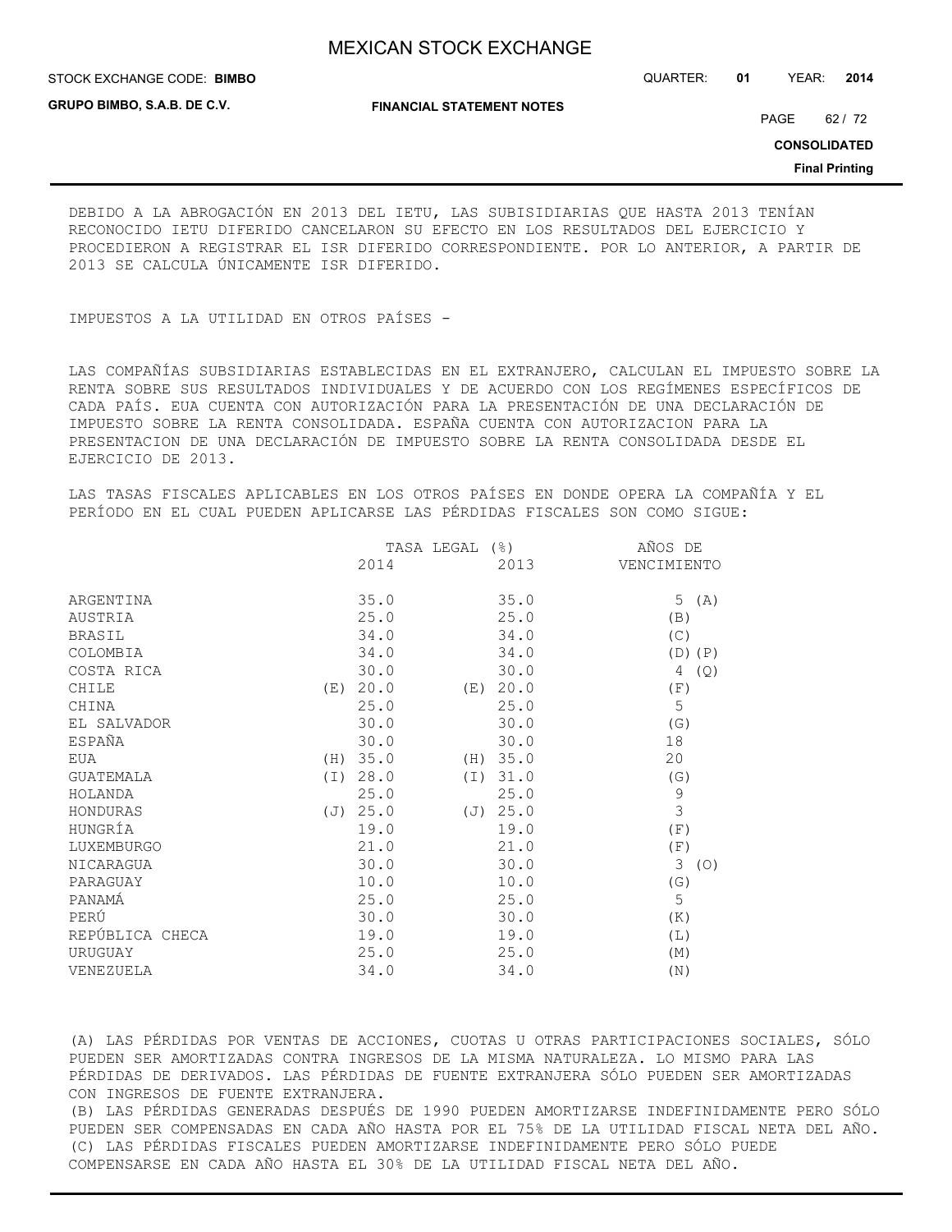STOCK EXCHANGE CODE: QUARTER: **01** YEAR: **2014 BIMBO**

**GRUPO BIMBO, S.A.B. DE C.V.**

**FINANCIAL STATEMENT NOTES**

PAGE 62 / 72

**CONSOLIDATED**

**Final Printing**

DEBIDO A LA ABROGACIÓN EN 2013 DEL IETU, LAS SUBISIDIARIAS QUE HASTA 2013 TENÍAN RECONOCIDO IETU DIFERIDO CANCELARON SU EFECTO EN LOS RESULTADOS DEL EJERCICIO Y PROCEDIERON A REGISTRAR EL ISR DIFERIDO CORRESPONDIENTE. POR LO ANTERIOR, A PARTIR DE 2013 SE CALCULA ÚNICAMENTE ISR DIFERIDO.

IMPUESTOS A LA UTILIDAD EN OTROS PAÍSES -

LAS COMPAÑÍAS SUBSIDIARIAS ESTABLECIDAS EN EL EXTRANJERO, CALCULAN EL IMPUESTO SOBRE LA RENTA SOBRE SUS RESULTADOS INDIVIDUALES Y DE ACUERDO CON LOS REGÍMENES ESPECÍFICOS DE CADA PAÍS. EUA CUENTA CON AUTORIZACIÓN PARA LA PRESENTACIÓN DE UNA DECLARACIÓN DE IMPUESTO SOBRE LA RENTA CONSOLIDADA. ESPAÑA CUENTA CON AUTORIZACION PARA LA PRESENTACION DE UNA DECLARACIÓN DE IMPUESTO SOBRE LA RENTA CONSOLIDADA DESDE EL EJERCICIO DE 2013.

LAS TASAS FISCALES APLICABLES EN LOS OTROS PAÍSES EN DONDE OPERA LA COMPAÑÍA Y EL PERÍODO EN EL CUAL PUEDEN APLICARSE LAS PÉRDIDAS FISCALES SON COMO SIGUE:

| TASA LEGAL    |              |      | AÑOS DE                                                      |
|---------------|--------------|------|--------------------------------------------------------------|
| 2014          |              | 2013 | VENCIMIENTO                                                  |
|               |              |      |                                                              |
|               |              |      | 5 $(A)$                                                      |
|               |              |      | (B)                                                          |
| 34.0          |              | 34.0 | (C)                                                          |
| 34.0          |              | 34.0 | $(D)$ $(P)$                                                  |
| 30.0          |              | 30.0 | 4<br>(Q)                                                     |
| 20.0<br>(E)   |              |      | (F)                                                          |
| 25.0          |              | 25.0 | 5                                                            |
| 30.0          |              | 30.0 | (G)                                                          |
| 30.0          |              | 30.0 | 18                                                           |
| (H) 35.0      |              |      | 20                                                           |
| 28.0<br>( I ) |              |      | (G)                                                          |
| 25.0          |              | 25.0 | $\mathcal{G}$                                                |
| (J) 25.0      |              |      | 3                                                            |
| 19.0          |              | 19.0 | (F)                                                          |
| 21.0          |              | 21.0 | (F)                                                          |
| 30.0          |              | 30.0 | 3<br>(O)                                                     |
| 10.0          |              | 10.0 | (G)                                                          |
| 25.0          |              | 25.0 | 5                                                            |
| 30.0          |              | 30.0 | (K)                                                          |
| 19.0          |              | 19.0 | (L)                                                          |
| 25.0          |              | 25.0 | (M)                                                          |
| 34.0          |              | 34.0 | (N)                                                          |
|               | 35.0<br>25.0 |      | 35.0<br>25.0<br>(E) 20.0<br>(H) 35.0<br>(I) 31.0<br>(J) 25.0 |

(A) LAS PÉRDIDAS POR VENTAS DE ACCIONES, CUOTAS U OTRAS PARTICIPACIONES SOCIALES, SÓLO PUEDEN SER AMORTIZADAS CONTRA INGRESOS DE LA MISMA NATURALEZA. LO MISMO PARA LAS PÉRDIDAS DE DERIVADOS. LAS PÉRDIDAS DE FUENTE EXTRANJERA SÓLO PUEDEN SER AMORTIZADAS CON INGRESOS DE FUENTE EXTRANJERA. (B) LAS PÉRDIDAS GENERADAS DESPUÉS DE 1990 PUEDEN AMORTIZARSE INDEFINIDAMENTE PERO SÓLO PUEDEN SER COMPENSADAS EN CADA AÑO HASTA POR EL 75% DE LA UTILIDAD FISCAL NETA DEL AÑO. (C) LAS PÉRDIDAS FISCALES PUEDEN AMORTIZARSE INDEFINIDAMENTE PERO SÓLO PUEDE COMPENSARSE EN CADA AÑO HASTA EL 30% DE LA UTILIDAD FISCAL NETA DEL AÑO.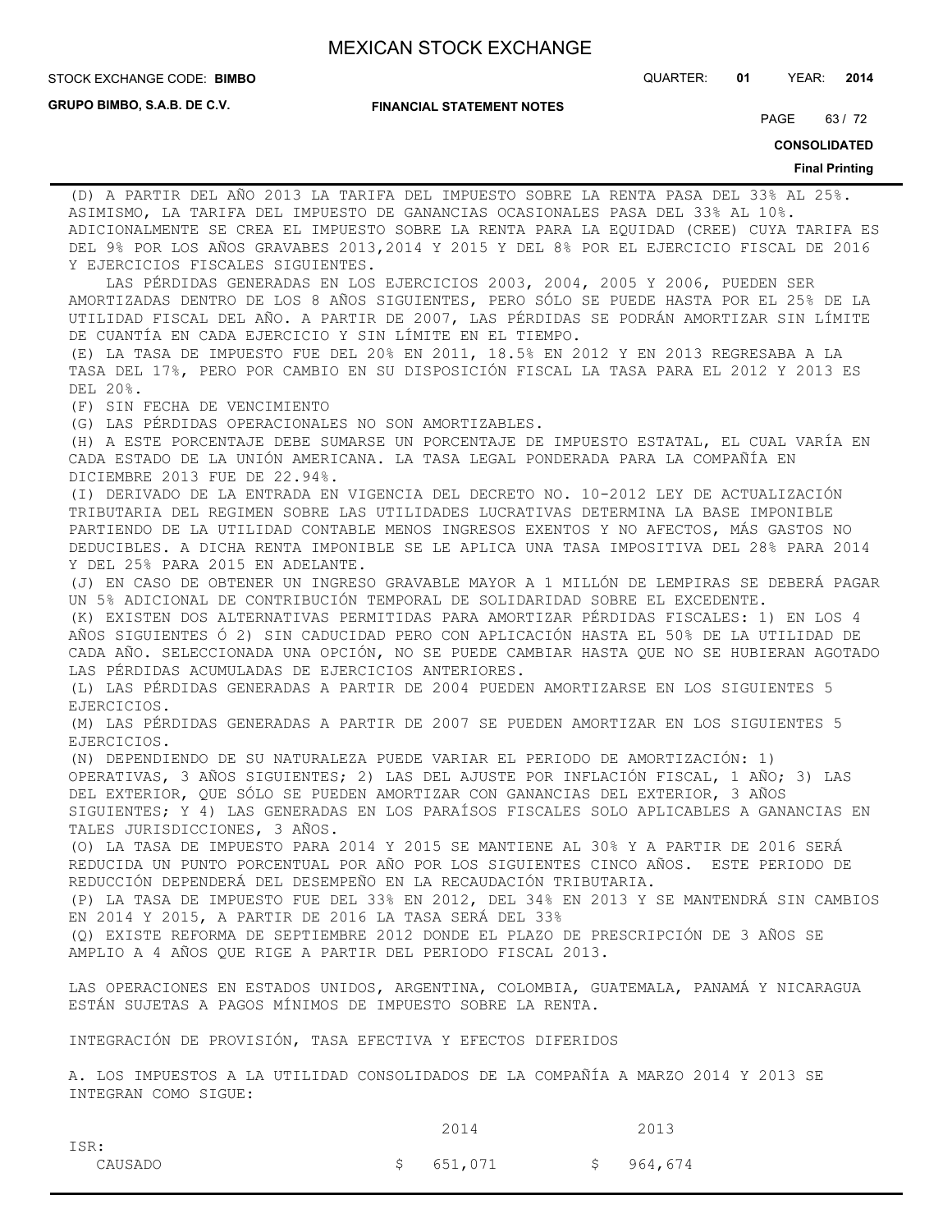**GRUPO BIMBO, S.A.B. DE C.V.**

#### **FINANCIAL STATEMENT NOTES**

STOCK EXCHANGE CODE: QUARTER: **01** YEAR: **2014 BIMBO**

PAGE 63/72

**CONSOLIDATED**

#### **Final Printing**

(D) A PARTIR DEL AÑO 2013 LA TARIFA DEL IMPUESTO SOBRE LA RENTA PASA DEL 33% AL 25%. ASIMISMO, LA TARIFA DEL IMPUESTO DE GANANCIAS OCASIONALES PASA DEL 33% AL 10%. ADICIONALMENTE SE CREA EL IMPUESTO SOBRE LA RENTA PARA LA EQUIDAD (CREE) CUYA TARIFA ES DEL 9% POR LOS AÑOS GRAVABES 2013,2014 Y 2015 Y DEL 8% POR EL EJERCICIO FISCAL DE 2016 Y EJERCICIOS FISCALES SIGUIENTES.

 LAS PÉRDIDAS GENERADAS EN LOS EJERCICIOS 2003, 2004, 2005 Y 2006, PUEDEN SER AMORTIZADAS DENTRO DE LOS 8 AÑOS SIGUIENTES, PERO SÓLO SE PUEDE HASTA POR EL 25% DE LA UTILIDAD FISCAL DEL AÑO. A PARTIR DE 2007, LAS PÉRDIDAS SE PODRÁN AMORTIZAR SIN LÍMITE DE CUANTÍA EN CADA EJERCICIO Y SIN LÍMITE EN EL TIEMPO.

(E) LA TASA DE IMPUESTO FUE DEL 20% EN 2011, 18.5% EN 2012 Y EN 2013 REGRESABA A LA TASA DEL 17%, PERO POR CAMBIO EN SU DISPOSICIÓN FISCAL LA TASA PARA EL 2012 Y 2013 ES DEL 20%.

(F) SIN FECHA DE VENCIMIENTO

(G) LAS PÉRDIDAS OPERACIONALES NO SON AMORTIZABLES.

(H) A ESTE PORCENTAJE DEBE SUMARSE UN PORCENTAJE DE IMPUESTO ESTATAL, EL CUAL VARÍA EN CADA ESTADO DE LA UNIÓN AMERICANA. LA TASA LEGAL PONDERADA PARA LA COMPAÑÍA EN DICIEMBRE 2013 FUE DE 22.94%.

(I) DERIVADO DE LA ENTRADA EN VIGENCIA DEL DECRETO NO. 10-2012 LEY DE ACTUALIZACIÓN TRIBUTARIA DEL REGIMEN SOBRE LAS UTILIDADES LUCRATIVAS DETERMINA LA BASE IMPONIBLE PARTIENDO DE LA UTILIDAD CONTABLE MENOS INGRESOS EXENTOS Y NO AFECTOS, MÁS GASTOS NO DEDUCIBLES. A DICHA RENTA IMPONIBLE SE LE APLICA UNA TASA IMPOSITIVA DEL 28% PARA 2014 Y DEL 25% PARA 2015 EN ADELANTE.

(J) EN CASO DE OBTENER UN INGRESO GRAVABLE MAYOR A 1 MILLÓN DE LEMPIRAS SE DEBERÁ PAGAR UN 5% ADICIONAL DE CONTRIBUCIÓN TEMPORAL DE SOLIDARIDAD SOBRE EL EXCEDENTE.

(K) EXISTEN DOS ALTERNATIVAS PERMITIDAS PARA AMORTIZAR PÉRDIDAS FISCALES: 1) EN LOS 4 AÑOS SIGUIENTES Ó 2) SIN CADUCIDAD PERO CON APLICACIÓN HASTA EL 50% DE LA UTILIDAD DE CADA AÑO. SELECCIONADA UNA OPCIÓN, NO SE PUEDE CAMBIAR HASTA QUE NO SE HUBIERAN AGOTADO LAS PÉRDIDAS ACUMULADAS DE EJERCICIOS ANTERIORES.

(L) LAS PÉRDIDAS GENERADAS A PARTIR DE 2004 PUEDEN AMORTIZARSE EN LOS SIGUIENTES 5 EJERCICIOS.

(M) LAS PÉRDIDAS GENERADAS A PARTIR DE 2007 SE PUEDEN AMORTIZAR EN LOS SIGUIENTES 5 EJERCICIOS.

(N) DEPENDIENDO DE SU NATURALEZA PUEDE VARIAR EL PERIODO DE AMORTIZACIÓN: 1) OPERATIVAS, 3 AÑOS SIGUIENTES; 2) LAS DEL AJUSTE POR INFLACIÓN FISCAL, 1 AÑO; 3) LAS DEL EXTERIOR, QUE SÓLO SE PUEDEN AMORTIZAR CON GANANCIAS DEL EXTERIOR, 3 AÑOS SIGUIENTES; Y 4) LAS GENERADAS EN LOS PARAÍSOS FISCALES SOLO APLICABLES A GANANCIAS EN TALES JURISDICCIONES, 3 AÑOS.

(O) LA TASA DE IMPUESTO PARA 2014 Y 2015 SE MANTIENE AL 30% Y A PARTIR DE 2016 SERÁ REDUCIDA UN PUNTO PORCENTUAL POR AÑO POR LOS SIGUIENTES CINCO AÑOS. ESTE PERIODO DE REDUCCIÓN DEPENDERÁ DEL DESEMPEÑO EN LA RECAUDACIÓN TRIBUTARIA.

(P) LA TASA DE IMPUESTO FUE DEL 33% EN 2012, DEL 34% EN 2013 Y SE MANTENDRÁ SIN CAMBIOS EN 2014 Y 2015, A PARTIR DE 2016 LA TASA SERÁ DEL 33%

(Q) EXISTE REFORMA DE SEPTIEMBRE 2012 DONDE EL PLAZO DE PRESCRIPCIÓN DE 3 AÑOS SE AMPLIO A 4 AÑOS QUE RIGE A PARTIR DEL PERIODO FISCAL 2013.

LAS OPERACIONES EN ESTADOS UNIDOS, ARGENTINA, COLOMBIA, GUATEMALA, PANAMÁ Y NICARAGUA ESTÁN SUJETAS A PAGOS MÍNIMOS DE IMPUESTO SOBRE LA RENTA.

INTEGRACIÓN DE PROVISIÓN, TASA EFECTIVA Y EFECTOS DIFERIDOS

A. LOS IMPUESTOS A LA UTILIDAD CONSOLIDADOS DE LA COMPAÑÍA A MARZO 2014 Y 2013 SE INTEGRAN COMO SIGUE:

|         | 2014      | 2013      |
|---------|-----------|-----------|
| ISR:    |           |           |
| CAUSADO | \$651,071 | \$964,674 |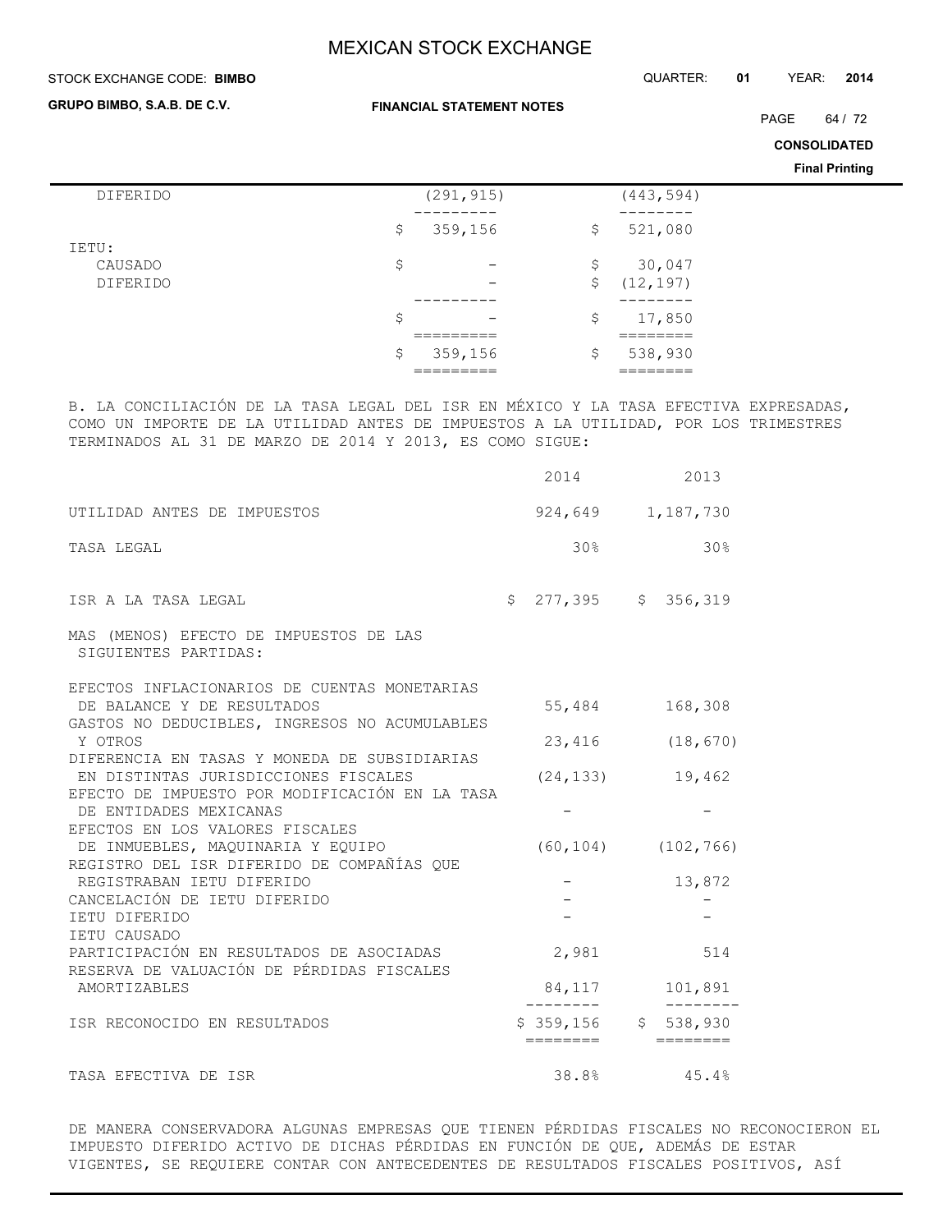#### STOCK EXCHANGE CODE: QUARTER: **01** YEAR: **2014 BIMBO**

**GRUPO BIMBO, S.A.B. DE C.V.**

**FINANCIAL STATEMENT NOTES**

PAGE 64 / 72

**CONSOLIDATED**

**Final Printing**

| DIFERIDO        | (291, 915)                     | (443, 594)      |
|-----------------|--------------------------------|-----------------|
|                 |                                |                 |
|                 | \$<br>359,156                  | \$<br>521,080   |
| IETU:           |                                |                 |
| CAUSADO         | \$<br>$\qquad \qquad$          | \$<br>30,047    |
| <b>DIFERIDO</b> | $\overline{\phantom{0}}$       | \$<br>(12, 197) |
|                 | ------                         |                 |
|                 |                                |                 |
|                 | \$<br>$\overline{\phantom{m}}$ | \$<br>17,850    |
|                 | _________                      | _______         |
|                 | \$<br>359,156                  | \$<br>538,930   |
|                 | ---------                      | _______         |
|                 |                                |                 |

B. LA CONCILIACIÓN DE LA TASA LEGAL DEL ISR EN MÉXICO Y LA TASA EFECTIVA EXPRESADAS, COMO UN IMPORTE DE LA UTILIDAD ANTES DE IMPUESTOS A LA UTILIDAD, POR LOS TRIMESTRES TERMINADOS AL 31 DE MARZO DE 2014 Y 2013, ES COMO SIGUE:

|                                                                                                                             | 2014                  | 2013                                    |
|-----------------------------------------------------------------------------------------------------------------------------|-----------------------|-----------------------------------------|
| UTILIDAD ANTES DE IMPUESTOS                                                                                                 |                       | 924,649 1,187,730                       |
| TASA LEGAL                                                                                                                  | 30%                   | $30\%$                                  |
| ISR A LA TASA LEGAL                                                                                                         | $$277,395$ $$356,319$ |                                         |
| MAS (MENOS) EFECTO DE IMPUESTOS DE LAS<br>SIGUIENTES PARTIDAS:                                                              |                       |                                         |
| EFECTOS INFLACIONARIOS DE CUENTAS MONETARIAS<br>DE BALANCE Y DE RESULTADOS<br>GASTOS NO DEDUCIBLES, INGRESOS NO ACUMULABLES | 55,484                | 168,308                                 |
| Y OTROS                                                                                                                     |                       | 23,416 (18,670)                         |
| DIFERENCIA EN TASAS Y MONEDA DE SUBSIDIARIAS<br>EN DISTINTAS JURISDICCIONES FISCALES                                        |                       | $(24, 133)$ 19,462                      |
| EFECTO DE IMPUESTO POR MODIFICACIÓN EN LA TASA<br>DE ENTIDADES MEXICANAS                                                    |                       |                                         |
| EFECTOS EN LOS VALORES FISCALES<br>DE INMUEBLES, MAQUINARIA Y EQUIPO                                                        |                       | $(60, 104)$ $(102, 766)$                |
| REGISTRO DEL ISR DIFERIDO DE COMPAÑÍAS QUE<br>REGISTRABAN IETU DIFERIDO                                                     |                       | $-$ 13,872                              |
| CANCELACIÓN DE IETU DIFERIDO                                                                                                | $\sim$ $-$            |                                         |
| IETU DIFERIDO<br>IETU CAUSADO                                                                                               |                       |                                         |
| PARTICIPACIÓN EN RESULTADOS DE ASOCIADAS                                                                                    | 2,981                 | 514                                     |
| RESERVA DE VALUACIÓN DE PÉRDIDAS FISCALES<br>AMORTIZABLES                                                                   |                       | 84, 117 101, 891                        |
| ISR RECONOCIDO EN RESULTADOS                                                                                                | ========              | $$359,156$ $$538,930$                   |
| TASA EFECTIVA DE ISR                                                                                                        |                       | $38.8$ <sup>8</sup> $45.4$ <sup>8</sup> |

DE MANERA CONSERVADORA ALGUNAS EMPRESAS QUE TIENEN PÉRDIDAS FISCALES NO RECONOCIERON EL IMPUESTO DIFERIDO ACTIVO DE DICHAS PÉRDIDAS EN FUNCIÓN DE QUE, ADEMÁS DE ESTAR VIGENTES, SE REQUIERE CONTAR CON ANTECEDENTES DE RESULTADOS FISCALES POSITIVOS, ASÍ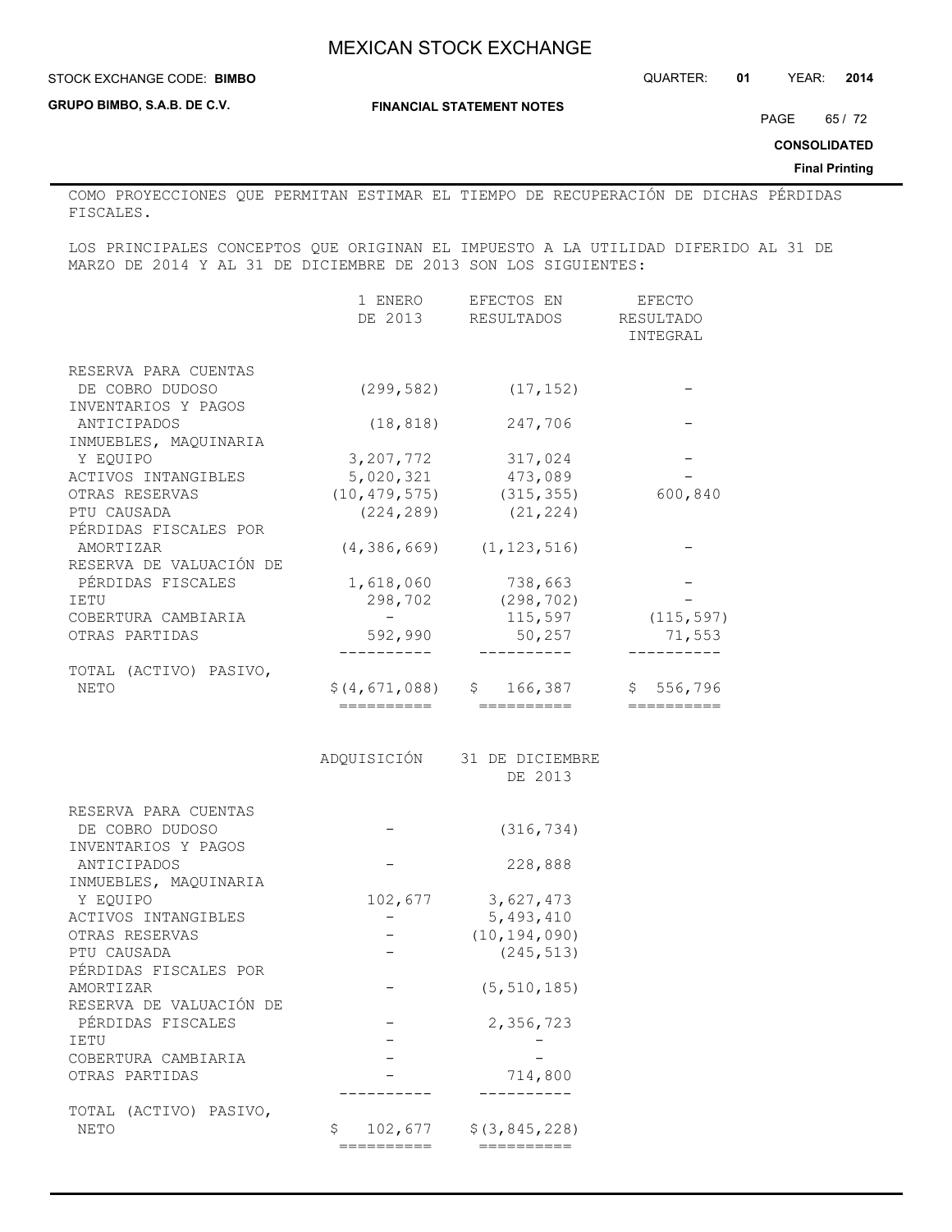#### **STOCK EXCHANGE CODE: BIMBO**

**GRUPO BIMBO, S.A.B. DE C.V.**

**FINANCIAL STATEMENT NOTES**

PAGE 65/72

**CONSOLIDATED**

**Final Printing**

COMO PROYECCIONES QUE PERMITAN ESTIMAR EL TIEMPO DE RECUPERACIÓN DE DICHAS PÉRDIDAS FISCALES.

LOS PRINCIPALES CONCEPTOS QUE ORIGINAN EL IMPUESTO A LA UTILIDAD DIFERIDO AL 31 DE MARZO DE 2014 Y AL 31 DE DICIEMBRE DE 2013 SON LOS SIGUIENTES:

|                         | 1 ENERO<br>DE 2013 | EFECTOS EN<br>RESULTADOS        | EFECTO<br>RESULTADO<br>INTEGRAL |
|-------------------------|--------------------|---------------------------------|---------------------------------|
| RESERVA PARA CUENTAS    |                    |                                 |                                 |
| DE COBRO DUDOSO         | (299,582)          | (17, 152)                       |                                 |
| INVENTARIOS Y PAGOS     |                    |                                 |                                 |
| ANTICIPADOS             | (18, 818)          | 247,706                         |                                 |
| INMUEBLES, MAQUINARIA   |                    |                                 |                                 |
| Y EQUIPO                | 3, 207, 772        | 317,024                         |                                 |
| ACTIVOS INTANGIBLES     | 5,020,321          | 473,089                         |                                 |
| OTRAS RESERVAS          | (10, 479, 575)     | (315, 355)                      | 600,840                         |
| PTU CAUSADA             | (224, 289)         | (21, 224)                       |                                 |
| PÉRDIDAS FISCALES POR   |                    |                                 |                                 |
| AMORTIZAR               |                    | $(4, 386, 669)$ $(1, 123, 516)$ |                                 |
| RESERVA DE VALUACIÓN DE |                    |                                 |                                 |
| PÉRDIDAS FISCALES       | 1,618,060          | 738,663                         |                                 |
| IETU                    | 298,702            | (298, 702)                      |                                 |
| COBERTURA CAMBIARIA     | $\sim$             | 115,597                         | (115, 597)                      |
| OTRAS PARTIDAS          | 592,990            | 50,257                          | 71,553                          |
|                         |                    |                                 |                                 |
| TOTAL (ACTIVO) PASIVO,  |                    |                                 |                                 |
| NETO                    | \$(4,671,088)      | \$<br>166,387                   | \$556,796                       |
|                         | ==========         | ===========                     |                                 |
|                         |                    |                                 |                                 |
|                         |                    | ADQUISICIÓN 31 DE DICIEMBRE     |                                 |
|                         |                    | DE 2013                         |                                 |
| RESERVA PARA CUENTAS    |                    |                                 |                                 |
| DE COBRO DUDOSO         |                    | (316, 734)                      |                                 |
| INVENTARIOS Y PAGOS     |                    |                                 |                                 |
| ANTICIPADOS             |                    | 228,888                         |                                 |
| INMUEBLES, MAQUINARIA   |                    |                                 |                                 |
| Y EQUIPO                | 102,677            | 3,627,473                       |                                 |
| ACTIVOS INTANGIBLES     |                    | 5,493,410                       |                                 |
| OTRAS RESERVAS          |                    | (10, 194, 090)                  |                                 |
| PTU CAUSADA             | $\qquad \qquad -$  | (245, 513)                      |                                 |
| PÉRDIDAS FISCALES POR   |                    |                                 |                                 |
| AMORTIZAR               |                    | (5, 510, 185)                   |                                 |
| RESERVA DE VALUACIÓN DE |                    |                                 |                                 |
| PÉRDIDAS FISCALES       |                    | 2,356,723                       |                                 |
| IETU                    |                    |                                 |                                 |
| COBERTURA CAMBIARIA     |                    |                                 |                                 |
| OTRAS PARTIDAS          |                    | 714,800                         |                                 |

TOTAL (ACTIVO) PASIVO, NETO  $$ 102,677 $ (3,845,228)$ ========== ==========

---------- ----------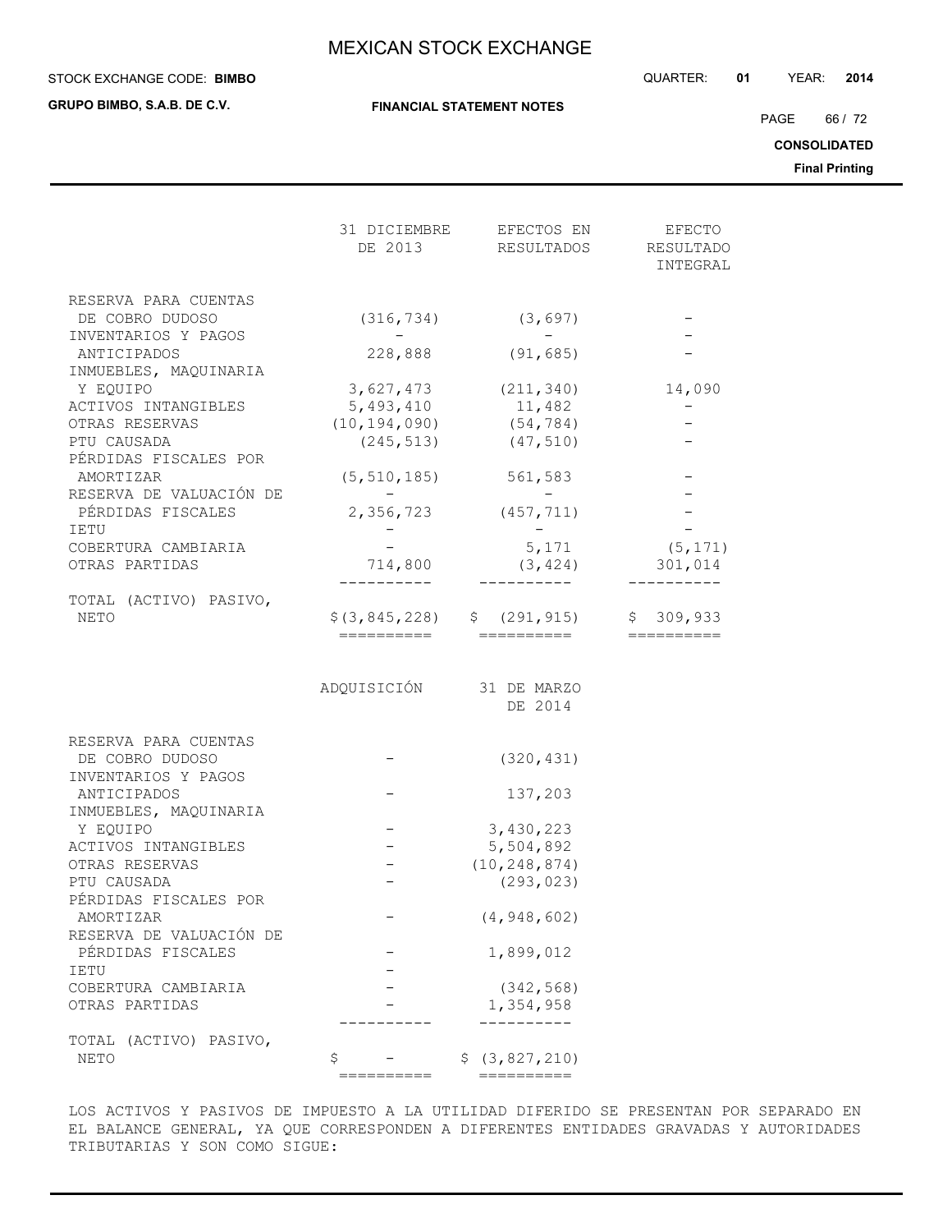#### STOCK EXCHANGE CODE: QUARTER: **01** YEAR: **2014 BIMBO**

**GRUPO BIMBO, S.A.B. DE C.V.**

**FINANCIAL STATEMENT NOTES**

PAGE 66 / 72

**CONSOLIDATED**

**Final Printing**

|                                                                | DE 2013                 | 31 DICIEMBRE EFECTOS EN<br>RESULTADOS | EFECTO<br>RESULTADO<br>INTEGRAL |
|----------------------------------------------------------------|-------------------------|---------------------------------------|---------------------------------|
|                                                                |                         |                                       |                                 |
| RESERVA PARA CUENTAS<br>DE COBRO DUDOSO<br>INVENTARIOS Y PAGOS | (316, 734)              | (3, 697)                              |                                 |
| ANTICIPADOS<br>INMUEBLES, MAQUINARIA                           | 228,888                 | (91, 685)                             |                                 |
| Y EQUIPO                                                       |                         | $3,627,473$ (211,340)                 | 14,090                          |
| ACTIVOS INTANGIBLES                                            |                         | 5, 493, 410 11, 482                   |                                 |
| OTRAS RESERVAS                                                 |                         | $(10, 194, 090)$ $(54, 784)$          |                                 |
| PTU CAUSADA                                                    | (245, 513)              | (47, 510)                             |                                 |
| PÉRDIDAS FISCALES POR                                          |                         |                                       |                                 |
| AMORTIZAR                                                      | (5, 510, 185)           | 561,583                               |                                 |
| RESERVA DE VALUACIÓN DE                                        |                         |                                       |                                 |
| PÉRDIDAS FISCALES                                              | 2,356,723               | (457, 711)                            |                                 |
| IETU                                                           |                         |                                       |                                 |
| COBERTURA CAMBIARIA                                            |                         | 5,171                                 | (5, 171)                        |
| OTRAS PARTIDAS                                                 | 714,800                 | (3, 424)                              | 301,014                         |
| TOTAL (ACTIVO) PASIVO,                                         |                         |                                       |                                 |
| NETO                                                           |                         | $$(3, 845, 228)$ $$(291, 915)$        | \$309,933                       |
|                                                                | ==========              | ==========                            |                                 |
|                                                                | ADQUISICIÓN 31 DE MARZO | DE 2014                               |                                 |
| RESERVA PARA CUENTAS                                           |                         |                                       |                                 |
| DE COBRO DUDOSO                                                |                         | (320, 431)                            |                                 |
| INVENTARIOS Y PAGOS                                            |                         |                                       |                                 |
| ANTICIPADOS                                                    |                         | 137,203                               |                                 |
| INMUEBLES, MAQUINARIA                                          |                         |                                       |                                 |
| Y EQUIPO                                                       |                         | 3,430,223                             |                                 |
| ACTIVOS INTANGIBLES                                            |                         | 5,504,892                             |                                 |
| OTRAS RESERVAS                                                 |                         | (10, 248, 874)                        |                                 |
| PTU CAUSADA                                                    |                         | (293, 023)                            |                                 |
| PÉRDIDAS FISCALES POR<br>AMORTIZAR                             |                         | (4, 948, 602)                         |                                 |
| RESERVA DE VALUACIÓN DE                                        |                         |                                       |                                 |
| PÉRDIDAS FISCALES                                              |                         | 1,899,012                             |                                 |
| IETU                                                           |                         |                                       |                                 |
| COBERTURA CAMBIARIA                                            |                         | (342, 568)                            |                                 |
| OTRAS PARTIDAS                                                 |                         | 1,354,958                             |                                 |
|                                                                |                         |                                       |                                 |
| TOTAL (ACTIVO) PASIVO,                                         |                         |                                       |                                 |
| NETO                                                           | \$                      | \$ (3, 827, 210)                      |                                 |

LOS ACTIVOS Y PASIVOS DE IMPUESTO A LA UTILIDAD DIFERIDO SE PRESENTAN POR SEPARADO EN EL BALANCE GENERAL, YA QUE CORRESPONDEN A DIFERENTES ENTIDADES GRAVADAS Y AUTORIDADES TRIBUTARIAS Y SON COMO SIGUE:

========== ==========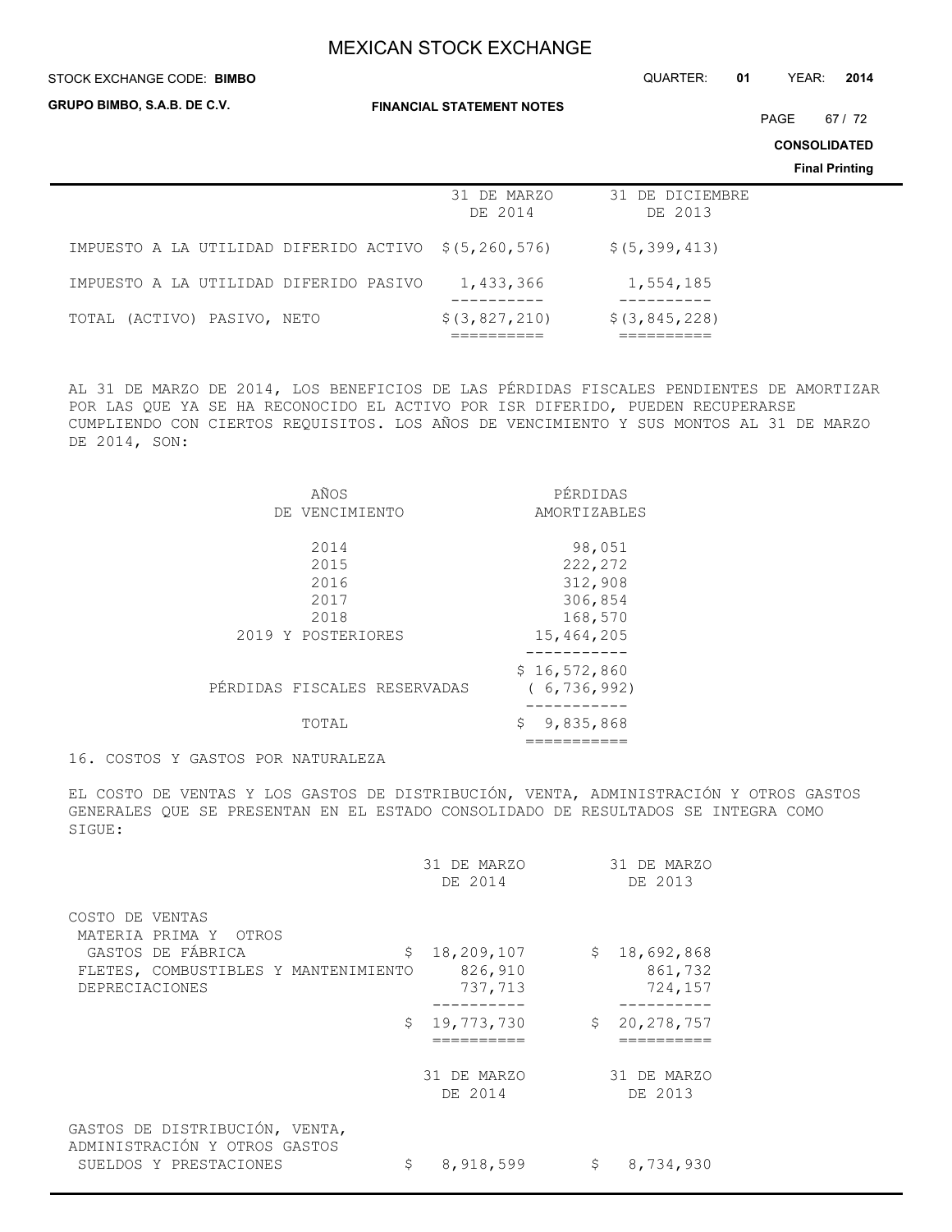#### STOCK EXCHANGE CODE: QUARTER: **01** YEAR: **2014 BIMBO**

**GRUPO BIMBO, S.A.B. DE C.V.**

**FINANCIAL STATEMENT NOTES**

PAGE 67 / 72

**CONSOLIDATED**

**Final Printing**

|                                                      | 31 DE MARZO<br>DE 2014 | 31 DE DICIEMBRE<br>DE 2013 |
|------------------------------------------------------|------------------------|----------------------------|
| IMPUESTO A LA UTILIDAD DIFERIDO ACTIVO \$(5,260,576) |                        | \$(5, 399, 413)            |
| IMPUESTO A LA UTILIDAD DIFERIDO PASIVO               | 1,433,366              | 1,554,185                  |
| (ACTIVO) PASIVO, NETO<br>TOTAL                       | \$ (3, 827, 210)       | $$$ $(3, 845, 228)$        |

AL 31 DE MARZO DE 2014, LOS BENEFICIOS DE LAS PÉRDIDAS FISCALES PENDIENTES DE AMORTIZAR POR LAS QUE YA SE HA RECONOCIDO EL ACTIVO POR ISR DIFERIDO, PUEDEN RECUPERARSE CUMPLIENDO CON CIERTOS REQUISITOS. LOS AÑOS DE VENCIMIENTO Y SUS MONTOS AL 31 DE MARZO DE 2014, SON:

| AÑOS                         | PÉRDIDAS        |
|------------------------------|-----------------|
| DE VENCIMIENTO               | AMORTIZABLES    |
| 2014                         | 98,051          |
| 2015                         | 222,272         |
| 2016                         | 312,908         |
| 2017                         | 306,854         |
| 2018                         | 168,570         |
| 2019 Y POSTERIORES           | 15,464,205      |
|                              |                 |
|                              | \$16,572,860    |
| PÉRDIDAS FISCALES RESERVADAS | (6, 736, 992)   |
| TOTAL                        | 9,835,868<br>\$ |
|                              |                 |
|                              |                 |

16. COSTOS Y GASTOS POR NATURALEZA

EL COSTO DE VENTAS Y LOS GASTOS DE DISTRIBUCIÓN, VENTA, ADMINISTRACIÓN Y OTROS GASTOS GENERALES QUE SE PRESENTAN EN EL ESTADO CONSOLIDADO DE RESULTADOS SE INTEGRA COMO SIGUE:

|                                                                 | 31 DE MARZO<br>DE 2014 | 31 DE MARZO<br>DE 2013 |
|-----------------------------------------------------------------|------------------------|------------------------|
| COSTO DE VENTAS<br>MATERIA PRIMA Y<br>OTROS                     |                        |                        |
| GASTOS DE FÁBRICA<br>\$                                         | 18,209,107             | \$18,692,868           |
| FLETES, COMBUSTIBLES Y MANTENIMIENTO                            | 826,910                | 861,732                |
| <b>DEPRECIACIONES</b>                                           | 737,713                | 724,157                |
|                                                                 |                        |                        |
| \$                                                              | 19,773,730             | \$<br>20, 278, 757     |
|                                                                 |                        |                        |
|                                                                 | 31 DE MARZO<br>DE 2014 | 31 DE MARZO<br>DE 2013 |
| GASTOS DE DISTRIBUCIÓN, VENTA,<br>ADMINISTRACIÓN Y OTROS GASTOS |                        |                        |
| \$<br>SUELDOS Y PRESTACIONES                                    | 8,918,599              | \$<br>8,734,930        |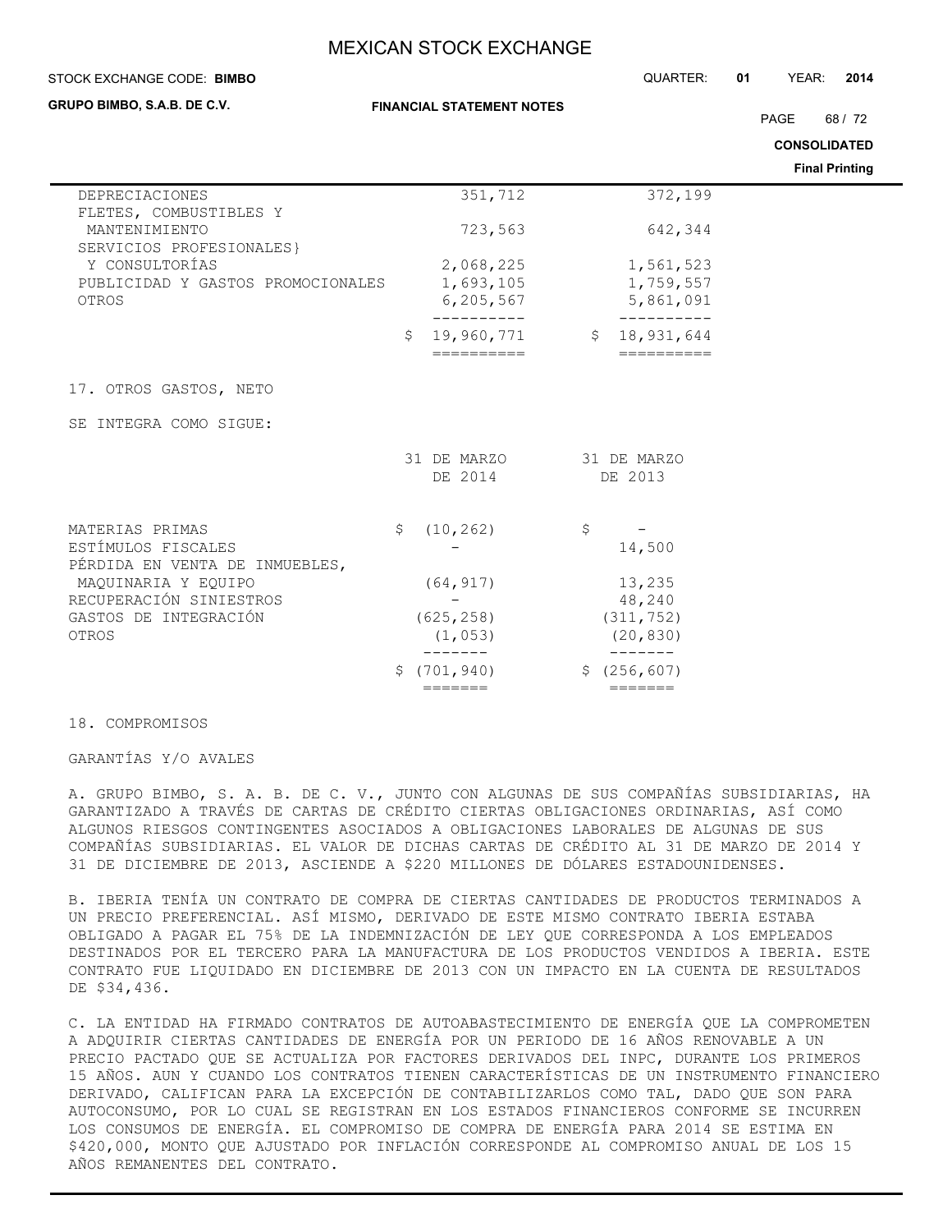| STOCK EXCHANGE CODE: BIMBO                                                               | QUARTER:                              | YEAR:<br>01<br>2014                         |                       |
|------------------------------------------------------------------------------------------|---------------------------------------|---------------------------------------------|-----------------------|
| GRUPO BIMBO, S.A.B. DE C.V.                                                              | <b>FINANCIAL STATEMENT NOTES</b>      |                                             | PAGE<br>68/72         |
|                                                                                          |                                       |                                             | <b>CONSOLIDATED</b>   |
|                                                                                          |                                       |                                             | <b>Final Printing</b> |
| DEPRECIACIONES                                                                           | 351,712                               | 372,199                                     |                       |
| FLETES, COMBUSTIBLES Y<br>MANTENIMIENTO                                                  | 723,563                               | 642,344                                     |                       |
| SERVICIOS PROFESIONALES}<br>Y CONSULTORÍAS<br>PUBLICIDAD Y GASTOS PROMOCIONALES<br>OTROS | 2,068,225<br>1,693,105<br>6, 205, 567 | 1,561,523<br>1,759,557<br>5,861,091         |                       |
|                                                                                          | Ŝ.<br>19,960,771<br>==========        | ----------<br>\$18,931,644                  |                       |
| 17. OTROS GASTOS, NETO                                                                   |                                       |                                             |                       |
| SE INTEGRA COMO SIGUE:                                                                   |                                       |                                             |                       |
|                                                                                          | 31 DE MARZO<br>DE 2014                | 31 DE MARZO<br>DE 2013                      |                       |
| MATERIAS PRIMAS<br>ESTÍMULOS FISCALES<br>PÉRDIDA EN VENTA DE INMUEBLES,                  | \$<br>(10, 262)                       | \$<br>14,500                                |                       |
| MAQUINARIA Y EQUIPO<br>RECUPERACIÓN SINIESTROS<br>GASTOS DE INTEGRACIÓN<br>OTROS         | (64, 917)<br>(625, 258)<br>(1, 053)   | 13,235<br>48,240<br>(311, 752)<br>(20, 830) |                       |
|                                                                                          | (701, 940)<br>\$                      | \$(256, 607)                                |                       |

#### 18. COMPROMISOS

GARANTÍAS Y/O AVALES

A. GRUPO BIMBO, S. A. B. DE C. V., JUNTO CON ALGUNAS DE SUS COMPAÑÍAS SUBSIDIARIAS, HA GARANTIZADO A TRAVÉS DE CARTAS DE CRÉDITO CIERTAS OBLIGACIONES ORDINARIAS, ASÍ COMO ALGUNOS RIESGOS CONTINGENTES ASOCIADOS A OBLIGACIONES LABORALES DE ALGUNAS DE SUS COMPAÑÍAS SUBSIDIARIAS. EL VALOR DE DICHAS CARTAS DE CRÉDITO AL 31 DE MARZO DE 2014 Y 31 DE DICIEMBRE DE 2013, ASCIENDE A \$220 MILLONES DE DÓLARES ESTADOUNIDENSES.

======= =======

B. IBERIA TENÍA UN CONTRATO DE COMPRA DE CIERTAS CANTIDADES DE PRODUCTOS TERMINADOS A UN PRECIO PREFERENCIAL. ASÍ MISMO, DERIVADO DE ESTE MISMO CONTRATO IBERIA ESTABA OBLIGADO A PAGAR EL 75% DE LA INDEMNIZACIÓN DE LEY QUE CORRESPONDA A LOS EMPLEADOS DESTINADOS POR EL TERCERO PARA LA MANUFACTURA DE LOS PRODUCTOS VENDIDOS A IBERIA. ESTE CONTRATO FUE LIQUIDADO EN DICIEMBRE DE 2013 CON UN IMPACTO EN LA CUENTA DE RESULTADOS DE \$34,436.

C. LA ENTIDAD HA FIRMADO CONTRATOS DE AUTOABASTECIMIENTO DE ENERGÍA QUE LA COMPROMETEN A ADQUIRIR CIERTAS CANTIDADES DE ENERGÍA POR UN PERIODO DE 16 AÑOS RENOVABLE A UN PRECIO PACTADO QUE SE ACTUALIZA POR FACTORES DERIVADOS DEL INPC, DURANTE LOS PRIMEROS 15 AÑOS. AUN Y CUANDO LOS CONTRATOS TIENEN CARACTERÍSTICAS DE UN INSTRUMENTO FINANCIERO DERIVADO, CALIFICAN PARA LA EXCEPCIÓN DE CONTABILIZARLOS COMO TAL, DADO QUE SON PARA AUTOCONSUMO, POR LO CUAL SE REGISTRAN EN LOS ESTADOS FINANCIEROS CONFORME SE INCURREN LOS CONSUMOS DE ENERGÍA. EL COMPROMISO DE COMPRA DE ENERGÍA PARA 2014 SE ESTIMA EN \$420,000, MONTO QUE AJUSTADO POR INFLACIÓN CORRESPONDE AL COMPROMISO ANUAL DE LOS 15 AÑOS REMANENTES DEL CONTRATO.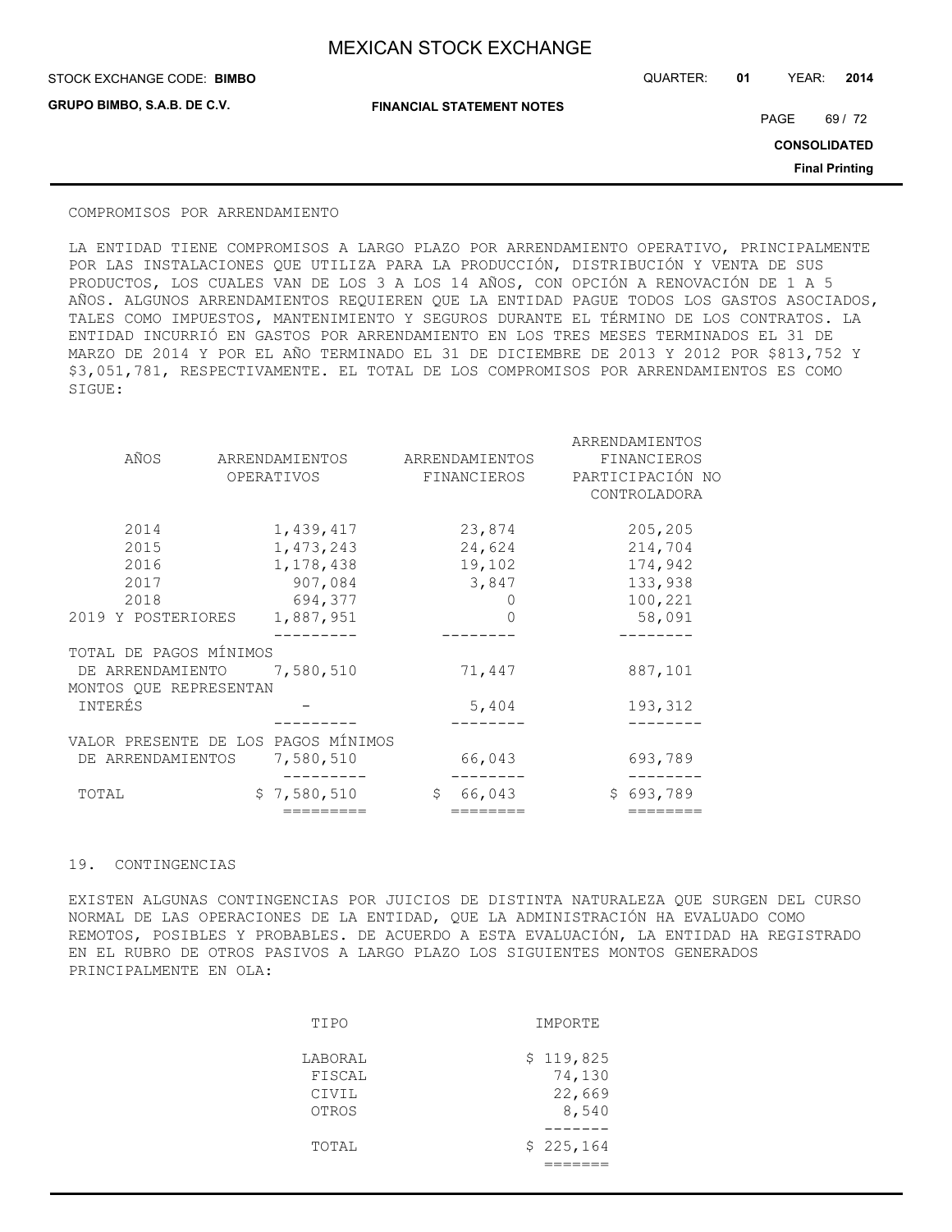**GRUPO BIMBO, S.A.B. DE C.V.**

STOCK EXCHANGE CODE: QUARTER: **01** YEAR: **2014 BIMBO**

**FINANCIAL STATEMENT NOTES**

PAGE 69 / 72

**CONSOLIDATED**

**Final Printing**

#### COMPROMISOS POR ARRENDAMIENTO

LA ENTIDAD TIENE COMPROMISOS A LARGO PLAZO POR ARRENDAMIENTO OPERATIVO, PRINCIPALMENTE POR LAS INSTALACIONES QUE UTILIZA PARA LA PRODUCCIÓN, DISTRIBUCIÓN Y VENTA DE SUS PRODUCTOS, LOS CUALES VAN DE LOS 3 A LOS 14 AÑOS, CON OPCIÓN A RENOVACIÓN DE 1 A 5 AÑOS. ALGUNOS ARRENDAMIENTOS REQUIEREN QUE LA ENTIDAD PAGUE TODOS LOS GASTOS ASOCIADOS, TALES COMO IMPUESTOS, MANTENIMIENTO Y SEGUROS DURANTE EL TÉRMINO DE LOS CONTRATOS. LA ENTIDAD INCURRIÓ EN GASTOS POR ARRENDAMIENTO EN LOS TRES MESES TERMINADOS EL 31 DE MARZO DE 2014 Y POR EL AÑO TERMINADO EL 31 DE DICIEMBRE DE 2013 Y 2012 POR \$813,752 Y \$3,051,781, RESPECTIVAMENTE. EL TOTAL DE LOS COMPROMISOS POR ARRENDAMIENTOS ES COMO SIGUE:

|                                     |                |                | ARRENDAMIENTOS                   |
|-------------------------------------|----------------|----------------|----------------------------------|
| AÑOS                                | ARRENDAMIENTOS | ARRENDAMIENTOS | FINANCIEROS                      |
|                                     | OPERATIVOS     | FINANCIEROS    | PARTICIPACIÓN NO<br>CONTROLADORA |
| 2014                                | 1,439,417      | 23,874         | 205,205                          |
| 2015                                | 1,473,243      | 24,624         | 214,704                          |
| 2016                                | 1,178,438      | 19,102         | 174,942                          |
| 2017                                | 907,084        | 3,847          | 133,938                          |
| 2018                                | 694,377        |                | 100,221                          |
| 2019 Y POSTERIORES                  | 1,887,951      | 0              | 58,091                           |
|                                     |                |                |                                  |
| TOTAL DE PAGOS MÍNIMOS              |                |                |                                  |
| DE ARRENDAMIENTO 7,580,510          |                | 71,447         | 887,101                          |
| MONTOS QUE REPRESENTAN<br>INTERÉS   |                | 5,404          | 193,312                          |
|                                     |                |                |                                  |
| VALOR PRESENTE DE LOS PAGOS MÍNIMOS |                |                |                                  |
| DE ARRENDAMIENTOS                   | 7,580,510      | 66,043         | 693,789                          |
| TOTAL                               | \$7,580,510    | 66,043<br>\$   | \$693,789                        |
|                                     | :========      | =======        |                                  |

#### 19. CONTINGENCIAS

EXISTEN ALGUNAS CONTINGENCIAS POR JUICIOS DE DISTINTA NATURALEZA QUE SURGEN DEL CURSO NORMAL DE LAS OPERACIONES DE LA ENTIDAD, QUE LA ADMINISTRACIÓN HA EVALUADO COMO REMOTOS, POSIBLES Y PROBABLES. DE ACUERDO A ESTA EVALUACIÓN, LA ENTIDAD HA REGISTRADO EN EL RUBRO DE OTROS PASIVOS A LARGO PLAZO LOS SIGUIENTES MONTOS GENERADOS PRINCIPALMENTE EN OLA:

| TIPO    | IMPORTE   |
|---------|-----------|
| LABORAL | \$119,825 |
| FISCAL  | 74,130    |
| CIVIL   | 22,669    |
| OTROS   | 8,540     |
|         |           |
| TOTAL   | \$225,164 |
|         |           |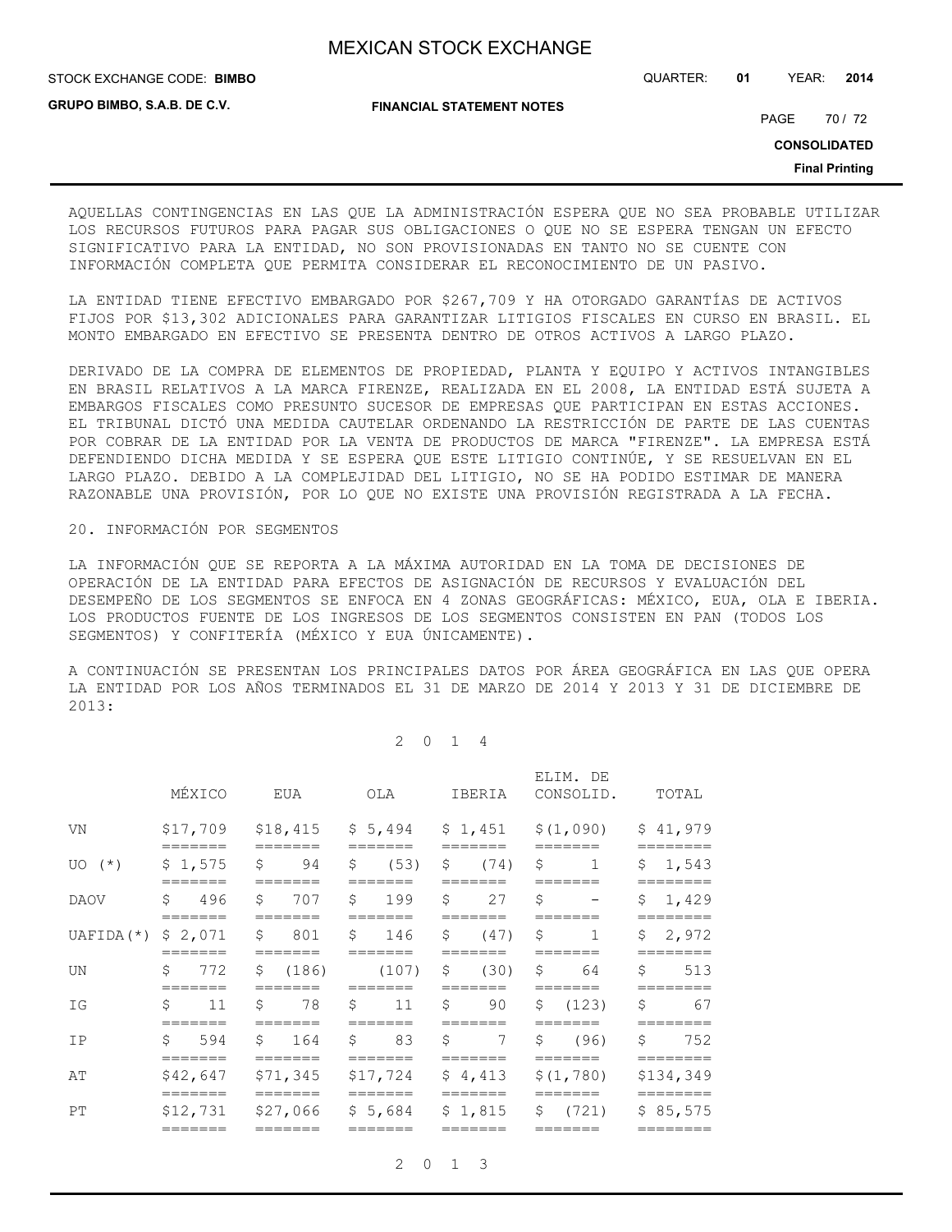STOCK EXCHANGE CODE: QUARTER: **01** YEAR: **2014 BIMBO**

**GRUPO BIMBO, S.A.B. DE C.V.**

**FINANCIAL STATEMENT NOTES**

PAGE 70 / 72

**CONSOLIDATED**

**Final Printing**

AQUELLAS CONTINGENCIAS EN LAS QUE LA ADMINISTRACIÓN ESPERA QUE NO SEA PROBABLE UTILIZAR LOS RECURSOS FUTUROS PARA PAGAR SUS OBLIGACIONES O QUE NO SE ESPERA TENGAN UN EFECTO SIGNIFICATIVO PARA LA ENTIDAD, NO SON PROVISIONADAS EN TANTO NO SE CUENTE CON INFORMACIÓN COMPLETA QUE PERMITA CONSIDERAR EL RECONOCIMIENTO DE UN PASIVO.

LA ENTIDAD TIENE EFECTIVO EMBARGADO POR \$267,709 Y HA OTORGADO GARANTÍAS DE ACTIVOS FIJOS POR \$13,302 ADICIONALES PARA GARANTIZAR LITIGIOS FISCALES EN CURSO EN BRASIL. EL MONTO EMBARGADO EN EFECTIVO SE PRESENTA DENTRO DE OTROS ACTIVOS A LARGO PLAZO.

DERIVADO DE LA COMPRA DE ELEMENTOS DE PROPIEDAD, PLANTA Y EQUIPO Y ACTIVOS INTANGIBLES EN BRASIL RELATIVOS A LA MARCA FIRENZE, REALIZADA EN EL 2008, LA ENTIDAD ESTÁ SUJETA A EMBARGOS FISCALES COMO PRESUNTO SUCESOR DE EMPRESAS QUE PARTICIPAN EN ESTAS ACCIONES. EL TRIBUNAL DICTÓ UNA MEDIDA CAUTELAR ORDENANDO LA RESTRICCIÓN DE PARTE DE LAS CUENTAS POR COBRAR DE LA ENTIDAD POR LA VENTA DE PRODUCTOS DE MARCA "FIRENZE". LA EMPRESA ESTÁ DEFENDIENDO DICHA MEDIDA Y SE ESPERA QUE ESTE LITIGIO CONTINÚE, Y SE RESUELVAN EN EL LARGO PLAZO. DEBIDO A LA COMPLEJIDAD DEL LITIGIO, NO SE HA PODIDO ESTIMAR DE MANERA RAZONABLE UNA PROVISIÓN, POR LO QUE NO EXISTE UNA PROVISIÓN REGISTRADA A LA FECHA.

#### 20. INFORMACIÓN POR SEGMENTOS

LA INFORMACIÓN QUE SE REPORTA A LA MÁXIMA AUTORIDAD EN LA TOMA DE DECISIONES DE OPERACIÓN DE LA ENTIDAD PARA EFECTOS DE ASIGNACIÓN DE RECURSOS Y EVALUACIÓN DEL DESEMPEÑO DE LOS SEGMENTOS SE ENFOCA EN 4 ZONAS GEOGRÁFICAS: MÉXICO, EUA, OLA E IBERIA. LOS PRODUCTOS FUENTE DE LOS INGRESOS DE LOS SEGMENTOS CONSISTEN EN PAN (TODOS LOS SEGMENTOS) Y CONFITERÍA (MÉXICO Y EUA ÚNICAMENTE).

A CONTINUACIÓN SE PRESENTAN LOS PRINCIPALES DATOS POR ÁREA GEOGRÁFICA EN LAS QUE OPERA LA ENTIDAD POR LOS AÑOS TERMINADOS EL 31 DE MARZO DE 2014 Y 2013 Y 31 DE DICIEMBRE DE 2013:

2 0 1 4

|                       | MÉXICO                   | EUA                                | OLA                           | IBERIA                             | ELIM. DE<br>CONSOLID.                                                 | TOTAL                         |  |
|-----------------------|--------------------------|------------------------------------|-------------------------------|------------------------------------|-----------------------------------------------------------------------|-------------------------------|--|
| VN                    | =======                  | =======                            | =======                       | =======                            | $$17,709$ $$18,415$ $$5,494$ $$1,451$ $$(1,090)$ $$41,979$<br>======= |                               |  |
| $UO(*)$               | \$1,575<br>=======       | =======                            | \$ 94 \$ (53) \$ (74) \$      | =======                            | $\sim$ 1 $\sim$<br>$=$ $=$ $=$ $=$ $=$ $=$                            | \$1,543<br>========           |  |
| DAOV                  | \$ 496<br>=======        | =======                            | $$707$ $$199$ $$27$ $$-$      | =======                            | =======                                                               | \$1,429<br>========           |  |
| UAFIDA $(*)$ \$ 2,071 | =======                  | =======                            |                               | =======                            | $$801$ $$146$ $$47)$ $$1$                                             | \$2,972<br>========           |  |
| UN                    | \$772<br>=======         | \$(186)<br>$=$ $=$ $=$ $=$ $=$ $=$ | $=$ $=$ $=$ $=$ $=$ $=$       | $(107)$ \$ $(30)$ \$ 64<br>======= |                                                                       | \$513<br>$=$ = = = = = = =    |  |
| ΙG                    | $\sin 11$<br>=======     | \$78S                              |                               | $11 \quad$ \$ 90<br>=======        | \$ (123)                                                              | 67<br>\$<br>$=$ = = = = = = = |  |
| IP                    | $5 \quad 594$<br>======= | $$164$ \$<br>=======               | 83<br>$=$ $=$ $=$ $=$ $=$ $=$ | $\mathsf{S}$<br>=======            | $7 \quad$ \$ (96)<br>$=$ = = = = = =                                  | \$752<br>========             |  |
| AΤ                    | \$42,647                 |                                    |                               |                                    | $$71,345$ $$17,724$ $$4,413$ $$(1,780)$                               | \$134,349                     |  |
| PT                    | =======<br>_______       | =======                            | =======<br>=======            | =======                            | $$12,731$ $$27,066$ $$5,684$ $$1,815$ $$(721)$                        | ========<br>\$85,575          |  |

2 0 1 3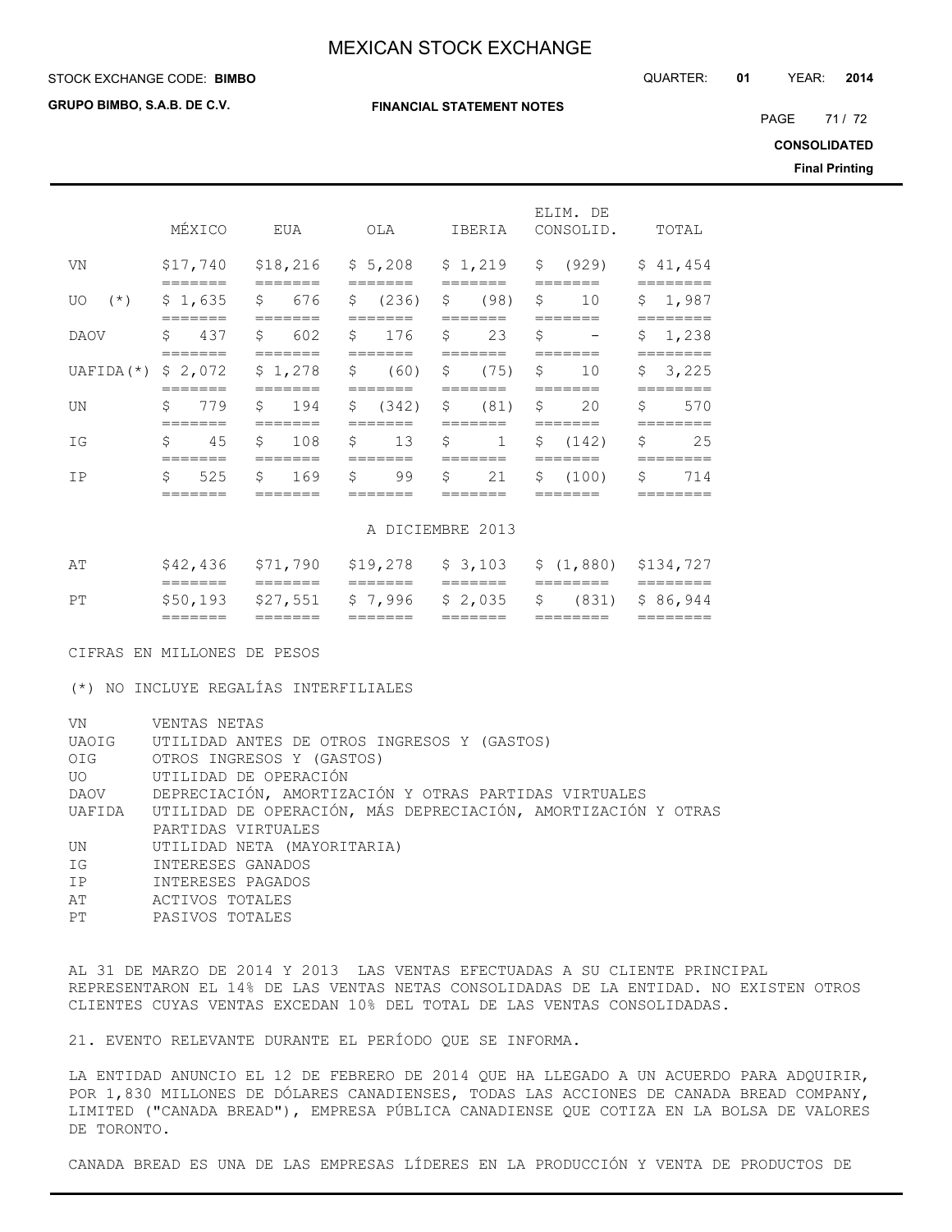**FINANCIAL STATEMENT NOTES**

#### STOCK EXCHANGE CODE: QUARTER: **01** YEAR: **2014 BIMBO**

**GRUPO BIMBO, S.A.B. DE C.V.**

PAGE 71/72

**CONSOLIDATED**

**Final Printing**

|                      | MÉXICO               | EUA                            | OLA                | IBERIA                        | ELIM. DE<br>CONSOLID.          | TOTAL                |  |  |  |
|----------------------|----------------------|--------------------------------|--------------------|-------------------------------|--------------------------------|----------------------|--|--|--|
| VN                   | \$17,740             | \$18,216                       | \$5,208            | \$1,219                       | \$ (929)                       | \$41,454             |  |  |  |
| $(\star)$<br>UO.     | \$1,635              | \$<br>676                      | \$<br>(236)        | \$<br>(98)                    | \$<br>10                       | 1,987<br>\$          |  |  |  |
| <b>DAOV</b>          | \$<br>437            | \$<br>602                      | \$<br>176          | _______<br>\$<br>23           | \$<br>$\overline{\phantom{m}}$ | \$<br>1,238          |  |  |  |
| $UAFIDA$ ( $\star$ ) | \$2,072              | \$1,278                        | Ŝ.<br>(60)         | (75)<br>\$                    | \$<br>10                       | \$<br>3,225          |  |  |  |
| UN                   | \$<br>779            | $\mathsf{S}$<br>194            | \$<br>(342)        | \$<br>(81)                    | \$<br>20                       | \$<br>570            |  |  |  |
| ΙG                   | _______<br>\$<br>45  | \$<br>108                      | \$<br>13           | _______<br>\$<br>$\mathbf{1}$ | \$ (142)                       | ========<br>\$<br>25 |  |  |  |
| <b>TP</b>            | =======<br>Ŝ.<br>525 | =======<br>$\mathsf{S}$<br>169 | ======<br>\$<br>99 | =======<br>\$<br>21           | =======<br>\$<br>(100)         | =======<br>\$<br>714 |  |  |  |
|                      | _______              |                                |                    |                               |                                |                      |  |  |  |

#### A DICIEMBRE 2013

|    | _______            | _______            | _____              | _______                                       |          |                   |
|----|--------------------|--------------------|--------------------|-----------------------------------------------|----------|-------------------|
| PТ |                    |                    |                    | $$50,193$ $$27,551$ $$7,996$ $$2,035$ $$$     |          | $(831)$ \$ 86,944 |
|    | _______<br>_______ | _______<br>_______ | _______<br>_______ | _______<br>_______                            | ________ |                   |
| ΆT | \$42,436           |                    |                    | \$71,790 \$19,278 \$3,103 \$(1,880) \$134,727 |          |                   |

CIFRAS EN MILLONES DE PESOS

(\*) NO INCLUYE REGALÍAS INTERFILIALES

| VN<br>UAOIG<br>OIG | VENTAS NETAS<br>UTILIDAD ANTES DE OTROS INGRESOS Y (GASTOS)<br>OTROS INGRESOS Y (GASTOS) |
|--------------------|------------------------------------------------------------------------------------------|
| UO DI              | UTILIDAD DE OPERACIÓN                                                                    |
|                    | DAOV DEPRECIACIÓN, AMORTIZACIÓN Y OTRAS PARTIDAS VIRTUALES                               |
|                    | UAFIDA UTILIDAD DE OPERACIÓN, MÁS DEPRECIACIÓN, AMORTIZACIÓN Y OTRAS                     |
|                    | PARTIDAS VIRTUALES                                                                       |
| UN                 | UTILIDAD NETA (MAYORITARIA)                                                              |
| ΙG                 | INTERESES GANADOS                                                                        |
| IP                 | INTERESES PAGADOS                                                                        |
| AT                 | ACTIVOS TOTALES                                                                          |
| PT                 | PASIVOS TOTALES                                                                          |

AL 31 DE MARZO DE 2014 Y 2013 LAS VENTAS EFECTUADAS A SU CLIENTE PRINCIPAL REPRESENTARON EL 14% DE LAS VENTAS NETAS CONSOLIDADAS DE LA ENTIDAD. NO EXISTEN OTROS CLIENTES CUYAS VENTAS EXCEDAN 10% DEL TOTAL DE LAS VENTAS CONSOLIDADAS.

21. EVENTO RELEVANTE DURANTE EL PERÍODO QUE SE INFORMA.

LA ENTIDAD ANUNCIO EL 12 DE FEBRERO DE 2014 QUE HA LLEGADO A UN ACUERDO PARA ADQUIRIR, POR 1,830 MILLONES DE DÓLARES CANADIENSES, TODAS LAS ACCIONES DE CANADA BREAD COMPANY, LIMITED ("CANADA BREAD"), EMPRESA PÚBLICA CANADIENSE QUE COTIZA EN LA BOLSA DE VALORES DE TORONTO.

CANADA BREAD ES UNA DE LAS EMPRESAS LÍDERES EN LA PRODUCCIÓN Y VENTA DE PRODUCTOS DE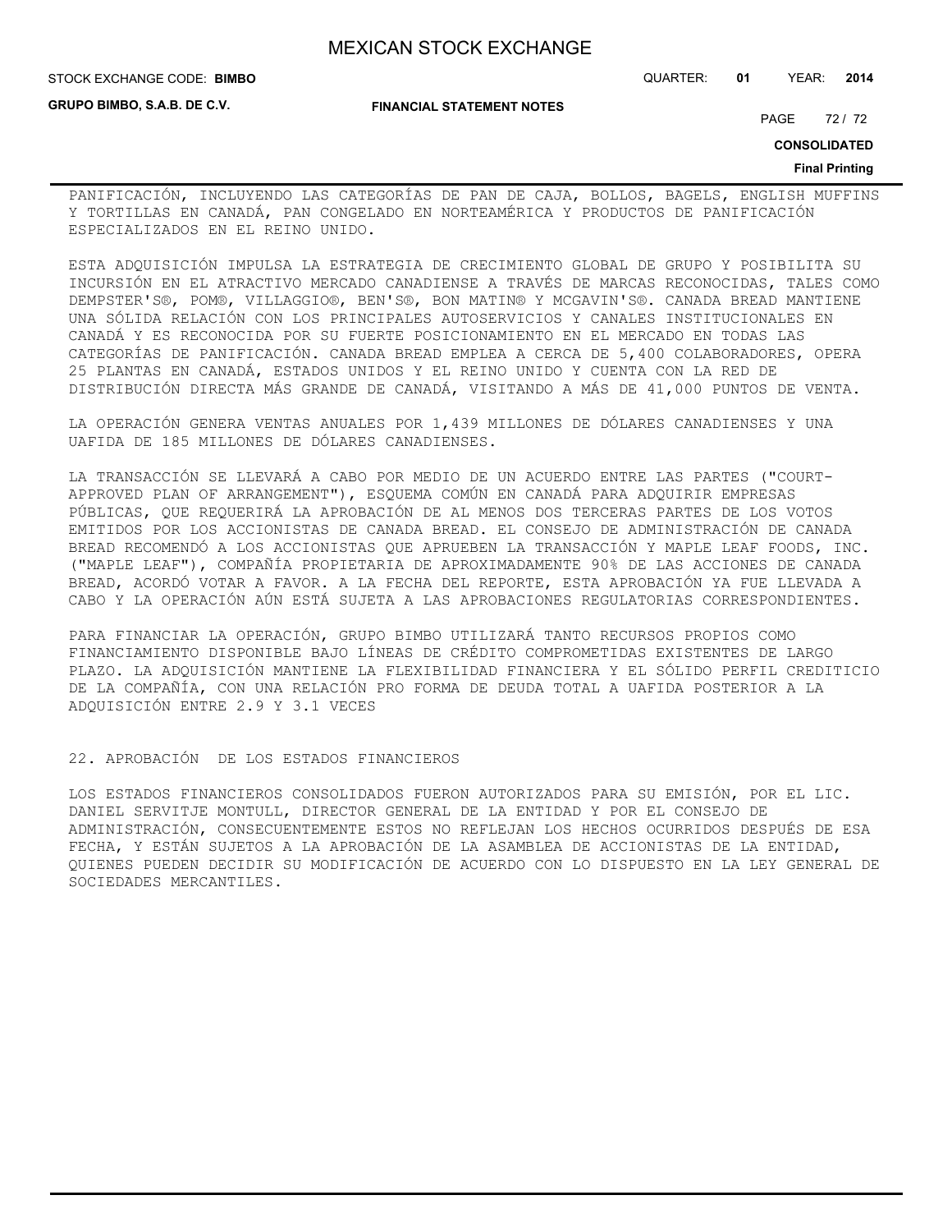**GRUPO BIMBO, S.A.B. DE C.V.**

#### **FINANCIAL STATEMENT NOTES**

STOCK EXCHANGE CODE: QUARTER: **01** YEAR: **2014 BIMBO**

PAGE 72 / 72

**CONSOLIDATED**

#### **Final Printing**

PANIFICACIÓN, INCLUYENDO LAS CATEGORÍAS DE PAN DE CAJA, BOLLOS, BAGELS, ENGLISH MUFFINS Y TORTILLAS EN CANADÁ, PAN CONGELADO EN NORTEAMÉRICA Y PRODUCTOS DE PANIFICACIÓN ESPECIALIZADOS EN EL REINO UNIDO.

ESTA ADQUISICIÓN IMPULSA LA ESTRATEGIA DE CRECIMIENTO GLOBAL DE GRUPO Y POSIBILITA SU INCURSIÓN EN EL ATRACTIVO MERCADO CANADIENSE A TRAVÉS DE MARCAS RECONOCIDAS, TALES COMO DEMPSTER'S®, POM®, VILLAGGIO®, BEN'S®, BON MATIN® Y MCGAVIN'S®. CANADA BREAD MANTIENE UNA SÓLIDA RELACIÓN CON LOS PRINCIPALES AUTOSERVICIOS Y CANALES INSTITUCIONALES EN CANADÁ Y ES RECONOCIDA POR SU FUERTE POSICIONAMIENTO EN EL MERCADO EN TODAS LAS CATEGORÍAS DE PANIFICACIÓN. CANADA BREAD EMPLEA A CERCA DE 5,400 COLABORADORES, OPERA 25 PLANTAS EN CANADÁ, ESTADOS UNIDOS Y EL REINO UNIDO Y CUENTA CON LA RED DE DISTRIBUCIÓN DIRECTA MÁS GRANDE DE CANADÁ, VISITANDO A MÁS DE 41,000 PUNTOS DE VENTA.

LA OPERACIÓN GENERA VENTAS ANUALES POR 1,439 MILLONES DE DÓLARES CANADIENSES Y UNA UAFIDA DE 185 MILLONES DE DÓLARES CANADIENSES.

LA TRANSACCIÓN SE LLEVARÁ A CABO POR MEDIO DE UN ACUERDO ENTRE LAS PARTES ("COURT-APPROVED PLAN OF ARRANGEMENT"), ESQUEMA COMÚN EN CANADÁ PARA ADQUIRIR EMPRESAS PÚBLICAS, QUE REQUERIRÁ LA APROBACIÓN DE AL MENOS DOS TERCERAS PARTES DE LOS VOTOS EMITIDOS POR LOS ACCIONISTAS DE CANADA BREAD. EL CONSEJO DE ADMINISTRACIÓN DE CANADA BREAD RECOMENDÓ A LOS ACCIONISTAS QUE APRUEBEN LA TRANSACCIÓN Y MAPLE LEAF FOODS, INC. ("MAPLE LEAF"), COMPAÑÍA PROPIETARIA DE APROXIMADAMENTE 90% DE LAS ACCIONES DE CANADA BREAD, ACORDÓ VOTAR A FAVOR. A LA FECHA DEL REPORTE, ESTA APROBACIÓN YA FUE LLEVADA A CABO Y LA OPERACIÓN AÚN ESTÁ SUJETA A LAS APROBACIONES REGULATORIAS CORRESPONDIENTES.

PARA FINANCIAR LA OPERACIÓN, GRUPO BIMBO UTILIZARÁ TANTO RECURSOS PROPIOS COMO FINANCIAMIENTO DISPONIBLE BAJO LÍNEAS DE CRÉDITO COMPROMETIDAS EXISTENTES DE LARGO PLAZO. LA ADQUISICIÓN MANTIENE LA FLEXIBILIDAD FINANCIERA Y EL SÓLIDO PERFIL CREDITICIO DE LA COMPAÑÍA, CON UNA RELACIÓN PRO FORMA DE DEUDA TOTAL A UAFIDA POSTERIOR A LA ADQUISICIÓN ENTRE 2.9 Y 3.1 VECES

22. APROBACIÓN DE LOS ESTADOS FINANCIEROS

LOS ESTADOS FINANCIEROS CONSOLIDADOS FUERON AUTORIZADOS PARA SU EMISIÓN, POR EL LIC. DANIEL SERVITJE MONTULL, DIRECTOR GENERAL DE LA ENTIDAD Y POR EL CONSEJO DE ADMINISTRACIÓN, CONSECUENTEMENTE ESTOS NO REFLEJAN LOS HECHOS OCURRIDOS DESPUÉS DE ESA FECHA, Y ESTÁN SUJETOS A LA APROBACIÓN DE LA ASAMBLEA DE ACCIONISTAS DE LA ENTIDAD, QUIENES PUEDEN DECIDIR SU MODIFICACIÓN DE ACUERDO CON LO DISPUESTO EN LA LEY GENERAL DE SOCIEDADES MERCANTILES.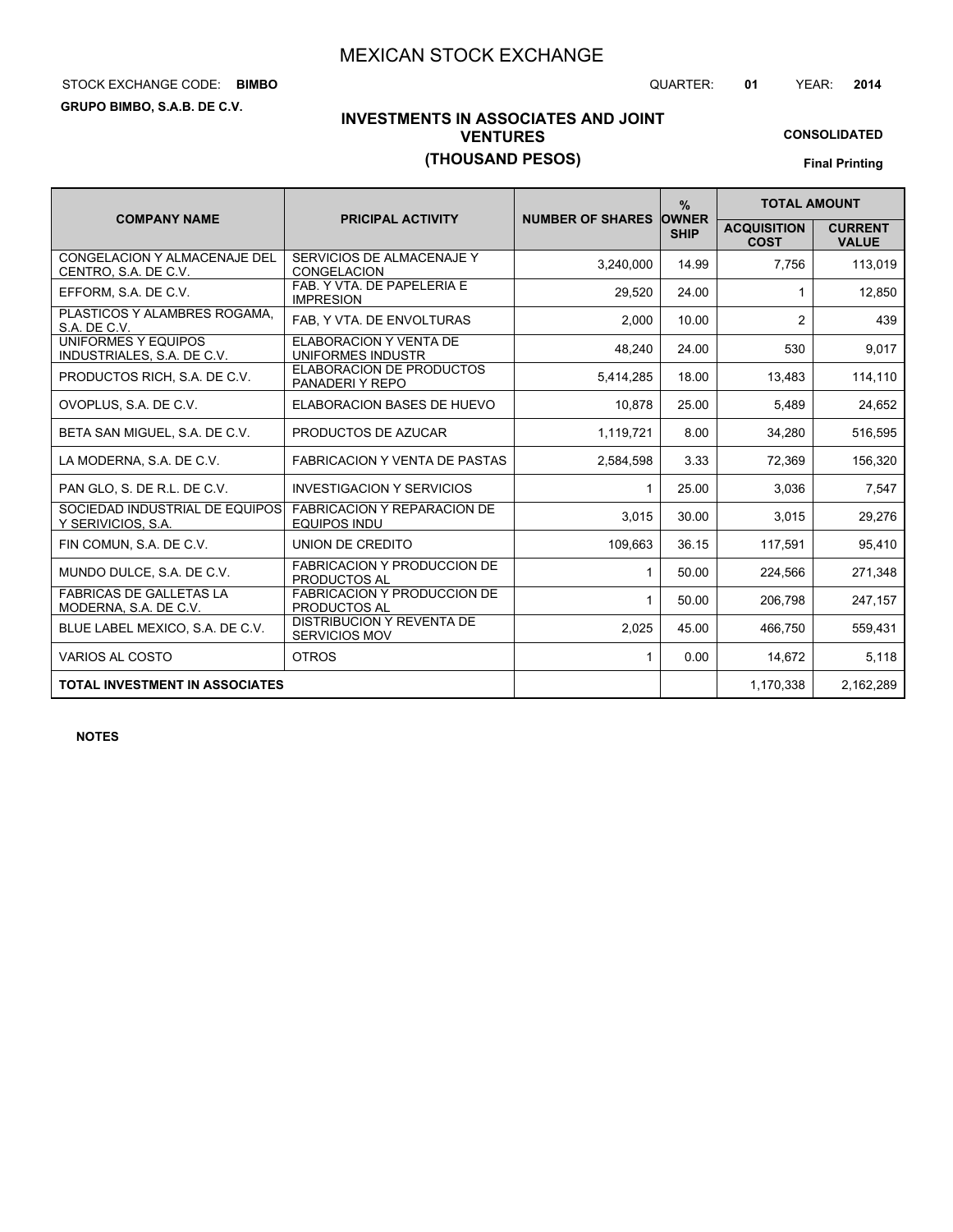## STOCK EXCHANGE CODE: QUARTER: **01** YEAR: **2014 BIMBO**

**GRUPO BIMBO, S.A.B. DE C.V.**

## **INVESTMENTS IN ASSOCIATES AND JOINT VENTURES (THOUSAND PESOS)**

# **CONSOLIDATED**

**Final Printing**

|                                                         |                                                           |                               | $\frac{9}{6}$ | <b>TOTAL AMOUNT</b>               |                                |  |
|---------------------------------------------------------|-----------------------------------------------------------|-------------------------------|---------------|-----------------------------------|--------------------------------|--|
| <b>COMPANY NAME</b>                                     | <b>PRICIPAL ACTIVITY</b>                                  | <b>NUMBER OF SHARES OWNER</b> | <b>SHIP</b>   | <b>ACQUISITION</b><br><b>COST</b> | <b>CURRENT</b><br><b>VALUE</b> |  |
| CONGELACION Y ALMACENAJE DEL<br>CENTRO, S.A. DE C.V.    | SERVICIOS DE ALMACENAJE Y<br><b>CONGELACION</b>           | 3,240,000                     | 14.99         | 7,756                             | 113,019                        |  |
| EFFORM, S.A. DE C.V.                                    | FAB. Y VTA. DE PAPELERIA E<br><b>IMPRESION</b>            | 29,520                        | 24.00         |                                   | 12,850                         |  |
| PLASTICOS Y ALAMBRES ROGAMA.<br>S.A. DE C.V.            | FAB, Y VTA. DE ENVOLTURAS                                 | 2,000                         | 10.00         | 2                                 | 439                            |  |
| UNIFORMES Y EQUIPOS<br>INDUSTRIALES, S.A. DE C.V.       | <b>ELABORACION Y VENTA DE</b><br>UNIFORMES INDUSTR        | 48,240                        | 24.00         | 530                               | 9,017                          |  |
| PRODUCTOS RICH, S.A. DE C.V.                            | <b>ELABORACION DE PRODUCTOS</b><br>PANADERIY REPO         | 5,414,285                     | 18.00         | 13,483                            | 114,110                        |  |
| OVOPLUS, S.A. DE C.V.                                   | <b>ELABORACION BASES DE HUEVO</b>                         | 10.878                        | 25.00         | 5,489                             | 24,652                         |  |
| BETA SAN MIGUEL, S.A. DE C.V.                           | PRODUCTOS DE AZUCAR                                       | 1,119,721                     | 8.00          | 34.280                            | 516,595                        |  |
| LA MODERNA, S.A. DE C.V.                                | <b>FABRICACION Y VENTA DE PASTAS</b>                      | 2,584,598                     | 3.33          | 72,369                            | 156,320                        |  |
| PAN GLO. S. DE R.L. DE C.V.                             | <b>INVESTIGACION Y SERVICIOS</b>                          | 1                             | 25.00         | 3,036                             | 7,547                          |  |
| SOCIEDAD INDUSTRIAL DE EQUIPOS<br>Y SERIVICIOS, S.A.    | <b>FABRICACION Y REPARACION DE</b><br><b>EQUIPOS INDU</b> | 3,015                         | 30.00         | 3,015                             | 29,276                         |  |
| FIN COMUN, S.A. DE C.V.                                 | UNION DE CREDITO                                          | 109,663                       | 36.15         | 117,591                           | 95,410                         |  |
| MUNDO DULCE, S.A. DE C.V.                               | <b>FABRICACION Y PRODUCCION DE</b><br><b>PRODUCTOS AL</b> | 1                             | 50.00         | 224,566                           | 271,348                        |  |
| <b>FABRICAS DE GALLETAS LA</b><br>MODERNA, S.A. DE C.V. | <b>FABRICACION Y PRODUCCION DE</b><br>PRODUCTOS AL        | 1                             | 50.00         | 206,798                           | 247,157                        |  |
| BLUE LABEL MEXICO, S.A. DE C.V.                         | <b>DISTRIBUCION Y REVENTA DE</b><br><b>SERVICIOS MOV</b>  | 2,025                         | 45.00         | 466.750                           | 559,431                        |  |
| <b>VARIOS AL COSTO</b>                                  | <b>OTROS</b>                                              | $\mathbf{1}$                  | 0.00          | 14,672                            | 5,118                          |  |
| <b>TOTAL INVESTMENT IN ASSOCIATES</b>                   |                                                           |                               |               | 1,170,338                         | 2,162,289                      |  |

**NOTES**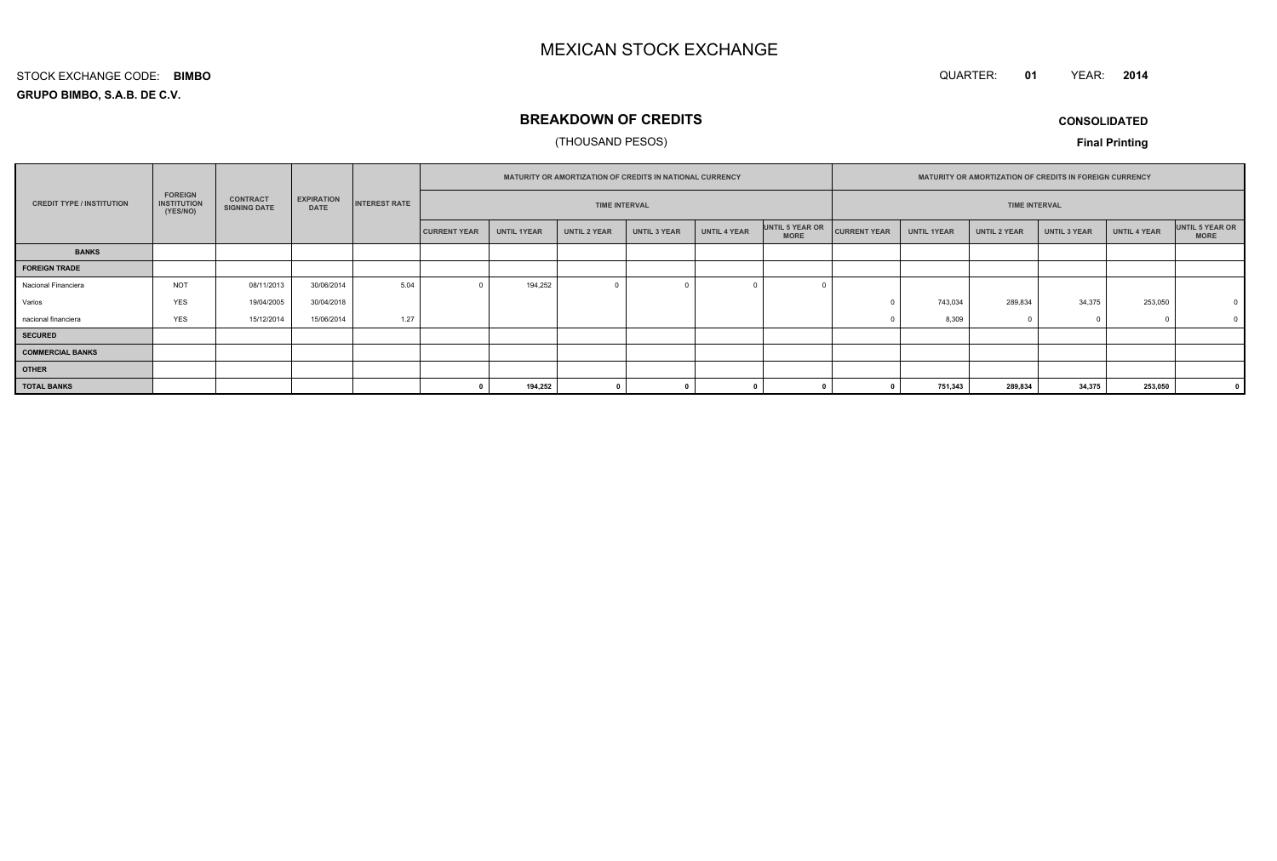QUARTER: **01**YEAR: **<sup>2014</sup>**

#### **GRUPO BIMBO, S.A.B. DE C.V.**STOCK EXCHANGE CODE:**BIMBO**

## **BREAKDOWN OF CREDITS**

#### (THOUSAND PESOS)

**CONSOLIDATED**

|                                  |                                                  |                                        |                                  | <b>MATURITY OR AMORTIZATION OF CREDITS IN NATIONAL CURRENCY</b> |                     |                      |                         | <b>MATURITY OR AMORTIZATION OF CREDITS IN FOREIGN CURRENCY</b> |                     |                                |                     |                    |                     |                     |                     |                                |
|----------------------------------|--------------------------------------------------|----------------------------------------|----------------------------------|-----------------------------------------------------------------|---------------------|----------------------|-------------------------|----------------------------------------------------------------|---------------------|--------------------------------|---------------------|--------------------|---------------------|---------------------|---------------------|--------------------------------|
| <b>CREDIT TYPE / INSTITUTION</b> | <b>FOREIGN</b><br><b>INSTITUTION</b><br>(YES/NO) | <b>CONTRACT</b><br><b>SIGNING DATE</b> | <b>EXPIRATION</b><br><b>DATE</b> | <b>INTEREST RATE</b>                                            |                     | <b>TIME INTERVAL</b> |                         |                                                                |                     | <b>TIME INTERVAL</b>           |                     |                    |                     |                     |                     |                                |
|                                  |                                                  |                                        |                                  |                                                                 | <b>CURRENT YEAR</b> | <b>UNTIL 1YEAR</b>   | <b>UNTIL 2 YEAR</b>     | <b>UNTIL 3 YEAR</b>                                            | <b>UNTIL 4 YEAR</b> | UNTIL 5 YEAR OR<br><b>MORE</b> | <b>CURRENT YEAR</b> | <b>UNTIL 1YEAR</b> | <b>UNTIL 2 YEAR</b> | <b>UNTIL 3 YEAR</b> | <b>UNTIL 4 YEAR</b> | UNTIL 5 YEAR OR<br><b>MORE</b> |
| <b>BANKS</b>                     |                                                  |                                        |                                  |                                                                 |                     |                      |                         |                                                                |                     |                                |                     |                    |                     |                     |                     |                                |
| <b>FOREIGN TRADE</b>             |                                                  |                                        |                                  |                                                                 |                     |                      |                         |                                                                |                     |                                |                     |                    |                     |                     |                     |                                |
| Nacional Financiera              | <b>NOT</b>                                       | 08/11/2013                             | 30/06/2014                       | 5.04                                                            |                     | 194,252              | $\overline{\mathbf{0}}$ |                                                                |                     |                                |                     |                    |                     |                     |                     |                                |
| Varios                           | <b>YES</b>                                       | 19/04/2005                             | 30/04/2018                       |                                                                 |                     |                      |                         |                                                                |                     |                                |                     | 743,034            | 289,834             | 34,375              | 253,050             | $^{\circ}$                     |
| nacional financiera              | <b>YES</b>                                       | 15/12/2014                             | 15/06/2014                       | 1.27                                                            |                     |                      |                         |                                                                |                     |                                |                     | 8,309              |                     |                     |                     |                                |
| <b>SECURED</b>                   |                                                  |                                        |                                  |                                                                 |                     |                      |                         |                                                                |                     |                                |                     |                    |                     |                     |                     |                                |
| <b>COMMERCIAL BANKS</b>          |                                                  |                                        |                                  |                                                                 |                     |                      |                         |                                                                |                     |                                |                     |                    |                     |                     |                     |                                |
| <b>OTHER</b>                     |                                                  |                                        |                                  |                                                                 |                     |                      |                         |                                                                |                     |                                |                     |                    |                     |                     |                     |                                |
| <b>TOTAL BANKS</b>               |                                                  |                                        |                                  |                                                                 |                     | 194,252              |                         |                                                                |                     |                                |                     | 751,343            | 289,834             | 34,375              | 253,050             |                                |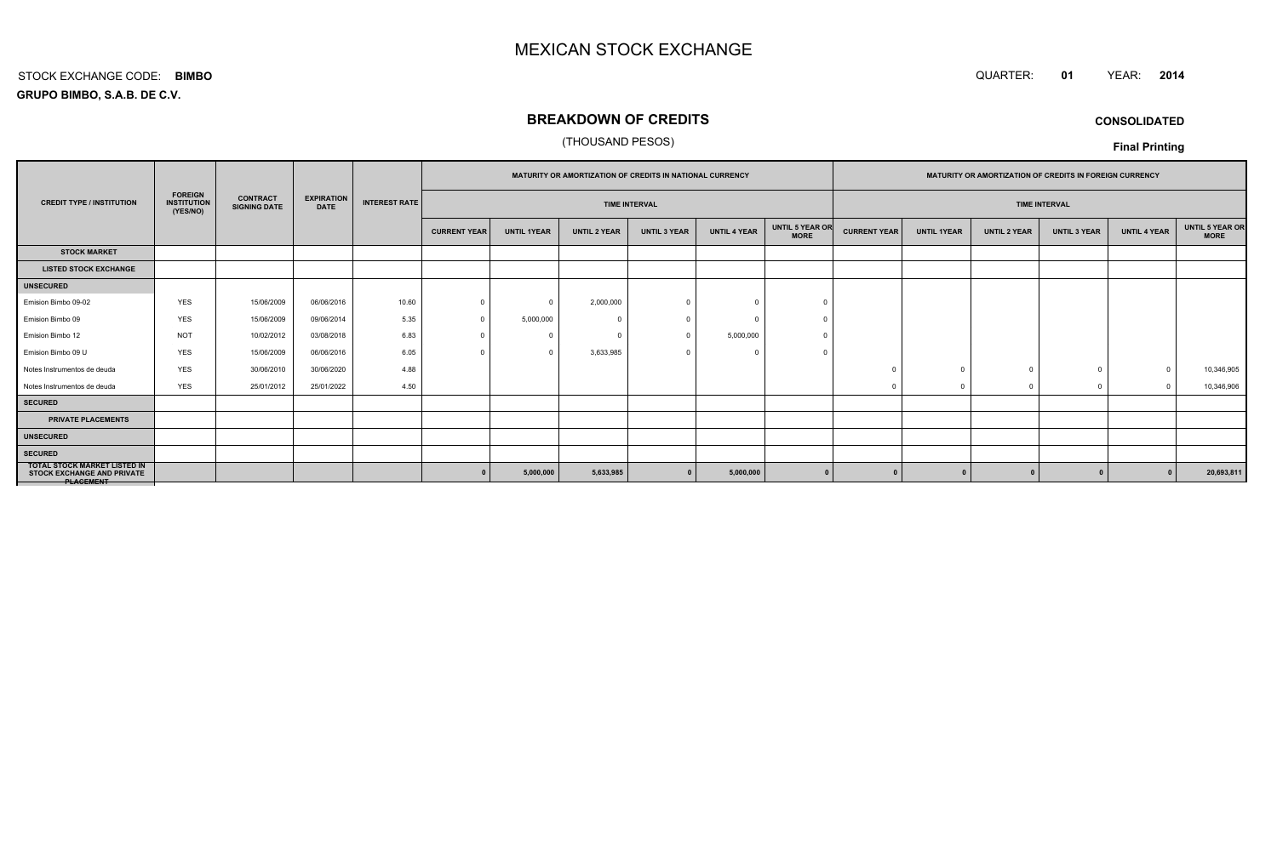#### QUARTER: **<sup>01</sup>**QUARTER: 01 YEAR: 2014

**GRUPO BIMBO, S.A.B. DE C.V.**STOCK EXCHANGE CODE:**BIMBO**

## **BREAKDOWN OF CREDITS**

#### (THOUSAND PESOS)

**CONSOLIDATED**

| Final Printing |  |
|----------------|--|
|----------------|--|

|                                                                                              |                                                  |                                        |                                  |                      |                     |                    |                     |                      |                     |                                |                     | <b>MATURITY OR AMORTIZATION OF CREDITS IN NATIONAL CURRENCY</b> |                     |                      |                     |                         |  | <b>MATURITY OR AMORTIZATION OF CREDITS IN FOREIGN CURRENCY</b> |  |  |  |
|----------------------------------------------------------------------------------------------|--------------------------------------------------|----------------------------------------|----------------------------------|----------------------|---------------------|--------------------|---------------------|----------------------|---------------------|--------------------------------|---------------------|-----------------------------------------------------------------|---------------------|----------------------|---------------------|-------------------------|--|----------------------------------------------------------------|--|--|--|
| <b>CREDIT TYPE / INSTITUTION</b>                                                             | <b>FOREIGN</b><br><b>INSTITUTION</b><br>(YES/NO) | <b>CONTRACT</b><br><b>SIGNING DATE</b> | <b>EXPIRATION</b><br><b>DATE</b> | <b>INTEREST RATE</b> |                     |                    |                     | <b>TIME INTERVAL</b> |                     |                                |                     |                                                                 |                     | <b>TIME INTERVAL</b> |                     |                         |  |                                                                |  |  |  |
|                                                                                              |                                                  |                                        |                                  |                      | <b>CURRENT YEAR</b> | <b>UNTIL 1YEAR</b> | <b>UNTIL 2 YEAR</b> | <b>UNTIL 3 YEAR</b>  | <b>UNTIL 4 YEAR</b> | UNTIL 5 YEAR OR<br><b>MORE</b> | <b>CURRENT YEAR</b> | <b>UNTIL 1YEAR</b>                                              | <b>UNTIL 2 YEAR</b> | <b>UNTIL 3 YEAR</b>  | <b>UNTIL 4 YEAR</b> | UNTIL 5 YEAR OR<br>MORE |  |                                                                |  |  |  |
| <b>STOCK MARKET</b>                                                                          |                                                  |                                        |                                  |                      |                     |                    |                     |                      |                     |                                |                     |                                                                 |                     |                      |                     |                         |  |                                                                |  |  |  |
| <b>LISTED STOCK EXCHANGE</b>                                                                 |                                                  |                                        |                                  |                      |                     |                    |                     |                      |                     |                                |                     |                                                                 |                     |                      |                     |                         |  |                                                                |  |  |  |
| <b>UNSECURED</b>                                                                             |                                                  |                                        |                                  |                      |                     |                    |                     |                      |                     |                                |                     |                                                                 |                     |                      |                     |                         |  |                                                                |  |  |  |
| Emision Bimbo 09-02                                                                          | YES                                              | 15/06/2009                             | 06/06/2016                       | 10.60                | $\Omega$            | $\Omega$           | 2,000,000           |                      |                     |                                |                     |                                                                 |                     |                      |                     |                         |  |                                                                |  |  |  |
| Emision Bimbo 09                                                                             | <b>YES</b>                                       | 15/06/2009                             | 09/06/2014                       | 5.35                 |                     | 5,000,000          | $\sim$              |                      |                     |                                |                     |                                                                 |                     |                      |                     |                         |  |                                                                |  |  |  |
| Emision Bimbo 12                                                                             | <b>NOT</b>                                       | 10/02/2012                             | 03/08/2018                       | 6.83                 |                     | $\Omega$           | $\Omega$            |                      | 5,000,000           |                                |                     |                                                                 |                     |                      |                     |                         |  |                                                                |  |  |  |
| Emision Bimbo 09 U                                                                           | <b>YES</b>                                       | 15/06/2009                             | 06/06/2016                       | 6.05                 |                     | $\Omega$           | 3,633,985           |                      |                     |                                |                     |                                                                 |                     |                      |                     |                         |  |                                                                |  |  |  |
| Notes Instrumentos de deuda                                                                  | YES                                              | 30/06/2010                             | 30/06/2020                       | 4.88                 |                     |                    |                     |                      |                     |                                |                     |                                                                 |                     |                      |                     | 10,346,905              |  |                                                                |  |  |  |
| Notes Instrumentos de deuda                                                                  | <b>YES</b>                                       | 25/01/2012                             | 25/01/2022                       | 4.50                 |                     |                    |                     |                      |                     |                                |                     | $\Omega$                                                        |                     | $\Omega$             | $\Omega$            | 10,346,906              |  |                                                                |  |  |  |
| <b>SECURED</b>                                                                               |                                                  |                                        |                                  |                      |                     |                    |                     |                      |                     |                                |                     |                                                                 |                     |                      |                     |                         |  |                                                                |  |  |  |
| <b>PRIVATE PLACEMENTS</b>                                                                    |                                                  |                                        |                                  |                      |                     |                    |                     |                      |                     |                                |                     |                                                                 |                     |                      |                     |                         |  |                                                                |  |  |  |
| <b>UNSECURED</b>                                                                             |                                                  |                                        |                                  |                      |                     |                    |                     |                      |                     |                                |                     |                                                                 |                     |                      |                     |                         |  |                                                                |  |  |  |
| <b>SECURED</b>                                                                               |                                                  |                                        |                                  |                      |                     |                    |                     |                      |                     |                                |                     |                                                                 |                     |                      |                     |                         |  |                                                                |  |  |  |
| <b>TOTAL STOCK MARKET LISTED IN</b><br><b>STOCK EXCHANGE AND PRIVATE</b><br><b>PLAGEMENT</b> |                                                  |                                        |                                  |                      |                     | 5,000,000          | 5,633,985           |                      | 5,000,000           |                                | $\Omega$            |                                                                 |                     |                      |                     | 20,693,811              |  |                                                                |  |  |  |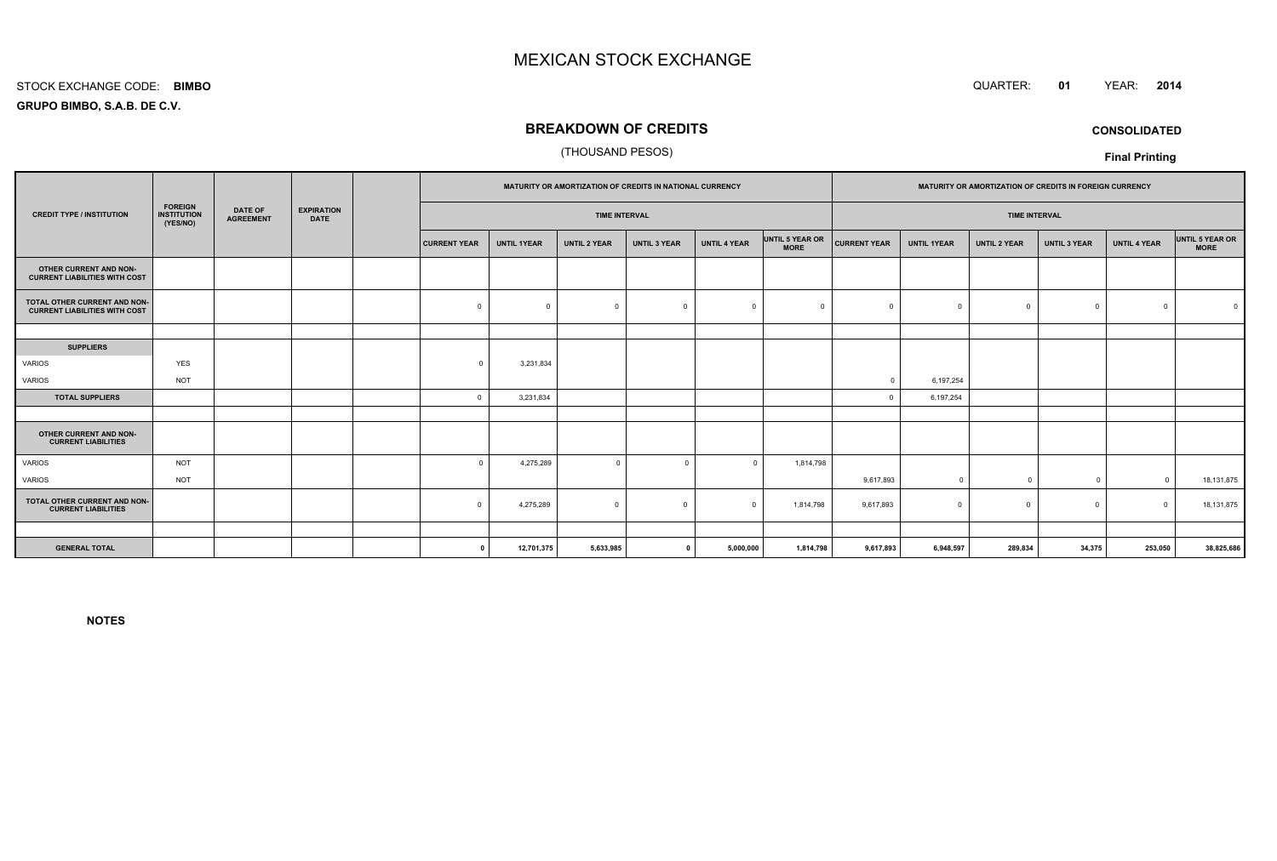#### STOCK EXCHANGE CODE:**BIMBO**

**GRUPO BIMBO, S.A.B. DE C.V.**

## **BREAKDOWN OF CREDITS**

#### (THOUSAND PESOS)

|                                                                      |                                                  |                                    | MATURITY OR AMORTIZATION OF CREDITS IN NATIONAL CURRENCY |  |                      | MATURITY OR AMORTIZATION OF CREDITS IN FOREIGN CURRENCY |                     |                     |                      |                                |                     |                    |                     |                     |                     |                                |
|----------------------------------------------------------------------|--------------------------------------------------|------------------------------------|----------------------------------------------------------|--|----------------------|---------------------------------------------------------|---------------------|---------------------|----------------------|--------------------------------|---------------------|--------------------|---------------------|---------------------|---------------------|--------------------------------|
| <b>CREDIT TYPE / INSTITUTION</b>                                     | <b>FOREIGN</b><br><b>INSTITUTION</b><br>(YES/NO) | <b>DATE OF</b><br><b>AGREEMENT</b> | <b>EXPIRATION</b><br><b>DATE</b>                         |  | <b>TIME INTERVAL</b> |                                                         |                     |                     | <b>TIME INTERVAL</b> |                                |                     |                    |                     |                     |                     |                                |
|                                                                      |                                                  |                                    |                                                          |  | <b>CURRENT YEAR</b>  | <b>UNTIL 1YEAR</b>                                      | <b>UNTIL 2 YEAR</b> | <b>UNTIL 3 YEAR</b> | <b>UNTIL 4 YEAR</b>  | UNTIL 5 YEAR OR<br><b>MORE</b> | <b>CURRENT YEAR</b> | <b>UNTIL 1YEAR</b> | <b>UNTIL 2 YEAR</b> | <b>UNTIL 3 YEAR</b> | <b>UNTIL 4 YEAR</b> | UNTIL 5 YEAR OR<br><b>MORE</b> |
| OTHER CURRENT AND NON-<br><b>CURRENT LIABILITIES WITH COST</b>       |                                                  |                                    |                                                          |  |                      |                                                         |                     |                     |                      |                                |                     |                    |                     |                     |                     |                                |
| TOTAL OTHER CURRENT AND NON-<br><b>CURRENT LIABILITIES WITH COST</b> |                                                  |                                    |                                                          |  | $\mathbf 0$          | $\Omega$                                                | $\Omega$            | $\overline{0}$      | $\Omega$             | $\Omega$                       |                     | $^{\circ}$         | $\Omega$            | $^{\circ}$          | $\Omega$            |                                |
|                                                                      |                                                  |                                    |                                                          |  |                      |                                                         |                     |                     |                      |                                |                     |                    |                     |                     |                     |                                |
| <b>SUPPLIERS</b>                                                     |                                                  |                                    |                                                          |  |                      |                                                         |                     |                     |                      |                                |                     |                    |                     |                     |                     |                                |
| VARIOS                                                               | <b>YES</b>                                       |                                    |                                                          |  | $\Omega$             | 3,231,834                                               |                     |                     |                      |                                |                     |                    |                     |                     |                     |                                |
| VARIOS                                                               | <b>NOT</b>                                       |                                    |                                                          |  |                      |                                                         |                     |                     |                      |                                | $\Omega$            | 6,197,254          |                     |                     |                     |                                |
| <b>TOTAL SUPPLIERS</b>                                               |                                                  |                                    |                                                          |  | $\mathbf 0$          | 3,231,834                                               |                     |                     |                      |                                |                     | 6,197,254          |                     |                     |                     |                                |
|                                                                      |                                                  |                                    |                                                          |  |                      |                                                         |                     |                     |                      |                                |                     |                    |                     |                     |                     |                                |
| OTHER CURRENT AND NON-<br><b>CURRENT LIABILITIES</b>                 |                                                  |                                    |                                                          |  |                      |                                                         |                     |                     |                      |                                |                     |                    |                     |                     |                     |                                |
| <b>VARIOS</b>                                                        | <b>NOT</b>                                       |                                    |                                                          |  | $\Omega$             | 4,275,289                                               | $\mathbf 0$         | $\Omega$            | $\Omega$             | 1,814,798                      |                     |                    |                     |                     |                     |                                |
| VARIOS                                                               | <b>NOT</b>                                       |                                    |                                                          |  |                      |                                                         |                     |                     |                      |                                | 9,617,893           | $\overline{0}$     | $\Omega$            | $\overline{0}$      | $\overline{0}$      | 18,131,875                     |
| TOTAL OTHER CURRENT AND NON-<br><b>CURRENT LIABILITIES</b>           |                                                  |                                    |                                                          |  | $\Omega$             | 4,275,289                                               | $\Omega$            | $\Omega$            | $\Omega$             | 1,814,798                      | 9,617,893           | $^{\circ}$         | $\Omega$            | $^{\circ}$          | $\Omega$            | 18,131,875                     |
|                                                                      |                                                  |                                    |                                                          |  |                      |                                                         |                     |                     |                      |                                |                     |                    |                     |                     |                     |                                |
| <b>GENERAL TOTAL</b>                                                 |                                                  |                                    |                                                          |  | $\Omega$             | 12,701,375                                              | 5,633,985           |                     | 5,000,000            | 1,814,798                      | 9,617,893           | 6,948,597          | 289,834             | 34,375              | 253,050             | 38,825,686                     |

**NOTES**

 QUARTER: **<sup>01</sup>**YEAR: **<sup>2014</sup>**

**CONSOLIDATED**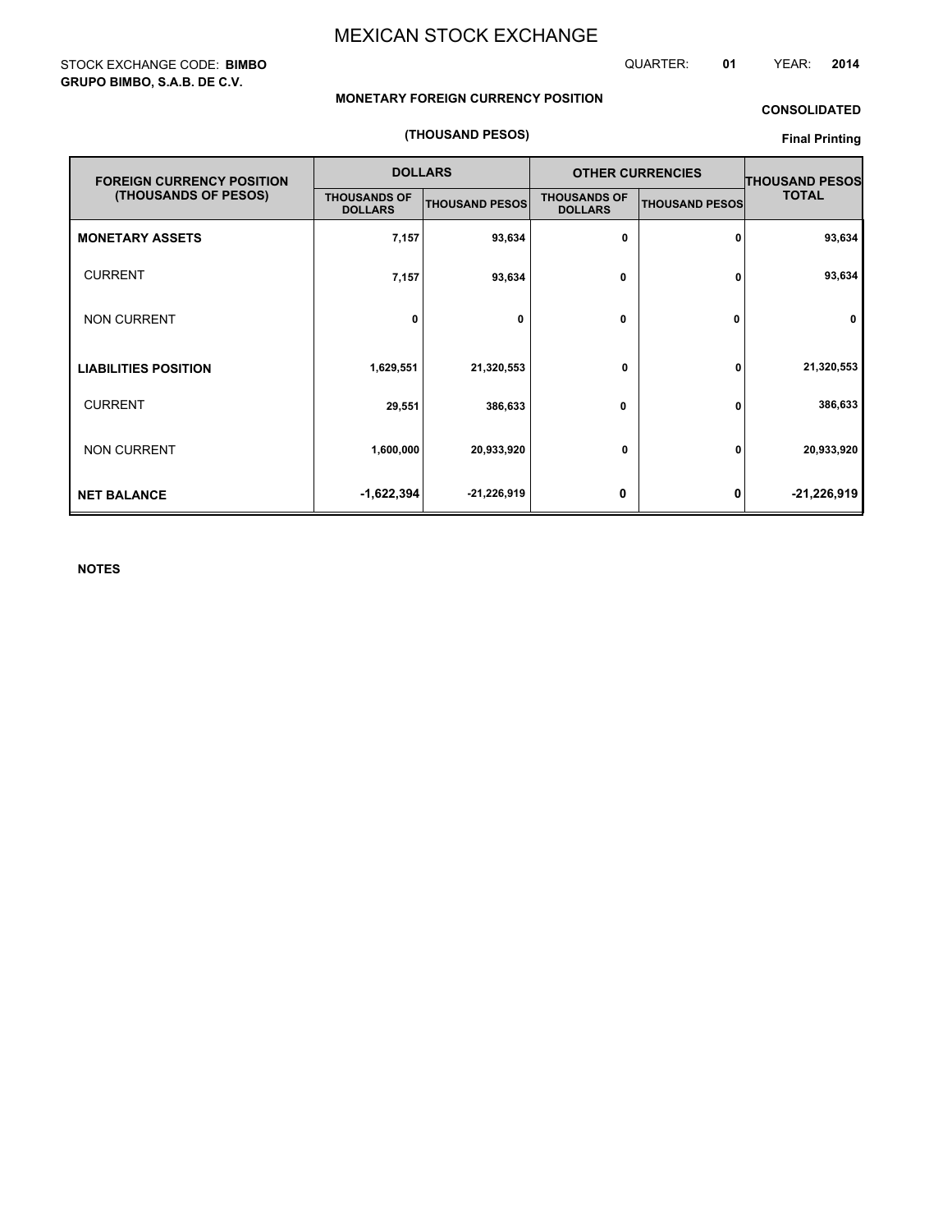#### STOCK EXCHANGE CODE: **BIMBO GRUPO BIMBO, S.A.B. DE C.V.**

#### QUARTER: **01** YEAR: **2014**

#### **MONETARY FOREIGN CURRENCY POSITION**

## **CONSOLIDATED**

#### **(THOUSAND PESOS)**

## **Final Printing**

| <b>FOREIGN CURRENCY POSITION</b> |                                       | <b>DOLLARS</b>        | <b>OTHER CURRENCIES</b>               | <b>THOUSAND PESOS</b> |               |
|----------------------------------|---------------------------------------|-----------------------|---------------------------------------|-----------------------|---------------|
| (THOUSANDS OF PESOS)             | <b>THOUSANDS OF</b><br><b>DOLLARS</b> | <b>THOUSAND PESOS</b> | <b>THOUSANDS OF</b><br><b>DOLLARS</b> | <b>THOUSAND PESOS</b> | <b>TOTAL</b>  |
| <b>MONETARY ASSETS</b>           | 7,157                                 | 93,634                | 0                                     | 0                     | 93,634        |
| <b>CURRENT</b>                   | 7,157                                 | 93,634                | 0                                     | 0                     | 93,634        |
| <b>NON CURRENT</b>               | 0                                     | 0                     | 0                                     | 0                     | 0             |
| <b>LIABILITIES POSITION</b>      | 1,629,551                             | 21,320,553            | 0                                     | 0                     | 21,320,553    |
| <b>CURRENT</b>                   | 29,551                                | 386,633               | 0                                     | 0                     | 386,633       |
| <b>NON CURRENT</b>               | 1,600,000                             | 20,933,920            | 0                                     | 0                     | 20,933,920    |
| <b>NET BALANCE</b>               | $-1,622,394$                          | $-21,226,919$         | 0                                     | 0                     | $-21,226,919$ |

**NOTES**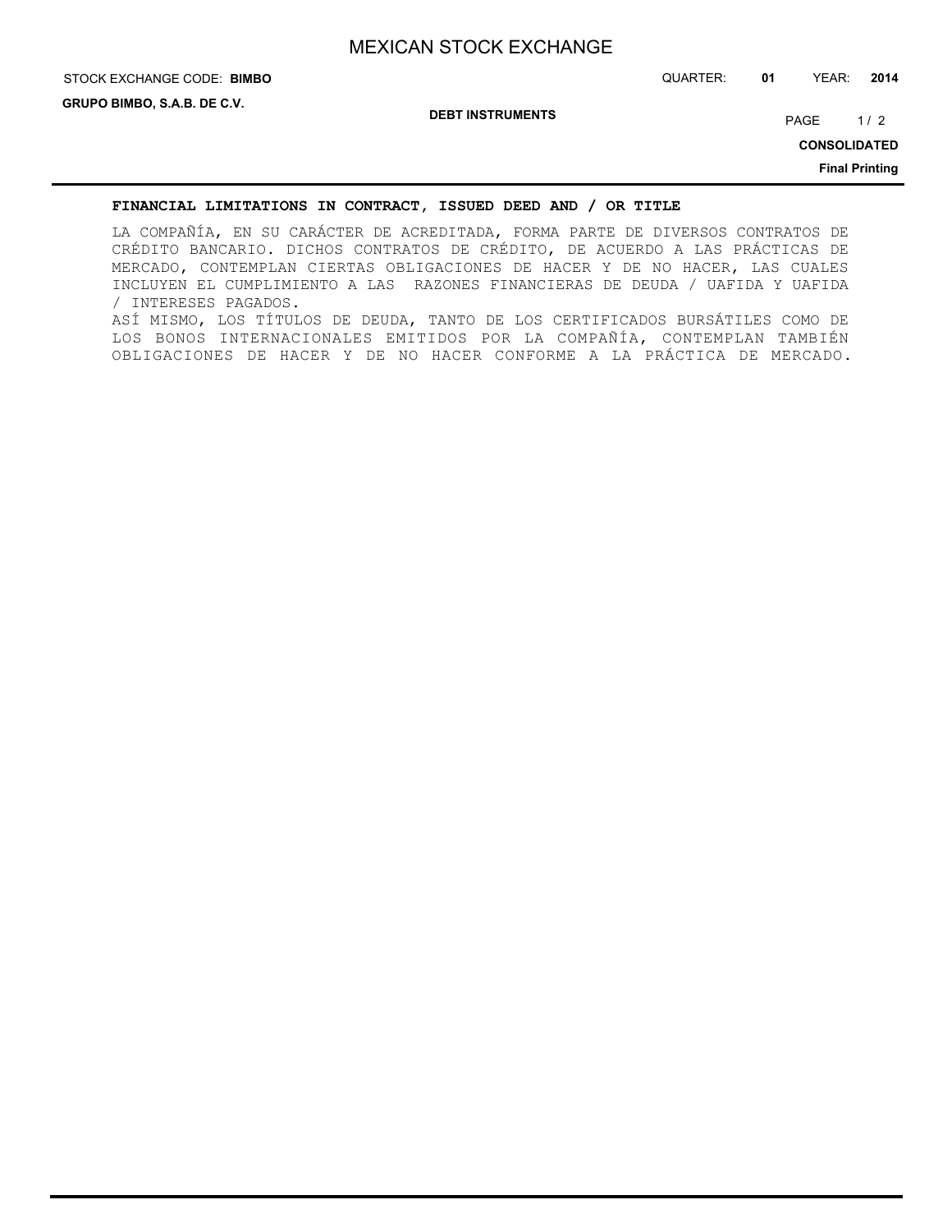## STOCK EXCHANGE CODE: QUARTER: **01** YEAR: **2014 BIMBO**

**DEBT INSTRUMENTS**

PAGE 1/2

**CONSOLIDATED Final Printing**

#### **FINANCIAL LIMITATIONS IN CONTRACT, ISSUED DEED AND / OR TITLE**

LA COMPAÑÍA, EN SU CARÁCTER DE ACREDITADA, FORMA PARTE DE DIVERSOS CONTRATOS DE CRÉDITO BANCARIO. DICHOS CONTRATOS DE CRÉDITO, DE ACUERDO A LAS PRÁCTICAS DE MERCADO, CONTEMPLAN CIERTAS OBLIGACIONES DE HACER Y DE NO HACER, LAS CUALES INCLUYEN EL CUMPLIMIENTO A LAS RAZONES FINANCIERAS DE DEUDA / UAFIDA Y UAFIDA / INTERESES PAGADOS. ASÍ MISMO, LOS TÍTULOS DE DEUDA, TANTO DE LOS CERTIFICADOS BURSÁTILES COMO DE LOS BONOS INTERNACIONALES EMITIDOS POR LA COMPAÑÍA, CONTEMPLAN TAMBIÉN OBLIGACIONES DE HACER Y DE NO HACER CONFORME A LA PRÁCTICA DE MERCADO.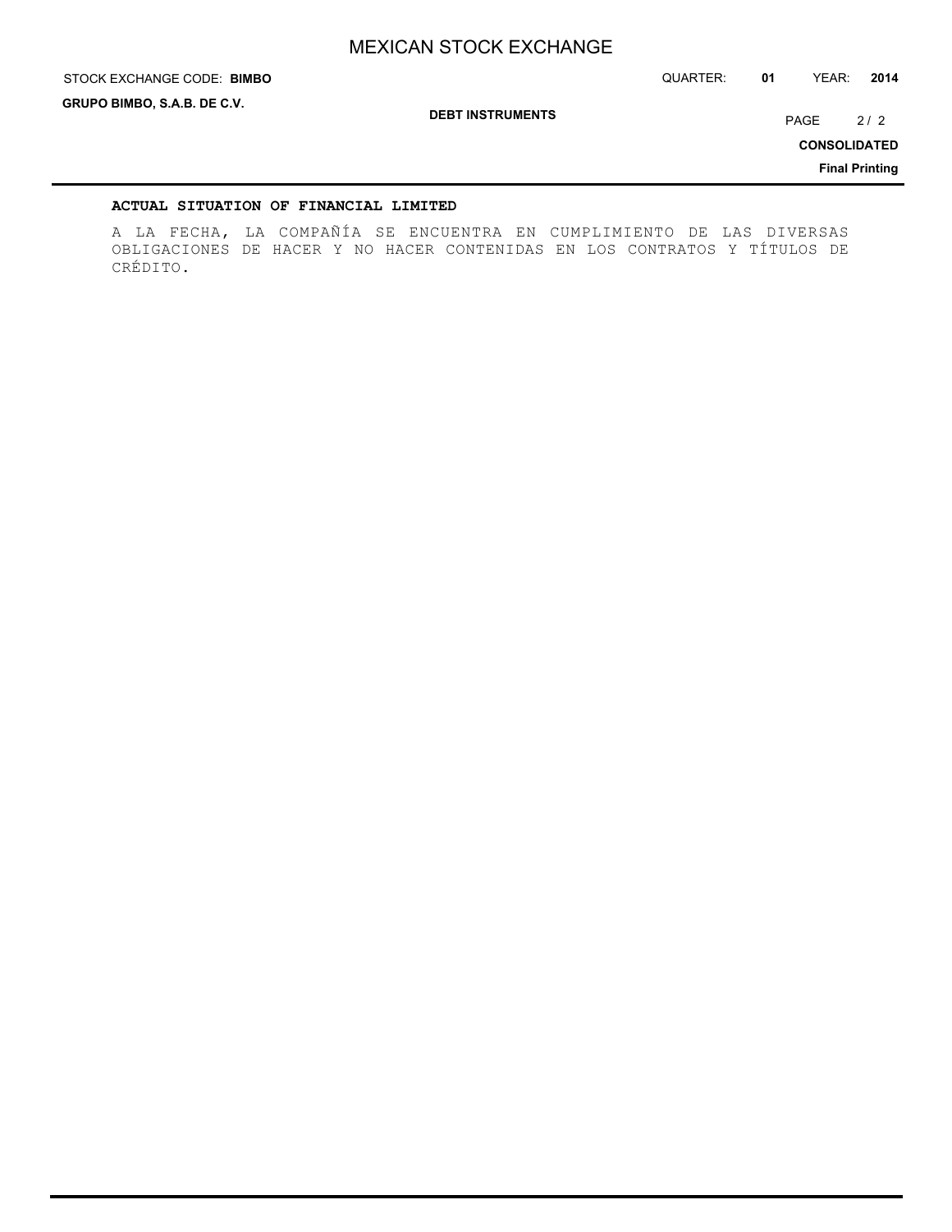STOCK EXCHANGE CODE: QUARTER: **01** YEAR: **2014 BIMBO**

**GRUPO BIMBO, S.A.B. DE C.V.**

**DEBT INSTRUMENTS**

PAGE 2/2

**CONSOLIDATED**

**Final Printing**

#### **ACTUAL SITUATION OF FINANCIAL LIMITED**

A LA FECHA, LA COMPAÑÍA SE ENCUENTRA EN CUMPLIMIENTO DE LAS DIVERSAS OBLIGACIONES DE HACER Y NO HACER CONTENIDAS EN LOS CONTRATOS Y TÍTULOS DE CRÉDITO.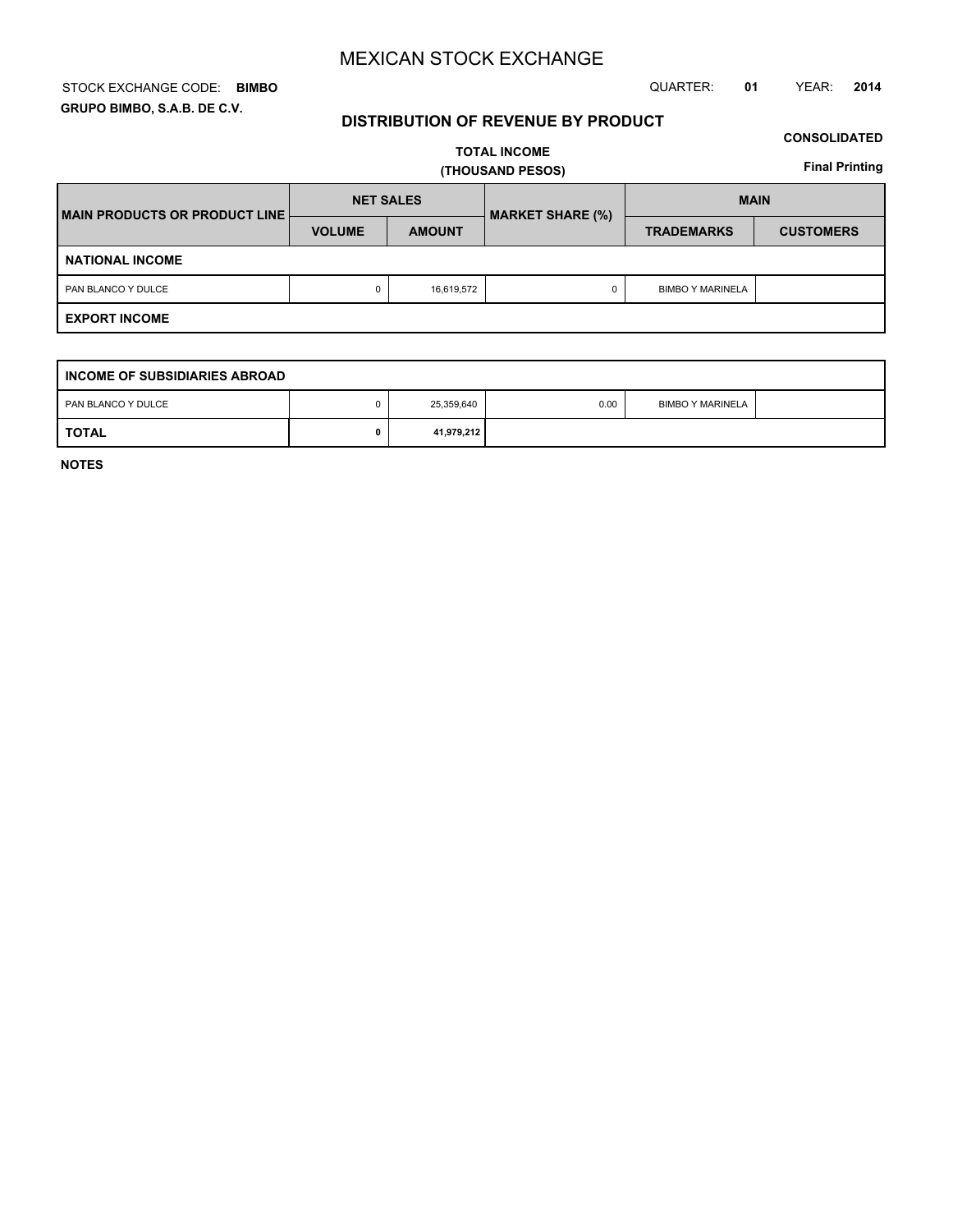#### STOCK EXCHANGE CODE: QUARTER: **01** YEAR: **2014 BIMBO GRUPO BIMBO, S.A.B. DE C.V.**

## **DISTRIBUTION OF REVENUE BY PRODUCT**

## **CONSOLIDATED**

**TOTAL INCOME (THOUSAND PESOS)**

**Final Printing**

| MAIN PRODUCTS OR PRODUCT LINE | <b>NET SALES</b> |               | <b>MARKET SHARE (%)</b> | <b>MAIN</b>             |                  |  |  |  |
|-------------------------------|------------------|---------------|-------------------------|-------------------------|------------------|--|--|--|
|                               | <b>VOLUME</b>    | <b>AMOUNT</b> |                         | <b>TRADEMARKS</b>       | <b>CUSTOMERS</b> |  |  |  |
| <b>NATIONAL INCOME</b>        |                  |               |                         |                         |                  |  |  |  |
| PAN BLANCO Y DULCE            | 0                | 16,619,572    |                         | <b>BIMBO Y MARINELA</b> |                  |  |  |  |
| <b>EXPORT INCOME</b>          |                  |               |                         |                         |                  |  |  |  |

| I INCOME OF SUBSIDIARIES ABROAD |  |            |      |                         |  |  |  |
|---------------------------------|--|------------|------|-------------------------|--|--|--|
| PAN BLANCO Y DULCE              |  | 25,359,640 | 0.00 | <b>BIMBO Y MARINELA</b> |  |  |  |
| <b>TOTAL</b>                    |  | 41,979,212 |      |                         |  |  |  |

**NOTES**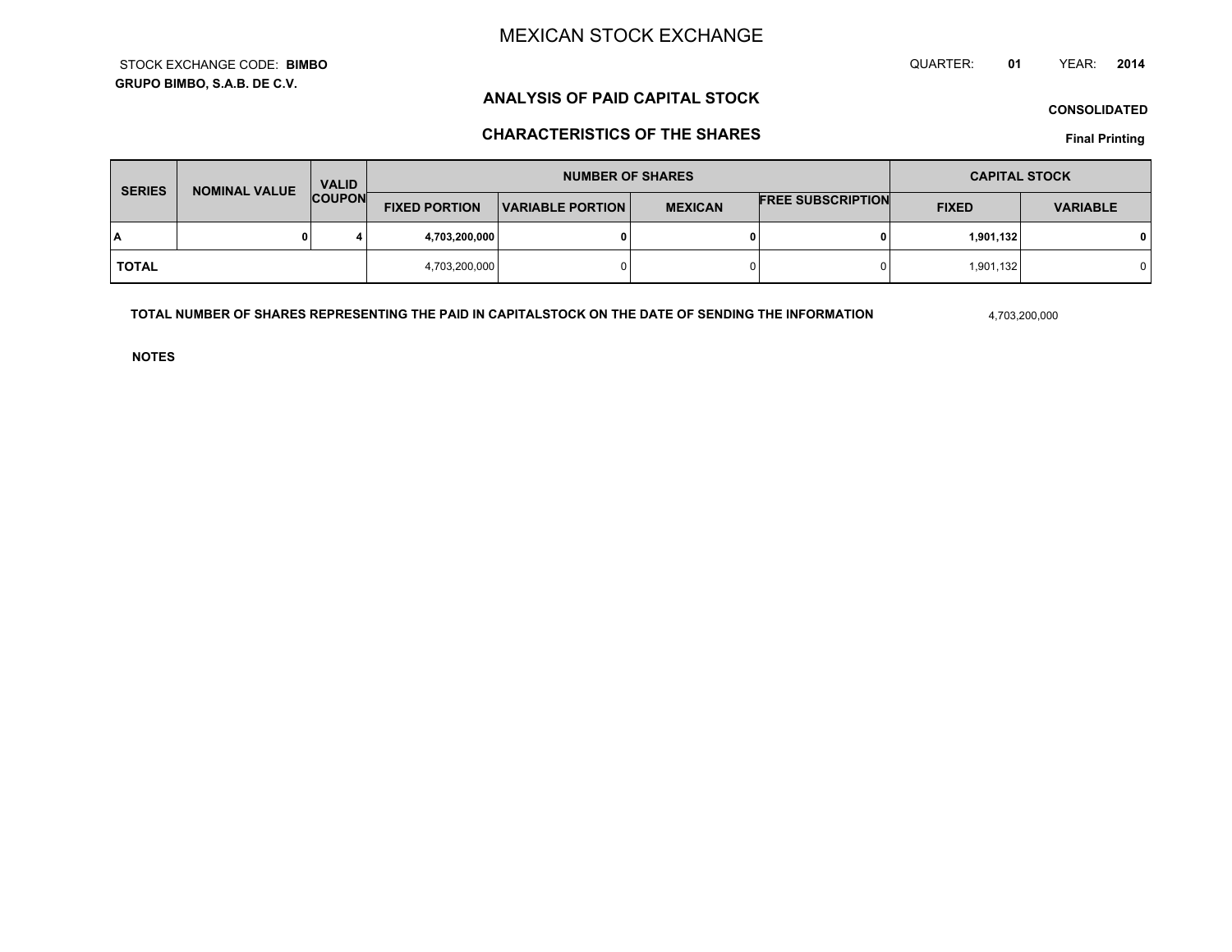**GRUPO BIMBO, S.A.B. DE C.V.**STOCK EXCHANGE CODE:**BIMBO** QUARTER: **01**YEAR: **<sup>2014</sup>**

## **ANALYSIS OF PAID CAPITAL STOCK**

**CONSOLIDATED**

## **CHARACTERISTICS OF THE SHARES**

**Final Printing**

| <b>SERIES</b> | <b>NOMINAL VALUE</b> | <b>VALID</b>  | <b>NUMBER OF SHARES</b> |                  |                |                          | <b>CAPITAL STOCK</b> |                 |
|---------------|----------------------|---------------|-------------------------|------------------|----------------|--------------------------|----------------------|-----------------|
|               |                      | <b>COUPON</b> | <b>FIXED PORTION</b>    | VARIABLE PORTION | <b>MEXICAN</b> | <b>FREE SUBSCRIPTION</b> | <b>FIXED</b>         | <b>VARIABLE</b> |
| I٨            |                      | 4             | 4,703,200,000           |                  | 0              |                          | 1,901,132            |                 |
| TOTAL         |                      |               | 4,703,200,000           |                  | $\Omega$       |                          | 1,901,132            |                 |

**TOTAL NUMBER OF SHARES REPRESENTING THE PAID IN CAPITALSTOCK ON THE DATE OF SENDING THE INFORMATION**

4,703,200,000

**NOTES**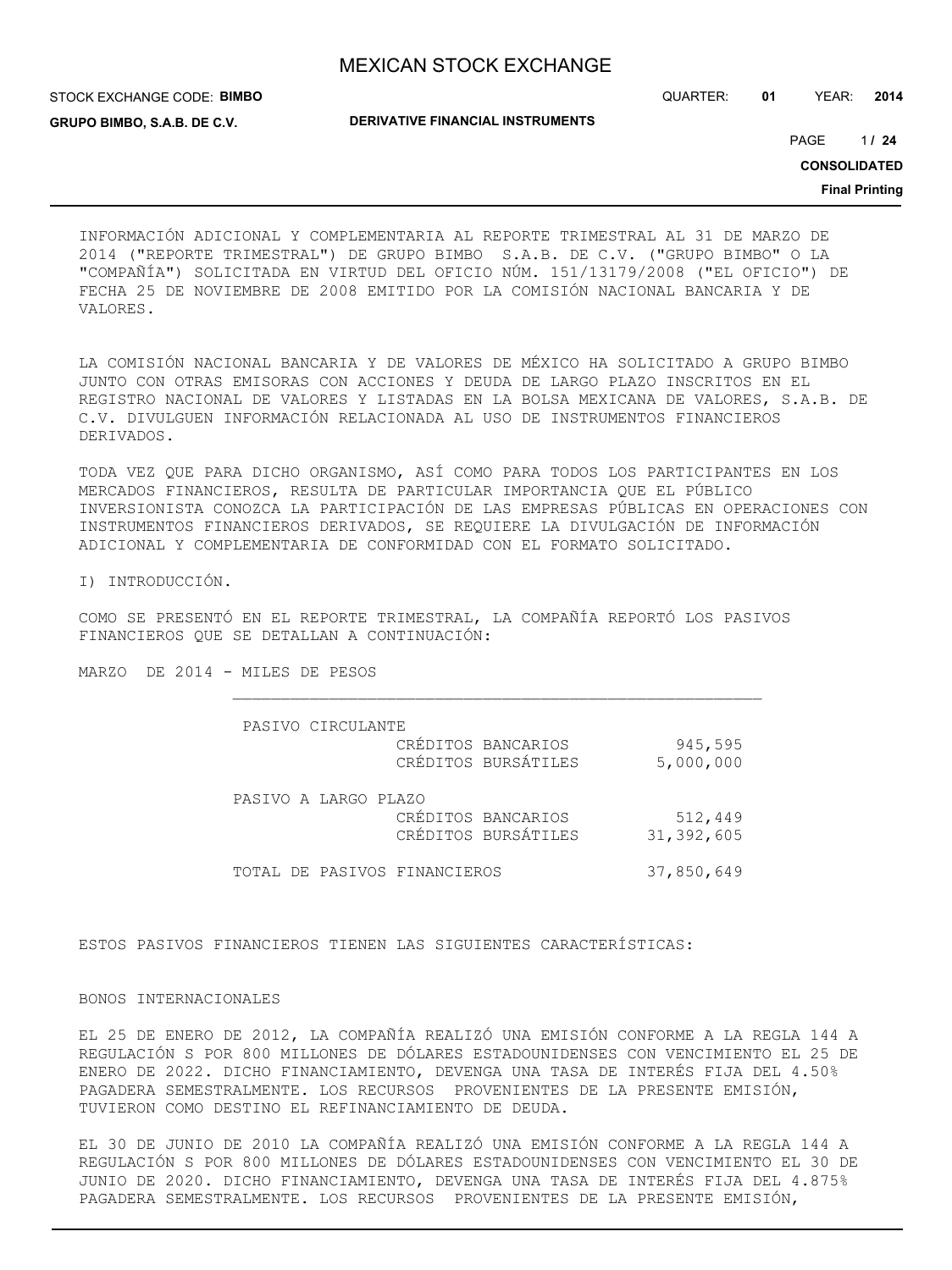STOCK EXCHANGE CODE: **BIMBO GRUPO BIMBO, S.A.B. DE C.V.**

QUARTER: **01** YEAR: **2014**

**DERIVATIVE FINANCIAL INSTRUMENTS**

1 PAGE **/ 24**

**CONSOLIDATED**

**Final Printing**

INFORMACIÓN ADICIONAL Y COMPLEMENTARIA AL REPORTE TRIMESTRAL AL 31 DE MARZO DE 2014 ("REPORTE TRIMESTRAL") DE GRUPO BIMBO S.A.B. DE C.V. ("GRUPO BIMBO" O LA "COMPAÑÍA") SOLICITADA EN VIRTUD DEL OFICIO NÚM. 151/13179/2008 ("EL OFICIO") DE FECHA 25 DE NOVIEMBRE DE 2008 EMITIDO POR LA COMISIÓN NACIONAL BANCARIA Y DE VALORES.

LA COMISIÓN NACIONAL BANCARIA Y DE VALORES DE MÉXICO HA SOLICITADO A GRUPO BIMBO JUNTO CON OTRAS EMISORAS CON ACCIONES Y DEUDA DE LARGO PLAZO INSCRITOS EN EL REGISTRO NACIONAL DE VALORES Y LISTADAS EN LA BOLSA MEXICANA DE VALORES, S.A.B. DE C.V. DIVULGUEN INFORMACIÓN RELACIONADA AL USO DE INSTRUMENTOS FINANCIEROS DERIVADOS.

TODA VEZ QUE PARA DICHO ORGANISMO, ASÍ COMO PARA TODOS LOS PARTICIPANTES EN LOS MERCADOS FINANCIEROS, RESULTA DE PARTICULAR IMPORTANCIA QUE EL PÚBLICO INVERSIONISTA CONOZCA LA PARTICIPACIÓN DE LAS EMPRESAS PÚBLICAS EN OPERACIONES CON INSTRUMENTOS FINANCIEROS DERIVADOS, SE REQUIERE LA DIVULGACIÓN DE INFORMACIÓN ADICIONAL Y COMPLEMENTARIA DE CONFORMIDAD CON EL FORMATO SOLICITADO.

I) INTRODUCCIÓN.

COMO SE PRESENTÓ EN EL REPORTE TRIMESTRAL, LA COMPAÑÍA REPORTÓ LOS PASIVOS FINANCIEROS QUE SE DETALLAN A CONTINUACIÓN:

MARZO DE 2014 - MILES DE PESOS

| PASIVO CIRCULANTE                                                 |                       |
|-------------------------------------------------------------------|-----------------------|
| CRÉDITOS BANCARIOS<br>CRÉDITOS BURSÁTILES                         | 945,595<br>5,000,000  |
| PASIVO A LARGO PLAZO<br>CRÉDITOS BANCARIOS<br>CRÉDITOS BURSÁTILES | 512,449<br>31,392,605 |
| TOTAL DE PASIVOS FINANCIEROS                                      | 37,850,649            |

ESTOS PASIVOS FINANCIEROS TIENEN LAS SIGUIENTES CARACTERÍSTICAS:

BONOS INTERNACIONALES

EL 25 DE ENERO DE 2012, LA COMPAÑÍA REALIZÓ UNA EMISIÓN CONFORME A LA REGLA 144 A REGULACIÓN S POR 800 MILLONES DE DÓLARES ESTADOUNIDENSES CON VENCIMIENTO EL 25 DE ENERO DE 2022. DICHO FINANCIAMIENTO, DEVENGA UNA TASA DE INTERÉS FIJA DEL 4.50% PAGADERA SEMESTRALMENTE. LOS RECURSOS PROVENIENTES DE LA PRESENTE EMISIÓN, TUVIERON COMO DESTINO EL REFINANCIAMIENTO DE DEUDA.

EL 30 DE JUNIO DE 2010 LA COMPAÑÍA REALIZÓ UNA EMISIÓN CONFORME A LA REGLA 144 A REGULACIÓN S POR 800 MILLONES DE DÓLARES ESTADOUNIDENSES CON VENCIMIENTO EL 30 DE JUNIO DE 2020. DICHO FINANCIAMIENTO, DEVENGA UNA TASA DE INTERÉS FIJA DEL 4.875% PAGADERA SEMESTRALMENTE. LOS RECURSOS PROVENIENTES DE LA PRESENTE EMISIÓN,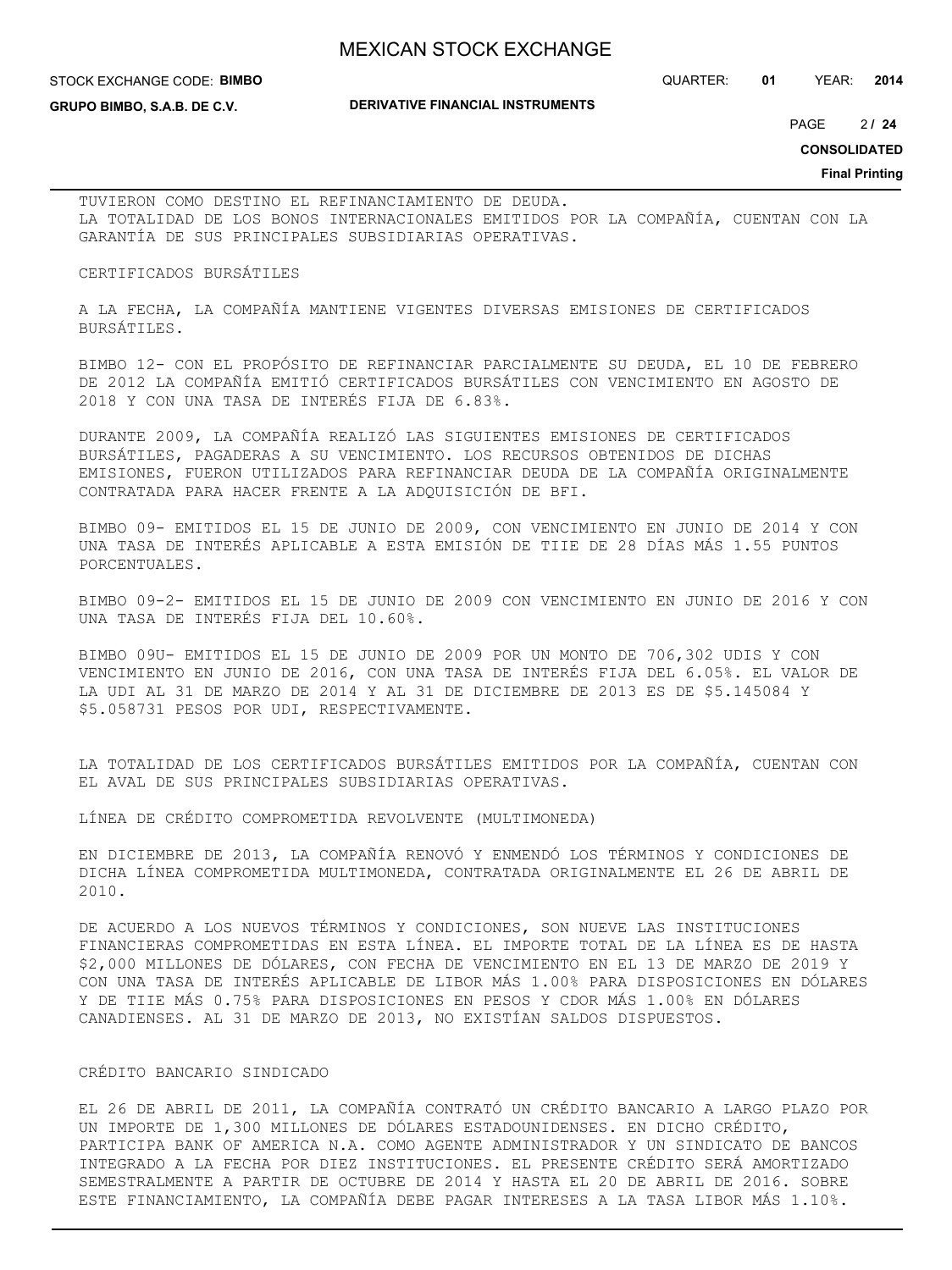#### STOCK EXCHANGE CODE: **BIMBO**

QUARTER: **01** YEAR: **2014**

**GRUPO BIMBO, S.A.B. DE C.V.**

#### **DERIVATIVE FINANCIAL INSTRUMENTS**

 $2124$ PAGE **/ 24**

**CONSOLIDATED**

**Final Printing**

TUVIERON COMO DESTINO EL REFINANCIAMIENTO DE DEUDA. LA TOTALIDAD DE LOS BONOS INTERNACIONALES EMITIDOS POR LA COMPAÑÍA, CUENTAN CON LA GARANTÍA DE SUS PRINCIPALES SUBSIDIARIAS OPERATIVAS.

#### CERTIFICADOS BURSÁTILES

A LA FECHA, LA COMPAÑÍA MANTIENE VIGENTES DIVERSAS EMISIONES DE CERTIFICADOS BURSÁTILES.

BIMBO 12- CON EL PROPÓSITO DE REFINANCIAR PARCIALMENTE SU DEUDA, EL 10 DE FEBRERO DE 2012 LA COMPAÑÍA EMITIÓ CERTIFICADOS BURSÁTILES CON VENCIMIENTO EN AGOSTO DE 2018 Y CON UNA TASA DE INTERÉS FIJA DE 6.83%.

DURANTE 2009, LA COMPAÑÍA REALIZÓ LAS SIGUIENTES EMISIONES DE CERTIFICADOS BURSÁTILES, PAGADERAS A SU VENCIMIENTO. LOS RECURSOS OBTENIDOS DE DICHAS EMISIONES, FUERON UTILIZADOS PARA REFINANCIAR DEUDA DE LA COMPAÑÍA ORIGINALMENTE CONTRATADA PARA HACER FRENTE A LA ADQUISICIÓN DE BFI.

BIMBO 09- EMITIDOS EL 15 DE JUNIO DE 2009, CON VENCIMIENTO EN JUNIO DE 2014 Y CON UNA TASA DE INTERÉS APLICABLE A ESTA EMISIÓN DE TIIE DE 28 DÍAS MÁS 1.55 PUNTOS PORCENTUALES.

BIMBO 09-2- EMITIDOS EL 15 DE JUNIO DE 2009 CON VENCIMIENTO EN JUNIO DE 2016 Y CON UNA TASA DE INTERÉS FIJA DEL 10.60%.

BIMBO 09U- EMITIDOS EL 15 DE JUNIO DE 2009 POR UN MONTO DE 706,302 UDIS Y CON VENCIMIENTO EN JUNIO DE 2016, CON UNA TASA DE INTERÉS FIJA DEL 6.05%. EL VALOR DE LA UDI AL 31 DE MARZO DE 2014 Y AL 31 DE DICIEMBRE DE 2013 ES DE \$5.145084 Y \$5.058731 PESOS POR UDI, RESPECTIVAMENTE.

LA TOTALIDAD DE LOS CERTIFICADOS BURSÁTILES EMITIDOS POR LA COMPAÑÍA, CUENTAN CON EL AVAL DE SUS PRINCIPALES SUBSIDIARIAS OPERATIVAS.

LÍNEA DE CRÉDITO COMPROMETIDA REVOLVENTE (MULTIMONEDA)

EN DICIEMBRE DE 2013, LA COMPAÑÍA RENOVÓ Y ENMENDÓ LOS TÉRMINOS Y CONDICIONES DE DICHA LÍNEA COMPROMETIDA MULTIMONEDA, CONTRATADA ORIGINALMENTE EL 26 DE ABRIL DE 2010.

DE ACUERDO A LOS NUEVOS TÉRMINOS Y CONDICIONES, SON NUEVE LAS INSTITUCIONES FINANCIERAS COMPROMETIDAS EN ESTA LÍNEA. EL IMPORTE TOTAL DE LA LÍNEA ES DE HASTA \$2,000 MILLONES DE DÓLARES, CON FECHA DE VENCIMIENTO EN EL 13 DE MARZO DE 2019 Y CON UNA TASA DE INTERÉS APLICABLE DE LIBOR MÁS 1.00% PARA DISPOSICIONES EN DÓLARES Y DE TIIE MÁS 0.75% PARA DISPOSICIONES EN PESOS Y CDOR MÁS 1.00% EN DÓLARES CANADIENSES. AL 31 DE MARZO DE 2013, NO EXISTÍAN SALDOS DISPUESTOS.

#### CRÉDITO BANCARIO SINDICADO

EL 26 DE ABRIL DE 2011, LA COMPAÑÍA CONTRATÓ UN CRÉDITO BANCARIO A LARGO PLAZO POR UN IMPORTE DE 1,300 MILLONES DE DÓLARES ESTADOUNIDENSES. EN DICHO CRÉDITO, PARTICIPA BANK OF AMERICA N.A. COMO AGENTE ADMINISTRADOR Y UN SINDICATO DE BANCOS INTEGRADO A LA FECHA POR DIEZ INSTITUCIONES. EL PRESENTE CRÉDITO SERÁ AMORTIZADO SEMESTRALMENTE A PARTIR DE OCTUBRE DE 2014 Y HASTA EL 20 DE ABRIL DE 2016. SOBRE ESTE FINANCIAMIENTO, LA COMPAÑÍA DEBE PAGAR INTERESES A LA TASA LIBOR MÁS 1.10%.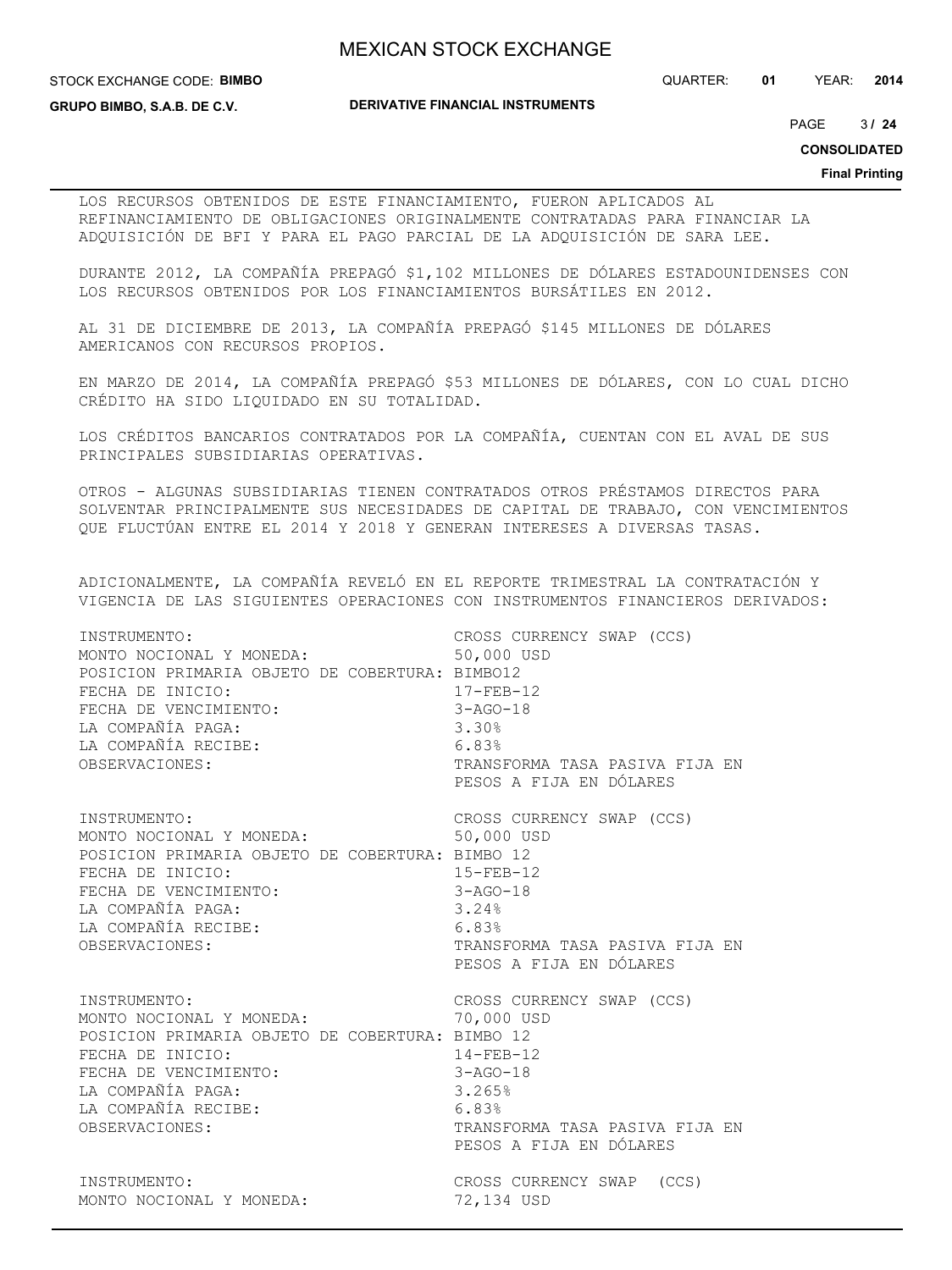STOCK EXCHANGE CODE: **BIMBO**

QUARTER: **01** YEAR: **2014**

**GRUPO BIMBO, S.A.B. DE C.V.**

**DERIVATIVE FINANCIAL INSTRUMENTS**

3 PAGE **/ 24**

**CONSOLIDATED**

**Final Printing**

LOS RECURSOS OBTENIDOS DE ESTE FINANCIAMIENTO, FUERON APLICADOS AL REFINANCIAMIENTO DE OBLIGACIONES ORIGINALMENTE CONTRATADAS PARA FINANCIAR LA ADQUISICIÓN DE BFI Y PARA EL PAGO PARCIAL DE LA ADQUISICIÓN DE SARA LEE.

DURANTE 2012, LA COMPAÑÍA PREPAGÓ \$1,102 MILLONES DE DÓLARES ESTADOUNIDENSES CON LOS RECURSOS OBTENIDOS POR LOS FINANCIAMIENTOS BURSÁTILES EN 2012.

AL 31 DE DICIEMBRE DE 2013, LA COMPAÑÍA PREPAGÓ \$145 MILLONES DE DÓLARES AMERICANOS CON RECURSOS PROPIOS.

EN MARZO DE 2014, LA COMPAÑÍA PREPAGÓ \$53 MILLONES DE DÓLARES, CON LO CUAL DICHO CRÉDITO HA SIDO LIQUIDADO EN SU TOTALIDAD.

LOS CRÉDITOS BANCARIOS CONTRATADOS POR LA COMPAÑÍA, CUENTAN CON EL AVAL DE SUS PRINCIPALES SUBSIDIARIAS OPERATIVAS.

OTROS - ALGUNAS SUBSIDIARIAS TIENEN CONTRATADOS OTROS PRÉSTAMOS DIRECTOS PARA SOLVENTAR PRINCIPALMENTE SUS NECESIDADES DE CAPITAL DE TRABAJO, CON VENCIMIENTOS QUE FLUCTÚAN ENTRE EL 2014 Y 2018 Y GENERAN INTERESES A DIVERSAS TASAS.

ADICIONALMENTE, LA COMPAÑÍA REVELÓ EN EL REPORTE TRIMESTRAL LA CONTRATACIÓN Y VIGENCIA DE LAS SIGUIENTES OPERACIONES CON INSTRUMENTOS FINANCIEROS DERIVADOS:

| INSTRUMENTO:<br>MONTO NOCIONAL Y MONEDA:<br>POSICION PRIMARIA OBJETO DE COBERTURA: BIMBO12<br>FECHA DE INICIO:<br>FECHA DE VENCIMIENTO:<br>LA COMPAÑÍA PAGA:<br>LA COMPAÑÍA RECIBE:<br>OBSERVACIONES:  | CROSS CURRENCY SWAP (CCS)<br>50,000 USD<br>$17 - FEB - 12$<br>$3 - AGO - 18$<br>3.30%<br>6.83%<br>TRANSFORMA TASA PASIVA FIJA EN<br>PESOS A FIJA EN DÓLARES        |
|--------------------------------------------------------------------------------------------------------------------------------------------------------------------------------------------------------|--------------------------------------------------------------------------------------------------------------------------------------------------------------------|
| INSTRUMENTO:<br>MONTO NOCIONAL Y MONEDA:<br>POSICION PRIMARIA OBJETO DE COBERTURA: BIMBO 12<br>FECHA DE INICIO:<br>FECHA DE VENCIMIENTO:<br>LA COMPAÑÍA PAGA:<br>LA COMPAÑÍA RECIBE:<br>OBSERVACIONES: | CROSS CURRENCY SWAP (CCS)<br>50,000 USD<br>$15 - FEB - 12$<br>15-FEB-12<br>3-AGO-18<br>3.24%<br>6.83%<br>TRANSFORMA TASA PASIVA FIJA EN<br>PESOS A FIJA EN DÓLARES |
| INSTRUMENTO:<br>MONTO NOCIONAL Y MONEDA:<br>POSICION PRIMARIA OBJETO DE COBERTURA: BIMBO 12<br>FECHA DE INICIO:<br>FECHA DE VENCIMIENTO:<br>LA COMPAÑÍA PAGA:<br>LA COMPAÑÍA RECIBE:<br>OBSERVACIONES: | CROSS CURRENCY SWAP (CCS)<br>70,000 USD<br>$14 - FEB - 12$<br>$3 - AGO - 18$<br>3.265%<br>6.83%<br>TRANSFORMA TASA PASIVA FIJA EN<br>PESOS A FIJA EN DÓLARES       |
| INSTRUMENTO:<br>MONTO NOCIONAL Y MONEDA:                                                                                                                                                               | CROSS CURRENCY SWAP (CCS)<br>72,134 USD                                                                                                                            |
|                                                                                                                                                                                                        |                                                                                                                                                                    |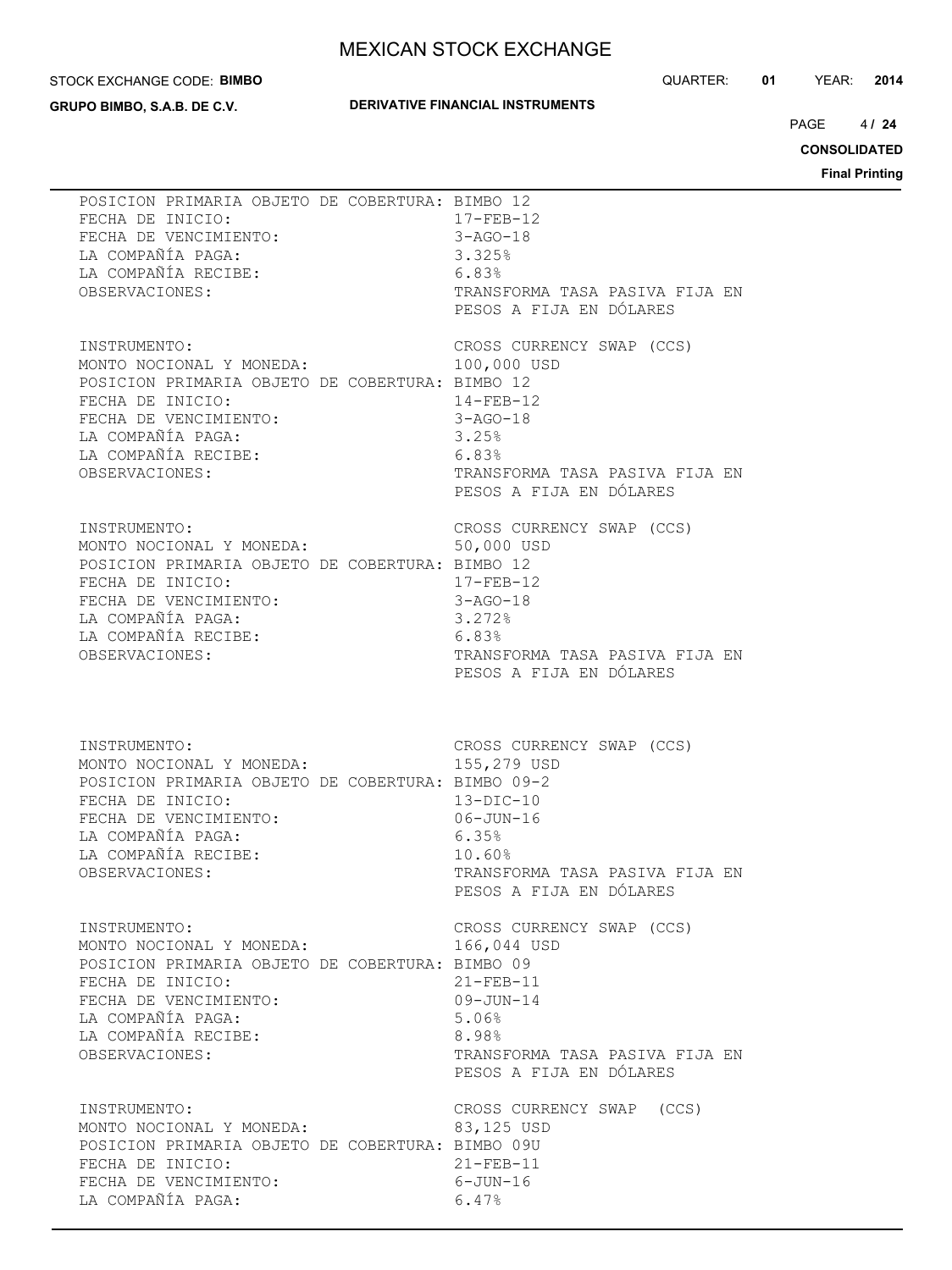#### STOCK EXCHANGE CODE: **BIMBO**

**GRUPO BIMBO, S.A.B. DE C.V.**

#### **DERIVATIVE FINANCIAL INSTRUMENTS**

QUARTER: **01** YEAR: **2014**

 $4124$ PAGE **/ 24**

**CONSOLIDATED**

| POSICION PRIMARIA OBJETO DE COBERTURA: BIMBO 12                                                                                                                                                                                              | $17 - FEB - 12$                                                                                                                      |
|----------------------------------------------------------------------------------------------------------------------------------------------------------------------------------------------------------------------------------------------|--------------------------------------------------------------------------------------------------------------------------------------|
| FECHA DE INICIO:                                                                                                                                                                                                                             | $3 - AGO - 18$                                                                                                                       |
| FECHA DE VENCIMIENTO:                                                                                                                                                                                                                        | 3.325%                                                                                                                               |
| LA COMPAÑÍA PAGA:                                                                                                                                                                                                                            | 6.83%                                                                                                                                |
| LA COMPAÑÍA RECIBE:                                                                                                                                                                                                                          | TRANSFORMA TASA PASIVA FIJA EN                                                                                                       |
| OBSERVACIONES:                                                                                                                                                                                                                               | PESOS A FIJA EN DÓLARES                                                                                                              |
| INSTRUMENTO:<br>MONTO NOCIONAL Y MONEDA:<br>POSICION PRIMARIA OBJETO DE COBERTURA: BIMBO 12<br>FECHA DE INICIO:<br>$14 - \text{FEB} - 12$<br>3-AGO-18<br>FECHA DE VENCIMIENTO:<br>LA COMPAÑÍA PAGA:<br>LA COMPAÑÍA RECIBE:<br>OBSERVACIONES: | CROSS CURRENCY SWAP (CCS)<br>100,000 USD<br>14-FEB-12<br>3.25%<br>6.83%<br>TRANSFORMA TASA PASIVA FIJA EN<br>PESOS A FIJA EN DÓLARES |
| INSTRUMENTO:                                                                                                                                                                                                                                 | CROSS CURRENCY SWAP (CCS)                                                                                                            |
| MONTO NOCIONAL Y MONEDA:                                                                                                                                                                                                                     | 50,000 USD                                                                                                                           |
| POSICION PRIMARIA OBJETO DE COBERTURA: BIMBO 12                                                                                                                                                                                              | 17-FEB-12                                                                                                                            |
| FECHA DE INICIO:                                                                                                                                                                                                                             | 3-AGO-18                                                                                                                             |
| FECHA DE VENCIMIENTO:                                                                                                                                                                                                                        | 3.272%                                                                                                                               |
| LA COMPAÑÍA PAGA:                                                                                                                                                                                                                            | 6.83%                                                                                                                                |
| LA COMPAÑÍA RECIBE:                                                                                                                                                                                                                          | TRANSFORMA TASA PASIVA FIJA EN                                                                                                       |
| OBSERVACIONES:                                                                                                                                                                                                                               | PESOS A FIJA EN DÓLARES                                                                                                              |
| INSTRUMENTO:                                                                                                                                                                                                                                 | CROSS CURRENCY SWAP (CCS)                                                                                                            |
| INSTRUMENTO:<br>MONTO NOCIONAL Y MONEDA:                                                                                                                                                                                                     | 155,279 USD                                                                                                                          |
| POSICION PRIMARIA OBJETO DE COBERTURA: BIMBO 09-2                                                                                                                                                                                            | $13 - DIC - 10$                                                                                                                      |
| FECHA DE INICIO:                                                                                                                                                                                                                             | 06-JUN-16                                                                                                                            |
| FECHA DE VENCIMIENTO:                                                                                                                                                                                                                        | 6.35%                                                                                                                                |
| LA COMPAÑÍA PAGA:                                                                                                                                                                                                                            | 10.60%                                                                                                                               |
| LA COMPAÑÍA RECIBE:                                                                                                                                                                                                                          | TRANSFORMA TASA PASIVA FIJA EN                                                                                                       |
| OBSERVACIONES:                                                                                                                                                                                                                               | PESOS A FIJA EN DÓLARES                                                                                                              |
| INSTRUMENTO:                                                                                                                                                                                                                                 | CROSS CURRENCY SWAP (CCS)                                                                                                            |
| MONTO NOCIONAL Y MONEDA:                                                                                                                                                                                                                     | 166,044 USD                                                                                                                          |
| POSICION PRIMARIA OBJETO DE COBERTURA: BIMBO 09                                                                                                                                                                                              | $21 - FEB - 11$                                                                                                                      |
| FECHA DE INICIO:                                                                                                                                                                                                                             | $09 - JUN - 14$                                                                                                                      |
| FECHA DE VENCIMIENTO:                                                                                                                                                                                                                        | 5.06%                                                                                                                                |
| LA COMPAÑÍA PAGA:                                                                                                                                                                                                                            | 8.98%                                                                                                                                |
| LA COMPAÑÍA RECIBE:                                                                                                                                                                                                                          | TRANSFORMA TASA PASIVA FIJA EN                                                                                                       |
| OBSERVACIONES:                                                                                                                                                                                                                               | PESOS A FIJA EN DÓLARES                                                                                                              |
| INSTRUMENTO:<br>MONTO NOCIONAL Y MONEDA:<br>POSICION PRIMARIA OBJETO DE COBERTURA: BIMBO 09U<br>FECHA DE INICIO:<br>FECHA DE VENCIMIENTO:<br>LA COMPAÑÍA PAGA:                                                                               | CROSS CURRENCY SWAP (CCS)<br>83,125 USD<br>$21 - FEB - 11$<br>6-JUN-16<br>6.47%                                                      |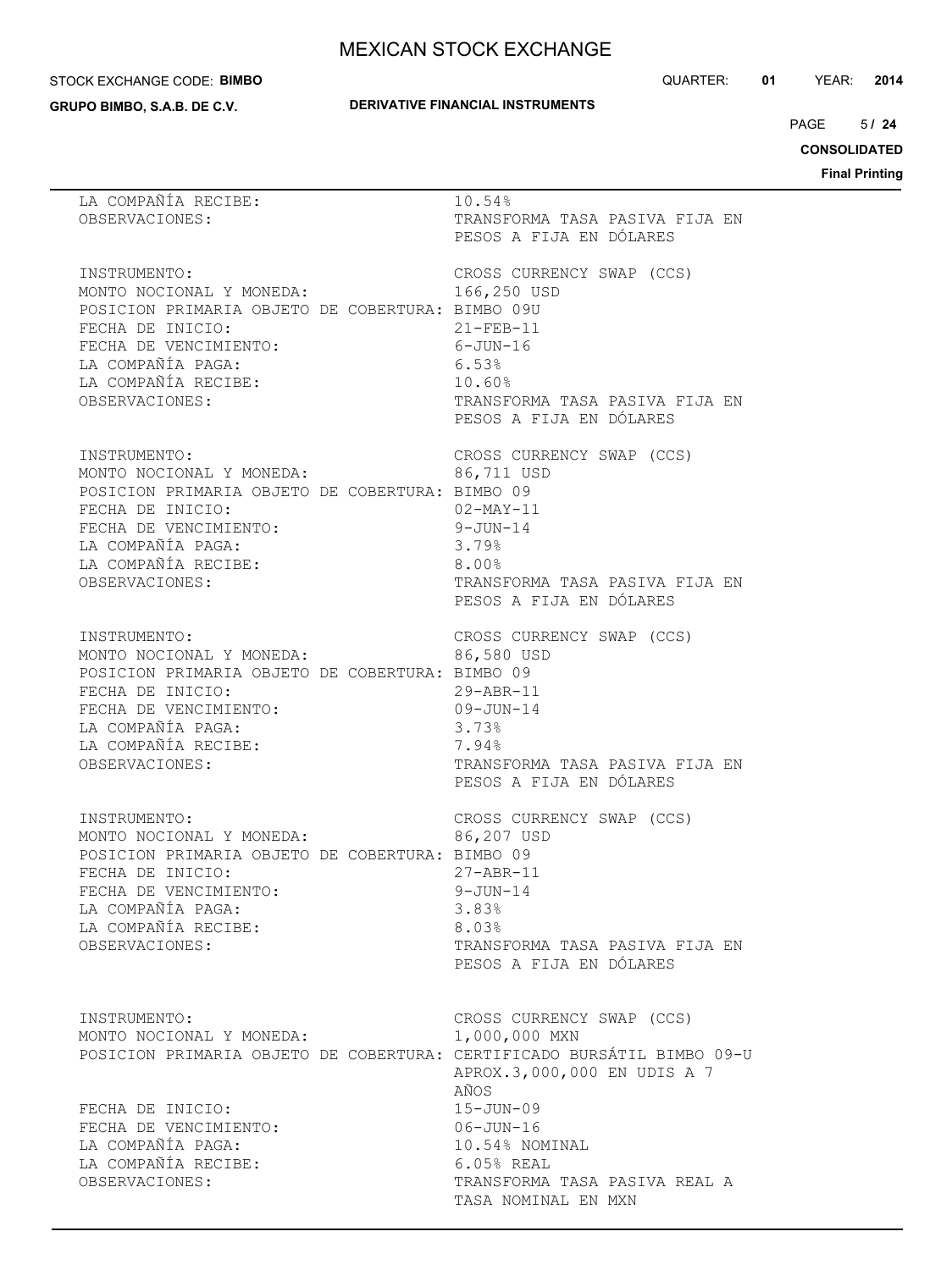#### STOCK EXCHANGE CODE: **BIMBO**

**GRUPO BIMBO, S.A.B. DE C.V.**

#### **DERIVATIVE FINANCIAL INSTRUMENTS**

QUARTER: **01** YEAR: **2014**

 $5/24$  $PAGE$ 

**CONSOLIDATED**

| LA COMPAÑÍA RECIBE:<br>OBSERVACIONES:                                                                                                                                                                                         | 10.54%<br>TRANSFORMA TASA PASIVA FIJA EN<br>PESOS A FIJA EN DÓLARES                                                                                                                                             |
|-------------------------------------------------------------------------------------------------------------------------------------------------------------------------------------------------------------------------------|-----------------------------------------------------------------------------------------------------------------------------------------------------------------------------------------------------------------|
| INSTRUMENTO:<br>MONTO NOCIONAL Y MONEDA:<br>POSICION PRIMARIA OBJETO DE COBERTURA: BIMBO 09U<br>FECHA DE INICIO:<br>FECHA DE VENCIMIENTO:<br>LA COMPAÑÍA PAGA:<br>LA COMPAÑÍA RECIBE:<br>OBSERVACIONES:                       | CROSS CURRENCY SWAP (CCS)<br>166,250 USD<br>$21 - FEB - 11$<br>6-JUN-16<br>6.53%<br>10.60%<br>TRANSFORMA TASA PASIVA FIJA EN<br>PESOS A FIJA EN DÓLARES                                                         |
| INSTRUMENTO:<br>MONTO NOCIONAL Y MONEDA: 86,711 USD<br>POSICION PRIMARIA OBJETO DE COBERTURA: BIMBO 09<br>FECHA DE INICIO:<br>FECHA DE VENCIMIENTO:<br>LA COMPAÑÍA PAGA:<br>LA COMPAÑÍA RECIBE:<br>OBSERVACIONES:             | CROSS CURRENCY SWAP (CCS)<br>02-MAY-11<br>9-JUN-14<br>3.79%<br>$8.00\%$<br>TRANSFORMA TASA PASIVA FIJA EN<br>PESOS A FIJA EN DÓLARES                                                                            |
| INSTRUMENTO:<br>MONTO NOCIONAL Y MONEDA:<br>POSICION PRIMARIA OBJETO DE COBERTURA: BIMBO 09<br>FECHA DE INICIO:<br>FECHA DE VENCIMIENTO:<br>LA COMPAÑÍA PAGA:<br>LA COMPAÑÍA RECIBE:<br>OBSERVACIONES:                        | CROSS CURRENCY SWAP (CCS)<br>86,580 USD<br>$29 - ABR - 11$<br>$09 - JUN - 14$<br>3.73%<br>7.94%<br>TRANSFORMA TASA PASIVA FIJA EN<br>PESOS A FIJA EN DÓLARES                                                    |
| INSTRUMENTO:<br>MONTO NOCIONAL Y MONEDA:<br>POSICION PRIMARIA OBJETO DE COBERTURA: BIMBO 09<br>FECHA DE INICIO:<br>FECHA DE VENCIMIENTO:<br>LA COMPAÑÍA PAGA:<br>LA COMPAÑÍA RECIBE:<br>OBSERVACIONES:                        | CROSS CURRENCY SWAP (CCS)<br>86,207 USD<br>$27 - ABR - 11$<br>$9 - JUN - 14$<br>3.83%<br>8.03%<br>TRANSFORMA TASA PASIVA FIJA EN<br>PESOS A FIJA EN DÓLARES                                                     |
| INSTRUMENTO:<br>MONTO NOCIONAL Y MONEDA:<br>POSICION PRIMARIA OBJETO DE COBERTURA: CERTIFICADO BURSÁTIL BIMBO 09-U<br>FECHA DE INICIO:<br>FECHA DE VENCIMIENTO:<br>LA COMPAÑÍA PAGA:<br>LA COMPAÑÍA RECIBE:<br>OBSERVACIONES: | CROSS CURRENCY SWAP (CCS)<br>1,000,000 MXN<br>APROX.3,000,000 EN UDIS A 7<br>AÑOS<br>$15 - JUN - 09$<br>$06 - JUN - 16$<br>10.54% NOMINAL<br>6.05% REAL<br>TRANSFORMA TASA PASIVA REAL A<br>TASA NOMINAL EN MXN |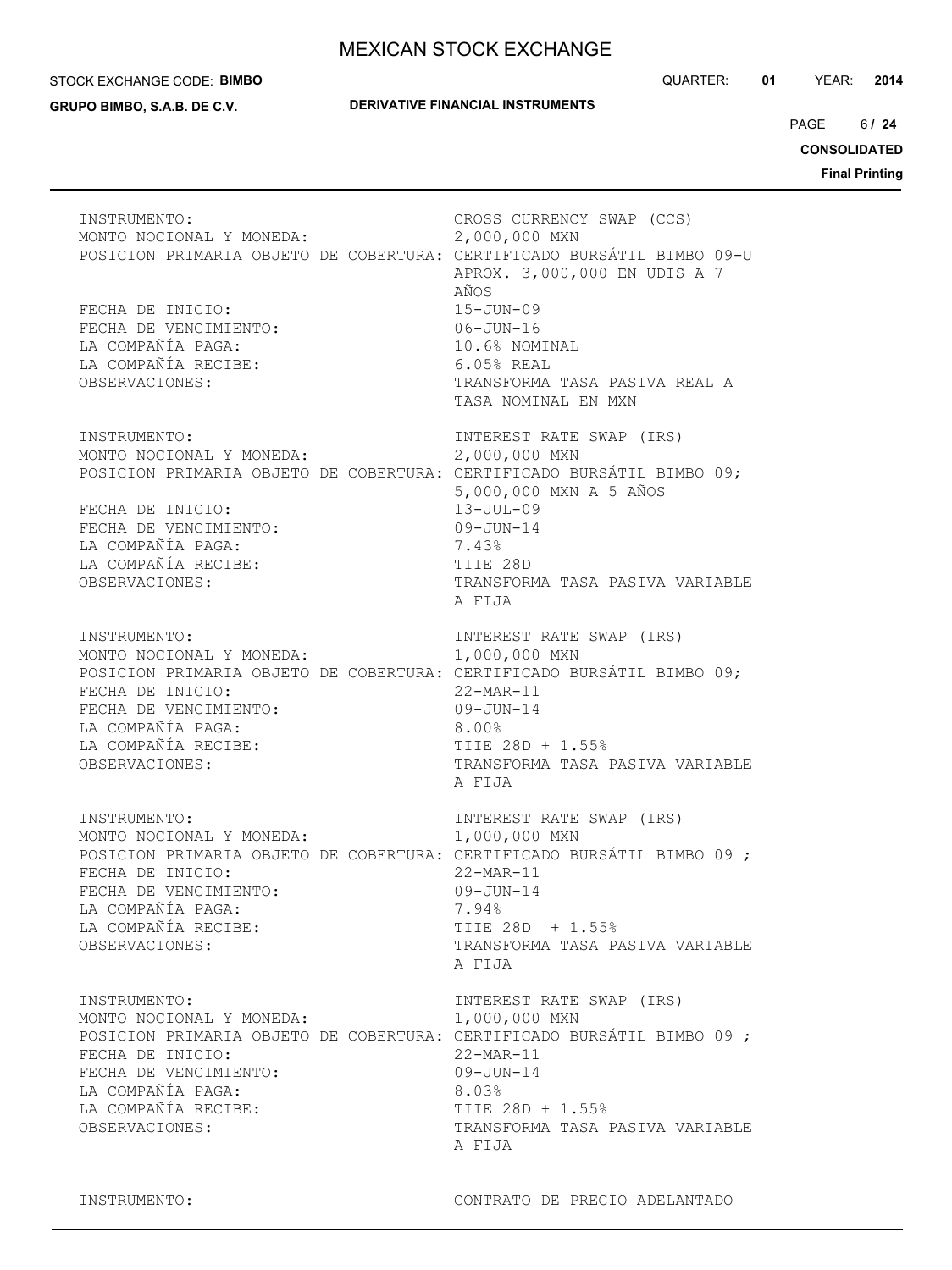#### STOCK EXCHANGE CODE: **BIMBO**

**GRUPO BIMBO, S.A.B. DE C.V.**

QUARTER: **01** YEAR: **2014**

 $6/24$  $PAGE$ 

**CONSOLIDATED**

| INSTRUMENTO:<br>MONTO NOCIONAL Y MONEDA:<br>FECHA DE INICIO:<br>FECHA DE VENCIMIENTO:<br>LA COMPAÑÍA PAGA:<br>LA COMPAÑÍA RECIBE:<br>OBSERVACIONES: | CROSS CURRENCY SWAP (CCS)<br>2,000,000 MXN<br>POSICION PRIMARIA OBJETO DE COBERTURA: CERTIFICADO BURSÁTIL BIMBO 09-U<br>APROX. 3,000,000 EN UDIS A 7<br>AÑOS<br>$15 - JUN - 09$<br>$06 - JUN - 16$<br>10.6% NOMINAL<br>$6.05%$ REAL<br>TRANSFORMA TASA PASIVA REAL A<br>TASA NOMINAL EN MXN |
|-----------------------------------------------------------------------------------------------------------------------------------------------------|---------------------------------------------------------------------------------------------------------------------------------------------------------------------------------------------------------------------------------------------------------------------------------------------|
| INSTRUMENTO:<br>MONTO NOCIONAL Y MONEDA:<br>FECHA DE INICIO:<br>FECHA DE VENCIMIENTO:<br>LA COMPAÑÍA PAGA:<br>LA COMPAÑÍA RECIBE:<br>OBSERVACIONES: | INTEREST RATE SWAP (IRS)<br>2,000,000 MXN<br>POSICION PRIMARIA OBJETO DE COBERTURA: CERTIFICADO BURSÁTIL BIMBO 09;<br>5,000,000 MXN A 5 AÑOS<br>$13 - JUL - 09$<br>$09 - JUN - 14$<br>7.43%<br>TIIE 28D<br>TRANSFORMA TASA PASIVA VARIABLE<br>A FIJA                                        |
| INSTRUMENTO:<br>MONTO NOCIONAL Y MONEDA:<br>FECHA DE INICIO:<br>FECHA DE VENCIMIENTO:<br>LA COMPAÑÍA PAGA:<br>LA COMPAÑÍA RECIBE:<br>OBSERVACIONES: | INTEREST RATE SWAP (IRS)<br>1,000,000 MXN<br>POSICION PRIMARIA OBJETO DE COBERTURA: CERTIFICADO BURSÁTIL BIMBO 09;<br>$22$ -MAR-11<br>$09 - JUN - 14$<br>8.00%<br>TIIE 28D + 1.55%<br>TRANSFORMA TASA PASIVA VARIABLE<br>A FIJA                                                             |
| INSTRUMENTO:<br>MONTO NOCIONAL Y MONEDA:<br>FECHA DE INICIO:<br>FECHA DE VENCIMIENTO:<br>LA COMPAÑÍA PAGA:<br>LA COMPAÑÍA RECIBE:<br>OBSERVACIONES: | INTEREST RATE SWAP (IRS)<br>1,000,000 MXN<br>POSICION PRIMARIA OBJETO DE COBERTURA: CERTIFICADO BURSÁTIL BIMBO 09 ;<br>$22-MAR-11$<br>$09 - JUN - 14$<br>7.94%<br>TIIE 28D + 1.55%<br>TRANSFORMA TASA PASIVA VARIABLE<br>A FIJA                                                             |
| INSTRUMENTO:<br>MONTO NOCIONAL Y MONEDA:<br>FECHA DE INICIO:<br>FECHA DE VENCIMIENTO:<br>LA COMPAÑÍA PAGA:<br>LA COMPAÑÍA RECIBE:<br>OBSERVACIONES: | INTEREST RATE SWAP (IRS)<br>1,000,000 MXN<br>POSICION PRIMARIA OBJETO DE COBERTURA: CERTIFICADO BURSÁTIL BIMBO 09;<br>$22-MAR-11$<br>$09 - JUN - 14$<br>8.03%<br>TIIE 28D + 1.55%<br>TRANSFORMA TASA PASIVA VARIABLE<br>A FIJA                                                              |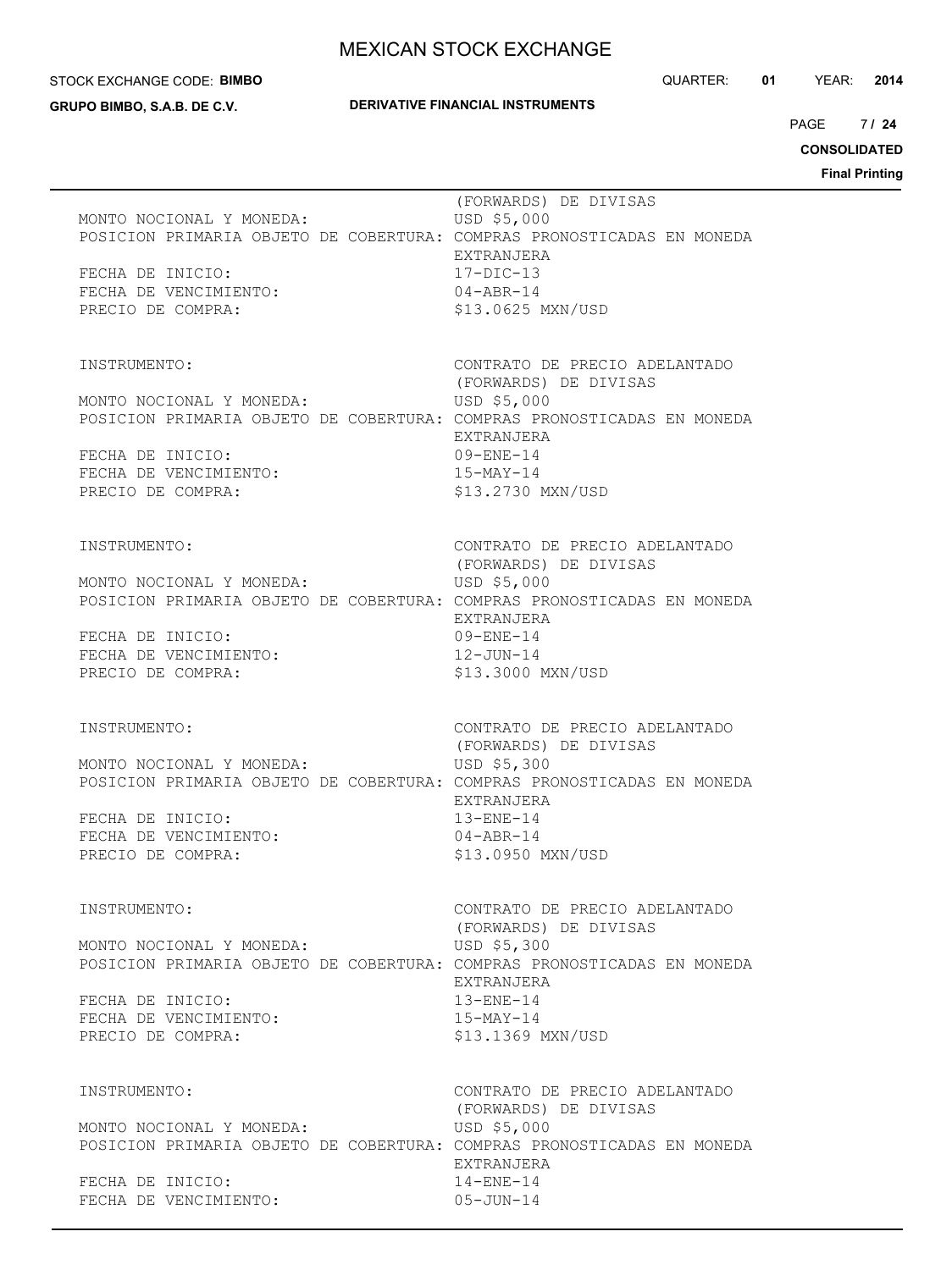#### STOCK EXCHANGE CODE: **BIMBO**

**GRUPO BIMBO, S.A.B. DE C.V.**

#### **DERIVATIVE FINANCIAL INSTRUMENTS**

QUARTER: **01** YEAR: **2014**

 $7124$  $PAGE$ 

**CONSOLIDATED**

| MONTO NOCIONAL Y MONEDA:<br>POSICION PRIMARIA OBJETO DE COBERTURA: COMPRAS PRONOSTICADAS EN MONEDA<br>FECHA DE INICIO:<br>FECHA DE VENCIMIENTO:<br>PRECIO DE COMPRA:                 | (FORWARDS) DE DIVISAS<br>USD \$5,000<br>EXTRANJERA<br>$17 - DIC - 13$<br>$04 - ABR - 14$<br>\$13.0625 MXN/USD                                  |
|--------------------------------------------------------------------------------------------------------------------------------------------------------------------------------------|------------------------------------------------------------------------------------------------------------------------------------------------|
| INSTRUMENTO:<br>MONTO NOCIONAL Y MONEDA:<br>POSICION PRIMARIA OBJETO DE COBERTURA: COMPRAS PRONOSTICADAS EN MONEDA<br>FECHA DE INICIO:<br>FECHA DE VENCIMIENTO:<br>PRECIO DE COMPRA: | CONTRATO DE PRECIO ADELANTADO<br>(FORWARDS) DE DIVISAS<br>USD \$5,000<br>EXTRANJERA<br>$09 - ENE - 14$<br>$15-MAY-14$<br>\$13,2730 MXN/USD     |
| INSTRUMENTO:<br>MONTO NOCIONAL Y MONEDA:<br>POSICION PRIMARIA OBJETO DE COBERTURA: COMPRAS PRONOSTICADAS EN MONEDA<br>FECHA DE INICIO:<br>FECHA DE VENCIMIENTO:<br>PRECIO DE COMPRA: | CONTRATO DE PRECIO ADELANTADO<br>(FORWARDS) DE DIVISAS<br>USD \$5,000<br>EXTRANJERA<br>09-ENE-14<br>$12 - JUN - 14$<br>\$13.3000 MXN/USD       |
| INSTRUMENTO:<br>MONTO NOCIONAL Y MONEDA:<br>POSICION PRIMARIA OBJETO DE COBERTURA: COMPRAS PRONOSTICADAS EN MONEDA<br>FECHA DE INICIO:<br>FECHA DE VENCIMIENTO:<br>PRECIO DE COMPRA: | CONTRATO DE PRECIO ADELANTADO<br>(FORWARDS) DE DIVISAS<br>USD \$5,300<br>EXTRANJERA<br>$13 - ENE - 14$<br>$04 - ABR - 14$<br>\$13.0950 MXN/USD |
| INSTRUMENTO:<br>MONTO NOCIONAL Y MONEDA:<br>POSICION PRIMARIA OBJETO DE COBERTURA: COMPRAS PRONOSTICADAS EN MONEDA<br>FECHA DE INICIO:<br>FECHA DE VENCIMIENTO:<br>PRECIO DE COMPRA: | CONTRATO DE PRECIO ADELANTADO<br>(FORWARDS) DE DIVISAS<br>USD \$5,300<br>EXTRANJERA<br>$13 - ENE - 14$<br>$15-MAY-14$<br>\$13.1369 MXN/USD     |
| INSTRUMENTO:<br>MONTO NOCIONAL Y MONEDA:<br>POSICION PRIMARIA OBJETO DE COBERTURA: COMPRAS PRONOSTICADAS EN MONEDA<br>FECHA DE INICIO:<br>FECHA DE VENCIMIENTO:                      | CONTRATO DE PRECIO ADELANTADO<br>(FORWARDS) DE DIVISAS<br>USD \$5,000<br>EXTRANJERA<br>$14 - ENE - 14$<br>$05 - JUN - 14$                      |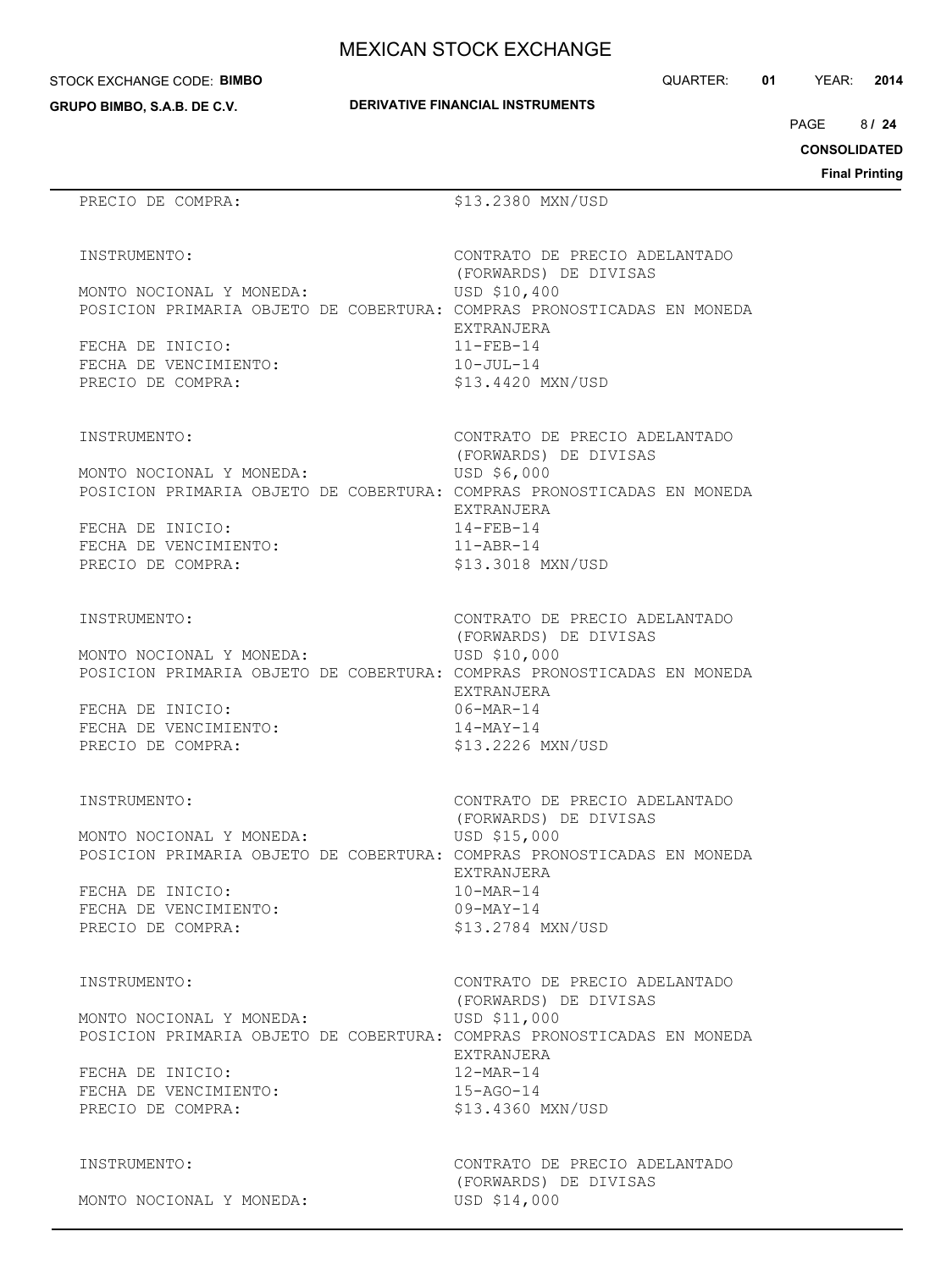STOCK EXCHANGE CODE: **BIMBO**

| <b>DERIVATIVE FINANCIAL INSTRUMENTS</b> |  |
|-----------------------------------------|--|

(FORWARDS) DE DIVISAS

(FORWARDS) DE DIVISAS

(FORWARDS) DE DIVISAS

EXTRANJERA

EXTRANJERA

EXTRANJERA

QUARTER: **01** YEAR: **2014**

8 PAGE **/ 24**

**CONSOLIDATED**

**Final Printing**

# **GRUPO BIMBO, S.A.B. DE C.V.** PRECIO DE COMPRA:  $$13.2380$  MXN/USD INSTRUMENTO: CONTRATO DE PRECIO ADELANTADO MONTO NOCIONAL Y MONEDA: USD \$10,400 POSICION PRIMARIA OBJETO DE COBERTURA: COMPRAS PRONOSTICADAS EN MONEDA FECHA DE INICIO: 11-FEB-14 FECHA DE VENCIMIENTO: 10-JUL-14 PRECIO DE COMPRA:  $$13.4420$  MXN/USD INSTRUMENTO: CONTRATO DE PRECIO ADELANTADO MONTO NOCIONAL Y MONEDA: USD \$6,000 POSICION PRIMARIA OBJETO DE COBERTURA: COMPRAS PRONOSTICADAS EN MONEDA FECHA DE INICIO: 14-FEB-14 FECHA DE VENCIMIENTO: 11-ABR-14 PRECIO DE COMPRA:  $$13.3018$  MXN/USD INSTRUMENTO: CONTRATO DE PRECIO ADELANTADO MONTO NOCIONAL Y MONEDA: USD \$10,000 POSICION PRIMARIA OBJETO DE COBERTURA: COMPRAS PRONOSTICADAS EN MONEDA FECHA DE INICIO: 06-MAR-14 FECHA DE VENCIMIENTO: 14-MAY-14 PRECIO DE COMPRA:  $$13.2226$  MXN/USD

INSTRUMENTO: CONTRATO DE PRECIO ADELANTADO (FORWARDS) DE DIVISAS MONTO NOCIONAL Y MONEDA: USD \$15,000 POSICION PRIMARIA OBJETO DE COBERTURA: COMPRAS PRONOSTICADAS EN MONEDA EXTRANJERA FECHA DE INICIO: 10-MAR-14 FECHA DE VENCIMIENTO: 09-MAY-14 PRECIO DE COMPRA:  $$13.2784$  MXN/USD

#### INSTRUMENTO: CONTRATO DE PRECIO ADELANTADO

 (FORWARDS) DE DIVISAS MONTO NOCIONAL Y MONEDA: USD \$11,000 POSICION PRIMARIA OBJETO DE COBERTURA: COMPRAS PRONOSTICADAS EN MONEDA EXTRANJERA<br>12-MAR-14 FECHA DE INICIO: FECHA DE VENCIMIENTO: 15-AGO-14 PRECIO DE COMPRA:  $$13.4360$  MXN/USD

MONTO NOCIONAL Y MONEDA: USD \$14,000

INSTRUMENTO: CONTRATO DE PRECIO ADELANTADO (FORWARDS) DE DIVISAS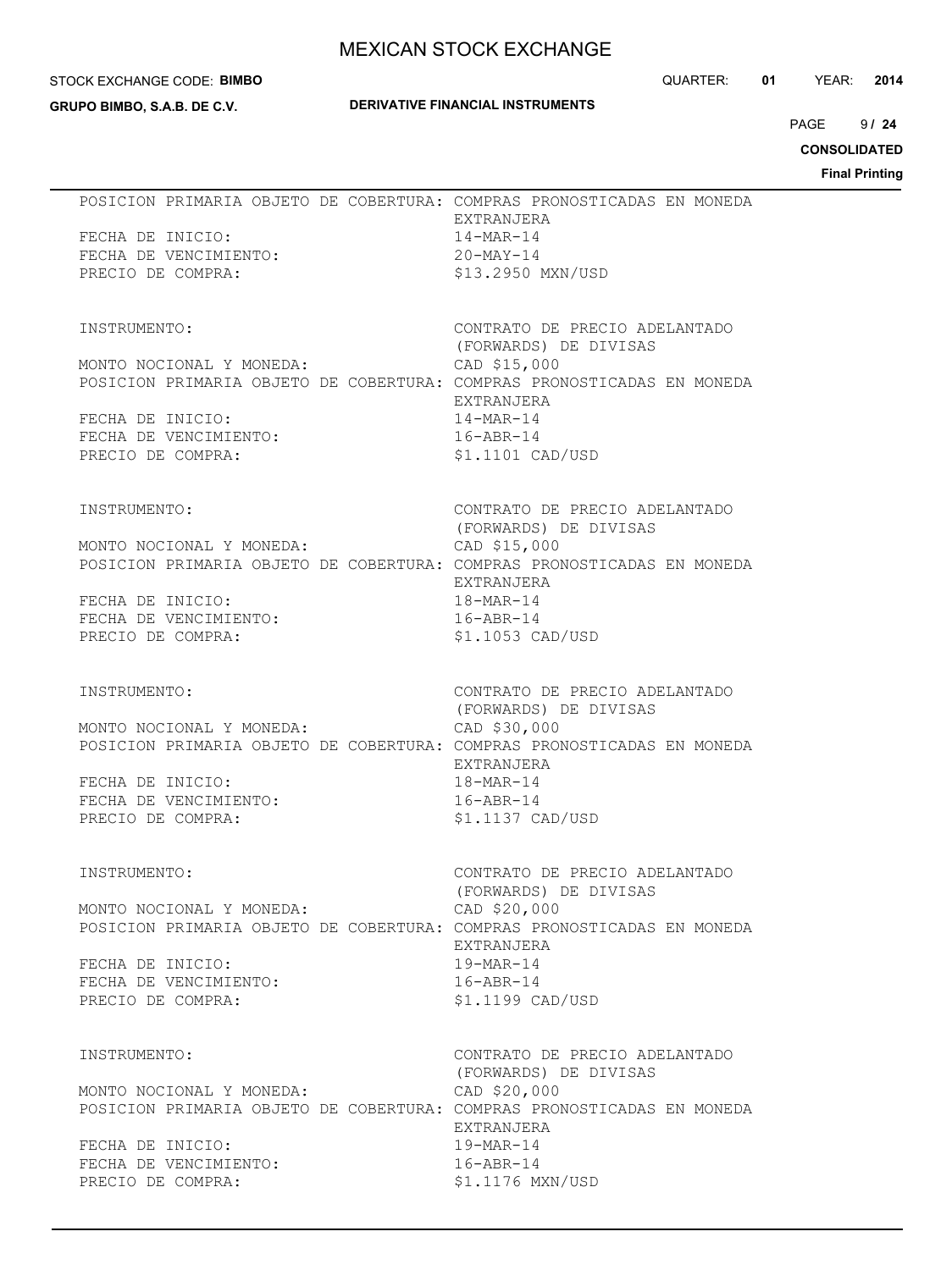#### STOCK EXCHANGE CODE: **BIMBO**

**GRUPO BIMBO, S.A.B. DE C.V.**

#### **DERIVATIVE FINANCIAL INSTRUMENTS**

QUARTER: **01** YEAR: **2014**

 $9124$ PAGE **/ 24**

**CONSOLIDATED**

|                                                                                                                                                                                      | <b>Final Printing</b>                                                                                                                                 |
|--------------------------------------------------------------------------------------------------------------------------------------------------------------------------------------|-------------------------------------------------------------------------------------------------------------------------------------------------------|
| POSICION PRIMARIA OBJETO DE COBERTURA: COMPRAS PRONOSTICADAS EN MONEDA<br>FECHA DE INICIO:<br>FECHA DE VENCIMIENTO:<br>PRECIO DE COMPRA:                                             | EXTRANJERA<br>14-MAR-14<br>20-MAY-14<br>\$13.2950 MXN/USD                                                                                             |
| INSTRUMENTO:<br>MONTO NOCIONAL Y MONEDA:<br>POSICION PRIMARIA OBJETO DE COBERTURA: COMPRAS PRONOSTICADAS EN MONEDA<br>FECHA DE INICIO:<br>FECHA DE VENCIMIENTO:<br>PRECIO DE COMPRA: | CONTRATO DE PRECIO ADELANTADO<br>(FORWARDS) DE DIVISAS<br>CAD \$15,000<br>EXTRANJERA<br>14-MAR-14<br>$16 - ABR - 14$<br>$$1.1101$ CAD/USD             |
| INSTRUMENTO:<br>MONTO NOCIONAL Y MONEDA:<br>POSICION PRIMARIA OBJETO DE COBERTURA: COMPRAS PRONOSTICADAS EN MONEDA<br>FECHA DE INICIO:<br>FECHA DE VENCIMIENTO:<br>PRECIO DE COMPRA: | CONTRATO DE PRECIO ADELANTADO<br>(FORWARDS) DE DIVISAS<br>CAD \$15,000<br>EXTRANJERA<br>18-MAR-14<br>$16 - ABR - 14$<br>\$1.1053 CAD/USD              |
| INSTRUMENTO:<br>MONTO NOCIONAL Y MONEDA:<br>POSICION PRIMARIA OBJETO DE COBERTURA: COMPRAS PRONOSTICADAS EN MONEDA<br>FECHA DE INICIO:<br>FECHA DE VENCIMIENTO:<br>PRECIO DE COMPRA: | CONTRATO DE PRECIO ADELANTADO<br>(FORWARDS) DE DIVISAS<br>CAD \$30,000<br>EXTRANJERA<br>18-MAR-14<br>$16 - ABR - 14$<br>\$1.1137 CAD/USD              |
| INSTRUMENTO:<br>MONTO NOCIONAL Y MONEDA:<br>POSICION PRIMARIA OBJETO DE COBERTURA: COMPRAS PRONOSTICADAS EN MONEDA<br>FECHA DE INICIO:<br>FECHA DE VENCIMIENTO:<br>PRECIO DE COMPRA: | CONTRATO DE PRECIO ADELANTADO<br>(FORWARDS) DE DIVISAS<br>CAD \$20,000<br>EXTRANJERA<br>$19 - \text{MAR} - 14$<br>$16 - ABR - 14$<br>\$1.1199 CAD/USD |
| INSTRUMENTO:<br>MONTO NOCIONAL Y MONEDA:<br>POSICION PRIMARIA OBJETO DE COBERTURA: COMPRAS PRONOSTICADAS EN MONEDA<br>FECHA DE INICIO:<br>FECHA DE VENCIMIENTO:<br>PRECIO DE COMPRA: | CONTRATO DE PRECIO ADELANTADO<br>(FORWARDS) DE DIVISAS<br>CAD \$20,000<br>EXTRANJERA<br>19-MAR-14<br>$16 - ABR - 14$<br>\$1.1176 MXN/USD              |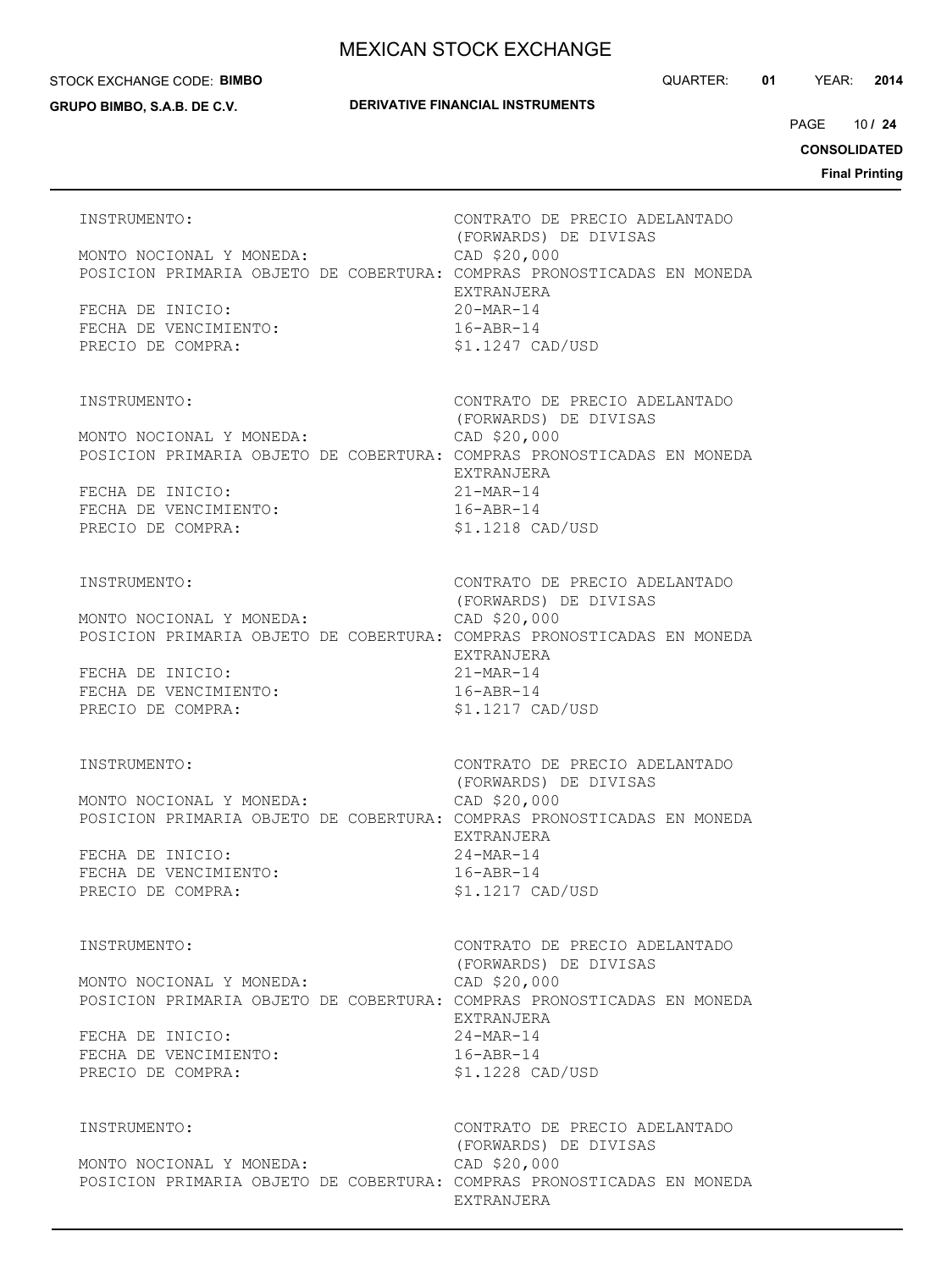#### STOCK EXCHANGE CODE: **BIMBO**

**GRUPO BIMBO, S.A.B. DE C.V.**

#### **DERIVATIVE FINANCIAL INSTRUMENTS**

10 PAGE **/ 24**

**CONSOLIDATED**

| INSTRUMENTO:<br>MONTO NOCIONAL Y MONEDA:<br>POSICION PRIMARIA OBJETO DE COBERTURA: COMPRAS PRONOSTICADAS EN MONEDA<br>FECHA DE INICIO:<br>FECHA DE VENCIMIENTO:<br>PRECIO DE COMPRA: | CONTRATO DE PRECIO ADELANTADO<br>(FORWARDS) DE DIVISAS<br>CAD \$20,000<br>EXTRANJERA<br>$20-MAR-14$<br>$16 - ABR - 14$<br>\$1.1247 CAD/USD            |
|--------------------------------------------------------------------------------------------------------------------------------------------------------------------------------------|-------------------------------------------------------------------------------------------------------------------------------------------------------|
| INSTRUMENTO:<br>MONTO NOCIONAL Y MONEDA:<br>POSICION PRIMARIA OBJETO DE COBERTURA: COMPRAS PRONOSTICADAS EN MONEDA<br>FECHA DE INICIO:<br>FECHA DE VENCIMIENTO:<br>PRECIO DE COMPRA: | CONTRATO DE PRECIO ADELANTADO<br>(FORWARDS) DE DIVISAS<br>CAD \$20,000<br>EXTRANJERA<br>$21 - \text{MAR} - 14$<br>$16 - ABR - 14$<br>\$1.1218 CAD/USD |
| INSTRUMENTO:<br>MONTO NOCIONAL Y MONEDA:<br>POSICION PRIMARIA OBJETO DE COBERTURA: COMPRAS PRONOSTICADAS EN MONEDA<br>FECHA DE INICIO:<br>FECHA DE VENCIMIENTO:<br>PRECIO DE COMPRA: | CONTRATO DE PRECIO ADELANTADO<br>(FORWARDS) DE DIVISAS<br>CAD \$20,000<br>EXTRANJERA<br>$21 - \text{MAR} - 14$<br>$16 - ABR - 14$<br>\$1.1217 CAD/USD |
| INSTRUMENTO:<br>MONTO NOCIONAL Y MONEDA:<br>POSICION PRIMARIA OBJETO DE COBERTURA: COMPRAS PRONOSTICADAS EN MONEDA<br>FECHA DE INICIO:<br>FECHA DE VENCIMIENTO:<br>PRECIO DE COMPRA: | CONTRATO DE PRECIO ADELANTADO<br>(FORWARDS) DE DIVISAS<br>CAD \$20,000<br>EXTRANJERA<br>$24 - \text{MAR} - 14$<br>$16 - ABR - 14$<br>\$1.1217 CAD/USD |
| INSTRUMENTO:<br>MONTO NOCIONAL Y MONEDA:<br>POSICION PRIMARIA OBJETO DE COBERTURA: COMPRAS PRONOSTICADAS EN MONEDA<br>FECHA DE INICIO:<br>FECHA DE VENCIMIENTO:<br>PRECIO DE COMPRA: | CONTRATO DE PRECIO ADELANTADO<br>(FORWARDS) DE DIVISAS<br>CAD \$20,000<br>EXTRANJERA<br>$24 - \text{MAR} - 14$<br>$16 - ABR - 14$<br>\$1.1228 CAD/USD |
| INSTRUMENTO:<br>MONTO NOCIONAL Y MONEDA:<br>POSICION PRIMARIA OBJETO DE COBERTURA: COMPRAS PRONOSTICADAS EN MONEDA                                                                   | CONTRATO DE PRECIO ADELANTADO<br>(FORWARDS) DE DIVISAS<br>CAD \$20,000<br>EXTRANJERA                                                                  |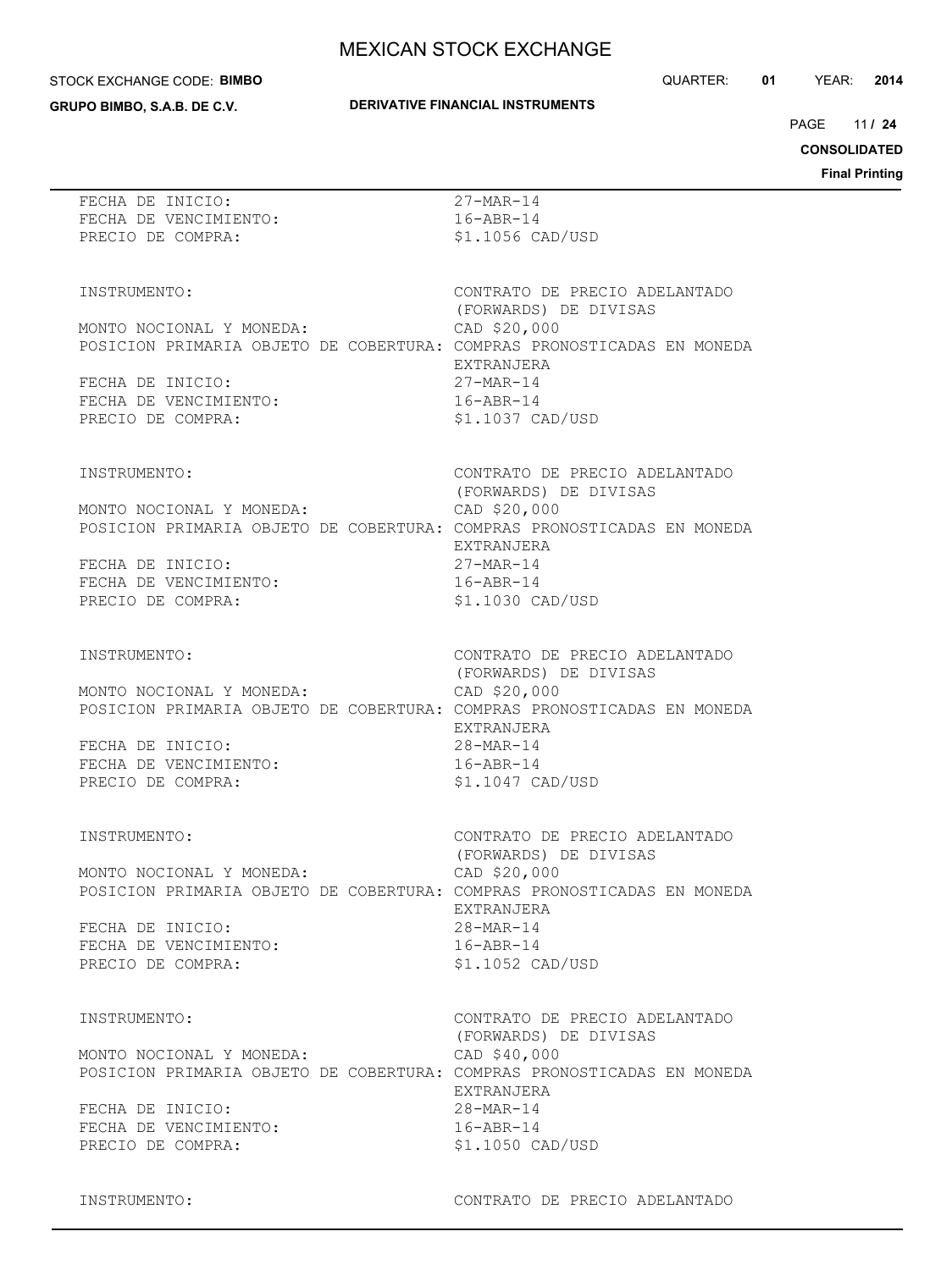#### STOCK EXCHANGE CODE: **BIMBO**

**GRUPO BIMBO, S.A.B. DE C.V.**

#### **DERIVATIVE FINANCIAL INSTRUMENTS**

QUARTER: **01** YEAR: **2014**

11 PAGE **/ 24**

**CONSOLIDATED**

**Final Printing**

| FECHA DE INICIO:<br>FECHA DE VENCIMIENTO:<br>PRECIO DE COMPRA:                                                                                                                       | $27 - \text{MAR} - 14$<br>$16 - ABR - 14$<br>\$1.1056 CAD/USD                                                                                          |
|--------------------------------------------------------------------------------------------------------------------------------------------------------------------------------------|--------------------------------------------------------------------------------------------------------------------------------------------------------|
| INSTRUMENTO:<br>MONTO NOCIONAL Y MONEDA:<br>POSICION PRIMARIA OBJETO DE COBERTURA: COMPRAS PRONOSTICADAS EN MONEDA<br>FECHA DE INICIO:<br>FECHA DE VENCIMIENTO:<br>PRECIO DE COMPRA: | CONTRATO DE PRECIO ADELANTADO<br>(FORWARDS) DE DIVISAS<br>CAD \$20,000<br>EXTRANJERA<br>$27 - \text{MAR} - 14$<br>$16 - ABR - 14$<br>\$1.1037 CAD/USD  |
| INSTRUMENTO:<br>MONTO NOCIONAL Y MONEDA:<br>POSICION PRIMARIA OBJETO DE COBERTURA: COMPRAS PRONOSTICADAS EN MONEDA<br>FECHA DE INICIO:<br>FECHA DE VENCIMIENTO:<br>PRECIO DE COMPRA: | CONTRATO DE PRECIO ADELANTADO<br>(FORWARDS) DE DIVISAS<br>CAD \$20,000<br>EXTRANJERA<br>$27 - \text{MAR} - 14$<br>$16 - ABR - 14$<br>\$1.1030 CAD/USD  |
| INSTRUMENTO:<br>MONTO NOCIONAL Y MONEDA:<br>POSICION PRIMARIA OBJETO DE COBERTURA: COMPRAS PRONOSTICADAS EN MONEDA<br>FECHA DE INICIO:<br>FECHA DE VENCIMIENTO:<br>PRECIO DE COMPRA: | CONTRATO DE PRECIO ADELANTADO<br>(FORWARDS) DE DIVISAS<br>CAD \$20,000<br>EXTRANJERA<br>$28 - \text{MAR} - 14$<br>$16 - ABR - 14$<br>$$1.1047$ CAD/USD |
| INSTRUMENTO:<br>MONTO NOCIONAL Y MONEDA:<br>POSICION PRIMARIA OBJETO DE COBERTURA: COMPRAS PRONOSTICADAS EN MONEDA<br>FECHA DE INICIO:<br>FECHA DE VENCIMIENTO:<br>PRECIO DE COMPRA: | CONTRATO DE PRECIO ADELANTADO<br>(FORWARDS) DE DIVISAS<br>CAD \$20,000<br>EXTRANJERA<br>$28 - \text{MAR} - 14$<br>$16 - ABR - 14$<br>\$1.1052 CAD/USD  |
| INSTRUMENTO:<br>MONTO NOCIONAL Y MONEDA:<br>POSICION PRIMARIA OBJETO DE COBERTURA: COMPRAS PRONOSTICADAS EN MONEDA<br>FECHA DE INICIO:<br>FECHA DE VENCIMIENTO:<br>PRECIO DE COMPRA: | CONTRATO DE PRECIO ADELANTADO<br>(FORWARDS) DE DIVISAS<br>CAD \$40,000<br>EXTRANJERA<br>$28 - \text{MAR} - 14$<br>$16 - ABR - 14$<br>\$1.1050 CAD/USD  |

INSTRUMENTO: CONTRATO DE PRECIO ADELANTADO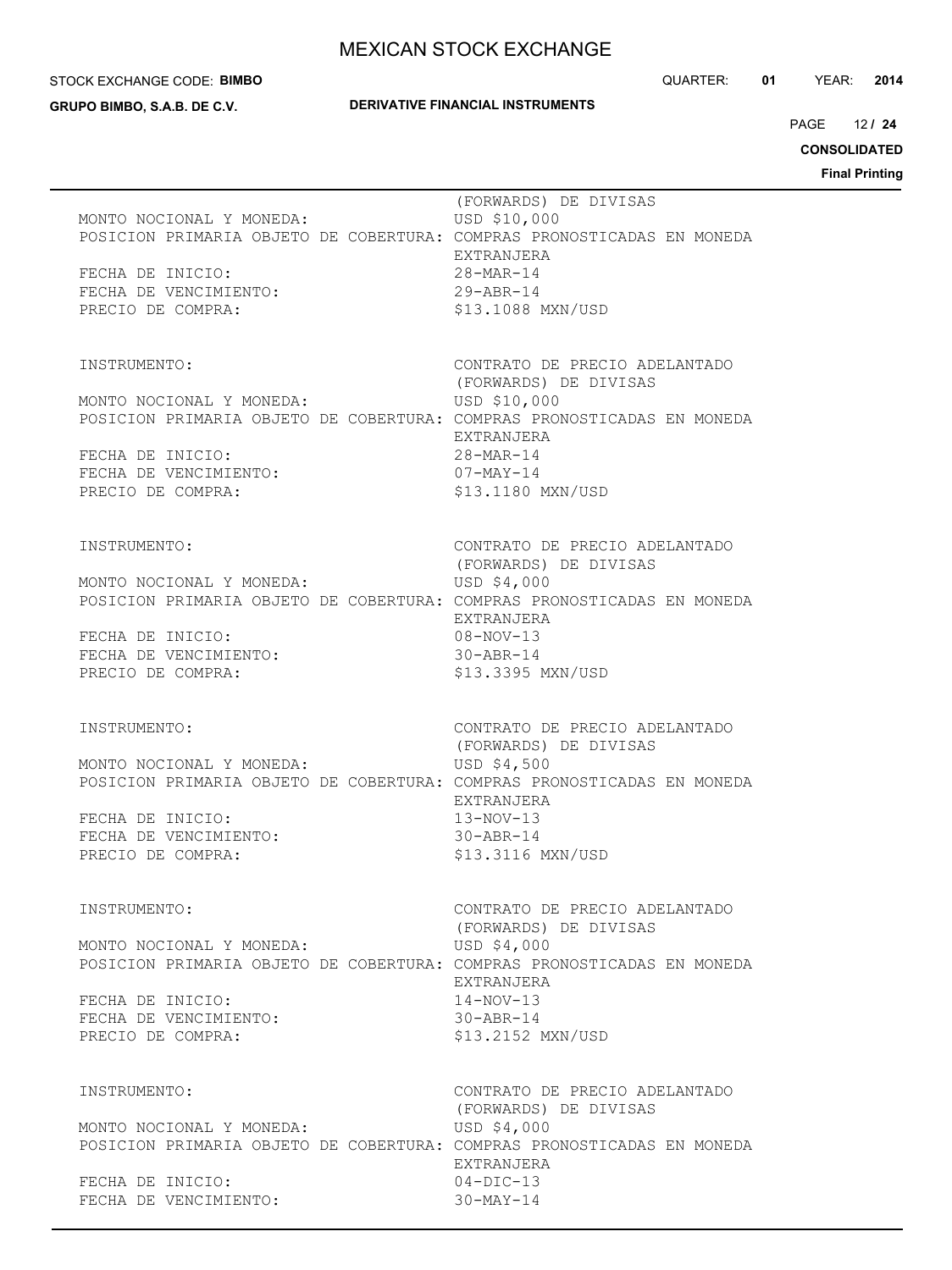#### STOCK EXCHANGE CODE: **BIMBO**

**GRUPO BIMBO, S.A.B. DE C.V.**

#### **DERIVATIVE FINANCIAL INSTRUMENTS**

QUARTER: **01** YEAR: **2014**

12 PAGE **/ 24**

**CONSOLIDATED**

|                                                                                                                                                                                      | гшаг гишиц                                                                                                                                            |
|--------------------------------------------------------------------------------------------------------------------------------------------------------------------------------------|-------------------------------------------------------------------------------------------------------------------------------------------------------|
| MONTO NOCIONAL Y MONEDA:<br>POSICION PRIMARIA OBJETO DE COBERTURA: COMPRAS PRONOSTICADAS EN MONEDA<br>FECHA DE INICIO:<br>FECHA DE VENCIMIENTO:<br>PRECIO DE COMPRA:                 | (FORWARDS) DE DIVISAS<br>USD \$10,000<br>EXTRANJERA<br>$28 - MAR - 14$<br>$29 - ABR - 14$<br>\$13.1088 MXN/USD                                        |
| INSTRUMENTO:<br>MONTO NOCIONAL Y MONEDA:<br>POSICION PRIMARIA OBJETO DE COBERTURA: COMPRAS PRONOSTICADAS EN MONEDA<br>FECHA DE INICIO:<br>FECHA DE VENCIMIENTO:<br>PRECIO DE COMPRA: | CONTRATO DE PRECIO ADELANTADO<br>(FORWARDS) DE DIVISAS<br>USD \$10,000<br>EXTRANJERA<br>28-MAR-14<br>$07 - \text{MAX} - 14$<br>\$13.1180 MXN/USD      |
| INSTRUMENTO:<br>MONTO NOCIONAL Y MONEDA:<br>POSICION PRIMARIA OBJETO DE COBERTURA: COMPRAS PRONOSTICADAS EN MONEDA<br>FECHA DE INICIO:<br>FECHA DE VENCIMIENTO:<br>PRECIO DE COMPRA: | CONTRATO DE PRECIO ADELANTADO<br>(FORWARDS) DE DIVISAS<br>USD \$4,000<br>EXTRANJERA<br>$08 - NOV - 13$<br>$30 - ABR - 14$<br>\$13.3395 MXN/USD        |
| INSTRUMENTO:<br>MONTO NOCIONAL Y MONEDA:<br>POSICION PRIMARIA OBJETO DE COBERTURA: COMPRAS PRONOSTICADAS EN MONEDA<br>FECHA DE INICIO:<br>FECHA DE VENCIMIENTO:<br>PRECIO DE COMPRA: | CONTRATO DE PRECIO ADELANTADO<br>(FORWARDS) DE DIVISAS<br>USD \$4,500<br>EXTRANJERA<br>$13-NOV-13$<br>$30 - ABR - 14$<br>\$13.3116 MXN/USD            |
| INSTRUMENTO:<br>MONTO NOCIONAL Y MONEDA:<br>POSICION PRIMARIA OBJETO DE COBERTURA: COMPRAS PRONOSTICADAS EN MONEDA<br>FECHA DE INICIO:<br>FECHA DE VENCIMIENTO:<br>PRECIO DE COMPRA: | CONTRATO DE PRECIO ADELANTADO<br>(FORWARDS) DE DIVISAS<br>USD \$4,000<br><b>EXTRANJERA</b><br>$14 - NOV - 13$<br>$30 - ABR - 14$<br>\$13.2152 MXN/USD |
| INSTRUMENTO:<br>MONTO NOCIONAL Y MONEDA:<br>POSICION PRIMARIA OBJETO DE COBERTURA: COMPRAS PRONOSTICADAS EN MONEDA<br>FECHA DE INICIO:<br>FECHA DE VENCIMIENTO:                      | CONTRATO DE PRECIO ADELANTADO<br>(FORWARDS) DE DIVISAS<br>USD \$4,000<br>EXTRANJERA<br>$04-DIC-13$<br>$30-MAY-14$                                     |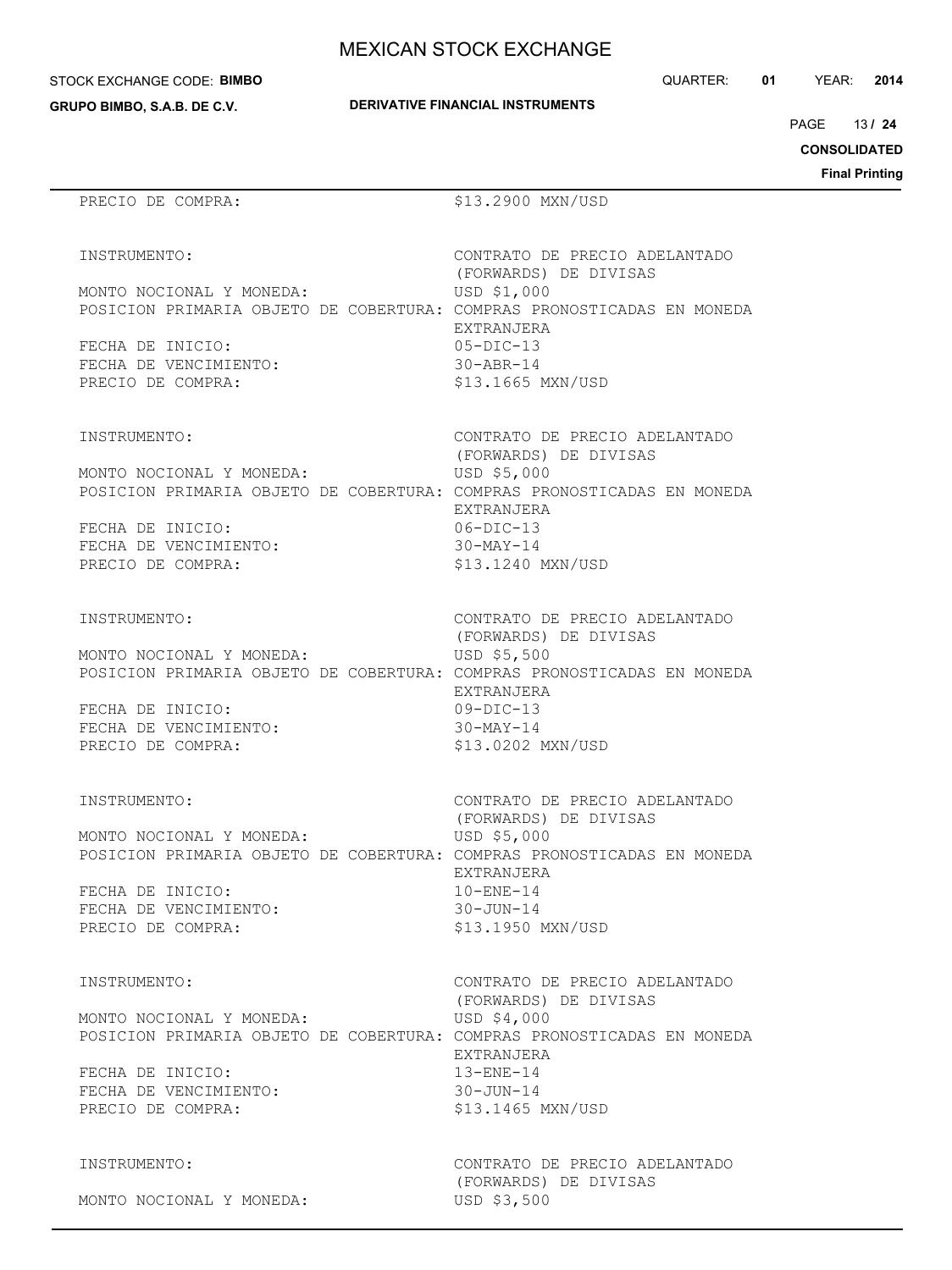STOCK EXCHANGE CODE: **BIMBO**

**GRUPO BIMBO, S.A.B. DE C.V.**

|  | <b>DERIVATIVE FINANCIAL INSTRUMENTS</b> |  |
|--|-----------------------------------------|--|

EXTRANJERA

EXTRANJERA

EXTRANJERA

EXTRANJERA<br>10-ENE-14

CONTRATO DE PRECIO ADELANTADO

(FORWARDS) DE DIVISAS

(FORWARDS) DE DIVISAS

(FORWARDS) DE DIVISAS

(FORWARDS) DE DIVISAS

QUARTER: **01** YEAR: **2014**

13 PAGE **/ 24**

**CONSOLIDATED**

**Final Printing**

| INSTRUMENTO:             | CONTRATO DI |
|--------------------------|-------------|
|                          | (FORWARDS)  |
| MONTO NOCIONAL Y MONEDA: | USD \$1,000 |

FECHA DE INICIO: 05-DIC-13 FECHA DE VENCIMIENTO: 30-ABR-14 PRECIO DE COMPRA:  $$13.1665$  MXN/USD

INSTRUMENTO: CONTRATO DE PRECIO ADELANTADO

MONTO NOCIONAL Y MONEDA: USD \$5,000 POSICION PRIMARIA OBJETO DE COBERTURA: COMPRAS PRONOSTICADAS EN MONEDA

PRECIO DE COMPRA:  $$13.2900$  MXN/USD

POSICION PRIMARIA OBJETO DE COBERTURA: COMPRAS PRONOSTICADAS EN MONEDA

FECHA DE INICIO: 06-DIC-13 FECHA DE VENCIMIENTO: 30-MAY-14 PRECIO DE COMPRA:  $$13.1240$  MXN/USD

INSTRUMENTO: CONTRATO DE PRECIO ADELANTADO

MONTO NOCIONAL Y MONEDA: USD \$5,500 POSICION PRIMARIA OBJETO DE COBERTURA: COMPRAS PRONOSTICADAS EN MONEDA

FECHA DE INICIO: 09-DIC-13 FECHA DE VENCIMIENTO: 30-MAY-14 PRECIO DE COMPRA:  $$13.0202$  MXN/USD

INSTRUMENTO: CONTRATO DE PRECIO ADELANTADO

MONTO NOCIONAL Y MONEDA: USD \$5,000 POSICION PRIMARIA OBJETO DE COBERTURA: COMPRAS PRONOSTICADAS EN MONEDA

FECHA DE INICIO: FECHA DE VENCIMIENTO: 30-JUN-14 PRECIO DE COMPRA:  $$13.1950$  MXN/USD

INSTRUMENTO: CONTRATO DE PRECIO ADELANTADO

 (FORWARDS) DE DIVISAS MONTO NOCIONAL Y MONEDA: USD \$4,000 POSICION PRIMARIA OBJETO DE COBERTURA: COMPRAS PRONOSTICADAS EN MONEDA EXTRANJERA FECHA DE INICIO: 13-ENE-14 FECHA DE VENCIMIENTO: 30-JUN-14 PRECIO DE COMPRA:  $$13.1465$  MXN/USD

MONTO NOCIONAL Y MONEDA: USD \$3,500

INSTRUMENTO: CONTRATO DE PRECIO ADELANTADO (FORWARDS) DE DIVISAS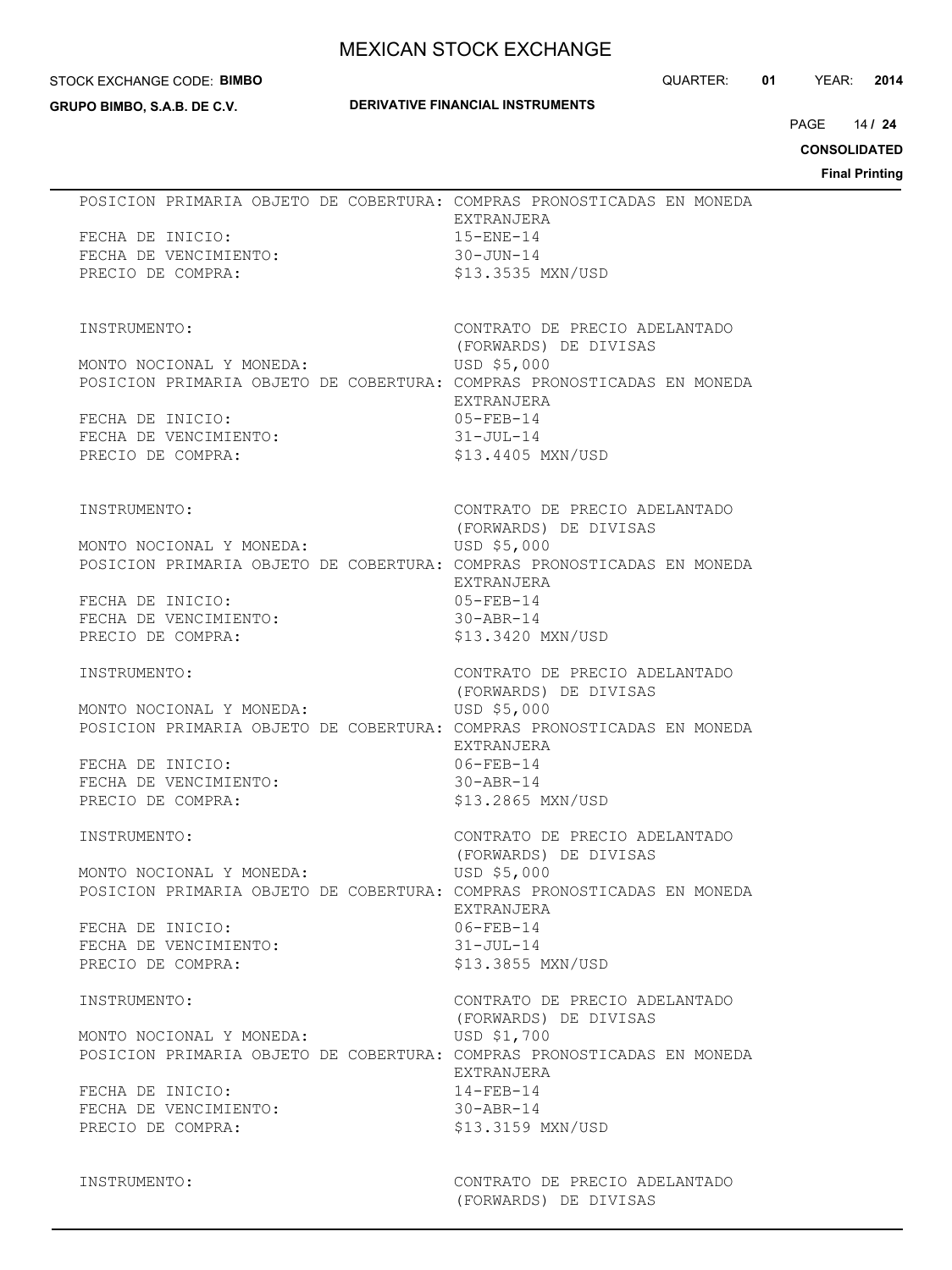#### STOCK EXCHANGE CODE: **BIMBO**

**GRUPO BIMBO, S.A.B. DE C.V.**

### **DERIVATIVE FINANCIAL INSTRUMENTS**

QUARTER: **01** YEAR: **2014**

14 PAGE **/ 24**

**CONSOLIDATED**

**Final Printing**

| POSICION PRIMARIA OBJETO DE COBERTURA: COMPRAS PRONOSTICADAS EN MONEDA<br>FECHA DE INICIO:<br>FECHA DE VENCIMIENTO:<br>PRECIO DE COMPRA:                                             | EXTRANJERA<br>$15 - ENE - 14$<br>$30 - JUN - 14$<br>\$13.3535 MXN/USD                                                                    |  |
|--------------------------------------------------------------------------------------------------------------------------------------------------------------------------------------|------------------------------------------------------------------------------------------------------------------------------------------|--|
| INSTRUMENTO:<br>MONTO NOCIONAL Y MONEDA:<br>POSICION PRIMARIA OBJETO DE COBERTURA: COMPRAS PRONOSTICADAS EN MONEDA<br>FECHA DE INICIO:<br>FECHA DE VENCIMIENTO:<br>PRECIO DE COMPRA: | CONTRATO DE PRECIO ADELANTADO<br>(FORWARDS) DE DIVISAS<br>USD \$5,000<br>EXTRANJERA<br>05-FEB-14<br>31-JUL-14<br>\$13.4405 MXN/USD       |  |
| INSTRUMENTO:<br>MONTO NOCIONAL Y MONEDA:<br>POSICION PRIMARIA OBJETO DE COBERTURA: COMPRAS PRONOSTICADAS EN MONEDA<br>FECHA DE INICIO:<br>FECHA DE VENCIMIENTO:<br>PRECIO DE COMPRA: | CONTRATO DE PRECIO ADELANTADO<br>(FORWARDS) DE DIVISAS<br>USD \$5,000<br>EXTRANJERA<br>05-FEB-14<br>30-ABR-14<br>\$13.3420 MXN/USD       |  |
| INSTRUMENTO:<br>MONTO NOCIONAL Y MONEDA:<br>POSICION PRIMARIA OBJETO DE COBERTURA: COMPRAS PRONOSTICADAS EN MONEDA<br>FECHA DE INICIO:<br>FECHA DE VENCIMIENTO:<br>PRECIO DE COMPRA: | CONTRATO DE PRECIO ADELANTADO<br>(FORWARDS) DE DIVISAS<br>USD \$5,000<br>EXTRANJERA<br>06-FEB-14<br>30-ABR-14<br>\$13.2865 MXN/USD       |  |
| INSTRUMENTO:<br>MONTO NOCIONAL Y MONEDA:<br>POSICION PRIMARIA OBJETO DE COBERTURA: COMPRAS PRONOSTICADAS EN MONEDA<br>FECHA DE INICIO:<br>FECHA DE VENCIMIENTO:<br>PRECIO DE COMPRA: | CONTRATO DE PRECIO ADELANTADO<br>(FORWARDS) DE DIVISAS<br>USD \$5,000<br>EXTRANJERA<br>$06 - FEB - 14$<br>31-JUL-14<br>\$13.3855 MXN/USD |  |
| INSTRUMENTO:<br>MONTO NOCIONAL Y MONEDA:<br>POSICION PRIMARIA OBJETO DE COBERTURA: COMPRAS PRONOSTICADAS EN MONEDA<br>FECHA DE INICIO:<br>FECHA DE VENCIMIENTO:<br>PRECIO DE COMPRA: | CONTRATO DE PRECIO ADELANTADO<br>(FORWARDS) DE DIVISAS<br>USD \$1,700<br>EXTRANJERA<br>$14 - FEB - 14$<br>30-ABR-14<br>\$13.3159 MXN/USD |  |
| INSTRUMENTO:                                                                                                                                                                         | CONTRATO DE PRECIO ADELANTADO<br>(FORWARDS) DE DIVISAS                                                                                   |  |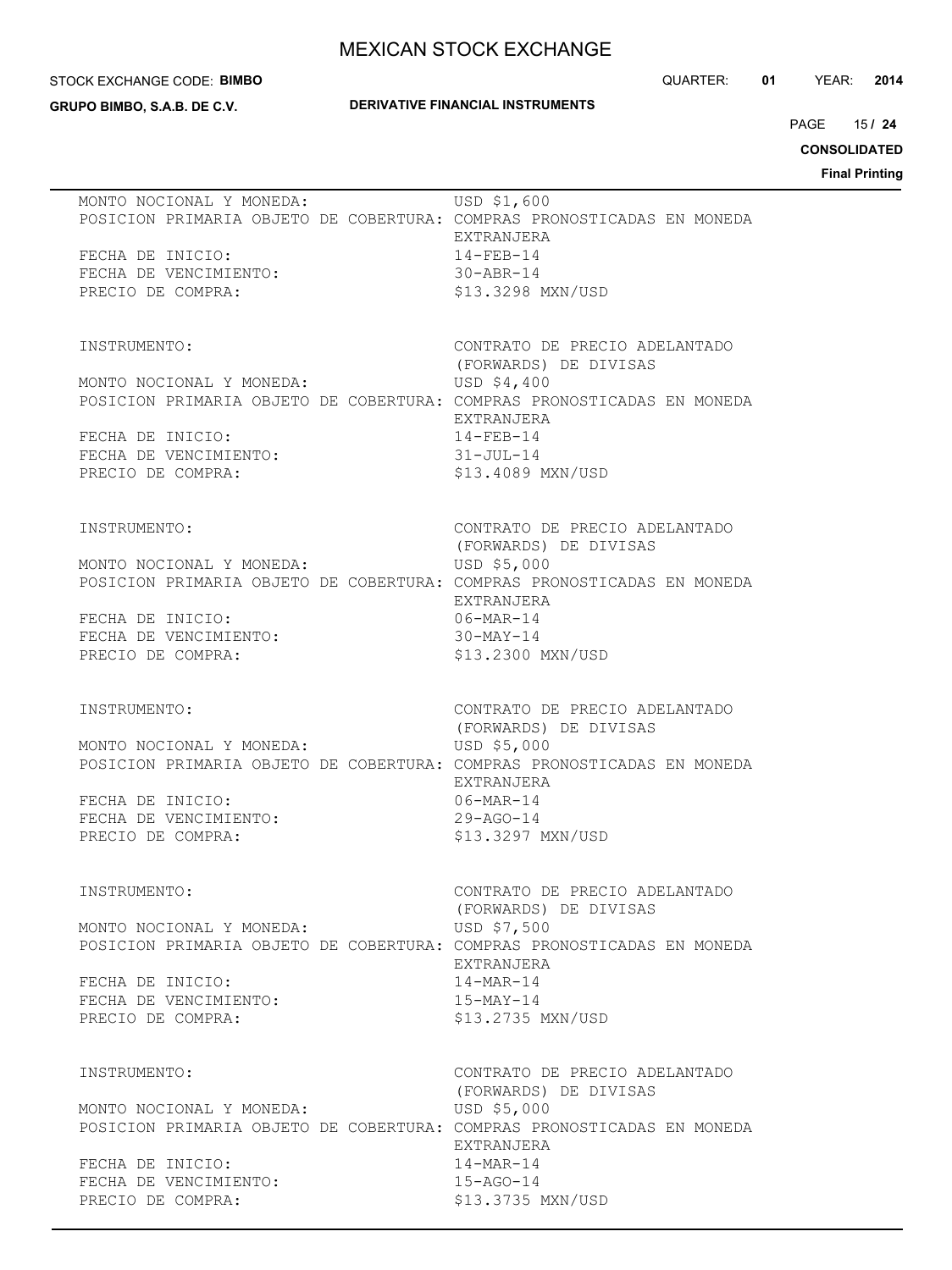#### STOCK EXCHANGE CODE: **BIMBO**

**GRUPO BIMBO, S.A.B. DE C.V.**

### **DERIVATIVE FINANCIAL INSTRUMENTS**

QUARTER: **01** YEAR: **2014**

15 PAGE **/ 24**

**CONSOLIDATED**

**Final Printing**

| MONTO NOCIONAL Y MONEDA:<br>FECHA DE INICIO:<br>FECHA DE VENCIMIENTO: | USD \$1,600<br>POSICION PRIMARIA OBJETO DE COBERTURA: COMPRAS PRONOSTICADAS EN MONEDA<br>EXTRANJERA<br>$14 - FEB - 14$<br>$30 - ABR - 14$ |
|-----------------------------------------------------------------------|-------------------------------------------------------------------------------------------------------------------------------------------|
| PRECIO DE COMPRA:<br>INSTRUMENTO:                                     | \$13.3298 MXN/USD<br>CONTRATO DE PRECIO ADELANTADO                                                                                        |
| MONTO NOCIONAL Y MONEDA:                                              | (FORWARDS) DE DIVISAS<br>USD \$4,400<br>POSICION PRIMARIA OBJETO DE COBERTURA: COMPRAS PRONOSTICADAS EN MONEDA                            |
| FECHA DE INICIO:<br>FECHA DE VENCIMIENTO:<br>PRECIO DE COMPRA:        | EXTRANJERA<br>$14 - FEB - 14$<br>31-JUL-14<br>\$13.4089 MXN/USD                                                                           |
| INSTRUMENTO:                                                          | CONTRATO DE PRECIO ADELANTADO<br>(FORWARDS) DE DIVISAS<br>USD \$5,000                                                                     |
| MONTO NOCIONAL Y MONEDA:<br>FECHA DE INICIO:                          | POSICION PRIMARIA OBJETO DE COBERTURA: COMPRAS PRONOSTICADAS EN MONEDA<br>EXTRANJERA<br>06-MAR-14                                         |
| FECHA DE VENCIMIENTO:<br>PRECIO DE COMPRA:                            | $30-MAY-14$<br>\$13.2300 MXN/USD                                                                                                          |
| INSTRUMENTO:<br>MONTO NOCIONAL Y MONEDA:                              | CONTRATO DE PRECIO ADELANTADO<br>(FORWARDS) DE DIVISAS<br>USD \$5,000                                                                     |
| FECHA DE INICIO:                                                      | POSICION PRIMARIA OBJETO DE COBERTURA: COMPRAS PRONOSTICADAS EN MONEDA<br>EXTRANJERA<br>$06 - \text{MAR} - 14$                            |
| FECHA DE VENCIMIENTO:<br>PRECIO DE COMPRA:                            | $29 - AGO - 14$<br>\$13.3297 MXN/USD                                                                                                      |
| INSTRUMENTO:                                                          | CONTRATO DE PRECIO ADELANTADO<br>(FORWARDS) DE DIVISAS                                                                                    |
| MONTO NOCIONAL Y MONEDA:                                              | USD \$7,500<br>POSICION PRIMARIA OBJETO DE COBERTURA: COMPRAS PRONOSTICADAS EN MONEDA<br>EXTRANJERA                                       |
| FECHA DE INICIO:<br>FECHA DE VENCIMIENTO:<br>PRECIO DE COMPRA:        | $14 - \text{MAR} - 14$<br>$15-MAY-14$<br>\$13.2735 MXN/USD                                                                                |
| INSTRUMENTO:                                                          | CONTRATO DE PRECIO ADELANTADO<br>(FORWARDS) DE DIVISAS                                                                                    |
| MONTO NOCIONAL Y MONEDA:                                              | USD \$5,000<br>POSICION PRIMARIA OBJETO DE COBERTURA: COMPRAS PRONOSTICADAS EN MONEDA<br>EXTRANJERA                                       |
| FECHA DE INICIO:<br>FECHA DE VENCIMIENTO:<br>PRECIO DE COMPRA:        | $14 - \text{MAR} - 14$<br>$15 - AGO - 14$<br>\$13.3735 MXN/USD                                                                            |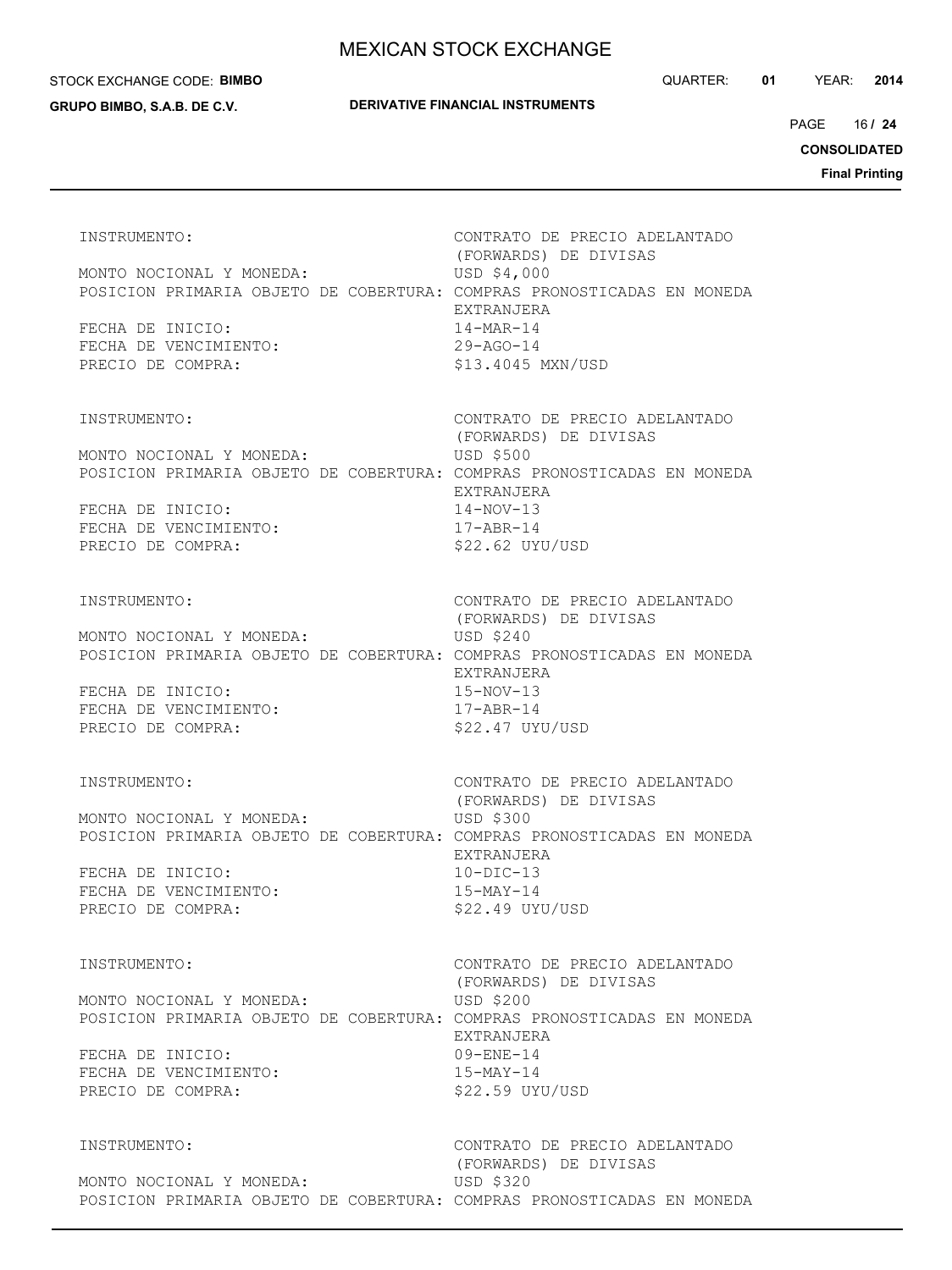#### STOCK EXCHANGE CODE: **BIMBO**

**GRUPO BIMBO, S.A.B. DE C.V.**

QUARTER: **01** YEAR: **2014**

16 PAGE **/ 24**

**CONSOLIDATED**

**Final Printing**

| INSTRUMENTO:<br>MONTO NOCIONAL Y MONEDA:<br>FECHA DE INICIO:<br>FECHA DE VENCIMIENTO:<br>PRECIO DE COMPRA: | CONTRATO DE PRECIO ADELANTADO<br>(FORWARDS) DE DIVISAS<br>USD \$4,000<br>POSICION PRIMARIA OBJETO DE COBERTURA: COMPRAS PRONOSTICADAS EN MONEDA<br>EXTRANJERA<br>14-MAR-14<br>29-AGO-14<br>\$13.4045 MXN/USD                |
|------------------------------------------------------------------------------------------------------------|-----------------------------------------------------------------------------------------------------------------------------------------------------------------------------------------------------------------------------|
| INSTRUMENTO:<br>MONTO NOCIONAL Y MONEDA:<br>FECHA DE INICIO:<br>FECHA DE VENCIMIENTO:<br>PRECIO DE COMPRA: | CONTRATO DE PRECIO ADELANTADO<br>(FORWARDS) DE DIVISAS<br><b>USD \$500</b><br>POSICION PRIMARIA OBJETO DE COBERTURA: COMPRAS PRONOSTICADAS EN MONEDA<br>EXTRANJERA<br>$14 - NOV - 13$<br>$17 - ABR - 14$<br>\$22.62 UYU/USD |
| INSTRUMENTO:<br>MONTO NOCIONAL Y MONEDA:<br>FECHA DE INICIO:<br>FECHA DE VENCIMIENTO:<br>PRECIO DE COMPRA: | CONTRATO DE PRECIO ADELANTADO<br>(FORWARDS) DE DIVISAS<br><b>USD \$240</b><br>POSICION PRIMARIA OBJETO DE COBERTURA: COMPRAS PRONOSTICADAS EN MONEDA<br>EXTRANJERA<br>$15-NOV-13$<br>$17 - ABR - 14$<br>$$22.47$ UYU/USD    |
| INSTRUMENTO:<br>MONTO NOCIONAL Y MONEDA:<br>FECHA DE INICIO:<br>FECHA DE VENCIMIENTO:<br>PRECIO DE COMPRA: | CONTRATO DE PRECIO ADELANTADO<br>(FORWARDS) DE DIVISAS<br>USD \$300<br>POSICION PRIMARIA OBJETO DE COBERTURA: COMPRAS PRONOSTICADAS EN MONEDA<br>EXTRANJERA<br>$10-DIC-13$<br>$15-MAY-14$<br>\$22.49 UYU/USD                |
| INSTRUMENTO:<br>MONTO NOCIONAL Y MONEDA:<br>FECHA DE INICIO:<br>FECHA DE VENCIMIENTO:<br>PRECIO DE COMPRA: | CONTRATO DE PRECIO ADELANTADO<br>(FORWARDS) DE DIVISAS<br>USD \$200<br>POSICION PRIMARIA OBJETO DE COBERTURA: COMPRAS PRONOSTICADAS EN MONEDA<br>EXTRANJERA<br>$09 - ENE - 14$<br>$15-MAY-14$<br>\$22.59 UYU/USD            |
| INSTRUMENTO:<br>MONTO NOCIONAL Y MONEDA:                                                                   | CONTRATO DE PRECIO ADELANTADO<br>(FORWARDS) DE DIVISAS<br>USD \$320<br>POSICION PRIMARIA OBJETO DE COBERTURA: COMPRAS PRONOSTICADAS EN MONEDA                                                                               |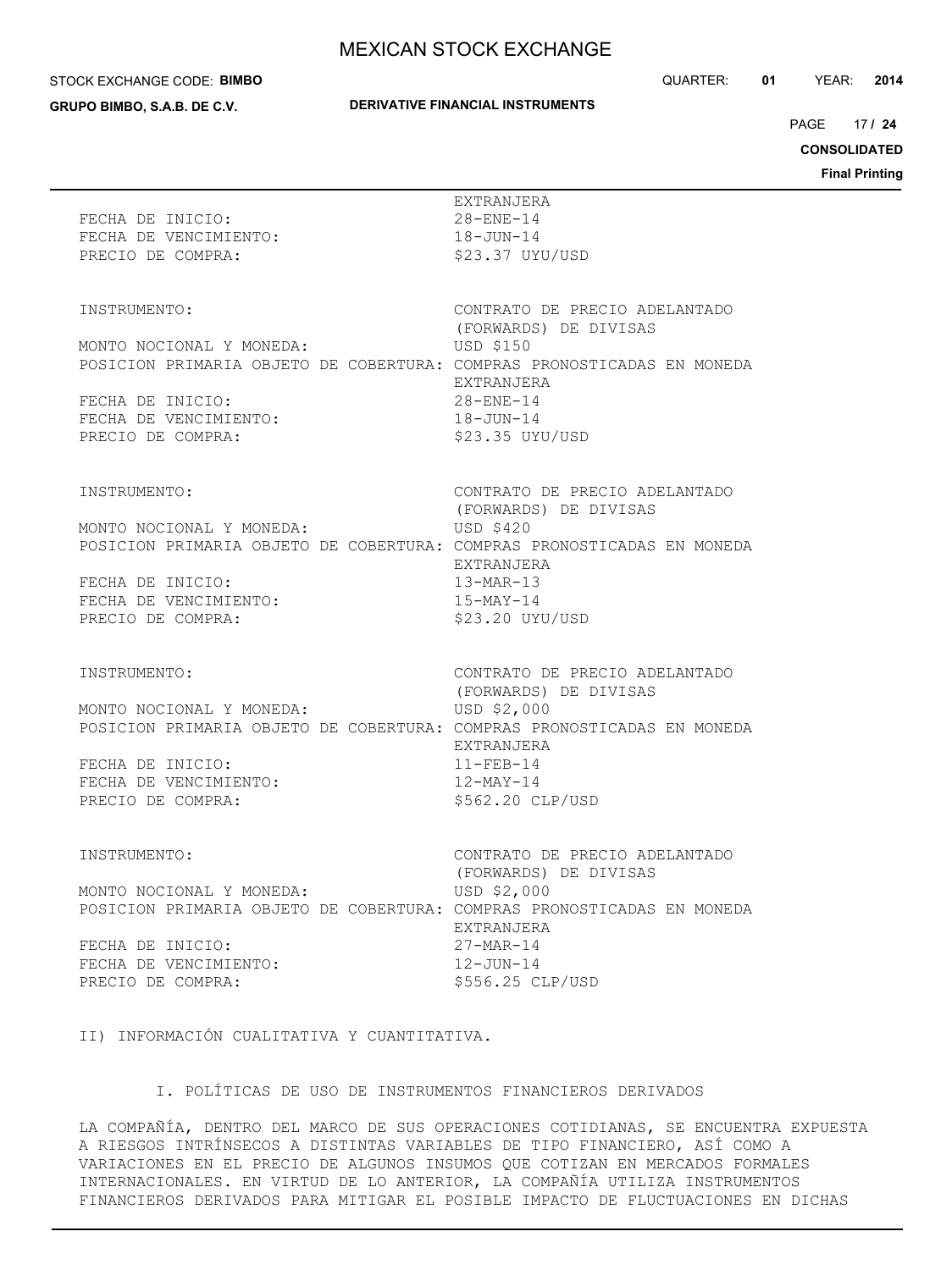#### STOCK EXCHANGE CODE: **BIMBO**

**GRUPO BIMBO, S.A.B. DE C.V.**

### **DERIVATIVE FINANCIAL INSTRUMENTS**

QUARTER: **01** YEAR: **2014**

17 PAGE **/ 24**

**CONSOLIDATED**

**Final Printing**

|                                             | Final                                                                                 |
|---------------------------------------------|---------------------------------------------------------------------------------------|
| FECHA DE INICIO:                            | EXTRANJERA<br>$28 - ENE - 14$                                                         |
| FECHA DE VENCIMIENTO:                       | 18-JUN-14                                                                             |
| PRECIO DE COMPRA:                           | \$23.37 UYU/USD                                                                       |
| INSTRUMENTO:                                | CONTRATO DE PRECIO ADELANTADO                                                         |
|                                             | (FORWARDS) DE DIVISAS                                                                 |
| MONTO NOCIONAL Y MONEDA:                    | USD \$150                                                                             |
|                                             | POSICION PRIMARIA OBJETO DE COBERTURA: COMPRAS PRONOSTICADAS EN MONEDA<br>EXTRANJERA  |
| FECHA DE INICIO:                            | $28 - ENE - 14$                                                                       |
| FECHA DE VENCIMIENTO:                       | 18-JUN-14                                                                             |
| PRECIO DE COMPRA:                           | \$23.35 UYU/USD                                                                       |
| INSTRUMENTO:                                | CONTRATO DE PRECIO ADELANTADO                                                         |
|                                             | (FORWARDS) DE DIVISAS                                                                 |
| MONTO NOCIONAL Y MONEDA:                    | USD \$420                                                                             |
|                                             | POSICION PRIMARIA OBJETO DE COBERTURA: COMPRAS PRONOSTICADAS EN MONEDA<br>EXTRANJERA  |
| FECHA DE INICIO:                            | $13-MAR-13$                                                                           |
| FECHA DE VENCIMIENTO:                       | 15-MAY-14                                                                             |
| PRECIO DE COMPRA:                           | $$23.20$ UYU/USD                                                                      |
| INSTRUMENTO:                                | CONTRATO DE PRECIO ADELANTADO                                                         |
|                                             | (FORWARDS) DE DIVISAS                                                                 |
| MONTO NOCIONAL Y MONEDA:                    | USD \$2,000<br>POSICION PRIMARIA OBJETO DE COBERTURA: COMPRAS PRONOSTICADAS EN MONEDA |
|                                             | EXTRANJERA                                                                            |
| FECHA DE INICIO:                            | $11 - FEB - 14$                                                                       |
| FECHA DE VENCIMIENTO:                       | 12-MAY-14                                                                             |
| PRECIO DE COMPRA:                           | \$562.20 CLP/USD                                                                      |
| INSTRUMENTO:                                | CONTRATO DE PRECIO ADELANTADO                                                         |
|                                             | (FORWARDS) DE DIVISAS                                                                 |
| MONTO NOCIONAL Y MONEDA:                    | USD \$2,000                                                                           |
|                                             | POSICION PRIMARIA OBJETO DE COBERTURA: COMPRAS PRONOSTICADAS EN MONEDA<br>EXTRANJERA  |
| FECHA DE INICIO:                            | $27-MAR-14$                                                                           |
| FECHA DE VENCIMIENTO:                       | $12 - JUN - 14$                                                                       |
| PRECIO DE COMPRA:                           | \$556.25 CLP/USD                                                                      |
| II) INFORMACIÓN CUALITATIVA Y CUANTITATIVA. |                                                                                       |
|                                             |                                                                                       |

### I. POLÍTICAS DE USO DE INSTRUMENTOS FINANCIEROS DERIVADOS

LA COMPAÑÍA, DENTRO DEL MARCO DE SUS OPERACIONES COTIDIANAS, SE ENCUENTRA EXPUESTA A RIESGOS INTRÍNSECOS A DISTINTAS VARIABLES DE TIPO FINANCIERO, ASÍ COMO A VARIACIONES EN EL PRECIO DE ALGUNOS INSUMOS QUE COTIZAN EN MERCADOS FORMALES INTERNACIONALES. EN VIRTUD DE LO ANTERIOR, LA COMPAÑÍA UTILIZA INSTRUMENTOS FINANCIEROS DERIVADOS PARA MITIGAR EL POSIBLE IMPACTO DE FLUCTUACIONES EN DICHAS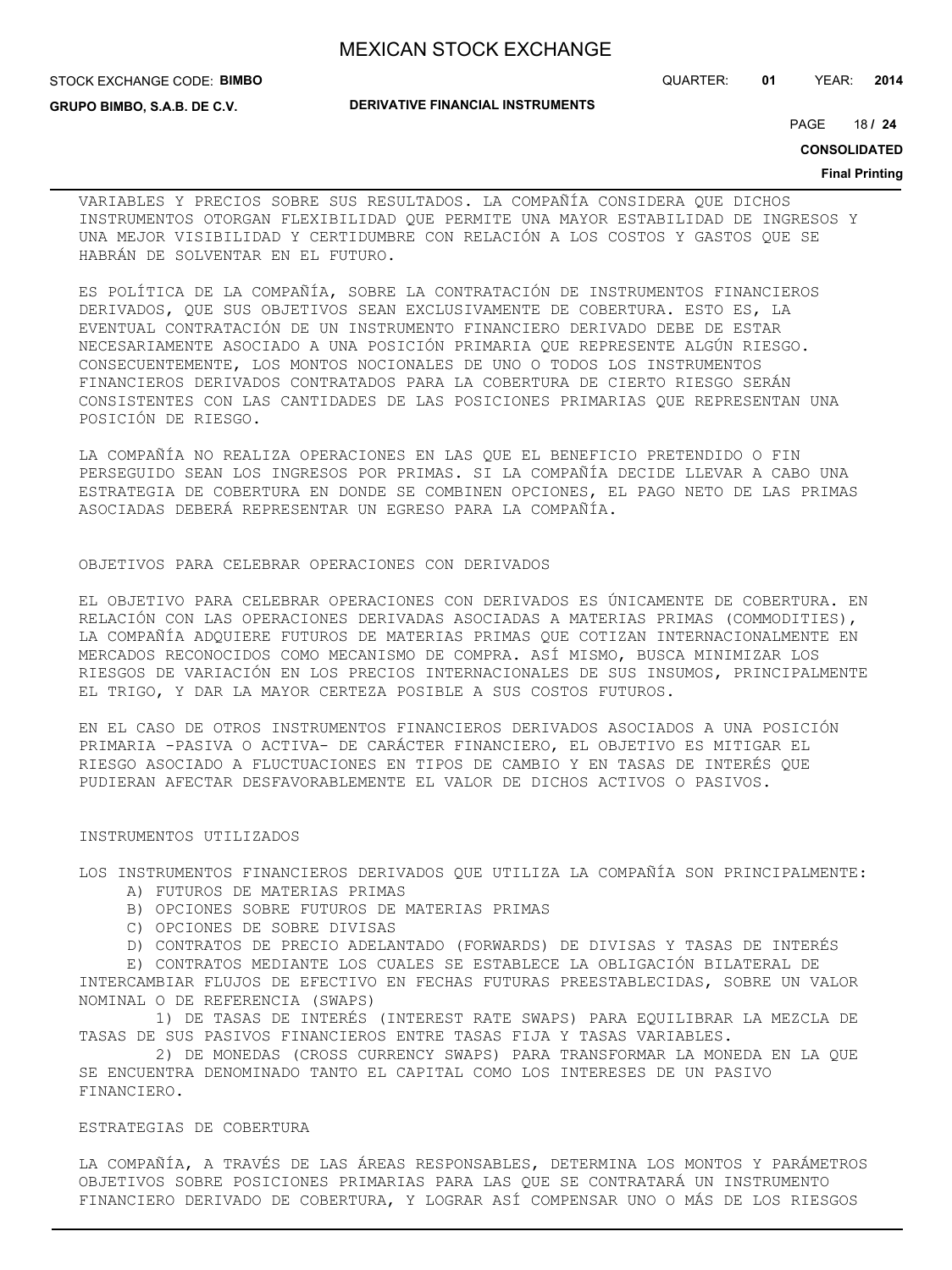STOCK EXCHANGE CODE: **BIMBO**

QUARTER: **01** YEAR: **2014**

**GRUPO BIMBO, S.A.B. DE C.V.**

### **DERIVATIVE FINANCIAL INSTRUMENTS**

18 PAGE **/ 24**

**CONSOLIDATED**

#### **Final Printing**

VARIABLES Y PRECIOS SOBRE SUS RESULTADOS. LA COMPAÑÍA CONSIDERA QUE DICHOS INSTRUMENTOS OTORGAN FLEXIBILIDAD QUE PERMITE UNA MAYOR ESTABILIDAD DE INGRESOS Y UNA MEJOR VISIBILIDAD Y CERTIDUMBRE CON RELACIÓN A LOS COSTOS Y GASTOS QUE SE HABRÁN DE SOLVENTAR EN EL FUTURO.

ES POLÍTICA DE LA COMPAÑÍA, SOBRE LA CONTRATACIÓN DE INSTRUMENTOS FINANCIEROS DERIVADOS, QUE SUS OBJETIVOS SEAN EXCLUSIVAMENTE DE COBERTURA. ESTO ES, LA EVENTUAL CONTRATACIÓN DE UN INSTRUMENTO FINANCIERO DERIVADO DEBE DE ESTAR NECESARIAMENTE ASOCIADO A UNA POSICIÓN PRIMARIA QUE REPRESENTE ALGÚN RIESGO. CONSECUENTEMENTE, LOS MONTOS NOCIONALES DE UNO O TODOS LOS INSTRUMENTOS FINANCIEROS DERIVADOS CONTRATADOS PARA LA COBERTURA DE CIERTO RIESGO SERÁN CONSISTENTES CON LAS CANTIDADES DE LAS POSICIONES PRIMARIAS QUE REPRESENTAN UNA POSICIÓN DE RIESGO.

LA COMPAÑÍA NO REALIZA OPERACIONES EN LAS QUE EL BENEFICIO PRETENDIDO O FIN PERSEGUIDO SEAN LOS INGRESOS POR PRIMAS. SI LA COMPAÑÍA DECIDE LLEVAR A CABO UNA ESTRATEGIA DE COBERTURA EN DONDE SE COMBINEN OPCIONES, EL PAGO NETO DE LAS PRIMAS ASOCIADAS DEBERÁ REPRESENTAR UN EGRESO PARA LA COMPAÑÍA.

### OBJETIVOS PARA CELEBRAR OPERACIONES CON DERIVADOS

EL OBJETIVO PARA CELEBRAR OPERACIONES CON DERIVADOS ES ÚNICAMENTE DE COBERTURA. EN RELACIÓN CON LAS OPERACIONES DERIVADAS ASOCIADAS A MATERIAS PRIMAS (COMMODITIES), LA COMPAÑÍA ADQUIERE FUTUROS DE MATERIAS PRIMAS QUE COTIZAN INTERNACIONALMENTE EN MERCADOS RECONOCIDOS COMO MECANISMO DE COMPRA. ASÍ MISMO, BUSCA MINIMIZAR LOS RIESGOS DE VARIACIÓN EN LOS PRECIOS INTERNACIONALES DE SUS INSUMOS, PRINCIPALMENTE EL TRIGO, Y DAR LA MAYOR CERTEZA POSIBLE A SUS COSTOS FUTUROS.

EN EL CASO DE OTROS INSTRUMENTOS FINANCIEROS DERIVADOS ASOCIADOS A UNA POSICIÓN PRIMARIA -PASIVA O ACTIVA- DE CARÁCTER FINANCIERO, EL OBJETIVO ES MITIGAR EL RIESGO ASOCIADO A FLUCTUACIONES EN TIPOS DE CAMBIO Y EN TASAS DE INTERÉS QUE PUDIERAN AFECTAR DESFAVORABLEMENTE EL VALOR DE DICHOS ACTIVOS O PASIVOS.

#### INSTRUMENTOS UTILIZADOS

LOS INSTRUMENTOS FINANCIEROS DERIVADOS QUE UTILIZA LA COMPAÑÍA SON PRINCIPALMENTE: A) FUTUROS DE MATERIAS PRIMAS

- B) OPCIONES SOBRE FUTUROS DE MATERIAS PRIMAS
- C) OPCIONES DE SOBRE DIVISAS
- D) CONTRATOS DE PRECIO ADELANTADO (FORWARDS) DE DIVISAS Y TASAS DE INTERÉS

 E) CONTRATOS MEDIANTE LOS CUALES SE ESTABLECE LA OBLIGACIÓN BILATERAL DE INTERCAMBIAR FLUJOS DE EFECTIVO EN FECHAS FUTURAS PREESTABLECIDAS, SOBRE UN VALOR NOMINAL O DE REFERENCIA (SWAPS)

 1) DE TASAS DE INTERÉS (INTEREST RATE SWAPS) PARA EQUILIBRAR LA MEZCLA DE TASAS DE SUS PASIVOS FINANCIEROS ENTRE TASAS FIJA Y TASAS VARIABLES.

 2) DE MONEDAS (CROSS CURRENCY SWAPS) PARA TRANSFORMAR LA MONEDA EN LA QUE SE ENCUENTRA DENOMINADO TANTO EL CAPITAL COMO LOS INTERESES DE UN PASIVO FINANCIERO.

ESTRATEGIAS DE COBERTURA

LA COMPAÑÍA, A TRAVÉS DE LAS ÁREAS RESPONSABLES, DETERMINA LOS MONTOS Y PARÁMETROS OBJETIVOS SOBRE POSICIONES PRIMARIAS PARA LAS QUE SE CONTRATARÁ UN INSTRUMENTO FINANCIERO DERIVADO DE COBERTURA, Y LOGRAR ASÍ COMPENSAR UNO O MÁS DE LOS RIESGOS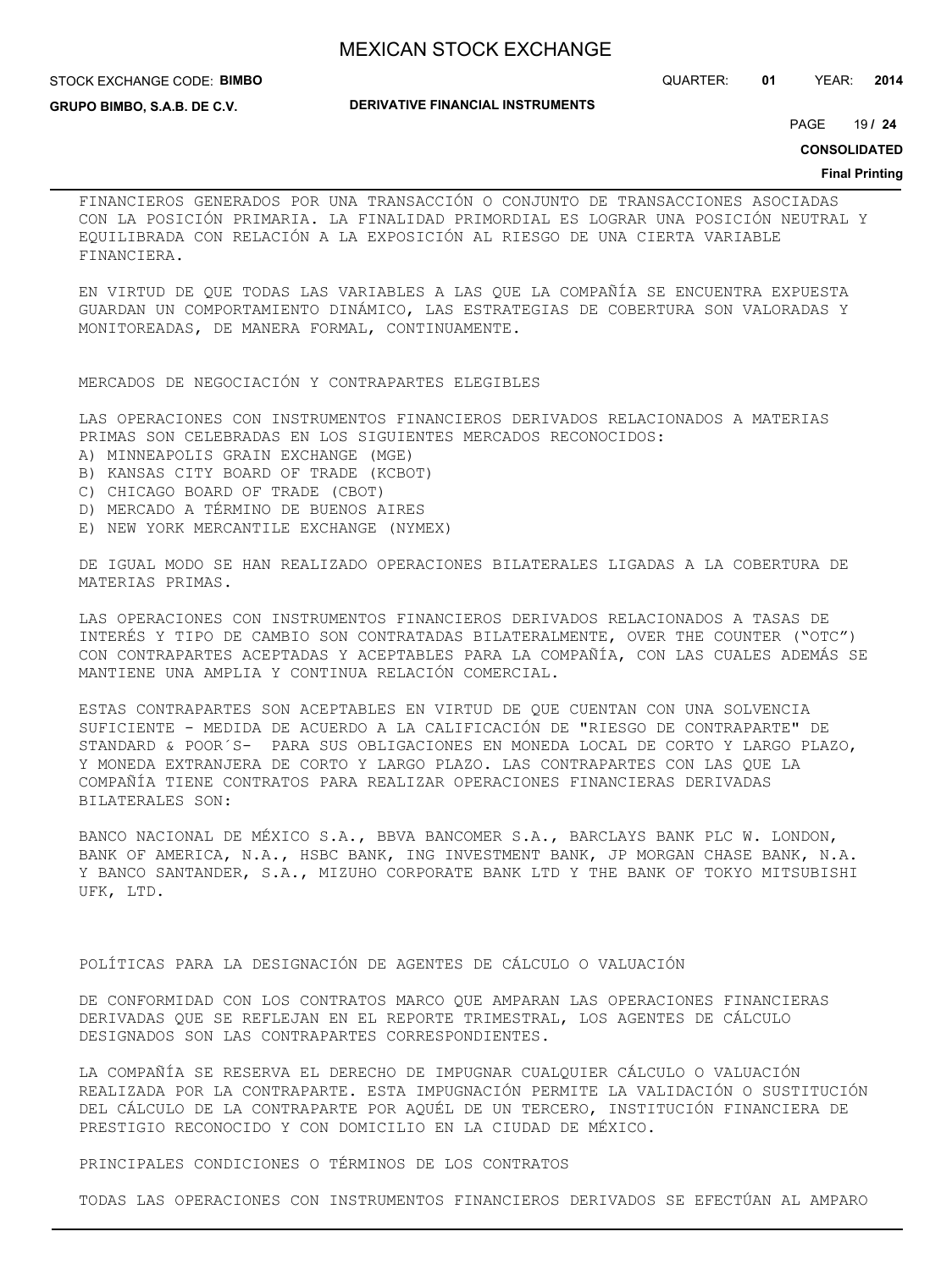STOCK EXCHANGE CODE: **BIMBO**

**DERIVATIVE FINANCIAL INSTRUMENTS**

QUARTER: **01** YEAR: **2014**

**GRUPO BIMBO, S.A.B. DE C.V.**

19 PAGE **/ 24**

**CONSOLIDATED**

#### **Final Printing**

FINANCIEROS GENERADOS POR UNA TRANSACCIÓN O CONJUNTO DE TRANSACCIONES ASOCIADAS CON LA POSICIÓN PRIMARIA. LA FINALIDAD PRIMORDIAL ES LOGRAR UNA POSICIÓN NEUTRAL Y EQUILIBRADA CON RELACIÓN A LA EXPOSICIÓN AL RIESGO DE UNA CIERTA VARIABLE FINANCIERA.

EN VIRTUD DE QUE TODAS LAS VARIABLES A LAS QUE LA COMPAÑÍA SE ENCUENTRA EXPUESTA GUARDAN UN COMPORTAMIENTO DINÁMICO, LAS ESTRATEGIAS DE COBERTURA SON VALORADAS Y MONITOREADAS, DE MANERA FORMAL, CONTINUAMENTE.

MERCADOS DE NEGOCIACIÓN Y CONTRAPARTES ELEGIBLES

LAS OPERACIONES CON INSTRUMENTOS FINANCIEROS DERIVADOS RELACIONADOS A MATERIAS PRIMAS SON CELEBRADAS EN LOS SIGUIENTES MERCADOS RECONOCIDOS:

- A) MINNEAPOLIS GRAIN EXCHANGE (MGE)
- B) KANSAS CITY BOARD OF TRADE (KCBOT)
- C) CHICAGO BOARD OF TRADE (CBOT)
- D) MERCADO A TÉRMINO DE BUENOS AIRES
- E) NEW YORK MERCANTILE EXCHANGE (NYMEX)

DE IGUAL MODO SE HAN REALIZADO OPERACIONES BILATERALES LIGADAS A LA COBERTURA DE MATERIAS PRIMAS.

LAS OPERACIONES CON INSTRUMENTOS FINANCIEROS DERIVADOS RELACIONADOS A TASAS DE INTERÉS Y TIPO DE CAMBIO SON CONTRATADAS BILATERALMENTE, OVER THE COUNTER ("OTC") CON CONTRAPARTES ACEPTADAS Y ACEPTABLES PARA LA COMPAÑÍA, CON LAS CUALES ADEMÁS SE MANTIENE UNA AMPLIA Y CONTINUA RELACIÓN COMERCIAL.

ESTAS CONTRAPARTES SON ACEPTABLES EN VIRTUD DE QUE CUENTAN CON UNA SOLVENCIA SUFICIENTE - MEDIDA DE ACUERDO A LA CALIFICACIÓN DE "RIESGO DE CONTRAPARTE" DE STANDARD & POOR´S- PARA SUS OBLIGACIONES EN MONEDA LOCAL DE CORTO Y LARGO PLAZO, Y MONEDA EXTRANJERA DE CORTO Y LARGO PLAZO. LAS CONTRAPARTES CON LAS QUE LA COMPAÑÍA TIENE CONTRATOS PARA REALIZAR OPERACIONES FINANCIERAS DERIVADAS BILATERALES SON:

BANCO NACIONAL DE MÉXICO S.A., BBVA BANCOMER S.A., BARCLAYS BANK PLC W. LONDON, BANK OF AMERICA, N.A., HSBC BANK, ING INVESTMENT BANK, JP MORGAN CHASE BANK, N.A. Y BANCO SANTANDER, S.A., MIZUHO CORPORATE BANK LTD Y THE BANK OF TOKYO MITSUBISHI UFK, LTD.

POLÍTICAS PARA LA DESIGNACIÓN DE AGENTES DE CÁLCULO O VALUACIÓN

DE CONFORMIDAD CON LOS CONTRATOS MARCO QUE AMPARAN LAS OPERACIONES FINANCIERAS DERIVADAS QUE SE REFLEJAN EN EL REPORTE TRIMESTRAL, LOS AGENTES DE CÁLCULO DESIGNADOS SON LAS CONTRAPARTES CORRESPONDIENTES.

LA COMPAÑÍA SE RESERVA EL DERECHO DE IMPUGNAR CUALQUIER CÁLCULO O VALUACIÓN REALIZADA POR LA CONTRAPARTE. ESTA IMPUGNACIÓN PERMITE LA VALIDACIÓN O SUSTITUCIÓN DEL CÁLCULO DE LA CONTRAPARTE POR AQUÉL DE UN TERCERO, INSTITUCIÓN FINANCIERA DE PRESTIGIO RECONOCIDO Y CON DOMICILIO EN LA CIUDAD DE MÉXICO.

PRINCIPALES CONDICIONES O TÉRMINOS DE LOS CONTRATOS

TODAS LAS OPERACIONES CON INSTRUMENTOS FINANCIEROS DERIVADOS SE EFECTÚAN AL AMPARO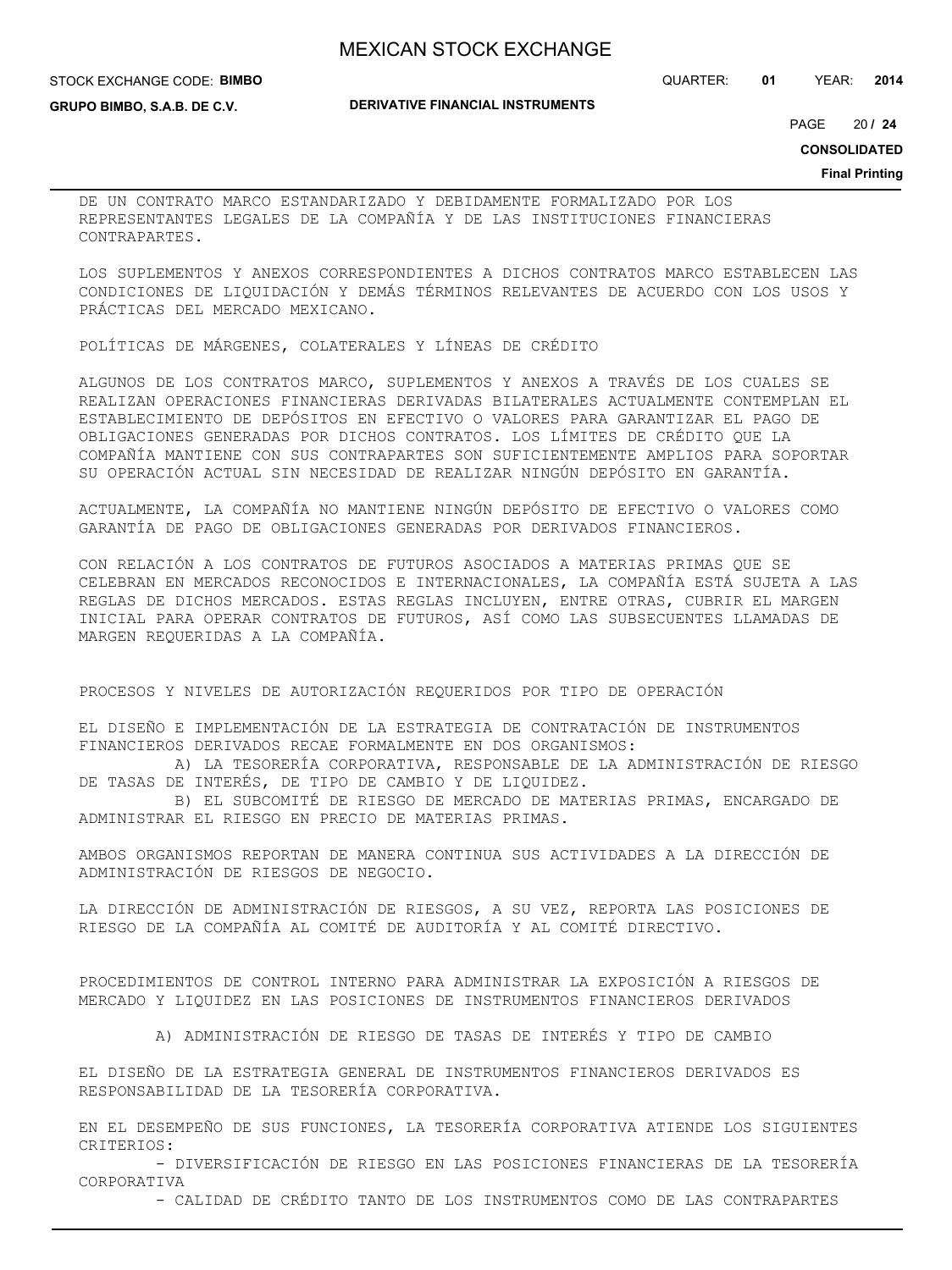STOCK EXCHANGE CODE: **BIMBO**

**GRUPO BIMBO, S.A.B. DE C.V.**

**DERIVATIVE FINANCIAL INSTRUMENTS**

QUARTER: **01** YEAR: **2014**

20 PAGE **/ 24**

**CONSOLIDATED**

**Final Printing**

DE UN CONTRATO MARCO ESTANDARIZADO Y DEBIDAMENTE FORMALIZADO POR LOS REPRESENTANTES LEGALES DE LA COMPAÑÍA Y DE LAS INSTITUCIONES FINANCIERAS CONTRAPARTES.

LOS SUPLEMENTOS Y ANEXOS CORRESPONDIENTES A DICHOS CONTRATOS MARCO ESTABLECEN LAS CONDICIONES DE LIQUIDACIÓN Y DEMÁS TÉRMINOS RELEVANTES DE ACUERDO CON LOS USOS Y PRÁCTICAS DEL MERCADO MEXICANO.

POLÍTICAS DE MÁRGENES, COLATERALES Y LÍNEAS DE CRÉDITO

ALGUNOS DE LOS CONTRATOS MARCO, SUPLEMENTOS Y ANEXOS A TRAVÉS DE LOS CUALES SE REALIZAN OPERACIONES FINANCIERAS DERIVADAS BILATERALES ACTUALMENTE CONTEMPLAN EL ESTABLECIMIENTO DE DEPÓSITOS EN EFECTIVO O VALORES PARA GARANTIZAR EL PAGO DE OBLIGACIONES GENERADAS POR DICHOS CONTRATOS. LOS LÍMITES DE CRÉDITO QUE LA COMPAÑÍA MANTIENE CON SUS CONTRAPARTES SON SUFICIENTEMENTE AMPLIOS PARA SOPORTAR SU OPERACIÓN ACTUAL SIN NECESIDAD DE REALIZAR NINGÚN DEPÓSITO EN GARANTÍA.

ACTUALMENTE, LA COMPAÑÍA NO MANTIENE NINGÚN DEPÓSITO DE EFECTIVO O VALORES COMO GARANTÍA DE PAGO DE OBLIGACIONES GENERADAS POR DERIVADOS FINANCIEROS.

CON RELACIÓN A LOS CONTRATOS DE FUTUROS ASOCIADOS A MATERIAS PRIMAS QUE SE CELEBRAN EN MERCADOS RECONOCIDOS E INTERNACIONALES, LA COMPAÑÍA ESTÁ SUJETA A LAS REGLAS DE DICHOS MERCADOS. ESTAS REGLAS INCLUYEN, ENTRE OTRAS, CUBRIR EL MARGEN INICIAL PARA OPERAR CONTRATOS DE FUTUROS, ASÍ COMO LAS SUBSECUENTES LLAMADAS DE MARGEN REQUERIDAS A LA COMPAÑÍA.

PROCESOS Y NIVELES DE AUTORIZACIÓN REQUERIDOS POR TIPO DE OPERACIÓN

EL DISEÑO E IMPLEMENTACIÓN DE LA ESTRATEGIA DE CONTRATACIÓN DE INSTRUMENTOS FINANCIEROS DERIVADOS RECAE FORMALMENTE EN DOS ORGANISMOS:

 A) LA TESORERÍA CORPORATIVA, RESPONSABLE DE LA ADMINISTRACIÓN DE RIESGO DE TASAS DE INTERÉS, DE TIPO DE CAMBIO Y DE LIQUIDEZ.

 B) EL SUBCOMITÉ DE RIESGO DE MERCADO DE MATERIAS PRIMAS, ENCARGADO DE ADMINISTRAR EL RIESGO EN PRECIO DE MATERIAS PRIMAS.

AMBOS ORGANISMOS REPORTAN DE MANERA CONTINUA SUS ACTIVIDADES A LA DIRECCIÓN DE ADMINISTRACIÓN DE RIESGOS DE NEGOCIO.

LA DIRECCIÓN DE ADMINISTRACIÓN DE RIESGOS, A SU VEZ, REPORTA LAS POSICIONES DE RIESGO DE LA COMPAÑÍA AL COMITÉ DE AUDITORÍA Y AL COMITÉ DIRECTIVO.

PROCEDIMIENTOS DE CONTROL INTERNO PARA ADMINISTRAR LA EXPOSICIÓN A RIESGOS DE MERCADO Y LIQUIDEZ EN LAS POSICIONES DE INSTRUMENTOS FINANCIEROS DERIVADOS

A) ADMINISTRACIÓN DE RIESGO DE TASAS DE INTERÉS Y TIPO DE CAMBIO

EL DISEÑO DE LA ESTRATEGIA GENERAL DE INSTRUMENTOS FINANCIEROS DERIVADOS ES RESPONSABILIDAD DE LA TESORERÍA CORPORATIVA.

EN EL DESEMPEÑO DE SUS FUNCIONES, LA TESORERÍA CORPORATIVA ATIENDE LOS SIGUIENTES CRITERIOS:

 - DIVERSIFICACIÓN DE RIESGO EN LAS POSICIONES FINANCIERAS DE LA TESORERÍA CORPORATIVA

- CALIDAD DE CRÉDITO TANTO DE LOS INSTRUMENTOS COMO DE LAS CONTRAPARTES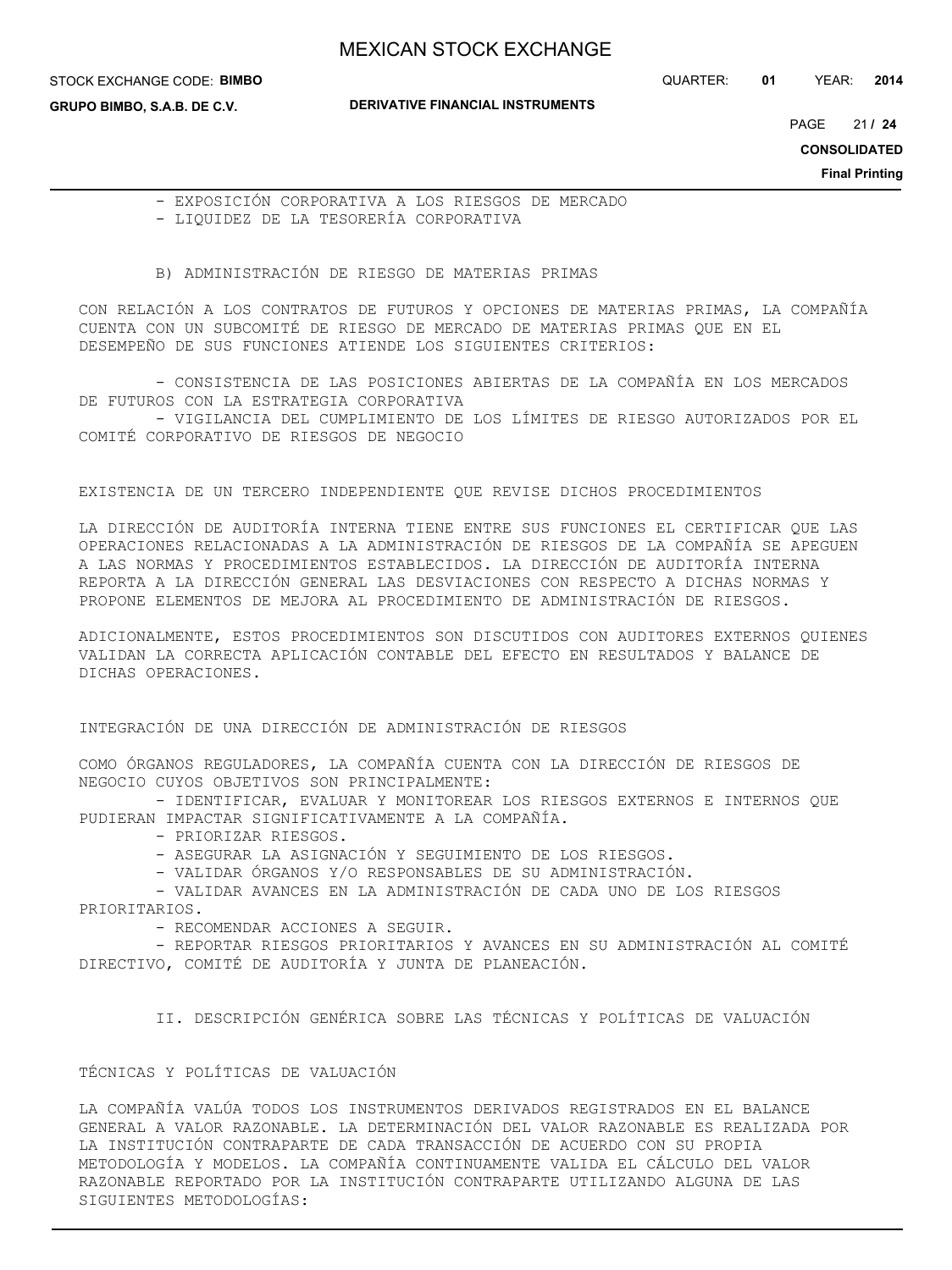STOCK EXCHANGE CODE: **BIMBO**

QUARTER: **01** YEAR: **2014**

**GRUPO BIMBO, S.A.B. DE C.V.**

**DERIVATIVE FINANCIAL INSTRUMENTS**

21 PAGE **/ 24**

**CONSOLIDATED**

**Final Printing**

 - EXPOSICIÓN CORPORATIVA A LOS RIESGOS DE MERCADO - LIQUIDEZ DE LA TESORERÍA CORPORATIVA

B) ADMINISTRACIÓN DE RIESGO DE MATERIAS PRIMAS

CON RELACIÓN A LOS CONTRATOS DE FUTUROS Y OPCIONES DE MATERIAS PRIMAS, LA COMPAÑÍA CUENTA CON UN SUBCOMITÉ DE RIESGO DE MERCADO DE MATERIAS PRIMAS QUE EN EL DESEMPEÑO DE SUS FUNCIONES ATIENDE LOS SIGUIENTES CRITERIOS:

 - CONSISTENCIA DE LAS POSICIONES ABIERTAS DE LA COMPAÑÍA EN LOS MERCADOS DE FUTUROS CON LA ESTRATEGIA CORPORATIVA

 - VIGILANCIA DEL CUMPLIMIENTO DE LOS LÍMITES DE RIESGO AUTORIZADOS POR EL COMITÉ CORPORATIVO DE RIESGOS DE NEGOCIO

EXISTENCIA DE UN TERCERO INDEPENDIENTE QUE REVISE DICHOS PROCEDIMIENTOS

LA DIRECCIÓN DE AUDITORÍA INTERNA TIENE ENTRE SUS FUNCIONES EL CERTIFICAR QUE LAS OPERACIONES RELACIONADAS A LA ADMINISTRACIÓN DE RIESGOS DE LA COMPAÑÍA SE APEGUEN A LAS NORMAS Y PROCEDIMIENTOS ESTABLECIDOS. LA DIRECCIÓN DE AUDITORÍA INTERNA REPORTA A LA DIRECCIÓN GENERAL LAS DESVIACIONES CON RESPECTO A DICHAS NORMAS Y PROPONE ELEMENTOS DE MEJORA AL PROCEDIMIENTO DE ADMINISTRACIÓN DE RIESGOS.

ADICIONALMENTE, ESTOS PROCEDIMIENTOS SON DISCUTIDOS CON AUDITORES EXTERNOS QUIENES VALIDAN LA CORRECTA APLICACIÓN CONTABLE DEL EFECTO EN RESULTADOS Y BALANCE DE DICHAS OPERACIONES.

INTEGRACIÓN DE UNA DIRECCIÓN DE ADMINISTRACIÓN DE RIESGOS

COMO ÓRGANOS REGULADORES, LA COMPAÑÍA CUENTA CON LA DIRECCIÓN DE RIESGOS DE NEGOCIO CUYOS OBJETIVOS SON PRINCIPALMENTE:

- IDENTIFICAR, EVALUAR Y MONITOREAR LOS RIESGOS EXTERNOS E INTERNOS QUE PUDIERAN IMPACTAR SIGNIFICATIVAMENTE A LA COMPAÑÍA.

- PRIORIZAR RIESGOS.

- ASEGURAR LA ASIGNACIÓN Y SEGUIMIENTO DE LOS RIESGOS.

- VALIDAR ÓRGANOS Y/O RESPONSABLES DE SU ADMINISTRACIÓN.

 - VALIDAR AVANCES EN LA ADMINISTRACIÓN DE CADA UNO DE LOS RIESGOS PRIORITARIOS.

- RECOMENDAR ACCIONES A SEGUIR.

 - REPORTAR RIESGOS PRIORITARIOS Y AVANCES EN SU ADMINISTRACIÓN AL COMITÉ DIRECTIVO, COMITÉ DE AUDITORÍA Y JUNTA DE PLANEACIÓN.

II. DESCRIPCIÓN GENÉRICA SOBRE LAS TÉCNICAS Y POLÍTICAS DE VALUACIÓN

### TÉCNICAS Y POLÍTICAS DE VALUACIÓN

LA COMPAÑÍA VALÚA TODOS LOS INSTRUMENTOS DERIVADOS REGISTRADOS EN EL BALANCE GENERAL A VALOR RAZONABLE. LA DETERMINACIÓN DEL VALOR RAZONABLE ES REALIZADA POR LA INSTITUCIÓN CONTRAPARTE DE CADA TRANSACCIÓN DE ACUERDO CON SU PROPIA METODOLOGÍA Y MODELOS. LA COMPAÑÍA CONTINUAMENTE VALIDA EL CÁLCULO DEL VALOR RAZONABLE REPORTADO POR LA INSTITUCIÓN CONTRAPARTE UTILIZANDO ALGUNA DE LAS SIGUIENTES METODOLOGÍAS: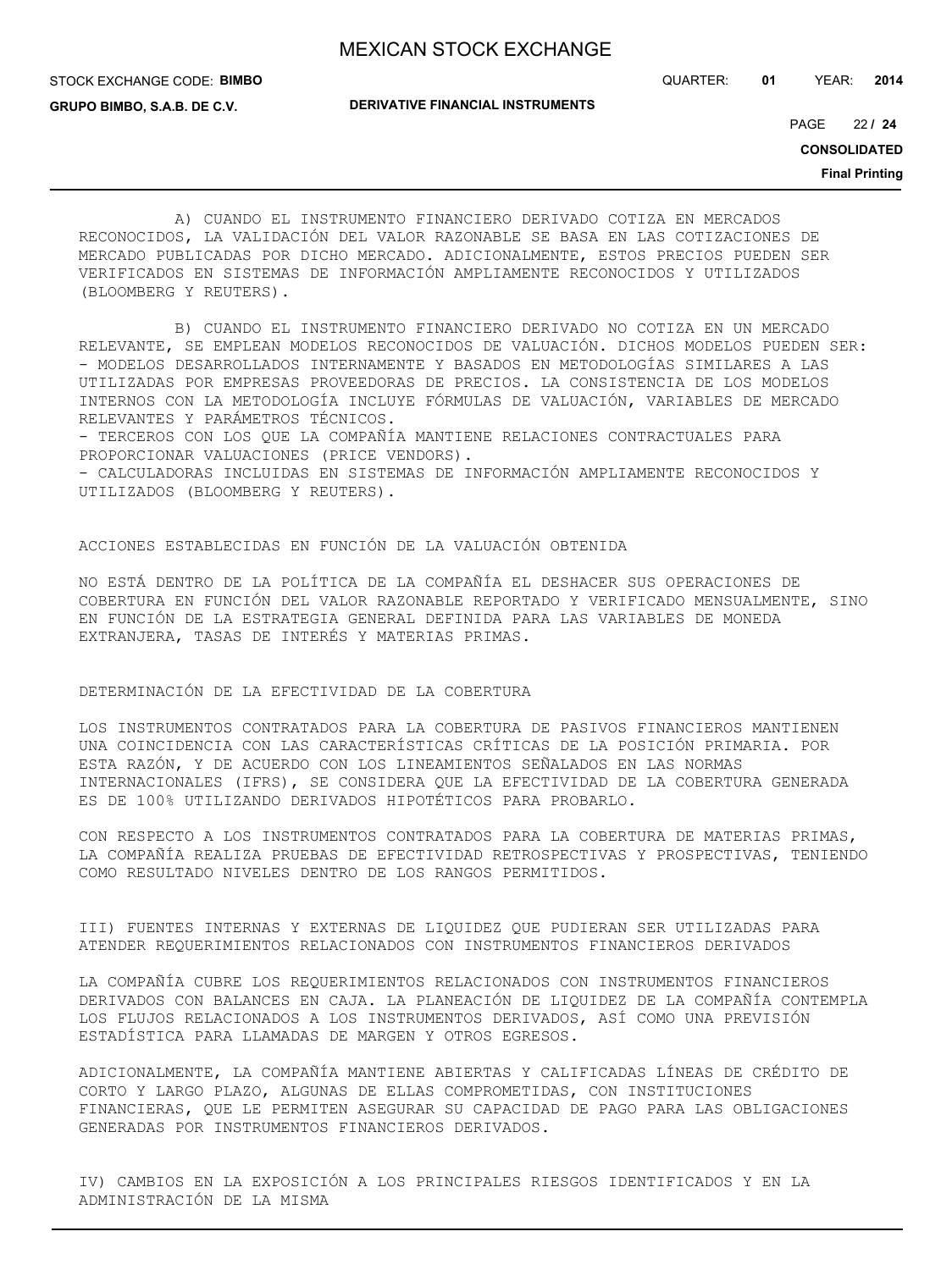STOCK EXCHANGE CODE: **BIMBO**

QUARTER: **01** YEAR: **2014**

**GRUPO BIMBO, S.A.B. DE C.V.**

**DERIVATIVE FINANCIAL INSTRUMENTS**

22 PAGE **/ 24**

**CONSOLIDATED**

**Final Printing**

 A) CUANDO EL INSTRUMENTO FINANCIERO DERIVADO COTIZA EN MERCADOS RECONOCIDOS, LA VALIDACIÓN DEL VALOR RAZONABLE SE BASA EN LAS COTIZACIONES DE MERCADO PUBLICADAS POR DICHO MERCADO. ADICIONALMENTE, ESTOS PRECIOS PUEDEN SER VERIFICADOS EN SISTEMAS DE INFORMACIÓN AMPLIAMENTE RECONOCIDOS Y UTILIZADOS (BLOOMBERG Y REUTERS).

 B) CUANDO EL INSTRUMENTO FINANCIERO DERIVADO NO COTIZA EN UN MERCADO RELEVANTE, SE EMPLEAN MODELOS RECONOCIDOS DE VALUACIÓN. DICHOS MODELOS PUEDEN SER: - MODELOS DESARROLLADOS INTERNAMENTE Y BASADOS EN METODOLOGÍAS SIMILARES A LAS UTILIZADAS POR EMPRESAS PROVEEDORAS DE PRECIOS. LA CONSISTENCIA DE LOS MODELOS INTERNOS CON LA METODOLOGÍA INCLUYE FÓRMULAS DE VALUACIÓN, VARIABLES DE MERCADO RELEVANTES Y PARÁMETROS TÉCNICOS.

- TERCEROS CON LOS QUE LA COMPAÑÍA MANTIENE RELACIONES CONTRACTUALES PARA PROPORCIONAR VALUACIONES (PRICE VENDORS).

- CALCULADORAS INCLUIDAS EN SISTEMAS DE INFORMACIÓN AMPLIAMENTE RECONOCIDOS Y UTILIZADOS (BLOOMBERG Y REUTERS).

### ACCIONES ESTABLECIDAS EN FUNCIÓN DE LA VALUACIÓN OBTENIDA

NO ESTÁ DENTRO DE LA POLÍTICA DE LA COMPAÑÍA EL DESHACER SUS OPERACIONES DE COBERTURA EN FUNCIÓN DEL VALOR RAZONABLE REPORTADO Y VERIFICADO MENSUALMENTE, SINO EN FUNCIÓN DE LA ESTRATEGIA GENERAL DEFINIDA PARA LAS VARIABLES DE MONEDA EXTRANJERA, TASAS DE INTERÉS Y MATERIAS PRIMAS.

### DETERMINACIÓN DE LA EFECTIVIDAD DE LA COBERTURA

LOS INSTRUMENTOS CONTRATADOS PARA LA COBERTURA DE PASIVOS FINANCIEROS MANTIENEN UNA COINCIDENCIA CON LAS CARACTERÍSTICAS CRÍTICAS DE LA POSICIÓN PRIMARIA. POR ESTA RAZÓN, Y DE ACUERDO CON LOS LINEAMIENTOS SEÑALADOS EN LAS NORMAS INTERNACIONALES (IFRS), SE CONSIDERA QUE LA EFECTIVIDAD DE LA COBERTURA GENERADA ES DE 100% UTILIZANDO DERIVADOS HIPOTÉTICOS PARA PROBARLO.

CON RESPECTO A LOS INSTRUMENTOS CONTRATADOS PARA LA COBERTURA DE MATERIAS PRIMAS, LA COMPAÑÍA REALIZA PRUEBAS DE EFECTIVIDAD RETROSPECTIVAS Y PROSPECTIVAS, TENIENDO COMO RESULTADO NIVELES DENTRO DE LOS RANGOS PERMITIDOS.

III) FUENTES INTERNAS Y EXTERNAS DE LIQUIDEZ QUE PUDIERAN SER UTILIZADAS PARA ATENDER REQUERIMIENTOS RELACIONADOS CON INSTRUMENTOS FINANCIEROS DERIVADOS

LA COMPAÑÍA CUBRE LOS REQUERIMIENTOS RELACIONADOS CON INSTRUMENTOS FINANCIEROS DERIVADOS CON BALANCES EN CAJA. LA PLANEACIÓN DE LIQUIDEZ DE LA COMPAÑÍA CONTEMPLA LOS FLUJOS RELACIONADOS A LOS INSTRUMENTOS DERIVADOS, ASÍ COMO UNA PREVISIÓN ESTADÍSTICA PARA LLAMADAS DE MARGEN Y OTROS EGRESOS.

ADICIONALMENTE, LA COMPAÑÍA MANTIENE ABIERTAS Y CALIFICADAS LÍNEAS DE CRÉDITO DE CORTO Y LARGO PLAZO, ALGUNAS DE ELLAS COMPROMETIDAS, CON INSTITUCIONES FINANCIERAS, QUE LE PERMITEN ASEGURAR SU CAPACIDAD DE PAGO PARA LAS OBLIGACIONES GENERADAS POR INSTRUMENTOS FINANCIEROS DERIVADOS.

IV) CAMBIOS EN LA EXPOSICIÓN A LOS PRINCIPALES RIESGOS IDENTIFICADOS Y EN LA ADMINISTRACIÓN DE LA MISMA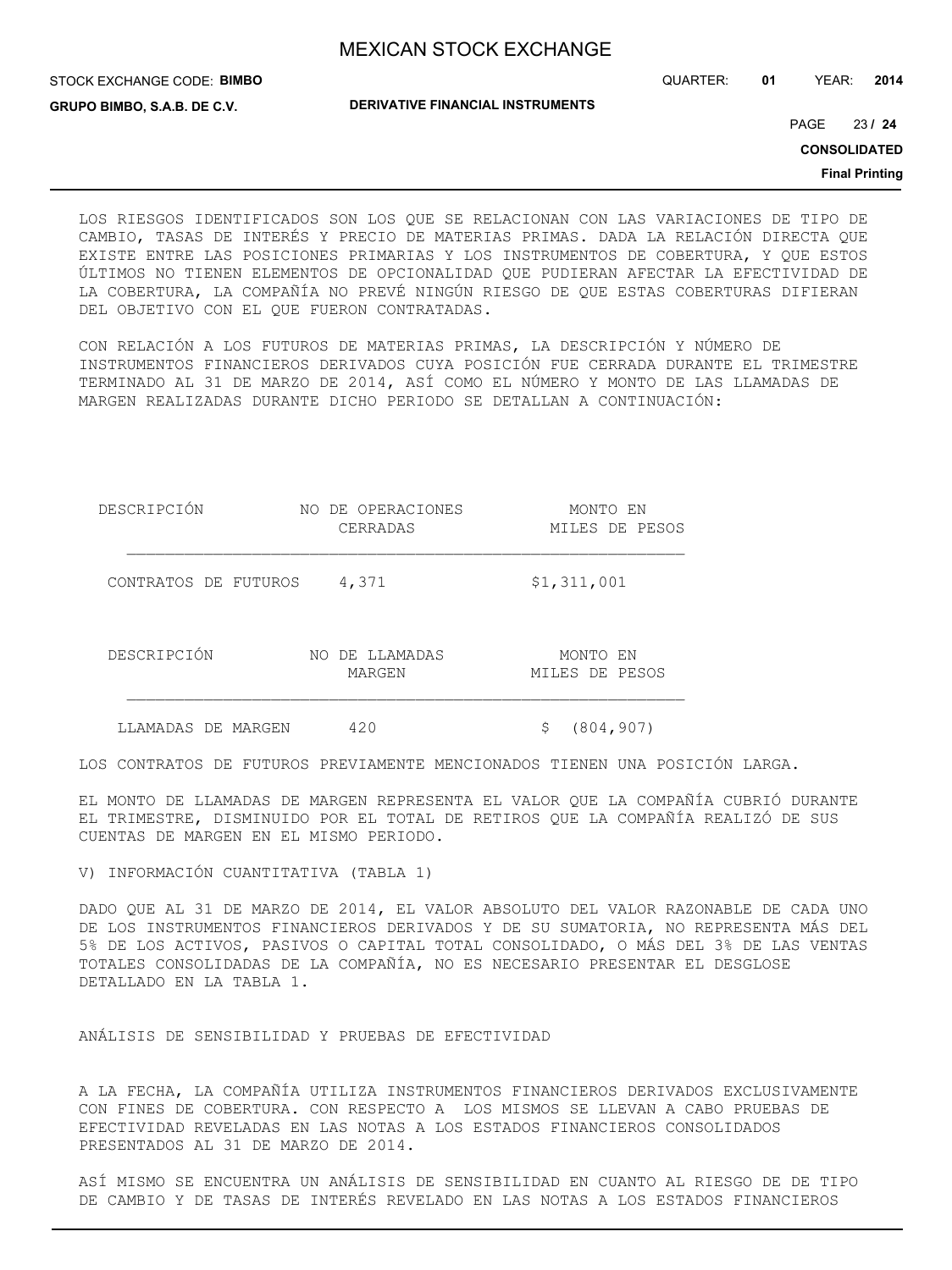QUARTER: **01** YEAR: **2014**

**GRUPO BIMBO, S.A.B. DE C.V.**

STOCK EXCHANGE CODE: **BIMBO**

**DERIVATIVE FINANCIAL INSTRUMENTS**

23 PAGE **/ 24**

**CONSOLIDATED**

**Final Printing**

LOS RIESGOS IDENTIFICADOS SON LOS QUE SE RELACIONAN CON LAS VARIACIONES DE TIPO DE CAMBIO, TASAS DE INTERÉS Y PRECIO DE MATERIAS PRIMAS. DADA LA RELACIÓN DIRECTA QUE EXISTE ENTRE LAS POSICIONES PRIMARIAS Y LOS INSTRUMENTOS DE COBERTURA, Y QUE ESTOS ÚLTIMOS NO TIENEN ELEMENTOS DE OPCIONALIDAD QUE PUDIERAN AFECTAR LA EFECTIVIDAD DE LA COBERTURA, LA COMPAÑÍA NO PREVÉ NINGÚN RIESGO DE QUE ESTAS COBERTURAS DIFIERAN DEL OBJETIVO CON EL QUE FUERON CONTRATADAS.

CON RELACIÓN A LOS FUTUROS DE MATERIAS PRIMAS, LA DESCRIPCIÓN Y NÚMERO DE INSTRUMENTOS FINANCIEROS DERIVADOS CUYA POSICIÓN FUE CERRADA DURANTE EL TRIMESTRE TERMINADO AL 31 DE MARZO DE 2014, ASÍ COMO EL NÚMERO Y MONTO DE LAS LLAMADAS DE MARGEN REALIZADAS DURANTE DICHO PERIODO SE DETALLAN A CONTINUACIÓN:

| DESCRIPCIÓN          | NO DE OPERACIONES<br>CERRADAS | MONTO EN<br>MILES DE PESOS |
|----------------------|-------------------------------|----------------------------|
| CONTRATOS DE FUTUROS | 4,371                         | \$1,311,001                |
| DESCRIPCIÓN          | DE LLAMADAS<br>NO.<br>MARGEN  | MONTO EN<br>MILES DE PESOS |
| LLAMADAS DE MARGEN   | 420                           | (804, 907)<br>Ş            |

LOS CONTRATOS DE FUTUROS PREVIAMENTE MENCIONADOS TIENEN UNA POSICIÓN LARGA.

EL MONTO DE LLAMADAS DE MARGEN REPRESENTA EL VALOR QUE LA COMPAÑÍA CUBRIÓ DURANTE EL TRIMESTRE, DISMINUIDO POR EL TOTAL DE RETIROS QUE LA COMPAÑÍA REALIZÓ DE SUS CUENTAS DE MARGEN EN EL MISMO PERIODO.

V) INFORMACIÓN CUANTITATIVA (TABLA 1)

DADO QUE AL 31 DE MARZO DE 2014, EL VALOR ABSOLUTO DEL VALOR RAZONABLE DE CADA UNO DE LOS INSTRUMENTOS FINANCIEROS DERIVADOS Y DE SU SUMATORIA, NO REPRESENTA MÁS DEL 5% DE LOS ACTIVOS, PASIVOS O CAPITAL TOTAL CONSOLIDADO, O MÁS DEL 3% DE LAS VENTAS TOTALES CONSOLIDADAS DE LA COMPAÑÍA, NO ES NECESARIO PRESENTAR EL DESGLOSE DETALLADO EN LA TABLA 1.

ANÁLISIS DE SENSIBILIDAD Y PRUEBAS DE EFECTIVIDAD

A LA FECHA, LA COMPAÑÍA UTILIZA INSTRUMENTOS FINANCIEROS DERIVADOS EXCLUSIVAMENTE CON FINES DE COBERTURA. CON RESPECTO A LOS MISMOS SE LLEVAN A CABO PRUEBAS DE EFECTIVIDAD REVELADAS EN LAS NOTAS A LOS ESTADOS FINANCIEROS CONSOLIDADOS PRESENTADOS AL 31 DE MARZO DE 2014.

ASÍ MISMO SE ENCUENTRA UN ANÁLISIS DE SENSIBILIDAD EN CUANTO AL RIESGO DE DE TIPO DE CAMBIO Y DE TASAS DE INTERÉS REVELADO EN LAS NOTAS A LOS ESTADOS FINANCIEROS